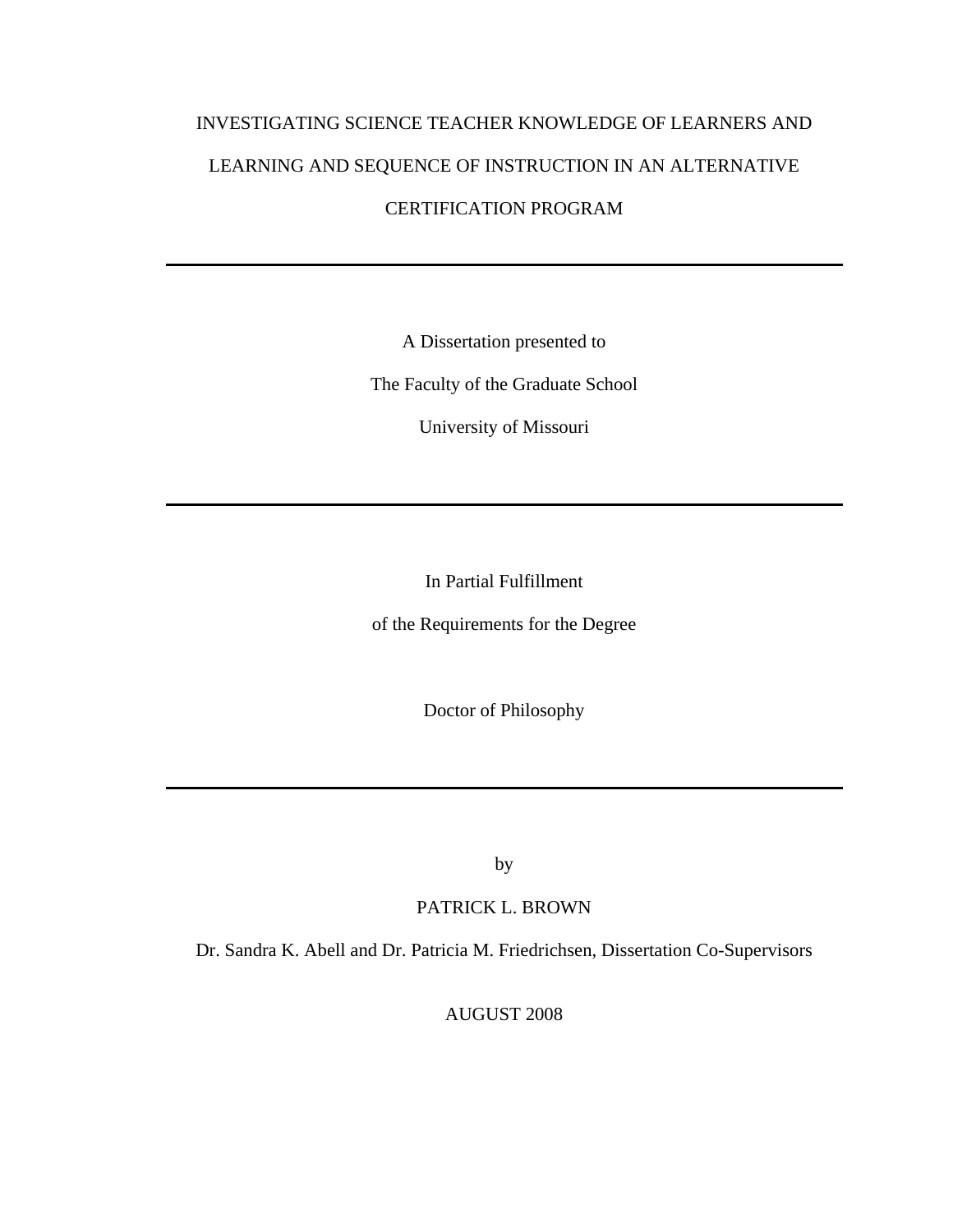# INVESTIGATING SCIENCE TEACHER KNOWLEDGE OF LEARNERS AND LEARNING AND SEQUENCE OF INSTRUCTION IN AN ALTERNATIVE CERTIFICATION PROGRAM

A Dissertation presented to

The Faculty of the Graduate School

University of Missouri

In Partial Fulfillment

of the Requirements for the Degree

Doctor of Philosophy

by

PATRICK L. BROWN

Dr. Sandra K. Abell and Dr. Patricia M. Friedrichsen, Dissertation Co-Supervisors

AUGUST 2008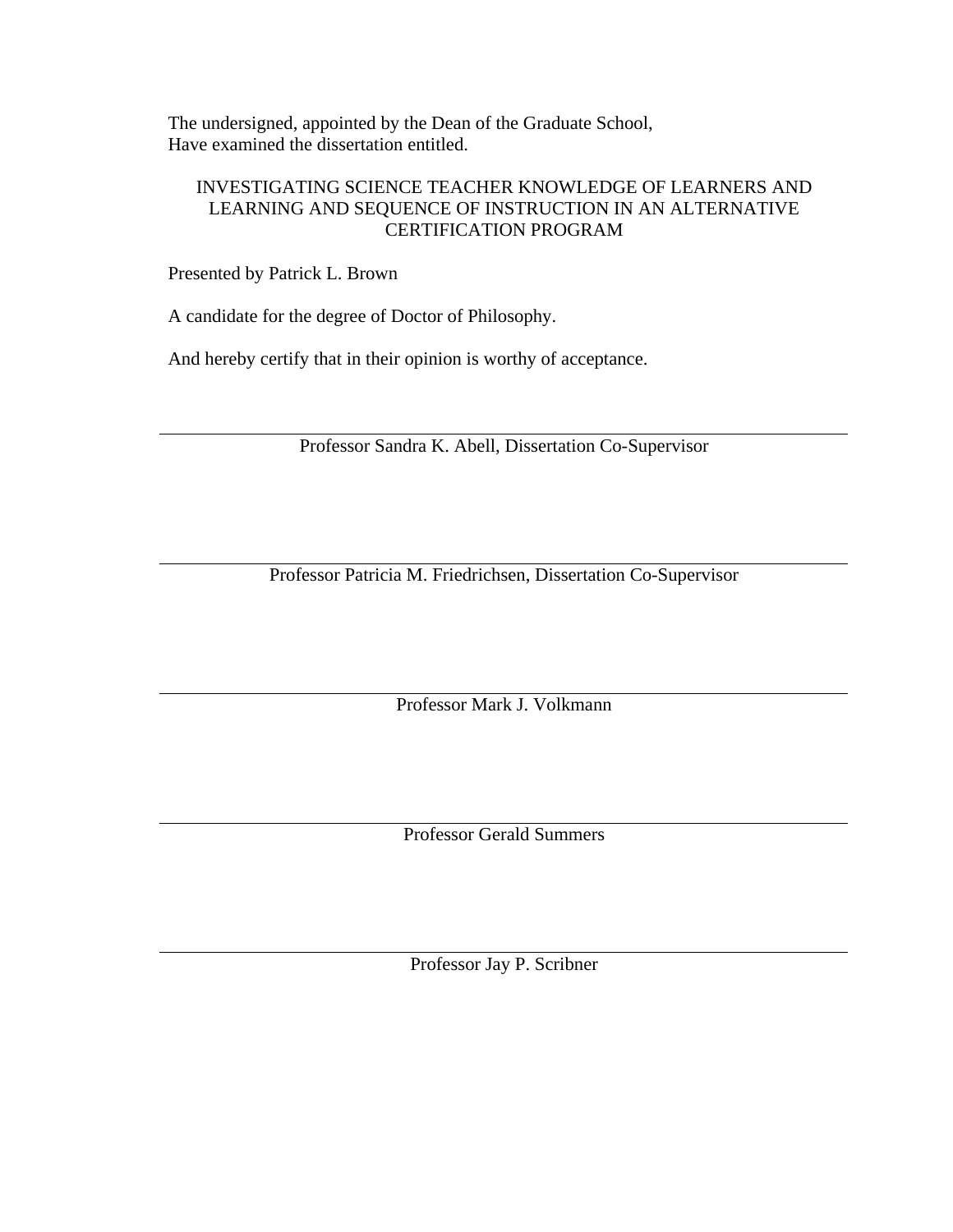The undersigned, appointed by the Dean of the Graduate School, Have examined the dissertation entitled.

## INVESTIGATING SCIENCE TEACHER KNOWLEDGE OF LEARNERS AND LEARNING AND SEQUENCE OF INSTRUCTION IN AN ALTERNATIVE CERTIFICATION PROGRAM

Presented by Patrick L. Brown

A candidate for the degree of Doctor of Philosophy.

And hereby certify that in their opinion is worthy of acceptance.

Professor Sandra K. Abell, Dissertation Co-Supervisor

Professor Patricia M. Friedrichsen, Dissertation Co-Supervisor

Professor Mark J. Volkmann

Professor Gerald Summers

Professor Jay P. Scribner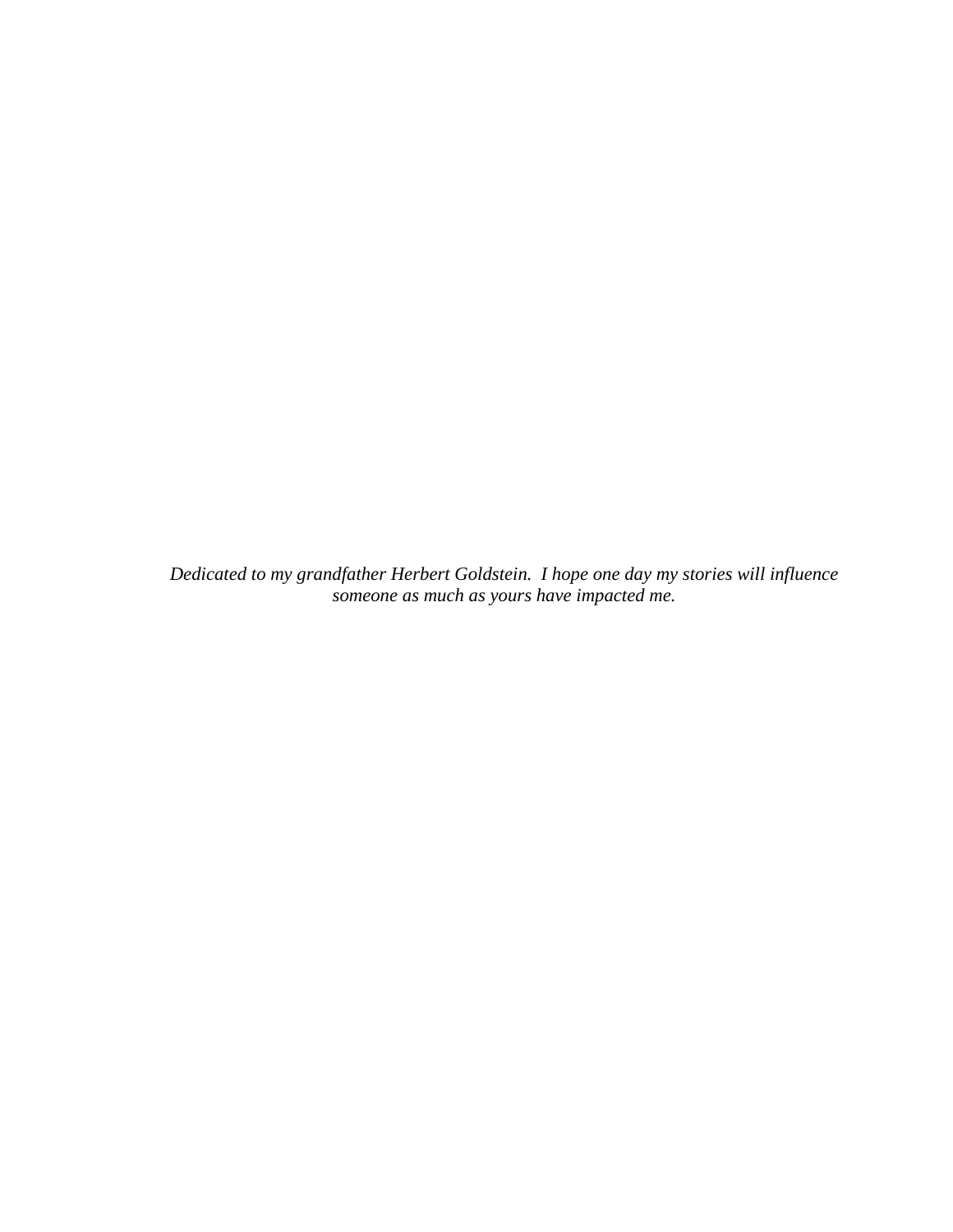*Dedicated to my grandfather Herbert Goldstein. I hope one day my stories will influence someone as much as yours have impacted me.*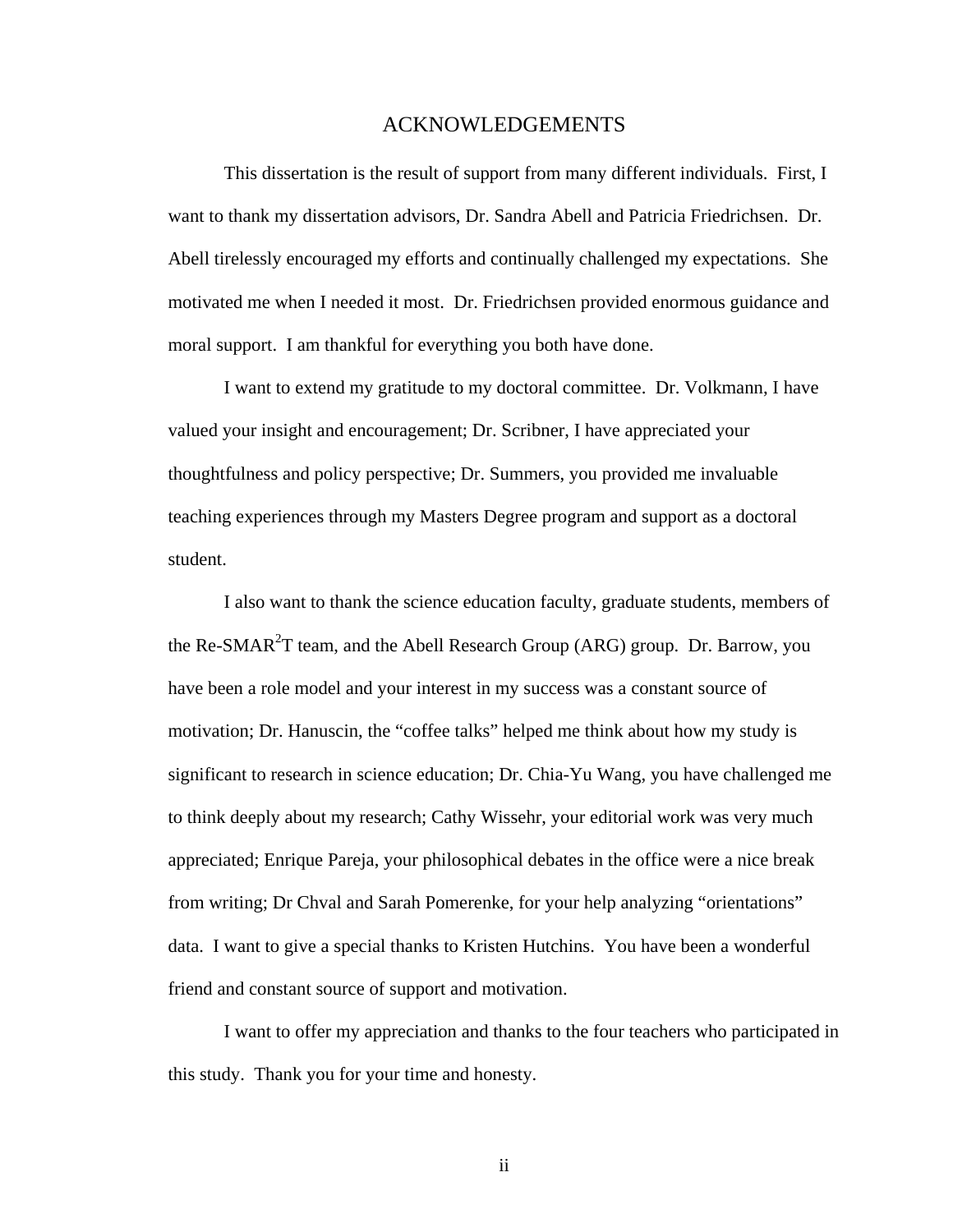### ACKNOWLEDGEMENTS

 This dissertation is the result of support from many different individuals. First, I want to thank my dissertation advisors, Dr. Sandra Abell and Patricia Friedrichsen. Dr. Abell tirelessly encouraged my efforts and continually challenged my expectations. She motivated me when I needed it most. Dr. Friedrichsen provided enormous guidance and moral support. I am thankful for everything you both have done.

I want to extend my gratitude to my doctoral committee. Dr. Volkmann, I have valued your insight and encouragement; Dr. Scribner, I have appreciated your thoughtfulness and policy perspective; Dr. Summers, you provided me invaluable teaching experiences through my Masters Degree program and support as a doctoral student.

I also want to thank the science education faculty, graduate students, members of the Re-SMAR<sup>2</sup>T team, and the Abell Research Group (ARG) group. Dr. Barrow, you have been a role model and your interest in my success was a constant source of motivation; Dr. Hanuscin, the "coffee talks" helped me think about how my study is significant to research in science education; Dr. Chia-Yu Wang, you have challenged me to think deeply about my research; Cathy Wissehr, your editorial work was very much appreciated; Enrique Pareja, your philosophical debates in the office were a nice break from writing; Dr Chval and Sarah Pomerenke, for your help analyzing "orientations" data. I want to give a special thanks to Kristen Hutchins. You have been a wonderful friend and constant source of support and motivation.

I want to offer my appreciation and thanks to the four teachers who participated in this study. Thank you for your time and honesty.

ii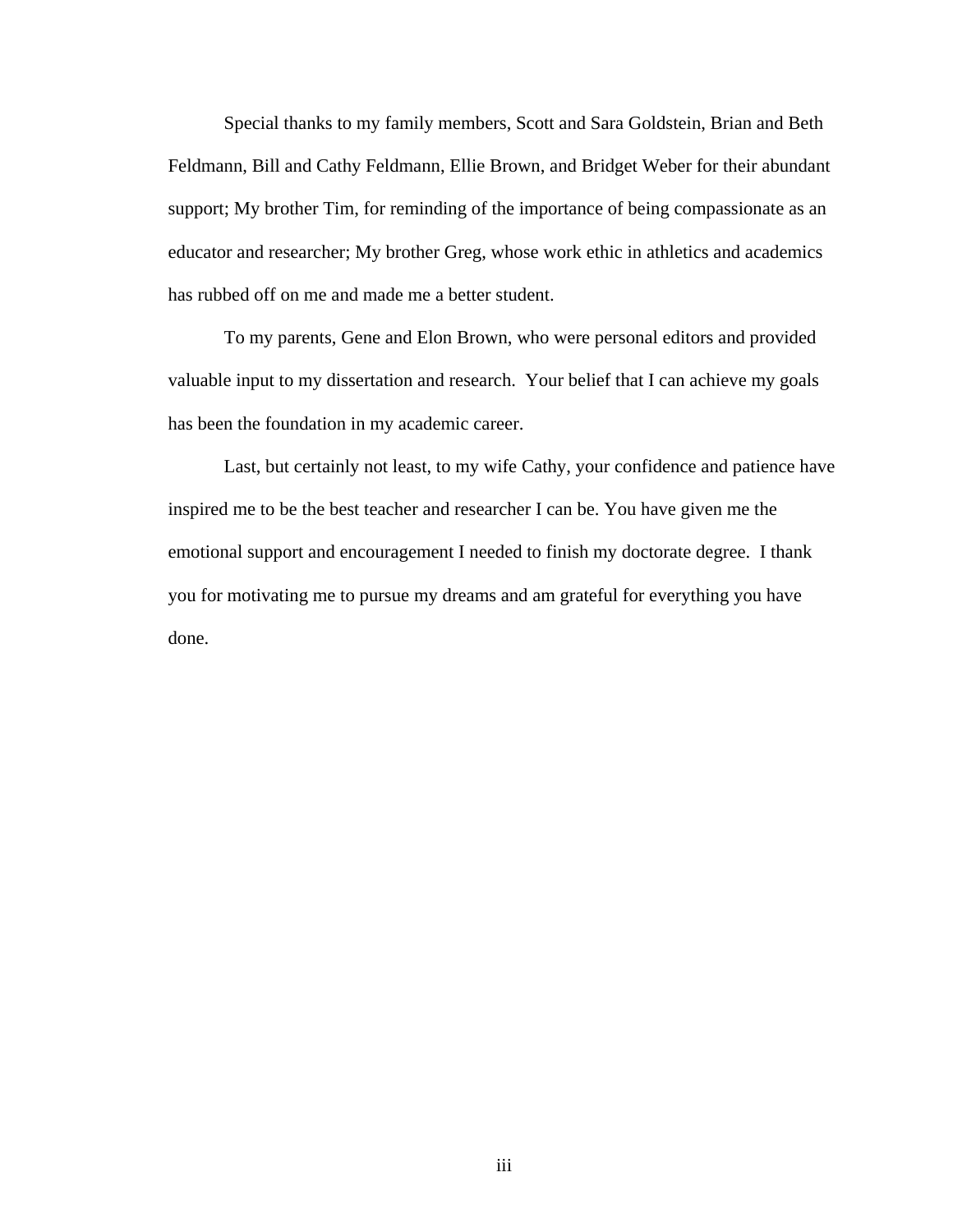Special thanks to my family members, Scott and Sara Goldstein, Brian and Beth Feldmann, Bill and Cathy Feldmann, Ellie Brown, and Bridget Weber for their abundant support; My brother Tim, for reminding of the importance of being compassionate as an educator and researcher; My brother Greg, whose work ethic in athletics and academics has rubbed off on me and made me a better student.

To my parents, Gene and Elon Brown, who were personal editors and provided valuable input to my dissertation and research. Your belief that I can achieve my goals has been the foundation in my academic career.

Last, but certainly not least, to my wife Cathy, your confidence and patience have inspired me to be the best teacher and researcher I can be. You have given me the emotional support and encouragement I needed to finish my doctorate degree. I thank you for motivating me to pursue my dreams and am grateful for everything you have done.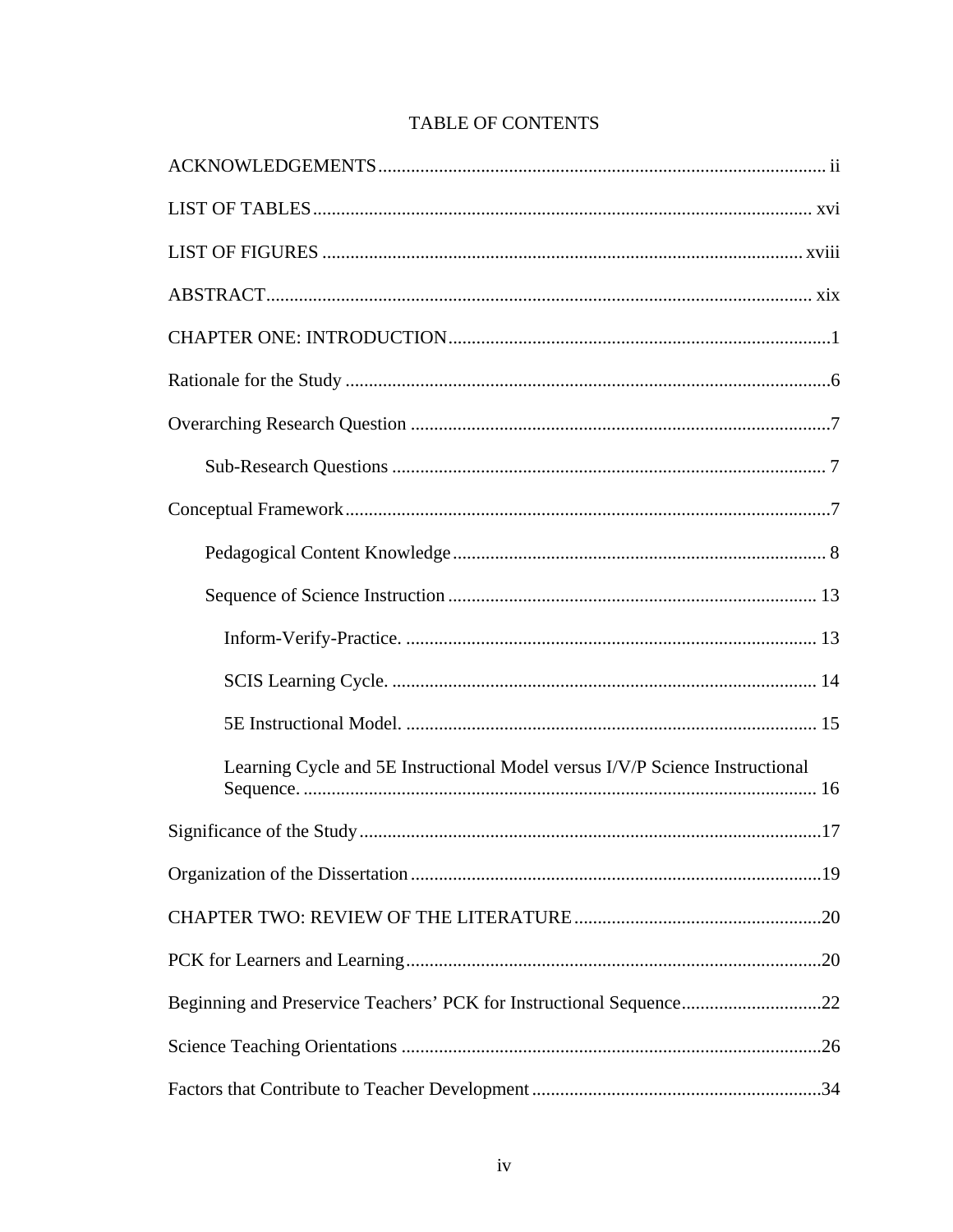| Learning Cycle and 5E Instructional Model versus I/V/P Science Instructional |
|------------------------------------------------------------------------------|
|                                                                              |
|                                                                              |
|                                                                              |
|                                                                              |
| Beginning and Preservice Teachers' PCK for Instructional Sequence22          |
|                                                                              |
|                                                                              |

# TABLE OF CONTENTS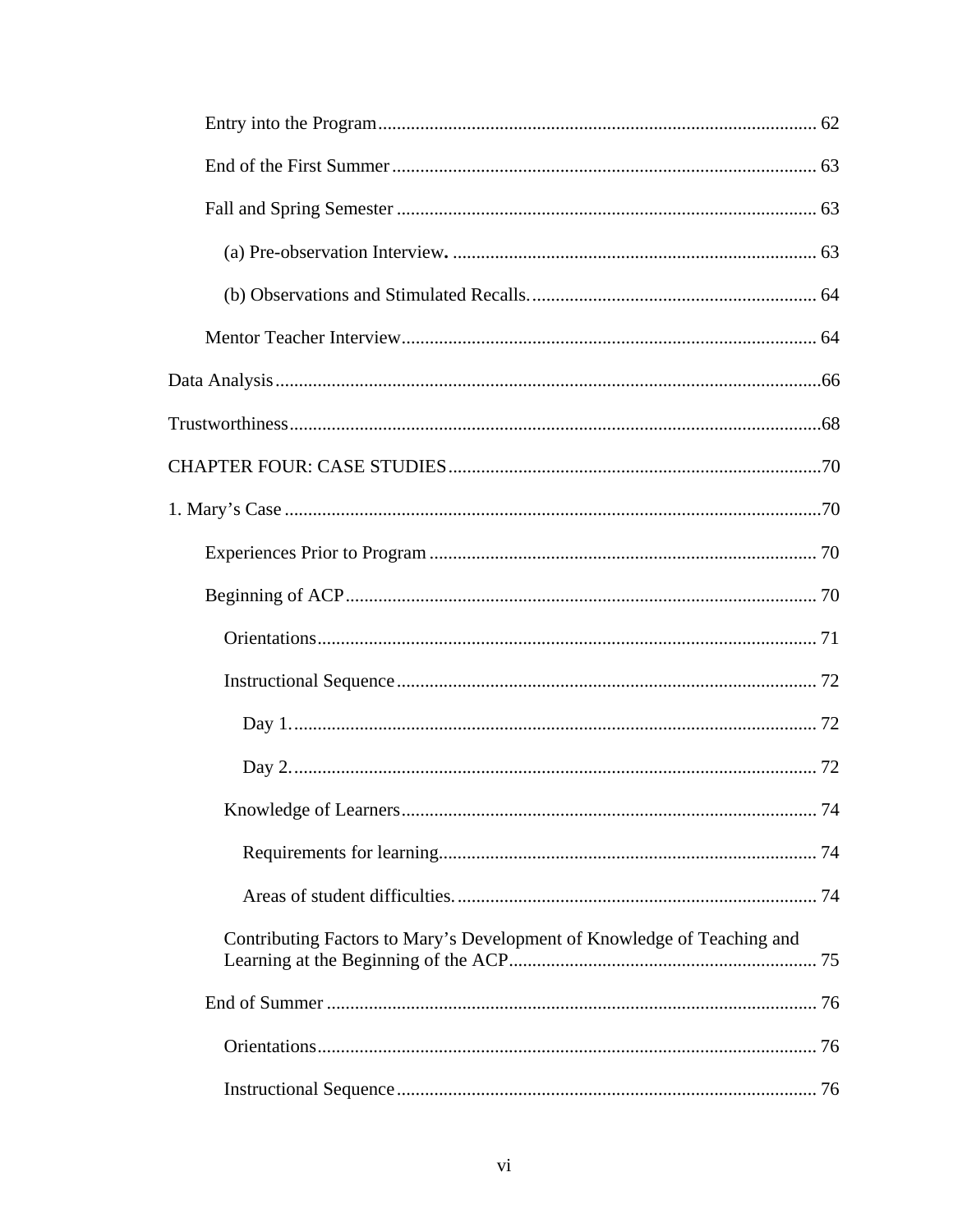| Contributing Factors to Mary's Development of Knowledge of Teaching and |  |
|-------------------------------------------------------------------------|--|
|                                                                         |  |
|                                                                         |  |
|                                                                         |  |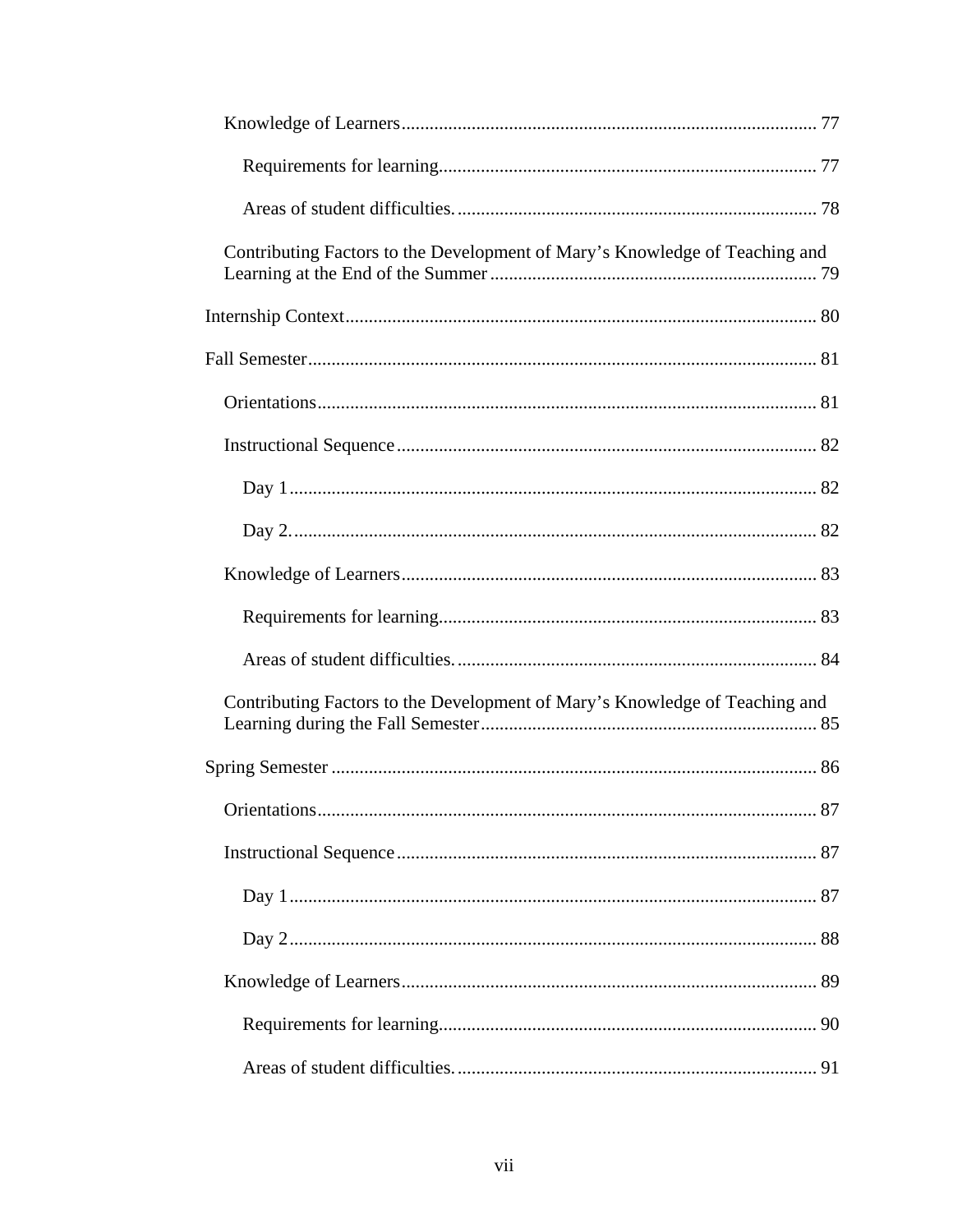| Contributing Factors to the Development of Mary's Knowledge of Teaching and |
|-----------------------------------------------------------------------------|
|                                                                             |
|                                                                             |
|                                                                             |
|                                                                             |
|                                                                             |
|                                                                             |
|                                                                             |
|                                                                             |
|                                                                             |
| Contributing Factors to the Development of Mary's Knowledge of Teaching and |
|                                                                             |
|                                                                             |
|                                                                             |
|                                                                             |
|                                                                             |
|                                                                             |
|                                                                             |
|                                                                             |
|                                                                             |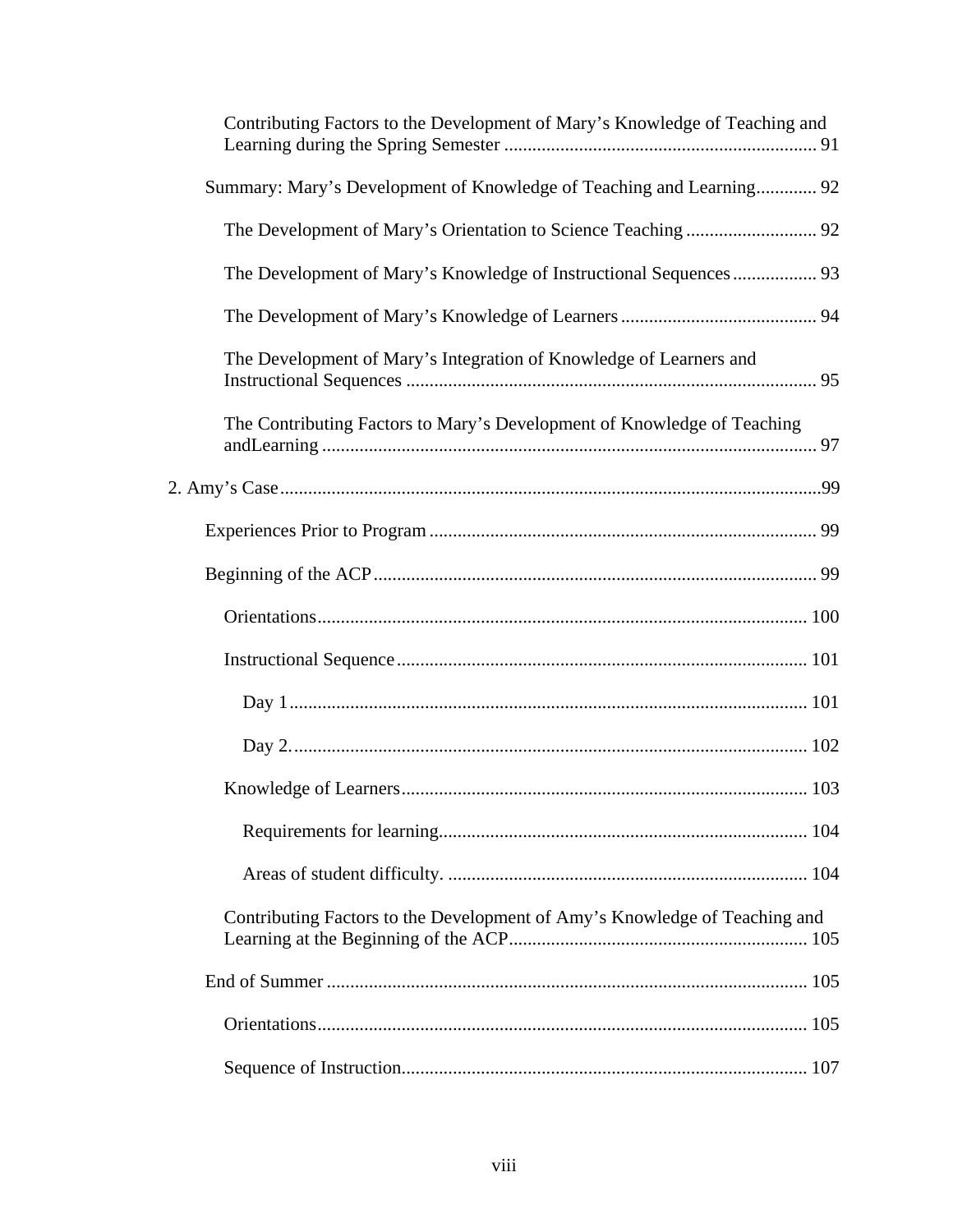| Contributing Factors to the Development of Mary's Knowledge of Teaching and |
|-----------------------------------------------------------------------------|
| Summary: Mary's Development of Knowledge of Teaching and Learning 92        |
|                                                                             |
| The Development of Mary's Knowledge of Instructional Sequences 93           |
|                                                                             |
| The Development of Mary's Integration of Knowledge of Learners and          |
| The Contributing Factors to Mary's Development of Knowledge of Teaching     |
|                                                                             |
|                                                                             |
|                                                                             |
|                                                                             |
|                                                                             |
|                                                                             |
|                                                                             |
|                                                                             |
|                                                                             |
|                                                                             |
| Contributing Factors to the Development of Amy's Knowledge of Teaching and  |
|                                                                             |
|                                                                             |
|                                                                             |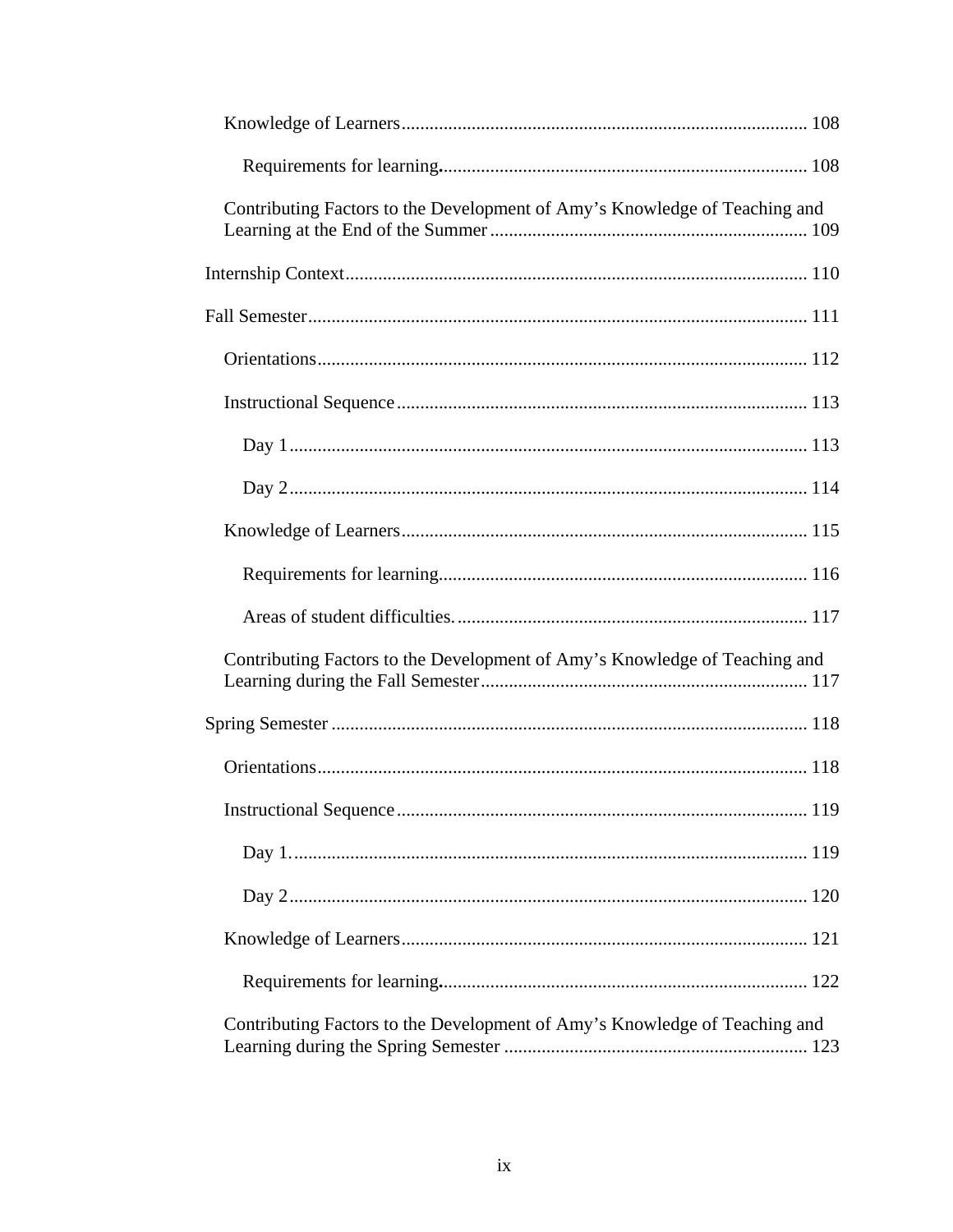| Contributing Factors to the Development of Amy's Knowledge of Teaching and |  |
|----------------------------------------------------------------------------|--|
|                                                                            |  |
|                                                                            |  |
|                                                                            |  |
|                                                                            |  |
|                                                                            |  |
|                                                                            |  |
|                                                                            |  |
|                                                                            |  |
|                                                                            |  |
| Contributing Factors to the Development of Amy's Knowledge of Teaching and |  |
|                                                                            |  |
|                                                                            |  |
|                                                                            |  |
|                                                                            |  |
|                                                                            |  |
|                                                                            |  |
|                                                                            |  |
| Contributing Factors to the Development of Amy's Knowledge of Teaching and |  |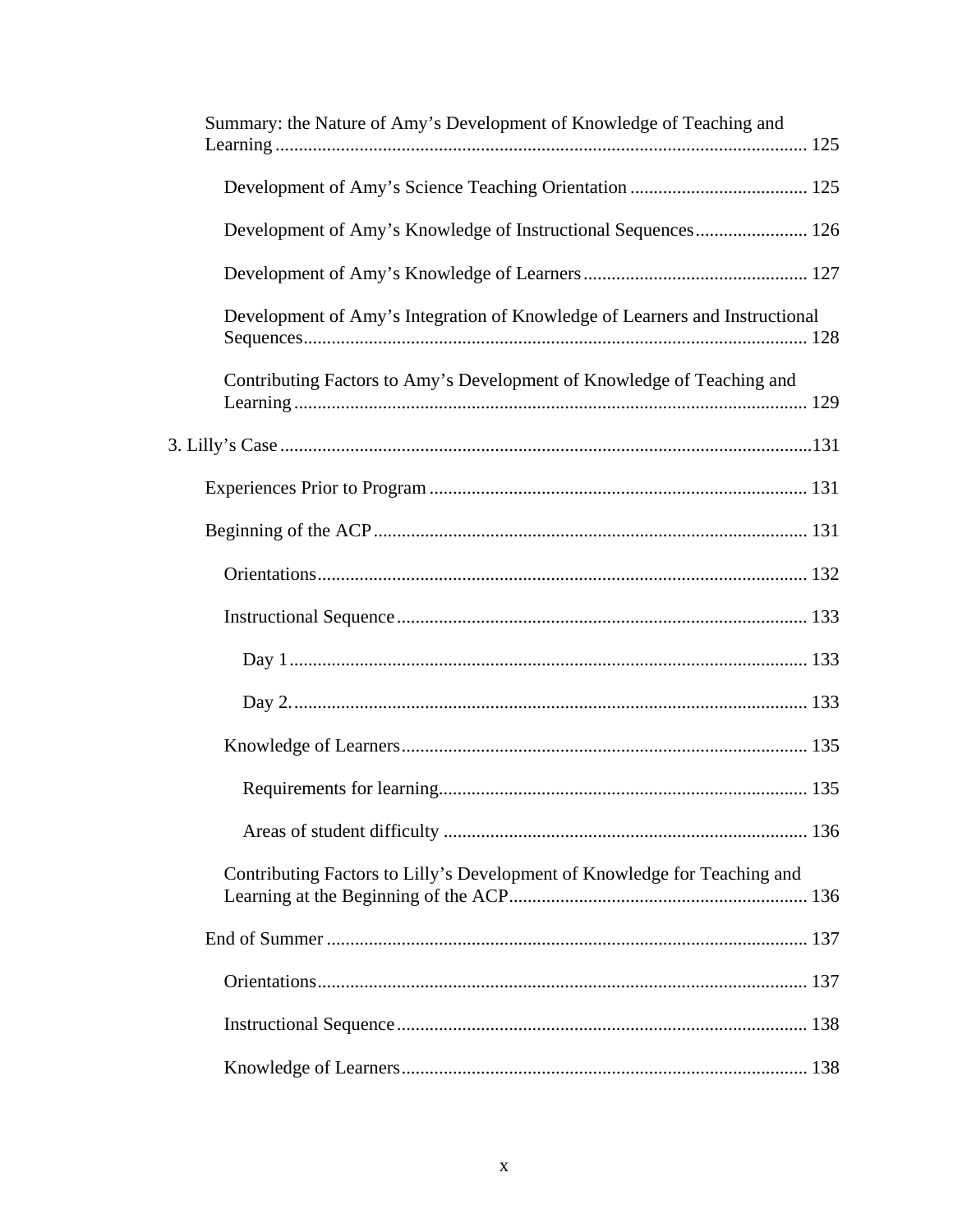| Summary: the Nature of Amy's Development of Knowledge of Teaching and       |
|-----------------------------------------------------------------------------|
|                                                                             |
| Development of Amy's Knowledge of Instructional Sequences 126               |
|                                                                             |
| Development of Amy's Integration of Knowledge of Learners and Instructional |
| Contributing Factors to Amy's Development of Knowledge of Teaching and      |
|                                                                             |
|                                                                             |
|                                                                             |
|                                                                             |
|                                                                             |
|                                                                             |
|                                                                             |
|                                                                             |
|                                                                             |
|                                                                             |
| Contributing Factors to Lilly's Development of Knowledge for Teaching and   |
|                                                                             |
|                                                                             |
|                                                                             |
|                                                                             |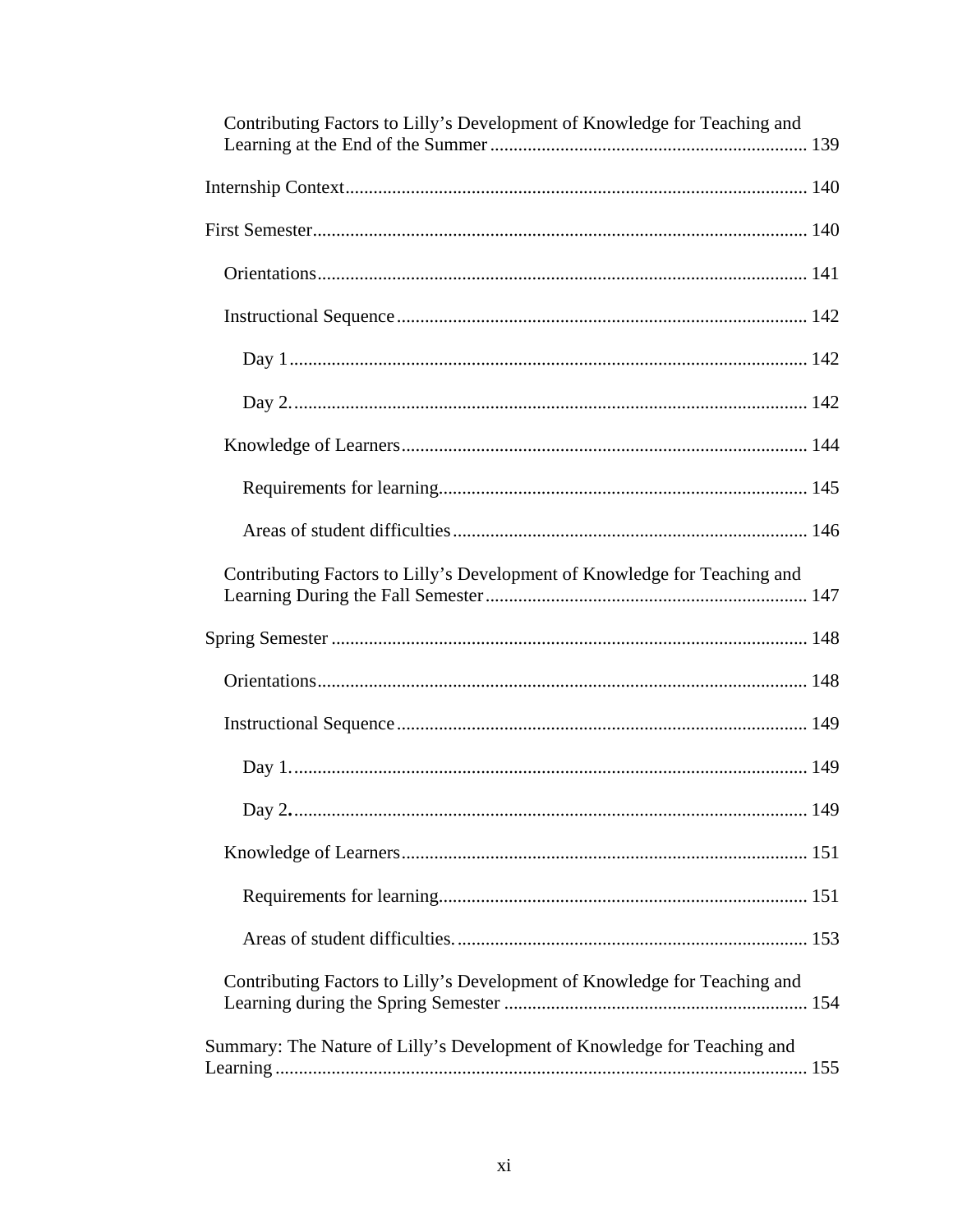| Contributing Factors to Lilly's Development of Knowledge for Teaching and |
|---------------------------------------------------------------------------|
|                                                                           |
|                                                                           |
|                                                                           |
|                                                                           |
|                                                                           |
|                                                                           |
|                                                                           |
|                                                                           |
|                                                                           |
| Contributing Factors to Lilly's Development of Knowledge for Teaching and |
|                                                                           |
|                                                                           |
|                                                                           |
|                                                                           |
|                                                                           |
|                                                                           |
|                                                                           |
|                                                                           |
| Contributing Factors to Lilly's Development of Knowledge for Teaching and |
| Summary: The Nature of Lilly's Development of Knowledge for Teaching and  |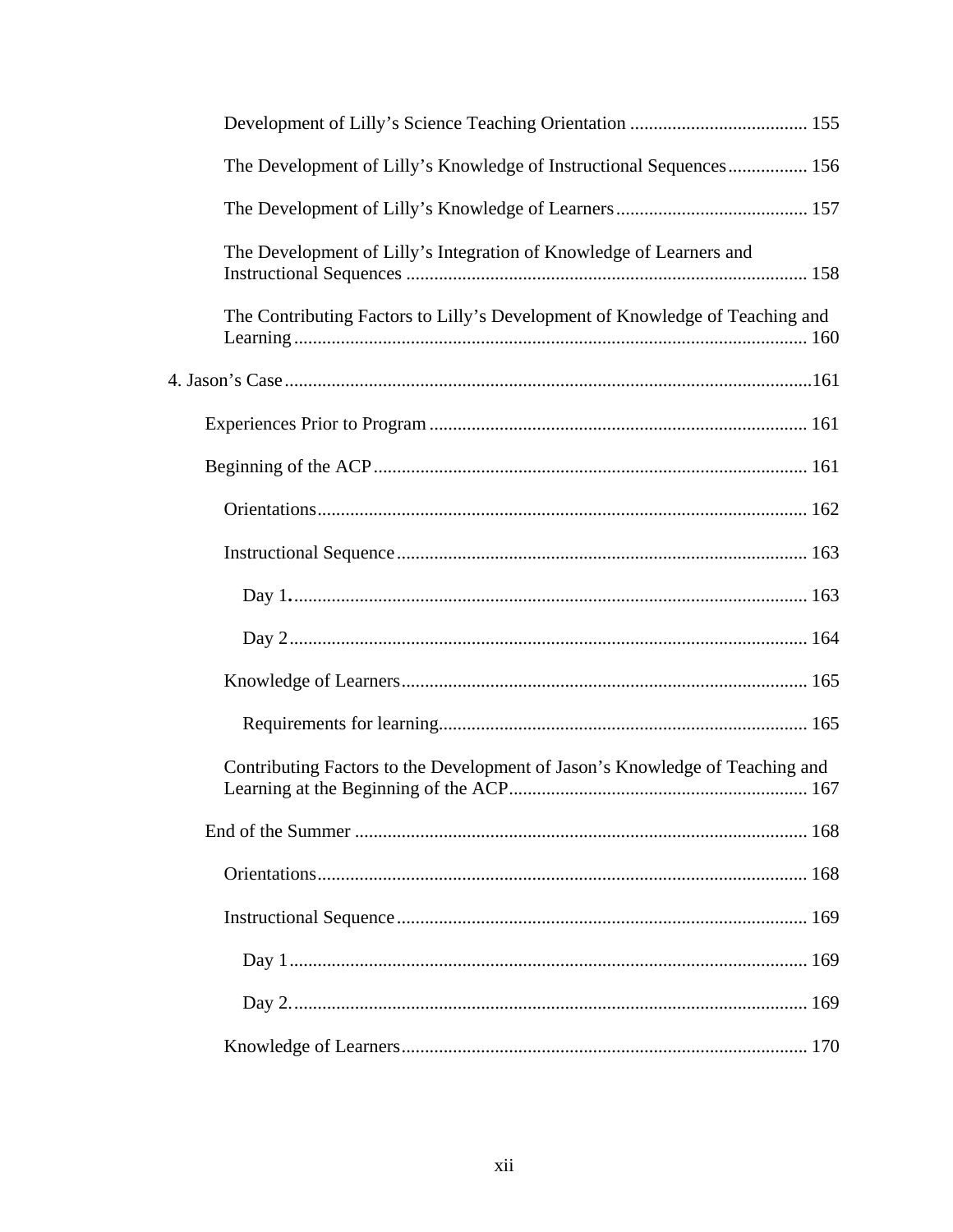| The Development of Lilly's Knowledge of Instructional Sequences 156          |
|------------------------------------------------------------------------------|
|                                                                              |
| The Development of Lilly's Integration of Knowledge of Learners and          |
| The Contributing Factors to Lilly's Development of Knowledge of Teaching and |
|                                                                              |
|                                                                              |
|                                                                              |
|                                                                              |
|                                                                              |
|                                                                              |
|                                                                              |
|                                                                              |
|                                                                              |
| Contributing Factors to the Development of Jason's Knowledge of Teaching and |
|                                                                              |
|                                                                              |
|                                                                              |
|                                                                              |
|                                                                              |
|                                                                              |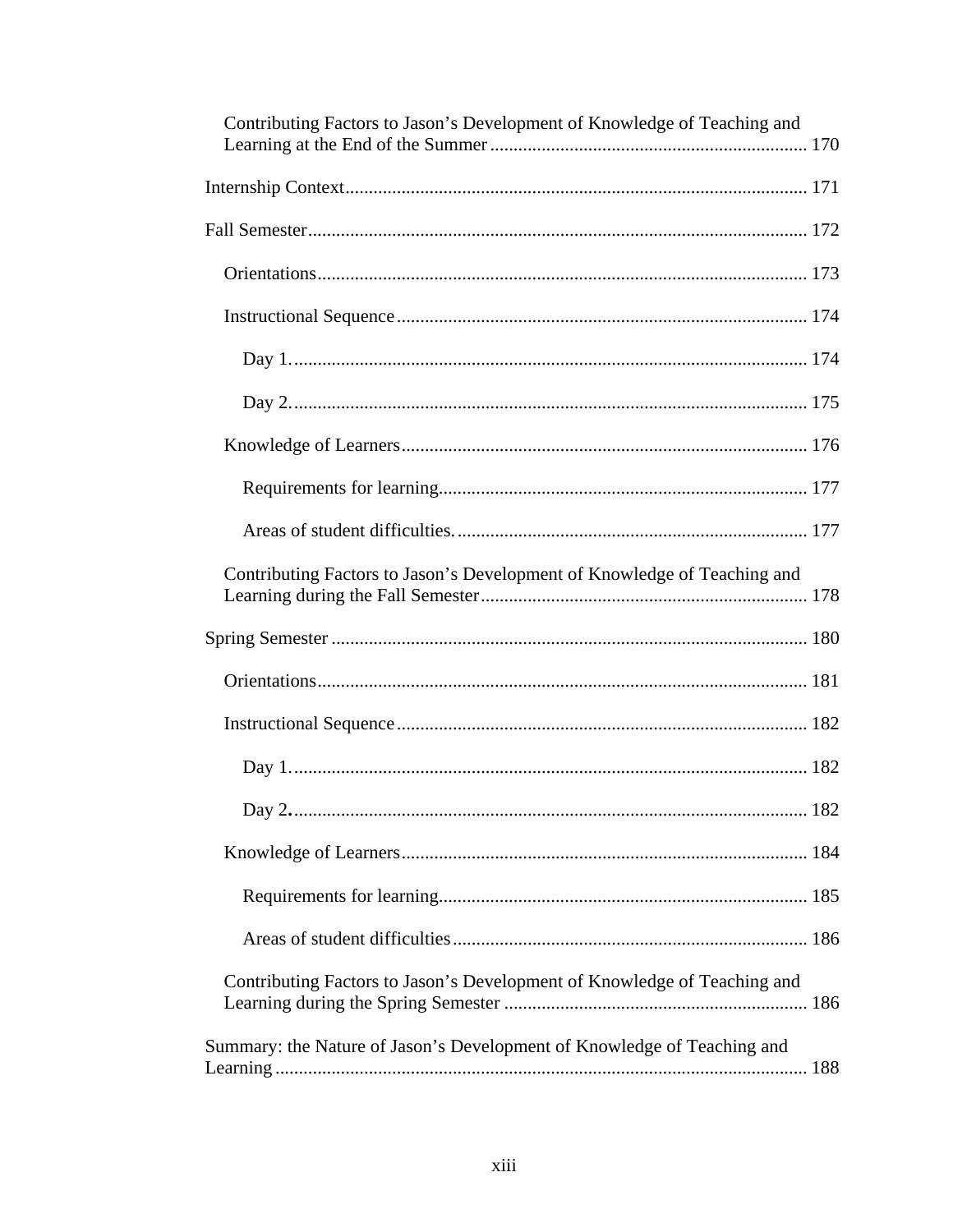| Contributing Factors to Jason's Development of Knowledge of Teaching and |
|--------------------------------------------------------------------------|
|                                                                          |
|                                                                          |
|                                                                          |
|                                                                          |
|                                                                          |
|                                                                          |
|                                                                          |
|                                                                          |
|                                                                          |
| Contributing Factors to Jason's Development of Knowledge of Teaching and |
|                                                                          |
|                                                                          |
|                                                                          |
|                                                                          |
|                                                                          |
|                                                                          |
|                                                                          |
|                                                                          |
| Contributing Factors to Jason's Development of Knowledge of Teaching and |
| Summary: the Nature of Jason's Development of Knowledge of Teaching and  |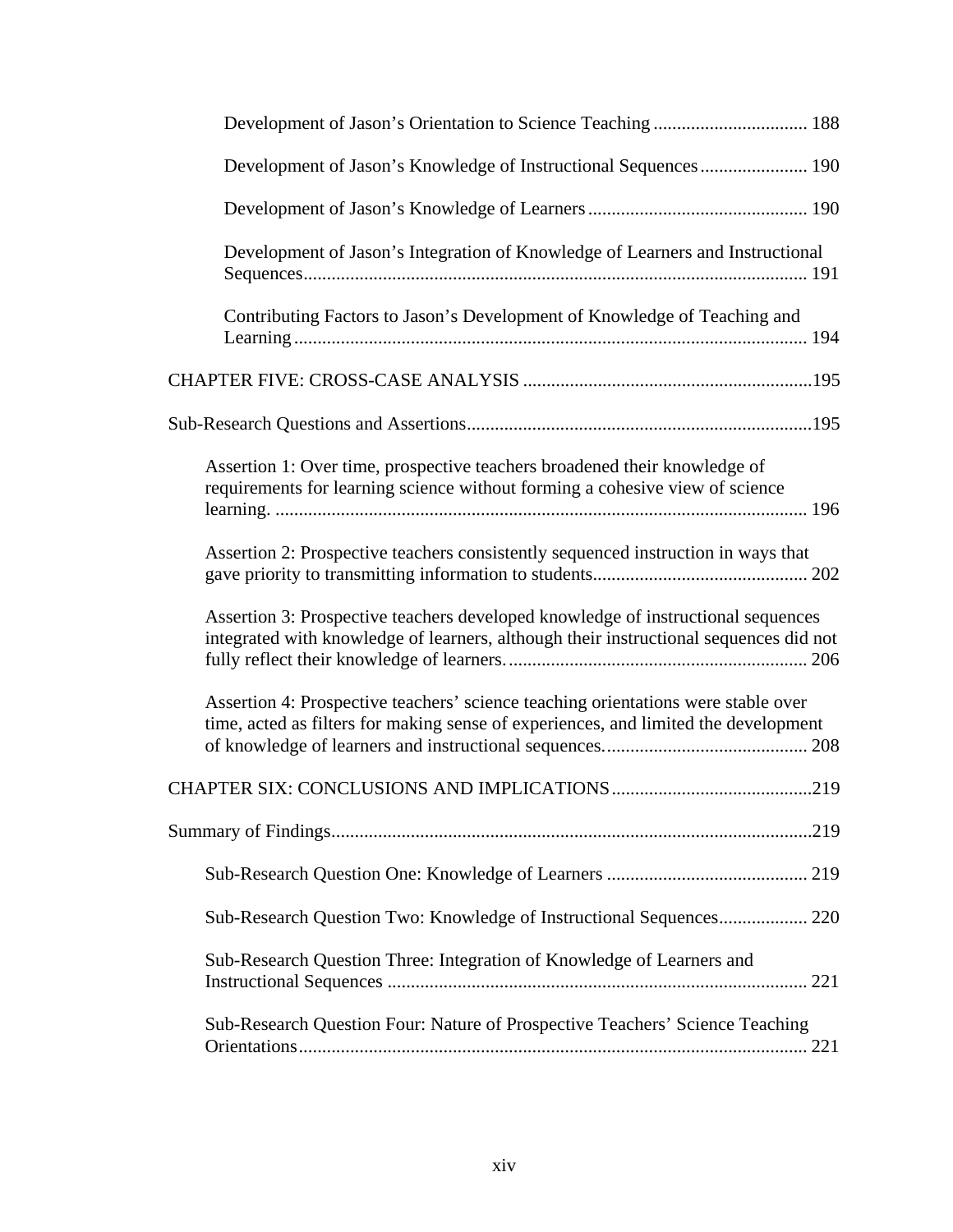| Development of Jason's Knowledge of Instructional Sequences 190                                                                                                           |
|---------------------------------------------------------------------------------------------------------------------------------------------------------------------------|
|                                                                                                                                                                           |
| Development of Jason's Integration of Knowledge of Learners and Instructional                                                                                             |
| Contributing Factors to Jason's Development of Knowledge of Teaching and                                                                                                  |
|                                                                                                                                                                           |
|                                                                                                                                                                           |
| Assertion 1: Over time, prospective teachers broadened their knowledge of<br>requirements for learning science without forming a cohesive view of science                 |
| Assertion 2: Prospective teachers consistently sequenced instruction in ways that                                                                                         |
| Assertion 3: Prospective teachers developed knowledge of instructional sequences<br>integrated with knowledge of learners, although their instructional sequences did not |
| Assertion 4: Prospective teachers' science teaching orientations were stable over<br>time, acted as filters for making sense of experiences, and limited the development  |
|                                                                                                                                                                           |
|                                                                                                                                                                           |
|                                                                                                                                                                           |
| Sub-Research Question Two: Knowledge of Instructional Sequences 220                                                                                                       |
| Sub-Research Question Three: Integration of Knowledge of Learners and                                                                                                     |
| Sub-Research Question Four: Nature of Prospective Teachers' Science Teaching                                                                                              |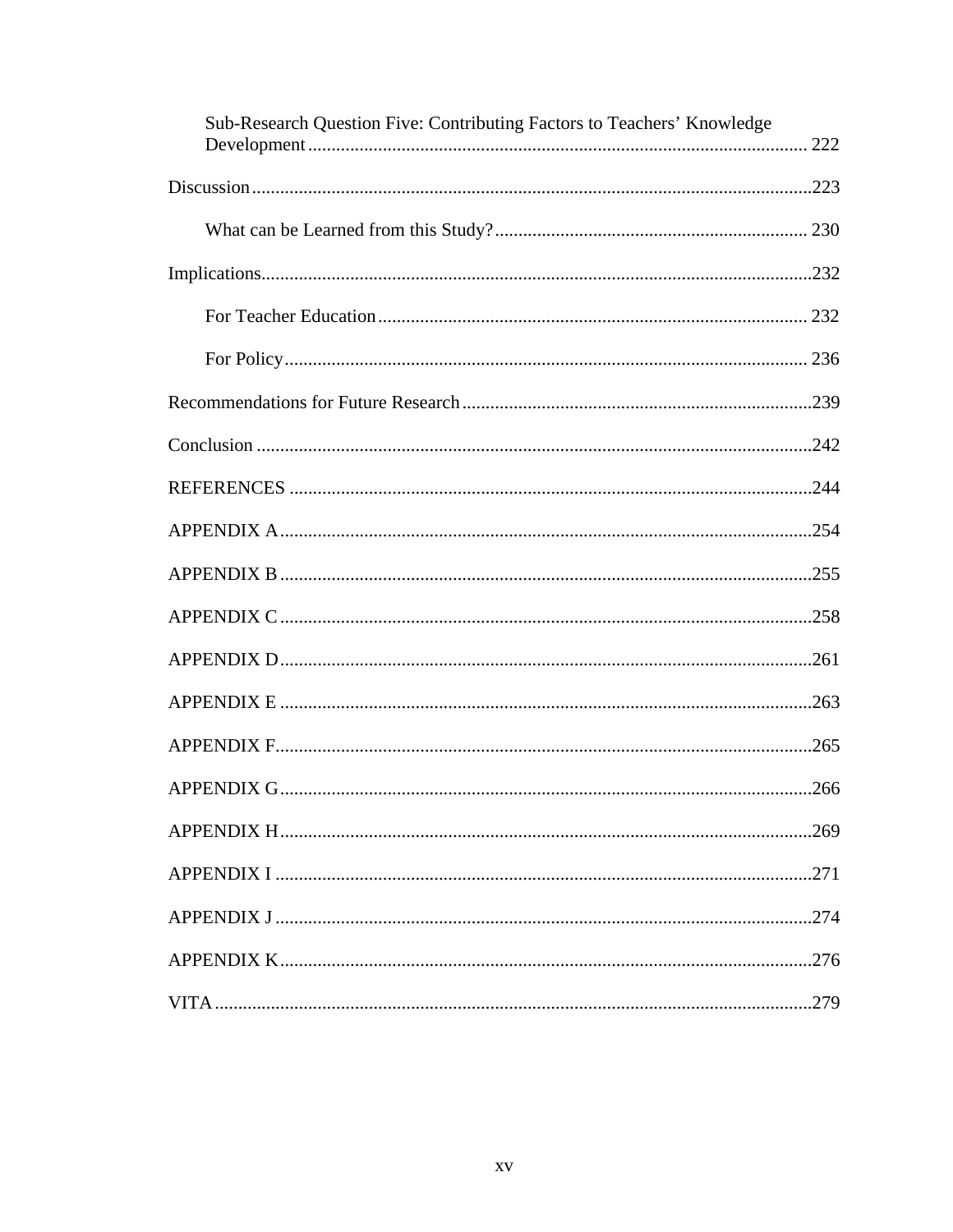| Sub-Research Question Five: Contributing Factors to Teachers' Knowledge |
|-------------------------------------------------------------------------|
|                                                                         |
|                                                                         |
|                                                                         |
|                                                                         |
|                                                                         |
|                                                                         |
|                                                                         |
|                                                                         |
|                                                                         |
|                                                                         |
|                                                                         |
|                                                                         |
|                                                                         |
|                                                                         |
|                                                                         |
|                                                                         |
|                                                                         |
|                                                                         |
|                                                                         |
|                                                                         |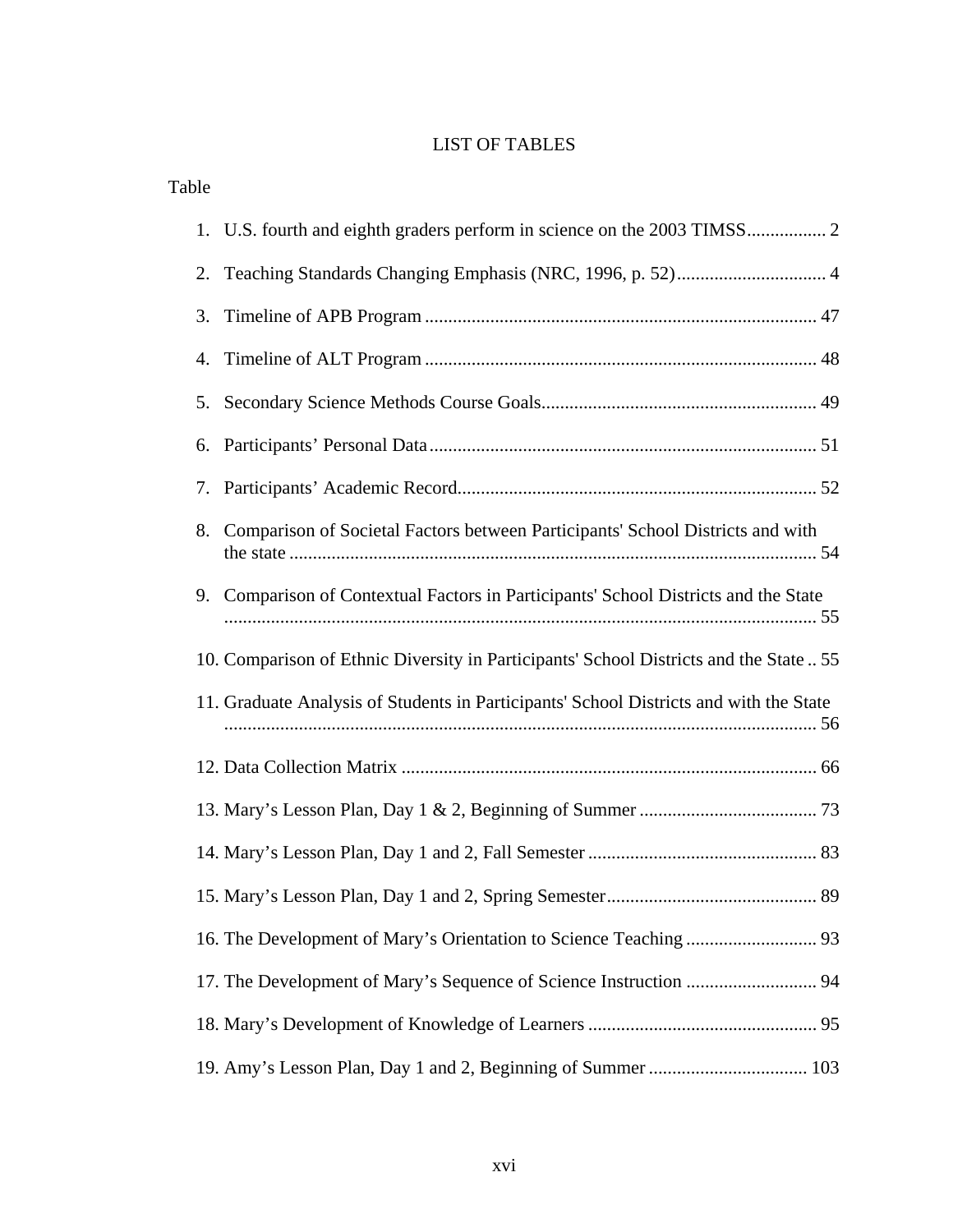# LIST OF TABLES

Table

| 2.                                                                                     |                                                                                        |  |  |  |
|----------------------------------------------------------------------------------------|----------------------------------------------------------------------------------------|--|--|--|
| 3.                                                                                     |                                                                                        |  |  |  |
| 4.                                                                                     |                                                                                        |  |  |  |
| 5.                                                                                     |                                                                                        |  |  |  |
| 6.                                                                                     |                                                                                        |  |  |  |
| 7.                                                                                     |                                                                                        |  |  |  |
| 8.                                                                                     | Comparison of Societal Factors between Participants' School Districts and with         |  |  |  |
| 9.                                                                                     | Comparison of Contextual Factors in Participants' School Districts and the State       |  |  |  |
| 10. Comparison of Ethnic Diversity in Participants' School Districts and the State  55 |                                                                                        |  |  |  |
|                                                                                        | 11. Graduate Analysis of Students in Participants' School Districts and with the State |  |  |  |
|                                                                                        |                                                                                        |  |  |  |
|                                                                                        |                                                                                        |  |  |  |
|                                                                                        |                                                                                        |  |  |  |
|                                                                                        |                                                                                        |  |  |  |
|                                                                                        |                                                                                        |  |  |  |
|                                                                                        | 17. The Development of Mary's Sequence of Science Instruction  94                      |  |  |  |
|                                                                                        |                                                                                        |  |  |  |
|                                                                                        |                                                                                        |  |  |  |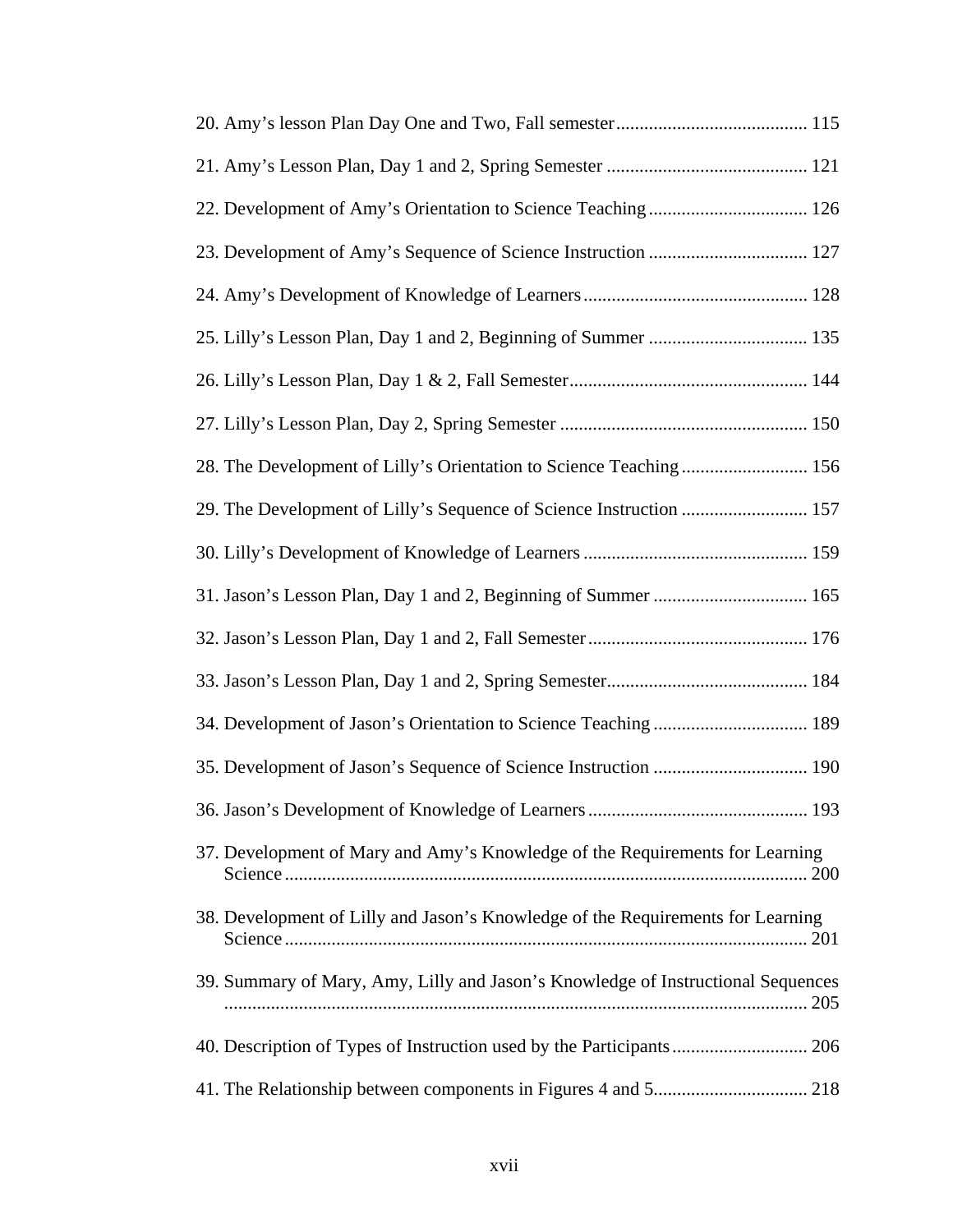| 22. Development of Amy's Orientation to Science Teaching  126                    |
|----------------------------------------------------------------------------------|
|                                                                                  |
|                                                                                  |
|                                                                                  |
|                                                                                  |
|                                                                                  |
| 28. The Development of Lilly's Orientation to Science Teaching 156               |
| 29. The Development of Lilly's Sequence of Science Instruction  157              |
|                                                                                  |
|                                                                                  |
|                                                                                  |
|                                                                                  |
| 34. Development of Jason's Orientation to Science Teaching  189                  |
|                                                                                  |
|                                                                                  |
| 37. Development of Mary and Amy's Knowledge of the Requirements for Learning     |
| 38. Development of Lilly and Jason's Knowledge of the Requirements for Learning  |
| 39. Summary of Mary, Amy, Lilly and Jason's Knowledge of Instructional Sequences |
|                                                                                  |
|                                                                                  |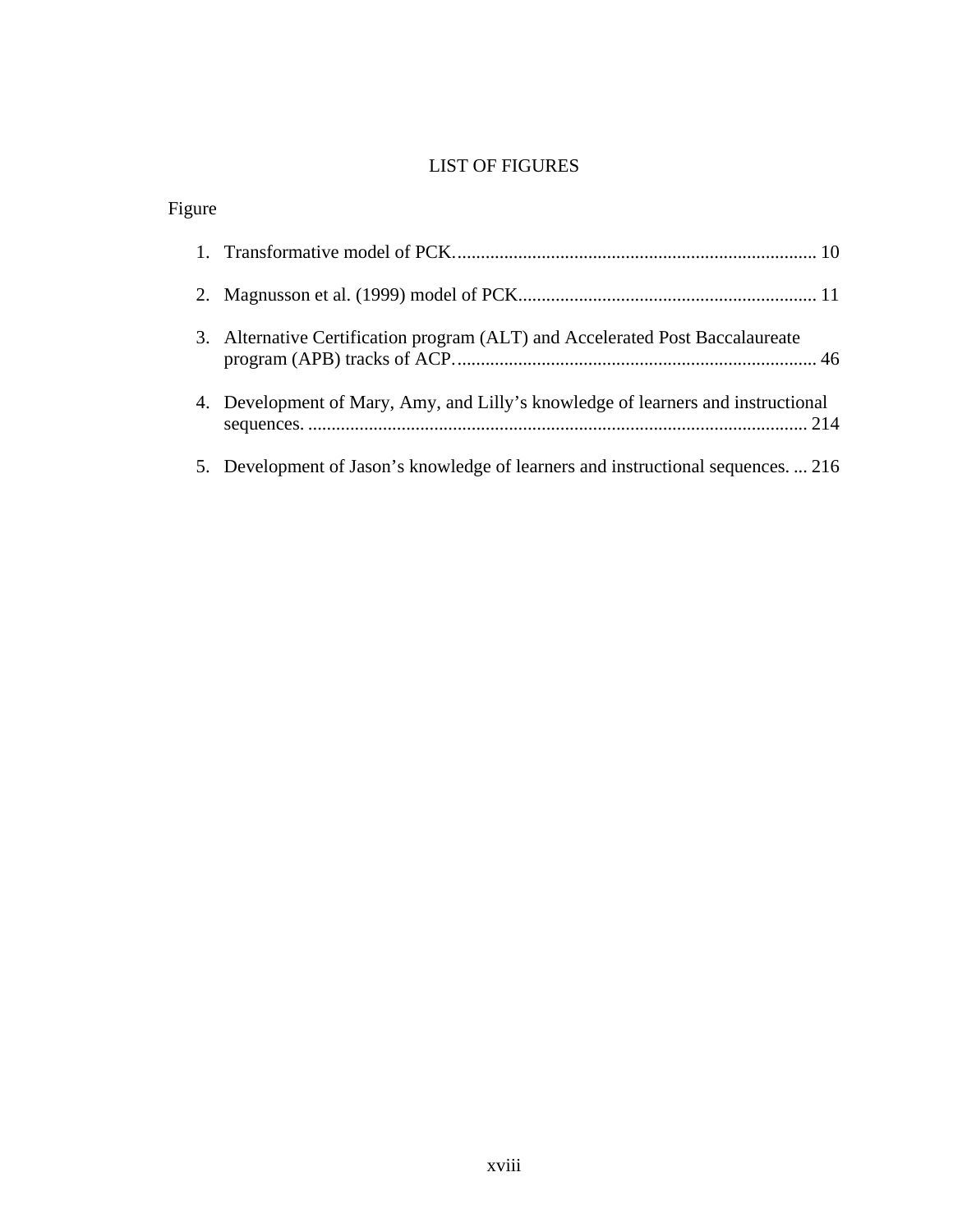# LIST OF FIGURES

| Figure |                                                                                  |
|--------|----------------------------------------------------------------------------------|
|        |                                                                                  |
|        |                                                                                  |
|        | 3. Alternative Certification program (ALT) and Accelerated Post Baccalaureate    |
|        | 4. Development of Mary, Amy, and Lilly's knowledge of learners and instructional |
|        | 5. Development of Jason's knowledge of learners and instructional sequences 216  |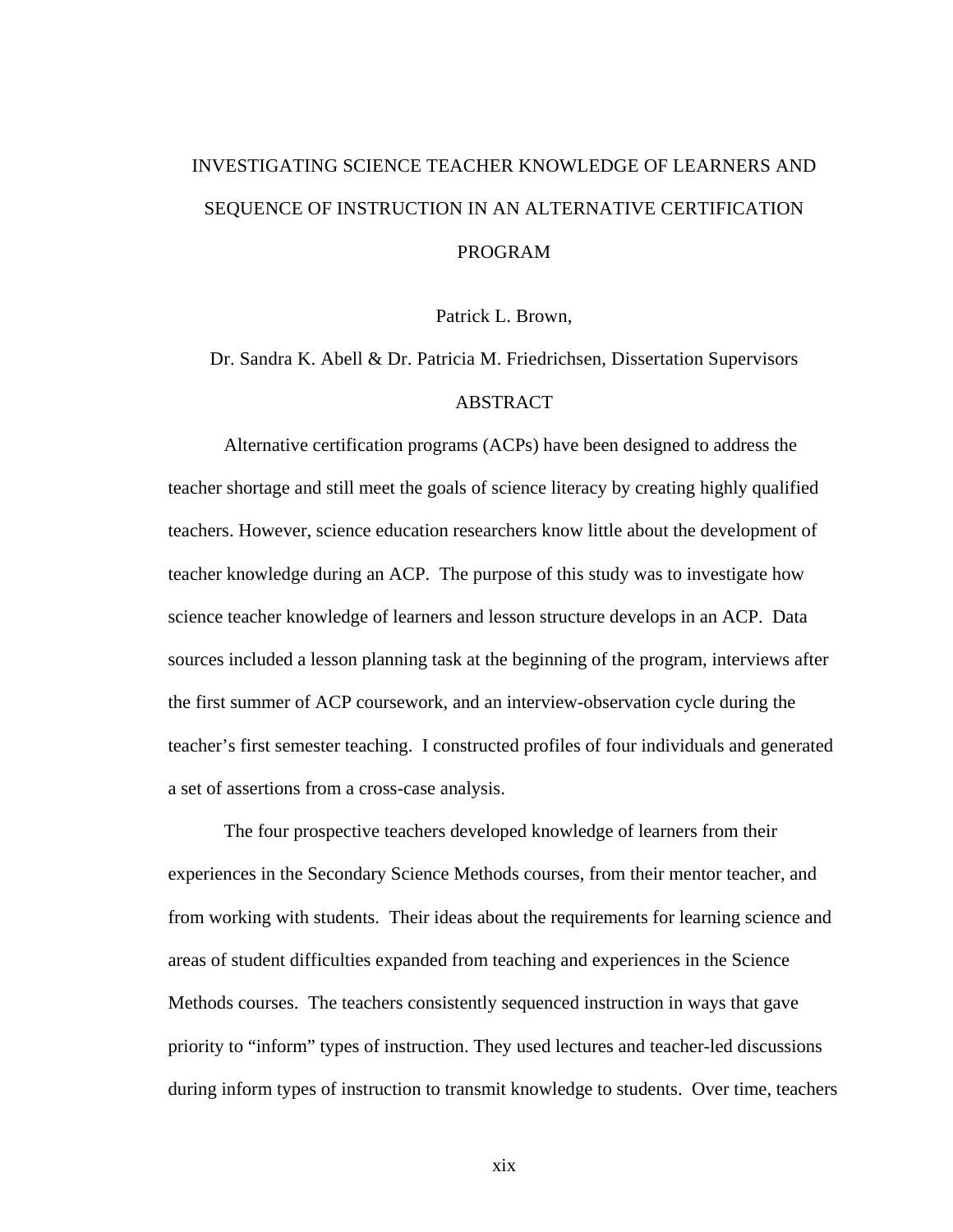# INVESTIGATING SCIENCE TEACHER KNOWLEDGE OF LEARNERS AND SEQUENCE OF INSTRUCTION IN AN ALTERNATIVE CERTIFICATION PROGRAM

Patrick L. Brown,

# Dr. Sandra K. Abell & Dr. Patricia M. Friedrichsen, Dissertation Supervisors ABSTRACT

Alternative certification programs (ACPs) have been designed to address the teacher shortage and still meet the goals of science literacy by creating highly qualified teachers. However, science education researchers know little about the development of teacher knowledge during an ACP. The purpose of this study was to investigate how science teacher knowledge of learners and lesson structure develops in an ACP. Data sources included a lesson planning task at the beginning of the program, interviews after the first summer of ACP coursework, and an interview-observation cycle during the teacher's first semester teaching. I constructed profiles of four individuals and generated a set of assertions from a cross-case analysis.

The four prospective teachers developed knowledge of learners from their experiences in the Secondary Science Methods courses, from their mentor teacher, and from working with students. Their ideas about the requirements for learning science and areas of student difficulties expanded from teaching and experiences in the Science Methods courses. The teachers consistently sequenced instruction in ways that gave priority to "inform" types of instruction. They used lectures and teacher-led discussions during inform types of instruction to transmit knowledge to students. Over time, teachers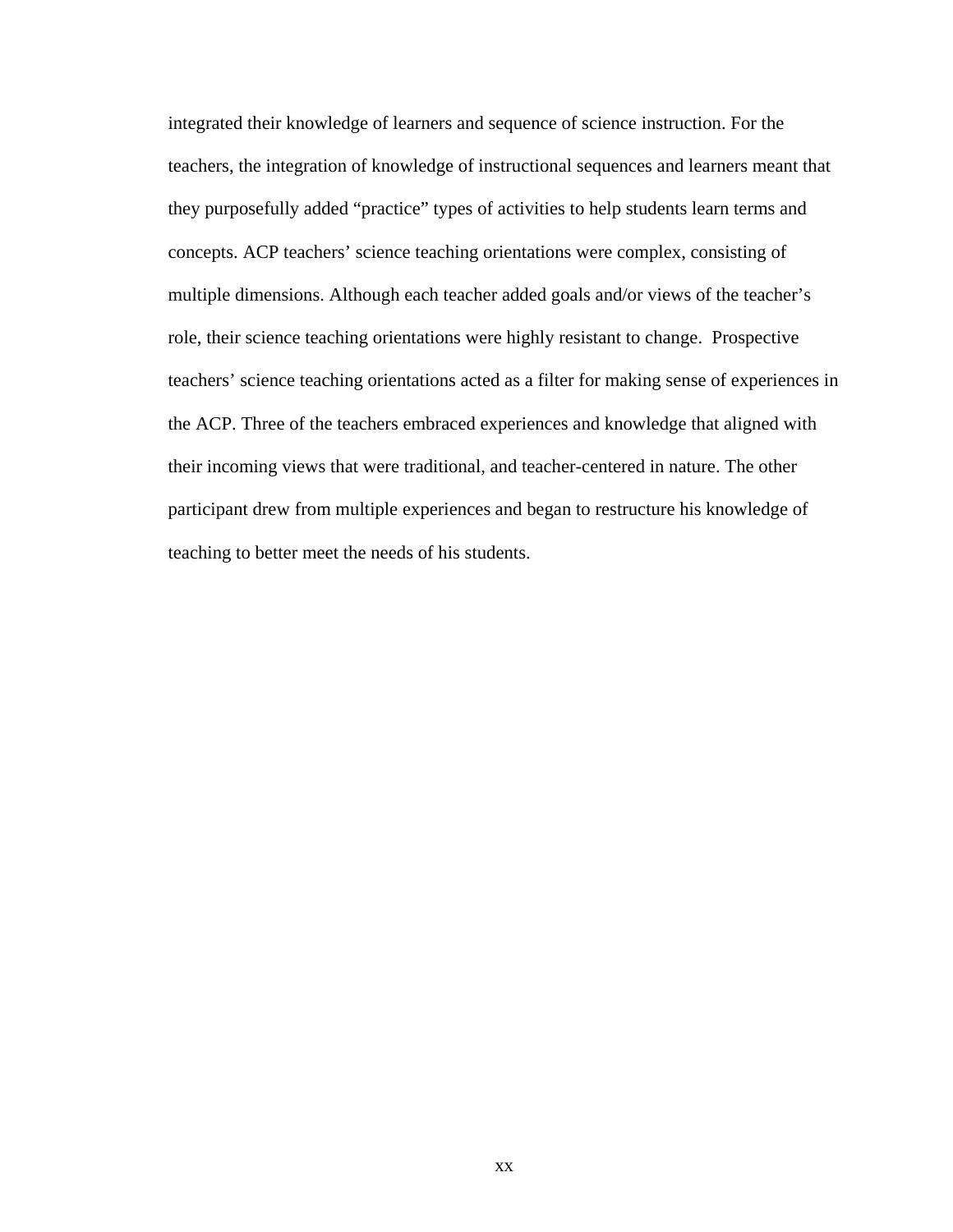integrated their knowledge of learners and sequence of science instruction. For the teachers, the integration of knowledge of instructional sequences and learners meant that they purposefully added "practice" types of activities to help students learn terms and concepts. ACP teachers' science teaching orientations were complex, consisting of multiple dimensions. Although each teacher added goals and/or views of the teacher's role, their science teaching orientations were highly resistant to change. Prospective teachers' science teaching orientations acted as a filter for making sense of experiences in the ACP. Three of the teachers embraced experiences and knowledge that aligned with their incoming views that were traditional, and teacher-centered in nature. The other participant drew from multiple experiences and began to restructure his knowledge of teaching to better meet the needs of his students.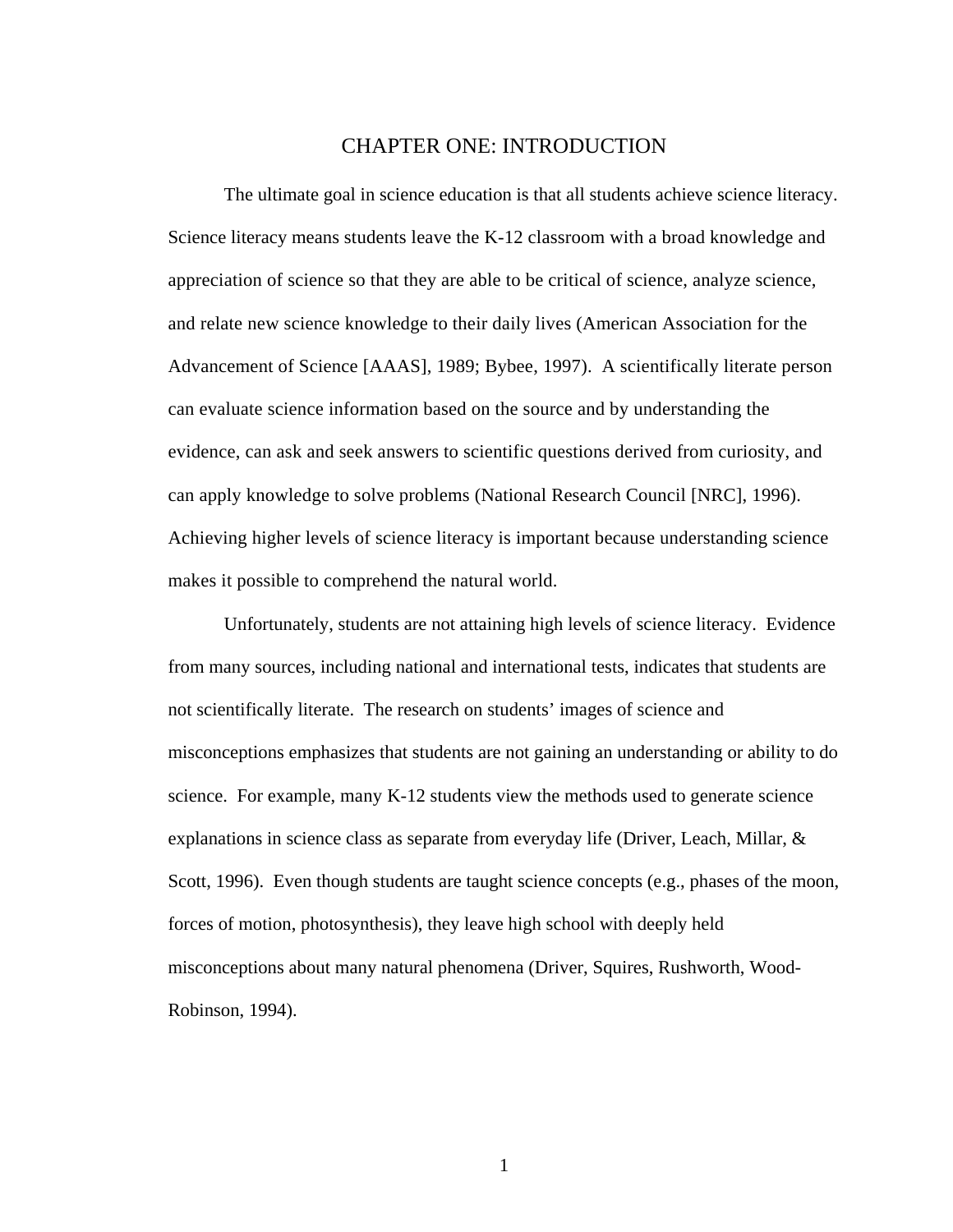## CHAPTER ONE: INTRODUCTION

The ultimate goal in science education is that all students achieve science literacy. Science literacy means students leave the K-12 classroom with a broad knowledge and appreciation of science so that they are able to be critical of science, analyze science, and relate new science knowledge to their daily lives (American Association for the Advancement of Science [AAAS], 1989; Bybee, 1997). A scientifically literate person can evaluate science information based on the source and by understanding the evidence, can ask and seek answers to scientific questions derived from curiosity, and can apply knowledge to solve problems (National Research Council [NRC], 1996). Achieving higher levels of science literacy is important because understanding science makes it possible to comprehend the natural world.

Unfortunately, students are not attaining high levels of science literacy. Evidence from many sources, including national and international tests, indicates that students are not scientifically literate. The research on students' images of science and misconceptions emphasizes that students are not gaining an understanding or ability to do science. For example, many K-12 students view the methods used to generate science explanations in science class as separate from everyday life (Driver, Leach, Millar, & Scott, 1996). Even though students are taught science concepts (e.g., phases of the moon, forces of motion, photosynthesis), they leave high school with deeply held misconceptions about many natural phenomena (Driver, Squires, Rushworth, Wood-Robinson, 1994).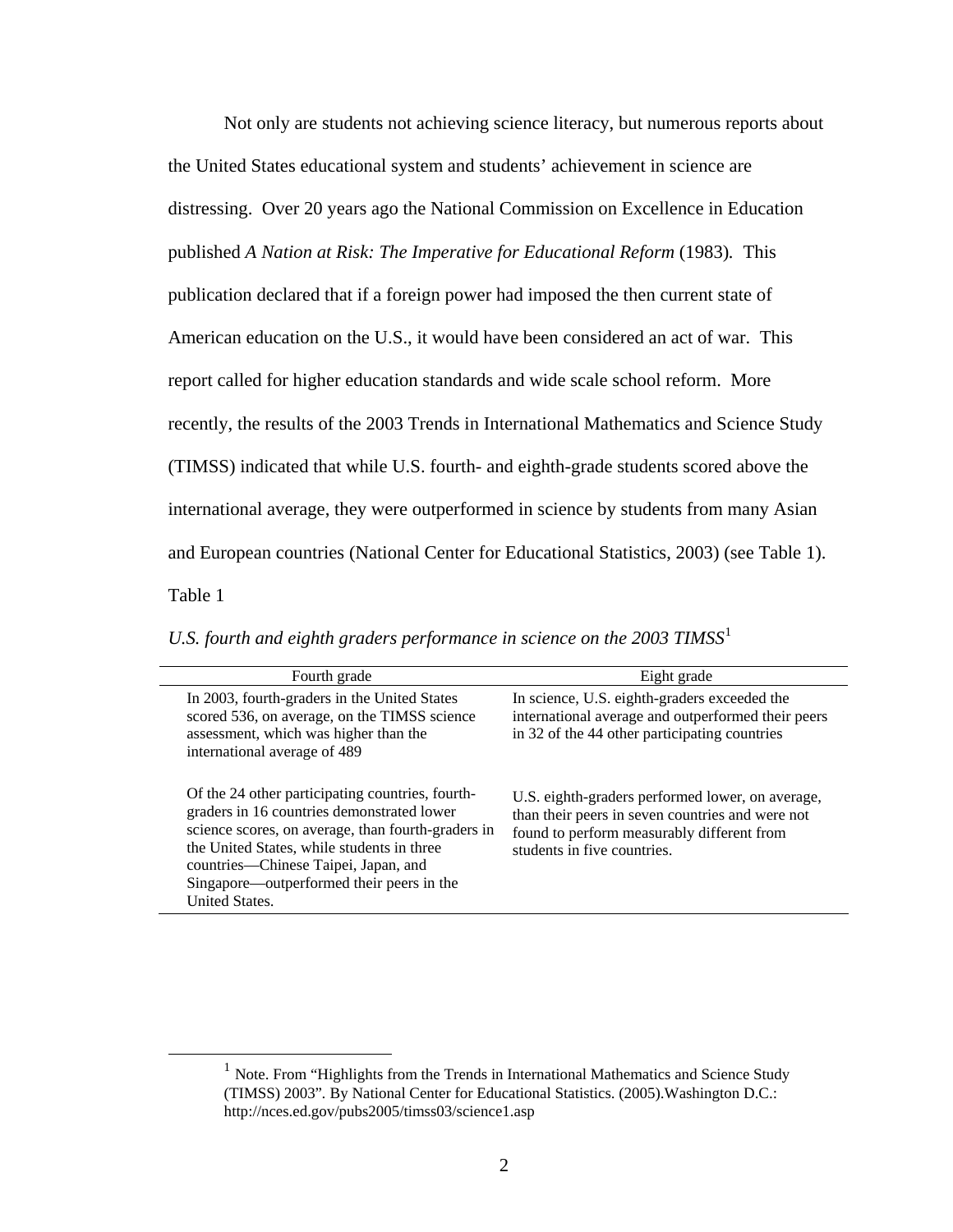Not only are students not achieving science literacy, but numerous reports about the United States educational system and students' achievement in science are distressing. Over 20 years ago the National Commission on Excellence in Education published *A Nation at Risk: The Imperative for Educational Reform* (1983)*.* This publication declared that if a foreign power had imposed the then current state of American education on the U.S., it would have been considered an act of war. This report called for higher education standards and wide scale school reform. More recently, the results of the 2003 Trends in International Mathematics and Science Study (TIMSS) indicated that while U.S. fourth- and eighth-grade students scored above the international average, they were outperformed in science by students from many Asian and European countries (National Center for Educational Statistics, 2003) (see Table 1). **Table 1 U.S.** *Fourth and eighth graders perform in science on the 2003 TIMSS* $\alpha$ 

*U.S. fourth and eighth graders performance in science on the 2003 TIMSS*[1](#page-23-0)

| Fourth grade                                                                                                                                                                                                                                                                                                     | Eight grade                                                                                                                                                                       |
|------------------------------------------------------------------------------------------------------------------------------------------------------------------------------------------------------------------------------------------------------------------------------------------------------------------|-----------------------------------------------------------------------------------------------------------------------------------------------------------------------------------|
| In 2003, fourth-graders in the United States<br>scored 536, on average, on the TIMSS science<br>assessment, which was higher than the<br>international average of 489                                                                                                                                            | In science, U.S. eighth-graders exceeded the<br>international average and outperformed their peers<br>in 32 of the 44 other participating countries                               |
| Of the 24 other participating countries, fourth-<br>graders in 16 countries demonstrated lower<br>science scores, on average, than fourth-graders in<br>the United States, while students in three<br>countries—Chinese Taipei, Japan, and<br>Singapore—outperformed their peers in the<br><b>United States.</b> | U.S. eighth-graders performed lower, on average,<br>than their peers in seven countries and were not<br>found to perform measurably different from<br>students in five countries. |

<span id="page-23-0"></span> $1$  Note. From "Highlights from the Trends in International Mathematics and Science Study (TIMSS) 2003"*.* By National Center for Educational Statistics. (2005).Washington D.C.: http://nces.ed.gov/pubs2005/timss03/science1.asp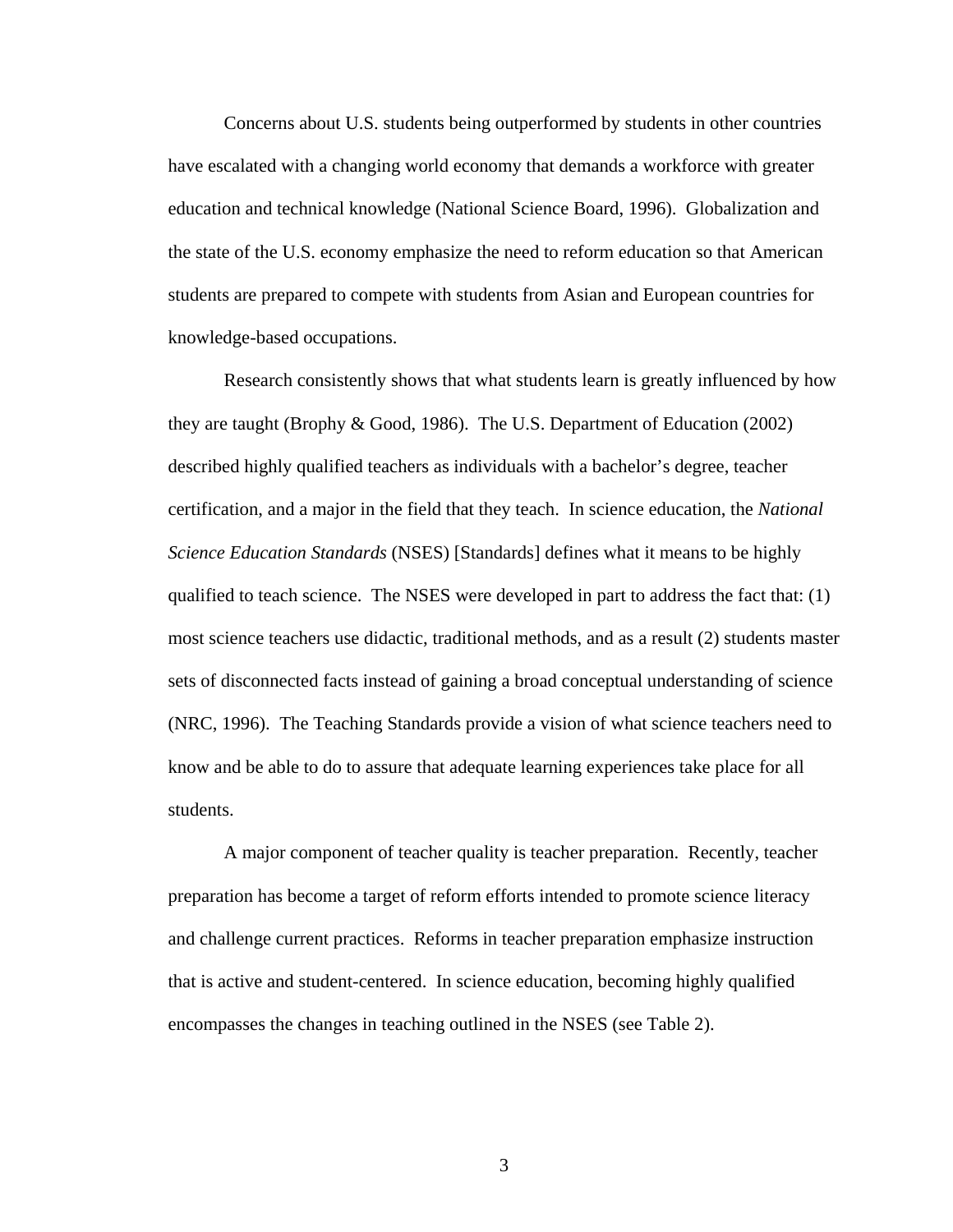Concerns about U.S. students being outperformed by students in other countries have escalated with a changing world economy that demands a workforce with greater education and technical knowledge (National Science Board, 1996). Globalization and the state of the U.S. economy emphasize the need to reform education so that American students are prepared to compete with students from Asian and European countries for knowledge-based occupations.

Research consistently shows that what students learn is greatly influenced by how they are taught (Brophy & Good, 1986). The U.S. Department of Education (2002) described highly qualified teachers as individuals with a bachelor's degree, teacher certification, and a major in the field that they teach. In science education, the *National Science Education Standards* (NSES) [Standards] defines what it means to be highly qualified to teach science. The NSES were developed in part to address the fact that: (1) most science teachers use didactic, traditional methods, and as a result (2) students master sets of disconnected facts instead of gaining a broad conceptual understanding of science (NRC, 1996). The Teaching Standards provide a vision of what science teachers need to know and be able to do to assure that adequate learning experiences take place for all students.

A major component of teacher quality is teacher preparation. Recently, teacher preparation has become a target of reform efforts intended to promote science literacy and challenge current practices. Reforms in teacher preparation emphasize instruction that is active and student-centered. In science education, becoming highly qualified encompasses the changes in teaching outlined in the NSES (see Table 2).

3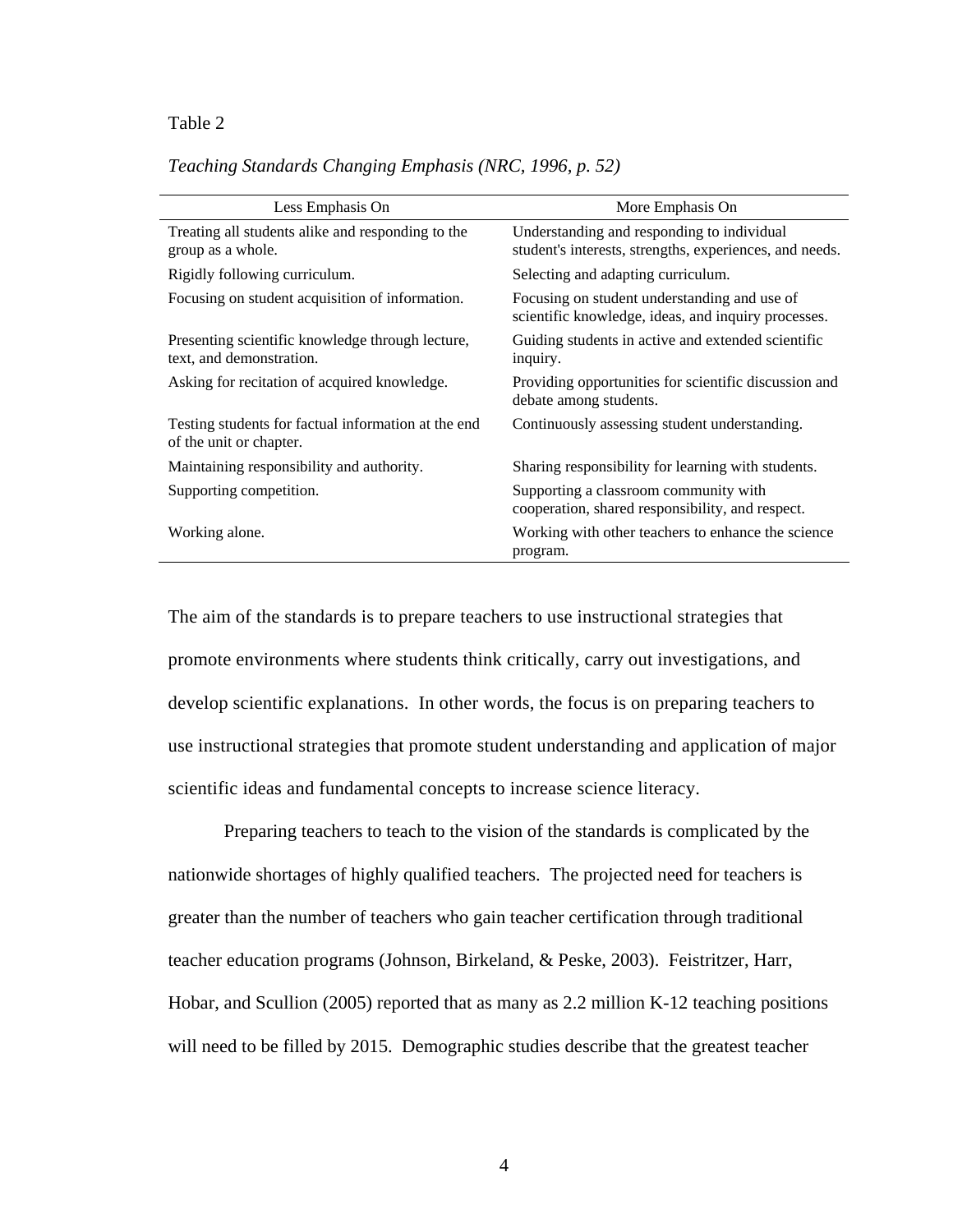#### **Table 2 Teaching Standards Changing Emphasis (NRC, 1996, p. 52)**

| Less Emphasis On                                                               | More Emphasis On                                                                                      |
|--------------------------------------------------------------------------------|-------------------------------------------------------------------------------------------------------|
| Treating all students alike and responding to the<br>group as a whole.         | Understanding and responding to individual<br>student's interests, strengths, experiences, and needs. |
| Rigidly following curriculum.                                                  | Selecting and adapting curriculum.                                                                    |
| Focusing on student acquisition of information.                                | Focusing on student understanding and use of<br>scientific knowledge, ideas, and inquiry processes.   |
| Presenting scientific knowledge through lecture,<br>text, and demonstration.   | Guiding students in active and extended scientific<br>inquiry.                                        |
| Asking for recitation of acquired knowledge.                                   | Providing opportunities for scientific discussion and<br>debate among students.                       |
| Testing students for factual information at the end<br>of the unit or chapter. | Continuously assessing student understanding.                                                         |
| Maintaining responsibility and authority.                                      | Sharing responsibility for learning with students.                                                    |
| Supporting competition.                                                        | Supporting a classroom community with<br>cooperation, shared responsibility, and respect.             |
| Working alone.                                                                 | Working with other teachers to enhance the science<br>program.                                        |

## *Teaching Standards Changing Emphasis (NRC, 1996, p. 52)*

The aim of the standards is to prepare teachers to use instructional strategies that promote environments where students think critically, carry out investigations, and develop scientific explanations. In other words, the focus is on preparing teachers to use instructional strategies that promote student understanding and application of major scientific ideas and fundamental concepts to increase science literacy.

Preparing teachers to teach to the vision of the standards is complicated by the nationwide shortages of highly qualified teachers. The projected need for teachers is greater than the number of teachers who gain teacher certification through traditional teacher education programs (Johnson, Birkeland, & Peske, 2003). Feistritzer, Harr, Hobar, and Scullion (2005) reported that as many as 2.2 million K-12 teaching positions will need to be filled by 2015. Demographic studies describe that the greatest teacher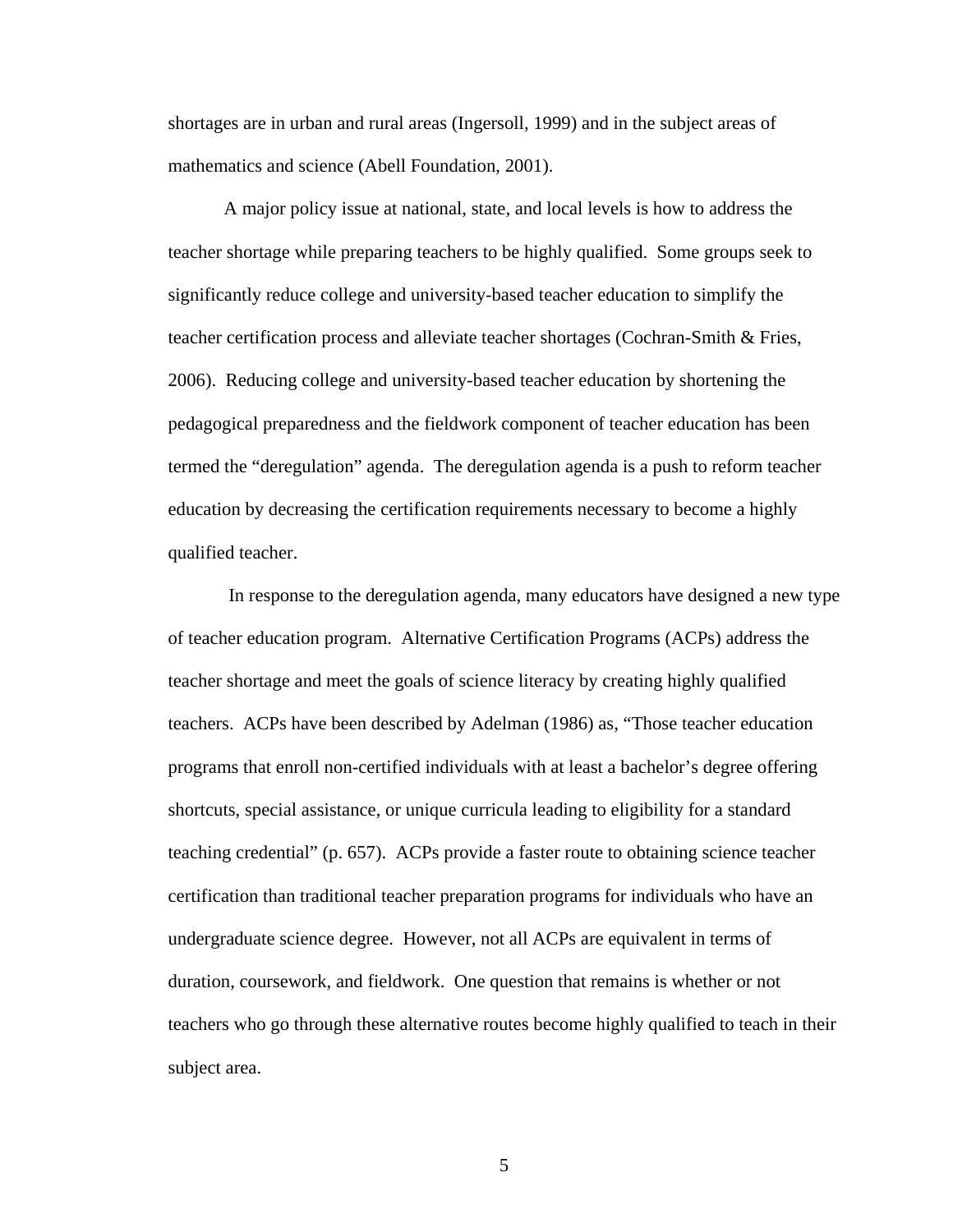shortages are in urban and rural areas (Ingersoll, 1999) and in the subject areas of mathematics and science (Abell Foundation, 2001).

A major policy issue at national, state, and local levels is how to address the teacher shortage while preparing teachers to be highly qualified. Some groups seek to significantly reduce college and university-based teacher education to simplify the teacher certification process and alleviate teacher shortages (Cochran-Smith & Fries, 2006). Reducing college and university-based teacher education by shortening the pedagogical preparedness and the fieldwork component of teacher education has been termed the "deregulation" agenda. The deregulation agenda is a push to reform teacher education by decreasing the certification requirements necessary to become a highly qualified teacher.

 In response to the deregulation agenda, many educators have designed a new type of teacher education program. Alternative Certification Programs (ACPs) address the teacher shortage and meet the goals of science literacy by creating highly qualified teachers. ACPs have been described by Adelman (1986) as, "Those teacher education programs that enroll non-certified individuals with at least a bachelor's degree offering shortcuts, special assistance, or unique curricula leading to eligibility for a standard teaching credential" (p. 657). ACPs provide a faster route to obtaining science teacher certification than traditional teacher preparation programs for individuals who have an undergraduate science degree. However, not all ACPs are equivalent in terms of duration, coursework, and fieldwork. One question that remains is whether or not teachers who go through these alternative routes become highly qualified to teach in their subject area.

5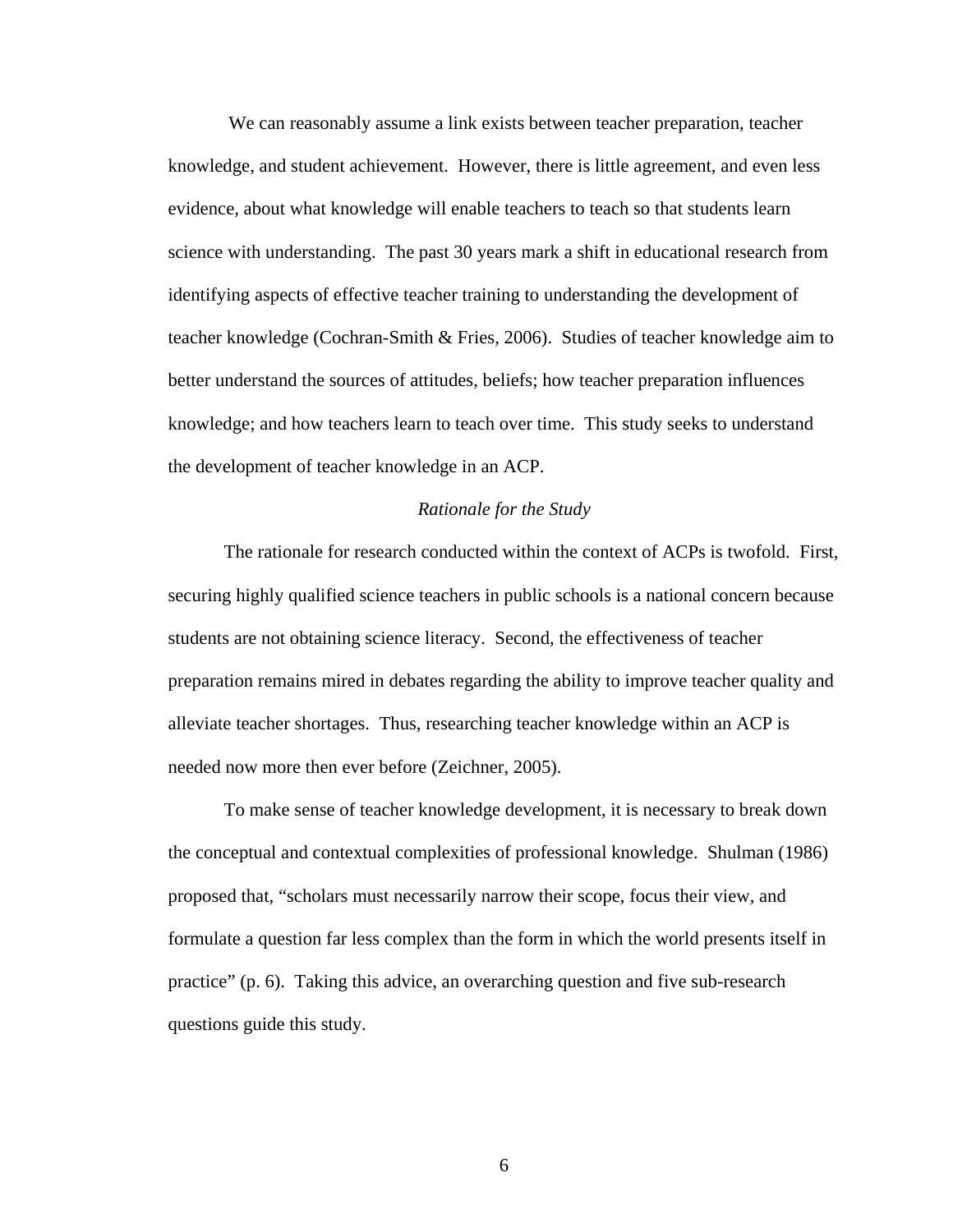We can reasonably assume a link exists between teacher preparation, teacher knowledge, and student achievement. However, there is little agreement, and even less evidence, about what knowledge will enable teachers to teach so that students learn science with understanding. The past 30 years mark a shift in educational research from identifying aspects of effective teacher training to understanding the development of teacher knowledge (Cochran-Smith & Fries, 2006). Studies of teacher knowledge aim to better understand the sources of attitudes, beliefs; how teacher preparation influences knowledge; and how teachers learn to teach over time. This study seeks to understand the development of teacher knowledge in an ACP.

#### *Rationale for the Study*

The rationale for research conducted within the context of ACPs is twofold. First, securing highly qualified science teachers in public schools is a national concern because students are not obtaining science literacy. Second, the effectiveness of teacher preparation remains mired in debates regarding the ability to improve teacher quality and alleviate teacher shortages. Thus, researching teacher knowledge within an ACP is needed now more then ever before (Zeichner, 2005).

To make sense of teacher knowledge development, it is necessary to break down the conceptual and contextual complexities of professional knowledge. Shulman (1986) proposed that, "scholars must necessarily narrow their scope, focus their view, and formulate a question far less complex than the form in which the world presents itself in practice" (p. 6). Taking this advice, an overarching question and five sub-research questions guide this study.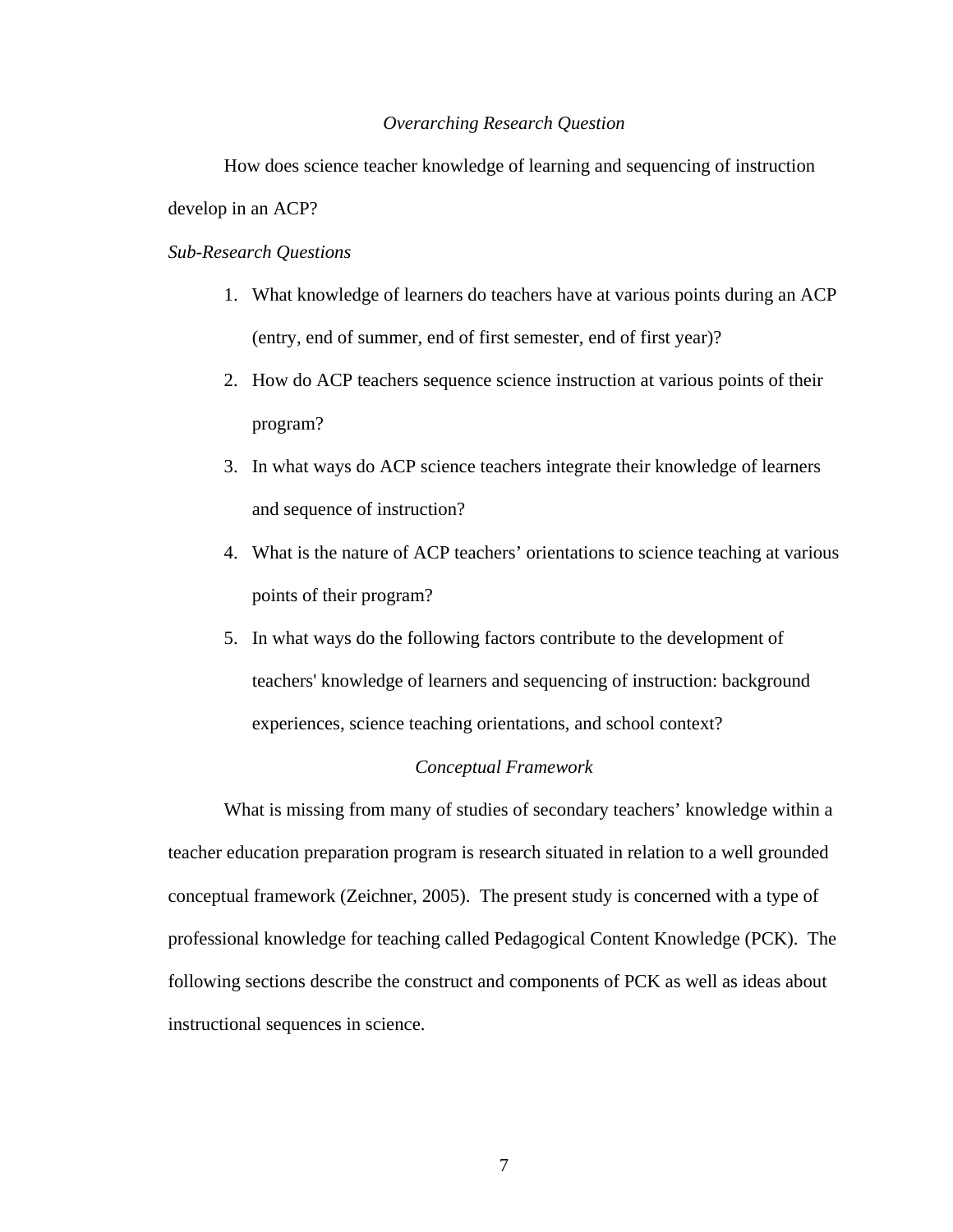#### *Overarching Research Question*

How does science teacher knowledge of learning and sequencing of instruction develop in an ACP?

### *Sub-Research Questions*

- 1. What knowledge of learners do teachers have at various points during an ACP (entry, end of summer, end of first semester, end of first year)?
- 2. How do ACP teachers sequence science instruction at various points of their program?
- 3. In what ways do ACP science teachers integrate their knowledge of learners and sequence of instruction?
- 4. What is the nature of ACP teachers' orientations to science teaching at various points of their program?
- 5. In what ways do the following factors contribute to the development of teachers' knowledge of learners and sequencing of instruction: background experiences, science teaching orientations, and school context?

#### *Conceptual Framework*

What is missing from many of studies of secondary teachers' knowledge within a teacher education preparation program is research situated in relation to a well grounded conceptual framework (Zeichner, 2005). The present study is concerned with a type of professional knowledge for teaching called Pedagogical Content Knowledge (PCK). The following sections describe the construct and components of PCK as well as ideas about instructional sequences in science.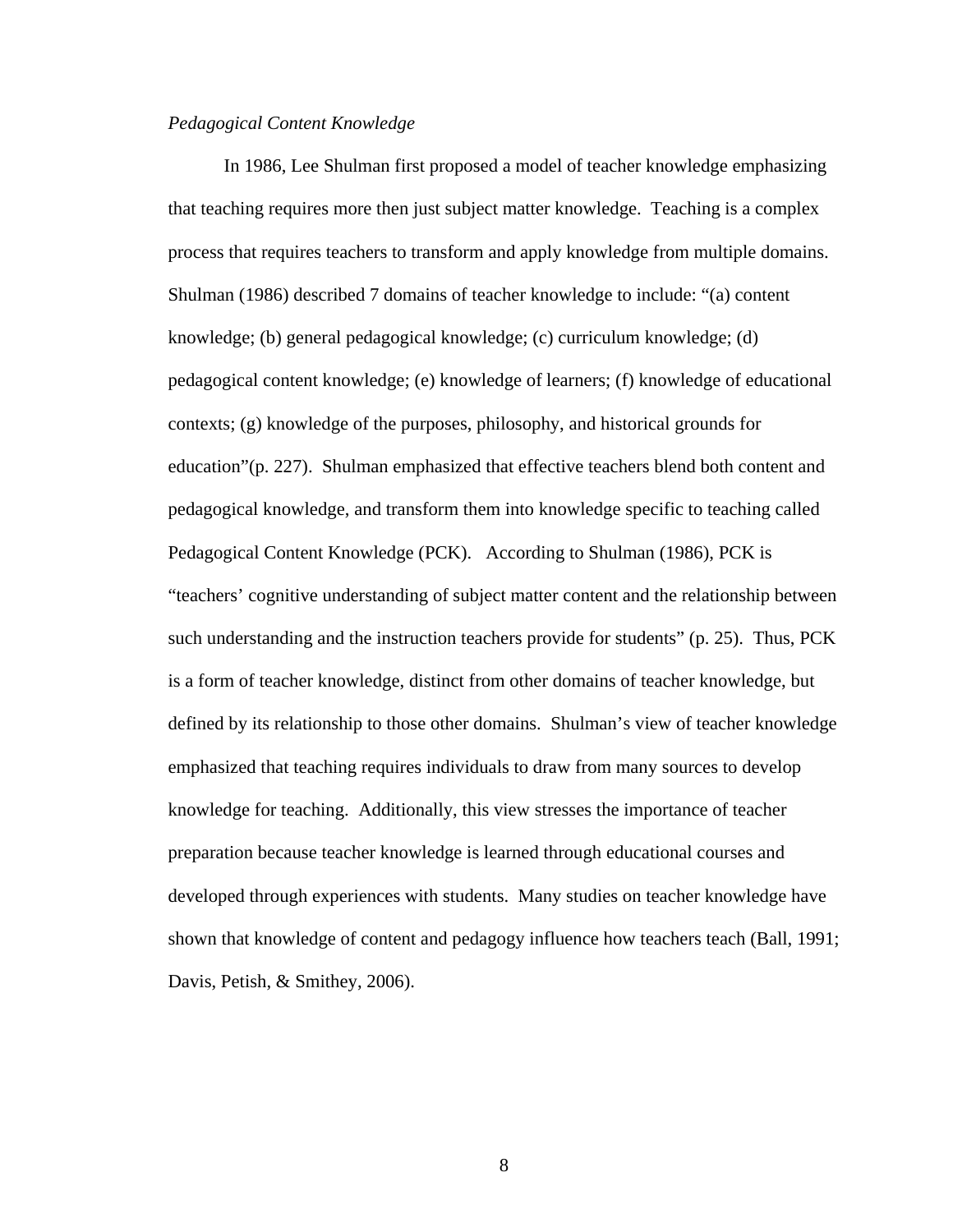### *Pedagogical Content Knowledge*

In 1986, Lee Shulman first proposed a model of teacher knowledge emphasizing that teaching requires more then just subject matter knowledge. Teaching is a complex process that requires teachers to transform and apply knowledge from multiple domains. Shulman (1986) described 7 domains of teacher knowledge to include: "(a) content knowledge; (b) general pedagogical knowledge; (c) curriculum knowledge; (d) pedagogical content knowledge; (e) knowledge of learners; (f) knowledge of educational contexts; (g) knowledge of the purposes, philosophy, and historical grounds for education"(p. 227). Shulman emphasized that effective teachers blend both content and pedagogical knowledge, and transform them into knowledge specific to teaching called Pedagogical Content Knowledge (PCK). According to Shulman (1986), PCK is "teachers' cognitive understanding of subject matter content and the relationship between such understanding and the instruction teachers provide for students" (p. 25). Thus, PCK is a form of teacher knowledge, distinct from other domains of teacher knowledge, but defined by its relationship to those other domains. Shulman's view of teacher knowledge emphasized that teaching requires individuals to draw from many sources to develop knowledge for teaching. Additionally, this view stresses the importance of teacher preparation because teacher knowledge is learned through educational courses and developed through experiences with students. Many studies on teacher knowledge have shown that knowledge of content and pedagogy influence how teachers teach (Ball, 1991; Davis, Petish, & Smithey, 2006).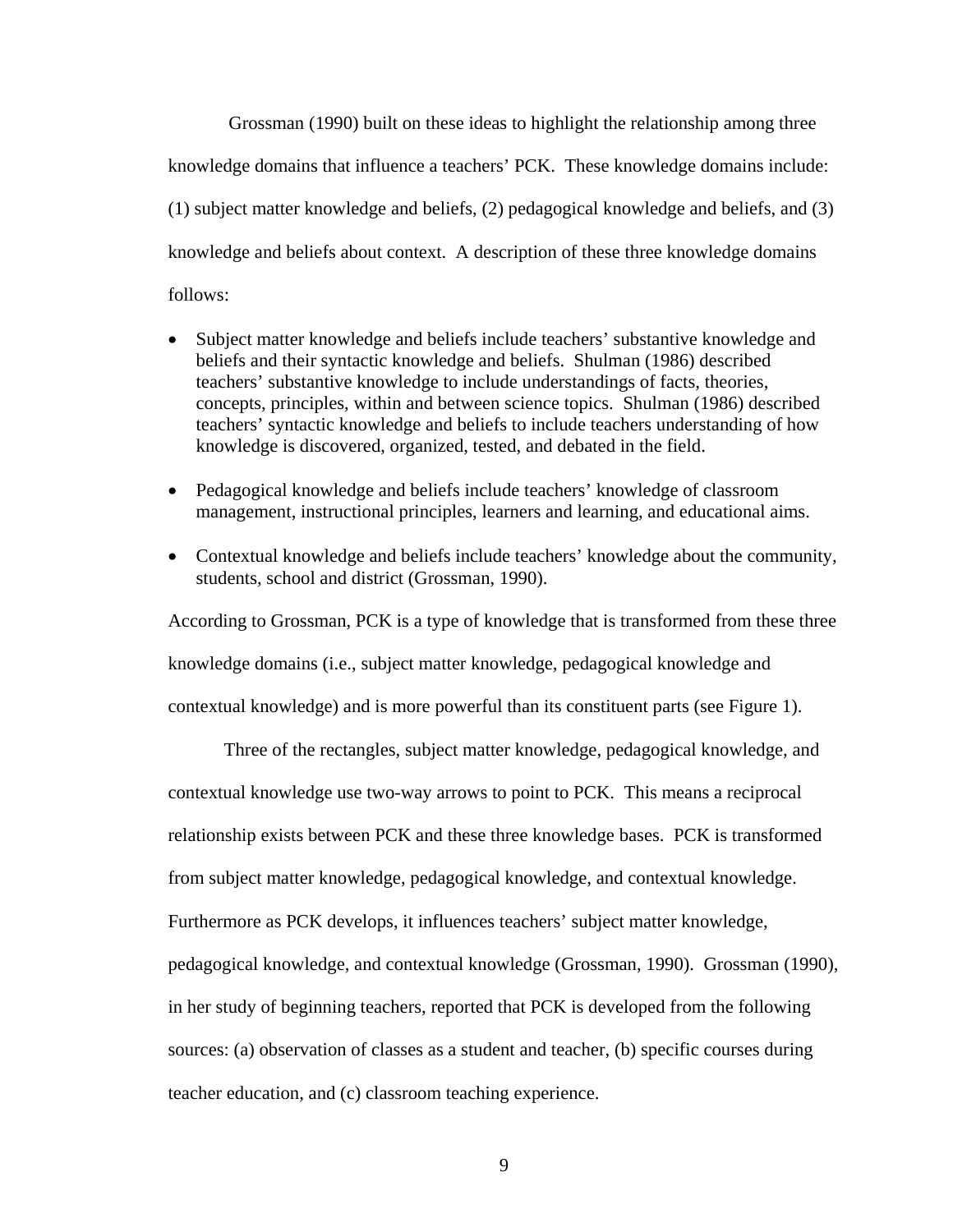Grossman (1990) built on these ideas to highlight the relationship among three knowledge domains that influence a teachers' PCK. These knowledge domains include: (1) subject matter knowledge and beliefs, (2) pedagogical knowledge and beliefs, and (3) knowledge and beliefs about context. A description of these three knowledge domains follows:

- Subject matter knowledge and beliefs include teachers' substantive knowledge and beliefs and their syntactic knowledge and beliefs. Shulman (1986) described teachers' substantive knowledge to include understandings of facts, theories, concepts, principles, within and between science topics. Shulman (1986) described teachers' syntactic knowledge and beliefs to include teachers understanding of how knowledge is discovered, organized, tested, and debated in the field.
- Pedagogical knowledge and beliefs include teachers' knowledge of classroom management, instructional principles, learners and learning, and educational aims.
- Contextual knowledge and beliefs include teachers' knowledge about the community, students, school and district (Grossman, 1990).

According to Grossman, PCK is a type of knowledge that is transformed from these three knowledge domains (i.e., subject matter knowledge, pedagogical knowledge and contextual knowledge) and is more powerful than its constituent parts (see Figure 1).

Three of the rectangles, subject matter knowledge, pedagogical knowledge, and contextual knowledge use two-way arrows to point to PCK. This means a reciprocal relationship exists between PCK and these three knowledge bases. PCK is transformed from subject matter knowledge, pedagogical knowledge, and contextual knowledge. Furthermore as PCK develops, it influences teachers' subject matter knowledge, pedagogical knowledge, and contextual knowledge (Grossman, 1990). Grossman (1990), in her study of beginning teachers, reported that PCK is developed from the following sources: (a) observation of classes as a student and teacher, (b) specific courses during teacher education, and (c) classroom teaching experience.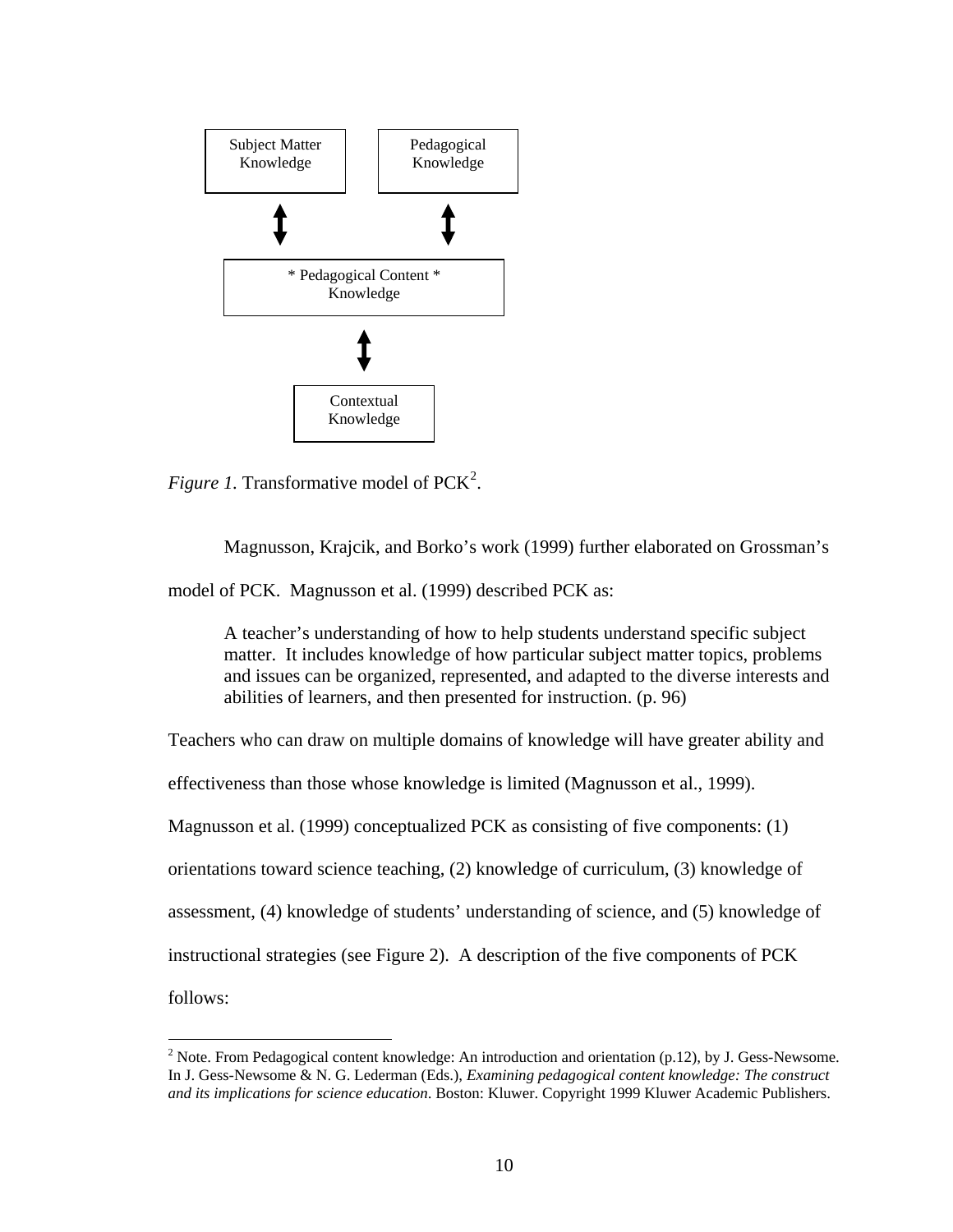<span id="page-31-0"></span>

*Figure 1*. Transformative model of PCK<sup>[2](#page-31-0)</sup>.

Magnusson, Krajcik, and Borko's work (1999) further elaborated on Grossman's

model of PCK. Magnusson et al. (1999) described PCK as:

A teacher's understanding of how to help students understand specific subject matter. It includes knowledge of how particular subject matter topics, problems and issues can be organized, represented, and adapted to the diverse interests and abilities of learners, and then presented for instruction. (p. 96)

Teachers who can draw on multiple domains of knowledge will have greater ability and

effectiveness than those whose knowledge is limited (Magnusson et al., 1999).

Magnusson et al. (1999) conceptualized PCK as consisting of five components: (1)

orientations toward science teaching, (2) knowledge of curriculum, (3) knowledge of

assessment, (4) knowledge of students' understanding of science, and (5) knowledge of

instructional strategies (see Figure 2). A description of the five components of PCK

follows:

 $\overline{a}$ 

<sup>&</sup>lt;sup>2</sup> Note. From Pedagogical content knowledge: An introduction and orientation (p.12), by J. Gess-Newsome. In J. Gess-Newsome & N. G. Lederman (Eds.), *Examining pedagogical content knowledge: The construct and its implications for science education*. Boston: Kluwer. Copyright 1999 Kluwer Academic Publishers.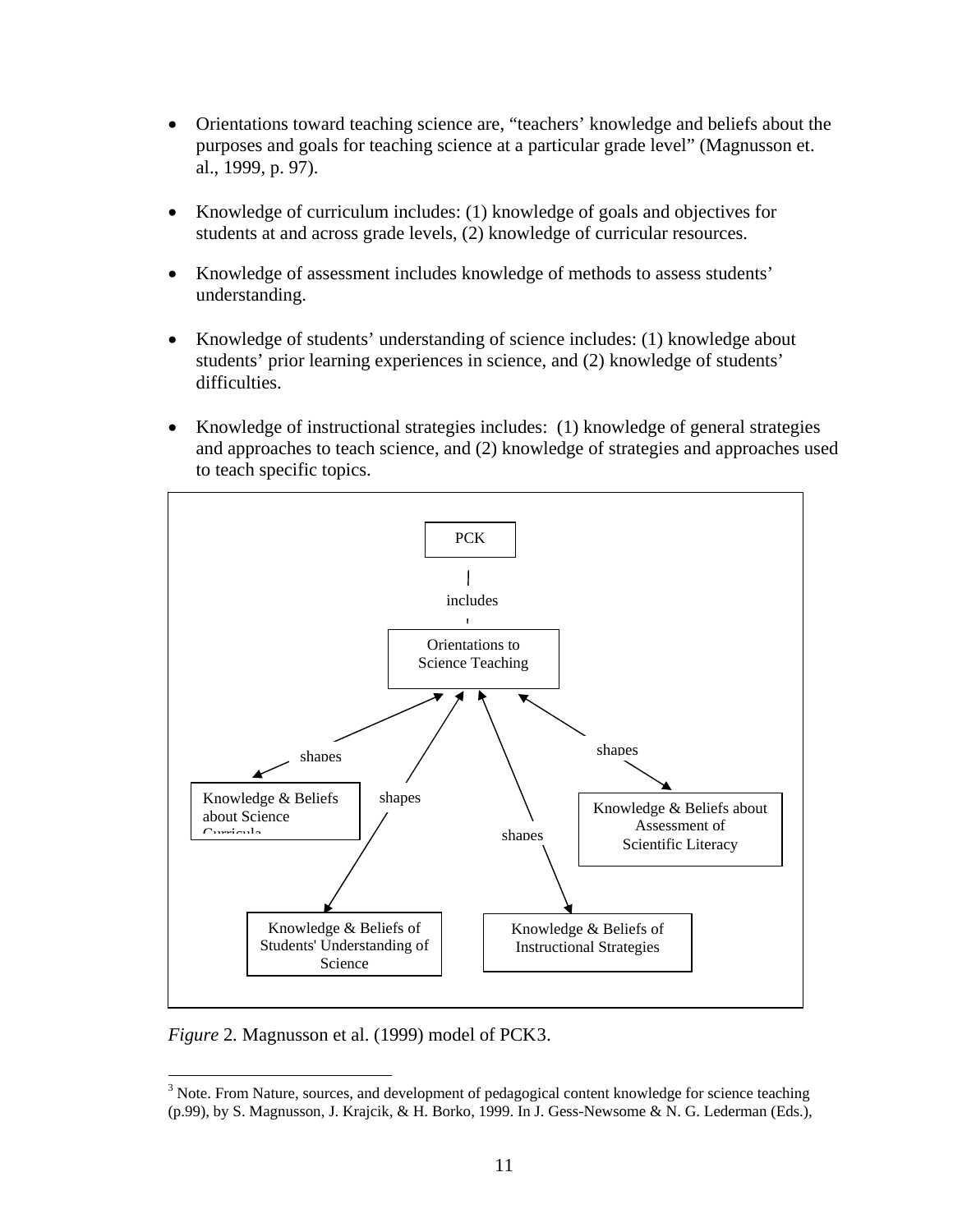- <span id="page-32-0"></span>• Orientations toward teaching science are, "teachers' knowledge and beliefs about the purposes and goals for teaching science at a particular grade level" (Magnusson et. al., 1999, p. 97).
- Knowledge of curriculum includes: (1) knowledge of goals and objectives for students at and across grade levels, (2) knowledge of curricular resources.
- Knowledge of assessment includes knowledge of methods to assess students' understanding.
- Knowledge of students' understanding of science includes: (1) knowledge about students' prior learning experiences in science, and (2) knowledge of students' difficulties.
- Knowledge of instructional strategies includes: (1) knowledge of general strategies and approaches to teach science, and (2) knowledge of strategies and approaches used to teach specific topics.



*Figure* 2*.* Magnusson et al. (1999) model of PCK[3](#page-32-0).

 $\overline{a}$ 

 $3$  Note. From Nature, sources, and development of pedagogical content knowledge for science teaching (p.99), by S. Magnusson, J. Krajcik, & H. Borko, 1999. In J. Gess-Newsome & N. G. Lederman (Eds.),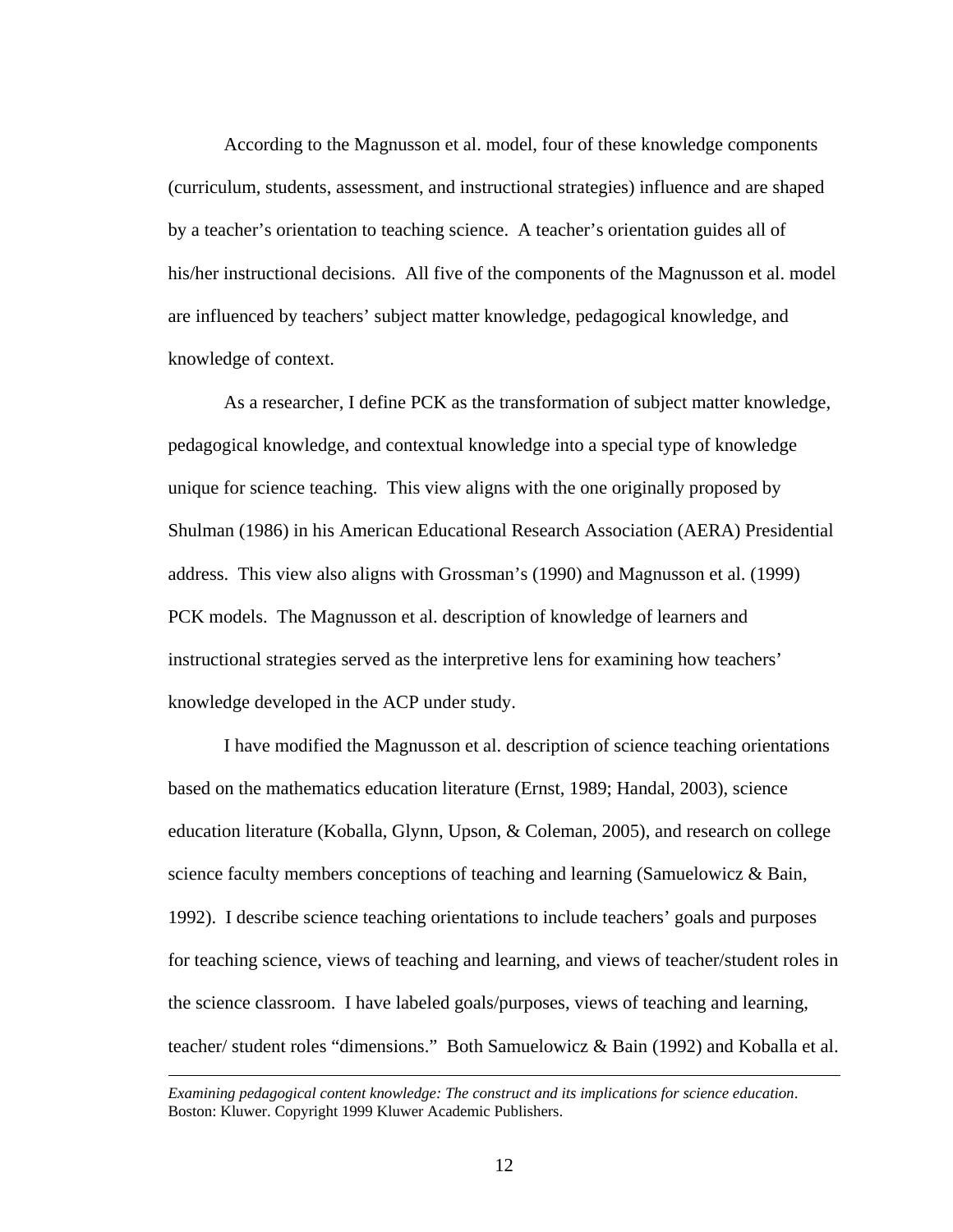According to the Magnusson et al. model, four of these knowledge components (curriculum, students, assessment, and instructional strategies) influence and are shaped by a teacher's orientation to teaching science. A teacher's orientation guides all of his/her instructional decisions. All five of the components of the Magnusson et al. model are influenced by teachers' subject matter knowledge, pedagogical knowledge, and knowledge of context.

As a researcher, I define PCK as the transformation of subject matter knowledge, pedagogical knowledge, and contextual knowledge into a special type of knowledge unique for science teaching. This view aligns with the one originally proposed by Shulman (1986) in his American Educational Research Association (AERA) Presidential address. This view also aligns with Grossman's (1990) and Magnusson et al. (1999) PCK models. The Magnusson et al. description of knowledge of learners and instructional strategies served as the interpretive lens for examining how teachers' knowledge developed in the ACP under study.

I have modified the Magnusson et al. description of science teaching orientations based on the mathematics education literature (Ernst, 1989; Handal, 2003), science education literature (Koballa, Glynn, Upson, & Coleman, 2005), and research on college science faculty members conceptions of teaching and learning (Samuelowicz & Bain, 1992). I describe science teaching orientations to include teachers' goals and purposes for teaching science, views of teaching and learning, and views of teacher/student roles in the science classroom. I have labeled goals/purposes, views of teaching and learning, teacher/ student roles "dimensions." Both Samuelowicz & Bain (1992) and Koballa et al.

*Examining pedagogical content knowledge: The construct and its implications for science education*. Boston: Kluwer. Copyright 1999 Kluwer Academic Publishers.

1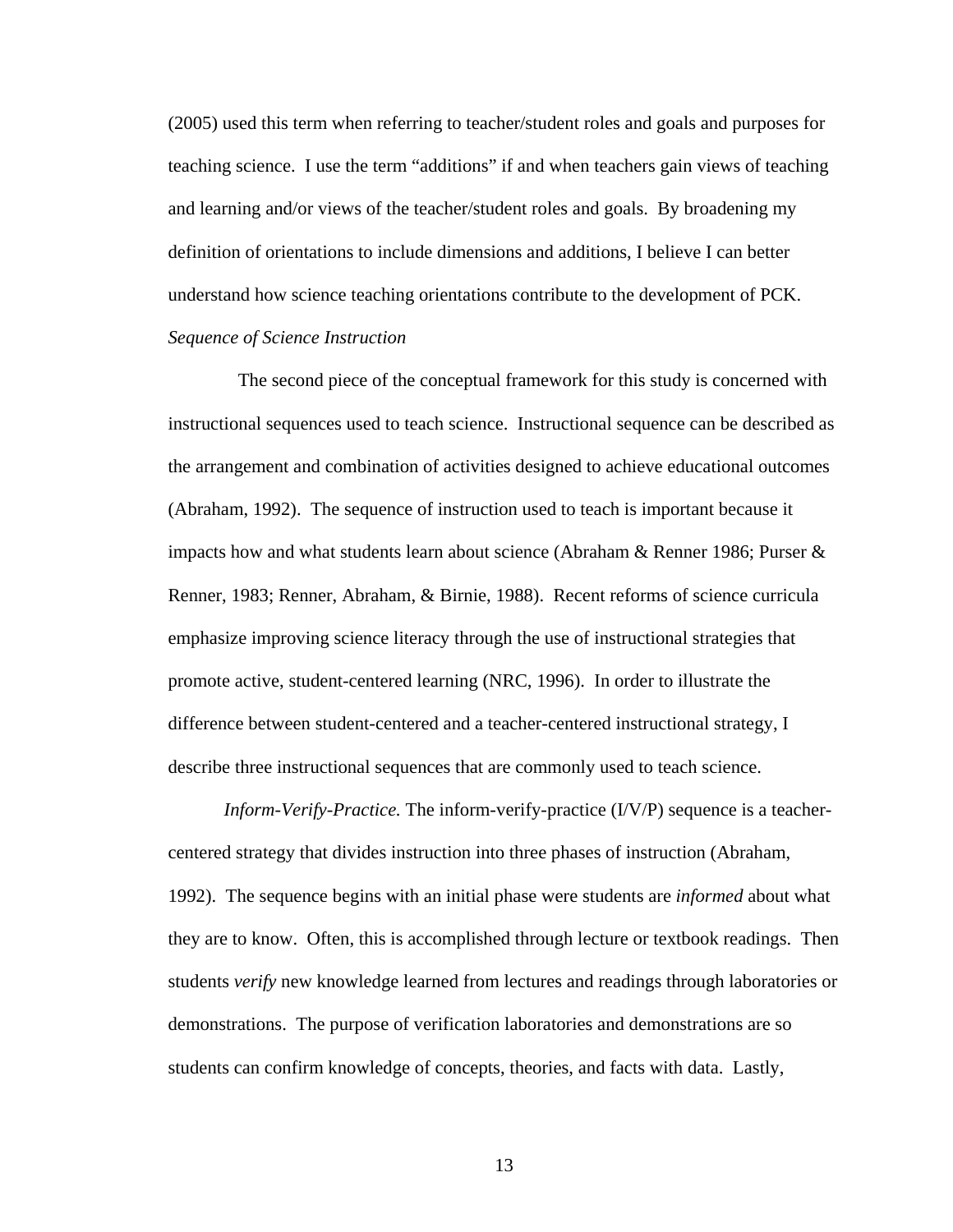(2005) used this term when referring to teacher/student roles and goals and purposes for teaching science. I use the term "additions" if and when teachers gain views of teaching and learning and/or views of the teacher/student roles and goals. By broadening my definition of orientations to include dimensions and additions, I believe I can better understand how science teaching orientations contribute to the development of PCK. *Sequence of Science Instruction* 

 The second piece of the conceptual framework for this study is concerned with instructional sequences used to teach science. Instructional sequence can be described as the arrangement and combination of activities designed to achieve educational outcomes (Abraham, 1992). The sequence of instruction used to teach is important because it impacts how and what students learn about science (Abraham & Renner 1986; Purser & Renner, 1983; Renner, Abraham, & Birnie, 1988). Recent reforms of science curricula emphasize improving science literacy through the use of instructional strategies that promote active, student-centered learning (NRC, 1996). In order to illustrate the difference between student-centered and a teacher-centered instructional strategy, I describe three instructional sequences that are commonly used to teach science.

*Inform-Verify-Practice.* The inform-verify-practice (I/V/P) sequence is a teachercentered strategy that divides instruction into three phases of instruction (Abraham, 1992). The sequence begins with an initial phase were students are *informed* about what they are to know. Often, this is accomplished through lecture or textbook readings. Then students *verify* new knowledge learned from lectures and readings through laboratories or demonstrations. The purpose of verification laboratories and demonstrations are so students can confirm knowledge of concepts, theories, and facts with data. Lastly,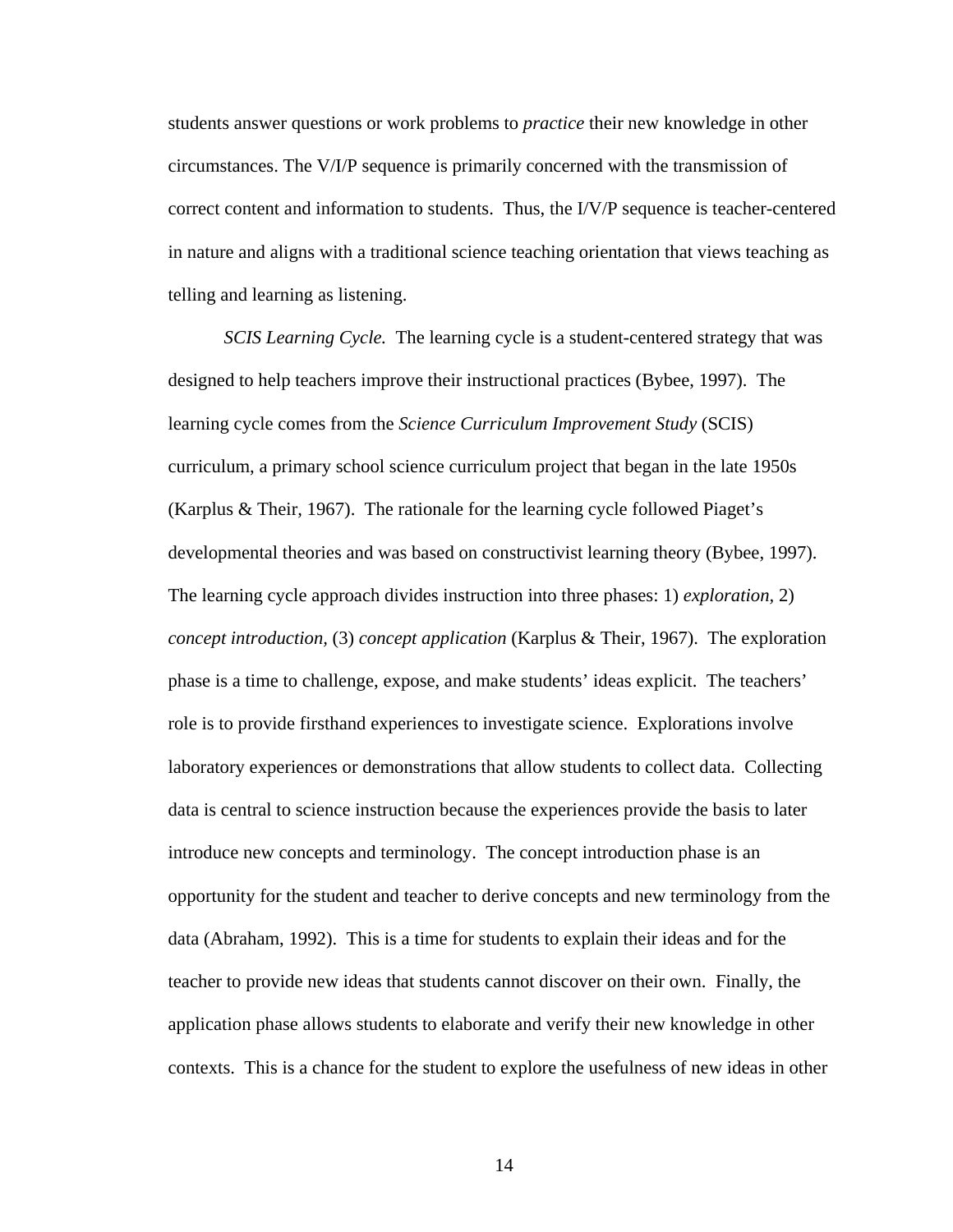students answer questions or work problems to *practice* their new knowledge in other circumstances. The V/I/P sequence is primarily concerned with the transmission of correct content and information to students. Thus, the I/V/P sequence is teacher-centered in nature and aligns with a traditional science teaching orientation that views teaching as telling and learning as listening.

*SCIS Learning Cycle.* The learning cycle is a student-centered strategy that was designed to help teachers improve their instructional practices (Bybee, 1997). The learning cycle comes from the *Science Curriculum Improvement Study* (SCIS) curriculum, a primary school science curriculum project that began in the late 1950s (Karplus & Their, 1967). The rationale for the learning cycle followed Piaget's developmental theories and was based on constructivist learning theory (Bybee, 1997). The learning cycle approach divides instruction into three phases: 1) *exploration,* 2) *concept introduction,* (3) *concept application* (Karplus & Their, 1967). The exploration phase is a time to challenge, expose, and make students' ideas explicit. The teachers' role is to provide firsthand experiences to investigate science. Explorations involve laboratory experiences or demonstrations that allow students to collect data. Collecting data is central to science instruction because the experiences provide the basis to later introduce new concepts and terminology. The concept introduction phase is an opportunity for the student and teacher to derive concepts and new terminology from the data (Abraham, 1992). This is a time for students to explain their ideas and for the teacher to provide new ideas that students cannot discover on their own. Finally, the application phase allows students to elaborate and verify their new knowledge in other contexts. This is a chance for the student to explore the usefulness of new ideas in other

14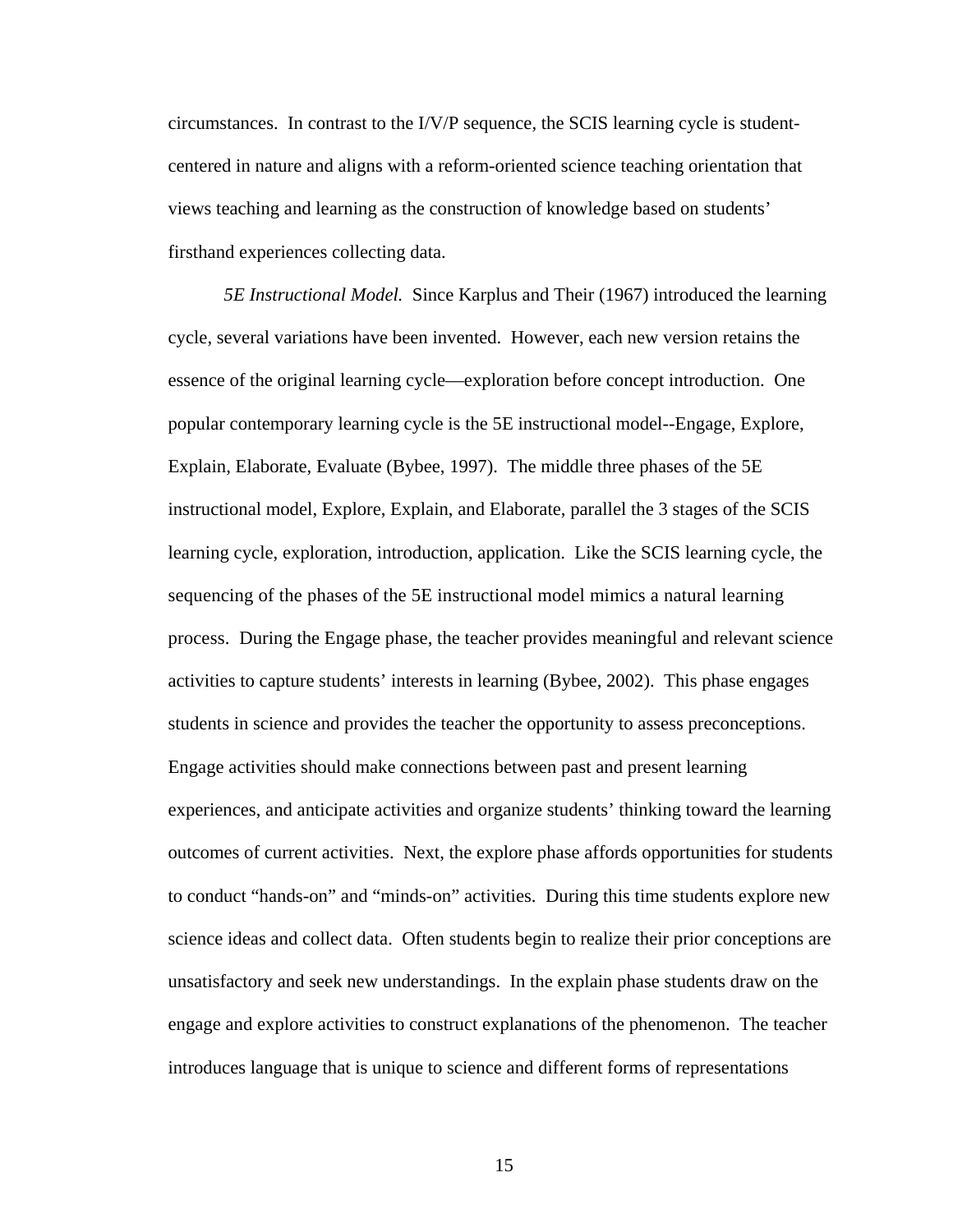circumstances. In contrast to the I/V/P sequence, the SCIS learning cycle is studentcentered in nature and aligns with a reform-oriented science teaching orientation that views teaching and learning as the construction of knowledge based on students' firsthand experiences collecting data.

*5E Instructional Model.* Since Karplus and Their (1967) introduced the learning cycle, several variations have been invented. However, each new version retains the essence of the original learning cycle—exploration before concept introduction. One popular contemporary learning cycle is the 5E instructional model--Engage, Explore, Explain, Elaborate, Evaluate (Bybee, 1997). The middle three phases of the 5E instructional model, Explore, Explain, and Elaborate, parallel the 3 stages of the SCIS learning cycle, exploration, introduction, application. Like the SCIS learning cycle, the sequencing of the phases of the 5E instructional model mimics a natural learning process. During the Engage phase, the teacher provides meaningful and relevant science activities to capture students' interests in learning (Bybee, 2002). This phase engages students in science and provides the teacher the opportunity to assess preconceptions. Engage activities should make connections between past and present learning experiences, and anticipate activities and organize students' thinking toward the learning outcomes of current activities. Next, the explore phase affords opportunities for students to conduct "hands-on" and "minds-on" activities. During this time students explore new science ideas and collect data. Often students begin to realize their prior conceptions are unsatisfactory and seek new understandings. In the explain phase students draw on the engage and explore activities to construct explanations of the phenomenon. The teacher introduces language that is unique to science and different forms of representations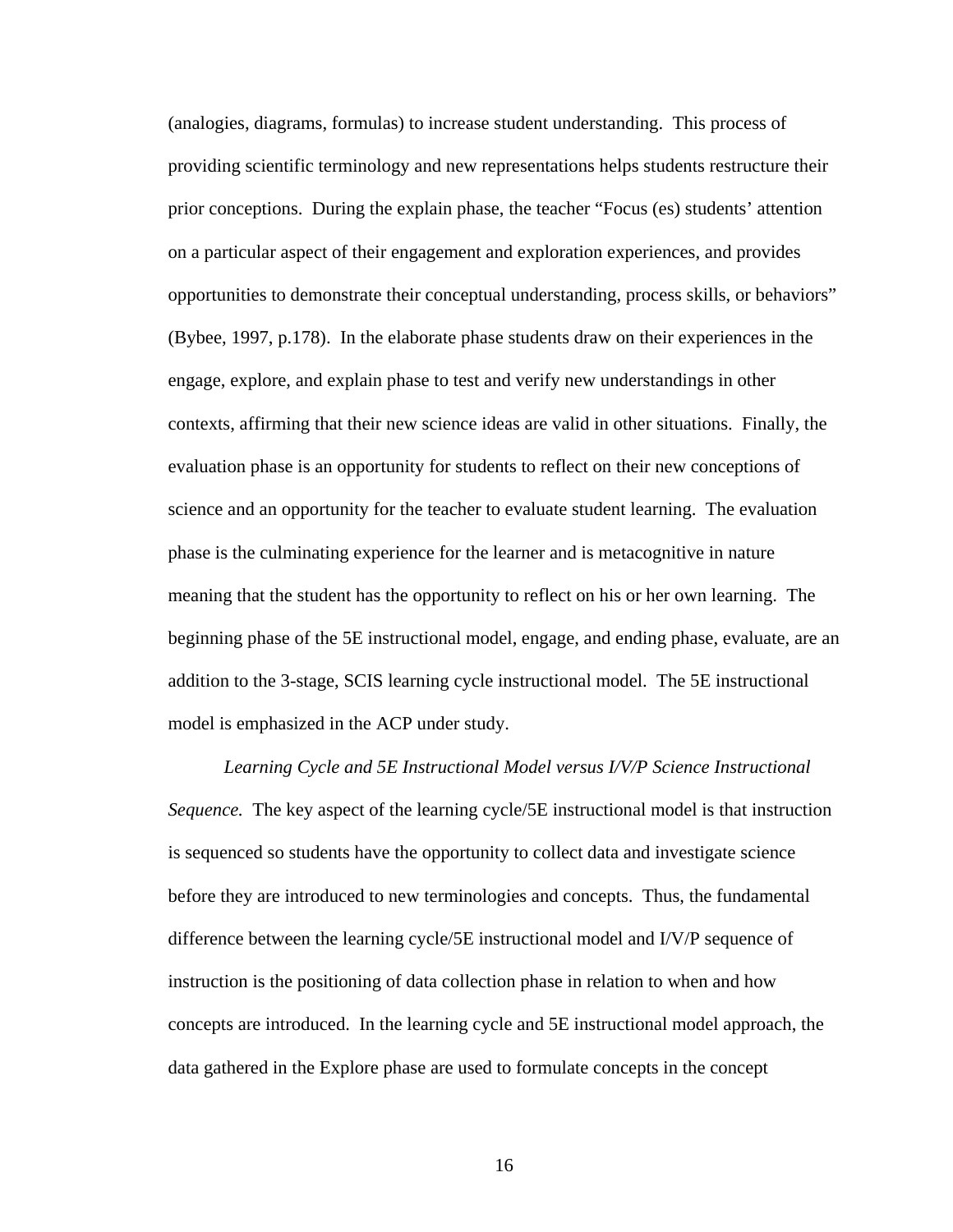(analogies, diagrams, formulas) to increase student understanding. This process of providing scientific terminology and new representations helps students restructure their prior conceptions. During the explain phase, the teacher "Focus (es) students' attention on a particular aspect of their engagement and exploration experiences, and provides opportunities to demonstrate their conceptual understanding, process skills, or behaviors" (Bybee, 1997, p.178). In the elaborate phase students draw on their experiences in the engage, explore, and explain phase to test and verify new understandings in other contexts, affirming that their new science ideas are valid in other situations. Finally, the evaluation phase is an opportunity for students to reflect on their new conceptions of science and an opportunity for the teacher to evaluate student learning. The evaluation phase is the culminating experience for the learner and is metacognitive in nature meaning that the student has the opportunity to reflect on his or her own learning. The beginning phase of the 5E instructional model, engage, and ending phase, evaluate, are an addition to the 3-stage, SCIS learning cycle instructional model. The 5E instructional model is emphasized in the ACP under study.

*Learning Cycle and 5E Instructional Model versus I/V/P Science Instructional Sequence.* The key aspect of the learning cycle/5E instructional model is that instruction is sequenced so students have the opportunity to collect data and investigate science before they are introduced to new terminologies and concepts. Thus, the fundamental difference between the learning cycle/5E instructional model and I/V/P sequence of instruction is the positioning of data collection phase in relation to when and how concepts are introduced. In the learning cycle and 5E instructional model approach, the data gathered in the Explore phase are used to formulate concepts in the concept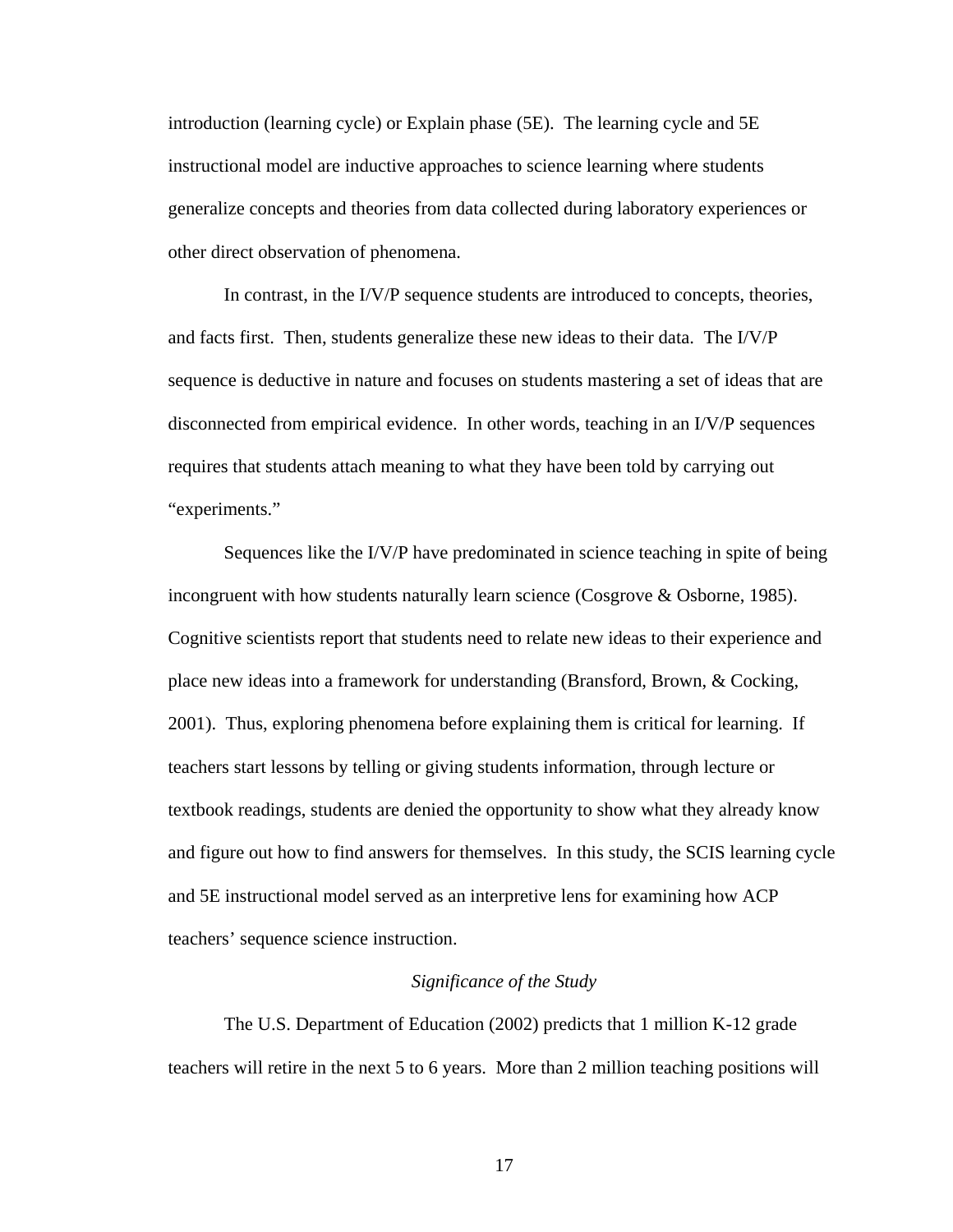introduction (learning cycle) or Explain phase (5E). The learning cycle and 5E instructional model are inductive approaches to science learning where students generalize concepts and theories from data collected during laboratory experiences or other direct observation of phenomena.

In contrast, in the I/V/P sequence students are introduced to concepts, theories, and facts first. Then, students generalize these new ideas to their data. The I/V/P sequence is deductive in nature and focuses on students mastering a set of ideas that are disconnected from empirical evidence. In other words, teaching in an I/V/P sequences requires that students attach meaning to what they have been told by carrying out "experiments."

Sequences like the I/V/P have predominated in science teaching in spite of being incongruent with how students naturally learn science (Cosgrove & Osborne, 1985). Cognitive scientists report that students need to relate new ideas to their experience and place new ideas into a framework for understanding (Bransford, Brown, & Cocking, 2001). Thus, exploring phenomena before explaining them is critical for learning. If teachers start lessons by telling or giving students information, through lecture or textbook readings, students are denied the opportunity to show what they already know and figure out how to find answers for themselves. In this study, the SCIS learning cycle and 5E instructional model served as an interpretive lens for examining how ACP teachers' sequence science instruction.

## *Significance of the Study*

The U.S. Department of Education (2002) predicts that 1 million K-12 grade teachers will retire in the next 5 to 6 years. More than 2 million teaching positions will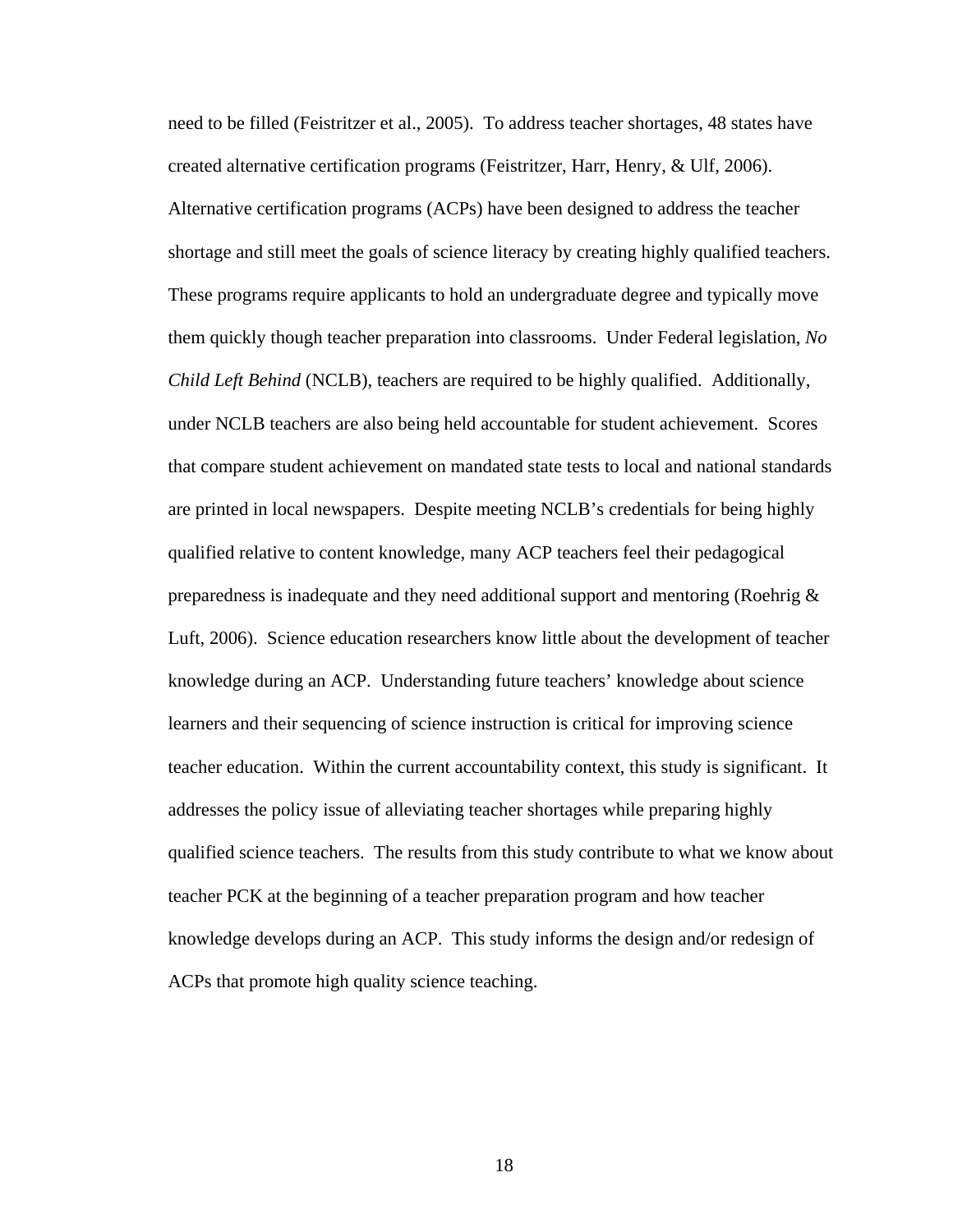need to be filled (Feistritzer et al., 2005). To address teacher shortages, 48 states have created alternative certification programs (Feistritzer, Harr, Henry, & Ulf, 2006). Alternative certification programs (ACPs) have been designed to address the teacher shortage and still meet the goals of science literacy by creating highly qualified teachers. These programs require applicants to hold an undergraduate degree and typically move them quickly though teacher preparation into classrooms. Under Federal legislation, *No Child Left Behind* (NCLB), teachers are required to be highly qualified. Additionally, under NCLB teachers are also being held accountable for student achievement. Scores that compare student achievement on mandated state tests to local and national standards are printed in local newspapers. Despite meeting NCLB's credentials for being highly qualified relative to content knowledge, many ACP teachers feel their pedagogical preparedness is inadequate and they need additional support and mentoring (Roehrig & Luft, 2006). Science education researchers know little about the development of teacher knowledge during an ACP. Understanding future teachers' knowledge about science learners and their sequencing of science instruction is critical for improving science teacher education. Within the current accountability context, this study is significant. It addresses the policy issue of alleviating teacher shortages while preparing highly qualified science teachers. The results from this study contribute to what we know about teacher PCK at the beginning of a teacher preparation program and how teacher knowledge develops during an ACP. This study informs the design and/or redesign of ACPs that promote high quality science teaching.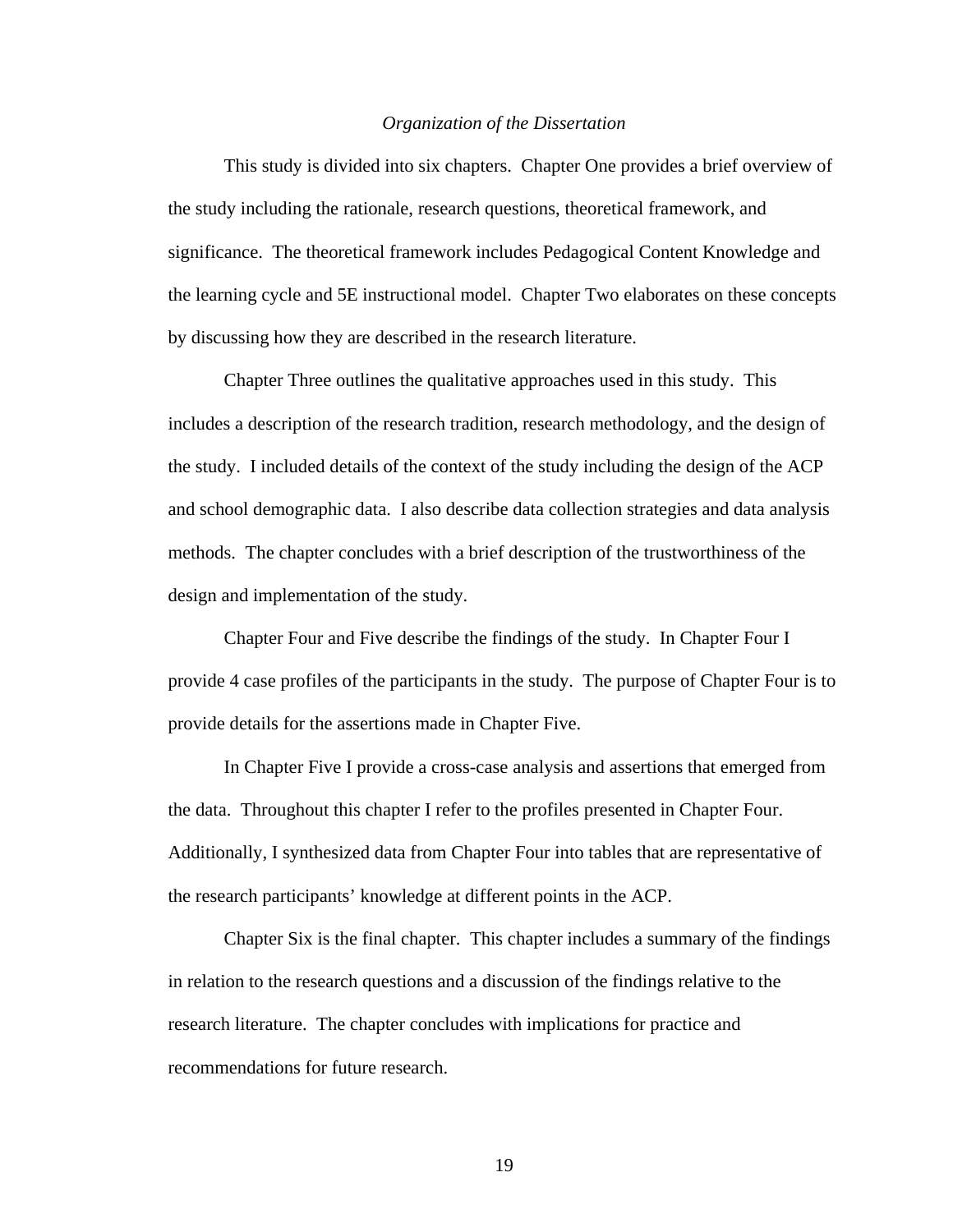#### *Organization of the Dissertation*

This study is divided into six chapters. Chapter One provides a brief overview of the study including the rationale, research questions, theoretical framework, and significance. The theoretical framework includes Pedagogical Content Knowledge and the learning cycle and 5E instructional model. Chapter Two elaborates on these concepts by discussing how they are described in the research literature.

Chapter Three outlines the qualitative approaches used in this study. This includes a description of the research tradition, research methodology, and the design of the study. I included details of the context of the study including the design of the ACP and school demographic data. I also describe data collection strategies and data analysis methods. The chapter concludes with a brief description of the trustworthiness of the design and implementation of the study.

Chapter Four and Five describe the findings of the study. In Chapter Four I provide 4 case profiles of the participants in the study. The purpose of Chapter Four is to provide details for the assertions made in Chapter Five.

In Chapter Five I provide a cross-case analysis and assertions that emerged from the data. Throughout this chapter I refer to the profiles presented in Chapter Four. Additionally, I synthesized data from Chapter Four into tables that are representative of the research participants' knowledge at different points in the ACP.

Chapter Six is the final chapter. This chapter includes a summary of the findings in relation to the research questions and a discussion of the findings relative to the research literature. The chapter concludes with implications for practice and recommendations for future research.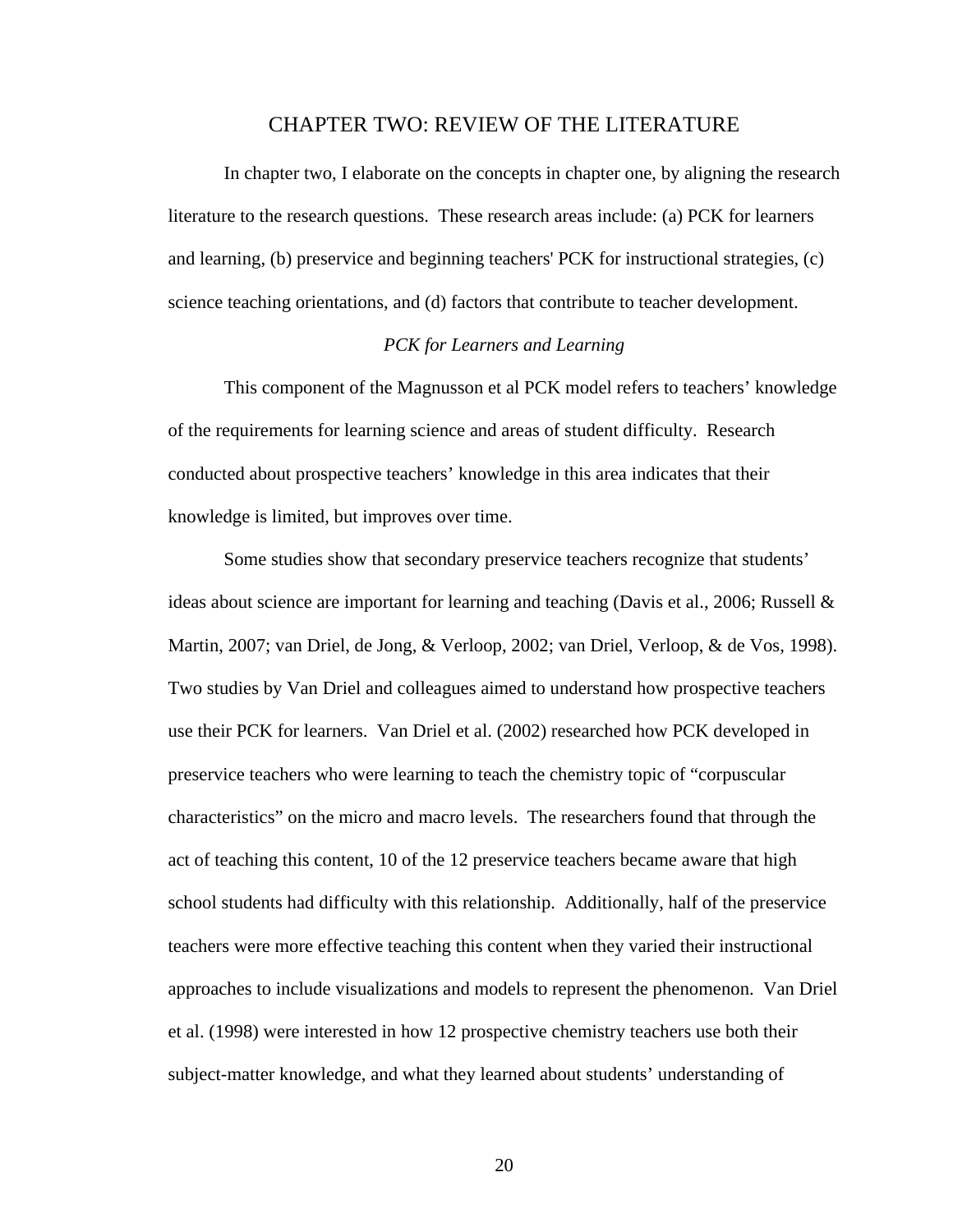## CHAPTER TWO: REVIEW OF THE LITERATURE

In chapter two, I elaborate on the concepts in chapter one, by aligning the research literature to the research questions. These research areas include: (a) PCK for learners and learning, (b) preservice and beginning teachers' PCK for instructional strategies, (c) science teaching orientations, and (d) factors that contribute to teacher development.

# *PCK for Learners and Learning*

This component of the Magnusson et al PCK model refers to teachers' knowledge of the requirements for learning science and areas of student difficulty. Research conducted about prospective teachers' knowledge in this area indicates that their knowledge is limited, but improves over time.

Some studies show that secondary preservice teachers recognize that students' ideas about science are important for learning and teaching (Davis et al., 2006; Russell  $\&$ Martin, 2007; van Driel, de Jong, & Verloop, 2002; van Driel, Verloop, & de Vos, 1998). Two studies by Van Driel and colleagues aimed to understand how prospective teachers use their PCK for learners. Van Driel et al. (2002) researched how PCK developed in preservice teachers who were learning to teach the chemistry topic of "corpuscular characteristics" on the micro and macro levels. The researchers found that through the act of teaching this content, 10 of the 12 preservice teachers became aware that high school students had difficulty with this relationship. Additionally, half of the preservice teachers were more effective teaching this content when they varied their instructional approaches to include visualizations and models to represent the phenomenon. Van Driel et al. (1998) were interested in how 12 prospective chemistry teachers use both their subject-matter knowledge, and what they learned about students' understanding of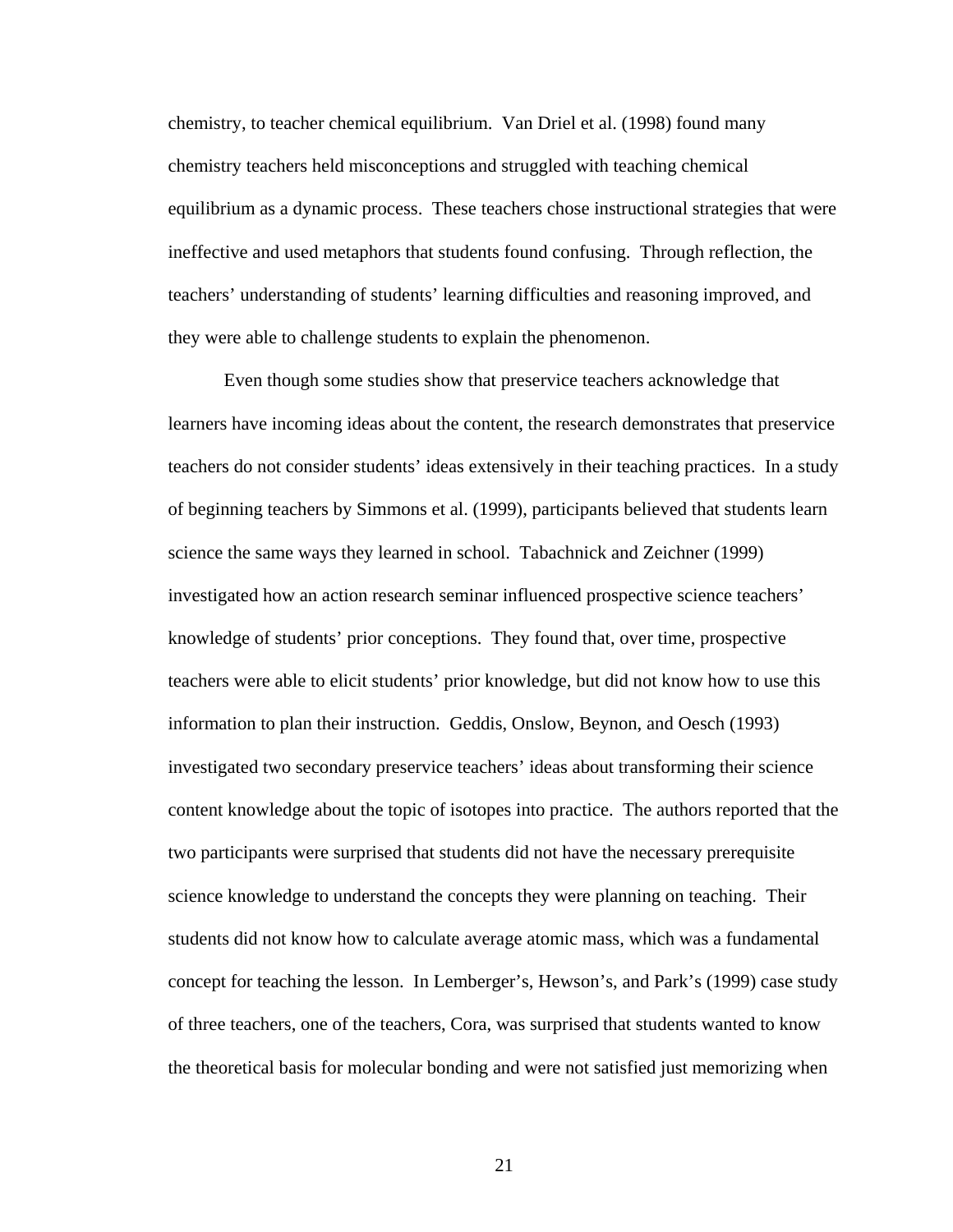chemistry, to teacher chemical equilibrium. Van Driel et al. (1998) found many chemistry teachers held misconceptions and struggled with teaching chemical equilibrium as a dynamic process. These teachers chose instructional strategies that were ineffective and used metaphors that students found confusing. Through reflection, the teachers' understanding of students' learning difficulties and reasoning improved, and they were able to challenge students to explain the phenomenon.

Even though some studies show that preservice teachers acknowledge that learners have incoming ideas about the content, the research demonstrates that preservice teachers do not consider students' ideas extensively in their teaching practices. In a study of beginning teachers by Simmons et al. (1999), participants believed that students learn science the same ways they learned in school. Tabachnick and Zeichner (1999) investigated how an action research seminar influenced prospective science teachers' knowledge of students' prior conceptions. They found that, over time, prospective teachers were able to elicit students' prior knowledge, but did not know how to use this information to plan their instruction. Geddis, Onslow, Beynon, and Oesch (1993) investigated two secondary preservice teachers' ideas about transforming their science content knowledge about the topic of isotopes into practice. The authors reported that the two participants were surprised that students did not have the necessary prerequisite science knowledge to understand the concepts they were planning on teaching. Their students did not know how to calculate average atomic mass, which was a fundamental concept for teaching the lesson. In Lemberger's, Hewson's, and Park's (1999) case study of three teachers, one of the teachers, Cora, was surprised that students wanted to know the theoretical basis for molecular bonding and were not satisfied just memorizing when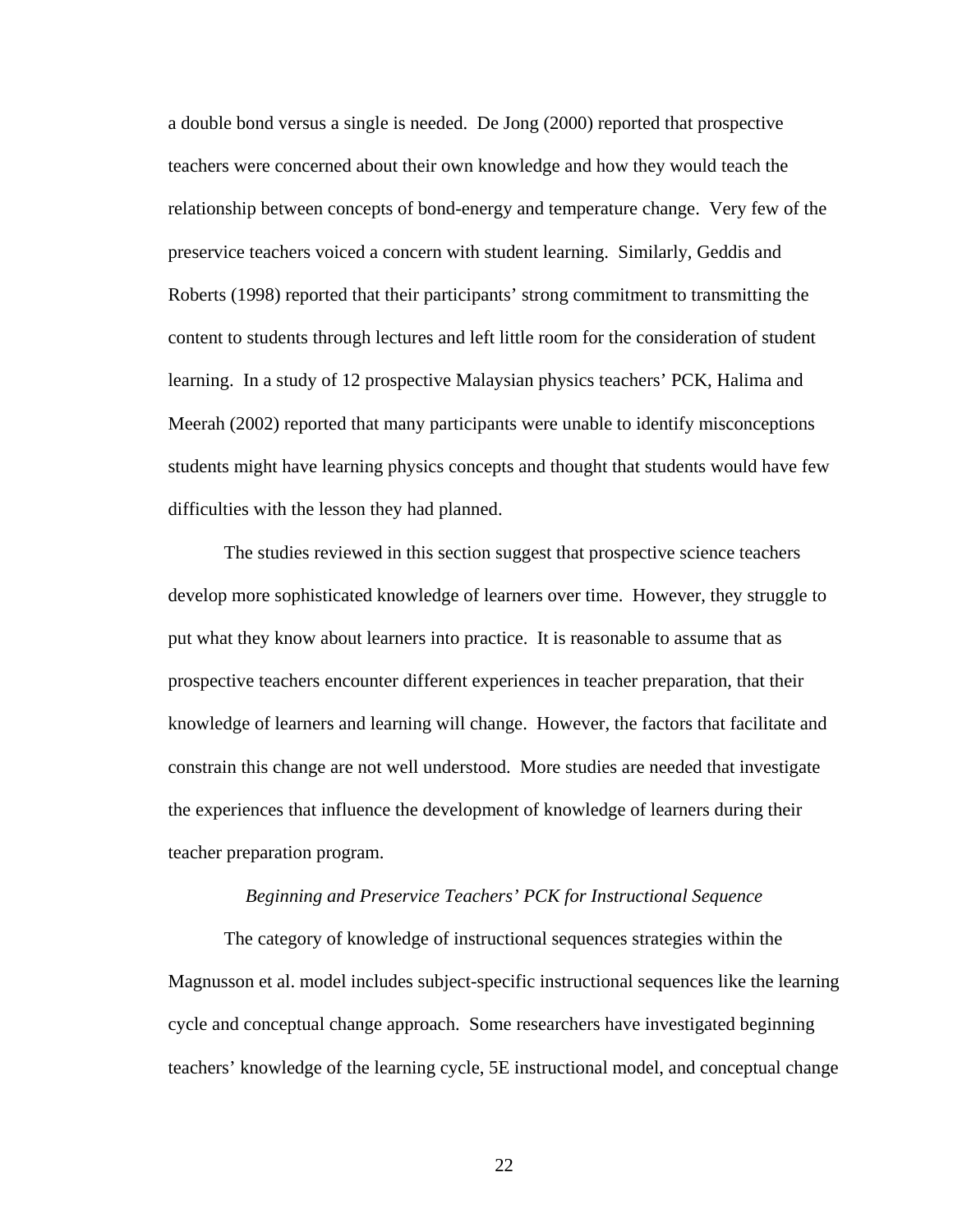a double bond versus a single is needed. De Jong (2000) reported that prospective teachers were concerned about their own knowledge and how they would teach the relationship between concepts of bond-energy and temperature change. Very few of the preservice teachers voiced a concern with student learning. Similarly, Geddis and Roberts (1998) reported that their participants' strong commitment to transmitting the content to students through lectures and left little room for the consideration of student learning. In a study of 12 prospective Malaysian physics teachers' PCK, Halima and Meerah (2002) reported that many participants were unable to identify misconceptions students might have learning physics concepts and thought that students would have few difficulties with the lesson they had planned.

The studies reviewed in this section suggest that prospective science teachers develop more sophisticated knowledge of learners over time. However, they struggle to put what they know about learners into practice. It is reasonable to assume that as prospective teachers encounter different experiences in teacher preparation, that their knowledge of learners and learning will change. However, the factors that facilitate and constrain this change are not well understood. More studies are needed that investigate the experiences that influence the development of knowledge of learners during their teacher preparation program.

#### *Beginning and Preservice Teachers' PCK for Instructional Sequence*

The category of knowledge of instructional sequences strategies within the Magnusson et al. model includes subject-specific instructional sequences like the learning cycle and conceptual change approach. Some researchers have investigated beginning teachers' knowledge of the learning cycle, 5E instructional model, and conceptual change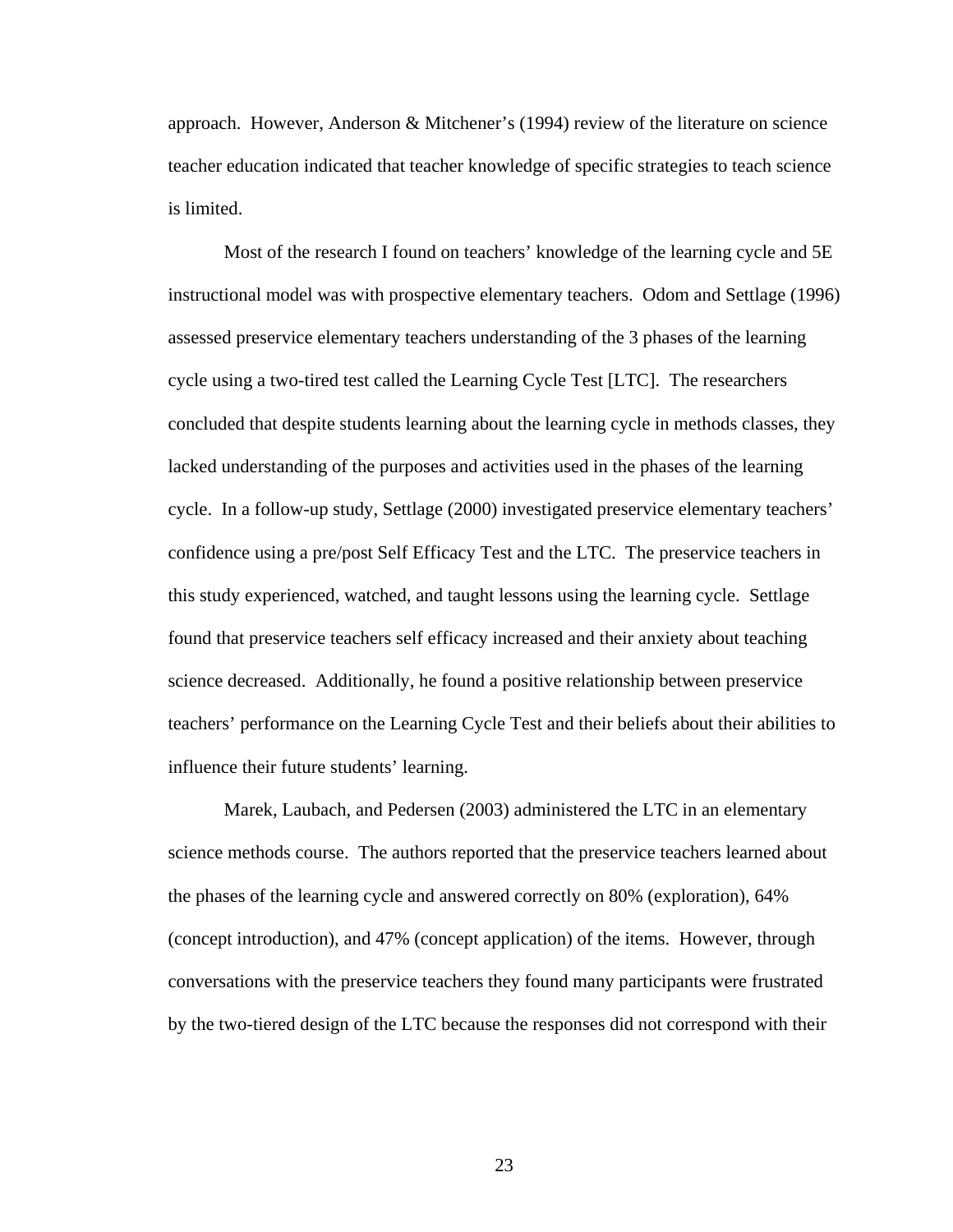approach. However, Anderson & Mitchener's (1994) review of the literature on science teacher education indicated that teacher knowledge of specific strategies to teach science is limited.

Most of the research I found on teachers' knowledge of the learning cycle and 5E instructional model was with prospective elementary teachers. Odom and Settlage (1996) assessed preservice elementary teachers understanding of the 3 phases of the learning cycle using a two-tired test called the Learning Cycle Test [LTC]. The researchers concluded that despite students learning about the learning cycle in methods classes, they lacked understanding of the purposes and activities used in the phases of the learning cycle. In a follow-up study, Settlage (2000) investigated preservice elementary teachers' confidence using a pre/post Self Efficacy Test and the LTC. The preservice teachers in this study experienced, watched, and taught lessons using the learning cycle. Settlage found that preservice teachers self efficacy increased and their anxiety about teaching science decreased. Additionally, he found a positive relationship between preservice teachers' performance on the Learning Cycle Test and their beliefs about their abilities to influence their future students' learning.

Marek, Laubach, and Pedersen (2003) administered the LTC in an elementary science methods course. The authors reported that the preservice teachers learned about the phases of the learning cycle and answered correctly on 80% (exploration), 64% (concept introduction), and 47% (concept application) of the items. However, through conversations with the preservice teachers they found many participants were frustrated by the two-tiered design of the LTC because the responses did not correspond with their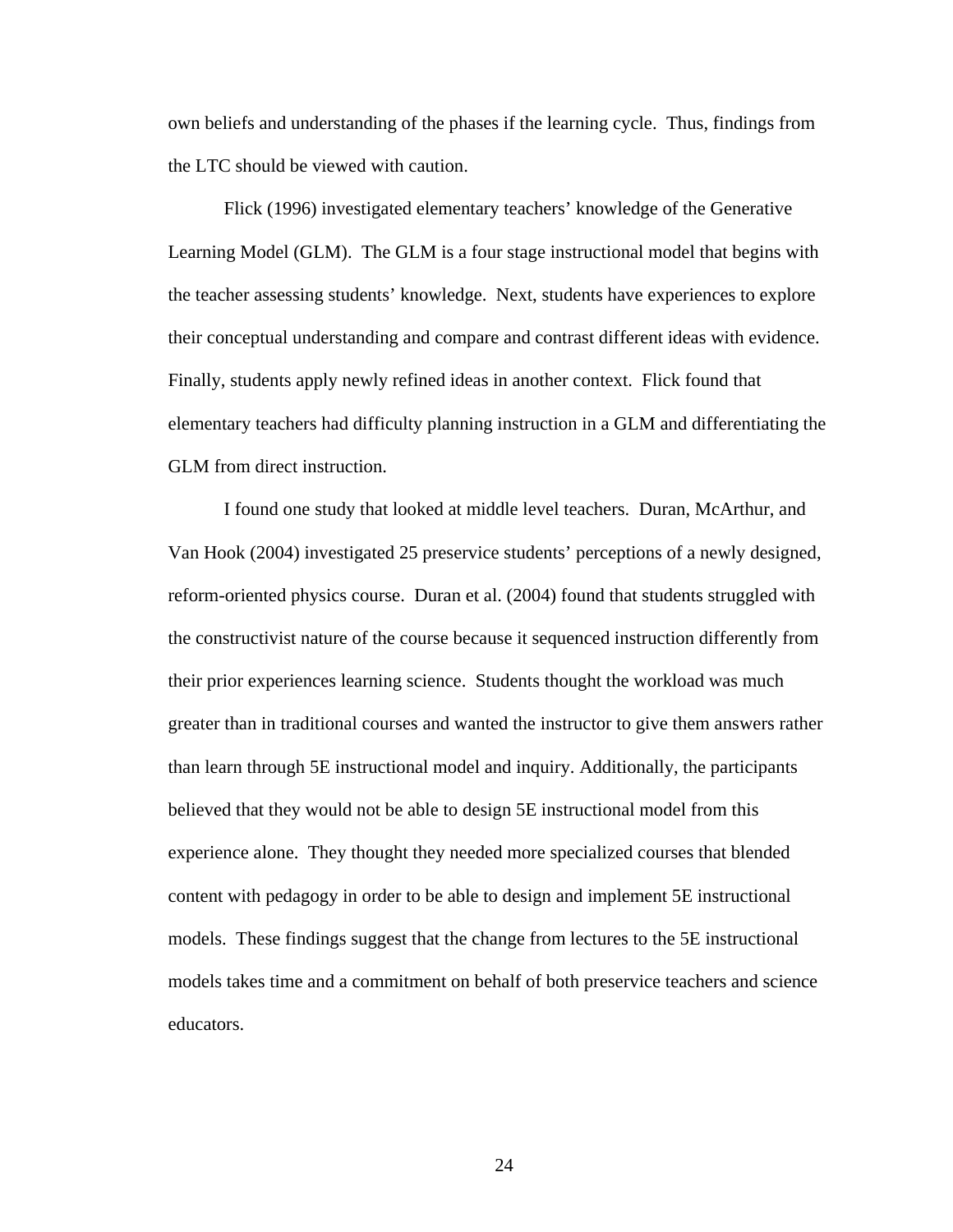own beliefs and understanding of the phases if the learning cycle. Thus, findings from the LTC should be viewed with caution.

Flick (1996) investigated elementary teachers' knowledge of the Generative Learning Model (GLM). The GLM is a four stage instructional model that begins with the teacher assessing students' knowledge. Next, students have experiences to explore their conceptual understanding and compare and contrast different ideas with evidence. Finally, students apply newly refined ideas in another context. Flick found that elementary teachers had difficulty planning instruction in a GLM and differentiating the GLM from direct instruction.

I found one study that looked at middle level teachers. Duran, McArthur, and Van Hook (2004) investigated 25 preservice students' perceptions of a newly designed, reform-oriented physics course. Duran et al. (2004) found that students struggled with the constructivist nature of the course because it sequenced instruction differently from their prior experiences learning science. Students thought the workload was much greater than in traditional courses and wanted the instructor to give them answers rather than learn through 5E instructional model and inquiry. Additionally, the participants believed that they would not be able to design 5E instructional model from this experience alone. They thought they needed more specialized courses that blended content with pedagogy in order to be able to design and implement 5E instructional models. These findings suggest that the change from lectures to the 5E instructional models takes time and a commitment on behalf of both preservice teachers and science educators.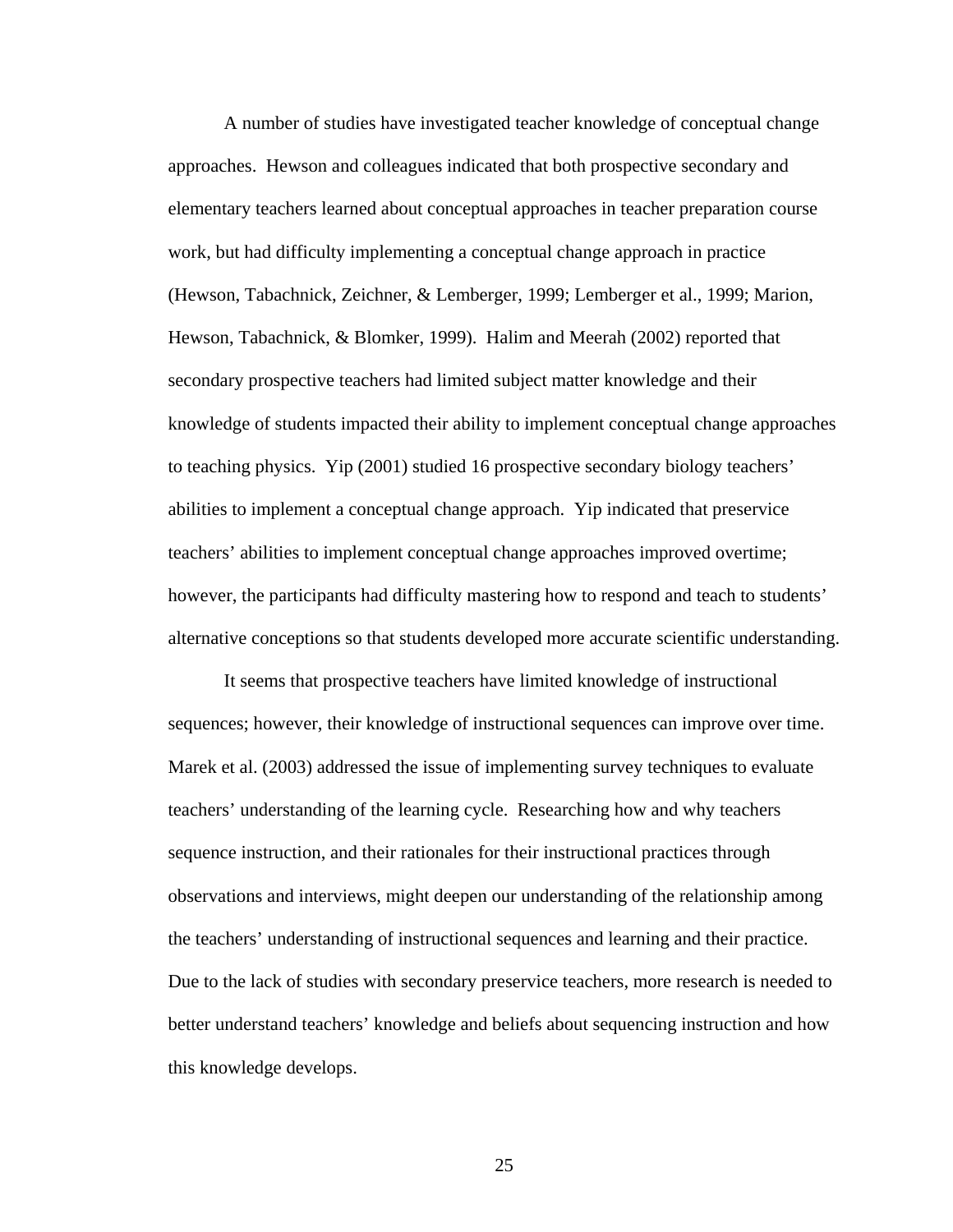A number of studies have investigated teacher knowledge of conceptual change approaches. Hewson and colleagues indicated that both prospective secondary and elementary teachers learned about conceptual approaches in teacher preparation course work, but had difficulty implementing a conceptual change approach in practice (Hewson, Tabachnick, Zeichner, & Lemberger, 1999; Lemberger et al., 1999; Marion, Hewson, Tabachnick, & Blomker, 1999). Halim and Meerah (2002) reported that secondary prospective teachers had limited subject matter knowledge and their knowledge of students impacted their ability to implement conceptual change approaches to teaching physics. Yip (2001) studied 16 prospective secondary biology teachers' abilities to implement a conceptual change approach. Yip indicated that preservice teachers' abilities to implement conceptual change approaches improved overtime; however, the participants had difficulty mastering how to respond and teach to students' alternative conceptions so that students developed more accurate scientific understanding.

It seems that prospective teachers have limited knowledge of instructional sequences; however, their knowledge of instructional sequences can improve over time. Marek et al. (2003) addressed the issue of implementing survey techniques to evaluate teachers' understanding of the learning cycle. Researching how and why teachers sequence instruction, and their rationales for their instructional practices through observations and interviews, might deepen our understanding of the relationship among the teachers' understanding of instructional sequences and learning and their practice. Due to the lack of studies with secondary preservice teachers, more research is needed to better understand teachers' knowledge and beliefs about sequencing instruction and how this knowledge develops.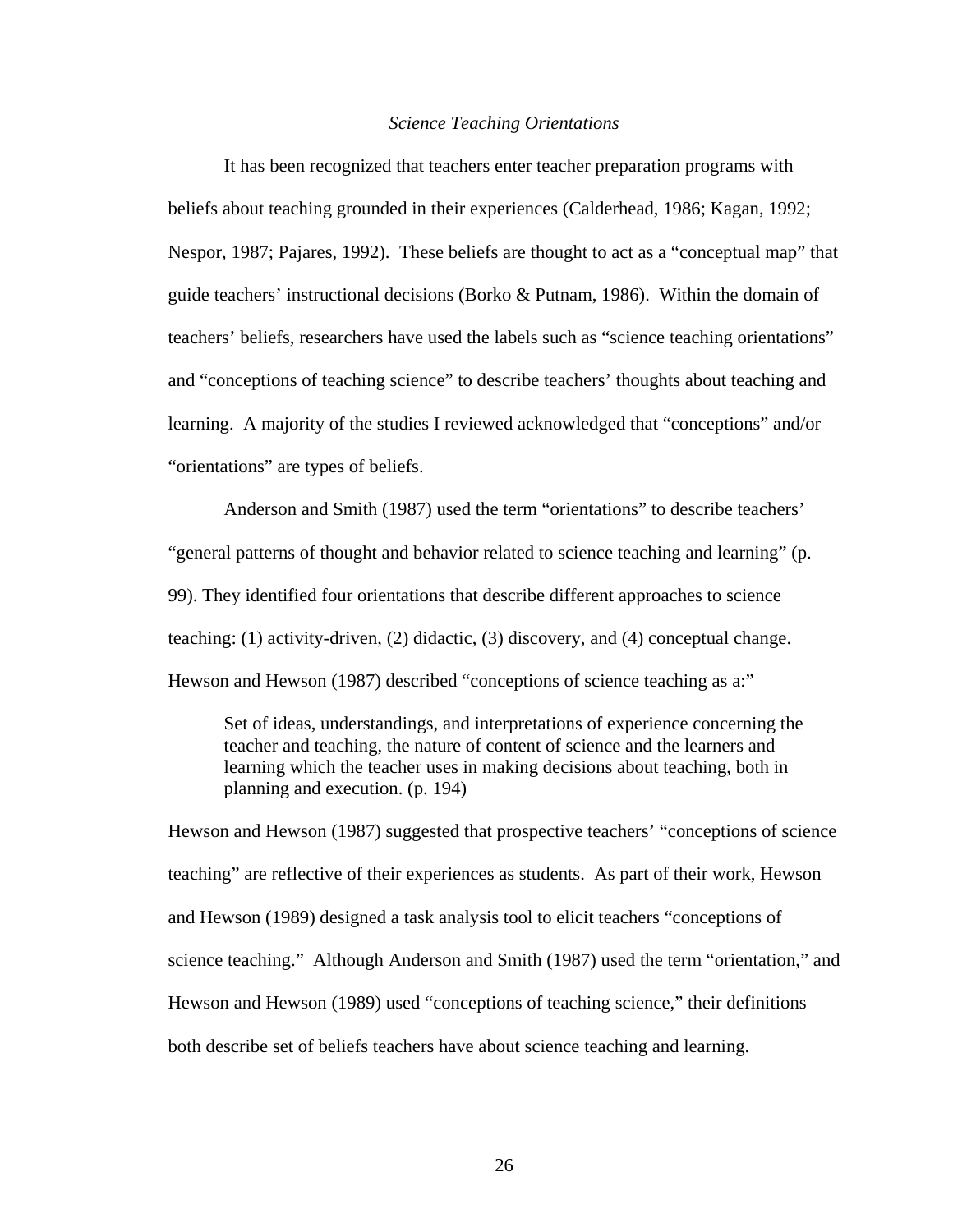#### *Science Teaching Orientations*

It has been recognized that teachers enter teacher preparation programs with beliefs about teaching grounded in their experiences (Calderhead, 1986; Kagan, 1992; Nespor, 1987; Pajares, 1992). These beliefs are thought to act as a "conceptual map" that guide teachers' instructional decisions (Borko & Putnam, 1986). Within the domain of teachers' beliefs, researchers have used the labels such as "science teaching orientations" and "conceptions of teaching science" to describe teachers' thoughts about teaching and learning. A majority of the studies I reviewed acknowledged that "conceptions" and/or "orientations" are types of beliefs.

Anderson and Smith (1987) used the term "orientations" to describe teachers' "general patterns of thought and behavior related to science teaching and learning" (p. 99). They identified four orientations that describe different approaches to science teaching: (1) activity-driven, (2) didactic, (3) discovery, and (4) conceptual change. Hewson and Hewson (1987) described "conceptions of science teaching as a:"

Set of ideas, understandings, and interpretations of experience concerning the teacher and teaching, the nature of content of science and the learners and learning which the teacher uses in making decisions about teaching, both in planning and execution. (p. 194)

Hewson and Hewson (1987) suggested that prospective teachers' "conceptions of science teaching" are reflective of their experiences as students. As part of their work, Hewson and Hewson (1989) designed a task analysis tool to elicit teachers "conceptions of science teaching." Although Anderson and Smith (1987) used the term "orientation," and Hewson and Hewson (1989) used "conceptions of teaching science," their definitions both describe set of beliefs teachers have about science teaching and learning.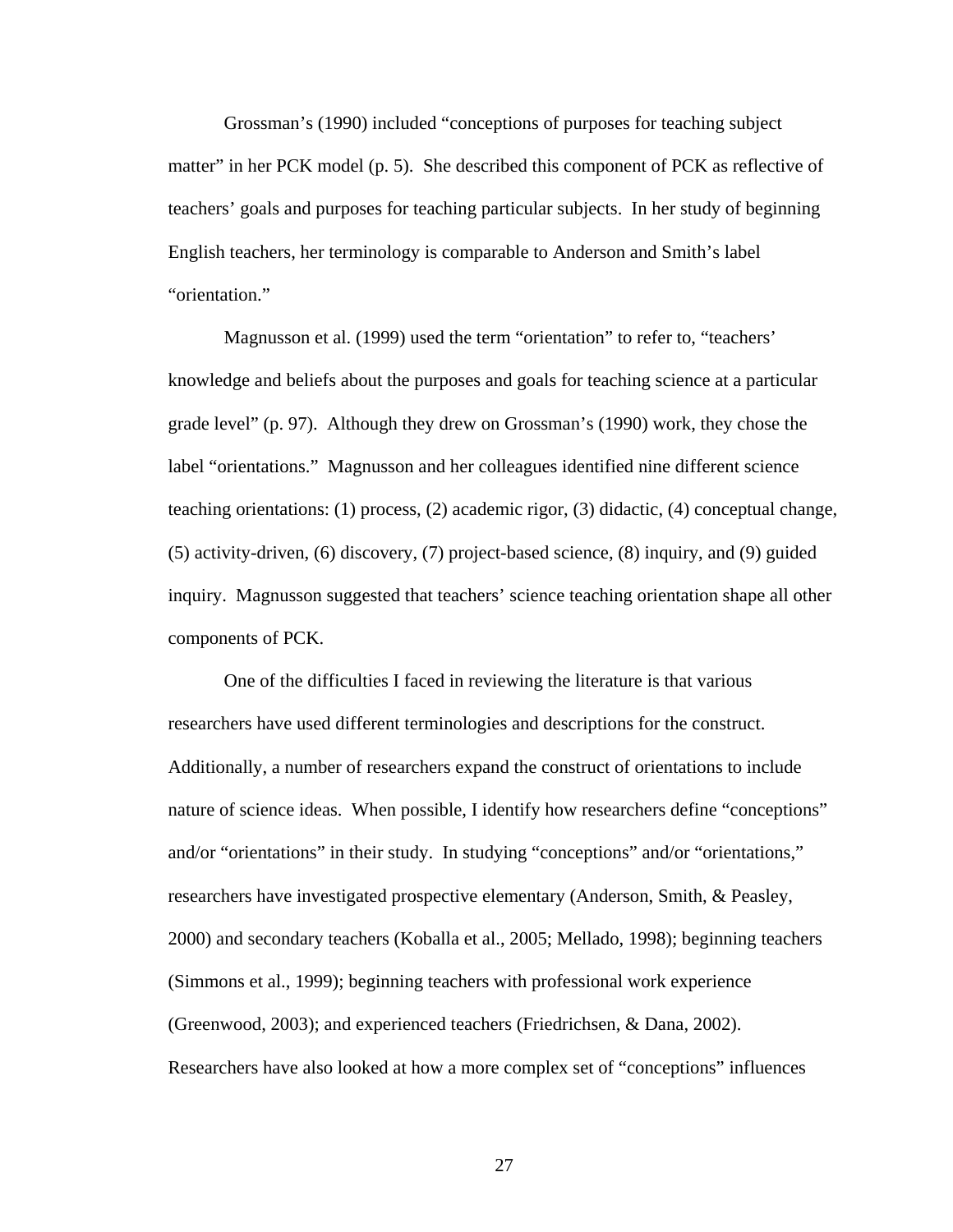Grossman's (1990) included "conceptions of purposes for teaching subject matter" in her PCK model (p. 5). She described this component of PCK as reflective of teachers' goals and purposes for teaching particular subjects. In her study of beginning English teachers, her terminology is comparable to Anderson and Smith's label "orientation."

Magnusson et al. (1999) used the term "orientation" to refer to, "teachers' knowledge and beliefs about the purposes and goals for teaching science at a particular grade level" (p. 97). Although they drew on Grossman's (1990) work, they chose the label "orientations." Magnusson and her colleagues identified nine different science teaching orientations: (1) process, (2) academic rigor, (3) didactic, (4) conceptual change, (5) activity-driven, (6) discovery, (7) project-based science, (8) inquiry, and (9) guided inquiry. Magnusson suggested that teachers' science teaching orientation shape all other components of PCK.

One of the difficulties I faced in reviewing the literature is that various researchers have used different terminologies and descriptions for the construct. Additionally, a number of researchers expand the construct of orientations to include nature of science ideas. When possible, I identify how researchers define "conceptions" and/or "orientations" in their study. In studying "conceptions" and/or "orientations," researchers have investigated prospective elementary (Anderson, Smith, & Peasley, 2000) and secondary teachers (Koballa et al., 2005; Mellado, 1998); beginning teachers (Simmons et al., 1999); beginning teachers with professional work experience (Greenwood, 2003); and experienced teachers (Friedrichsen, & Dana, 2002). Researchers have also looked at how a more complex set of "conceptions" influences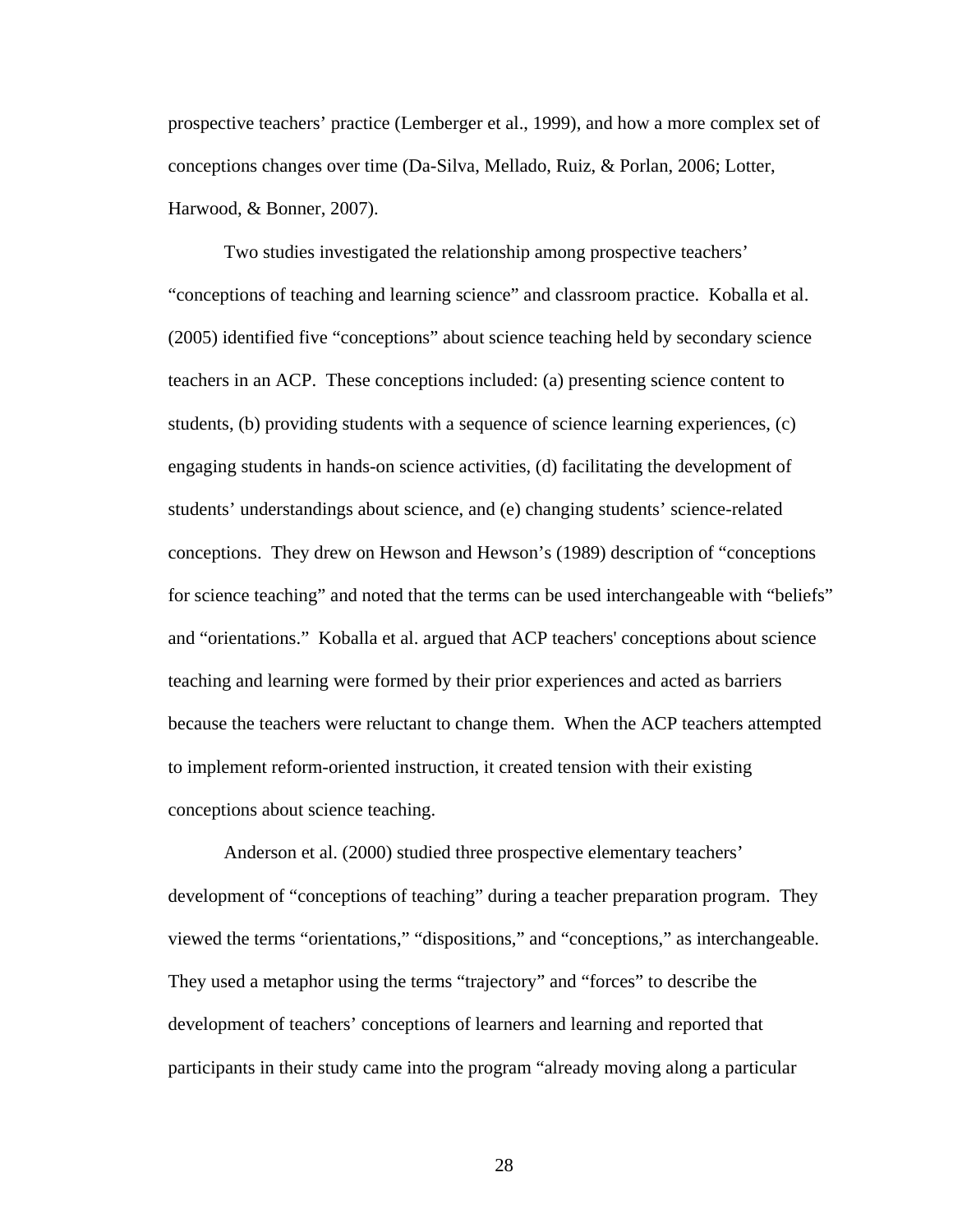prospective teachers' practice (Lemberger et al., 1999), and how a more complex set of conceptions changes over time (Da-Silva, Mellado, Ruiz, & Porlan, 2006; Lotter, Harwood, & Bonner, 2007).

Two studies investigated the relationship among prospective teachers' "conceptions of teaching and learning science" and classroom practice. Koballa et al. (2005) identified five "conceptions" about science teaching held by secondary science teachers in an ACP. These conceptions included: (a) presenting science content to students, (b) providing students with a sequence of science learning experiences, (c) engaging students in hands-on science activities, (d) facilitating the development of students' understandings about science, and (e) changing students' science-related conceptions. They drew on Hewson and Hewson's (1989) description of "conceptions for science teaching" and noted that the terms can be used interchangeable with "beliefs" and "orientations." Koballa et al. argued that ACP teachers' conceptions about science teaching and learning were formed by their prior experiences and acted as barriers because the teachers were reluctant to change them. When the ACP teachers attempted to implement reform-oriented instruction, it created tension with their existing conceptions about science teaching.

Anderson et al. (2000) studied three prospective elementary teachers' development of "conceptions of teaching" during a teacher preparation program. They viewed the terms "orientations," "dispositions," and "conceptions," as interchangeable. They used a metaphor using the terms "trajectory" and "forces" to describe the development of teachers' conceptions of learners and learning and reported that participants in their study came into the program "already moving along a particular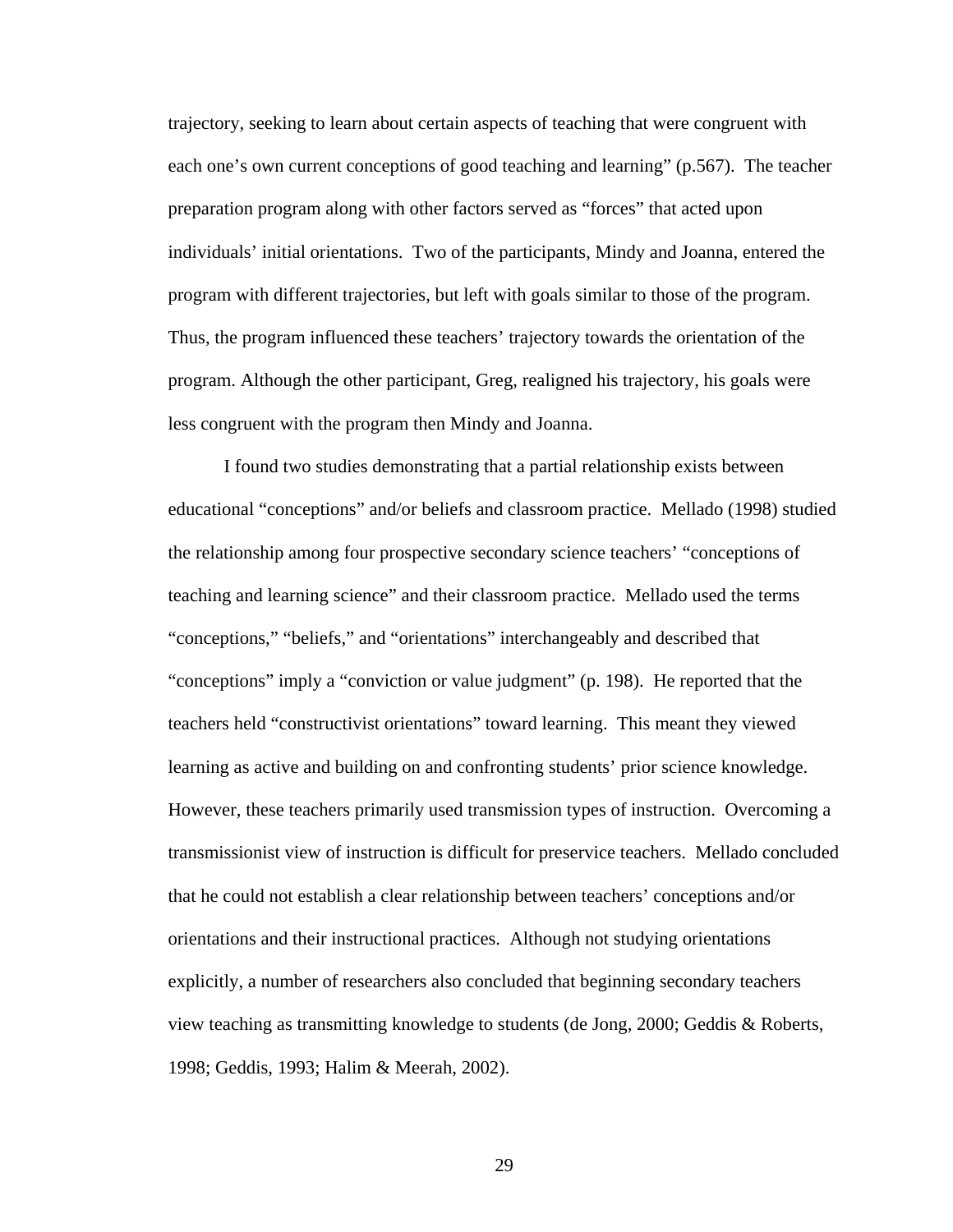trajectory, seeking to learn about certain aspects of teaching that were congruent with each one's own current conceptions of good teaching and learning" (p.567). The teacher preparation program along with other factors served as "forces" that acted upon individuals' initial orientations. Two of the participants, Mindy and Joanna, entered the program with different trajectories, but left with goals similar to those of the program. Thus, the program influenced these teachers' trajectory towards the orientation of the program. Although the other participant, Greg, realigned his trajectory, his goals were less congruent with the program then Mindy and Joanna.

I found two studies demonstrating that a partial relationship exists between educational "conceptions" and/or beliefs and classroom practice. Mellado (1998) studied the relationship among four prospective secondary science teachers' "conceptions of teaching and learning science" and their classroom practice. Mellado used the terms "conceptions," "beliefs," and "orientations" interchangeably and described that "conceptions" imply a "conviction or value judgment" (p. 198). He reported that the teachers held "constructivist orientations" toward learning. This meant they viewed learning as active and building on and confronting students' prior science knowledge. However, these teachers primarily used transmission types of instruction. Overcoming a transmissionist view of instruction is difficult for preservice teachers. Mellado concluded that he could not establish a clear relationship between teachers' conceptions and/or orientations and their instructional practices. Although not studying orientations explicitly, a number of researchers also concluded that beginning secondary teachers view teaching as transmitting knowledge to students (de Jong, 2000; Geddis & Roberts, 1998; Geddis, 1993; Halim & Meerah, 2002).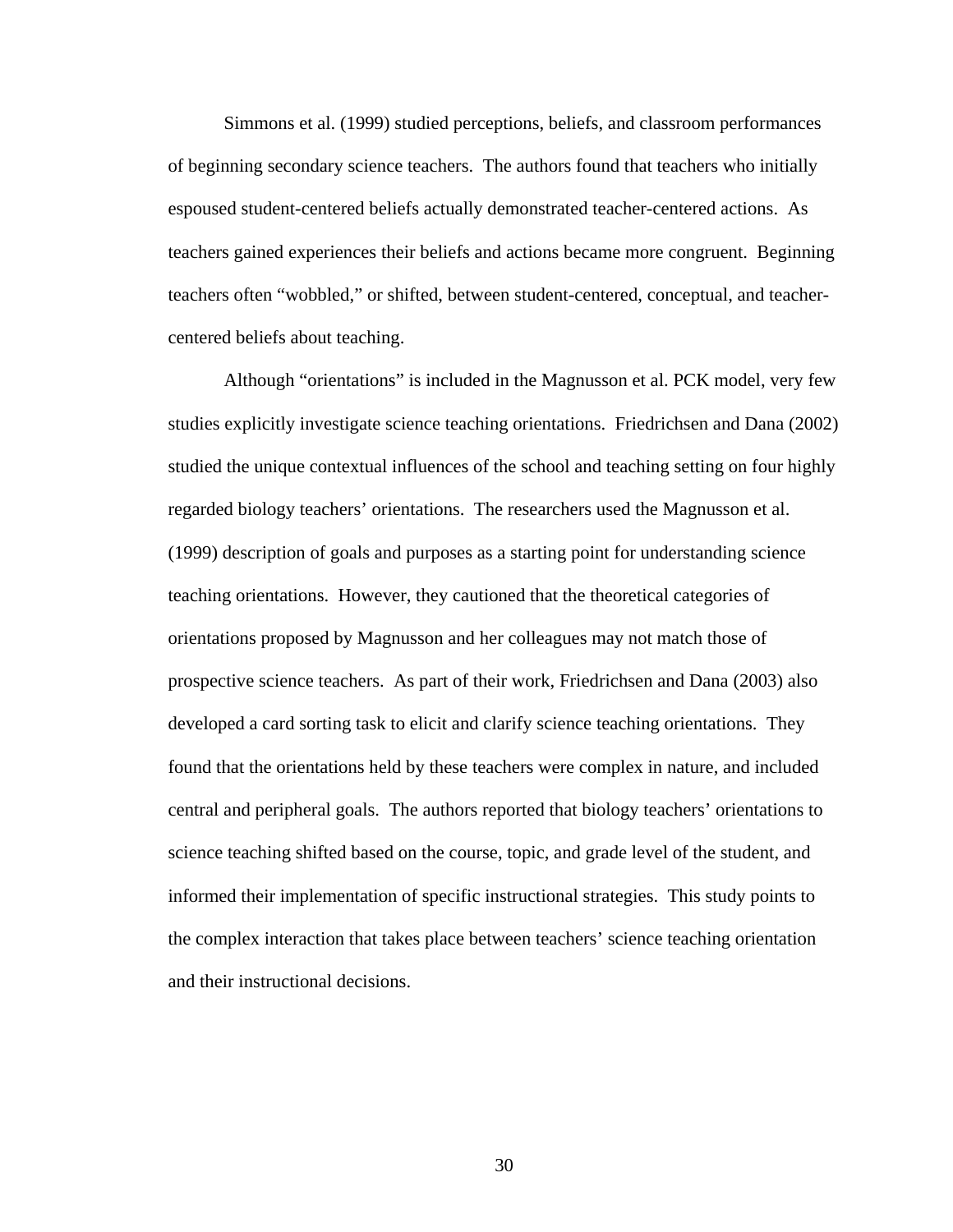Simmons et al. (1999) studied perceptions, beliefs, and classroom performances of beginning secondary science teachers. The authors found that teachers who initially espoused student-centered beliefs actually demonstrated teacher-centered actions. As teachers gained experiences their beliefs and actions became more congruent. Beginning teachers often "wobbled," or shifted, between student-centered, conceptual, and teachercentered beliefs about teaching.

Although "orientations" is included in the Magnusson et al. PCK model, very few studies explicitly investigate science teaching orientations. Friedrichsen and Dana (2002) studied the unique contextual influences of the school and teaching setting on four highly regarded biology teachers' orientations. The researchers used the Magnusson et al. (1999) description of goals and purposes as a starting point for understanding science teaching orientations. However, they cautioned that the theoretical categories of orientations proposed by Magnusson and her colleagues may not match those of prospective science teachers. As part of their work, Friedrichsen and Dana (2003) also developed a card sorting task to elicit and clarify science teaching orientations. They found that the orientations held by these teachers were complex in nature, and included central and peripheral goals. The authors reported that biology teachers' orientations to science teaching shifted based on the course, topic, and grade level of the student, and informed their implementation of specific instructional strategies. This study points to the complex interaction that takes place between teachers' science teaching orientation and their instructional decisions.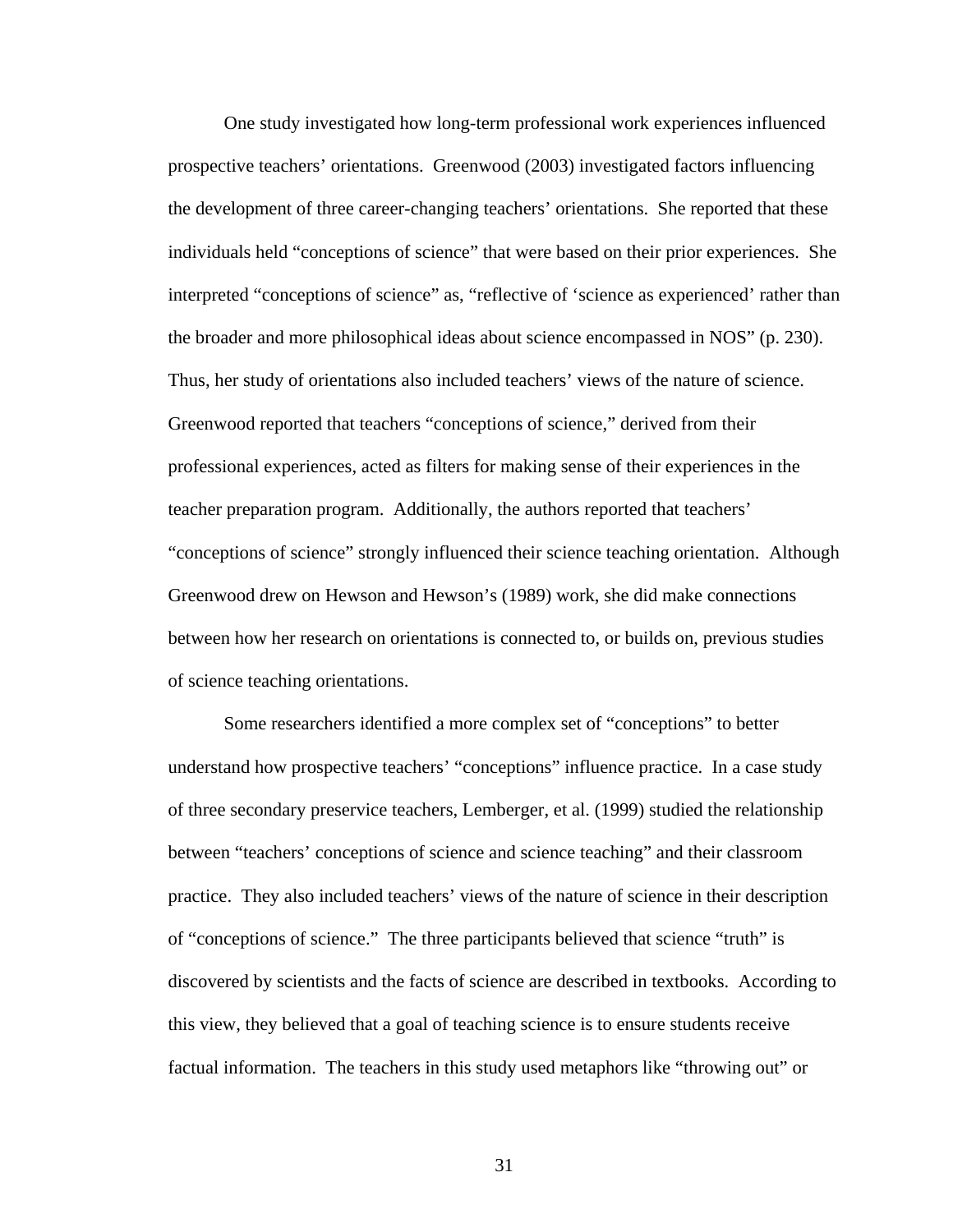One study investigated how long-term professional work experiences influenced prospective teachers' orientations. Greenwood (2003) investigated factors influencing the development of three career-changing teachers' orientations. She reported that these individuals held "conceptions of science" that were based on their prior experiences. She interpreted "conceptions of science" as, "reflective of 'science as experienced' rather than the broader and more philosophical ideas about science encompassed in NOS" (p. 230). Thus, her study of orientations also included teachers' views of the nature of science. Greenwood reported that teachers "conceptions of science," derived from their professional experiences, acted as filters for making sense of their experiences in the teacher preparation program. Additionally, the authors reported that teachers' "conceptions of science" strongly influenced their science teaching orientation. Although Greenwood drew on Hewson and Hewson's (1989) work, she did make connections between how her research on orientations is connected to, or builds on, previous studies of science teaching orientations.

Some researchers identified a more complex set of "conceptions" to better understand how prospective teachers' "conceptions" influence practice. In a case study of three secondary preservice teachers, Lemberger, et al. (1999) studied the relationship between "teachers' conceptions of science and science teaching" and their classroom practice. They also included teachers' views of the nature of science in their description of "conceptions of science." The three participants believed that science "truth" is discovered by scientists and the facts of science are described in textbooks. According to this view, they believed that a goal of teaching science is to ensure students receive factual information. The teachers in this study used metaphors like "throwing out" or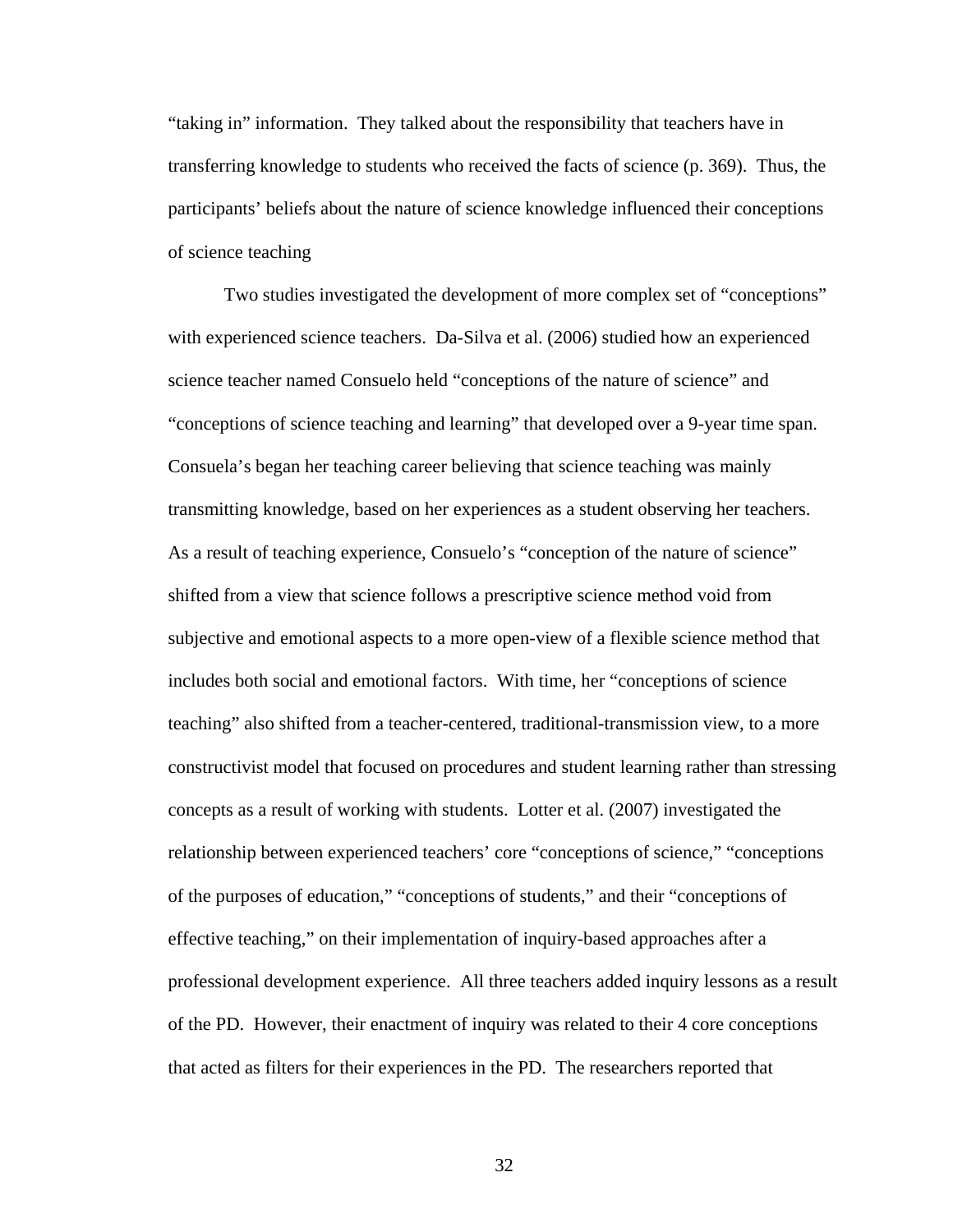"taking in" information. They talked about the responsibility that teachers have in transferring knowledge to students who received the facts of science (p. 369). Thus, the participants' beliefs about the nature of science knowledge influenced their conceptions of science teaching

Two studies investigated the development of more complex set of "conceptions" with experienced science teachers. Da-Silva et al. (2006) studied how an experienced science teacher named Consuelo held "conceptions of the nature of science" and "conceptions of science teaching and learning" that developed over a 9-year time span. Consuela's began her teaching career believing that science teaching was mainly transmitting knowledge, based on her experiences as a student observing her teachers. As a result of teaching experience, Consuelo's "conception of the nature of science" shifted from a view that science follows a prescriptive science method void from subjective and emotional aspects to a more open-view of a flexible science method that includes both social and emotional factors. With time, her "conceptions of science teaching" also shifted from a teacher-centered, traditional-transmission view, to a more constructivist model that focused on procedures and student learning rather than stressing concepts as a result of working with students. Lotter et al. (2007) investigated the relationship between experienced teachers' core "conceptions of science," "conceptions of the purposes of education," "conceptions of students," and their "conceptions of effective teaching," on their implementation of inquiry-based approaches after a professional development experience. All three teachers added inquiry lessons as a result of the PD. However, their enactment of inquiry was related to their 4 core conceptions that acted as filters for their experiences in the PD. The researchers reported that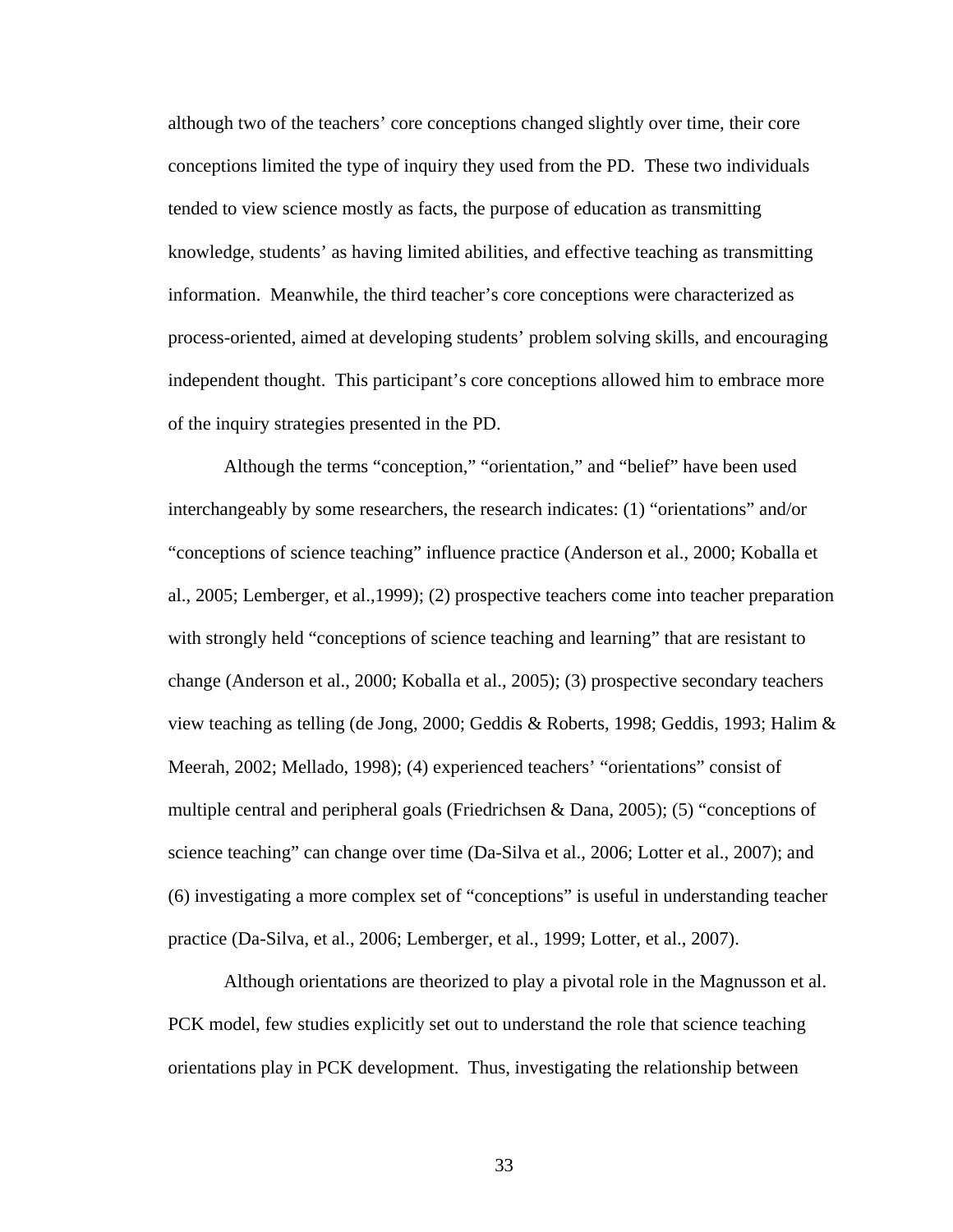although two of the teachers' core conceptions changed slightly over time, their core conceptions limited the type of inquiry they used from the PD. These two individuals tended to view science mostly as facts, the purpose of education as transmitting knowledge, students' as having limited abilities, and effective teaching as transmitting information. Meanwhile, the third teacher's core conceptions were characterized as process-oriented, aimed at developing students' problem solving skills, and encouraging independent thought. This participant's core conceptions allowed him to embrace more of the inquiry strategies presented in the PD.

Although the terms "conception," "orientation," and "belief" have been used interchangeably by some researchers, the research indicates: (1) "orientations" and/or "conceptions of science teaching" influence practice (Anderson et al., 2000; Koballa et al., 2005; Lemberger, et al.,1999); (2) prospective teachers come into teacher preparation with strongly held "conceptions of science teaching and learning" that are resistant to change (Anderson et al., 2000; Koballa et al., 2005); (3) prospective secondary teachers view teaching as telling (de Jong, 2000; Geddis & Roberts, 1998; Geddis, 1993; Halim & Meerah, 2002; Mellado, 1998); (4) experienced teachers' "orientations" consist of multiple central and peripheral goals (Friedrichsen & Dana, 2005); (5) "conceptions of science teaching" can change over time (Da-Silva et al., 2006; Lotter et al., 2007); and (6) investigating a more complex set of "conceptions" is useful in understanding teacher practice (Da-Silva, et al., 2006; Lemberger, et al., 1999; Lotter, et al., 2007).

Although orientations are theorized to play a pivotal role in the Magnusson et al. PCK model, few studies explicitly set out to understand the role that science teaching orientations play in PCK development. Thus, investigating the relationship between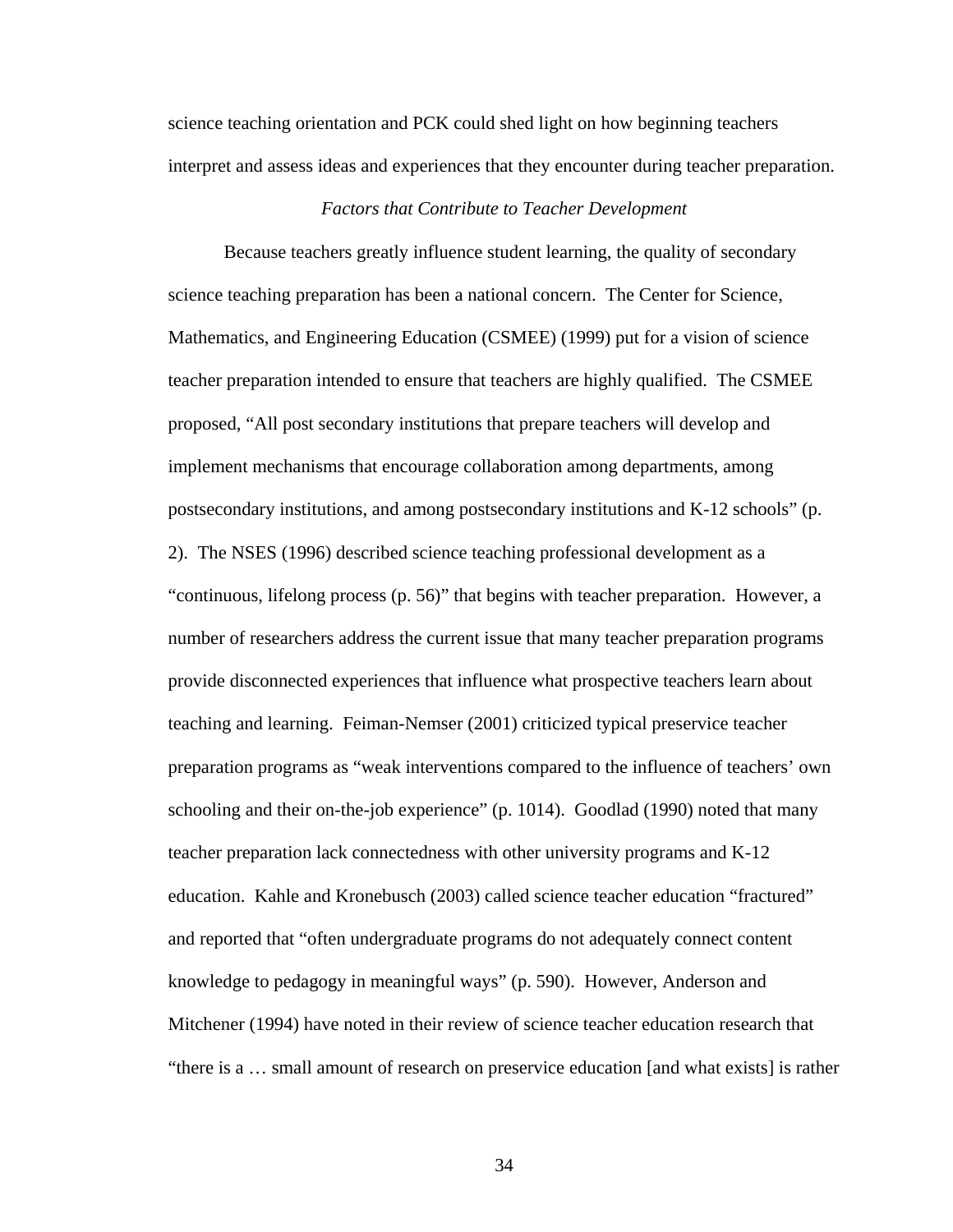science teaching orientation and PCK could shed light on how beginning teachers interpret and assess ideas and experiences that they encounter during teacher preparation.

## *Factors that Contribute to Teacher Development*

Because teachers greatly influence student learning, the quality of secondary science teaching preparation has been a national concern. The Center for Science, Mathematics, and Engineering Education (CSMEE) (1999) put for a vision of science teacher preparation intended to ensure that teachers are highly qualified. The CSMEE proposed, "All post secondary institutions that prepare teachers will develop and implement mechanisms that encourage collaboration among departments, among postsecondary institutions, and among postsecondary institutions and K-12 schools" (p. 2). The NSES (1996) described science teaching professional development as a "continuous, lifelong process (p. 56)" that begins with teacher preparation. However, a number of researchers address the current issue that many teacher preparation programs provide disconnected experiences that influence what prospective teachers learn about teaching and learning. Feiman-Nemser (2001) criticized typical preservice teacher preparation programs as "weak interventions compared to the influence of teachers' own schooling and their on-the-job experience" (p. 1014). Goodlad (1990) noted that many teacher preparation lack connectedness with other university programs and K-12 education. Kahle and Kronebusch (2003) called science teacher education "fractured" and reported that "often undergraduate programs do not adequately connect content knowledge to pedagogy in meaningful ways" (p. 590). However, Anderson and Mitchener (1994) have noted in their review of science teacher education research that "there is a … small amount of research on preservice education [and what exists] is rather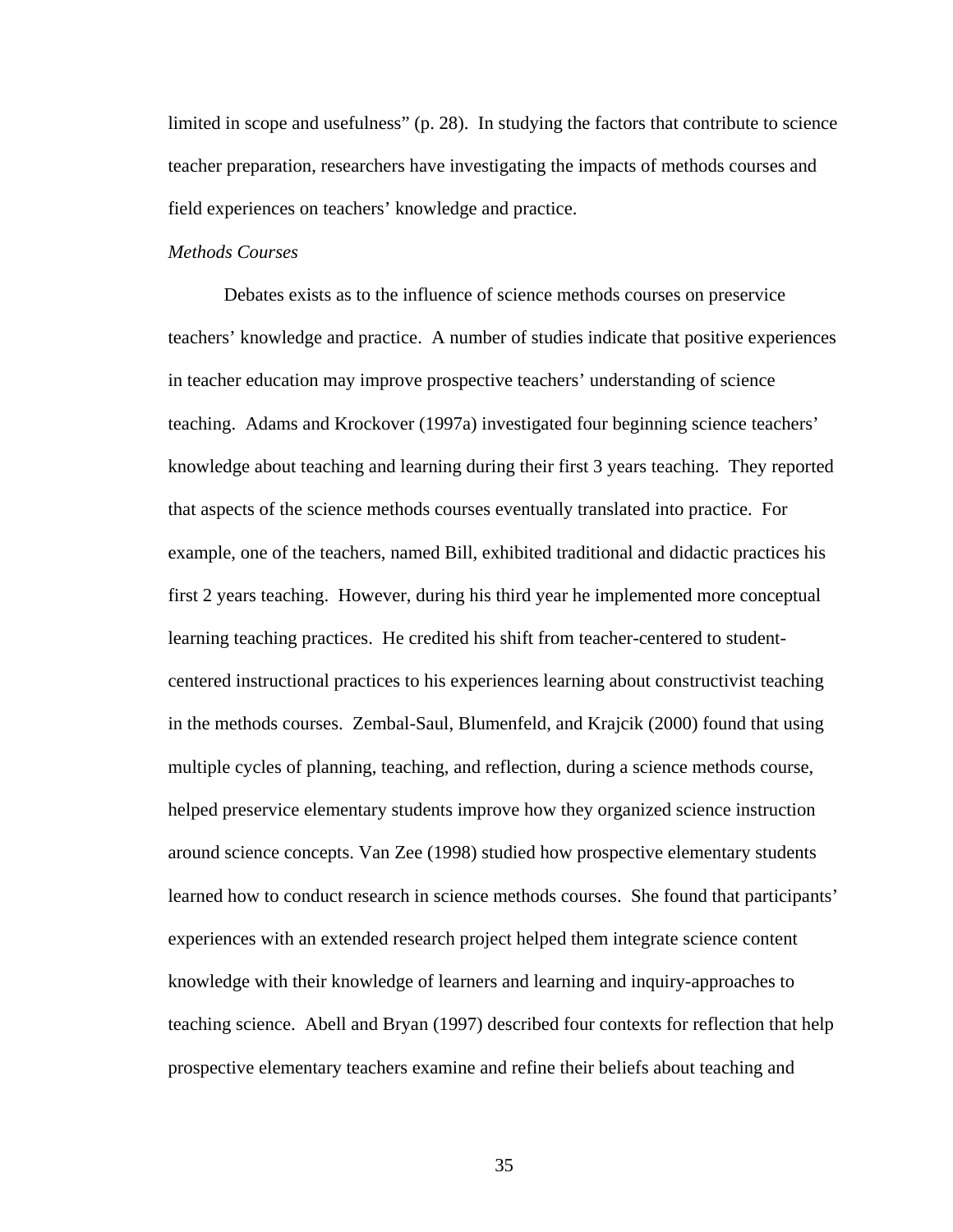limited in scope and usefulness" (p. 28). In studying the factors that contribute to science teacher preparation, researchers have investigating the impacts of methods courses and field experiences on teachers' knowledge and practice.

## *Methods Courses*

Debates exists as to the influence of science methods courses on preservice teachers' knowledge and practice. A number of studies indicate that positive experiences in teacher education may improve prospective teachers' understanding of science teaching. Adams and Krockover (1997a) investigated four beginning science teachers' knowledge about teaching and learning during their first 3 years teaching. They reported that aspects of the science methods courses eventually translated into practice. For example, one of the teachers, named Bill, exhibited traditional and didactic practices his first 2 years teaching. However, during his third year he implemented more conceptual learning teaching practices. He credited his shift from teacher-centered to studentcentered instructional practices to his experiences learning about constructivist teaching in the methods courses. Zembal-Saul, Blumenfeld, and Krajcik (2000) found that using multiple cycles of planning, teaching, and reflection, during a science methods course, helped preservice elementary students improve how they organized science instruction around science concepts. Van Zee (1998) studied how prospective elementary students learned how to conduct research in science methods courses. She found that participants' experiences with an extended research project helped them integrate science content knowledge with their knowledge of learners and learning and inquiry-approaches to teaching science. Abell and Bryan (1997) described four contexts for reflection that help prospective elementary teachers examine and refine their beliefs about teaching and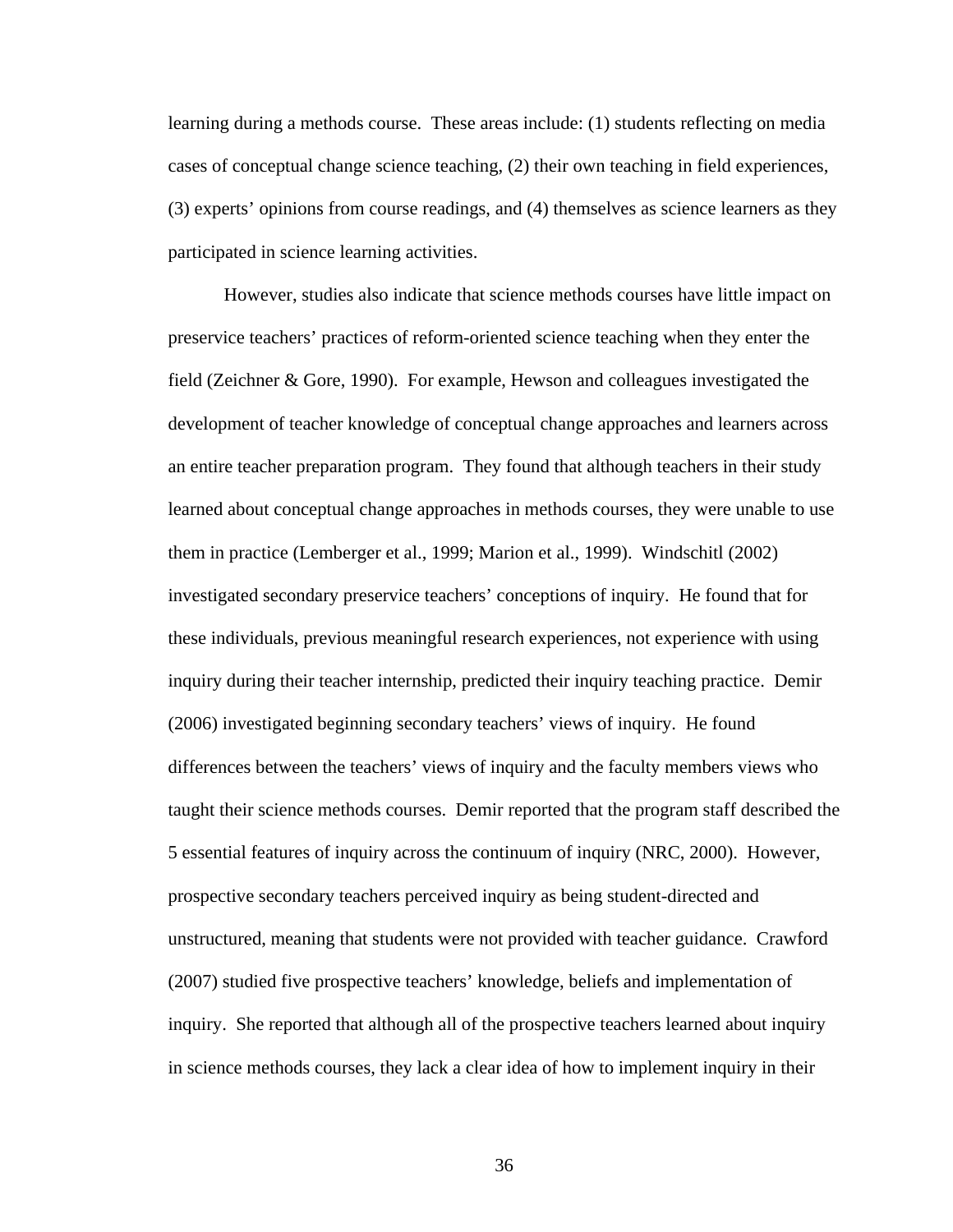learning during a methods course. These areas include: (1) students reflecting on media cases of conceptual change science teaching, (2) their own teaching in field experiences, (3) experts' opinions from course readings, and (4) themselves as science learners as they participated in science learning activities.

However, studies also indicate that science methods courses have little impact on preservice teachers' practices of reform-oriented science teaching when they enter the field (Zeichner & Gore, 1990). For example, Hewson and colleagues investigated the development of teacher knowledge of conceptual change approaches and learners across an entire teacher preparation program. They found that although teachers in their study learned about conceptual change approaches in methods courses, they were unable to use them in practice (Lemberger et al., 1999; Marion et al., 1999). Windschitl (2002) investigated secondary preservice teachers' conceptions of inquiry. He found that for these individuals, previous meaningful research experiences, not experience with using inquiry during their teacher internship, predicted their inquiry teaching practice. Demir (2006) investigated beginning secondary teachers' views of inquiry. He found differences between the teachers' views of inquiry and the faculty members views who taught their science methods courses. Demir reported that the program staff described the 5 essential features of inquiry across the continuum of inquiry (NRC, 2000). However, prospective secondary teachers perceived inquiry as being student-directed and unstructured, meaning that students were not provided with teacher guidance. Crawford (2007) studied five prospective teachers' knowledge, beliefs and implementation of inquiry. She reported that although all of the prospective teachers learned about inquiry in science methods courses, they lack a clear idea of how to implement inquiry in their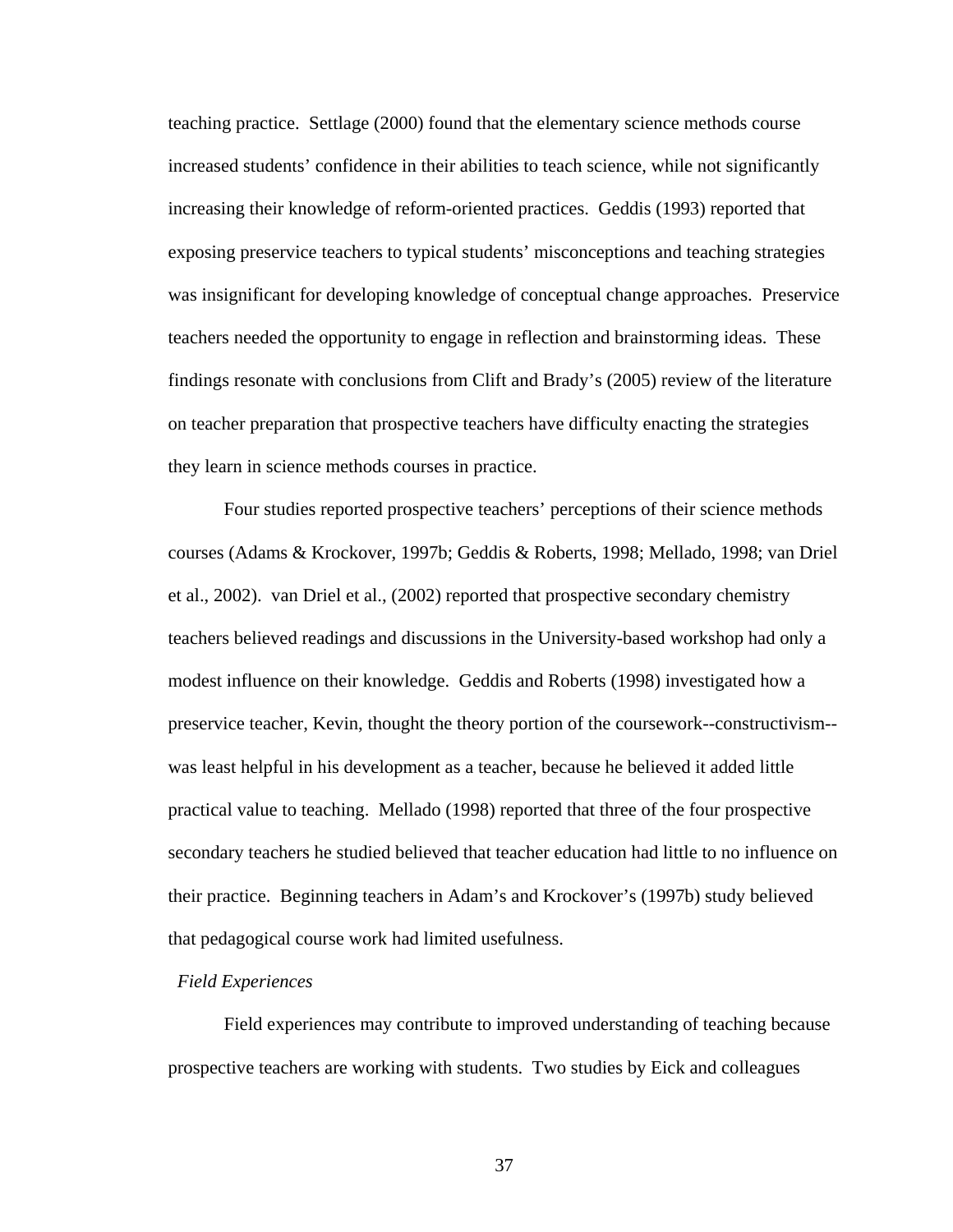teaching practice. Settlage (2000) found that the elementary science methods course increased students' confidence in their abilities to teach science, while not significantly increasing their knowledge of reform-oriented practices. Geddis (1993) reported that exposing preservice teachers to typical students' misconceptions and teaching strategies was insignificant for developing knowledge of conceptual change approaches. Preservice teachers needed the opportunity to engage in reflection and brainstorming ideas. These findings resonate with conclusions from Clift and Brady's (2005) review of the literature on teacher preparation that prospective teachers have difficulty enacting the strategies they learn in science methods courses in practice.

Four studies reported prospective teachers' perceptions of their science methods courses (Adams & Krockover, 1997b; Geddis & Roberts, 1998; Mellado, 1998; van Driel et al., 2002). van Driel et al., (2002) reported that prospective secondary chemistry teachers believed readings and discussions in the University-based workshop had only a modest influence on their knowledge. Geddis and Roberts (1998) investigated how a preservice teacher, Kevin, thought the theory portion of the coursework--constructivism- was least helpful in his development as a teacher, because he believed it added little practical value to teaching. Mellado (1998) reported that three of the four prospective secondary teachers he studied believed that teacher education had little to no influence on their practice. Beginning teachers in Adam's and Krockover's (1997b) study believed that pedagogical course work had limited usefulness.

## *Field Experiences*

Field experiences may contribute to improved understanding of teaching because prospective teachers are working with students. Two studies by Eick and colleagues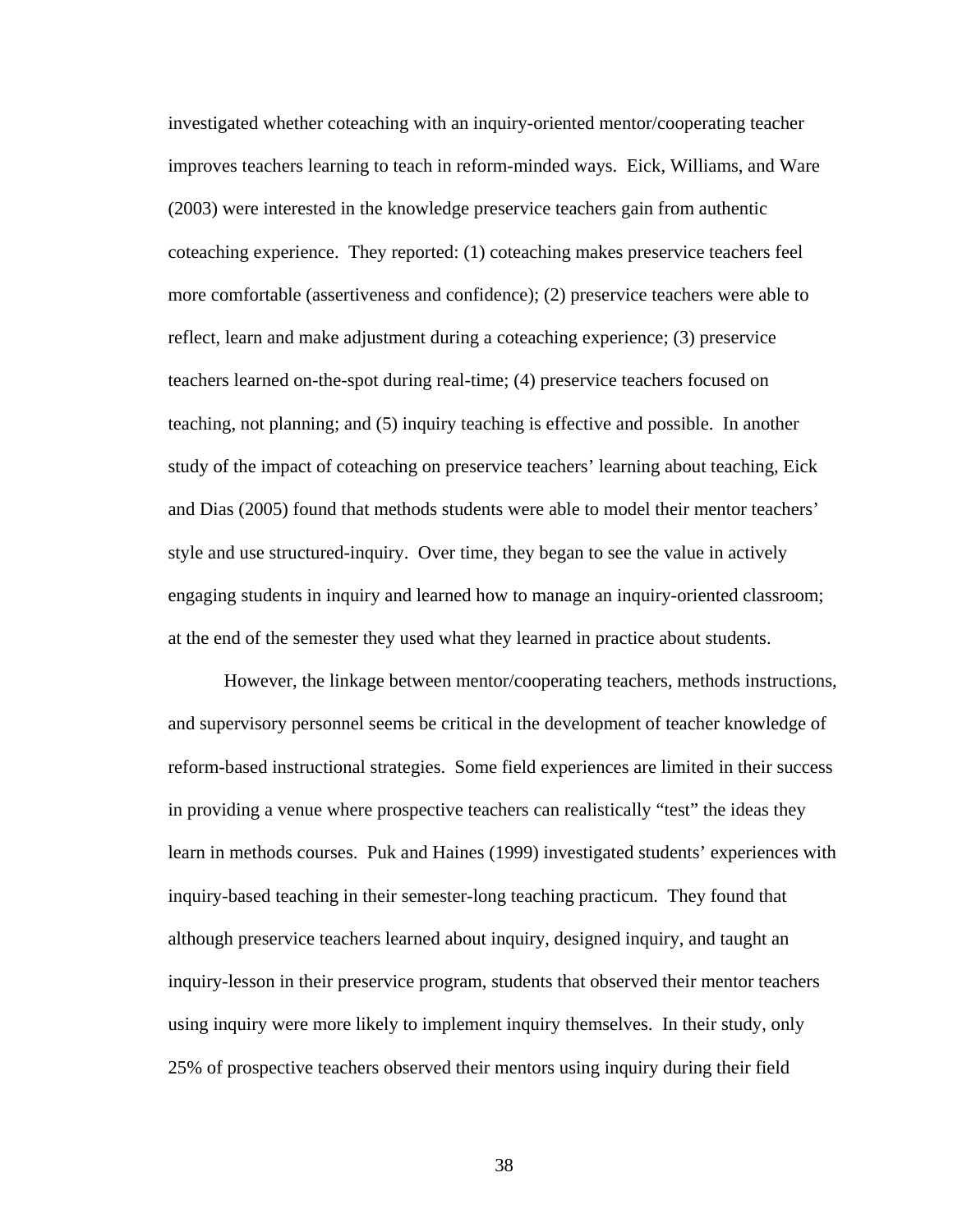investigated whether coteaching with an inquiry-oriented mentor/cooperating teacher improves teachers learning to teach in reform-minded ways. Eick, Williams, and Ware (2003) were interested in the knowledge preservice teachers gain from authentic coteaching experience. They reported: (1) coteaching makes preservice teachers feel more comfortable (assertiveness and confidence); (2) preservice teachers were able to reflect, learn and make adjustment during a coteaching experience; (3) preservice teachers learned on-the-spot during real-time; (4) preservice teachers focused on teaching, not planning; and (5) inquiry teaching is effective and possible. In another study of the impact of coteaching on preservice teachers' learning about teaching, Eick and Dias (2005) found that methods students were able to model their mentor teachers' style and use structured-inquiry. Over time, they began to see the value in actively engaging students in inquiry and learned how to manage an inquiry-oriented classroom; at the end of the semester they used what they learned in practice about students.

However, the linkage between mentor/cooperating teachers, methods instructions, and supervisory personnel seems be critical in the development of teacher knowledge of reform-based instructional strategies. Some field experiences are limited in their success in providing a venue where prospective teachers can realistically "test" the ideas they learn in methods courses. Puk and Haines (1999) investigated students' experiences with inquiry-based teaching in their semester-long teaching practicum. They found that although preservice teachers learned about inquiry, designed inquiry, and taught an inquiry-lesson in their preservice program, students that observed their mentor teachers using inquiry were more likely to implement inquiry themselves. In their study, only 25% of prospective teachers observed their mentors using inquiry during their field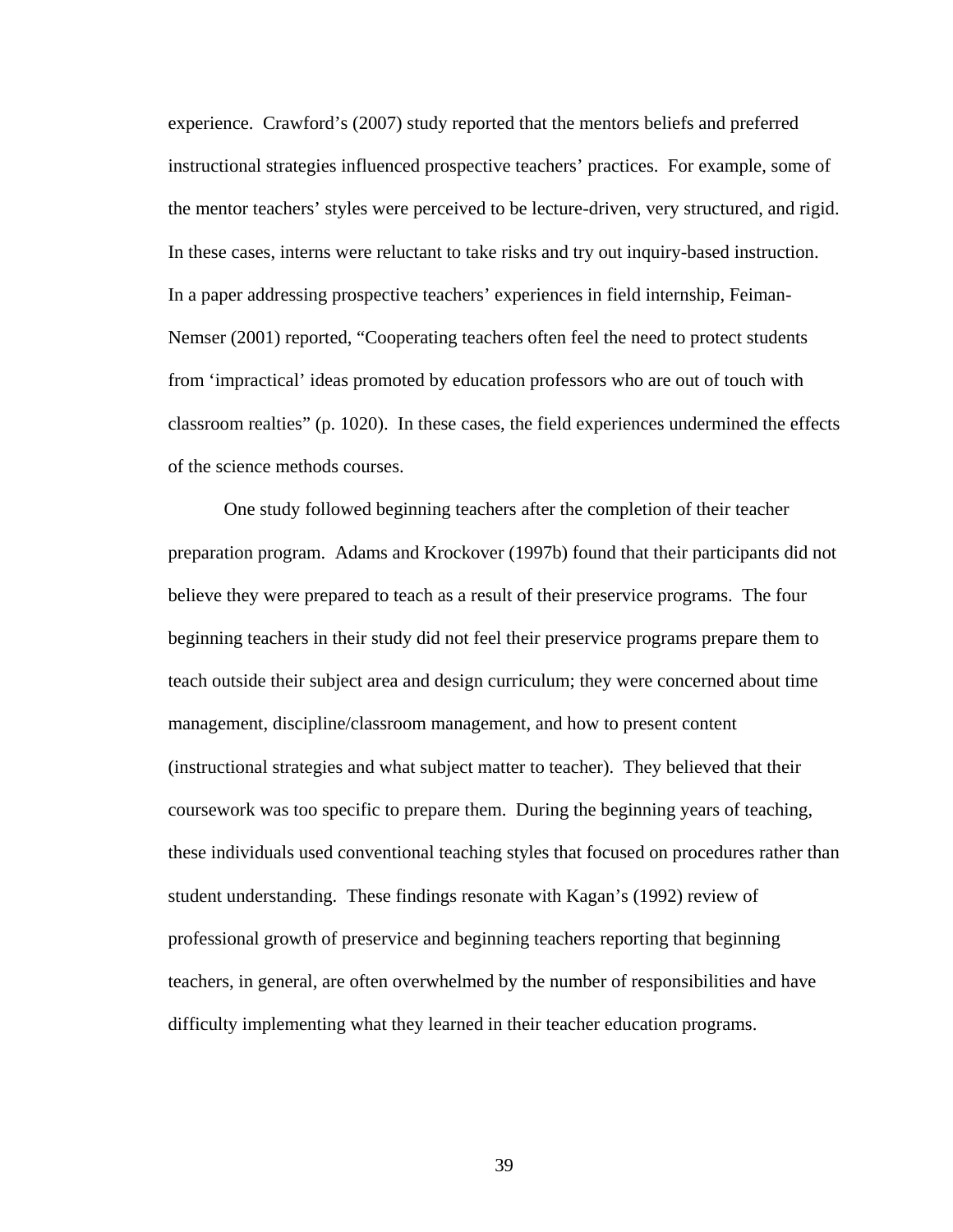experience. Crawford's (2007) study reported that the mentors beliefs and preferred instructional strategies influenced prospective teachers' practices. For example, some of the mentor teachers' styles were perceived to be lecture-driven, very structured, and rigid. In these cases, interns were reluctant to take risks and try out inquiry-based instruction. In a paper addressing prospective teachers' experiences in field internship, Feiman-Nemser (2001) reported, "Cooperating teachers often feel the need to protect students from 'impractical' ideas promoted by education professors who are out of touch with classroom realties" (p. 1020). In these cases, the field experiences undermined the effects of the science methods courses.

One study followed beginning teachers after the completion of their teacher preparation program. Adams and Krockover (1997b) found that their participants did not believe they were prepared to teach as a result of their preservice programs. The four beginning teachers in their study did not feel their preservice programs prepare them to teach outside their subject area and design curriculum; they were concerned about time management, discipline/classroom management, and how to present content (instructional strategies and what subject matter to teacher). They believed that their coursework was too specific to prepare them. During the beginning years of teaching, these individuals used conventional teaching styles that focused on procedures rather than student understanding. These findings resonate with Kagan's (1992) review of professional growth of preservice and beginning teachers reporting that beginning teachers, in general, are often overwhelmed by the number of responsibilities and have difficulty implementing what they learned in their teacher education programs.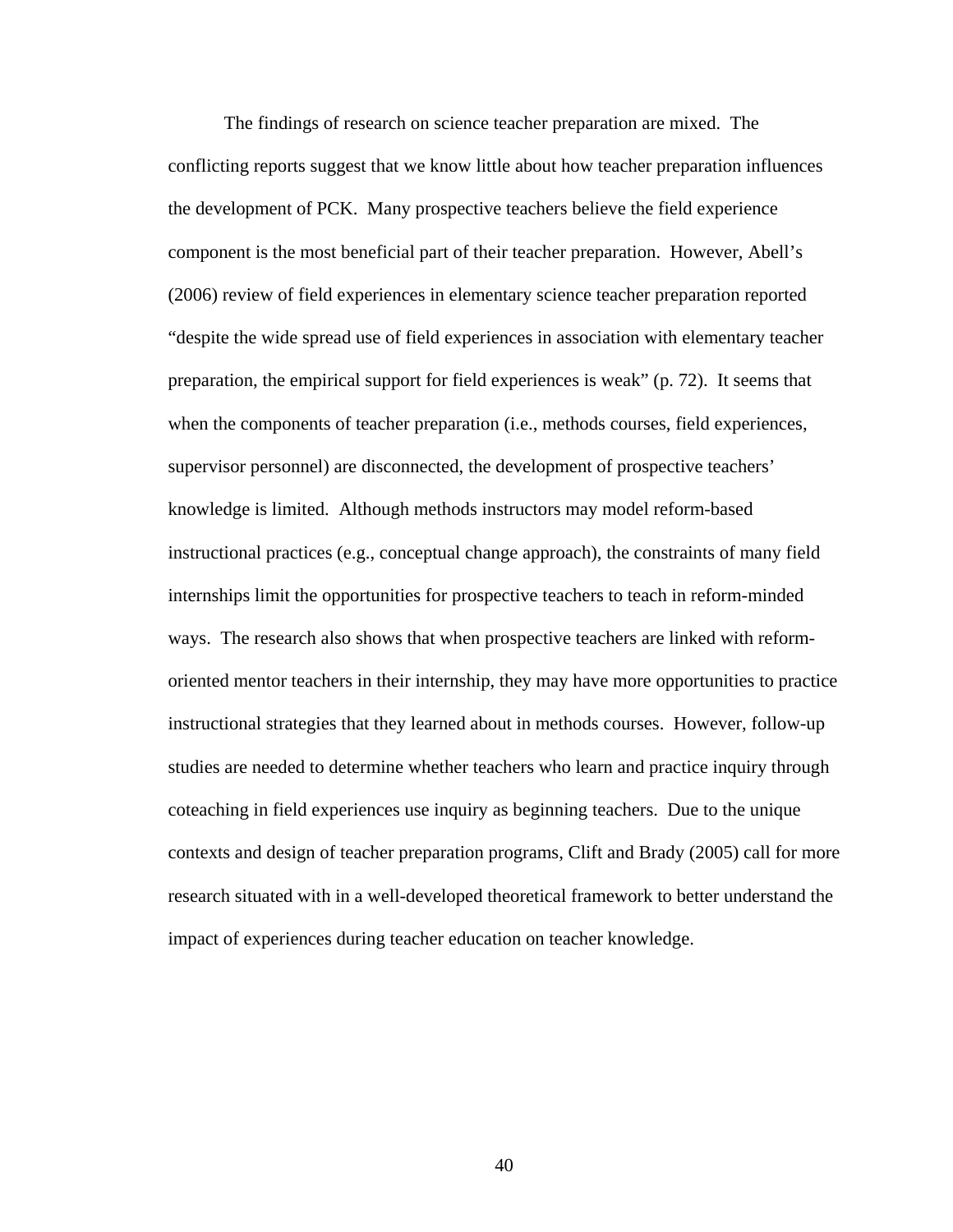The findings of research on science teacher preparation are mixed. The conflicting reports suggest that we know little about how teacher preparation influences the development of PCK. Many prospective teachers believe the field experience component is the most beneficial part of their teacher preparation. However, Abell's (2006) review of field experiences in elementary science teacher preparation reported "despite the wide spread use of field experiences in association with elementary teacher preparation, the empirical support for field experiences is weak" (p. 72). It seems that when the components of teacher preparation (i.e., methods courses, field experiences, supervisor personnel) are disconnected, the development of prospective teachers' knowledge is limited. Although methods instructors may model reform-based instructional practices (e.g., conceptual change approach), the constraints of many field internships limit the opportunities for prospective teachers to teach in reform-minded ways. The research also shows that when prospective teachers are linked with reformoriented mentor teachers in their internship, they may have more opportunities to practice instructional strategies that they learned about in methods courses. However, follow-up studies are needed to determine whether teachers who learn and practice inquiry through coteaching in field experiences use inquiry as beginning teachers. Due to the unique contexts and design of teacher preparation programs, Clift and Brady (2005) call for more research situated with in a well-developed theoretical framework to better understand the impact of experiences during teacher education on teacher knowledge.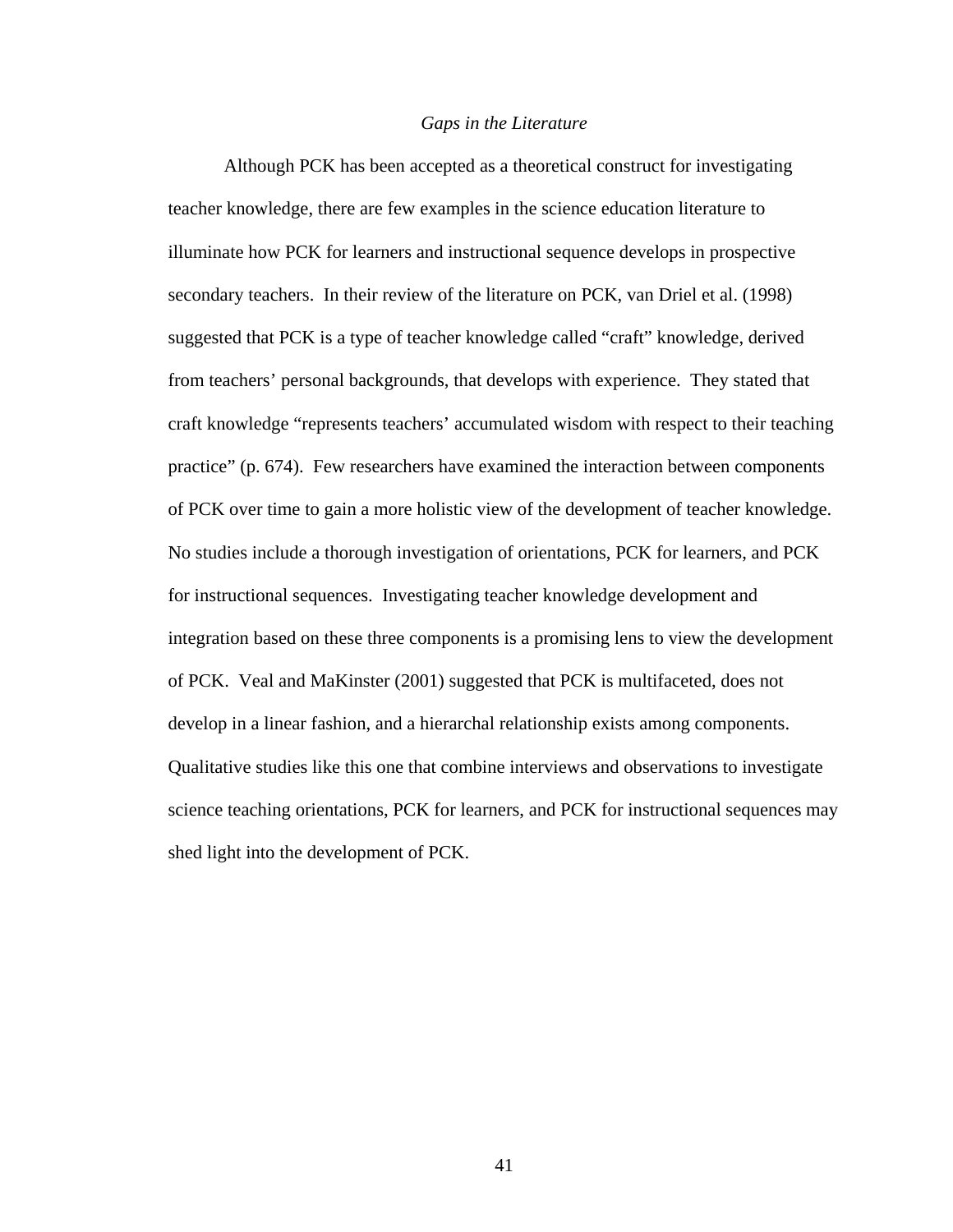#### *Gaps in the Literature*

Although PCK has been accepted as a theoretical construct for investigating teacher knowledge, there are few examples in the science education literature to illuminate how PCK for learners and instructional sequence develops in prospective secondary teachers. In their review of the literature on PCK, van Driel et al. (1998) suggested that PCK is a type of teacher knowledge called "craft" knowledge, derived from teachers' personal backgrounds, that develops with experience. They stated that craft knowledge "represents teachers' accumulated wisdom with respect to their teaching practice" (p. 674). Few researchers have examined the interaction between components of PCK over time to gain a more holistic view of the development of teacher knowledge. No studies include a thorough investigation of orientations, PCK for learners, and PCK for instructional sequences. Investigating teacher knowledge development and integration based on these three components is a promising lens to view the development of PCK. Veal and MaKinster (2001) suggested that PCK is multifaceted, does not develop in a linear fashion, and a hierarchal relationship exists among components. Qualitative studies like this one that combine interviews and observations to investigate science teaching orientations, PCK for learners, and PCK for instructional sequences may shed light into the development of PCK.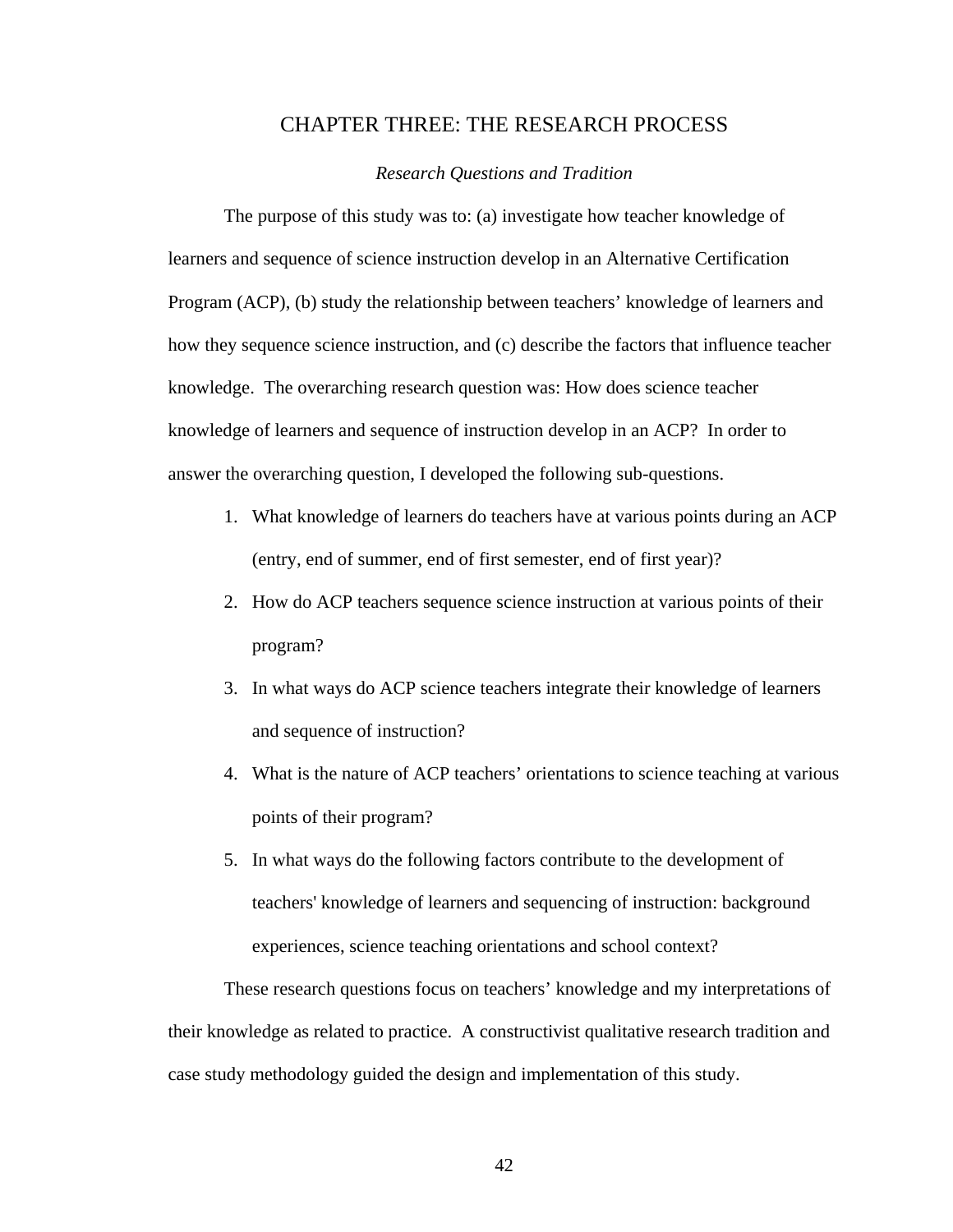# CHAPTER THREE: THE RESEARCH PROCESS

## *Research Questions and Tradition*

The purpose of this study was to: (a) investigate how teacher knowledge of learners and sequence of science instruction develop in an Alternative Certification Program (ACP), (b) study the relationship between teachers' knowledge of learners and how they sequence science instruction, and (c) describe the factors that influence teacher knowledge. The overarching research question was: How does science teacher knowledge of learners and sequence of instruction develop in an ACP? In order to answer the overarching question, I developed the following sub-questions.

- 1. What knowledge of learners do teachers have at various points during an ACP (entry, end of summer, end of first semester, end of first year)?
- 2. How do ACP teachers sequence science instruction at various points of their program?
- 3. In what ways do ACP science teachers integrate their knowledge of learners and sequence of instruction?
- 4. What is the nature of ACP teachers' orientations to science teaching at various points of their program?
- 5. In what ways do the following factors contribute to the development of teachers' knowledge of learners and sequencing of instruction: background experiences, science teaching orientations and school context?

These research questions focus on teachers' knowledge and my interpretations of their knowledge as related to practice. A constructivist qualitative research tradition and case study methodology guided the design and implementation of this study.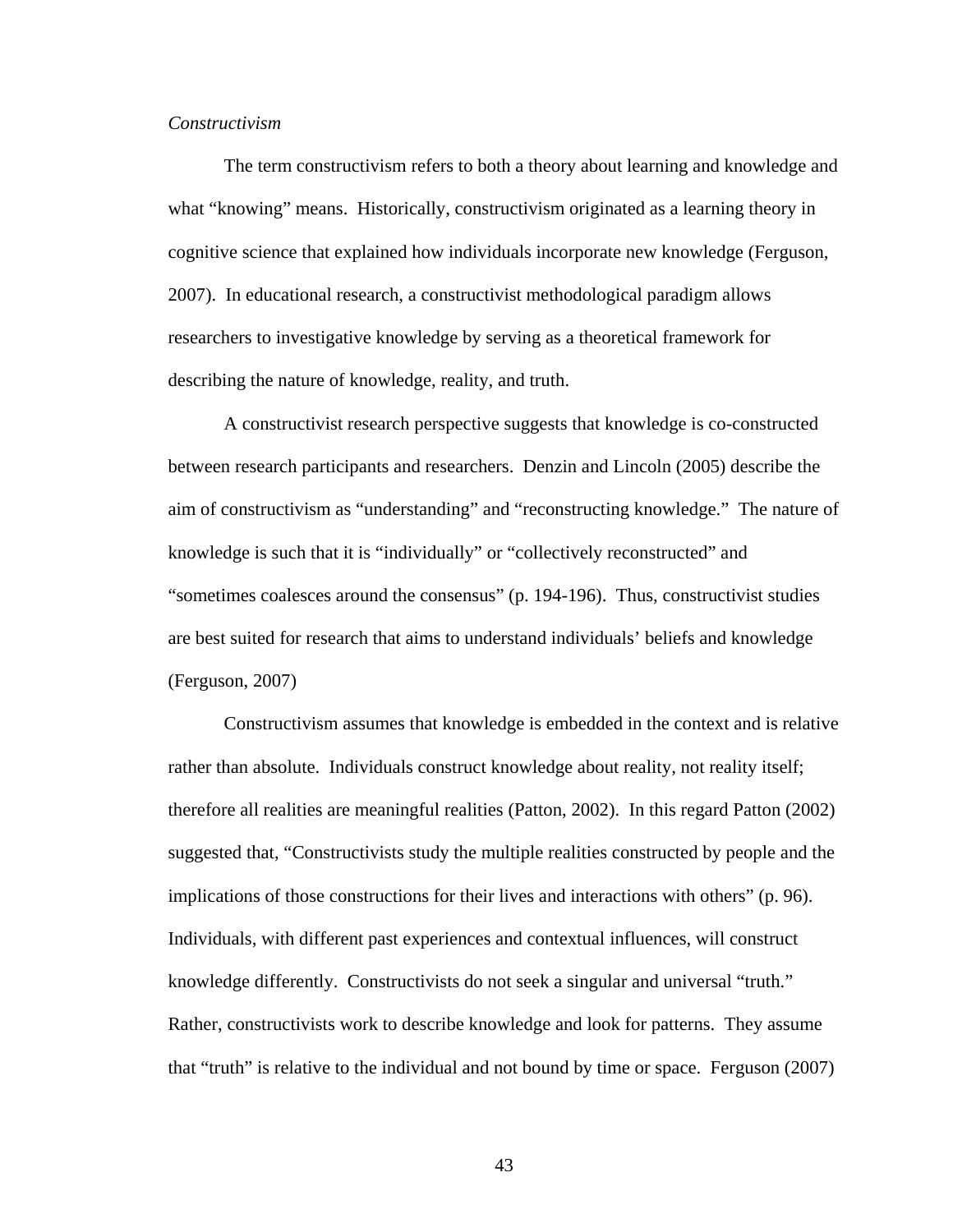## *Constructivism*

The term constructivism refers to both a theory about learning and knowledge and what "knowing" means. Historically, constructivism originated as a learning theory in cognitive science that explained how individuals incorporate new knowledge (Ferguson, 2007). In educational research, a constructivist methodological paradigm allows researchers to investigative knowledge by serving as a theoretical framework for describing the nature of knowledge, reality, and truth.

A constructivist research perspective suggests that knowledge is co-constructed between research participants and researchers. Denzin and Lincoln (2005) describe the aim of constructivism as "understanding" and "reconstructing knowledge." The nature of knowledge is such that it is "individually" or "collectively reconstructed" and "sometimes coalesces around the consensus" (p. 194-196). Thus, constructivist studies are best suited for research that aims to understand individuals' beliefs and knowledge (Ferguson, 2007)

Constructivism assumes that knowledge is embedded in the context and is relative rather than absolute. Individuals construct knowledge about reality, not reality itself; therefore all realities are meaningful realities (Patton, 2002). In this regard Patton (2002) suggested that, "Constructivists study the multiple realities constructed by people and the implications of those constructions for their lives and interactions with others" (p. 96). Individuals, with different past experiences and contextual influences, will construct knowledge differently. Constructivists do not seek a singular and universal "truth." Rather, constructivists work to describe knowledge and look for patterns. They assume that "truth" is relative to the individual and not bound by time or space. Ferguson (2007)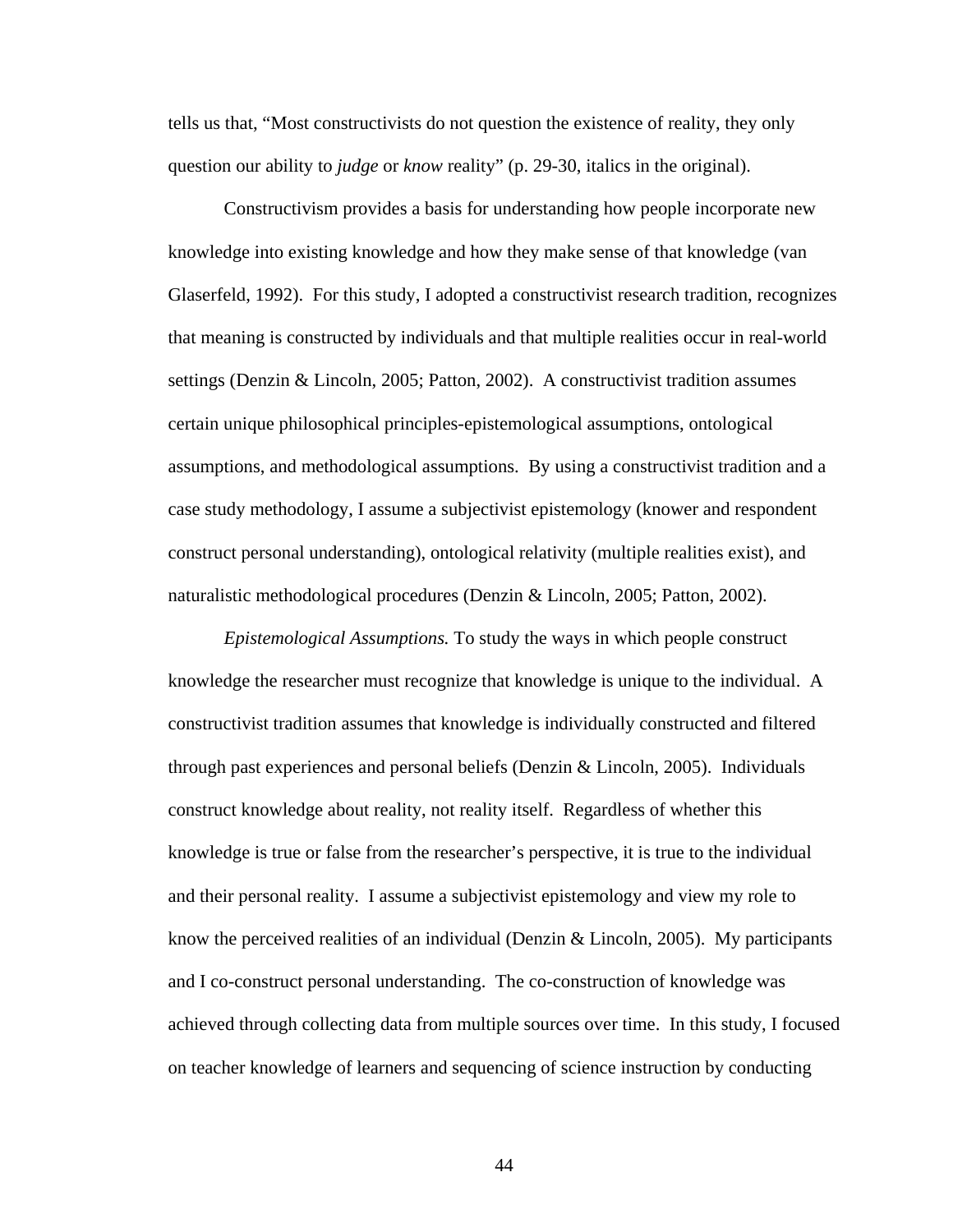tells us that, "Most constructivists do not question the existence of reality, they only question our ability to *judge* or *know* reality" (p. 29-30, italics in the original).

Constructivism provides a basis for understanding how people incorporate new knowledge into existing knowledge and how they make sense of that knowledge (van Glaserfeld, 1992). For this study, I adopted a constructivist research tradition, recognizes that meaning is constructed by individuals and that multiple realities occur in real-world settings (Denzin & Lincoln, 2005; Patton, 2002). A constructivist tradition assumes certain unique philosophical principles-epistemological assumptions, ontological assumptions, and methodological assumptions. By using a constructivist tradition and a case study methodology, I assume a subjectivist epistemology (knower and respondent construct personal understanding), ontological relativity (multiple realities exist), and naturalistic methodological procedures (Denzin & Lincoln, 2005; Patton, 2002).

*Epistemological Assumptions.* To study the ways in which people construct knowledge the researcher must recognize that knowledge is unique to the individual. A constructivist tradition assumes that knowledge is individually constructed and filtered through past experiences and personal beliefs (Denzin & Lincoln, 2005). Individuals construct knowledge about reality, not reality itself. Regardless of whether this knowledge is true or false from the researcher's perspective, it is true to the individual and their personal reality. I assume a subjectivist epistemology and view my role to know the perceived realities of an individual (Denzin & Lincoln, 2005). My participants and I co-construct personal understanding. The co-construction of knowledge was achieved through collecting data from multiple sources over time. In this study, I focused on teacher knowledge of learners and sequencing of science instruction by conducting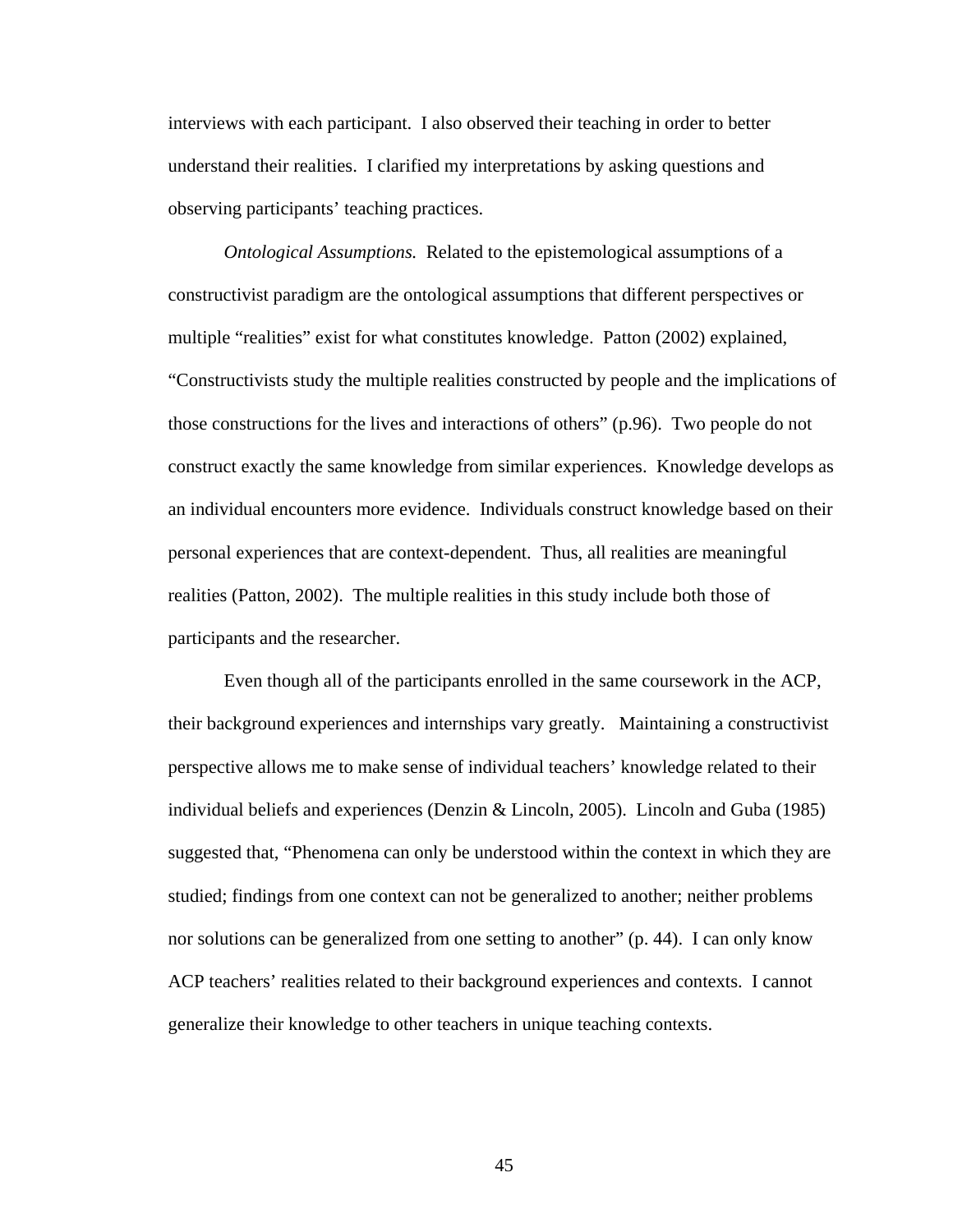interviews with each participant. I also observed their teaching in order to better understand their realities. I clarified my interpretations by asking questions and observing participants' teaching practices.

*Ontological Assumptions.* Related to the epistemological assumptions of a constructivist paradigm are the ontological assumptions that different perspectives or multiple "realities" exist for what constitutes knowledge. Patton (2002) explained, "Constructivists study the multiple realities constructed by people and the implications of those constructions for the lives and interactions of others" (p.96). Two people do not construct exactly the same knowledge from similar experiences. Knowledge develops as an individual encounters more evidence. Individuals construct knowledge based on their personal experiences that are context-dependent. Thus, all realities are meaningful realities (Patton, 2002). The multiple realities in this study include both those of participants and the researcher.

Even though all of the participants enrolled in the same coursework in the ACP, their background experiences and internships vary greatly. Maintaining a constructivist perspective allows me to make sense of individual teachers' knowledge related to their individual beliefs and experiences (Denzin & Lincoln, 2005). Lincoln and Guba (1985) suggested that, "Phenomena can only be understood within the context in which they are studied; findings from one context can not be generalized to another; neither problems nor solutions can be generalized from one setting to another" (p. 44). I can only know ACP teachers' realities related to their background experiences and contexts. I cannot generalize their knowledge to other teachers in unique teaching contexts.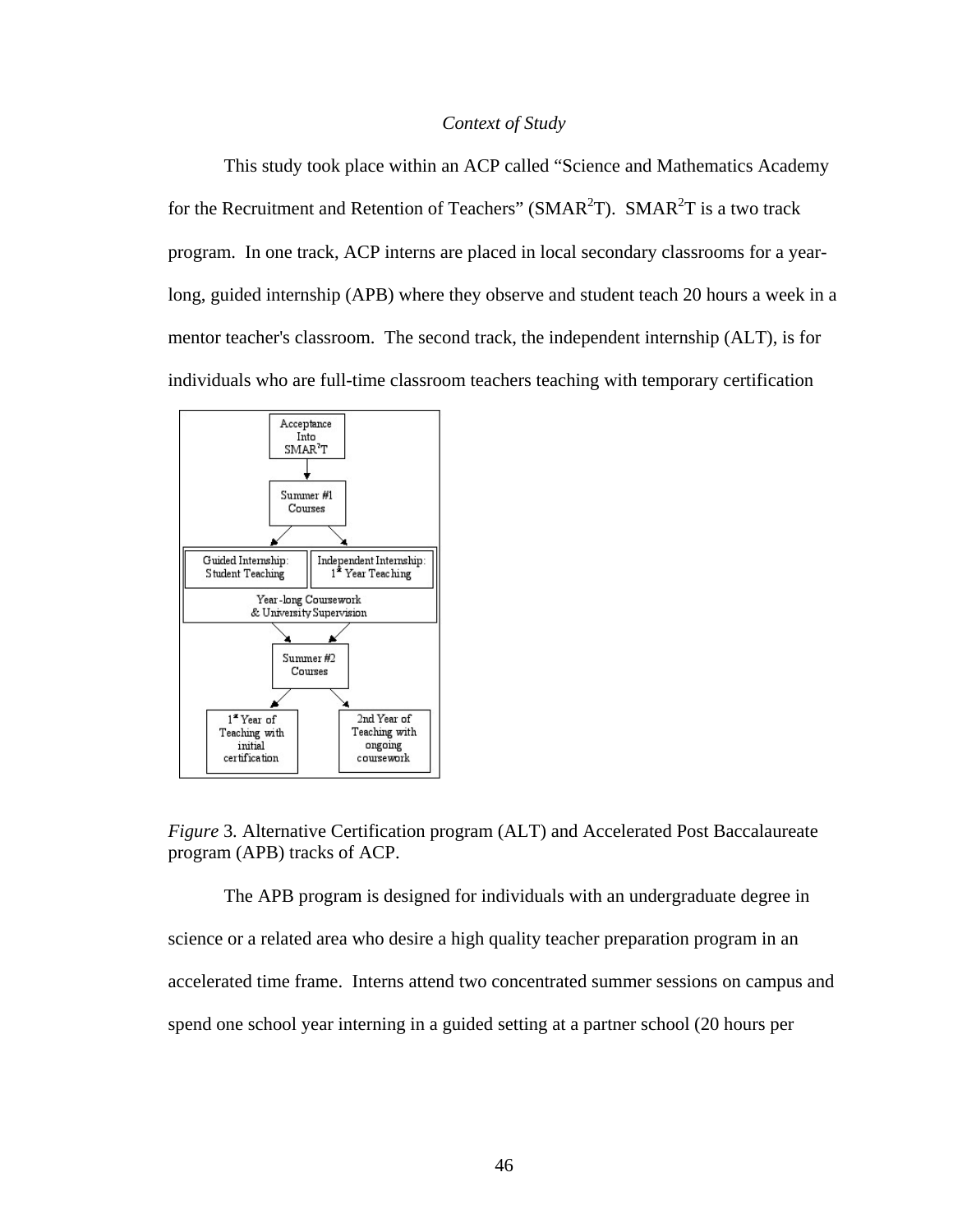## *Context of Study*

This study took place within an ACP called "Science and Mathematics Academy for the Recruitment and Retention of Teachers" ( $SMAR<sup>2</sup>T$ ).  $SMAR<sup>2</sup>T$  is a two track program. In one track, ACP interns are placed in local secondary classrooms for a yearlong, guided internship (APB) where they observe and student teach 20 hours a week in a mentor teacher's classroom. The second track, the independent internship (ALT), is for individuals who are full-time classroom teachers teaching with temporary certification



*Figure* 3*.* Alternative Certification program (ALT) and Accelerated Post Baccalaureate program (APB) tracks of ACP.

The APB program is designed for individuals with an undergraduate degree in science or a related area who desire a high quality teacher preparation program in an accelerated time frame. Interns attend two concentrated summer sessions on campus and spend one school year interning in a guided setting at a partner school (20 hours per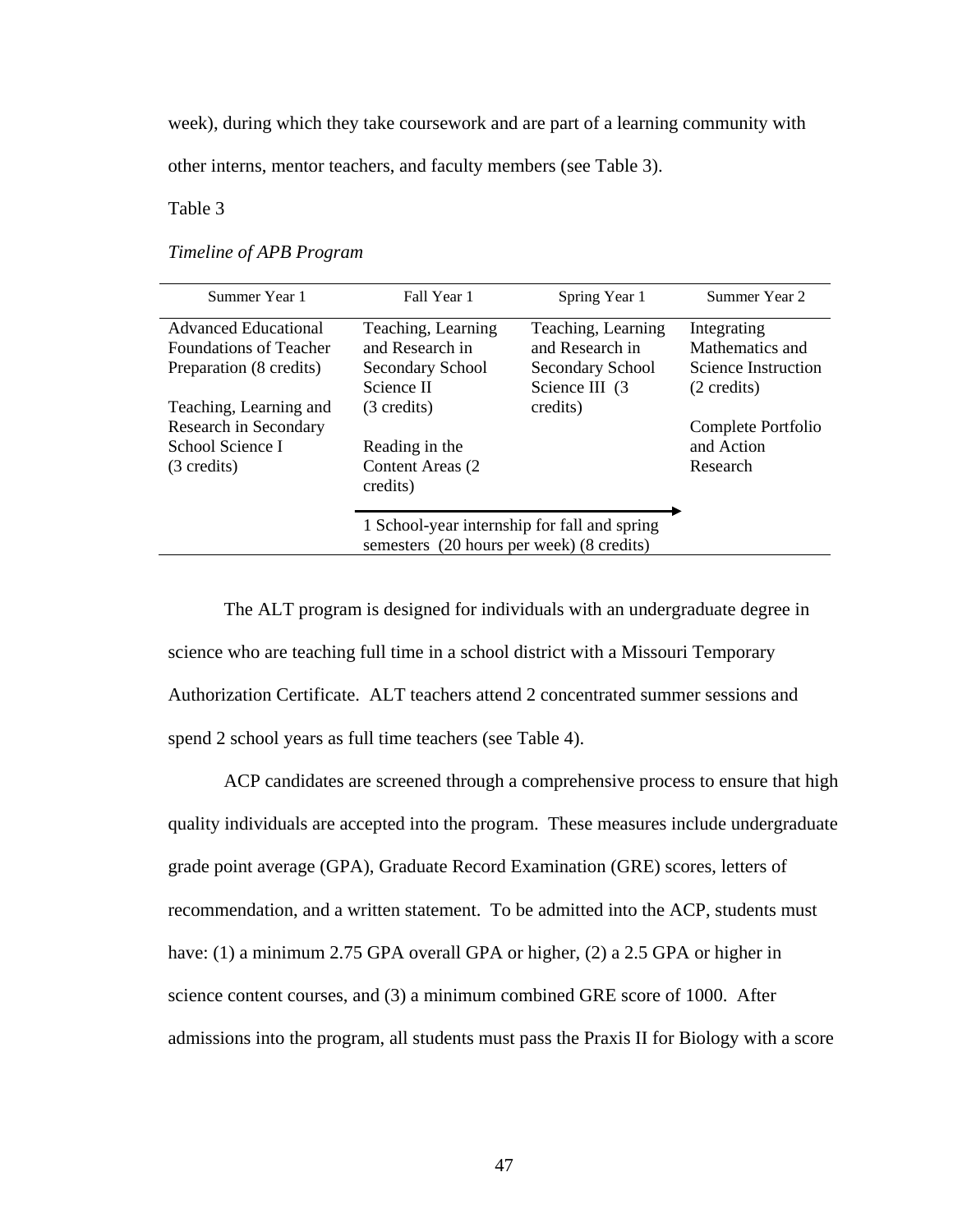week), during which they take coursework and are part of a learning community with

other interns, mentor teachers, and faculty members (see Table 3).

Table 3 *Timeline of APB Program*

## *Timeline of APB Program*

| Summer Year 1                                                                      | Fall Year 1                                                                               | Spring Year 1                                                                | Summer Year 2                                                                  |
|------------------------------------------------------------------------------------|-------------------------------------------------------------------------------------------|------------------------------------------------------------------------------|--------------------------------------------------------------------------------|
| <b>Advanced Educational</b><br>Foundations of Teacher<br>Preparation (8 credits)   | Teaching, Learning<br>and Research in<br>Secondary School<br>Science II                   | Teaching, Learning<br>and Research in<br>Secondary School<br>Science III (3) | Integrating<br>Mathematics and<br>Science Instruction<br>$(2 \text{ credits})$ |
| Teaching, Learning and<br>Research in Secondary<br>School Science I<br>(3 credits) | (3 credits)<br>Reading in the<br>Content Areas (2)<br>credits)                            | credits)                                                                     | Complete Portfolio<br>and Action<br>Research                                   |
|                                                                                    | 1 School-year internship for fall and spring<br>semesters (20 hours per week) (8 credits) |                                                                              |                                                                                |

The ALT program is designed for individuals with an undergraduate degree in science who are teaching full time in a school district with a Missouri Temporary Authorization Certificate. ALT teachers attend 2 concentrated summer sessions and spend 2 school years as full time teachers (see Table 4).

ACP candidates are screened through a comprehensive process to ensure that high quality individuals are accepted into the program. These measures include undergraduate grade point average (GPA), Graduate Record Examination (GRE) scores, letters of recommendation, and a written statement. To be admitted into the ACP, students must have: (1) a minimum 2.75 GPA overall GPA or higher, (2) a 2.5 GPA or higher in science content courses, and (3) a minimum combined GRE score of 1000. After admissions into the program, all students must pass the Praxis II for Biology with a score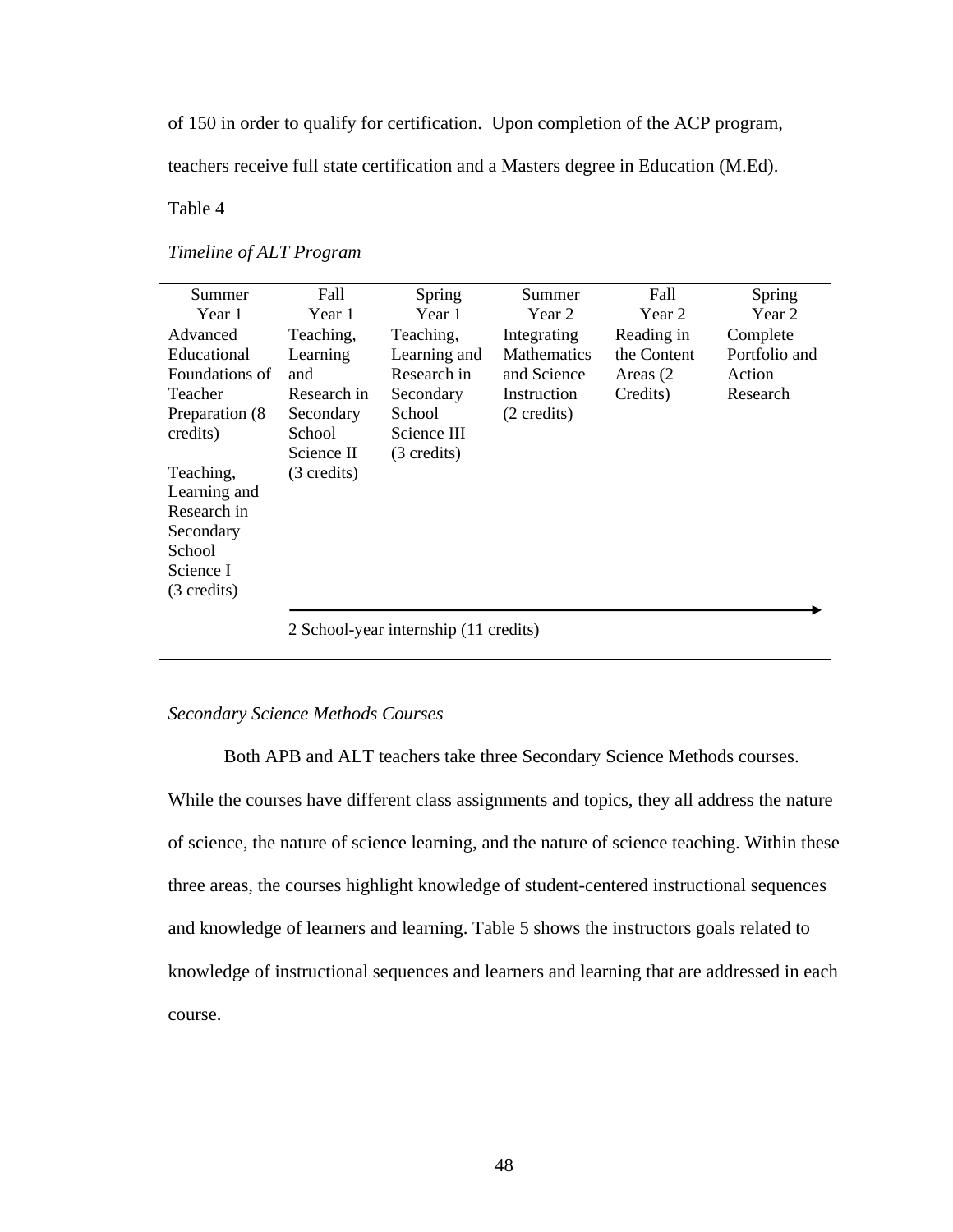of 150 in order to qualify for certification. Upon completion of the ACP program,

teachers receive full state certification and a Masters degree in Education (M.Ed).

Table 4 *Timeline of ALT Program* 

## *Timeline of ALT Program*

| Summer          | Fall        | Spring                                           | Summer             | Fall        | Spring        |
|-----------------|-------------|--------------------------------------------------|--------------------|-------------|---------------|
| Year 1          | Year 1      | Year 1                                           | Year 2             | Year 2      | Year 2        |
| Advanced        | Teaching,   | Teaching,                                        | Integrating        | Reading in  | Complete      |
| Educational     | Learning    | Learning and                                     | <b>Mathematics</b> | the Content | Portfolio and |
| Foundations of  | and         | Research in                                      | and Science        | Areas (2)   | Action        |
| Teacher         | Research in | Secondary                                        | Instruction        | Credits)    | Research      |
| Preparation (8) | Secondary   | <b>School</b>                                    | (2 credits)        |             |               |
| credits)        | School      | Science III                                      |                    |             |               |
|                 | Science II  | $(3 \text{ credits})$                            |                    |             |               |
| Teaching,       | (3 credits) |                                                  |                    |             |               |
| Learning and    |             |                                                  |                    |             |               |
| Research in     |             |                                                  |                    |             |               |
| Secondary       |             |                                                  |                    |             |               |
| School          |             |                                                  |                    |             |               |
| Science I       |             |                                                  |                    |             |               |
| (3 credits)     |             |                                                  |                    |             |               |
|                 |             |                                                  |                    |             |               |
|                 |             | $2$ Sakaal yaan intamahin $(11 \text{ and ita})$ |                    |             |               |

2 School-year internship (11 credits)

# *Secondary Science Methods Courses*

Both APB and ALT teachers take three Secondary Science Methods courses.

While the courses have different class assignments and topics, they all address the nature of science, the nature of science learning, and the nature of science teaching. Within these three areas, the courses highlight knowledge of student-centered instructional sequences and knowledge of learners and learning. Table 5 shows the instructors goals related to knowledge of instructional sequences and learners and learning that are addressed in each course.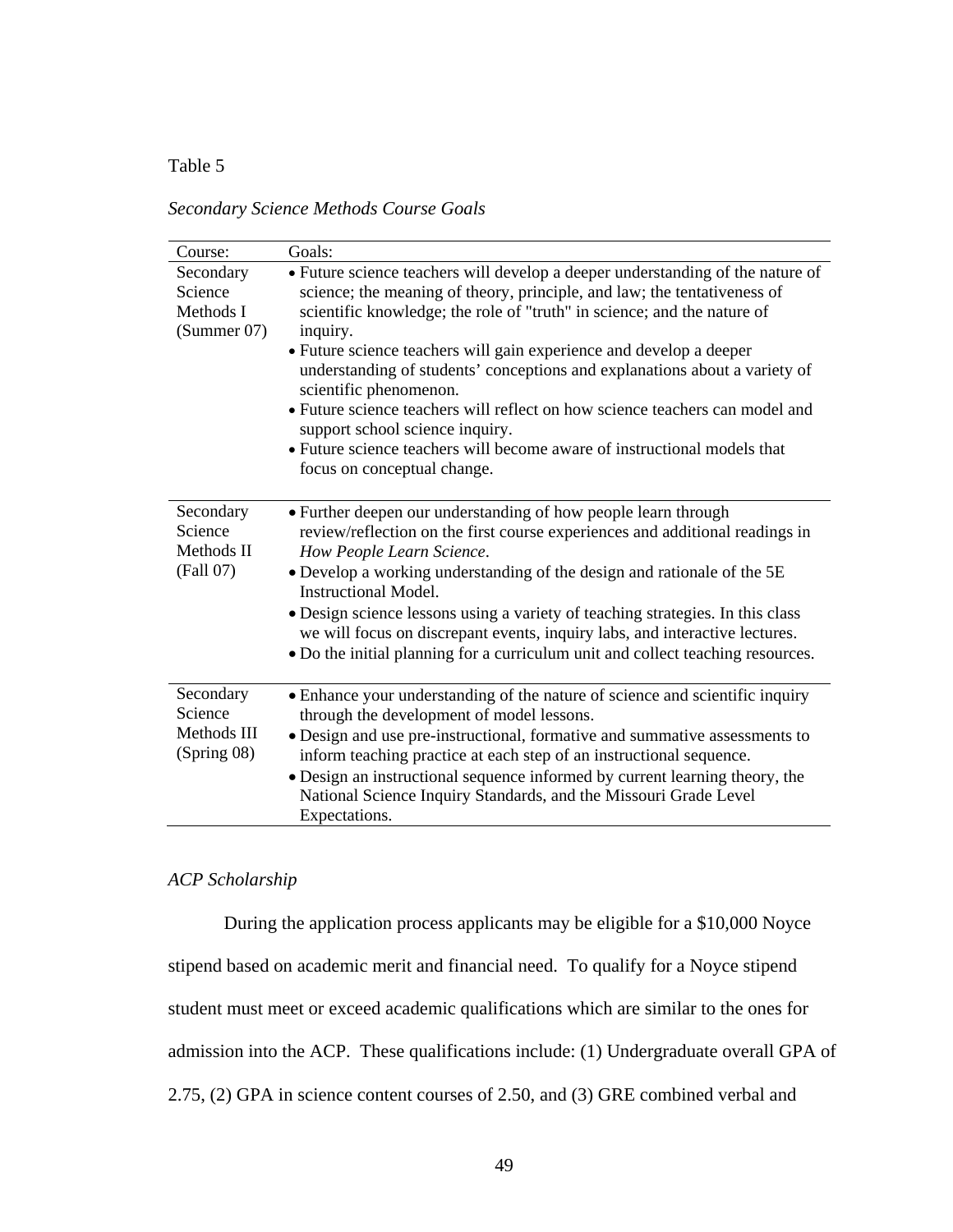# Table 5 *Secondary Science Methods Course Goals*

*Secondary Science Methods Course Goals* 

| Course:                                            | Goals:                                                                                                                                                                                                                                                                                                                                                                                                                                                                                                                                              |
|----------------------------------------------------|-----------------------------------------------------------------------------------------------------------------------------------------------------------------------------------------------------------------------------------------------------------------------------------------------------------------------------------------------------------------------------------------------------------------------------------------------------------------------------------------------------------------------------------------------------|
| Secondary<br>Science<br>Methods I<br>(Summer 07)   | • Future science teachers will develop a deeper understanding of the nature of<br>science; the meaning of theory, principle, and law; the tentativeness of<br>scientific knowledge; the role of "truth" in science; and the nature of<br>inquiry.<br>• Future science teachers will gain experience and develop a deeper<br>understanding of students' conceptions and explanations about a variety of<br>scientific phenomenon.<br>• Future science teachers will reflect on how science teachers can model and<br>support school science inquiry. |
|                                                    | • Future science teachers will become aware of instructional models that<br>focus on conceptual change.                                                                                                                                                                                                                                                                                                                                                                                                                                             |
| Secondary<br>Science<br>Methods II<br>(Fall 07)    | • Further deepen our understanding of how people learn through<br>review/reflection on the first course experiences and additional readings in<br>How People Learn Science.<br>• Develop a working understanding of the design and rationale of the 5E<br><b>Instructional Model.</b><br>· Design science lessons using a variety of teaching strategies. In this class<br>we will focus on discrepant events, inquiry labs, and interactive lectures.<br>• Do the initial planning for a curriculum unit and collect teaching resources.           |
| Secondary<br>Science<br>Methods III<br>(Spring 08) | • Enhance your understanding of the nature of science and scientific inquiry<br>through the development of model lessons.<br>· Design and use pre-instructional, formative and summative assessments to<br>inform teaching practice at each step of an instructional sequence.<br>• Design an instructional sequence informed by current learning theory, the<br>National Science Inquiry Standards, and the Missouri Grade Level<br>Expectations.                                                                                                  |

# *ACP Scholarship*

During the application process applicants may be eligible for a [\\$10,000 Noyce](http://www.smar2t.missouri.edu/noyce.html)  [stipend](http://www.smar2t.missouri.edu/noyce.html) based on academic merit and financial need. To qualify for a Noyce stipend student must meet or exceed academic qualifications which are similar to the ones for admission into the ACP. These qualifications include: (1) Undergraduate overall GPA of 2.75, (2) GPA in science content courses of 2.50, and (3) GRE combined verbal and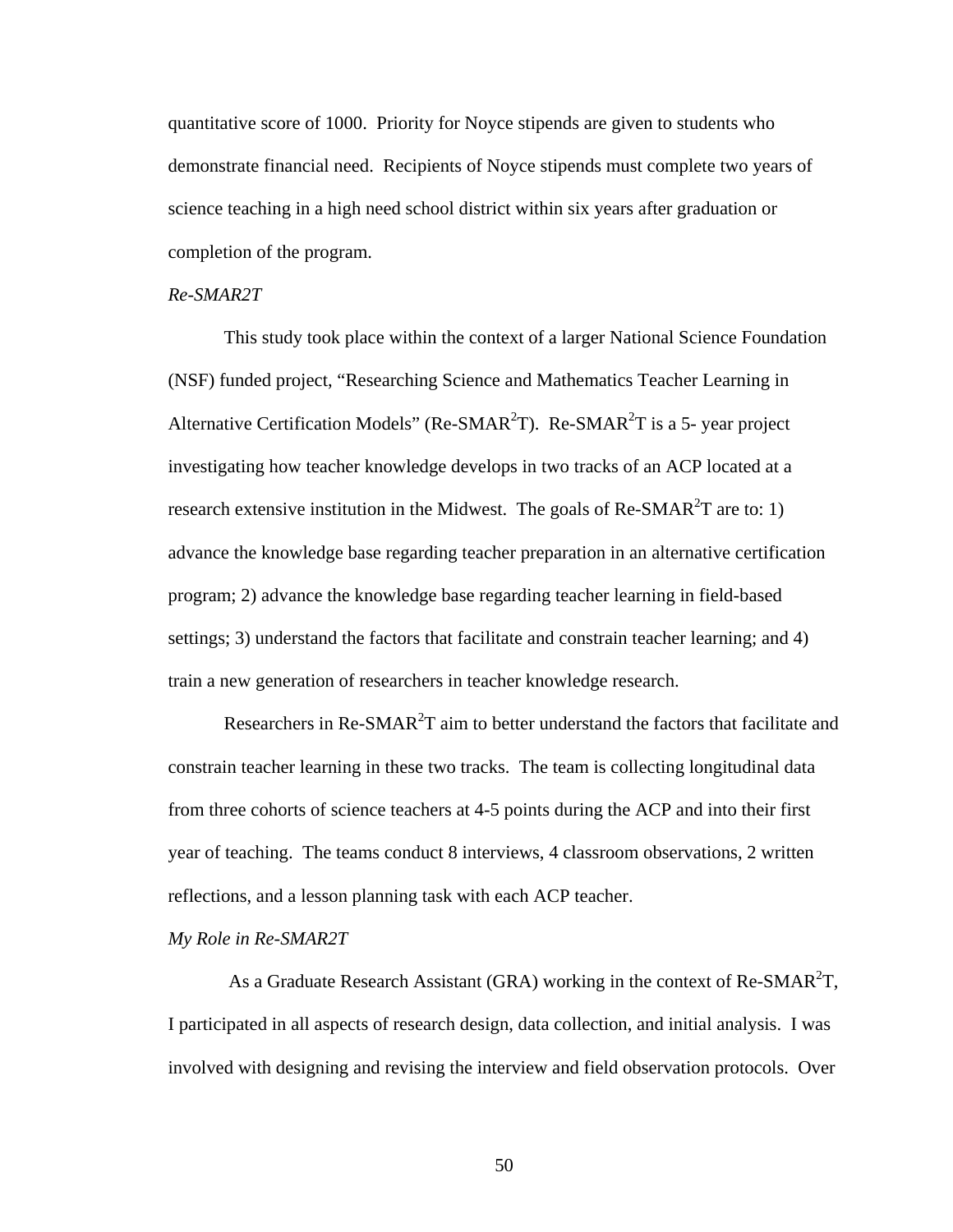quantitative score of 1000. Priority for Noyce stipends are given to students who demonstrate financial need. Recipients of Noyce stipends must complete two years of science teaching in a high need school district within six years after graduation or completion of the program.

# *Re-SMAR2T*

This study took place within the context of a larger National Science Foundation (NSF) funded project, "Researching Science and Mathematics Teacher Learning in Alternative Certification Models" (Re-SMAR<sup>2</sup>T). Re-SMAR<sup>2</sup>T is a 5- year project investigating how teacher knowledge develops in two tracks of an ACP located at a research extensive institution in the Midwest. The goals of Re-SMAR<sup>2</sup>T are to: 1) advance the knowledge base regarding teacher preparation in an alternative certification program; 2) advance the knowledge base regarding teacher learning in field-based settings; 3) understand the factors that facilitate and constrain teacher learning; and 4) train a new generation of researchers in teacher knowledge research.

Researchers in Re-SMAR<sup>2</sup>T aim to better understand the factors that facilitate and constrain teacher learning in these two tracks. The team is collecting longitudinal data from three cohorts of science teachers at 4-5 points during the ACP and into their first year of teaching. The teams conduct 8 interviews, 4 classroom observations, 2 written reflections, and a lesson planning task with each ACP teacher.

#### *My Role in Re-SMAR2T*

As a Graduate Research Assistant (GRA) working in the context of Re-SMAR<sup>2</sup>T, I participated in all aspects of research design, data collection, and initial analysis. I was involved with designing and revising the interview and field observation protocols. Over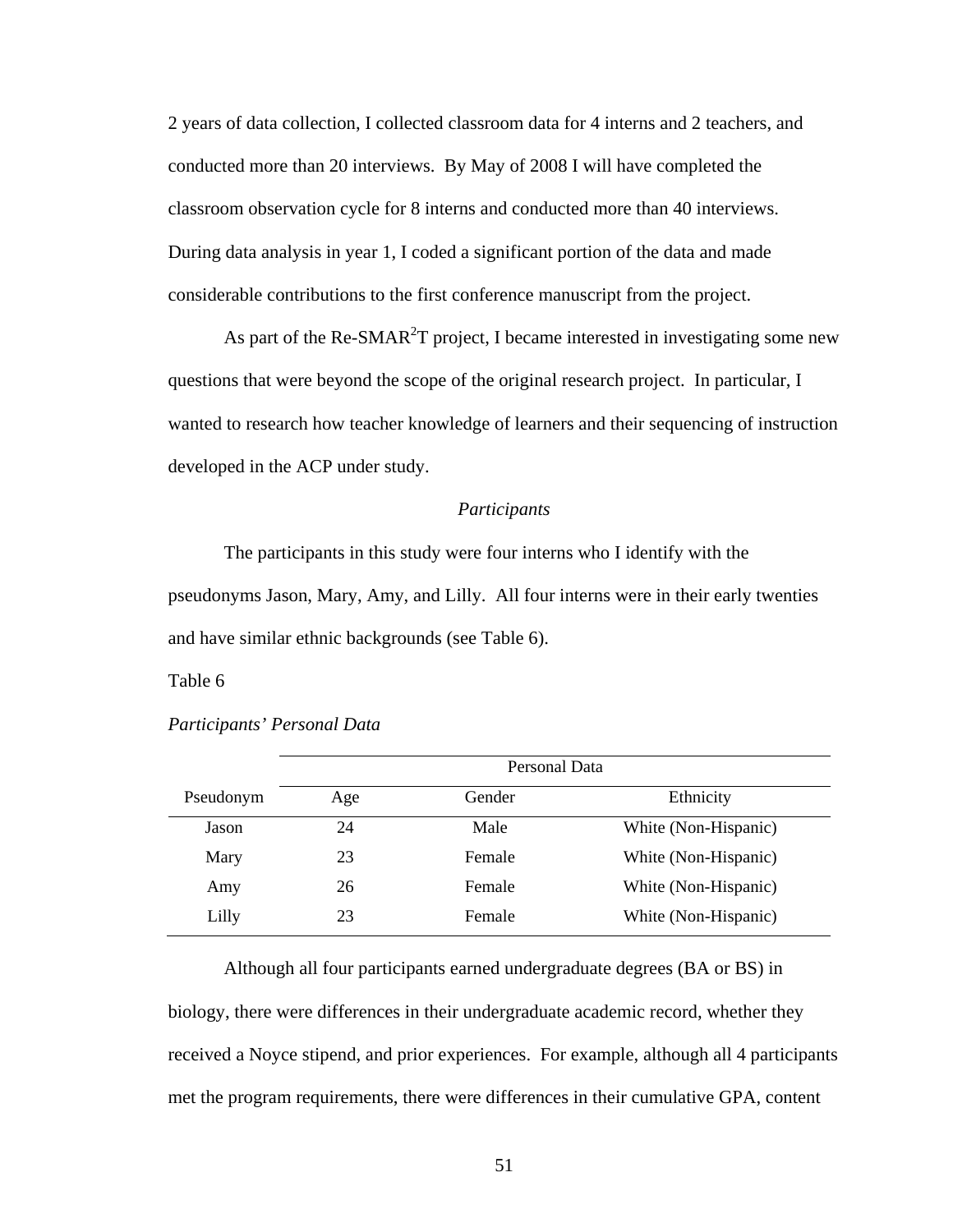2 years of data collection, I collected classroom data for 4 interns and 2 teachers, and conducted more than 20 interviews. By May of 2008 I will have completed the classroom observation cycle for 8 interns and conducted more than 40 interviews. During data analysis in year 1, I coded a significant portion of the data and made considerable contributions to the first conference manuscript from the project.

As part of the Re-SMAR<sup>2</sup>T project, I became interested in investigating some new questions that were beyond the scope of the original research project. In particular, I wanted to research how teacher knowledge of learners and their sequencing of instruction developed in the ACP under study.

#### *Participants*

 The participants in this study were four interns who I identify with the pseudonyms Jason, Mary, Amy, and Lilly. All four interns were in their early twenties and have similar ethnic backgrounds (see Table 6).

Table 6 *Participants' Personal Data*

|           | Personal Data |        |                      |  |
|-----------|---------------|--------|----------------------|--|
| Pseudonym | Age           | Gender | Ethnicity            |  |
| Jason     | 24            | Male   | White (Non-Hispanic) |  |
| Mary      | 23            | Female | White (Non-Hispanic) |  |
| Amy       | 26            | Female | White (Non-Hispanic) |  |
| Lilly     | 23            | Female | White (Non-Hispanic) |  |

*Participants' Personal Data* 

 Although all four participants earned undergraduate degrees (BA or BS) in biology, there were differences in their undergraduate academic record, whether they received a Noyce stipend, and prior experiences. For example, although all 4 participants met the program requirements, there were differences in their cumulative GPA, content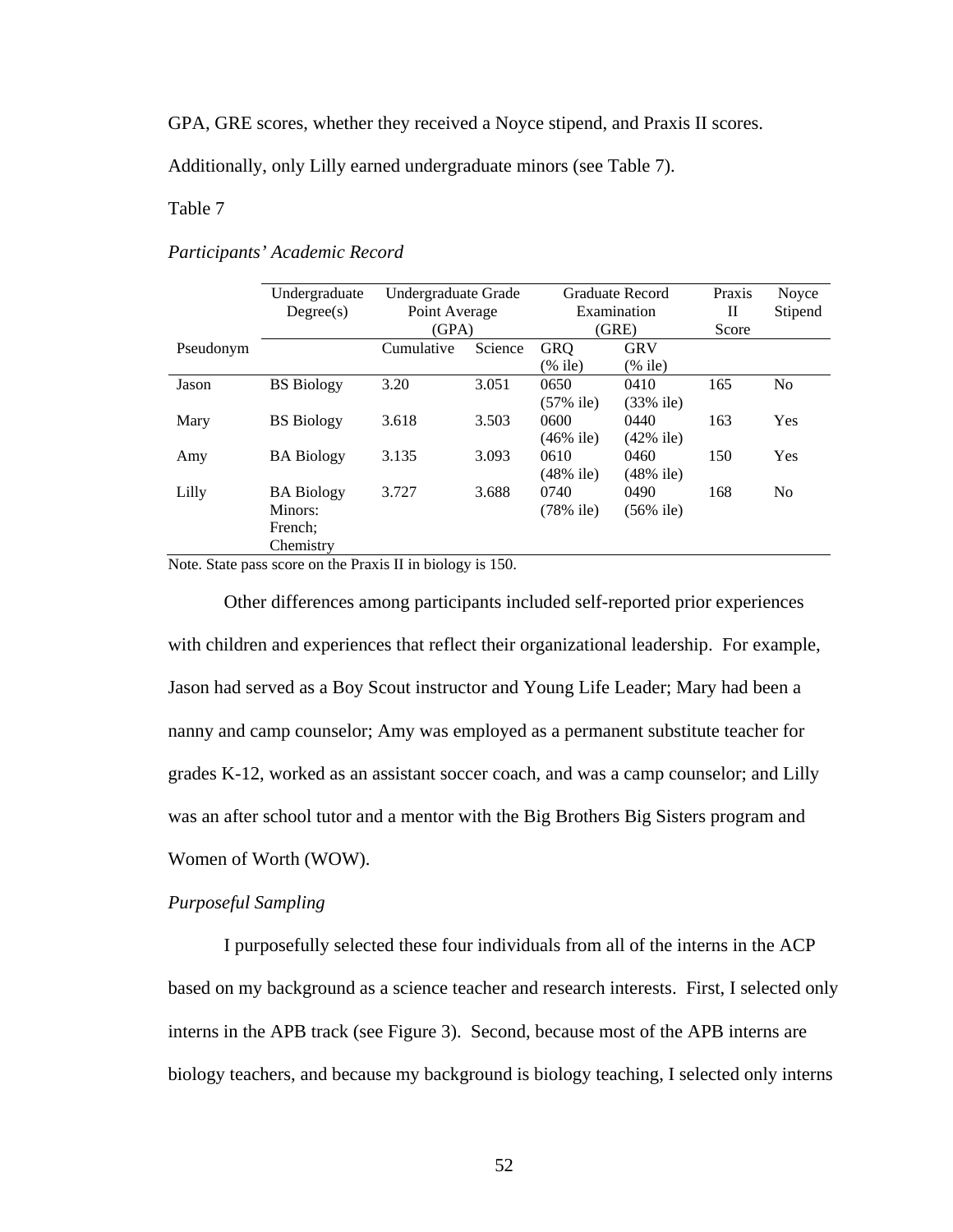GPA, GRE scores, whether they received a Noyce stipend, and Praxis II scores.

Additionally, only Lilly earned undergraduate minors (see Table 7).

## Table 7 *Participants' Academic Record*

## *Participants' Academic Record*

|           | Undergraduate     | Undergraduate Grade |         | Graduate Record |              | Praxis | Noyce          |
|-----------|-------------------|---------------------|---------|-----------------|--------------|--------|----------------|
|           | Degree(s)         | Point Average       |         | Examination     |              | П      | Stipend        |
|           |                   | (GPA)               |         | (GRE)           |              | Score  |                |
| Pseudonym |                   | Cumulative          | Science | <b>GRQ</b>      | <b>GRV</b>   |        |                |
|           |                   |                     |         | $(\%$ ile)      | $(\%$ ile)   |        |                |
| Jason     | <b>BS</b> Biology | 3.20                | 3.051   | 0650            | 0410         | 165    | N <sub>o</sub> |
|           |                   |                     |         | $(57\%$ ile)    | $(33\%$ ile) |        |                |
| Mary      | <b>BS</b> Biology | 3.618               | 3.503   | 0600            | 0440         | 163    | Yes            |
|           |                   |                     |         | $(46\%$ ile)    | $(42\%$ ile) |        |                |
| Amy       | <b>BA</b> Biology | 3.135               | 3.093   | 0610            | 0460         | 150    | Yes            |
|           |                   |                     |         | $(48\%$ ile)    | $(48\%$ ile) |        |                |
| Lilly     | <b>BA Biology</b> | 3.727               | 3.688   | 0740            | 0490         | 168    | N <sub>o</sub> |
|           | Minors:           |                     |         | $(78\%$ ile)    | $(56\%$ ile) |        |                |
|           | French:           |                     |         |                 |              |        |                |
|           | Chemistry         |                     |         |                 |              |        |                |

Note. State pass score on the Praxis II in biology is 150.

Other differences among participants included self-reported prior experiences with children and experiences that reflect their organizational leadership. For example, Jason had served as a Boy Scout instructor and Young Life Leader; Mary had been a nanny and camp counselor; Amy was employed as a permanent substitute teacher for grades K-12, worked as an assistant soccer coach, and was a camp counselor; and Lilly was an after school tutor and a mentor with the Big Brothers Big Sisters program and Women of Worth (WOW).

## *Purposeful Sampling*

I purposefully selected these four individuals from all of the interns in the ACP based on my background as a science teacher and research interests. First, I selected only interns in the APB track (see Figure 3). Second, because most of the APB interns are biology teachers, and because my background is biology teaching, I selected only interns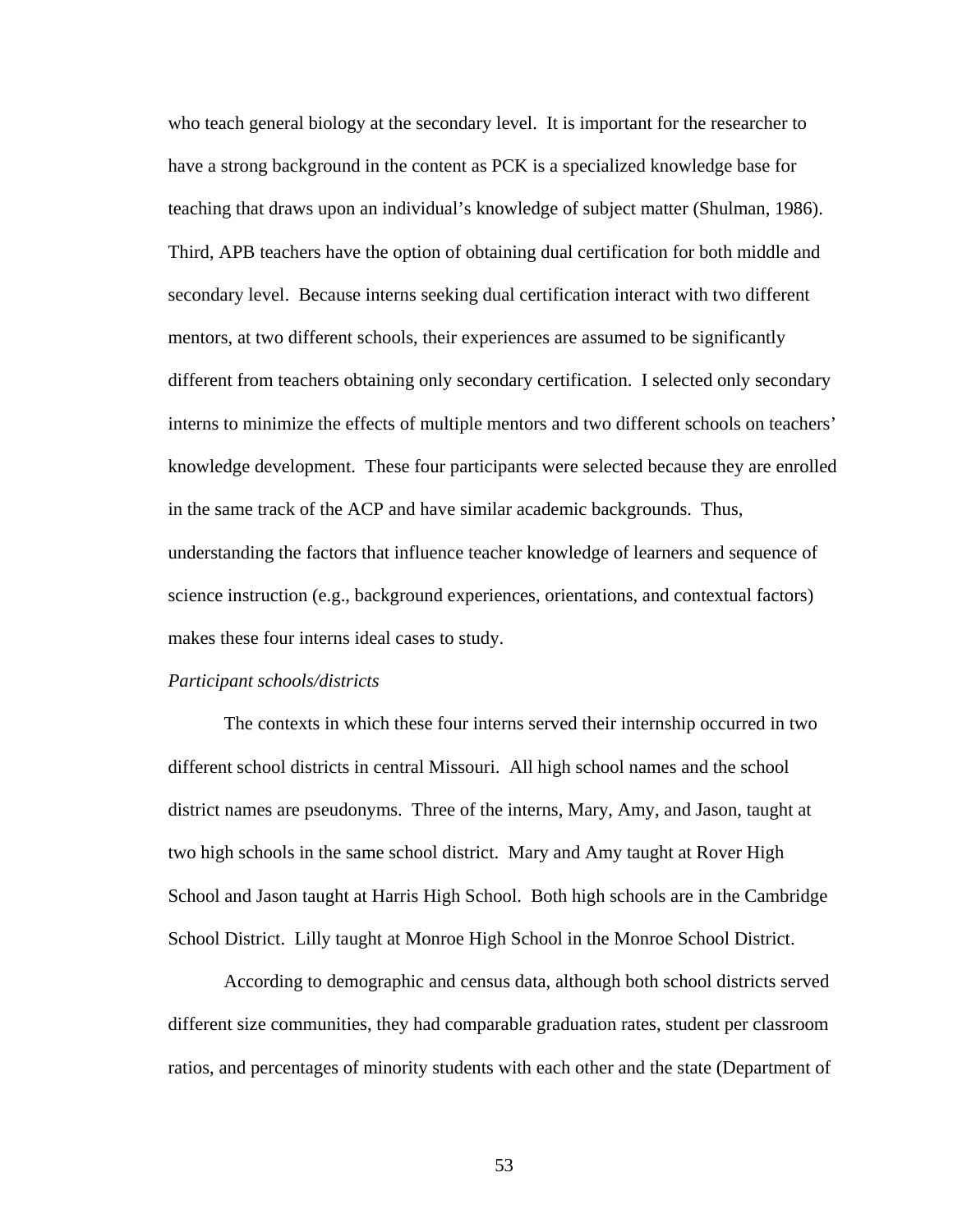who teach general biology at the secondary level. It is important for the researcher to have a strong background in the content as PCK is a specialized knowledge base for teaching that draws upon an individual's knowledge of subject matter (Shulman, 1986). Third, APB teachers have the option of obtaining dual certification for both middle and secondary level. Because interns seeking dual certification interact with two different mentors, at two different schools, their experiences are assumed to be significantly different from teachers obtaining only secondary certification. I selected only secondary interns to minimize the effects of multiple mentors and two different schools on teachers' knowledge development. These four participants were selected because they are enrolled in the same track of the ACP and have similar academic backgrounds. Thus, understanding the factors that influence teacher knowledge of learners and sequence of science instruction (e.g., background experiences, orientations, and contextual factors) makes these four interns ideal cases to study.

#### *Participant schools/districts*

The contexts in which these four interns served their internship occurred in two different school districts in central Missouri. All high school names and the school district names are pseudonyms. Three of the interns, Mary, Amy, and Jason, taught at two high schools in the same school district. Mary and Amy taught at Rover High School and Jason taught at Harris High School. Both high schools are in the Cambridge School District. Lilly taught at Monroe High School in the Monroe School District.

According to demographic and census data, although both school districts served different size communities, they had comparable graduation rates, student per classroom ratios, and percentages of minority students with each other and the state (Department of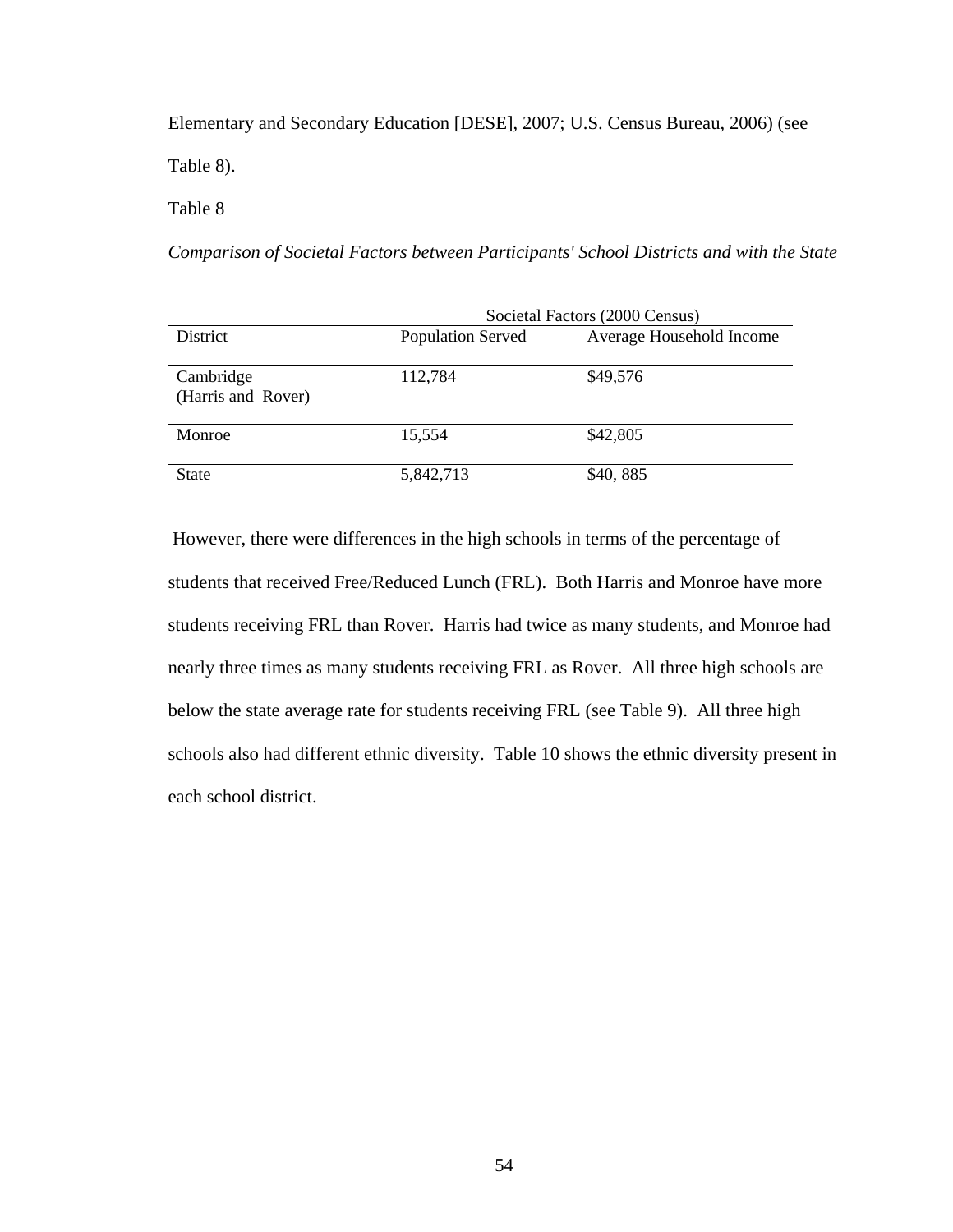Elementary and Secondary Education [DESE], 2007; U.S. Census Bureau, 2006) (see Table 8).

Table 8 *Comparison of Societal Factors between Participants' School Districts and with t*

*Comparison of Societal Factors between Participants' School Districts and with the State*

|                                 | Societal Factors (2000 Census) |                          |  |  |
|---------------------------------|--------------------------------|--------------------------|--|--|
| <b>District</b>                 | <b>Population Served</b>       | Average Household Income |  |  |
| Cambridge<br>(Harris and Rover) | 112,784                        | \$49,576                 |  |  |
| Monroe                          | 15,554                         | \$42,805                 |  |  |
| <b>State</b>                    | 5,842,713                      | \$40,885                 |  |  |

 However, there were differences in the high schools in terms of the percentage of students that received Free/Reduced Lunch (FRL). Both Harris and Monroe have more students receiving FRL than Rover. Harris had twice as many students, and Monroe had nearly three times as many students receiving FRL as Rover. All three high schools are below the state average rate for students receiving FRL (see Table 9). All three high schools also had different ethnic diversity. Table 10 shows the ethnic diversity present in each school district.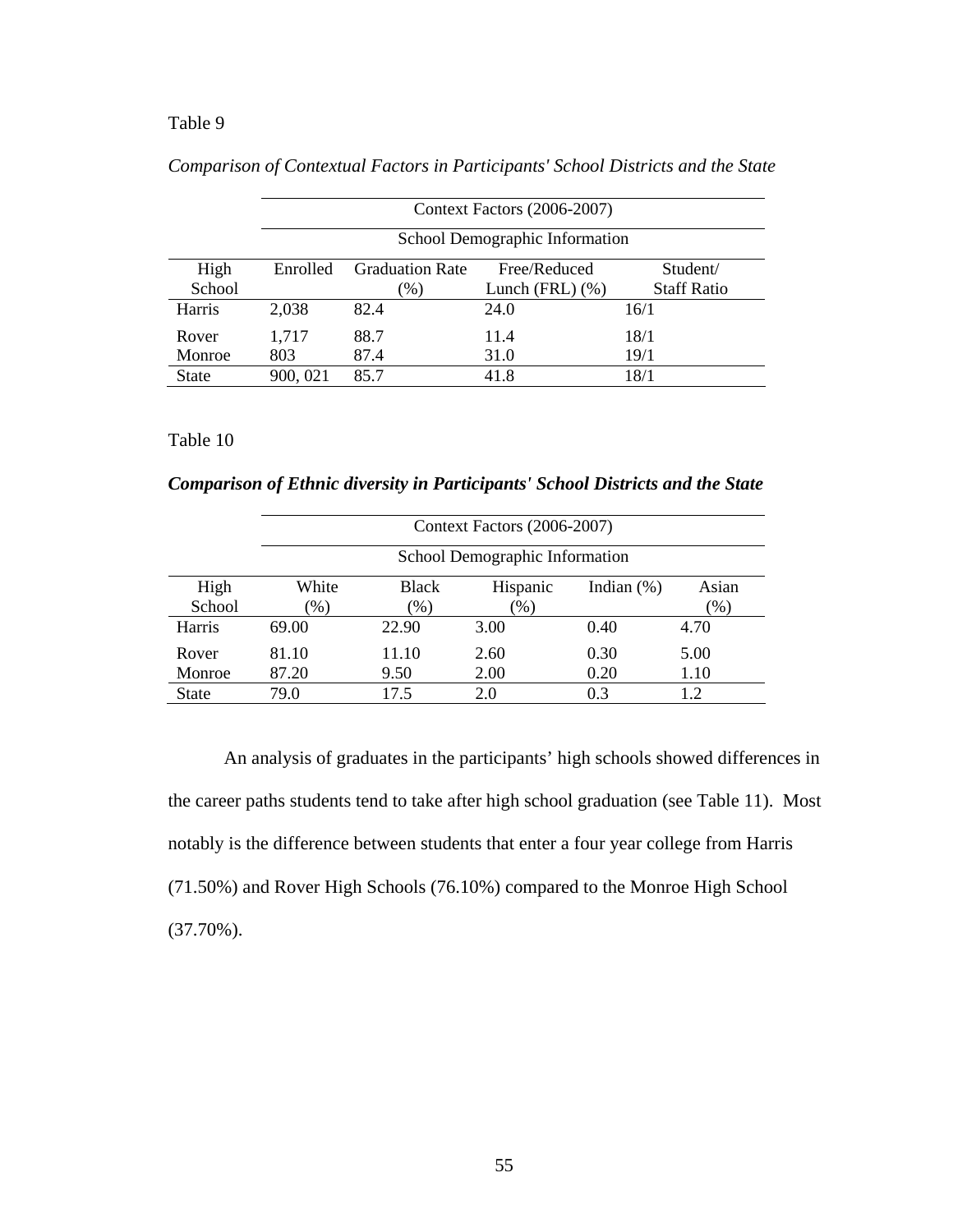### Table 9 *Comparison of Contextual Factors in Participants' School Districts and the State*

|               |          | Context Factors (2006-2007)    |                     |                    |  |  |
|---------------|----------|--------------------------------|---------------------|--------------------|--|--|
|               |          | School Demographic Information |                     |                    |  |  |
| High          | Enrolled | <b>Graduation Rate</b>         | Free/Reduced        | Student/           |  |  |
| School        |          | $(\%)$                         | Lunch (FRL) $(\% )$ | <b>Staff Ratio</b> |  |  |
| <b>Harris</b> | 2,038    | 82.4                           | 24.0                | 16/1               |  |  |
| Rover         | 1,717    | 88.7                           | 11.4                | 18/1               |  |  |
| Monroe        | 803      | 87.4                           | 31.0                | 19/1               |  |  |
| <b>State</b>  | 900, 021 | 85.7                           | 41.8                | 18/1               |  |  |

*Comparison of Contextual Factors in Participants' School Districts and the State* 

# Table 10

*Comparison of Ethnic diversity in Participants' School Districts and the State* 

|              |        | Context Factors (2006-2007)    |          |               |        |  |
|--------------|--------|--------------------------------|----------|---------------|--------|--|
|              |        | School Demographic Information |          |               |        |  |
| High         | White  | <b>Black</b>                   | Hispanic | Indian $(\%)$ | Asian  |  |
| School       | $(\%)$ | $\left(\%\right)$              | $(\%)$   |               | $(\%)$ |  |
| Harris       | 69.00  | 22.90                          | 3.00     | 0.40          | 4.70   |  |
| Rover        | 81.10  | 11.10                          | 2.60     | 0.30          | 5.00   |  |
| Monroe       | 87.20  | 9.50                           | 2.00     | 0.20          | 1.10   |  |
| <b>State</b> | 79.0   | 17.5                           | 2.0      | 0.3           | 1.2    |  |

An analysis of graduates in the participants' high schools showed differences in the career paths students tend to take after high school graduation (see Table 11). Most notably is the difference between students that enter a four year college from Harris (71.50%) and Rover High Schools (76.10%) compared to the Monroe High School (37.70%).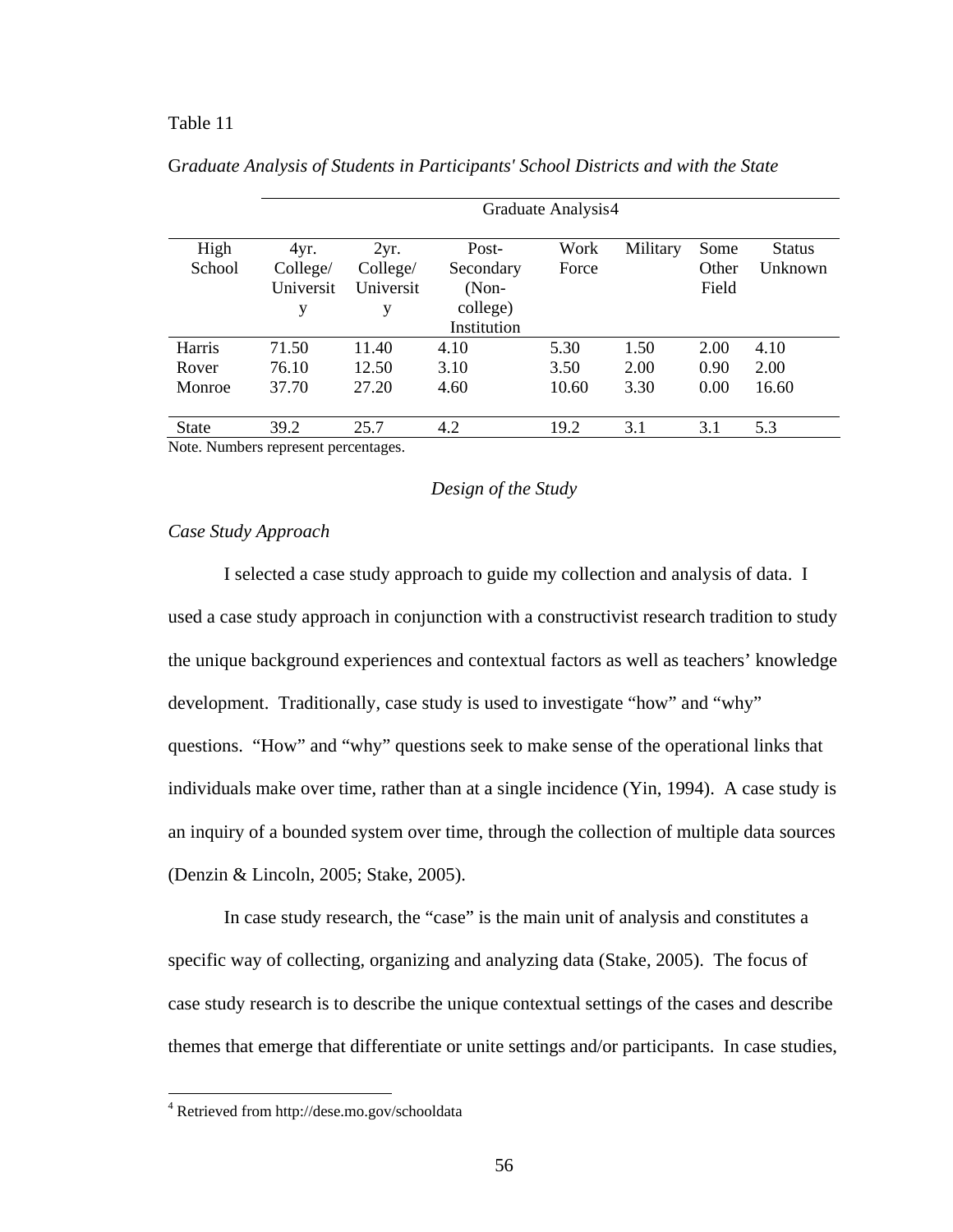## <span id="page-77-0"></span>Table 11 G*raduate Analysis of Students in Participants' School Districts and with the*

|              | Graduate Analysis4 |           |             |       |          |       |               |
|--------------|--------------------|-----------|-------------|-------|----------|-------|---------------|
| High         | 4yr.               | 2yr.      | Post-       | Work  | Military | Some  | <b>Status</b> |
| School       | College/           | College/  | Secondary   | Force |          | Other | Unknown       |
|              | Universit          | Universit | $(Non-$     |       |          | Field |               |
|              | у                  | у         | college)    |       |          |       |               |
|              |                    |           | Institution |       |          |       |               |
| Harris       | 71.50              | 11.40     | 4.10        | 5.30  | 1.50     | 2.00  | 4.10          |
| Rover        | 76.10              | 12.50     | 3.10        | 3.50  | 2.00     | 0.90  | 2.00          |
| Monroe       | 37.70              | 27.20     | 4.60        | 10.60 | 3.30     | 0.00  | 16.60         |
| <b>State</b> | 39.2               | 25.7      | 4.2         | 19.2  | 3.1      | 3.1   | 5.3           |

G*raduate Analysis of Students in Participants' School Districts and with the State*

Note. Numbers represent percentages.

## *Design of the Study*

#### *Case Study Approach*

I selected a case study approach to guide my collection and analysis of data. I used a case study approach in conjunction with a constructivist research tradition to study the unique background experiences and contextual factors as well as teachers' knowledge development. Traditionally, case study is used to investigate "how" and "why" questions. "How" and "why" questions seek to make sense of the operational links that individuals make over time, rather than at a single incidence (Yin, 1994). A case study is an inquiry of a bounded system over time, through the collection of multiple data sources (Denzin & Lincoln, 2005; Stake, 2005).

In case study research, the "case" is the main unit of analysis and constitutes a specific way of collecting, organizing and analyzing data (Stake, 2005). The focus of case study research is to describe the unique contextual settings of the cases and describe themes that emerge that differentiate or unite settings and/or participants. In case studies,

 $\overline{a}$ 

<sup>4</sup> Retrieved from http://dese.mo.gov/schooldata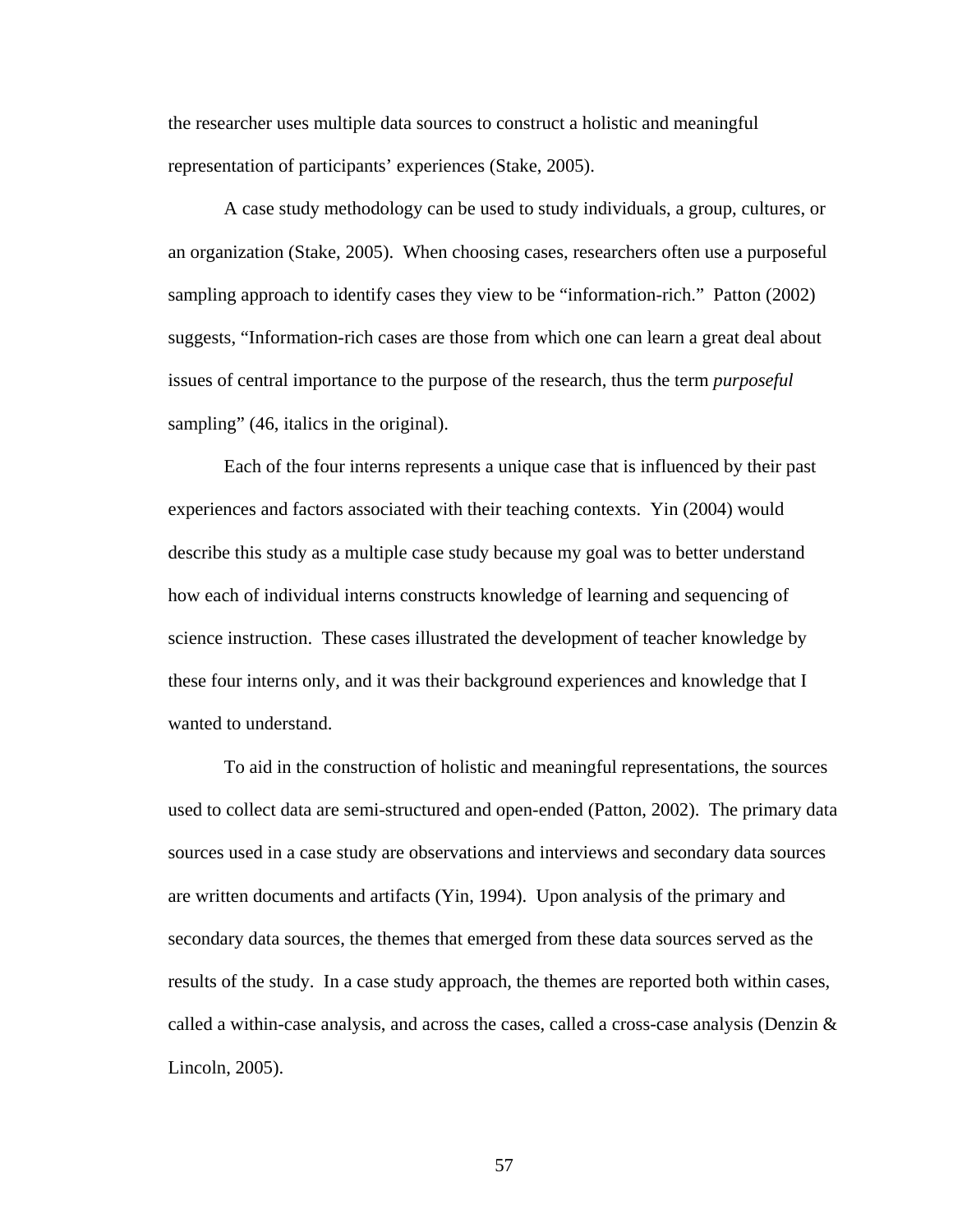the researcher uses multiple data sources to construct a holistic and meaningful representation of participants' experiences (Stake, 2005).

A case study methodology can be used to study individuals, a group, cultures, or an organization (Stake, 2005). When choosing cases, researchers often use a purposeful sampling approach to identify cases they view to be "information-rich." Patton (2002) suggests, "Information-rich cases are those from which one can learn a great deal about issues of central importance to the purpose of the research, thus the term *purposeful*  sampling" (46, italics in the original).

Each of the four interns represents a unique case that is influenced by their past experiences and factors associated with their teaching contexts. Yin (2004) would describe this study as a multiple case study because my goal was to better understand how each of individual interns constructs knowledge of learning and sequencing of science instruction. These cases illustrated the development of teacher knowledge by these four interns only, and it was their background experiences and knowledge that I wanted to understand.

To aid in the construction of holistic and meaningful representations, the sources used to collect data are semi-structured and open-ended (Patton, 2002). The primary data sources used in a case study are observations and interviews and secondary data sources are written documents and artifacts (Yin, 1994). Upon analysis of the primary and secondary data sources, the themes that emerged from these data sources served as the results of the study. In a case study approach, the themes are reported both within cases, called a within-case analysis, and across the cases, called a cross-case analysis (Denzin  $\&$ Lincoln, 2005).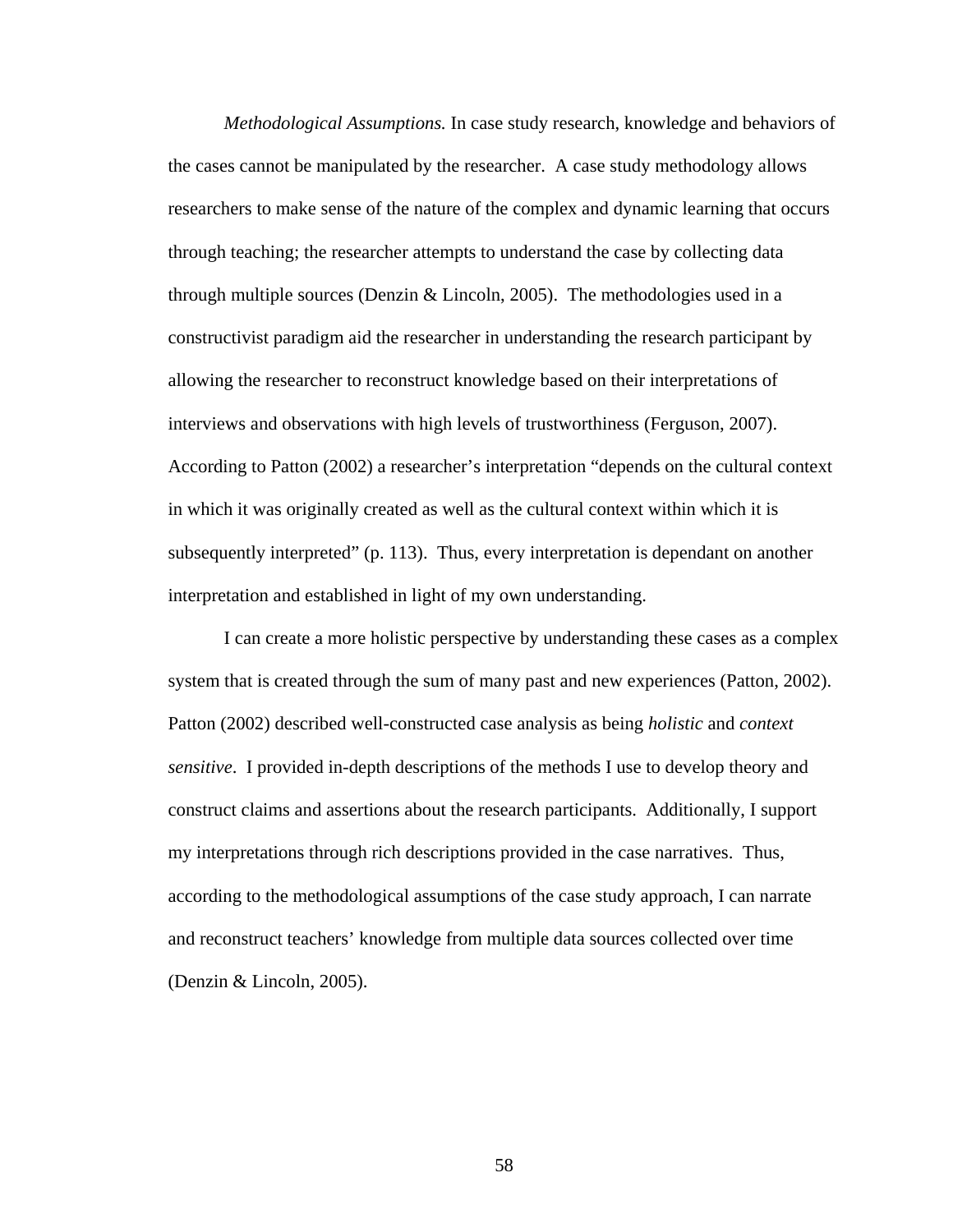*Methodological Assumptions.* In case study research, knowledge and behaviors of the cases cannot be manipulated by the researcher. A case study methodology allows researchers to make sense of the nature of the complex and dynamic learning that occurs through teaching; the researcher attempts to understand the case by collecting data through multiple sources (Denzin  $& Lincoh, 2005$ ). The methodologies used in a constructivist paradigm aid the researcher in understanding the research participant by allowing the researcher to reconstruct knowledge based on their interpretations of interviews and observations with high levels of trustworthiness (Ferguson, 2007). According to Patton (2002) a researcher's interpretation "depends on the cultural context in which it was originally created as well as the cultural context within which it is subsequently interpreted" (p. 113). Thus, every interpretation is dependant on another interpretation and established in light of my own understanding.

I can create a more holistic perspective by understanding these cases as a complex system that is created through the sum of many past and new experiences (Patton, 2002). Patton (2002) described well-constructed case analysis as being *holistic* and *context sensitive*. I provided in-depth descriptions of the methods I use to develop theory and construct claims and assertions about the research participants. Additionally, I support my interpretations through rich descriptions provided in the case narratives. Thus, according to the methodological assumptions of the case study approach, I can narrate and reconstruct teachers' knowledge from multiple data sources collected over time (Denzin & Lincoln, 2005).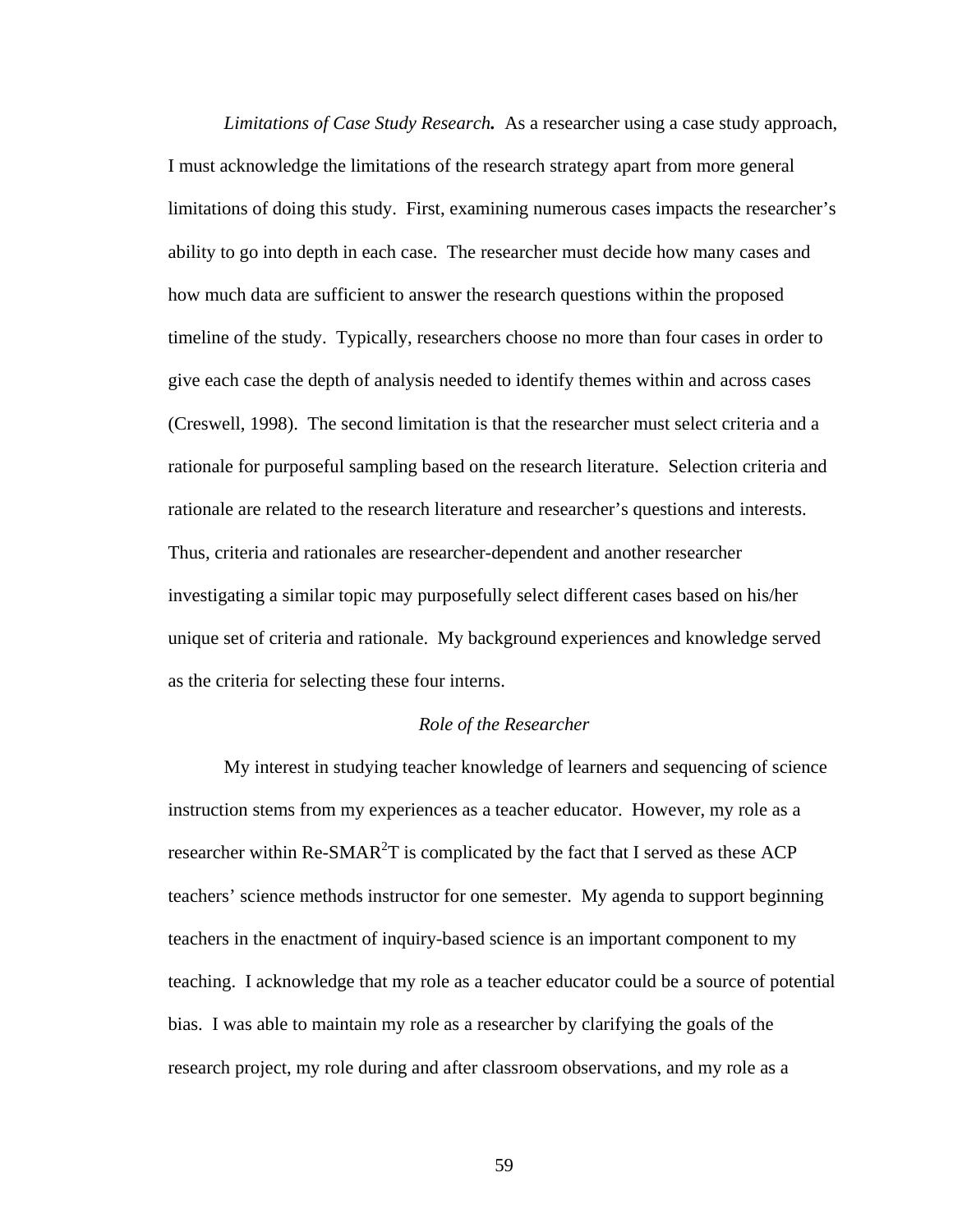*Limitations of Case Study Research.* As a researcher using a case study approach, I must acknowledge the limitations of the research strategy apart from more general limitations of doing this study. First, examining numerous cases impacts the researcher's ability to go into depth in each case. The researcher must decide how many cases and how much data are sufficient to answer the research questions within the proposed timeline of the study. Typically, researchers choose no more than four cases in order to give each case the depth of analysis needed to identify themes within and across cases (Creswell, 1998). The second limitation is that the researcher must select criteria and a rationale for purposeful sampling based on the research literature. Selection criteria and rationale are related to the research literature and researcher's questions and interests. Thus, criteria and rationales are researcher-dependent and another researcher investigating a similar topic may purposefully select different cases based on his/her unique set of criteria and rationale. My background experiences and knowledge served as the criteria for selecting these four interns.

## *Role of the Researcher*

My interest in studying teacher knowledge of learners and sequencing of science instruction stems from my experiences as a teacher educator. However, my role as a researcher within Re-SMAR<sup>2</sup>T is complicated by the fact that I served as these ACP teachers' science methods instructor for one semester. My agenda to support beginning teachers in the enactment of inquiry-based science is an important component to my teaching. I acknowledge that my role as a teacher educator could be a source of potential bias. I was able to maintain my role as a researcher by clarifying the goals of the research project, my role during and after classroom observations, and my role as a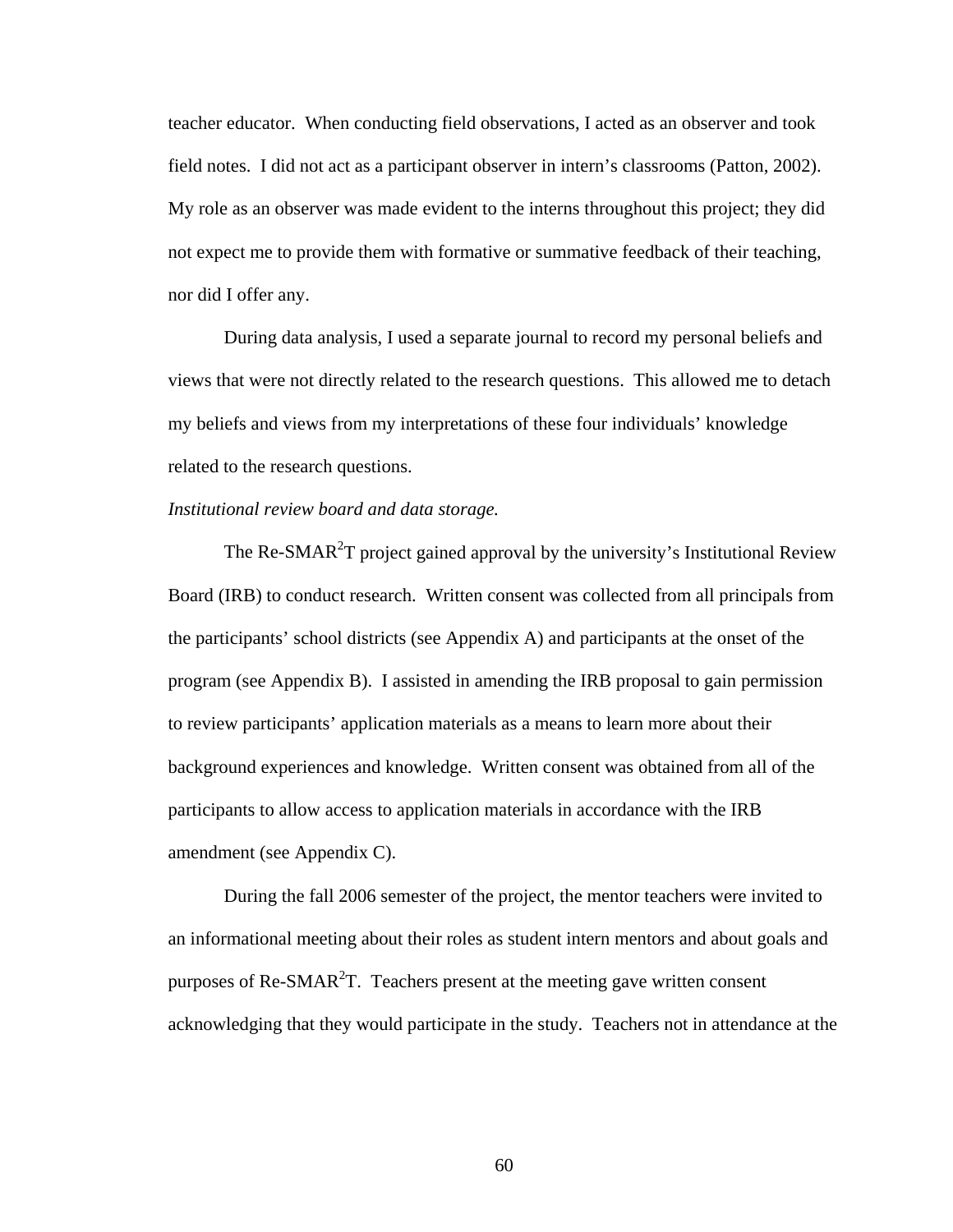teacher educator. When conducting field observations, I acted as an observer and took field notes. I did not act as a participant observer in intern's classrooms (Patton, 2002). My role as an observer was made evident to the interns throughout this project; they did not expect me to provide them with formative or summative feedback of their teaching, nor did I offer any.

During data analysis, I used a separate journal to record my personal beliefs and views that were not directly related to the research questions. This allowed me to detach my beliefs and views from my interpretations of these four individuals' knowledge related to the research questions.

## *Institutional review board and data storage.*

The Re-SMAR<sup>2</sup>T project gained approval by the university's Institutional Review Board (IRB) to conduct research. Written consent was collected from all principals from the participants' school districts (see Appendix A) and participants at the onset of the program (see Appendix B). I assisted in amending the IRB proposal to gain permission to review participants' application materials as a means to learn more about their background experiences and knowledge. Written consent was obtained from all of the participants to allow access to application materials in accordance with the IRB amendment (see Appendix C).

During the fall 2006 semester of the project, the mentor teachers were invited to an informational meeting about their roles as student intern mentors and about goals and purposes of Re-SMAR<sup>2</sup>T. Teachers present at the meeting gave written consent acknowledging that they would participate in the study. Teachers not in attendance at the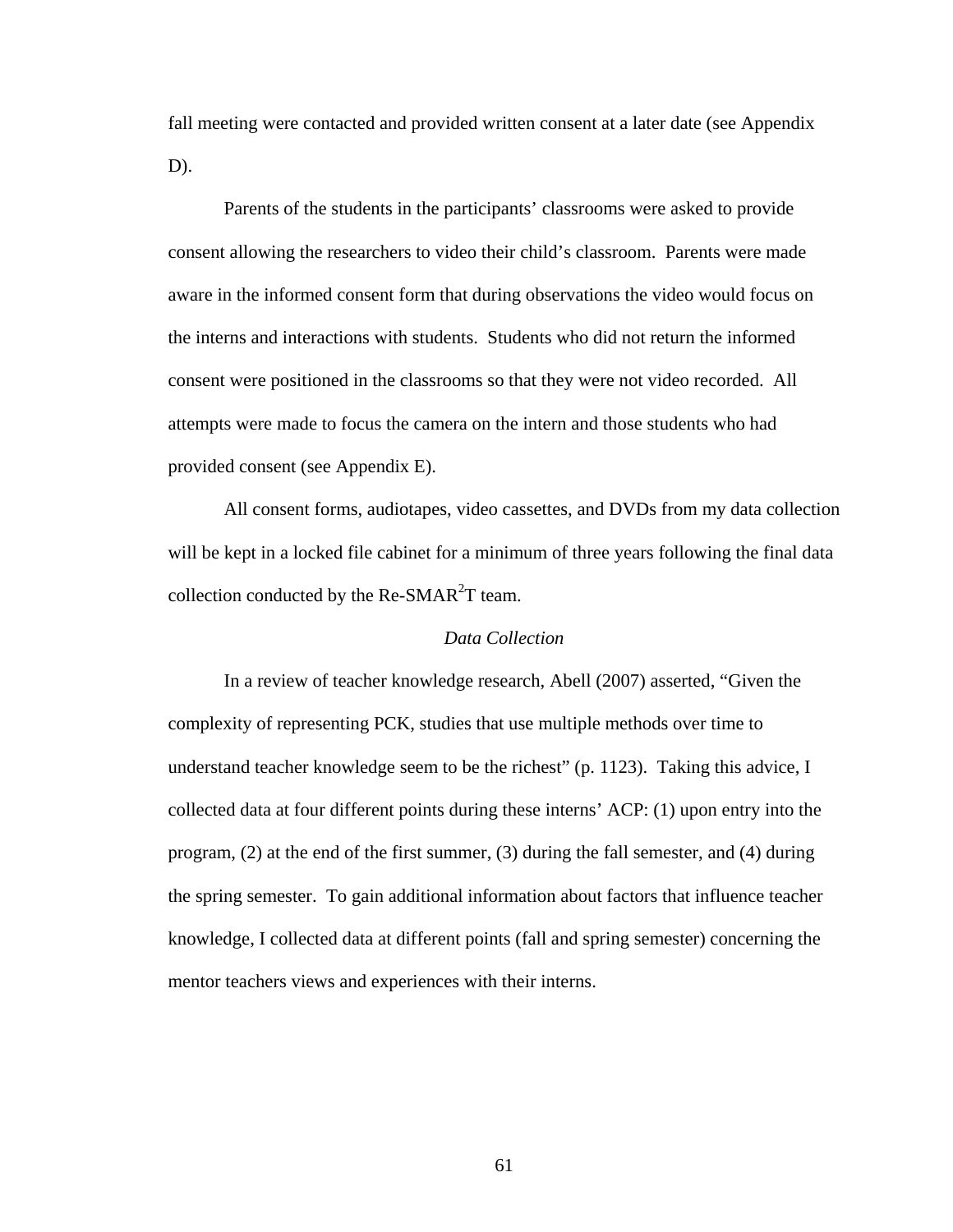fall meeting were contacted and provided written consent at a later date (see Appendix D).

Parents of the students in the participants' classrooms were asked to provide consent allowing the researchers to video their child's classroom. Parents were made aware in the informed consent form that during observations the video would focus on the interns and interactions with students. Students who did not return the informed consent were positioned in the classrooms so that they were not video recorded. All attempts were made to focus the camera on the intern and those students who had provided consent (see Appendix E).

All consent forms, audiotapes, video cassettes, and DVDs from my data collection will be kept in a locked file cabinet for a minimum of three years following the final data collection conducted by the Re-SMAR<sup>2</sup>T team.

## *Data Collection*

In a review of teacher knowledge research, Abell (2007) asserted, "Given the complexity of representing PCK, studies that use multiple methods over time to understand teacher knowledge seem to be the richest" (p. 1123). Taking this advice, I collected data at four different points during these interns' ACP: (1) upon entry into the program, (2) at the end of the first summer, (3) during the fall semester, and (4) during the spring semester. To gain additional information about factors that influence teacher knowledge, I collected data at different points (fall and spring semester) concerning the mentor teachers views and experiences with their interns.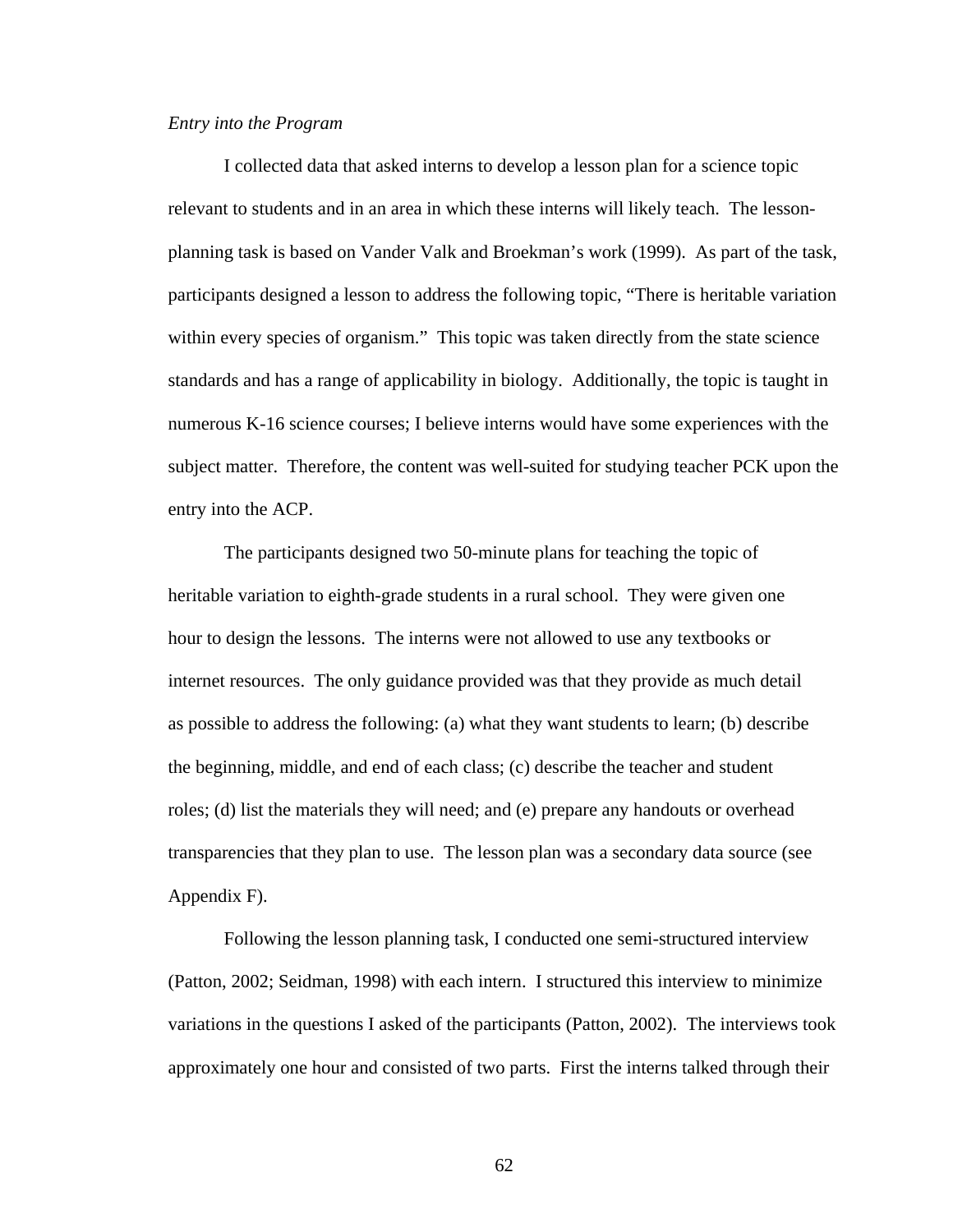#### *Entry into the Program*

I collected data that asked interns to develop a lesson plan for a science topic relevant to students and in an area in which these interns will likely teach. The lessonplanning task is based on Vander Valk and Broekman's work (1999). As part of the task, participants designed a lesson to address the following topic, "There is heritable variation within every species of organism." This topic was taken directly from the state science standards and has a range of applicability in biology. Additionally, the topic is taught in numerous K-16 science courses; I believe interns would have some experiences with the subject matter. Therefore, the content was well-suited for studying teacher PCK upon the entry into the ACP.

The participants designed two 50-minute plans for teaching the topic of heritable variation to eighth-grade students in a rural school. They were given one hour to design the lessons. The interns were not allowed to use any textbooks or internet resources. The only guidance provided was that they provide as much detail as possible to address the following: (a) what they want students to learn; (b) describe the beginning, middle, and end of each class; (c) describe the teacher and student roles; (d) list the materials they will need; and (e) prepare any handouts or overhead transparencies that they plan to use. The lesson plan was a secondary data source (see Appendix F).

Following the lesson planning task, I conducted one semi-structured interview (Patton, 2002; Seidman, 1998) with each intern. I structured this interview to minimize variations in the questions I asked of the participants (Patton, 2002). The interviews took approximately one hour and consisted of two parts. First the interns talked through their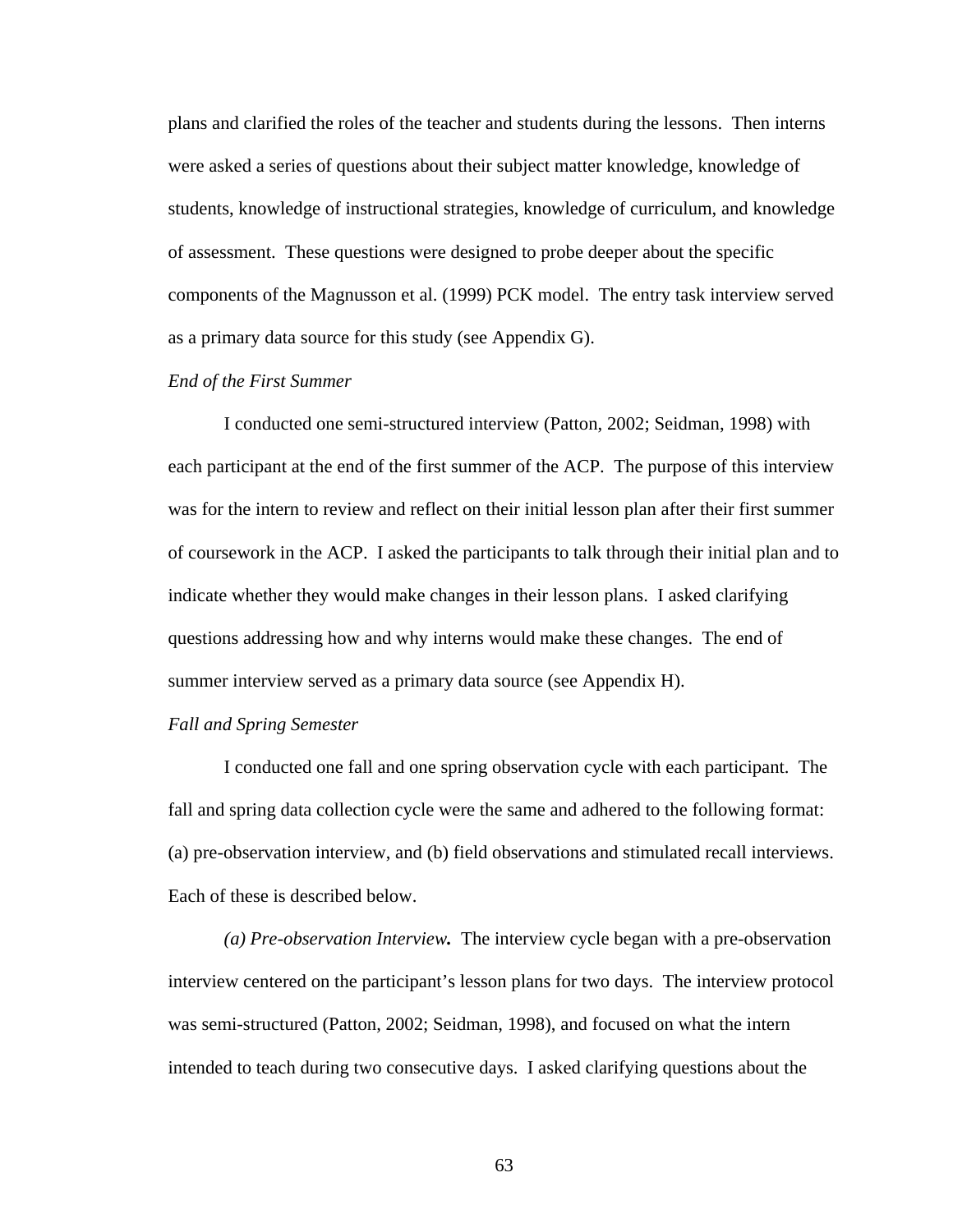plans and clarified the roles of the teacher and students during the lessons. Then interns were asked a series of questions about their subject matter knowledge, knowledge of students, knowledge of instructional strategies, knowledge of curriculum, and knowledge of assessment. These questions were designed to probe deeper about the specific components of the Magnusson et al. (1999) PCK model. The entry task interview served as a primary data source for this study (see Appendix G).

## *End of the First Summer*

I conducted one semi-structured interview (Patton, 2002; Seidman, 1998) with each participant at the end of the first summer of the ACP. The purpose of this interview was for the intern to review and reflect on their initial lesson plan after their first summer of coursework in the ACP. I asked the participants to talk through their initial plan and to indicate whether they would make changes in their lesson plans. I asked clarifying questions addressing how and why interns would make these changes. The end of summer interview served as a primary data source (see Appendix H).

#### *Fall and Spring Semester*

I conducted one fall and one spring observation cycle with each participant. The fall and spring data collection cycle were the same and adhered to the following format: (a) pre-observation interview, and (b) field observations and stimulated recall interviews. Each of these is described below.

*(a) Pre-observation Interview.* The interview cycle began with a pre-observation interview centered on the participant's lesson plans for two days. The interview protocol was semi-structured (Patton, 2002; Seidman, 1998), and focused on what the intern intended to teach during two consecutive days. I asked clarifying questions about the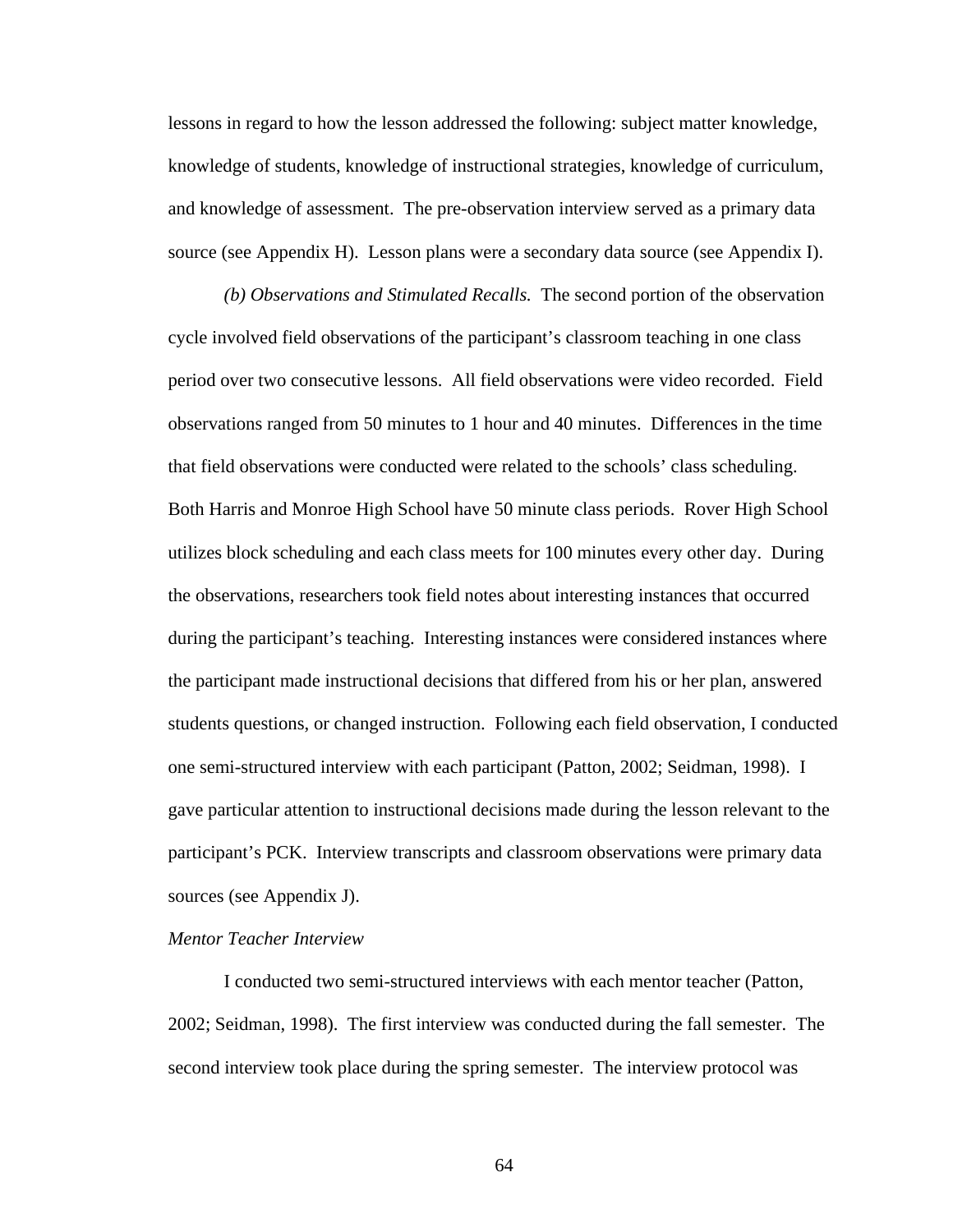lessons in regard to how the lesson addressed the following: subject matter knowledge, knowledge of students, knowledge of instructional strategies, knowledge of curriculum, and knowledge of assessment. The pre-observation interview served as a primary data source (see Appendix H). Lesson plans were a secondary data source (see Appendix I).

*(b) Observations and Stimulated Recalls.* The second portion of the observation cycle involved field observations of the participant's classroom teaching in one class period over two consecutive lessons. All field observations were video recorded. Field observations ranged from 50 minutes to 1 hour and 40 minutes. Differences in the time that field observations were conducted were related to the schools' class scheduling. Both Harris and Monroe High School have 50 minute class periods. Rover High School utilizes block scheduling and each class meets for 100 minutes every other day. During the observations, researchers took field notes about interesting instances that occurred during the participant's teaching. Interesting instances were considered instances where the participant made instructional decisions that differed from his or her plan, answered students questions, or changed instruction. Following each field observation, I conducted one semi-structured interview with each participant (Patton, 2002; Seidman, 1998). I gave particular attention to instructional decisions made during the lesson relevant to the participant's PCK. Interview transcripts and classroom observations were primary data sources (see Appendix J).

## *Mentor Teacher Interview*

I conducted two semi-structured interviews with each mentor teacher (Patton, 2002; Seidman, 1998). The first interview was conducted during the fall semester. The second interview took place during the spring semester. The interview protocol was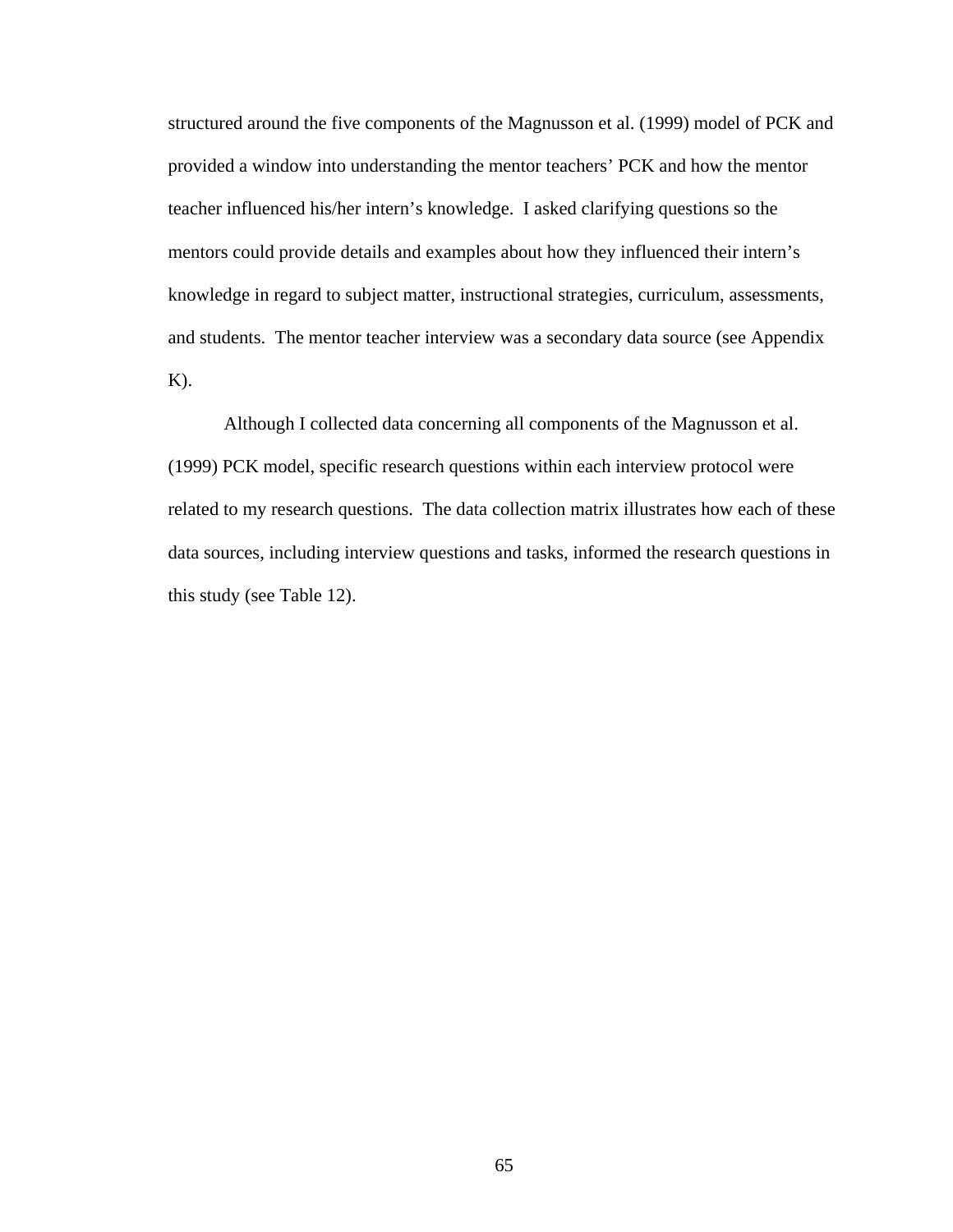structured around the five components of the Magnusson et al. (1999) model of PCK and provided a window into understanding the mentor teachers' PCK and how the mentor teacher influenced his/her intern's knowledge. I asked clarifying questions so the mentors could provide details and examples about how they influenced their intern's knowledge in regard to subject matter, instructional strategies, curriculum, assessments, and students. The mentor teacher interview was a secondary data source (see Appendix  $K$ ).

Although I collected data concerning all components of the Magnusson et al. (1999) PCK model, specific research questions within each interview protocol were related to my research questions. The data collection matrix illustrates how each of these data sources, including interview questions and tasks, informed the research questions in this study (see Table 12).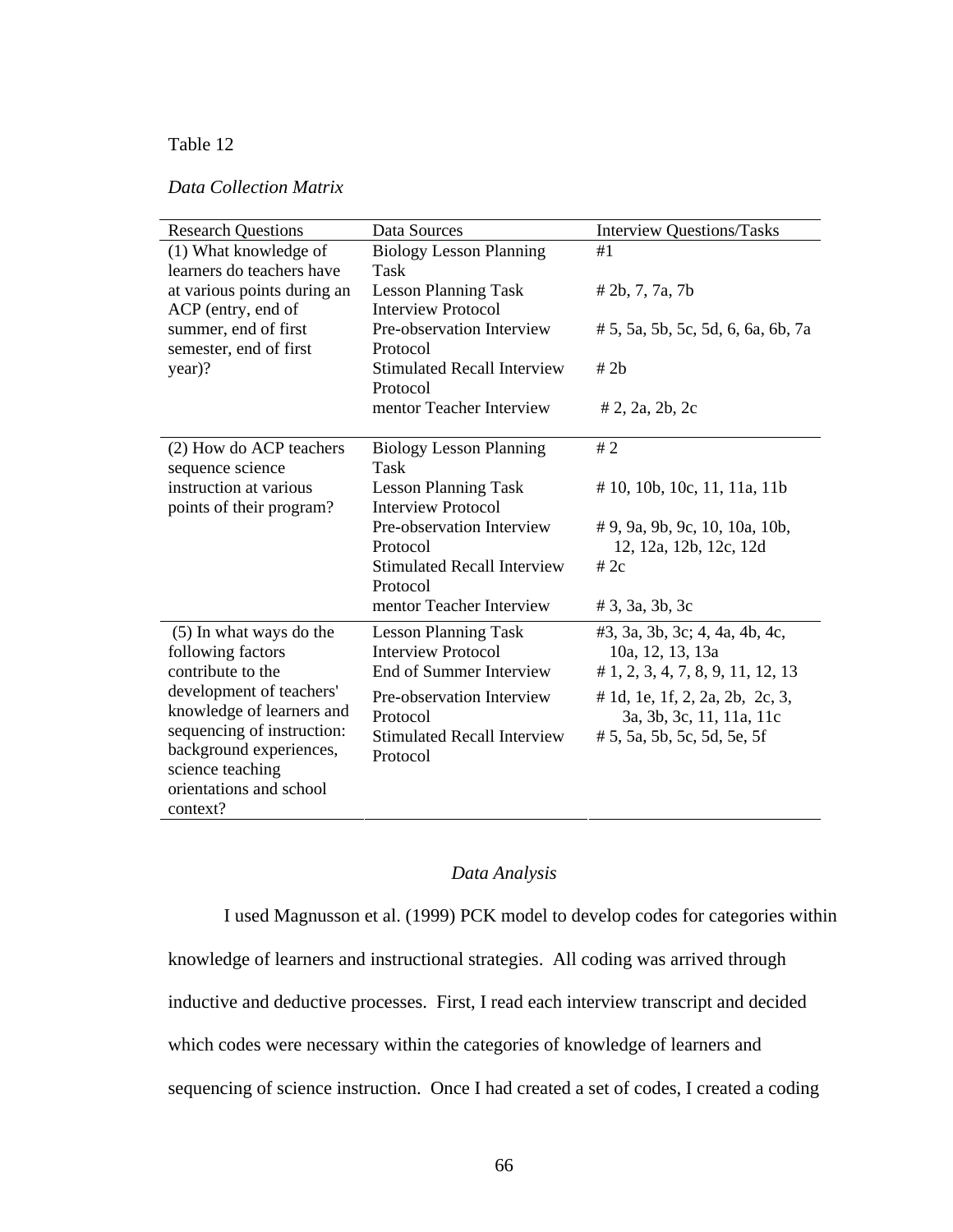# Table 12

# *Data Collection Matrix*

| <b>Research Questions</b>                      | Data Sources                                   | <b>Interview Questions/Tasks</b>   |
|------------------------------------------------|------------------------------------------------|------------------------------------|
| (1) What knowledge of                          | <b>Biology Lesson Planning</b>                 | #1                                 |
| learners do teachers have                      | Task                                           |                                    |
| at various points during an                    | <b>Lesson Planning Task</b>                    | # 2b, 7, 7a, 7b                    |
| ACP (entry, end of                             | <b>Interview Protocol</b>                      |                                    |
| summer, end of first<br>semester, end of first | Pre-observation Interview<br>Protocol          | # 5, 5a, 5b, 5c, 5d, 6, 6a, 6b, 7a |
| year)?                                         | <b>Stimulated Recall Interview</b>             | # 2h                               |
|                                                | Protocol                                       |                                    |
|                                                | mentor Teacher Interview                       | $# 2$ , 2a, 2b, 2c                 |
|                                                |                                                |                                    |
| (2) How do ACP teachers                        | <b>Biology Lesson Planning</b>                 | #2                                 |
| sequence science                               | Task                                           |                                    |
| instruction at various                         | <b>Lesson Planning Task</b>                    | # 10, 10b, 10c, 11, 11a, 11b       |
| points of their program?                       | <b>Interview Protocol</b>                      |                                    |
|                                                | Pre-observation Interview                      | # 9, 9a, 9b, 9c, 10, 10a, 10b,     |
|                                                | Protocol                                       | 12, 12a, 12b, 12c, 12d             |
|                                                | <b>Stimulated Recall Interview</b><br>Protocol | # $2c$                             |
|                                                | mentor Teacher Interview                       | # 3, 3a, 3b, 3c                    |
| (5) In what ways do the                        | <b>Lesson Planning Task</b>                    | #3, 3a, 3b, 3c; 4, 4a, 4b, 4c,     |
| following factors                              | <b>Interview Protocol</b>                      | 10a, 12, 13, 13a                   |
| contribute to the                              | End of Summer Interview                        | # 1, 2, 3, 4, 7, 8, 9, 11, 12, 13  |
| development of teachers'                       | Pre-observation Interview                      | # 1d, 1e, 1f, 2, 2a, 2b, 2c, 3,    |
| knowledge of learners and                      | Protocol                                       | 3a, 3b, 3c, 11, 11a, 11c           |
| sequencing of instruction:                     | <b>Stimulated Recall Interview</b>             | # 5, 5a, 5b, 5c, 5d, 5e, 5f        |
| background experiences,                        | Protocol                                       |                                    |
| science teaching                               |                                                |                                    |
| orientations and school                        |                                                |                                    |
| context?                                       |                                                |                                    |

# *Data Analysis*

I used Magnusson et al. (1999) PCK model to develop codes for categories within knowledge of learners and instructional strategies. All coding was arrived through inductive and deductive processes. First, I read each interview transcript and decided which codes were necessary within the categories of knowledge of learners and sequencing of science instruction. Once I had created a set of codes, I created a coding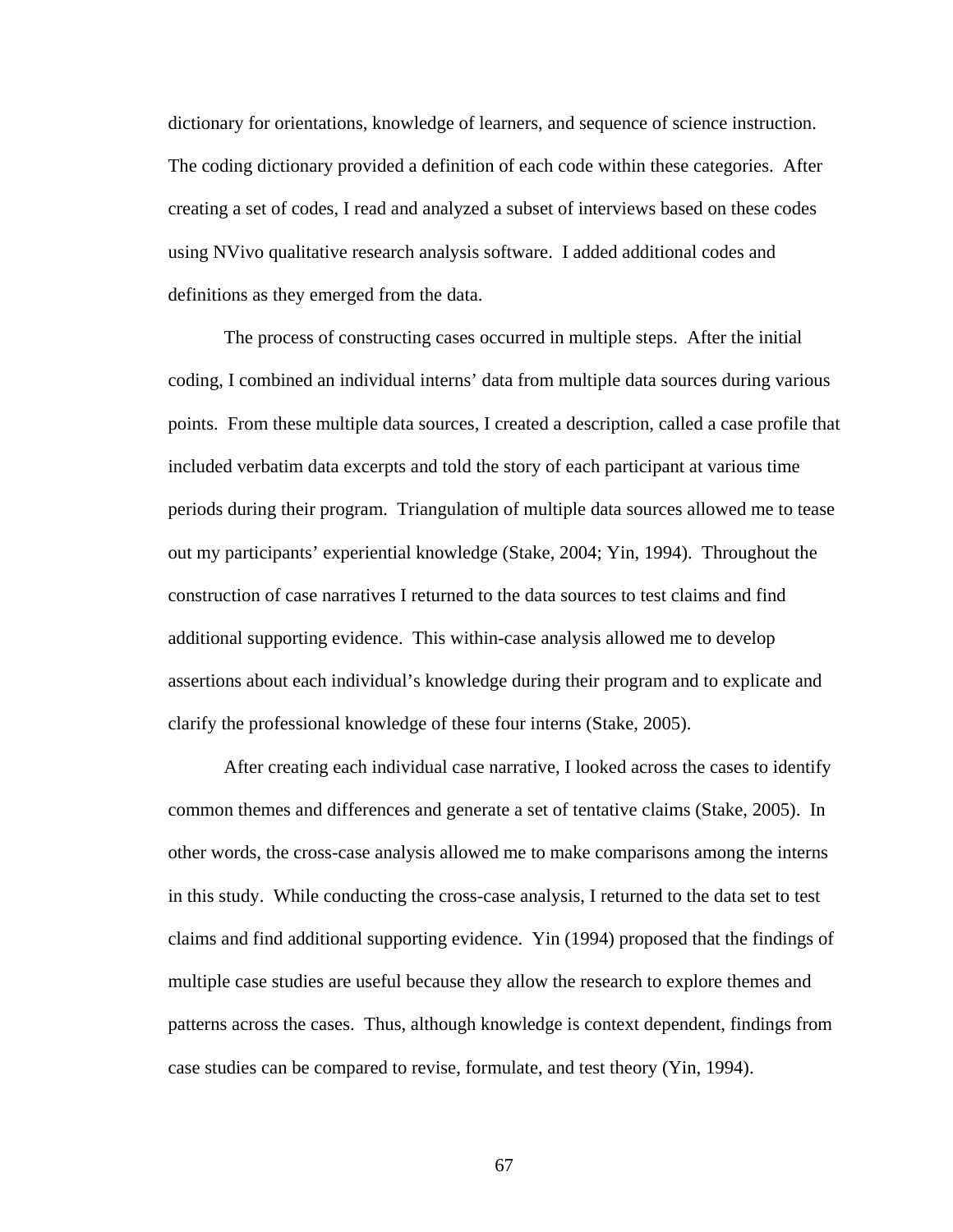dictionary for orientations, knowledge of learners, and sequence of science instruction. The coding dictionary provided a definition of each code within these categories. After creating a set of codes, I read and analyzed a subset of interviews based on these codes using NVivo qualitative research analysis software. I added additional codes and definitions as they emerged from the data.

The process of constructing cases occurred in multiple steps. After the initial coding, I combined an individual interns' data from multiple data sources during various points. From these multiple data sources, I created a description, called a case profile that included verbatim data excerpts and told the story of each participant at various time periods during their program. Triangulation of multiple data sources allowed me to tease out my participants' experiential knowledge (Stake, 2004; Yin, 1994). Throughout the construction of case narratives I returned to the data sources to test claims and find additional supporting evidence. This within-case analysis allowed me to develop assertions about each individual's knowledge during their program and to explicate and clarify the professional knowledge of these four interns (Stake, 2005).

After creating each individual case narrative, I looked across the cases to identify common themes and differences and generate a set of tentative claims (Stake, 2005). In other words, the cross-case analysis allowed me to make comparisons among the interns in this study. While conducting the cross-case analysis, I returned to the data set to test claims and find additional supporting evidence. Yin (1994) proposed that the findings of multiple case studies are useful because they allow the research to explore themes and patterns across the cases. Thus, although knowledge is context dependent, findings from case studies can be compared to revise, formulate, and test theory (Yin, 1994).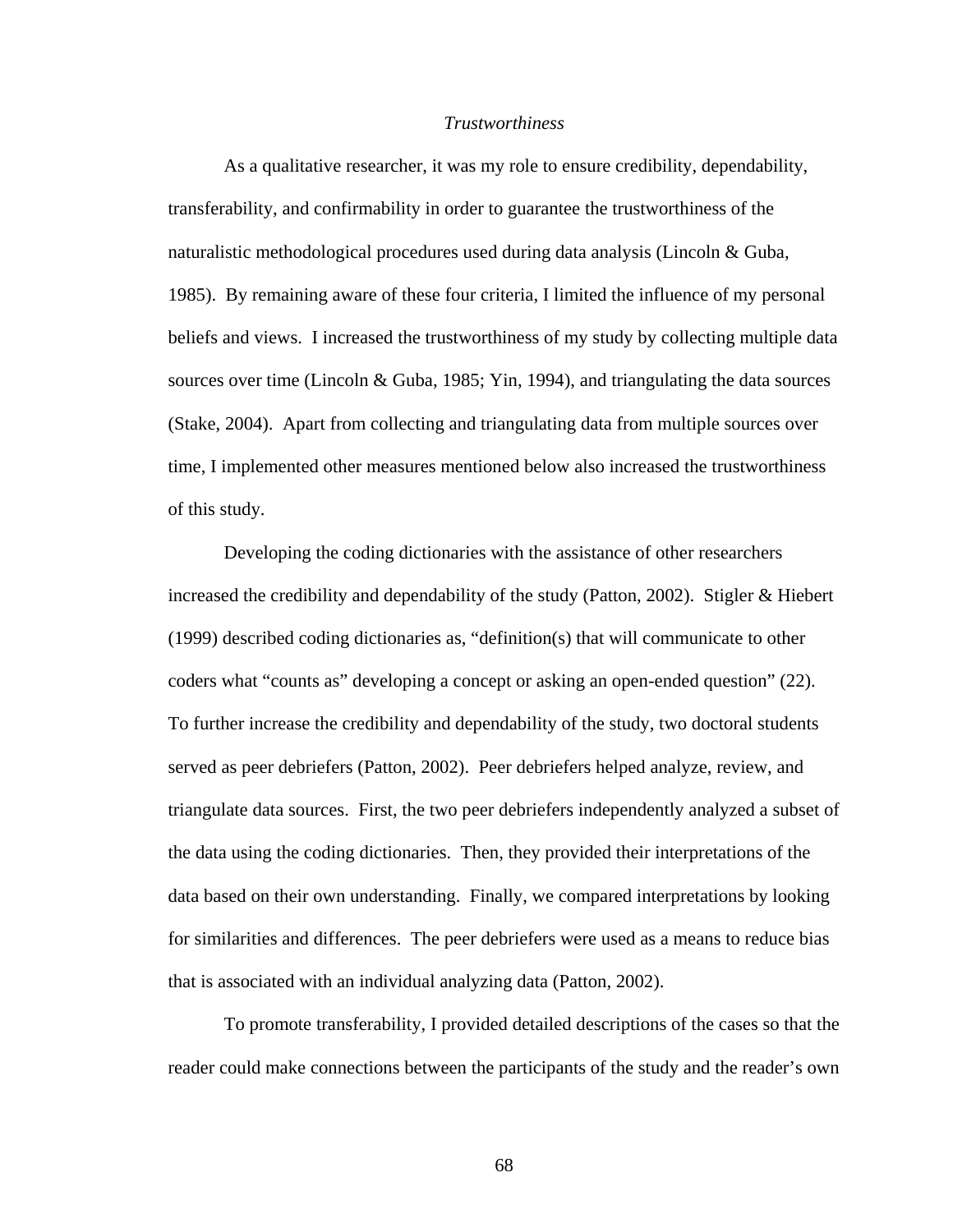### *Trustworthiness*

As a qualitative researcher, it was my role to ensure credibility, dependability, transferability, and confirmability in order to guarantee the trustworthiness of the naturalistic methodological procedures used during data analysis (Lincoln & Guba, 1985). By remaining aware of these four criteria, I limited the influence of my personal beliefs and views. I increased the trustworthiness of my study by collecting multiple data sources over time (Lincoln & Guba, 1985; Yin, 1994), and triangulating the data sources (Stake, 2004). Apart from collecting and triangulating data from multiple sources over time, I implemented other measures mentioned below also increased the trustworthiness of this study.

Developing the coding dictionaries with the assistance of other researchers increased the credibility and dependability of the study (Patton, 2002). Stigler & Hiebert (1999) described coding dictionaries as, "definition(s) that will communicate to other coders what "counts as" developing a concept or asking an open-ended question" (22). To further increase the credibility and dependability of the study, two doctoral students served as peer debriefers (Patton, 2002). Peer debriefers helped analyze, review, and triangulate data sources. First, the two peer debriefers independently analyzed a subset of the data using the coding dictionaries. Then, they provided their interpretations of the data based on their own understanding. Finally, we compared interpretations by looking for similarities and differences. The peer debriefers were used as a means to reduce bias that is associated with an individual analyzing data (Patton, 2002).

To promote transferability, I provided detailed descriptions of the cases so that the reader could make connections between the participants of the study and the reader's own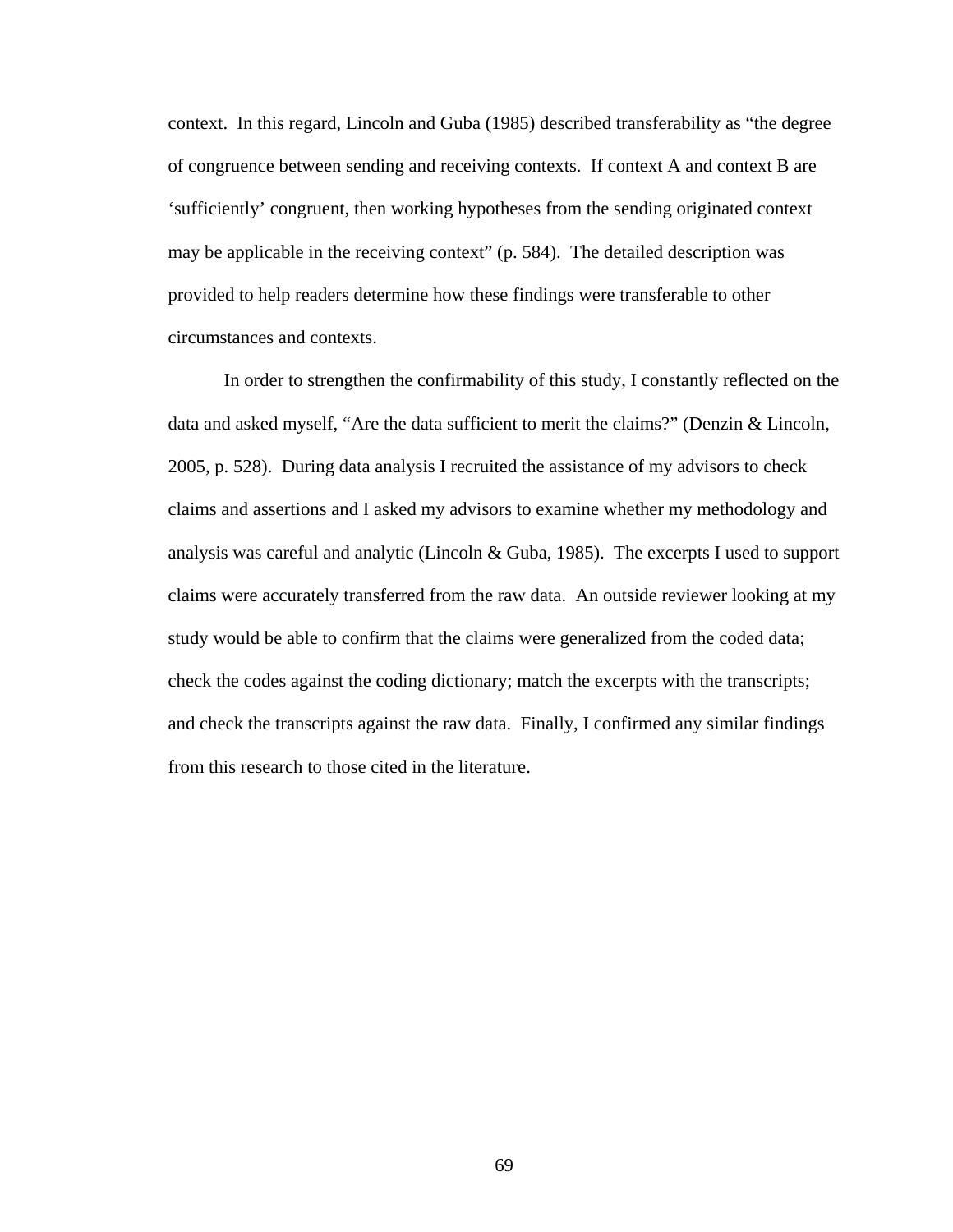context. In this regard, Lincoln and Guba (1985) described transferability as "the degree of congruence between sending and receiving contexts. If context A and context B are 'sufficiently' congruent, then working hypotheses from the sending originated context may be applicable in the receiving context" (p. 584). The detailed description was provided to help readers determine how these findings were transferable to other circumstances and contexts.

In order to strengthen the confirmability of this study, I constantly reflected on the data and asked myself, "Are the data sufficient to merit the claims?" (Denzin & Lincoln, 2005, p. 528). During data analysis I recruited the assistance of my advisors to check claims and assertions and I asked my advisors to examine whether my methodology and analysis was careful and analytic (Lincoln & Guba, 1985). The excerpts I used to support claims were accurately transferred from the raw data. An outside reviewer looking at my study would be able to confirm that the claims were generalized from the coded data; check the codes against the coding dictionary; match the excerpts with the transcripts; and check the transcripts against the raw data. Finally, I confirmed any similar findings from this research to those cited in the literature.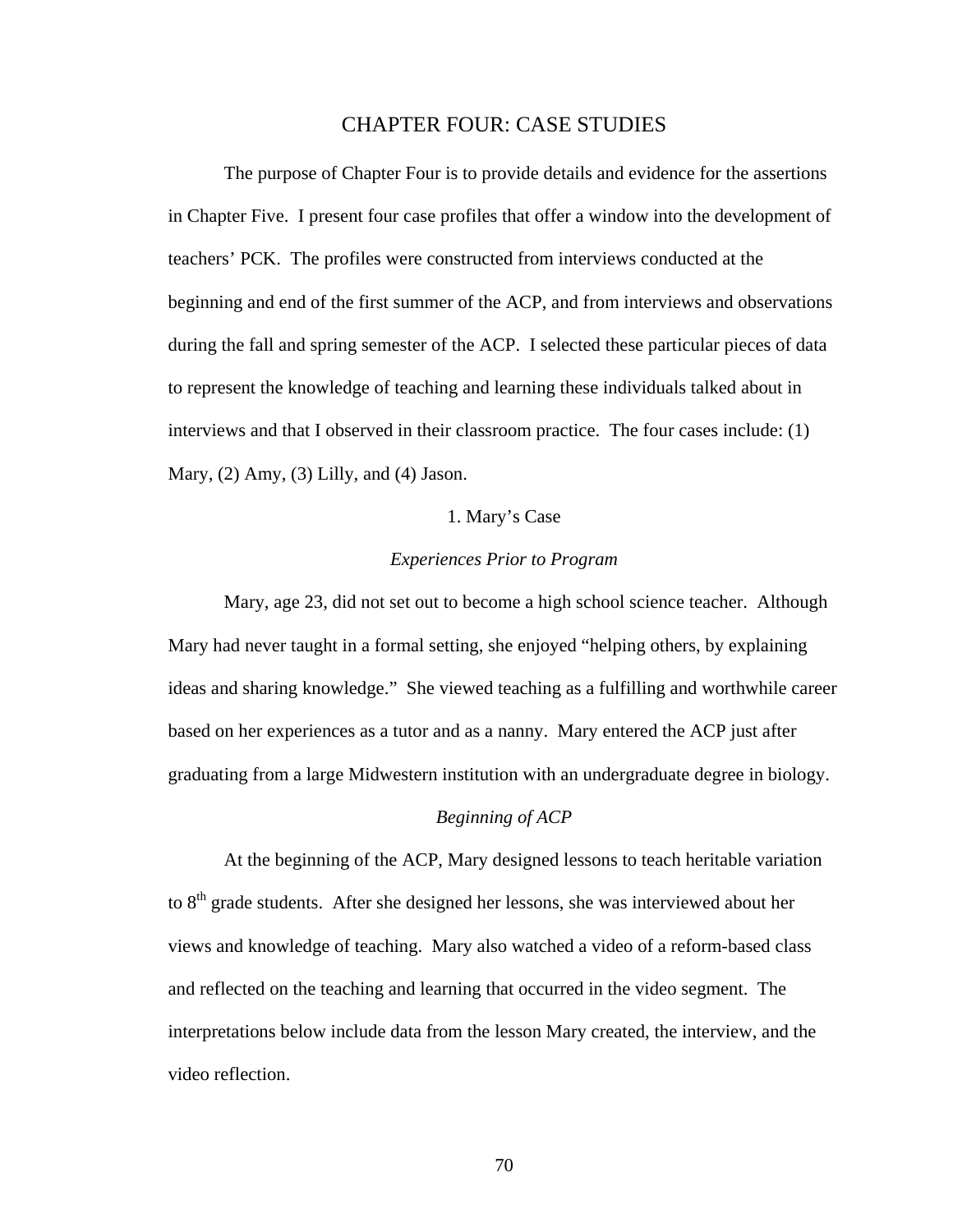## CHAPTER FOUR: CASE STUDIES

 The purpose of Chapter Four is to provide details and evidence for the assertions in Chapter Five. I present four case profiles that offer a window into the development of teachers' PCK. The profiles were constructed from interviews conducted at the beginning and end of the first summer of the ACP, and from interviews and observations during the fall and spring semester of the ACP. I selected these particular pieces of data to represent the knowledge of teaching and learning these individuals talked about in interviews and that I observed in their classroom practice. The four cases include: (1) Mary, (2) Amy, (3) Lilly, and (4) Jason.

## 1. Mary's Case

## *Experiences Prior to Program*

Mary, age 23, did not set out to become a high school science teacher. Although Mary had never taught in a formal setting, she enjoyed "helping others, by explaining ideas and sharing knowledge." She viewed teaching as a fulfilling and worthwhile career based on her experiences as a tutor and as a nanny. Mary entered the ACP just after graduating from a large Midwestern institution with an undergraduate degree in biology.

### *Beginning of ACP*

At the beginning of the ACP, Mary designed lessons to teach heritable variation to 8<sup>th</sup> grade students. After she designed her lessons, she was interviewed about her views and knowledge of teaching. Mary also watched a video of a reform-based class and reflected on the teaching and learning that occurred in the video segment. The interpretations below include data from the lesson Mary created, the interview, and the video reflection.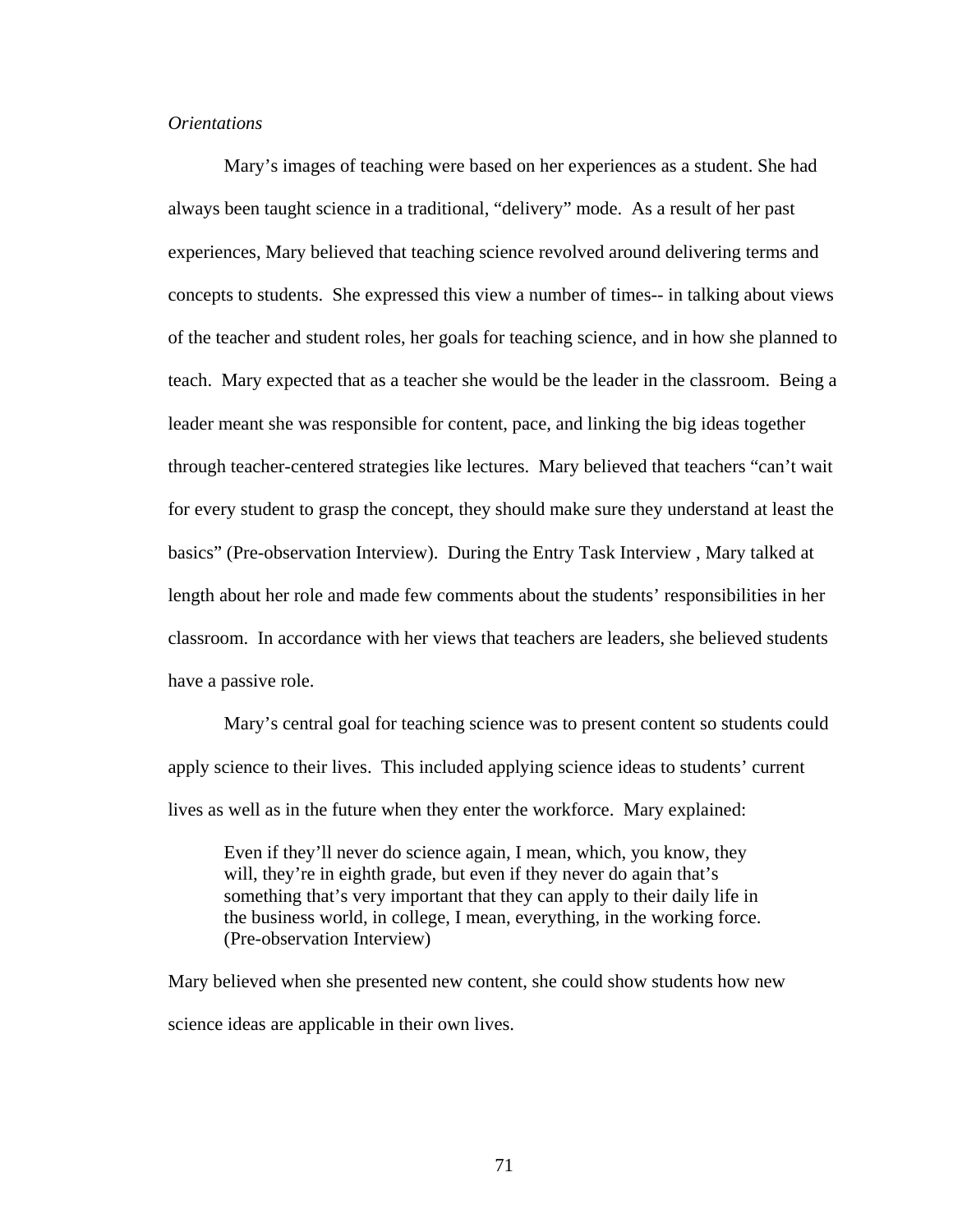## *Orientations*

Mary's images of teaching were based on her experiences as a student. She had always been taught science in a traditional, "delivery" mode. As a result of her past experiences, Mary believed that teaching science revolved around delivering terms and concepts to students. She expressed this view a number of times-- in talking about views of the teacher and student roles, her goals for teaching science, and in how she planned to teach. Mary expected that as a teacher she would be the leader in the classroom. Being a leader meant she was responsible for content, pace, and linking the big ideas together through teacher-centered strategies like lectures. Mary believed that teachers "can't wait for every student to grasp the concept, they should make sure they understand at least the basics" (Pre-observation Interview). During the Entry Task Interview , Mary talked at length about her role and made few comments about the students' responsibilities in her classroom. In accordance with her views that teachers are leaders, she believed students have a passive role.

Mary's central goal for teaching science was to present content so students could apply science to their lives. This included applying science ideas to students' current lives as well as in the future when they enter the workforce. Mary explained:

Even if they'll never do science again, I mean, which, you know, they will, they're in eighth grade, but even if they never do again that's something that's very important that they can apply to their daily life in the business world, in college, I mean, everything, in the working force. (Pre-observation Interview)

Mary believed when she presented new content, she could show students how new science ideas are applicable in their own lives.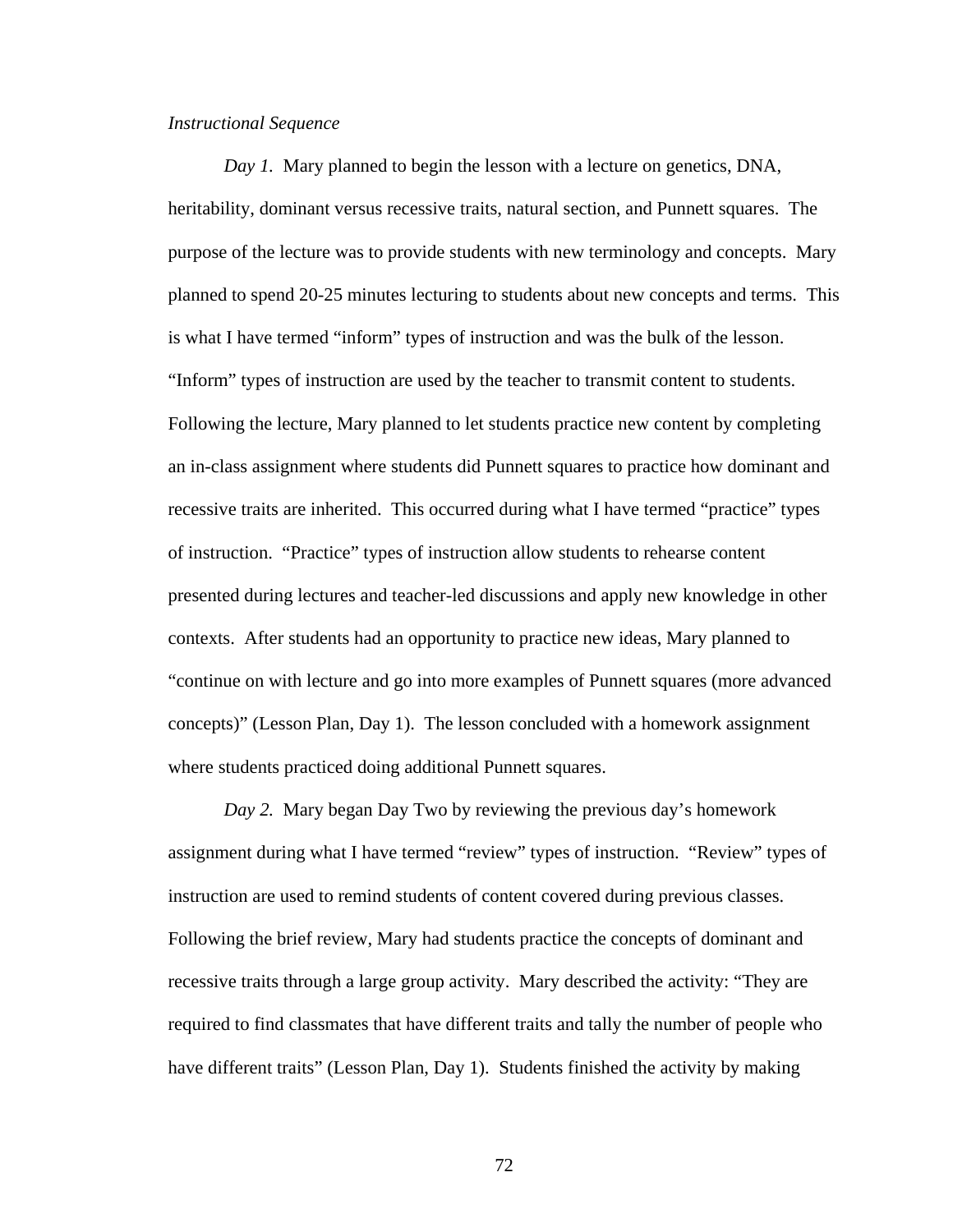#### *Instructional Sequence*

*Day 1.* Mary planned to begin the lesson with a lecture on genetics, DNA, heritability, dominant versus recessive traits, natural section, and Punnett squares. The purpose of the lecture was to provide students with new terminology and concepts. Mary planned to spend 20-25 minutes lecturing to students about new concepts and terms. This is what I have termed "inform" types of instruction and was the bulk of the lesson. "Inform" types of instruction are used by the teacher to transmit content to students. Following the lecture, Mary planned to let students practice new content by completing an in-class assignment where students did Punnett squares to practice how dominant and recessive traits are inherited. This occurred during what I have termed "practice" types of instruction. "Practice" types of instruction allow students to rehearse content presented during lectures and teacher-led discussions and apply new knowledge in other contexts. After students had an opportunity to practice new ideas, Mary planned to "continue on with lecture and go into more examples of Punnett squares (more advanced concepts)" (Lesson Plan, Day 1). The lesson concluded with a homework assignment where students practiced doing additional Punnett squares.

*Day 2.* Mary began Day Two by reviewing the previous day's homework assignment during what I have termed "review" types of instruction. "Review" types of instruction are used to remind students of content covered during previous classes. Following the brief review, Mary had students practice the concepts of dominant and recessive traits through a large group activity. Mary described the activity: "They are required to find classmates that have different traits and tally the number of people who have different traits" (Lesson Plan, Day 1). Students finished the activity by making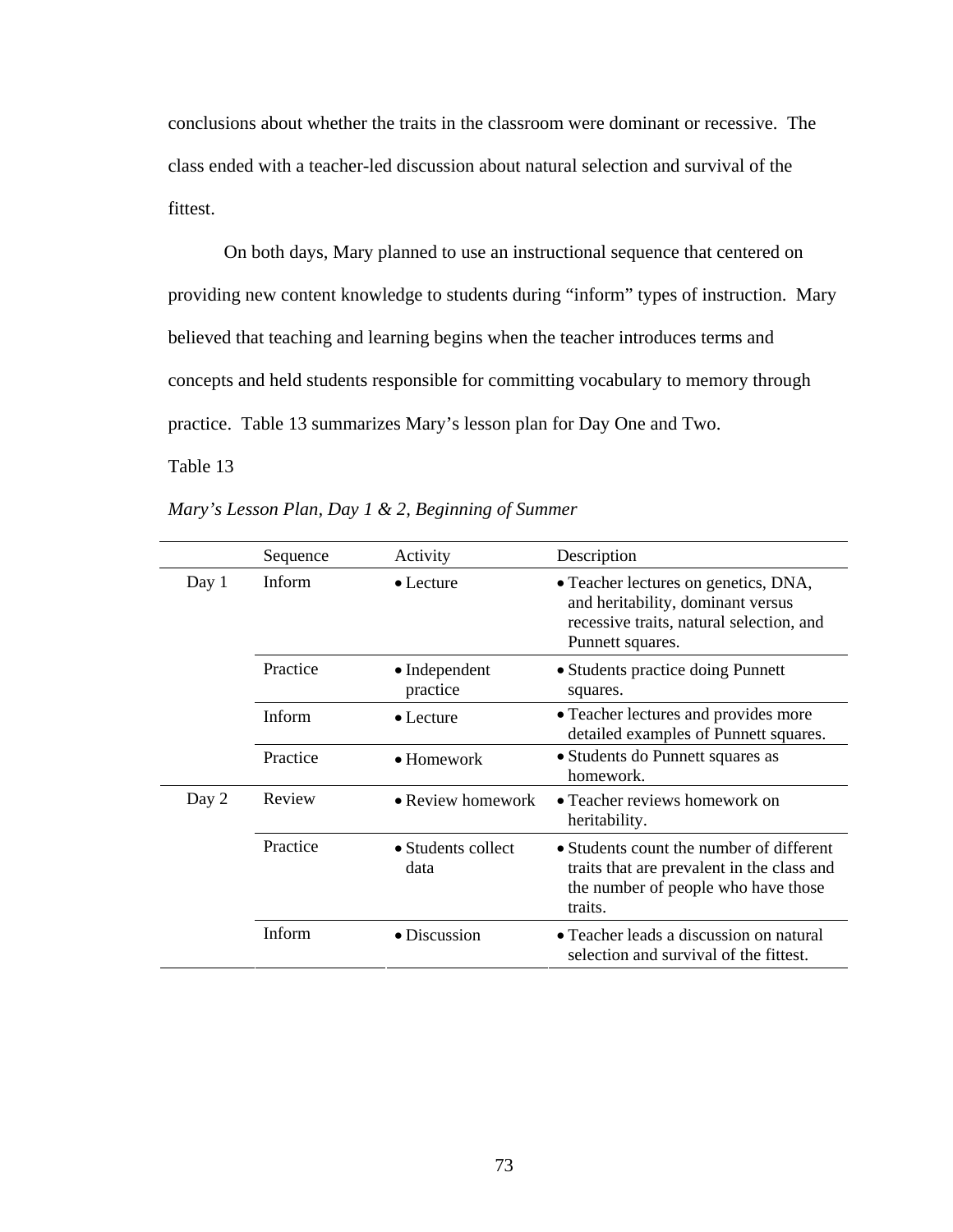conclusions about whether the traits in the classroom were dominant or recessive. The class ended with a teacher-led discussion about natural selection and survival of the fittest.

On both days, Mary planned to use an instructional sequence that centered on providing new content knowledge to students during "inform" types of instruction. Mary believed that teaching and learning begins when the teacher introduces terms and concepts and held students responsible for committing vocabulary to memory through practice. Table 13 summarizes Mary's lesson plan for Day One and Two.

Table 13 *Mary's Lesson Plan, Day 1 & 2, Beginning of Summer*

|       | Sequence | Activity                          | Description                                                                                                                               |
|-------|----------|-----------------------------------|-------------------------------------------------------------------------------------------------------------------------------------------|
| Day 1 | Inform   | $\bullet$ Lecture                 | • Teacher lectures on genetics, DNA,<br>and heritability, dominant versus<br>recessive traits, natural selection, and<br>Punnett squares. |
|       | Practice | $\bullet$ Independent<br>practice | • Students practice doing Punnett<br>squares.                                                                                             |
|       | Inform   | $\bullet$ Lecture                 | • Teacher lectures and provides more<br>detailed examples of Punnett squares.                                                             |
|       | Practice | • Homework                        | • Students do Punnett squares as<br>homework.                                                                                             |
| Day 2 | Review   | • Review homework                 | • Teacher reviews homework on<br>heritability.                                                                                            |
|       | Practice | • Students collect<br>data        | • Students count the number of different<br>traits that are prevalent in the class and<br>the number of people who have those<br>traits.  |
|       | Inform   | • Discussion                      | • Teacher leads a discussion on natural<br>selection and survival of the fittest.                                                         |

*Mary's Lesson Plan, Day 1 & 2, Beginning of Summer*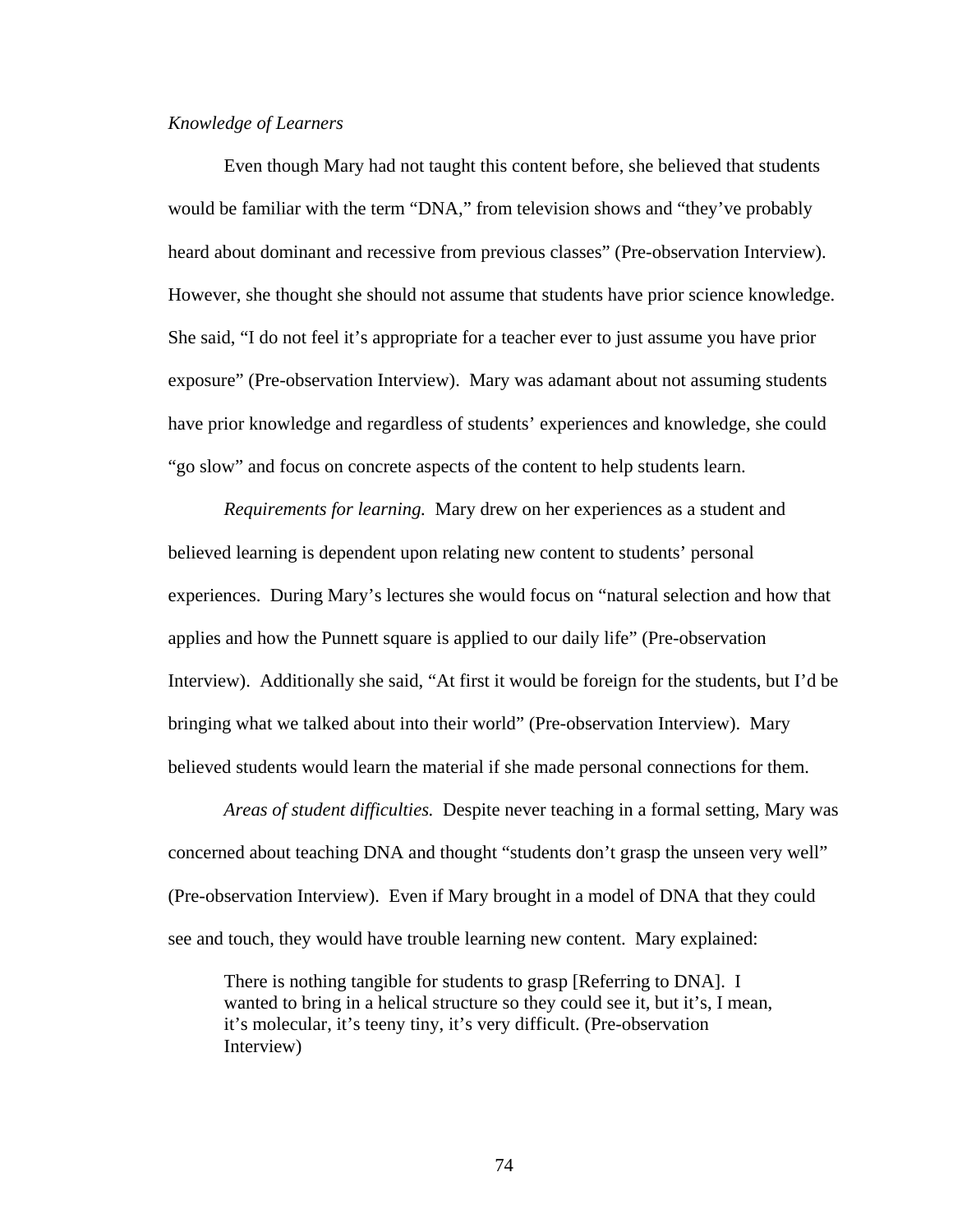### *Knowledge of Learners*

Even though Mary had not taught this content before, she believed that students would be familiar with the term "DNA," from television shows and "they've probably heard about dominant and recessive from previous classes" (Pre-observation Interview). However, she thought she should not assume that students have prior science knowledge. She said, "I do not feel it's appropriate for a teacher ever to just assume you have prior exposure" (Pre-observation Interview). Mary was adamant about not assuming students have prior knowledge and regardless of students' experiences and knowledge, she could "go slow" and focus on concrete aspects of the content to help students learn.

*Requirements for learning.* Mary drew on her experiences as a student and believed learning is dependent upon relating new content to students' personal experiences. During Mary's lectures she would focus on "natural selection and how that applies and how the Punnett square is applied to our daily life" (Pre-observation Interview). Additionally she said, "At first it would be foreign for the students, but I'd be bringing what we talked about into their world" (Pre-observation Interview). Mary believed students would learn the material if she made personal connections for them.

*Areas of student difficulties.* Despite never teaching in a formal setting, Mary was concerned about teaching DNA and thought "students don't grasp the unseen very well" (Pre-observation Interview). Even if Mary brought in a model of DNA that they could see and touch, they would have trouble learning new content. Mary explained:

There is nothing tangible for students to grasp [Referring to DNA]. I wanted to bring in a helical structure so they could see it, but it's, I mean, it's molecular, it's teeny tiny, it's very difficult. (Pre-observation Interview)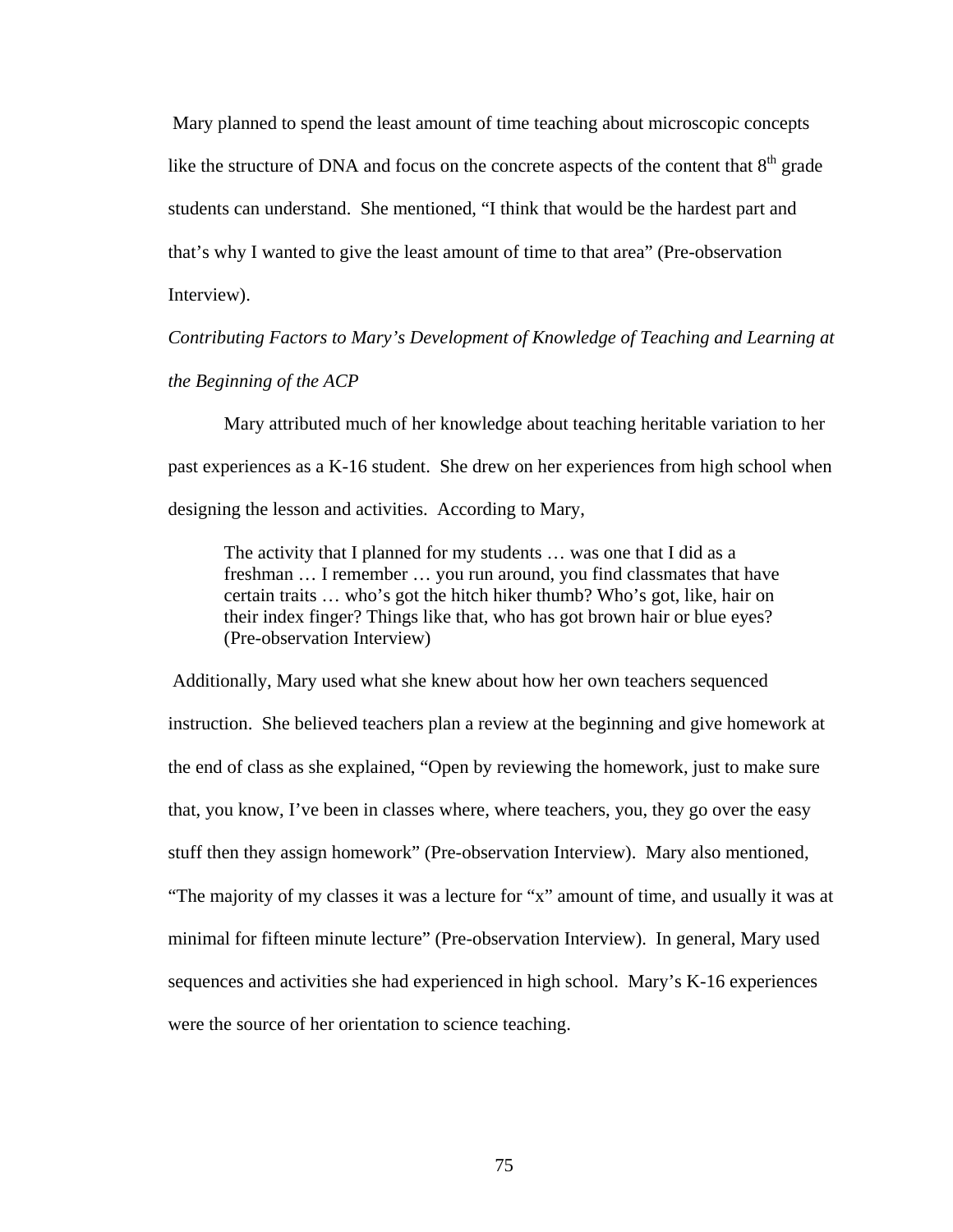Mary planned to spend the least amount of time teaching about microscopic concepts like the structure of DNA and focus on the concrete aspects of the content that  $8<sup>th</sup>$  grade students can understand. She mentioned, "I think that would be the hardest part and that's why I wanted to give the least amount of time to that area" (Pre-observation Interview).

*Contributing Factors to Mary's Development of Knowledge of Teaching and Learning at the Beginning of the ACP* 

Mary attributed much of her knowledge about teaching heritable variation to her past experiences as a K-16 student. She drew on her experiences from high school when designing the lesson and activities. According to Mary,

The activity that I planned for my students … was one that I did as a freshman … I remember … you run around, you find classmates that have certain traits … who's got the hitch hiker thumb? Who's got, like, hair on their index finger? Things like that, who has got brown hair or blue eyes? (Pre-observation Interview)

 Additionally, Mary used what she knew about how her own teachers sequenced instruction. She believed teachers plan a review at the beginning and give homework at the end of class as she explained, "Open by reviewing the homework, just to make sure that, you know, I've been in classes where, where teachers, you, they go over the easy stuff then they assign homework" (Pre-observation Interview). Mary also mentioned, "The majority of my classes it was a lecture for "x" amount of time, and usually it was at minimal for fifteen minute lecture" (Pre-observation Interview). In general, Mary used sequences and activities she had experienced in high school. Mary's K-16 experiences were the source of her orientation to science teaching.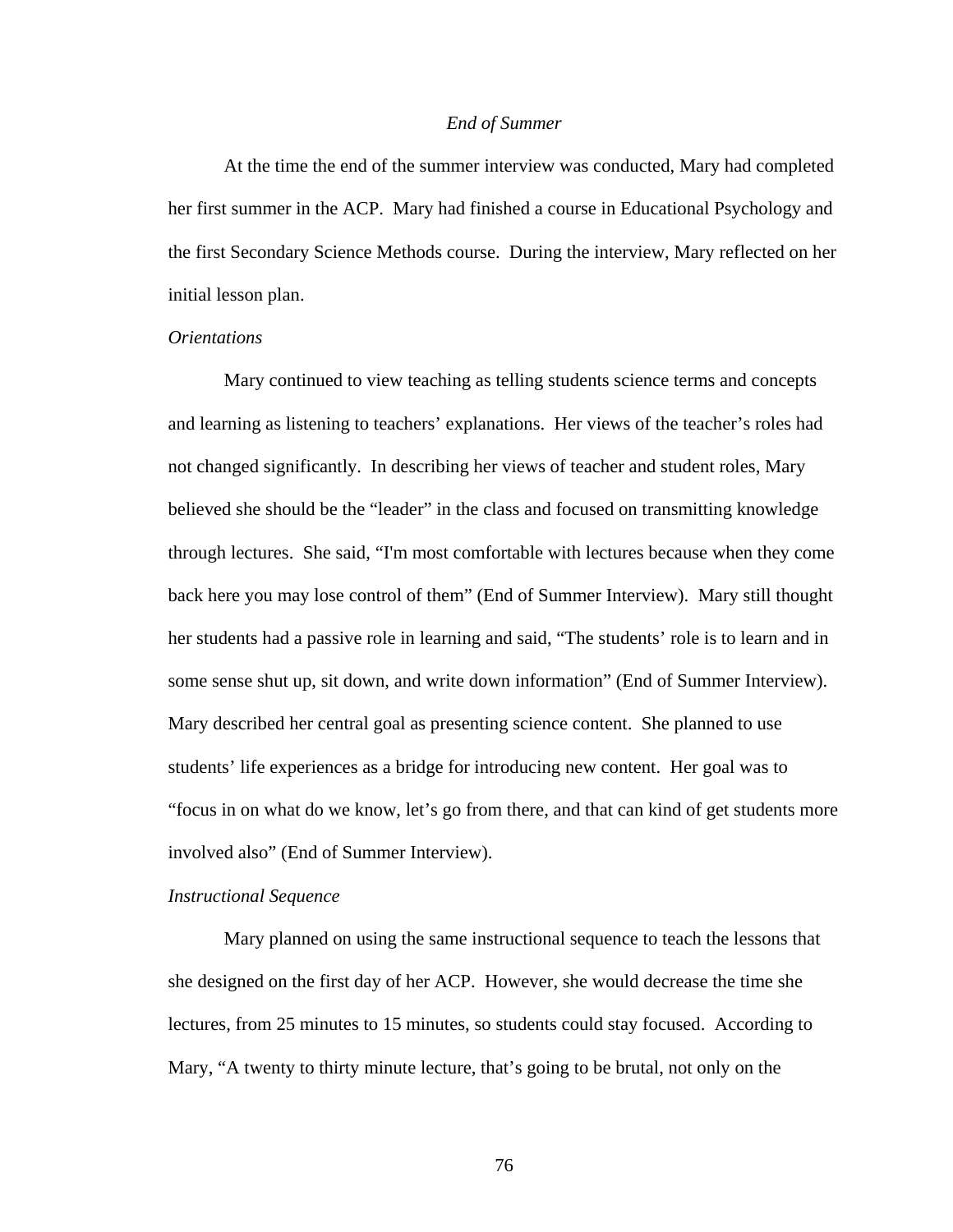#### *End of Summer*

 At the time the end of the summer interview was conducted, Mary had completed her first summer in the ACP. Mary had finished a course in Educational Psychology and the first Secondary Science Methods course. During the interview, Mary reflected on her initial lesson plan.

## *Orientations*

Mary continued to view teaching as telling students science terms and concepts and learning as listening to teachers' explanations. Her views of the teacher's roles had not changed significantly. In describing her views of teacher and student roles, Mary believed she should be the "leader" in the class and focused on transmitting knowledge through lectures. She said, "I'm most comfortable with lectures because when they come back here you may lose control of them" (End of Summer Interview). Mary still thought her students had a passive role in learning and said, "The students' role is to learn and in some sense shut up, sit down, and write down information" (End of Summer Interview). Mary described her central goal as presenting science content. She planned to use students' life experiences as a bridge for introducing new content. Her goal was to "focus in on what do we know, let's go from there, and that can kind of get students more involved also" (End of Summer Interview).

#### *Instructional Sequence*

 Mary planned on using the same instructional sequence to teach the lessons that she designed on the first day of her ACP. However, she would decrease the time she lectures, from 25 minutes to 15 minutes, so students could stay focused. According to Mary, "A twenty to thirty minute lecture, that's going to be brutal, not only on the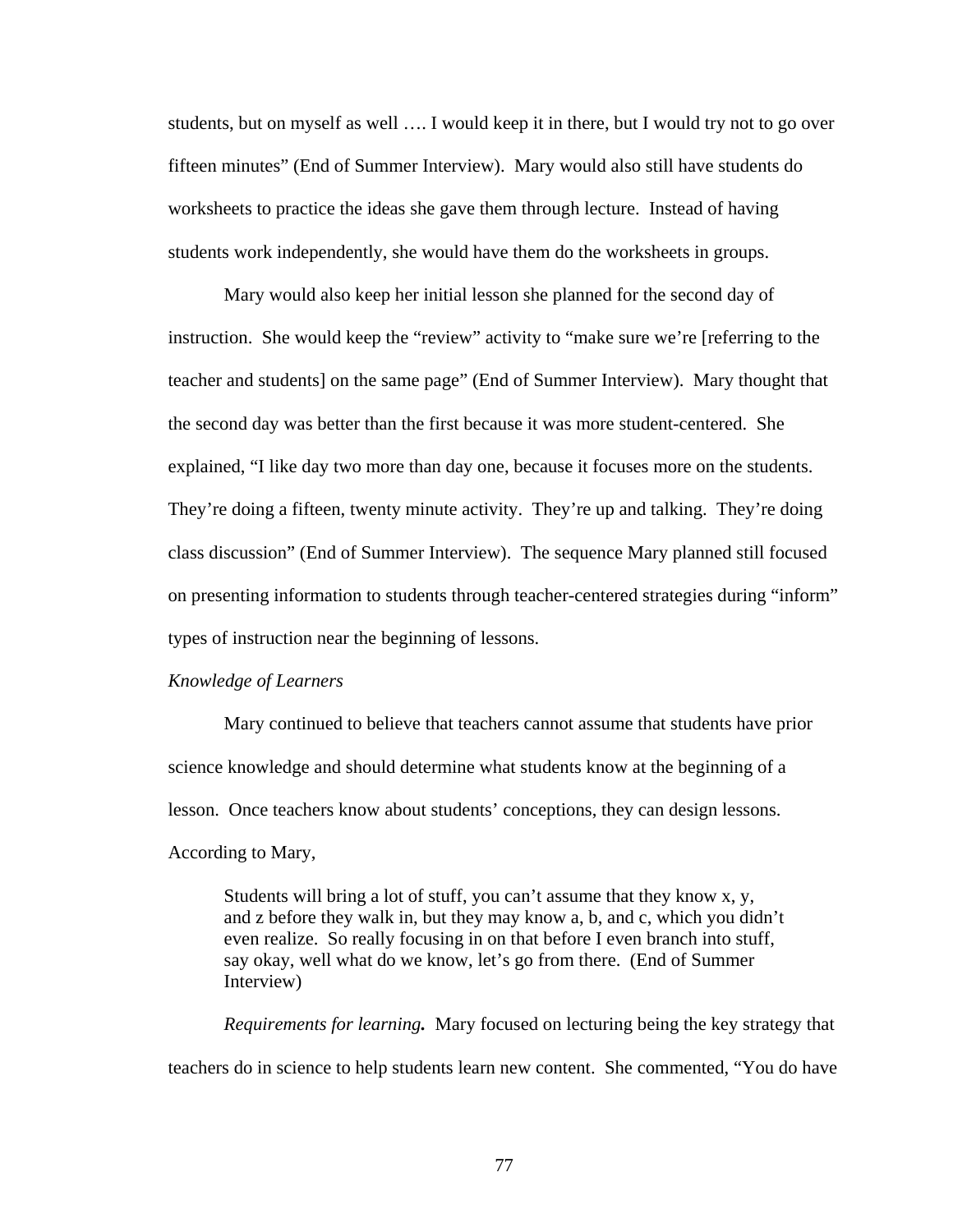students, but on myself as well …. I would keep it in there, but I would try not to go over fifteen minutes" (End of Summer Interview). Mary would also still have students do worksheets to practice the ideas she gave them through lecture. Instead of having students work independently, she would have them do the worksheets in groups.

Mary would also keep her initial lesson she planned for the second day of instruction. She would keep the "review" activity to "make sure we're [referring to the teacher and students] on the same page" (End of Summer Interview). Mary thought that the second day was better than the first because it was more student-centered. She explained, "I like day two more than day one, because it focuses more on the students. They're doing a fifteen, twenty minute activity. They're up and talking. They're doing class discussion" (End of Summer Interview). The sequence Mary planned still focused on presenting information to students through teacher-centered strategies during "inform" types of instruction near the beginning of lessons.

### *Knowledge of Learners*

 Mary continued to believe that teachers cannot assume that students have prior science knowledge and should determine what students know at the beginning of a lesson. Once teachers know about students' conceptions, they can design lessons. According to Mary,

 Students will bring a lot of stuff, you can't assume that they know x, y, and z before they walk in, but they may know a, b, and c, which you didn't even realize. So really focusing in on that before I even branch into stuff, say okay, well what do we know, let's go from there. (End of Summer Interview)

 *Requirements for learning.* Mary focused on lecturing being the key strategy that teachers do in science to help students learn new content. She commented, "You do have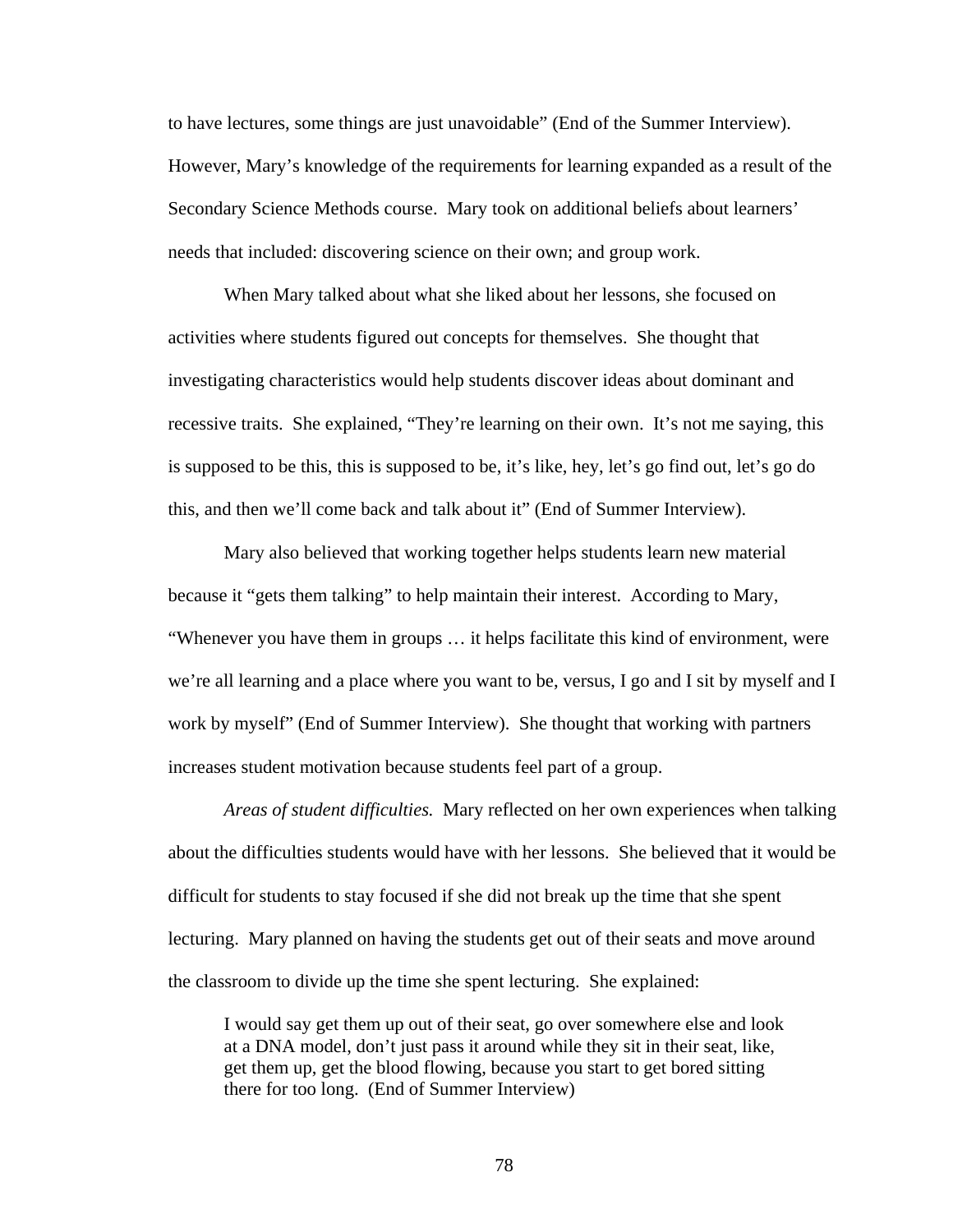to have lectures, some things are just unavoidable" (End of the Summer Interview). However, Mary's knowledge of the requirements for learning expanded as a result of the Secondary Science Methods course. Mary took on additional beliefs about learners' needs that included: discovering science on their own; and group work.

 When Mary talked about what she liked about her lessons, she focused on activities where students figured out concepts for themselves. She thought that investigating characteristics would help students discover ideas about dominant and recessive traits. She explained, "They're learning on their own. It's not me saying, this is supposed to be this, this is supposed to be, it's like, hey, let's go find out, let's go do this, and then we'll come back and talk about it" (End of Summer Interview).

Mary also believed that working together helps students learn new material because it "gets them talking" to help maintain their interest. According to Mary, "Whenever you have them in groups … it helps facilitate this kind of environment, were we're all learning and a place where you want to be, versus, I go and I sit by myself and I work by myself" (End of Summer Interview). She thought that working with partners increases student motivation because students feel part of a group.

 *Areas of student difficulties.* Mary reflected on her own experiences when talking about the difficulties students would have with her lessons. She believed that it would be difficult for students to stay focused if she did not break up the time that she spent lecturing. Mary planned on having the students get out of their seats and move around the classroom to divide up the time she spent lecturing. She explained:

I would say get them up out of their seat, go over somewhere else and look at a DNA model, don't just pass it around while they sit in their seat, like, get them up, get the blood flowing, because you start to get bored sitting there for too long. (End of Summer Interview)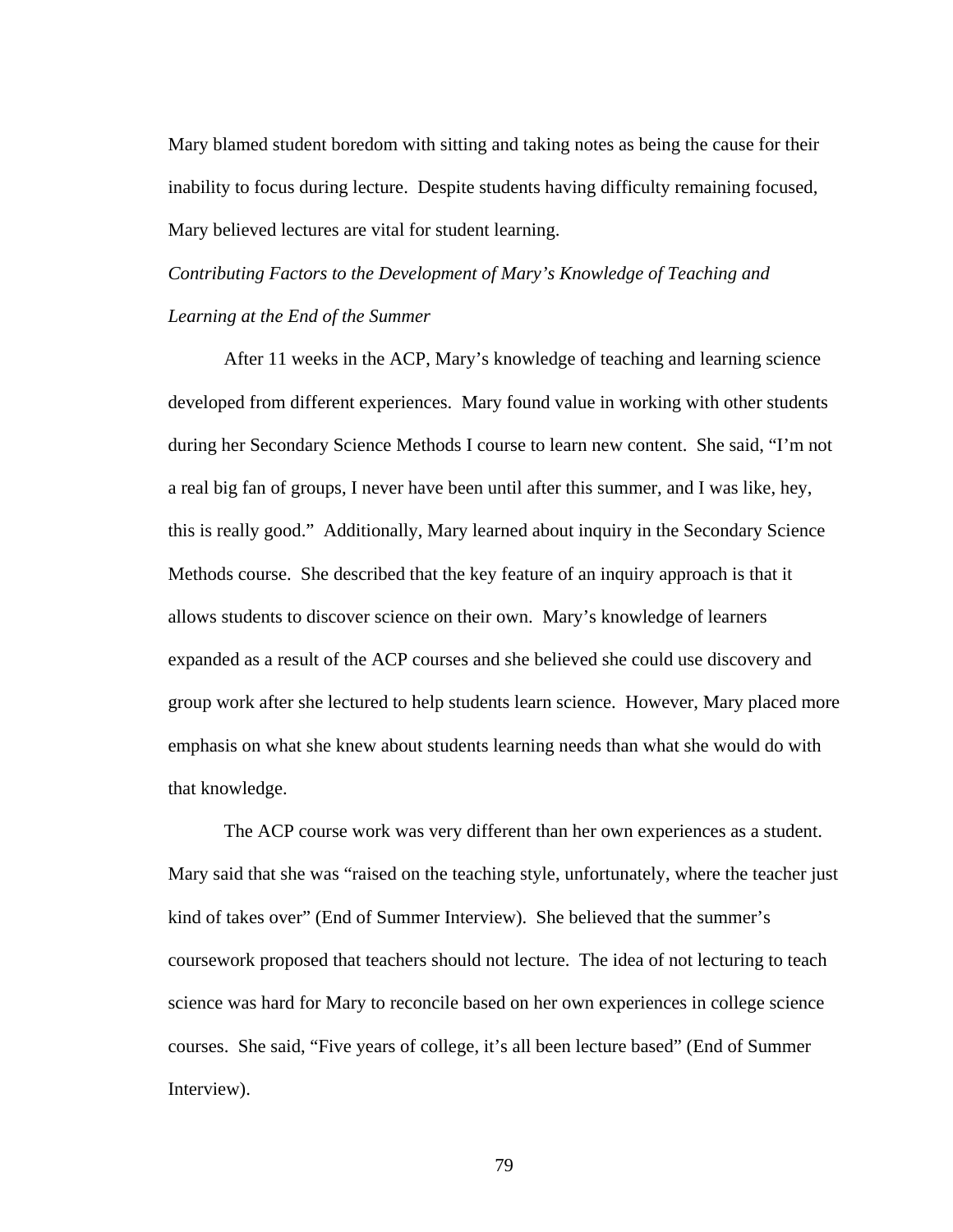Mary blamed student boredom with sitting and taking notes as being the cause for their inability to focus during lecture. Despite students having difficulty remaining focused, Mary believed lectures are vital for student learning.

# *Contributing Factors to the Development of Mary's Knowledge of Teaching and Learning at the End of the Summer*

 After 11 weeks in the ACP, Mary's knowledge of teaching and learning science developed from different experiences. Mary found value in working with other students during her Secondary Science Methods I course to learn new content. She said, "I'm not a real big fan of groups, I never have been until after this summer, and I was like, hey, this is really good." Additionally, Mary learned about inquiry in the Secondary Science Methods course. She described that the key feature of an inquiry approach is that it allows students to discover science on their own. Mary's knowledge of learners expanded as a result of the ACP courses and she believed she could use discovery and group work after she lectured to help students learn science. However, Mary placed more emphasis on what she knew about students learning needs than what she would do with that knowledge.

 The ACP course work was very different than her own experiences as a student. Mary said that she was "raised on the teaching style, unfortunately, where the teacher just kind of takes over" (End of Summer Interview). She believed that the summer's coursework proposed that teachers should not lecture. The idea of not lecturing to teach science was hard for Mary to reconcile based on her own experiences in college science courses. She said, "Five years of college, it's all been lecture based" (End of Summer Interview).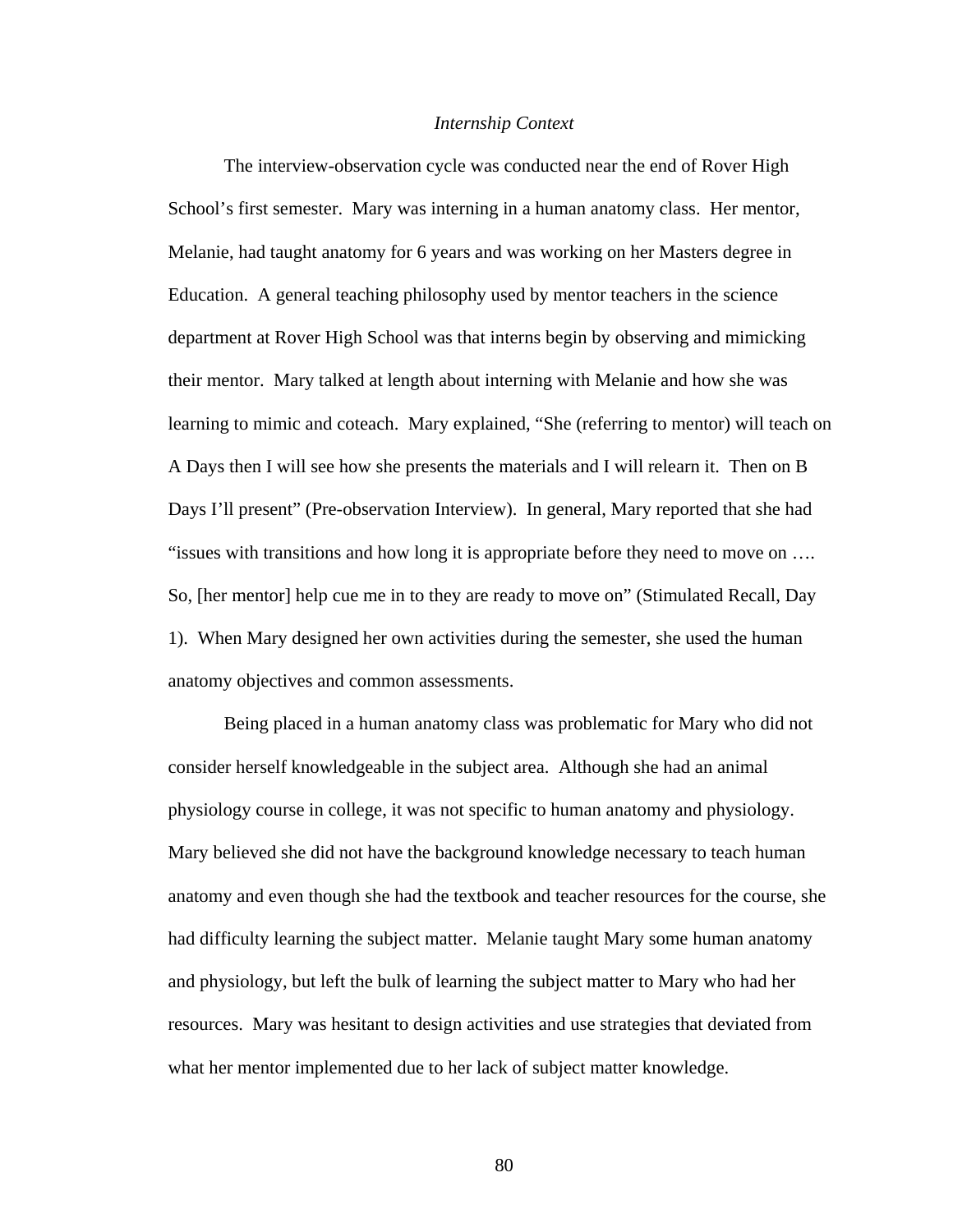#### *Internship Context*

The interview-observation cycle was conducted near the end of Rover High School's first semester. Mary was interning in a human anatomy class. Her mentor, Melanie, had taught anatomy for 6 years and was working on her Masters degree in Education. A general teaching philosophy used by mentor teachers in the science department at Rover High School was that interns begin by observing and mimicking their mentor. Mary talked at length about interning with Melanie and how she was learning to mimic and coteach. Mary explained, "She (referring to mentor) will teach on A Days then I will see how she presents the materials and I will relearn it. Then on B Days I'll present" (Pre-observation Interview). In general, Mary reported that she had "issues with transitions and how long it is appropriate before they need to move on …. So, [her mentor] help cue me in to they are ready to move on" (Stimulated Recall, Day 1). When Mary designed her own activities during the semester, she used the human anatomy objectives and common assessments.

Being placed in a human anatomy class was problematic for Mary who did not consider herself knowledgeable in the subject area. Although she had an animal physiology course in college, it was not specific to human anatomy and physiology. Mary believed she did not have the background knowledge necessary to teach human anatomy and even though she had the textbook and teacher resources for the course, she had difficulty learning the subject matter. Melanie taught Mary some human anatomy and physiology, but left the bulk of learning the subject matter to Mary who had her resources. Mary was hesitant to design activities and use strategies that deviated from what her mentor implemented due to her lack of subject matter knowledge.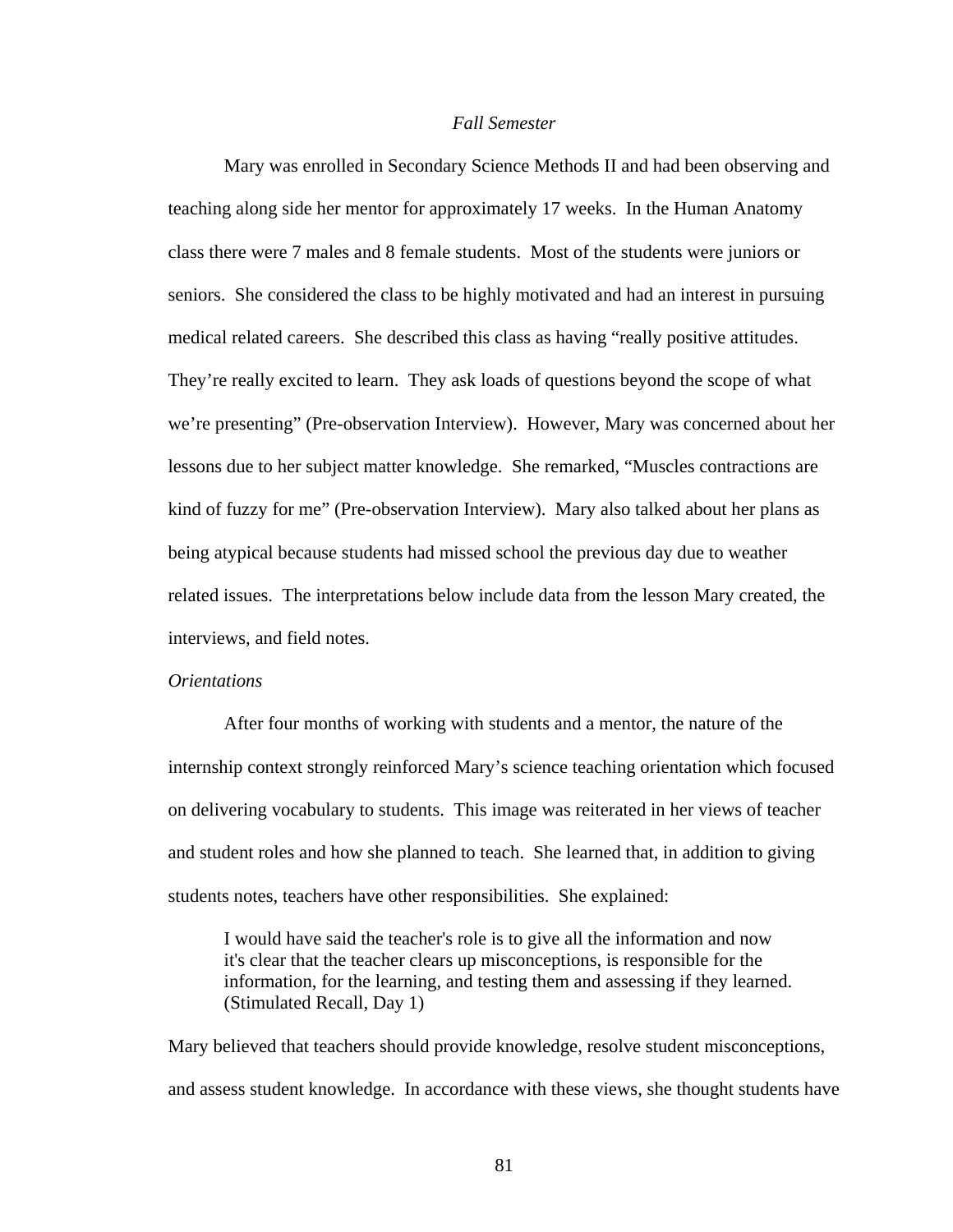## *Fall Semester*

Mary was enrolled in Secondary Science Methods II and had been observing and teaching along side her mentor for approximately 17 weeks. In the Human Anatomy class there were 7 males and 8 female students. Most of the students were juniors or seniors. She considered the class to be highly motivated and had an interest in pursuing medical related careers. She described this class as having "really positive attitudes. They're really excited to learn. They ask loads of questions beyond the scope of what we're presenting" (Pre-observation Interview). However, Mary was concerned about her lessons due to her subject matter knowledge. She remarked, "Muscles contractions are kind of fuzzy for me" (Pre-observation Interview). Mary also talked about her plans as being atypical because students had missed school the previous day due to weather related issues. The interpretations below include data from the lesson Mary created, the interviews, and field notes.

#### *Orientations*

After four months of working with students and a mentor, the nature of the internship context strongly reinforced Mary's science teaching orientation which focused on delivering vocabulary to students. This image was reiterated in her views of teacher and student roles and how she planned to teach. She learned that, in addition to giving students notes, teachers have other responsibilities. She explained:

I would have said the teacher's role is to give all the information and now it's clear that the teacher clears up misconceptions, is responsible for the information, for the learning, and testing them and assessing if they learned. (Stimulated Recall, Day 1)

Mary believed that teachers should provide knowledge, resolve student misconceptions, and assess student knowledge. In accordance with these views, she thought students have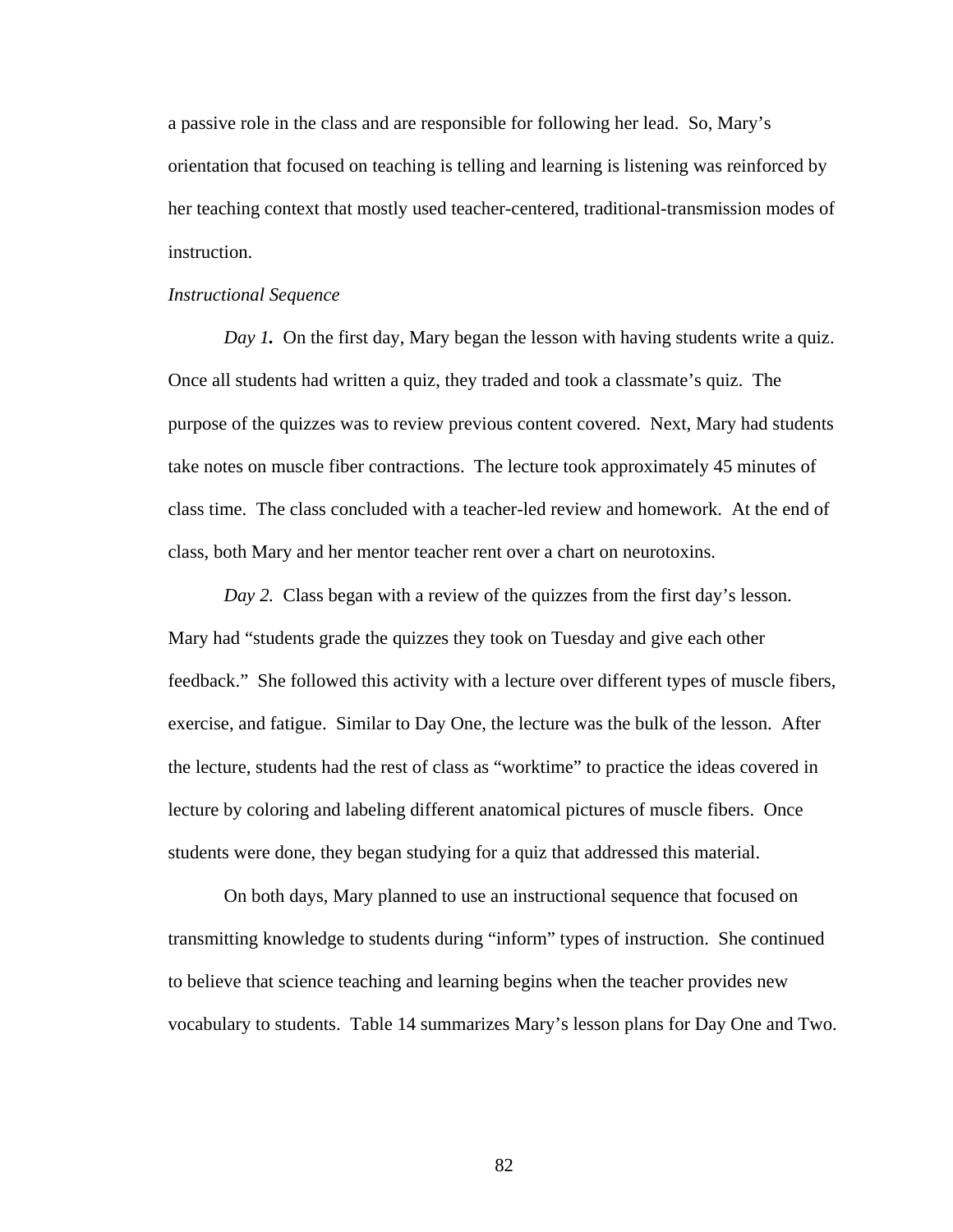a passive role in the class and are responsible for following her lead. So, Mary's orientation that focused on teaching is telling and learning is listening was reinforced by her teaching context that mostly used teacher-centered, traditional-transmission modes of instruction.

#### *Instructional Sequence*

*Day 1*. On the first day, Mary began the lesson with having students write a quiz. Once all students had written a quiz, they traded and took a classmate's quiz. The purpose of the quizzes was to review previous content covered. Next, Mary had students take notes on muscle fiber contractions. The lecture took approximately 45 minutes of class time. The class concluded with a teacher-led review and homework. At the end of class, both Mary and her mentor teacher rent over a chart on neurotoxins.

*Day 2.* Class began with a review of the quizzes from the first day's lesson. Mary had "students grade the quizzes they took on Tuesday and give each other feedback." She followed this activity with a lecture over different types of muscle fibers, exercise, and fatigue. Similar to Day One, the lecture was the bulk of the lesson. After the lecture, students had the rest of class as "worktime" to practice the ideas covered in lecture by coloring and labeling different anatomical pictures of muscle fibers. Once students were done, they began studying for a quiz that addressed this material.

On both days, Mary planned to use an instructional sequence that focused on transmitting knowledge to students during "inform" types of instruction. She continued to believe that science teaching and learning begins when the teacher provides new vocabulary to students. Table 14 summarizes Mary's lesson plans for Day One and Two.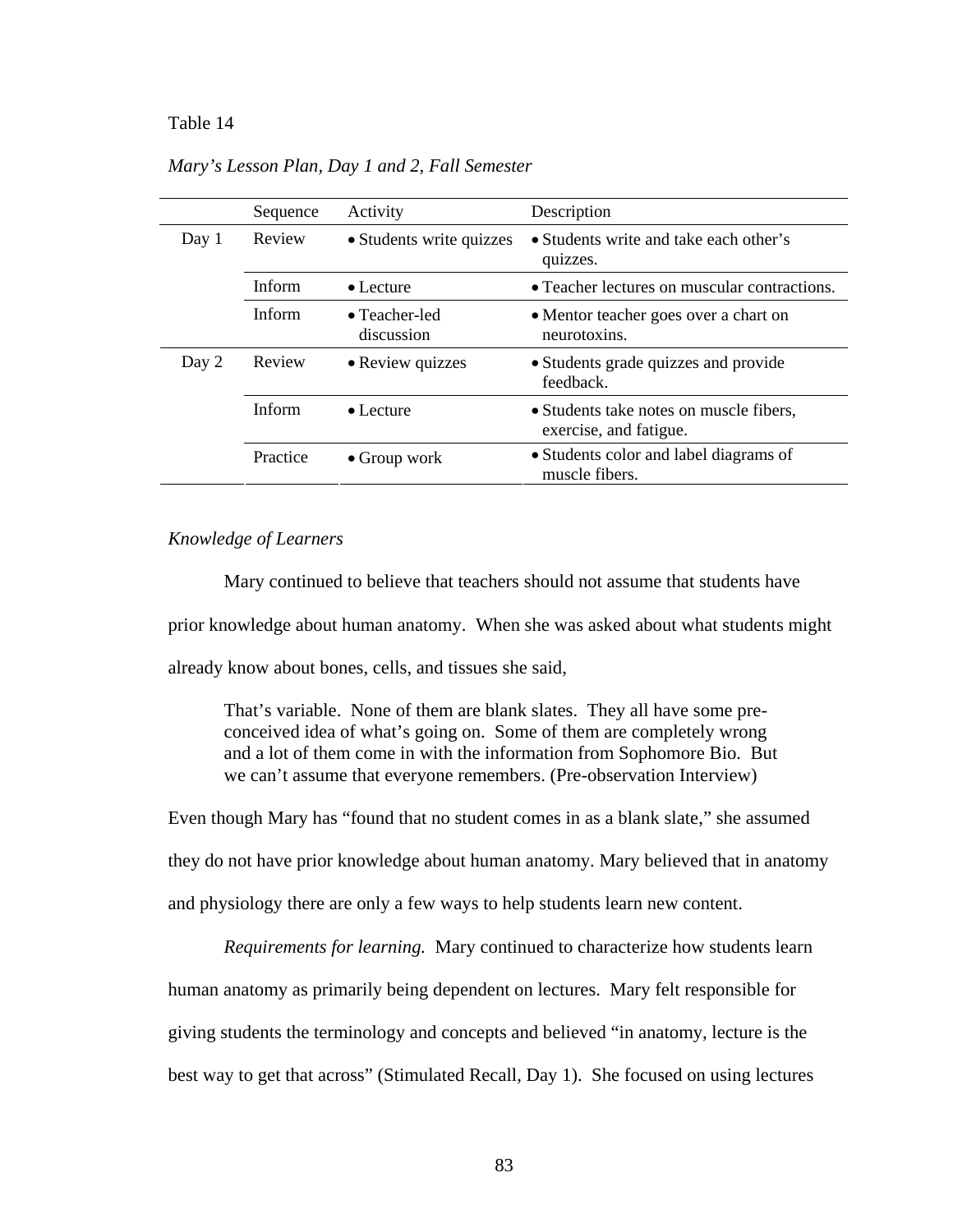#### Table 14 *Mary's Lesson Plan, Day 1 and 2, Fall Semester*

|       | Sequence      | Activity                            | Description                                                       |
|-------|---------------|-------------------------------------|-------------------------------------------------------------------|
| Day 1 | Review        | • Students write quizzes            | • Students write and take each other's<br>quizzes.                |
|       | <b>Inform</b> | $\bullet$ Lecture                   | • Teacher lectures on muscular contractions.                      |
|       | <b>Inform</b> | $\bullet$ Teacher-led<br>discussion | • Mentor teacher goes over a chart on<br>neurotoxins.             |
| Day 2 | Review        | • Review quizzes                    | • Students grade quizzes and provide<br>feedback.                 |
|       | <b>Inform</b> | $\bullet$ Lecture                   | • Students take notes on muscle fibers,<br>exercise, and fatigue. |
|       | Practice      | $\bullet$ Group work                | • Students color and label diagrams of<br>muscle fibers.          |

*Mary's Lesson Plan, Day 1 and 2, Fall Semester* 

## *Knowledge of Learners*

 Mary continued to believe that teachers should not assume that students have prior knowledge about human anatomy. When she was asked about what students might already know about bones, cells, and tissues she said,

 That's variable. None of them are blank slates. They all have some preconceived idea of what's going on. Some of them are completely wrong and a lot of them come in with the information from Sophomore Bio. But we can't assume that everyone remembers. (Pre-observation Interview)

Even though Mary has "found that no student comes in as a blank slate," she assumed they do not have prior knowledge about human anatomy. Mary believed that in anatomy and physiology there are only a few ways to help students learn new content.

*Requirements for learning.* Mary continued to characterize how students learn human anatomy as primarily being dependent on lectures. Mary felt responsible for giving students the terminology and concepts and believed "in anatomy, lecture is the best way to get that across" (Stimulated Recall, Day 1). She focused on using lectures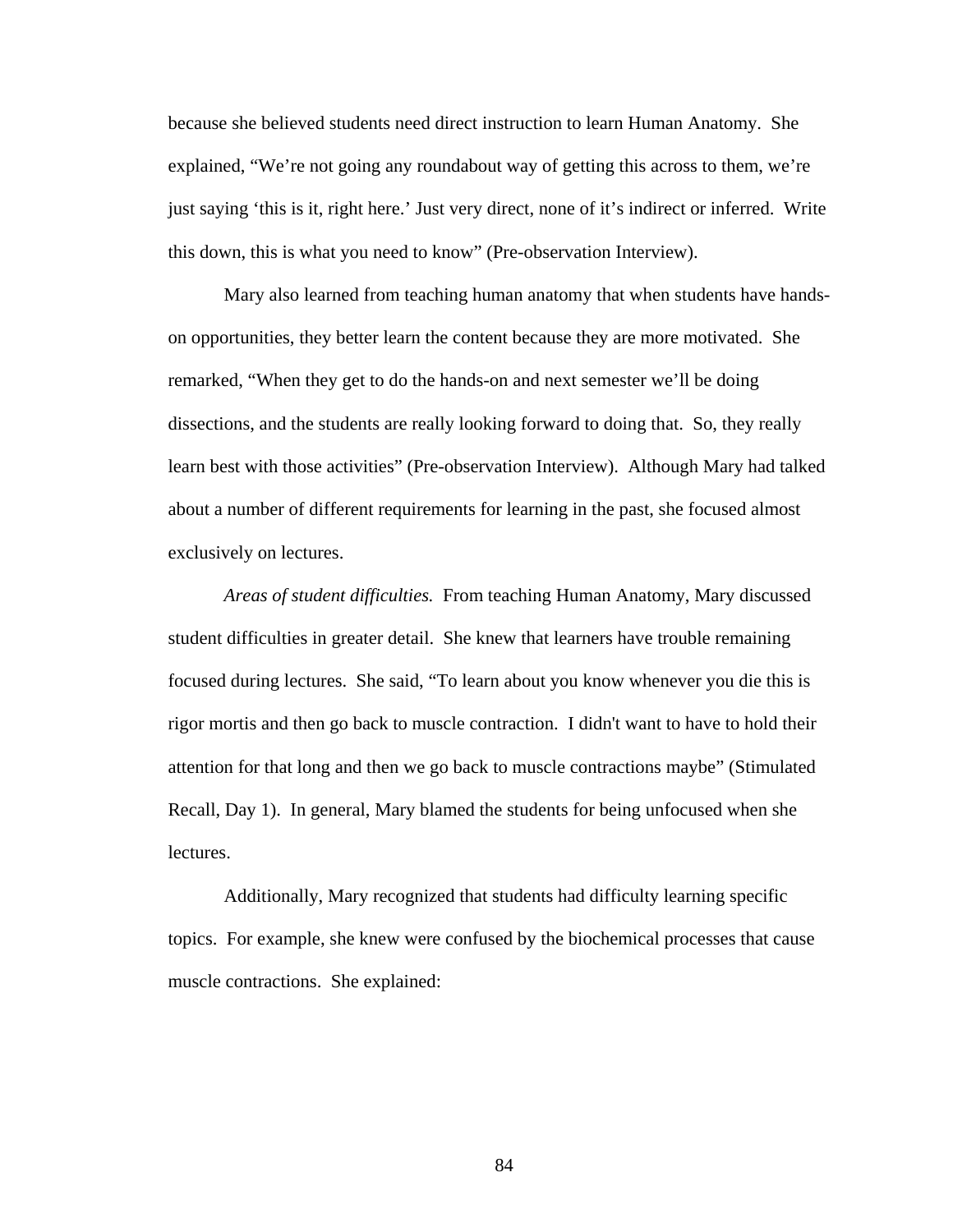because she believed students need direct instruction to learn Human Anatomy. She explained, "We're not going any roundabout way of getting this across to them, we're just saying 'this is it, right here.' Just very direct, none of it's indirect or inferred. Write this down, this is what you need to know" (Pre-observation Interview).

Mary also learned from teaching human anatomy that when students have handson opportunities, they better learn the content because they are more motivated. She remarked, "When they get to do the hands-on and next semester we'll be doing dissections, and the students are really looking forward to doing that. So, they really learn best with those activities" (Pre-observation Interview). Although Mary had talked about a number of different requirements for learning in the past, she focused almost exclusively on lectures.

*Areas of student difficulties.* From teaching Human Anatomy, Mary discussed student difficulties in greater detail. She knew that learners have trouble remaining focused during lectures. She said, "To learn about you know whenever you die this is rigor mortis and then go back to muscle contraction. I didn't want to have to hold their attention for that long and then we go back to muscle contractions maybe" (Stimulated Recall, Day 1). In general, Mary blamed the students for being unfocused when she lectures.

Additionally, Mary recognized that students had difficulty learning specific topics. For example, she knew were confused by the biochemical processes that cause muscle contractions. She explained: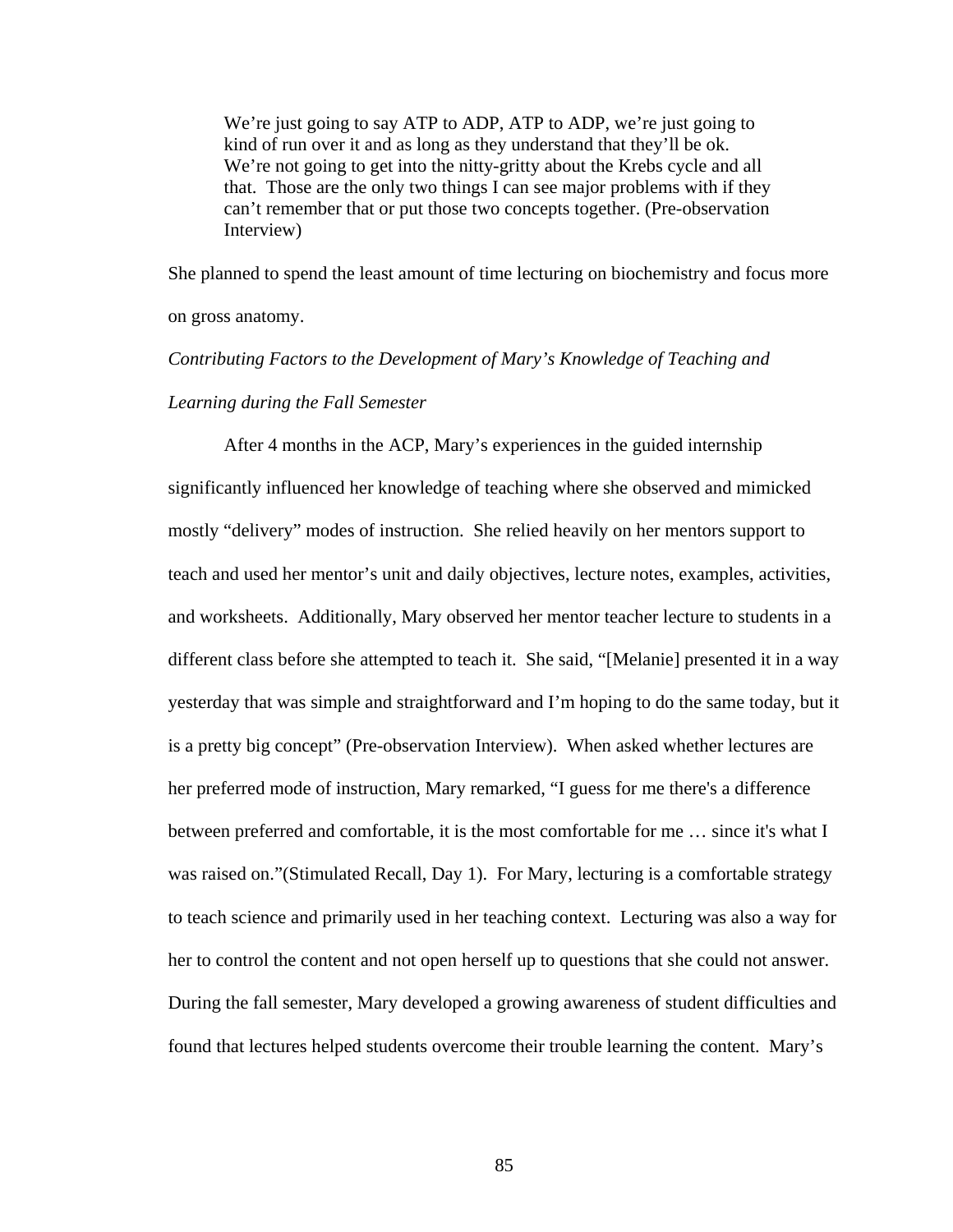We're just going to say ATP to ADP, ATP to ADP, we're just going to kind of run over it and as long as they understand that they'll be ok. We're not going to get into the nitty-gritty about the Krebs cycle and all that. Those are the only two things I can see major problems with if they can't remember that or put those two concepts together. (Pre-observation Interview)

She planned to spend the least amount of time lecturing on biochemistry and focus more on gross anatomy.

# *Contributing Factors to the Development of Mary's Knowledge of Teaching and Learning during the Fall Semester*

After 4 months in the ACP, Mary's experiences in the guided internship significantly influenced her knowledge of teaching where she observed and mimicked mostly "delivery" modes of instruction. She relied heavily on her mentors support to teach and used her mentor's unit and daily objectives, lecture notes, examples, activities, and worksheets. Additionally, Mary observed her mentor teacher lecture to students in a different class before she attempted to teach it. She said, "[Melanie] presented it in a way yesterday that was simple and straightforward and I'm hoping to do the same today, but it is a pretty big concept" (Pre-observation Interview). When asked whether lectures are her preferred mode of instruction, Mary remarked, "I guess for me there's a difference between preferred and comfortable, it is the most comfortable for me … since it's what I was raised on."(Stimulated Recall, Day 1). For Mary, lecturing is a comfortable strategy to teach science and primarily used in her teaching context. Lecturing was also a way for her to control the content and not open herself up to questions that she could not answer. During the fall semester, Mary developed a growing awareness of student difficulties and found that lectures helped students overcome their trouble learning the content. Mary's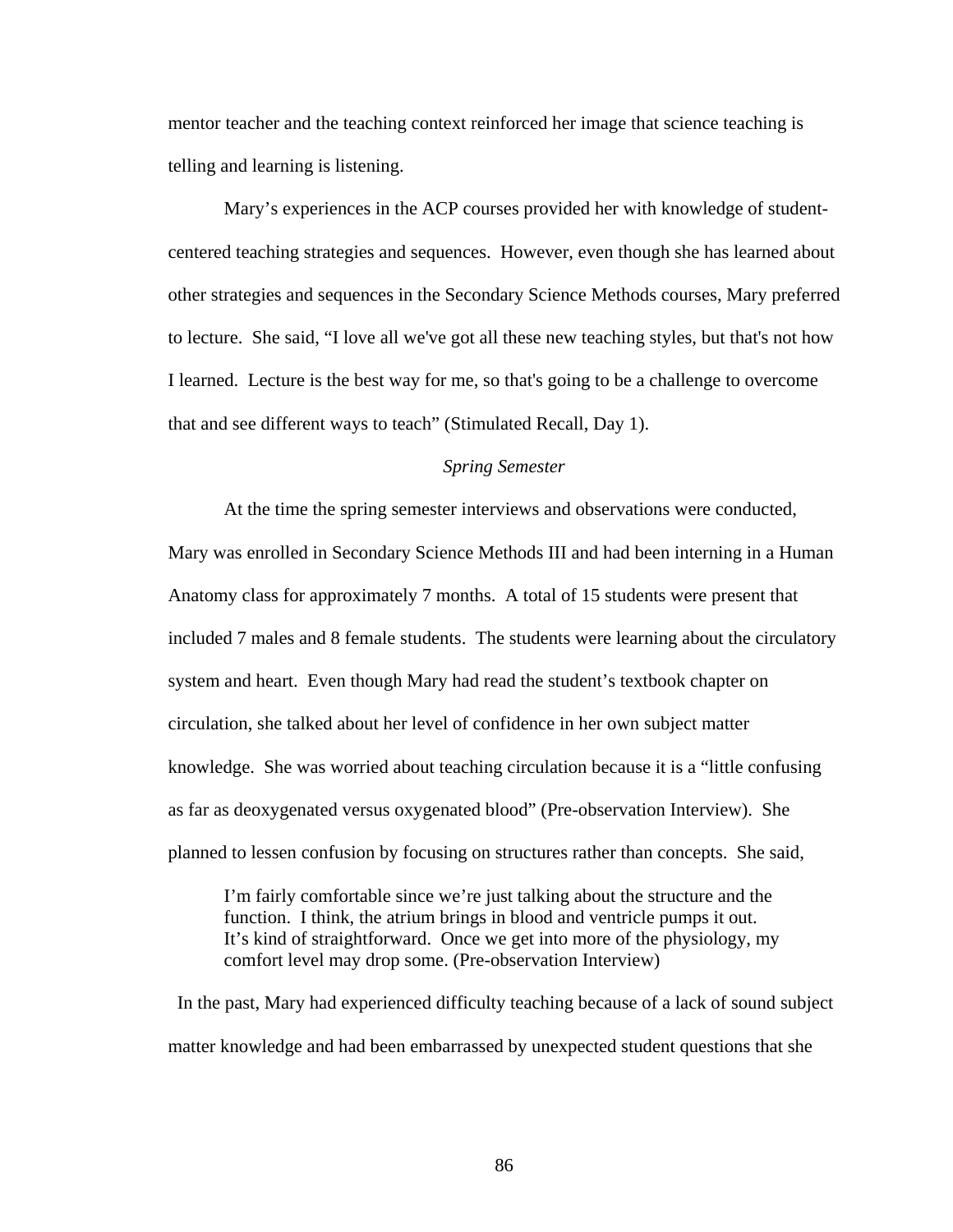mentor teacher and the teaching context reinforced her image that science teaching is telling and learning is listening.

Mary's experiences in the ACP courses provided her with knowledge of studentcentered teaching strategies and sequences. However, even though she has learned about other strategies and sequences in the Secondary Science Methods courses, Mary preferred to lecture. She said, "I love all we've got all these new teaching styles, but that's not how I learned. Lecture is the best way for me, so that's going to be a challenge to overcome that and see different ways to teach" (Stimulated Recall, Day 1).

## *Spring Semester*

At the time the spring semester interviews and observations were conducted, Mary was enrolled in Secondary Science Methods III and had been interning in a Human Anatomy class for approximately 7 months. A total of 15 students were present that included 7 males and 8 female students. The students were learning about the circulatory system and heart. Even though Mary had read the student's textbook chapter on circulation, she talked about her level of confidence in her own subject matter knowledge. She was worried about teaching circulation because it is a "little confusing as far as deoxygenated versus oxygenated blood" (Pre-observation Interview). She planned to lessen confusion by focusing on structures rather than concepts. She said,

I'm fairly comfortable since we're just talking about the structure and the function. I think, the atrium brings in blood and ventricle pumps it out. It's kind of straightforward. Once we get into more of the physiology, my comfort level may drop some. (Pre-observation Interview)

 In the past, Mary had experienced difficulty teaching because of a lack of sound subject matter knowledge and had been embarrassed by unexpected student questions that she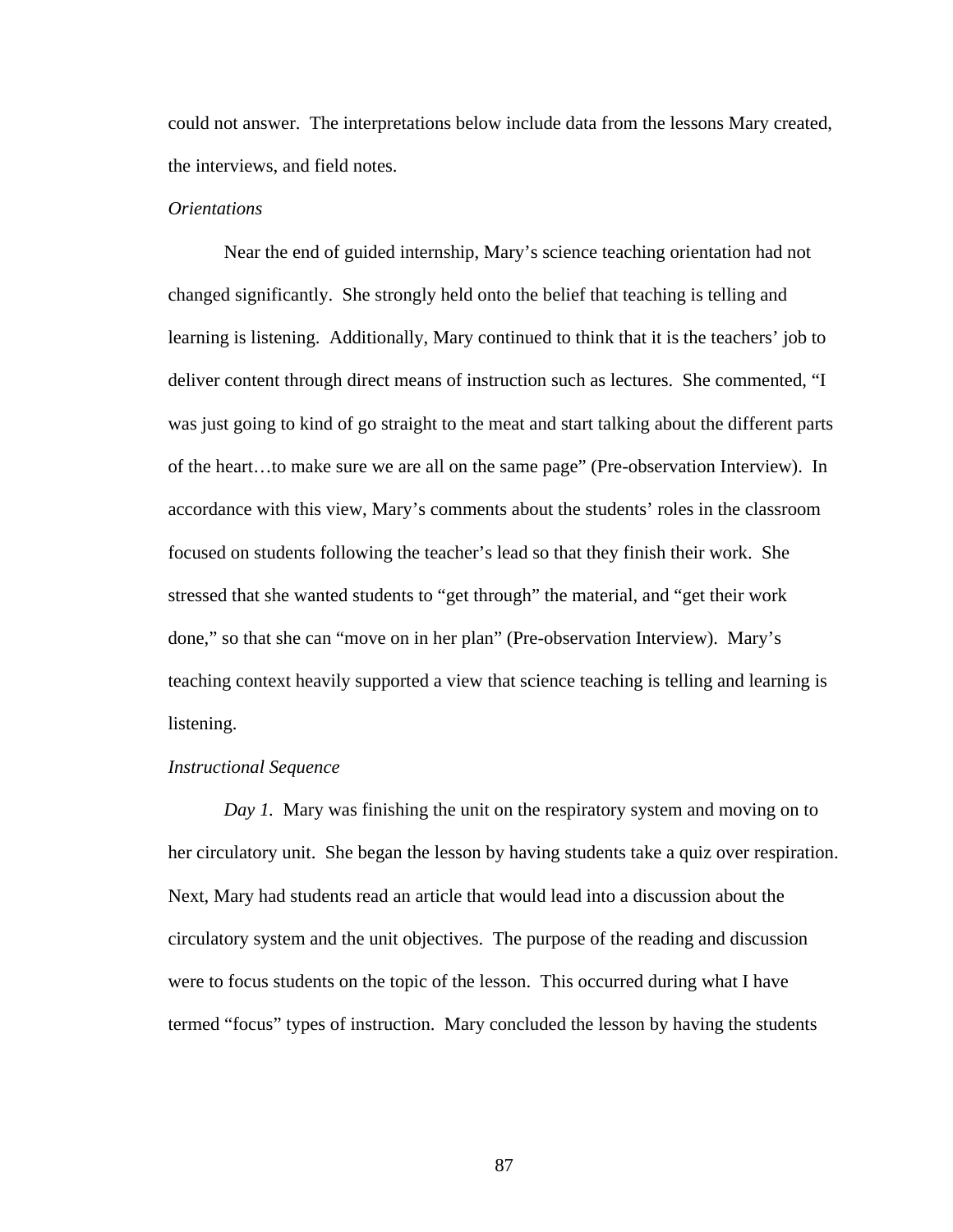could not answer. The interpretations below include data from the lessons Mary created, the interviews, and field notes.

# *Orientations*

Near the end of guided internship, Mary's science teaching orientation had not changed significantly. She strongly held onto the belief that teaching is telling and learning is listening. Additionally, Mary continued to think that it is the teachers' job to deliver content through direct means of instruction such as lectures. She commented, "I was just going to kind of go straight to the meat and start talking about the different parts of the heart…to make sure we are all on the same page" (Pre-observation Interview). In accordance with this view, Mary's comments about the students' roles in the classroom focused on students following the teacher's lead so that they finish their work. She stressed that she wanted students to "get through" the material, and "get their work done," so that she can "move on in her plan" (Pre-observation Interview). Mary's teaching context heavily supported a view that science teaching is telling and learning is listening.

#### *Instructional Sequence*

*Day 1.* Mary was finishing the unit on the respiratory system and moving on to her circulatory unit. She began the lesson by having students take a quiz over respiration. Next, Mary had students read an article that would lead into a discussion about the circulatory system and the unit objectives. The purpose of the reading and discussion were to focus students on the topic of the lesson. This occurred during what I have termed "focus" types of instruction. Mary concluded the lesson by having the students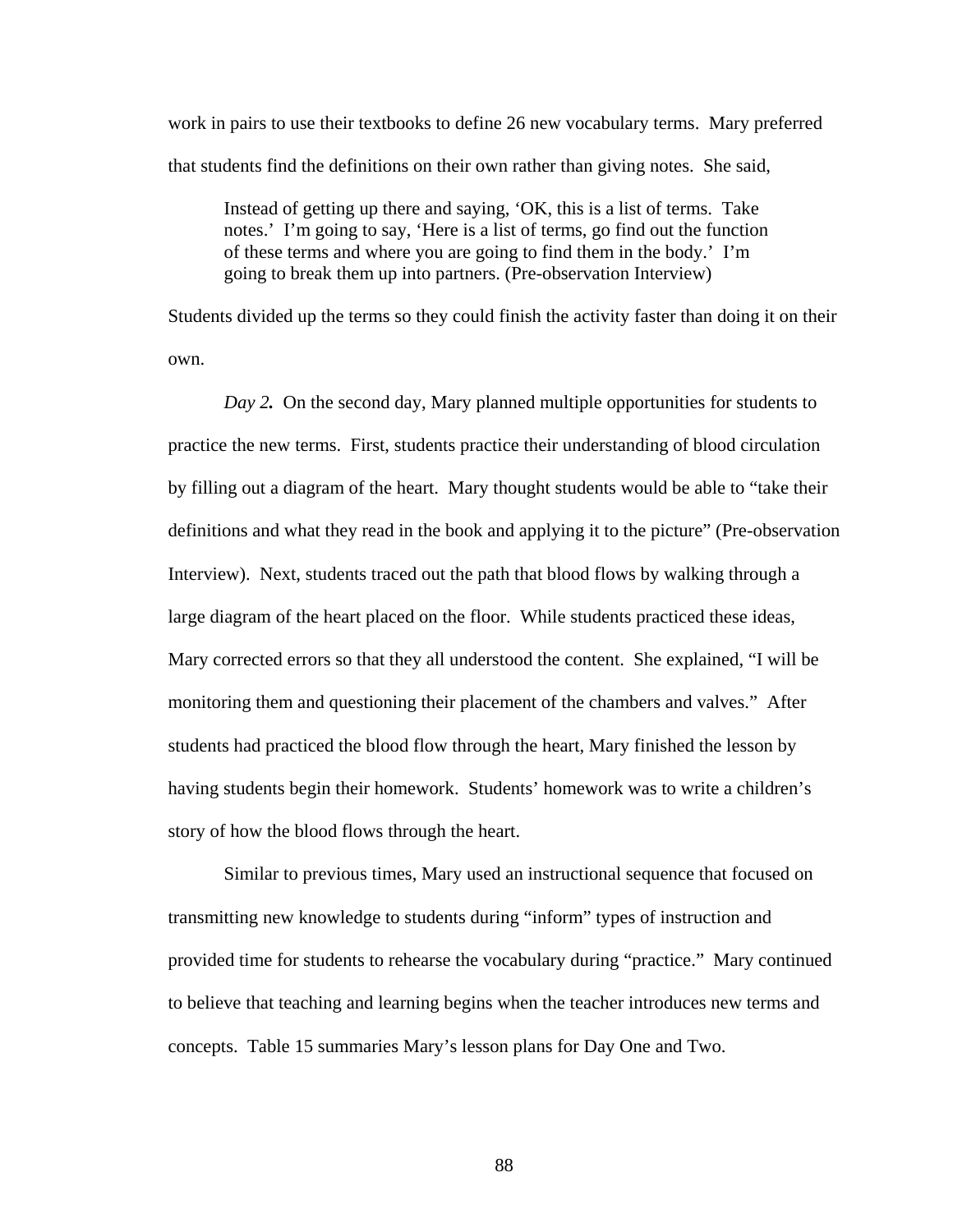work in pairs to use their textbooks to define 26 new vocabulary terms. Mary preferred that students find the definitions on their own rather than giving notes. She said,

Instead of getting up there and saying, 'OK, this is a list of terms. Take notes.' I'm going to say, 'Here is a list of terms, go find out the function of these terms and where you are going to find them in the body.' I'm going to break them up into partners. (Pre-observation Interview)

Students divided up the terms so they could finish the activity faster than doing it on their own.

*Day 2*. On the second day, Mary planned multiple opportunities for students to practice the new terms. First, students practice their understanding of blood circulation by filling out a diagram of the heart. Mary thought students would be able to "take their definitions and what they read in the book and applying it to the picture" (Pre-observation Interview). Next, students traced out the path that blood flows by walking through a large diagram of the heart placed on the floor. While students practiced these ideas, Mary corrected errors so that they all understood the content. She explained, "I will be monitoring them and questioning their placement of the chambers and valves." After students had practiced the blood flow through the heart, Mary finished the lesson by having students begin their homework. Students' homework was to write a children's story of how the blood flows through the heart.

Similar to previous times, Mary used an instructional sequence that focused on transmitting new knowledge to students during "inform" types of instruction and provided time for students to rehearse the vocabulary during "practice." Mary continued to believe that teaching and learning begins when the teacher introduces new terms and concepts. Table 15 summaries Mary's lesson plans for Day One and Two.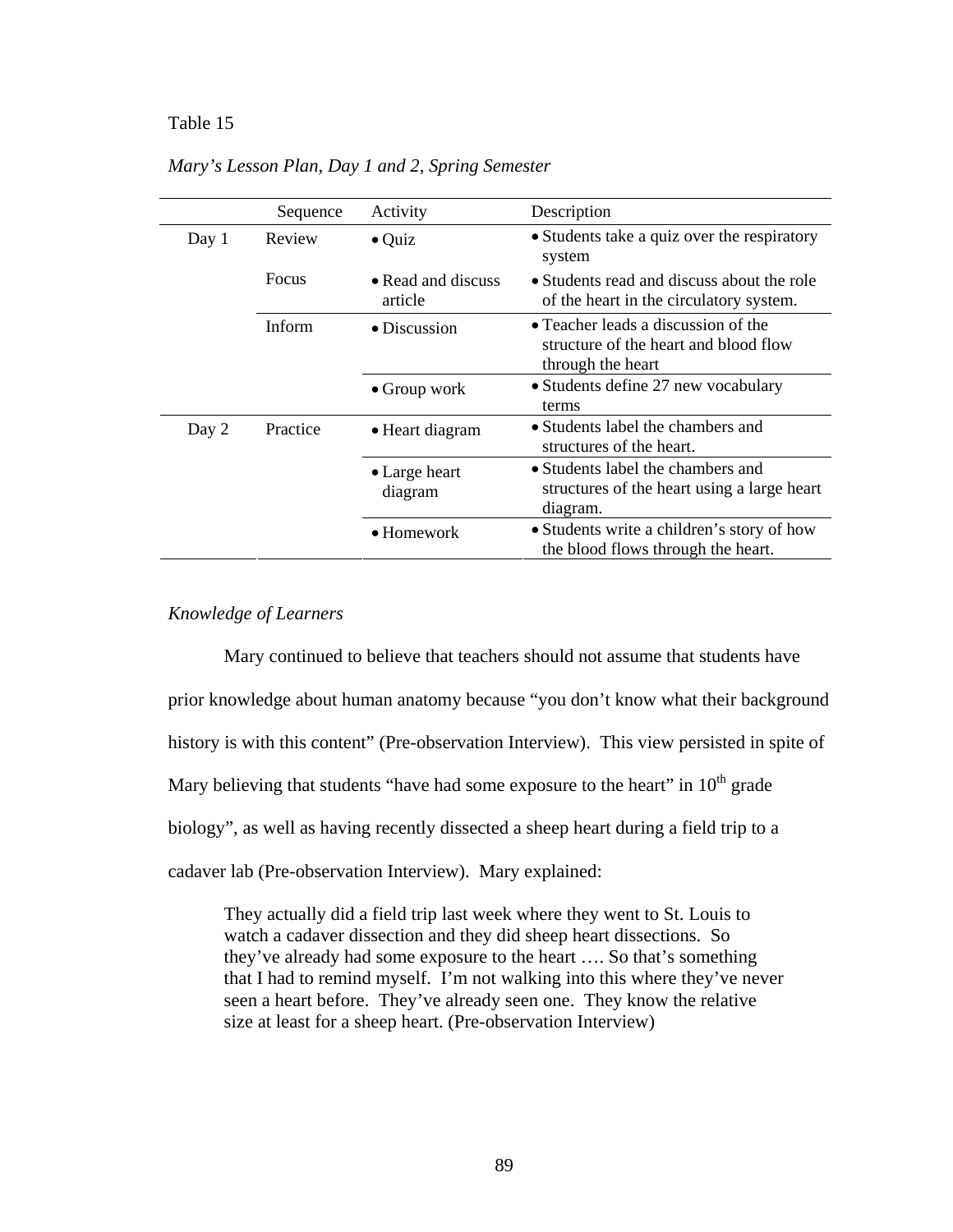#### Table 15 *Mary's Lesson Plan, Day 1 and 2, Spring Semester*

|       | Sequence | Activity                      | Description                                                                                       |
|-------|----------|-------------------------------|---------------------------------------------------------------------------------------------------|
| Day 1 | Review   | $\bullet$ Quiz                | • Students take a quiz over the respiratory<br>system                                             |
|       | Focus    | • Read and discuss<br>article | • Students read and discuss about the role<br>of the heart in the circulatory system.             |
|       | Inform   | • Discussion                  | • Teacher leads a discussion of the<br>structure of the heart and blood flow<br>through the heart |
|       |          | $\bullet$ Group work          | • Students define 27 new vocabulary<br>terms                                                      |
| Day 2 | Practice | • Heart diagram               | • Students label the chambers and<br>structures of the heart.                                     |
|       |          | • Large heart<br>diagram      | • Students label the chambers and<br>structures of the heart using a large heart<br>diagram.      |
|       |          | $\bullet$ Homework            | • Students write a children's story of how<br>the blood flows through the heart.                  |

*Mary's Lesson Plan, Day 1 and 2, Spring Semester* 

# *Knowledge of Learners*

Mary continued to believe that teachers should not assume that students have prior knowledge about human anatomy because "you don't know what their background history is with this content" (Pre-observation Interview). This view persisted in spite of Mary believing that students "have had some exposure to the heart" in  $10<sup>th</sup>$  grade biology", as well as having recently dissected a sheep heart during a field trip to a cadaver lab (Pre-observation Interview). Mary explained:

They actually did a field trip last week where they went to St. Louis to watch a cadaver dissection and they did sheep heart dissections. So they've already had some exposure to the heart …. So that's something that I had to remind myself. I'm not walking into this where they've never seen a heart before. They've already seen one. They know the relative size at least for a sheep heart. (Pre-observation Interview)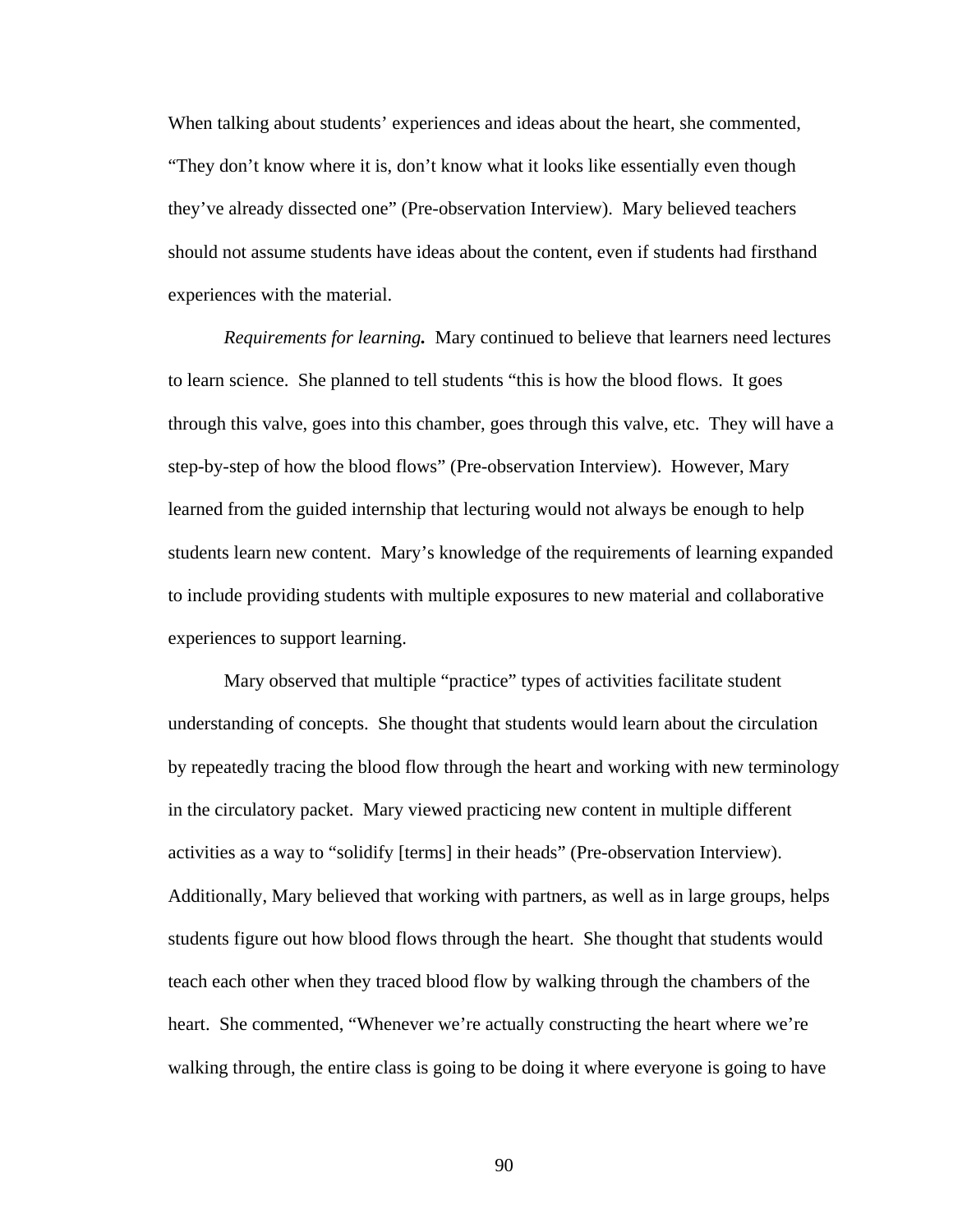When talking about students' experiences and ideas about the heart, she commented, "They don't know where it is, don't know what it looks like essentially even though they've already dissected one" (Pre-observation Interview). Mary believed teachers should not assume students have ideas about the content, even if students had firsthand experiences with the material.

 *Requirements for learning.* Mary continued to believe that learners need lectures to learn science. She planned to tell students "this is how the blood flows. It goes through this valve, goes into this chamber, goes through this valve, etc. They will have a step-by-step of how the blood flows" (Pre-observation Interview). However, Mary learned from the guided internship that lecturing would not always be enough to help students learn new content. Mary's knowledge of the requirements of learning expanded to include providing students with multiple exposures to new material and collaborative experiences to support learning.

Mary observed that multiple "practice" types of activities facilitate student understanding of concepts. She thought that students would learn about the circulation by repeatedly tracing the blood flow through the heart and working with new terminology in the circulatory packet. Mary viewed practicing new content in multiple different activities as a way to "solidify [terms] in their heads" (Pre-observation Interview). Additionally, Mary believed that working with partners, as well as in large groups, helps students figure out how blood flows through the heart. She thought that students would teach each other when they traced blood flow by walking through the chambers of the heart. She commented, "Whenever we're actually constructing the heart where we're walking through, the entire class is going to be doing it where everyone is going to have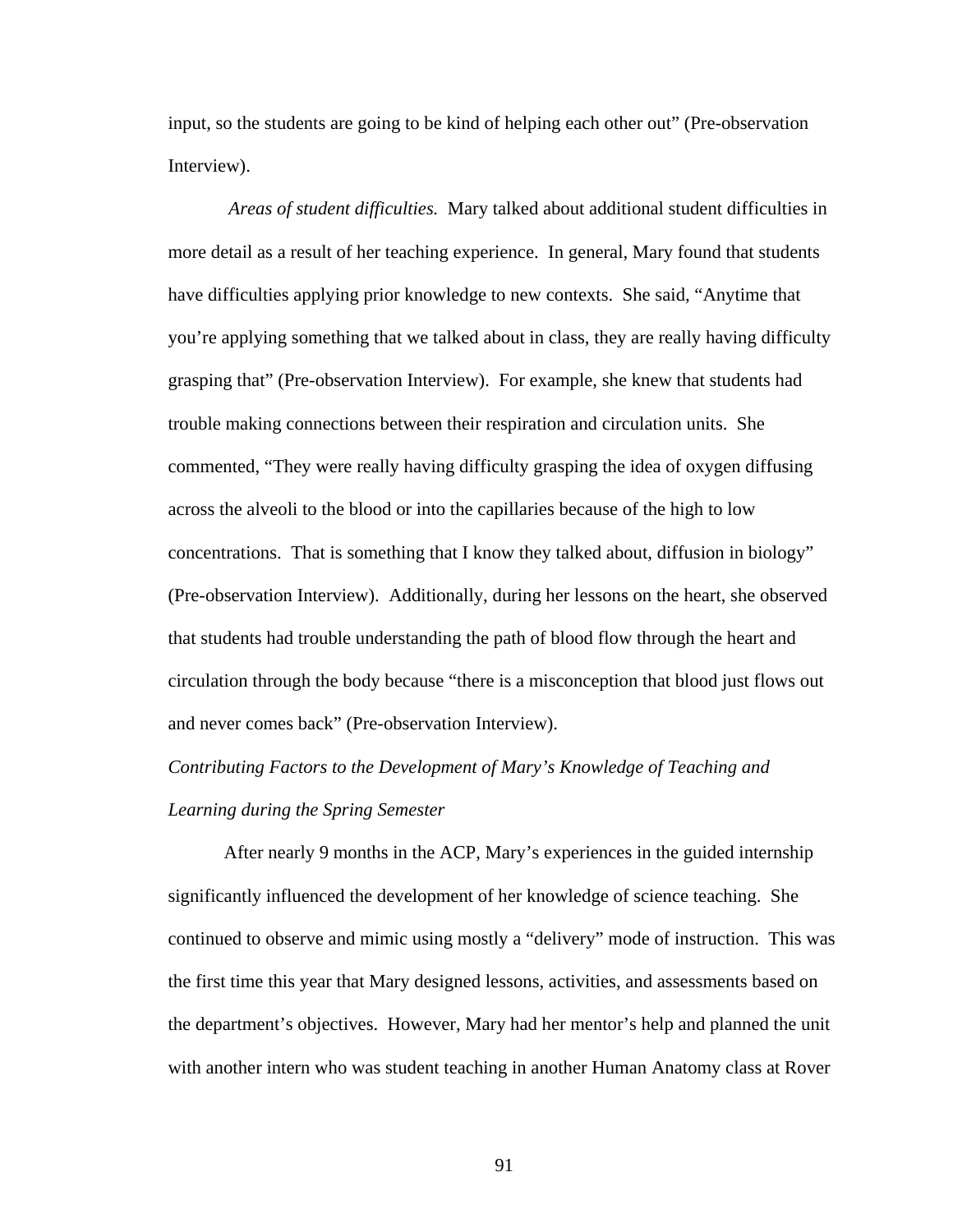input, so the students are going to be kind of helping each other out" (Pre-observation Interview).

 *Areas of student difficulties.* Mary talked about additional student difficulties in more detail as a result of her teaching experience. In general, Mary found that students have difficulties applying prior knowledge to new contexts. She said, "Anytime that you're applying something that we talked about in class, they are really having difficulty grasping that" (Pre-observation Interview). For example, she knew that students had trouble making connections between their respiration and circulation units. She commented, "They were really having difficulty grasping the idea of oxygen diffusing across the alveoli to the blood or into the capillaries because of the high to low concentrations. That is something that I know they talked about, diffusion in biology" (Pre-observation Interview). Additionally, during her lessons on the heart, she observed that students had trouble understanding the path of blood flow through the heart and circulation through the body because "there is a misconception that blood just flows out and never comes back" (Pre-observation Interview).

# *Contributing Factors to the Development of Mary's Knowledge of Teaching and Learning during the Spring Semester*

After nearly 9 months in the ACP, Mary's experiences in the guided internship significantly influenced the development of her knowledge of science teaching. She continued to observe and mimic using mostly a "delivery" mode of instruction. This was the first time this year that Mary designed lessons, activities, and assessments based on the department's objectives. However, Mary had her mentor's help and planned the unit with another intern who was student teaching in another Human Anatomy class at Rover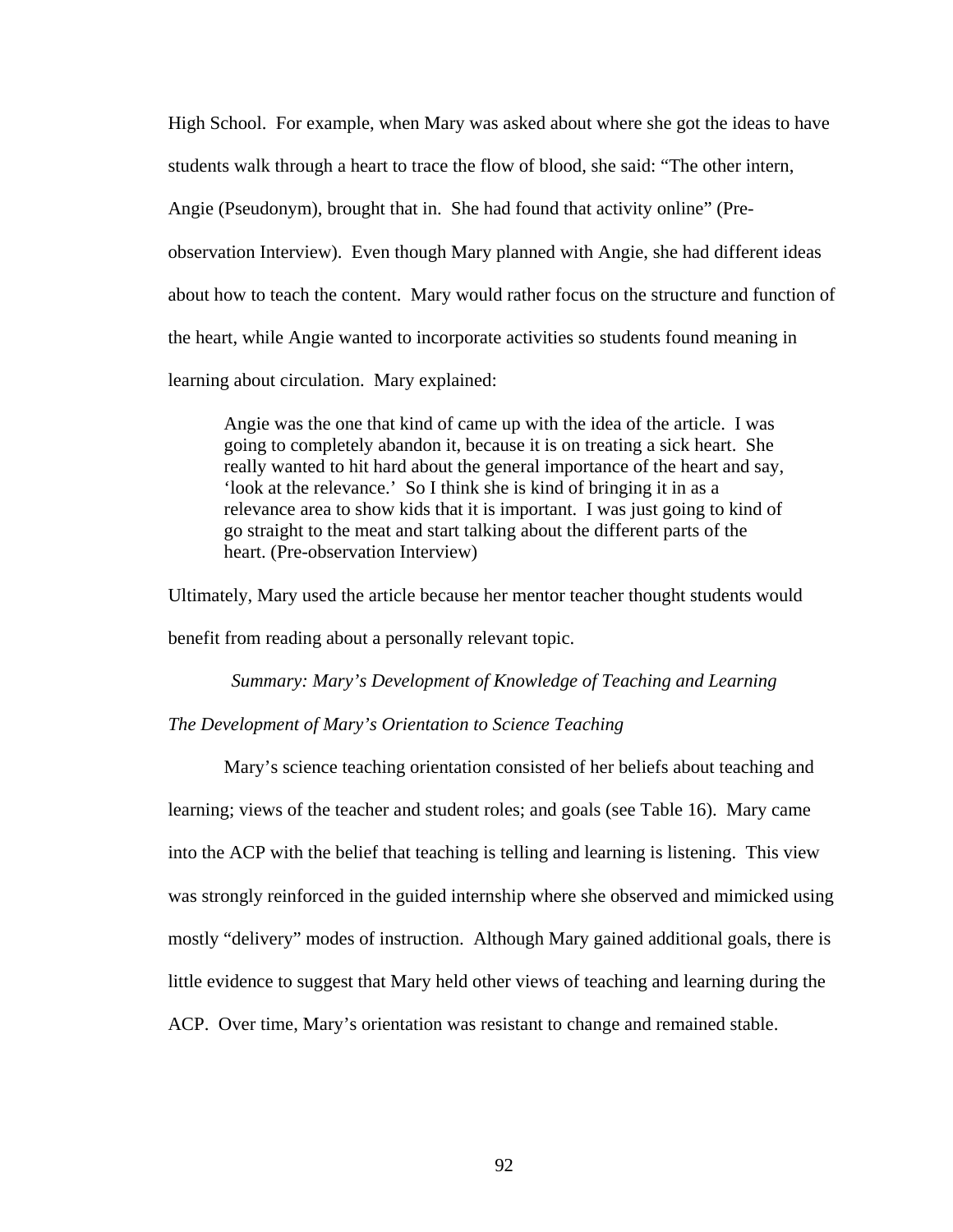High School. For example, when Mary was asked about where she got the ideas to have students walk through a heart to trace the flow of blood, she said: "The other intern, Angie (Pseudonym), brought that in. She had found that activity online" (Preobservation Interview). Even though Mary planned with Angie, she had different ideas about how to teach the content. Mary would rather focus on the structure and function of the heart, while Angie wanted to incorporate activities so students found meaning in learning about circulation. Mary explained:

Angie was the one that kind of came up with the idea of the article. I was going to completely abandon it, because it is on treating a sick heart. She really wanted to hit hard about the general importance of the heart and say, 'look at the relevance.' So I think she is kind of bringing it in as a relevance area to show kids that it is important. I was just going to kind of go straight to the meat and start talking about the different parts of the heart. (Pre-observation Interview)

Ultimately, Mary used the article because her mentor teacher thought students would benefit from reading about a personally relevant topic.

*Summary: Mary's Development of Knowledge of Teaching and Learning The Development of Mary's Orientation to Science Teaching* 

Mary's science teaching orientation consisted of her beliefs about teaching and learning; views of the teacher and student roles; and goals (see Table 16). Mary came into the ACP with the belief that teaching is telling and learning is listening. This view was strongly reinforced in the guided internship where she observed and mimicked using mostly "delivery" modes of instruction. Although Mary gained additional goals, there is little evidence to suggest that Mary held other views of teaching and learning during the ACP. Over time, Mary's orientation was resistant to change and remained stable.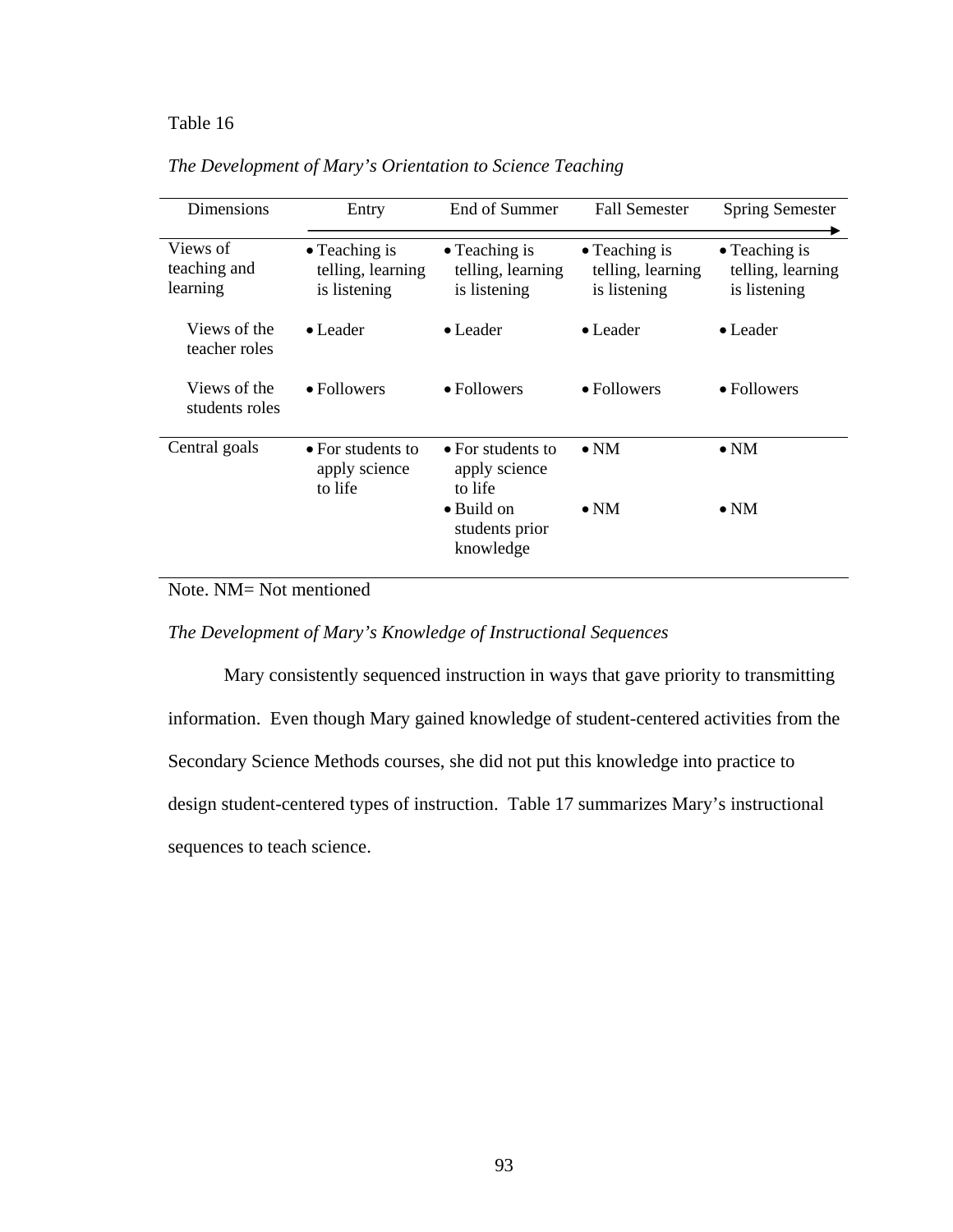# Table 16 *The Development of Mary's Orientation to Science Teaching*

| <b>Dimensions</b>                    | Entry                                                      | End of Summer                                              | <b>Fall Semester</b>                                       | <b>Spring Semester</b>                                     |
|--------------------------------------|------------------------------------------------------------|------------------------------------------------------------|------------------------------------------------------------|------------------------------------------------------------|
| Views of<br>teaching and<br>learning | $\bullet$ Teaching is<br>telling, learning<br>is listening | $\bullet$ Teaching is<br>telling, learning<br>is listening | $\bullet$ Teaching is<br>telling, learning<br>is listening | $\bullet$ Teaching is<br>telling, learning<br>is listening |
| Views of the<br>teacher roles        | $\bullet$ Leader                                           | $\bullet$ Leader                                           | $\bullet$ Leader                                           | $\bullet$ Leader                                           |
| Views of the<br>students roles       | $\bullet$ Followers                                        | $\bullet$ Followers                                        | • Followers                                                | • Followers                                                |
| Central goals                        | $\bullet$ For students to<br>apply science<br>to life      | $\bullet$ For students to<br>apply science<br>to life      | $\bullet$ NM                                               | $\bullet$ NM                                               |
|                                      |                                                            | $\bullet$ Build on<br>students prior<br>knowledge          | $\bullet$ NM                                               | $\bullet$ NM                                               |

*The Development of Mary's Orientation to Science Teaching* 

Note. NM= Not mentioned

*The Development of Mary's Knowledge of Instructional Sequences* 

 Mary consistently sequenced instruction in ways that gave priority to transmitting information. Even though Mary gained knowledge of student-centered activities from the Secondary Science Methods courses, she did not put this knowledge into practice to design student-centered types of instruction. Table 17 summarizes Mary's instructional sequences to teach science.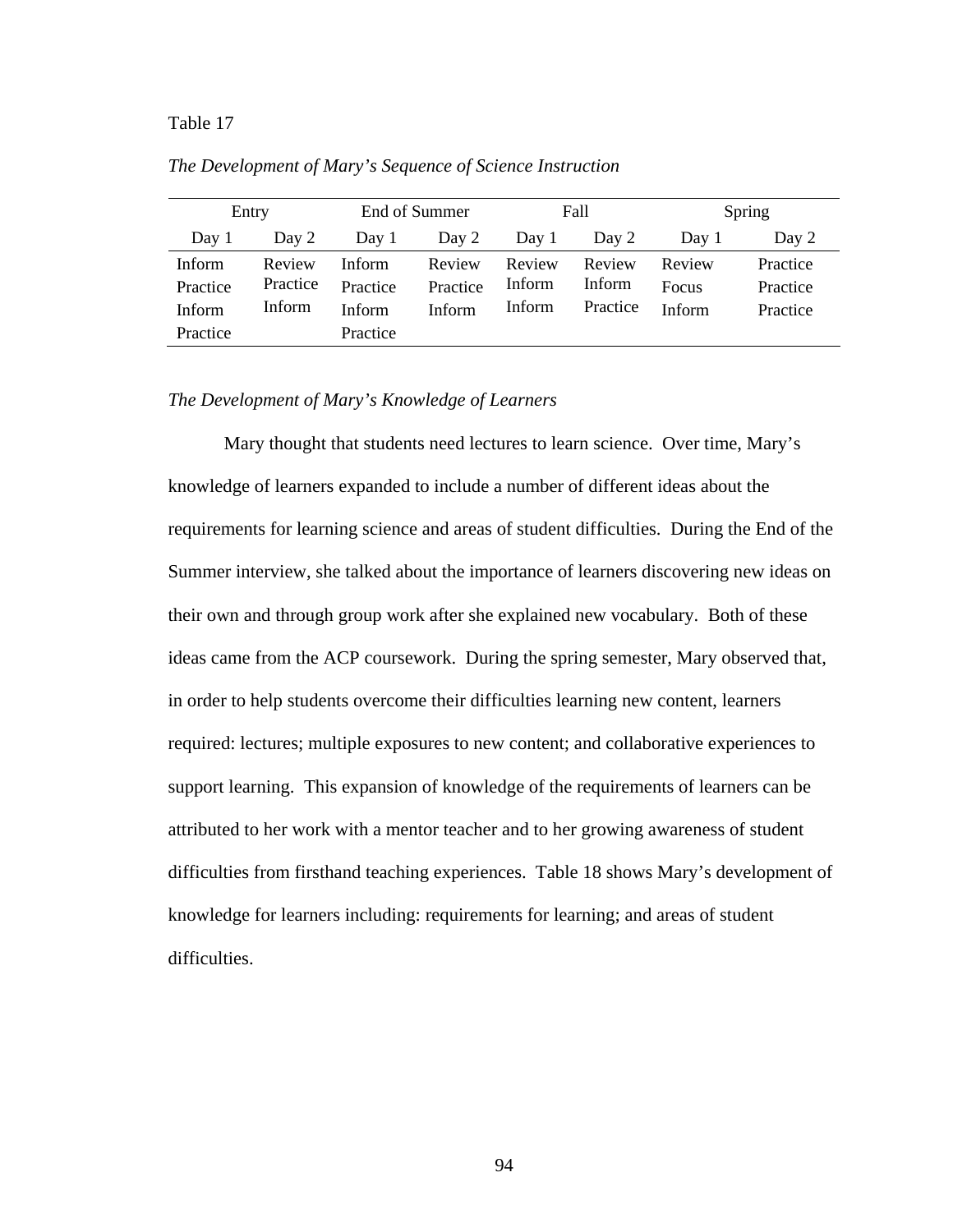# Table 17 *The Development of Mary's Sequence of Science Instruction*

| Entry                               |                              | End of Summer                |                              | Fall                       |                              | Spring                    |                                  |
|-------------------------------------|------------------------------|------------------------------|------------------------------|----------------------------|------------------------------|---------------------------|----------------------------------|
| Day 1                               | Day 2                        | Day 1                        | Day 2                        | Day 1                      | Day 2                        | Day 1                     | Day 2                            |
| Inform<br>Practice<br><b>Inform</b> | Review<br>Practice<br>Inform | Inform<br>Practice<br>Inform | Review<br>Practice<br>Inform | Review<br>Inform<br>Inform | Review<br>Inform<br>Practice | Review<br>Focus<br>Inform | Practice<br>Practice<br>Practice |
| Practice                            |                              | Practice                     |                              |                            |                              |                           |                                  |

*The Development of Mary's Sequence of Science Instruction* 

## *The Development of Mary's Knowledge of Learners*

Mary thought that students need lectures to learn science. Over time, Mary's knowledge of learners expanded to include a number of different ideas about the requirements for learning science and areas of student difficulties. During the End of the Summer interview, she talked about the importance of learners discovering new ideas on their own and through group work after she explained new vocabulary. Both of these ideas came from the ACP coursework. During the spring semester, Mary observed that, in order to help students overcome their difficulties learning new content, learners required: lectures; multiple exposures to new content; and collaborative experiences to support learning. This expansion of knowledge of the requirements of learners can be attributed to her work with a mentor teacher and to her growing awareness of student difficulties from firsthand teaching experiences. Table 18 shows Mary's development of knowledge for learners including: requirements for learning; and areas of student difficulties.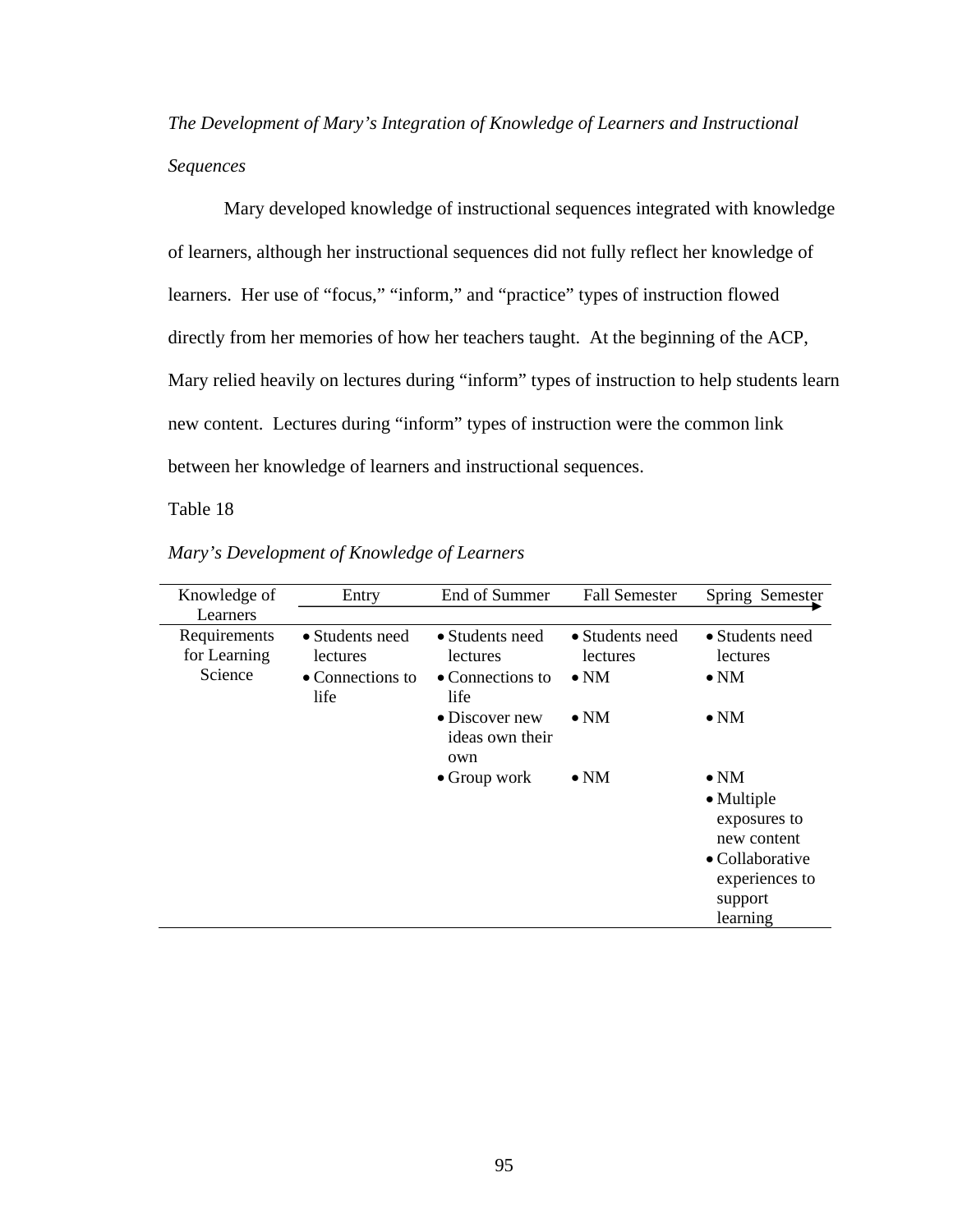*The Development of Mary's Integration of Knowledge of Learners and Instructional Sequences* 

Mary developed knowledge of instructional sequences integrated with knowledge of learners, although her instructional sequences did not fully reflect her knowledge of learners. Her use of "focus," "inform," and "practice" types of instruction flowed directly from her memories of how her teachers taught. At the beginning of the ACP, Mary relied heavily on lectures during "inform" types of instruction to help students learn new content. Lectures during "inform" types of instruction were the common link between her knowledge of learners and instructional sequences.

Table 18 *Mary's Development of Knowledge of Learners*

| Knowledge of                            | Entry                                                                  | End of Summer                                                   | <b>Fall Semester</b>                        | Spring Semester                                                                                                       |
|-----------------------------------------|------------------------------------------------------------------------|-----------------------------------------------------------------|---------------------------------------------|-----------------------------------------------------------------------------------------------------------------------|
| Learners                                |                                                                        |                                                                 |                                             |                                                                                                                       |
| Requirements<br>for Learning<br>Science | • Students need<br><i>lectures</i><br>$\bullet$ Connections to<br>life | • Students need<br>lectures<br>$\bullet$ Connections to<br>life | • Students need<br>lectures<br>$\bullet$ NM | • Students need<br>lectures<br>$\bullet$ NM                                                                           |
|                                         |                                                                        | $\bullet$ Discover new<br>ideas own their<br>own                | $\bullet$ NM                                | $\bullet$ NM                                                                                                          |
|                                         |                                                                        | $\bullet$ Group work                                            | $\bullet$ NM                                | $\bullet$ NM<br>• Multiple<br>exposures to<br>new content<br>• Collaborative<br>experiences to<br>support<br>learning |

*Mary's Development of Knowledge of Learners*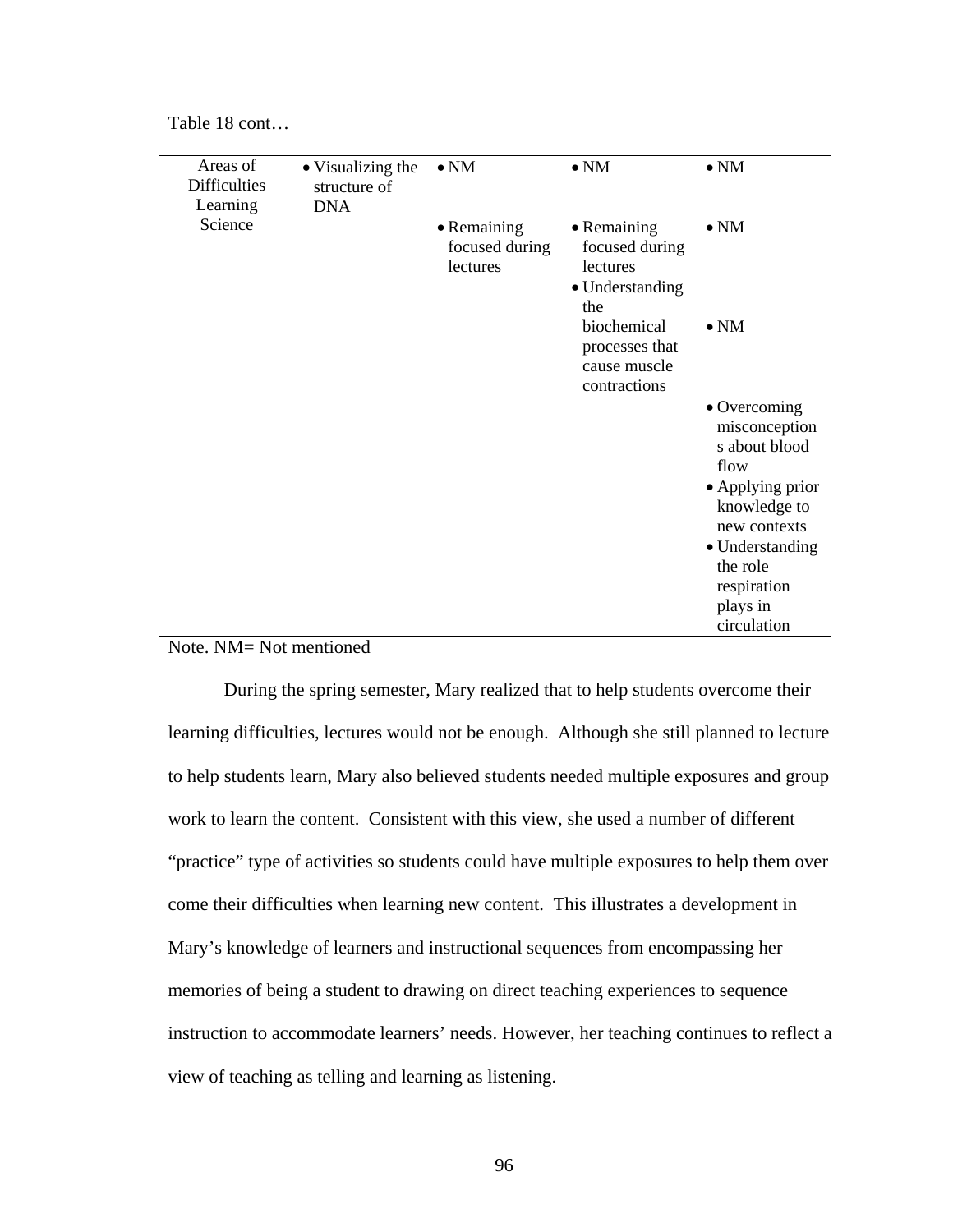| Table 18 cont |  |
|---------------|--|
|---------------|--|

| Areas of<br><b>Difficulties</b> | • Visualizing the<br>structure of | $\bullet$ NM                              | $\bullet$ NM                                                        | $\bullet$ NM                                                   |
|---------------------------------|-----------------------------------|-------------------------------------------|---------------------------------------------------------------------|----------------------------------------------------------------|
| Learning                        | <b>DNA</b>                        |                                           |                                                                     |                                                                |
| Science                         |                                   | • Remaining<br>focused during<br>lectures | • Remaining<br>focused during<br>lectures<br>• Understanding<br>the | $\bullet$ NM                                                   |
|                                 |                                   |                                           | biochemical<br>processes that<br>cause muscle<br>contractions       | $\bullet$ NM                                                   |
|                                 |                                   |                                           |                                                                     | $\bullet$ Overcoming<br>misconception<br>s about blood<br>flow |
|                                 |                                   |                                           |                                                                     | • Applying prior<br>knowledge to<br>new contexts               |
|                                 |                                   |                                           |                                                                     | • Understanding                                                |
|                                 |                                   |                                           |                                                                     | the role                                                       |
|                                 |                                   |                                           |                                                                     | respiration                                                    |
|                                 |                                   |                                           |                                                                     | plays in                                                       |
|                                 |                                   |                                           |                                                                     | circulation                                                    |

# Note. NM= Not mentioned

During the spring semester, Mary realized that to help students overcome their learning difficulties, lectures would not be enough. Although she still planned to lecture to help students learn, Mary also believed students needed multiple exposures and group work to learn the content. Consistent with this view, she used a number of different "practice" type of activities so students could have multiple exposures to help them over come their difficulties when learning new content. This illustrates a development in Mary's knowledge of learners and instructional sequences from encompassing her memories of being a student to drawing on direct teaching experiences to sequence instruction to accommodate learners' needs. However, her teaching continues to reflect a view of teaching as telling and learning as listening.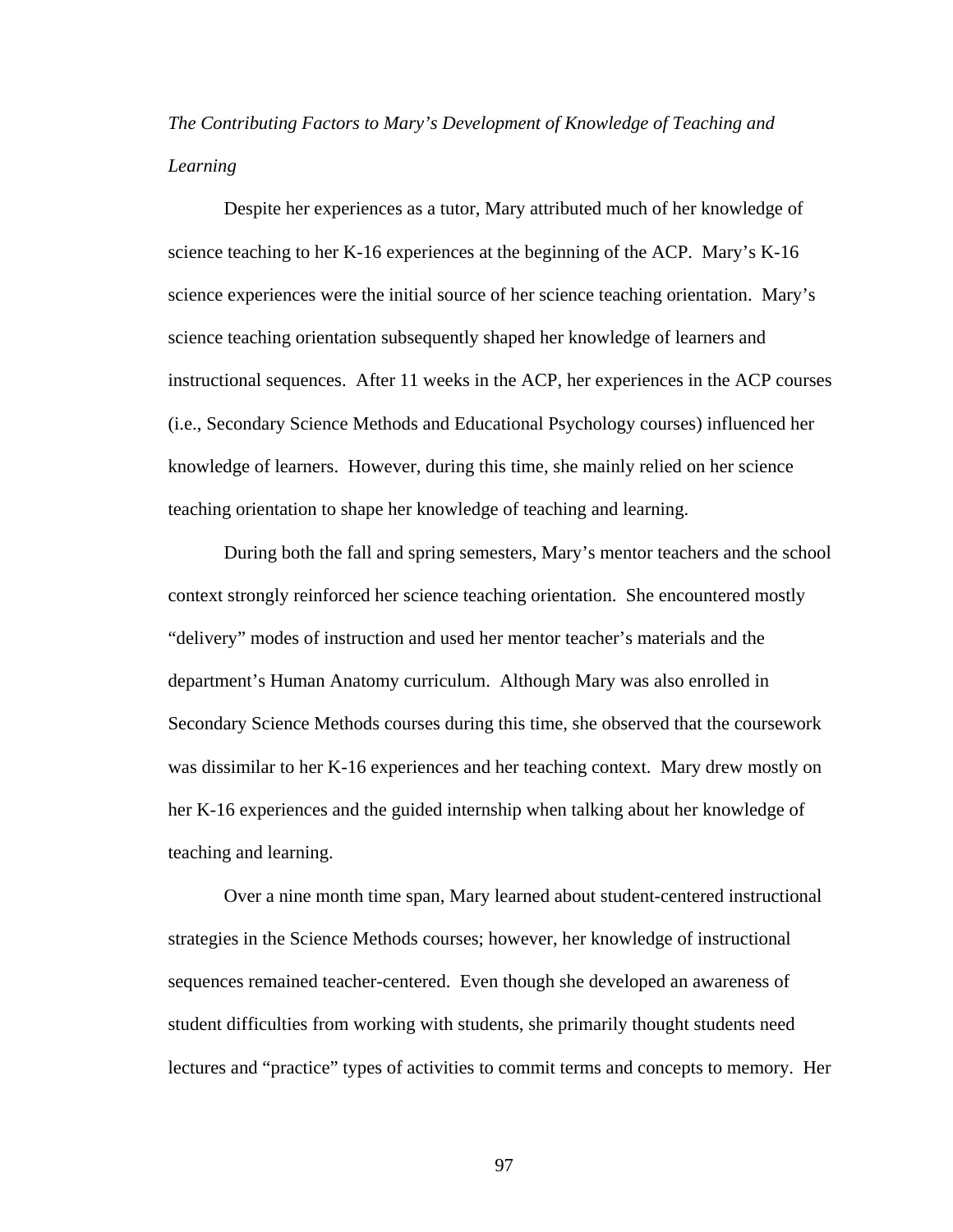*The Contributing Factors to Mary's Development of Knowledge of Teaching and Learning* 

Despite her experiences as a tutor, Mary attributed much of her knowledge of science teaching to her K-16 experiences at the beginning of the ACP. Mary's K-16 science experiences were the initial source of her science teaching orientation. Mary's science teaching orientation subsequently shaped her knowledge of learners and instructional sequences. After 11 weeks in the ACP, her experiences in the ACP courses (i.e., Secondary Science Methods and Educational Psychology courses) influenced her knowledge of learners. However, during this time, she mainly relied on her science teaching orientation to shape her knowledge of teaching and learning.

During both the fall and spring semesters, Mary's mentor teachers and the school context strongly reinforced her science teaching orientation. She encountered mostly "delivery" modes of instruction and used her mentor teacher's materials and the department's Human Anatomy curriculum. Although Mary was also enrolled in Secondary Science Methods courses during this time, she observed that the coursework was dissimilar to her K-16 experiences and her teaching context. Mary drew mostly on her K-16 experiences and the guided internship when talking about her knowledge of teaching and learning.

Over a nine month time span, Mary learned about student-centered instructional strategies in the Science Methods courses; however, her knowledge of instructional sequences remained teacher-centered. Even though she developed an awareness of student difficulties from working with students, she primarily thought students need lectures and "practice" types of activities to commit terms and concepts to memory. Her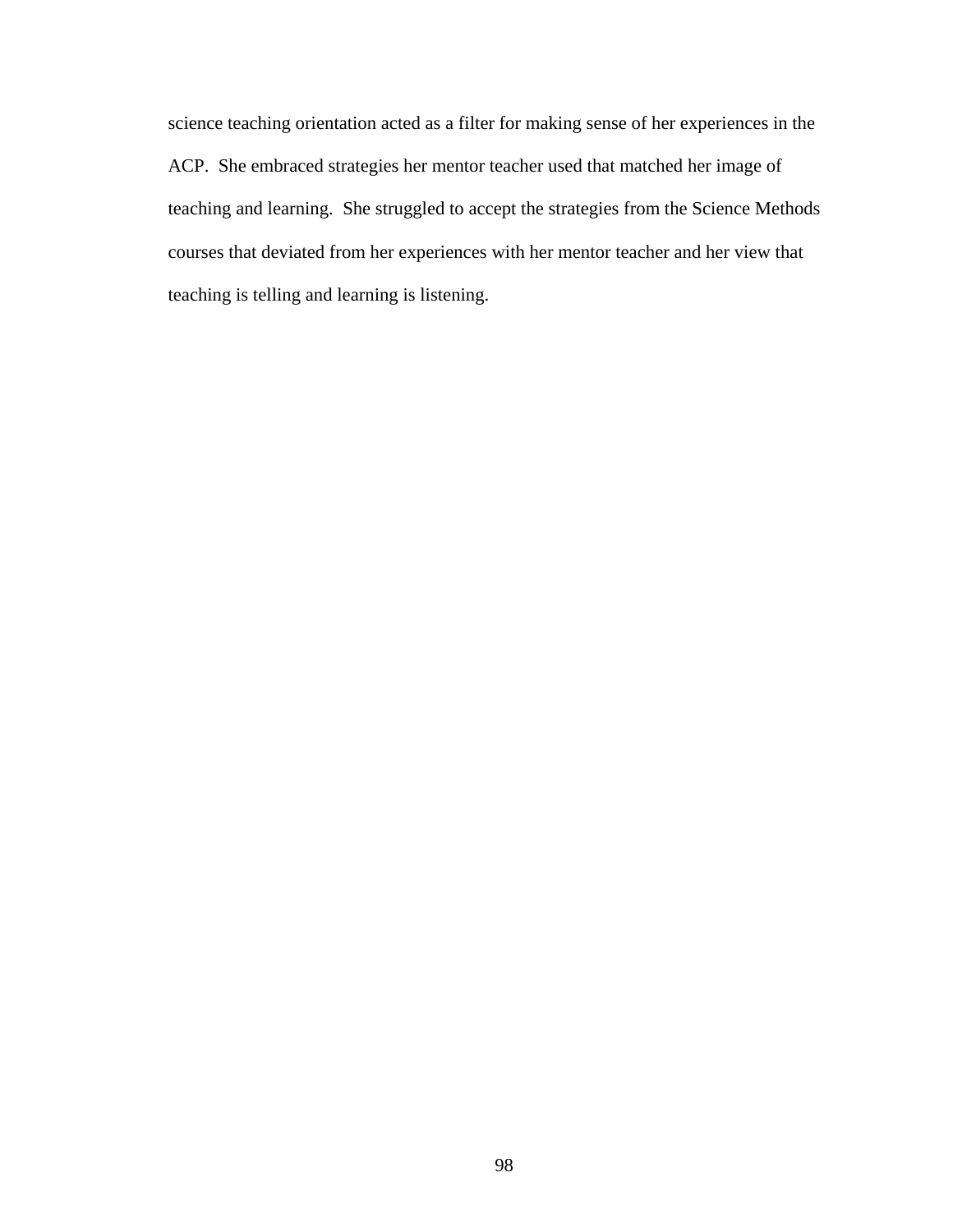science teaching orientation acted as a filter for making sense of her experiences in the ACP. She embraced strategies her mentor teacher used that matched her image of teaching and learning. She struggled to accept the strategies from the Science Methods courses that deviated from her experiences with her mentor teacher and her view that teaching is telling and learning is listening.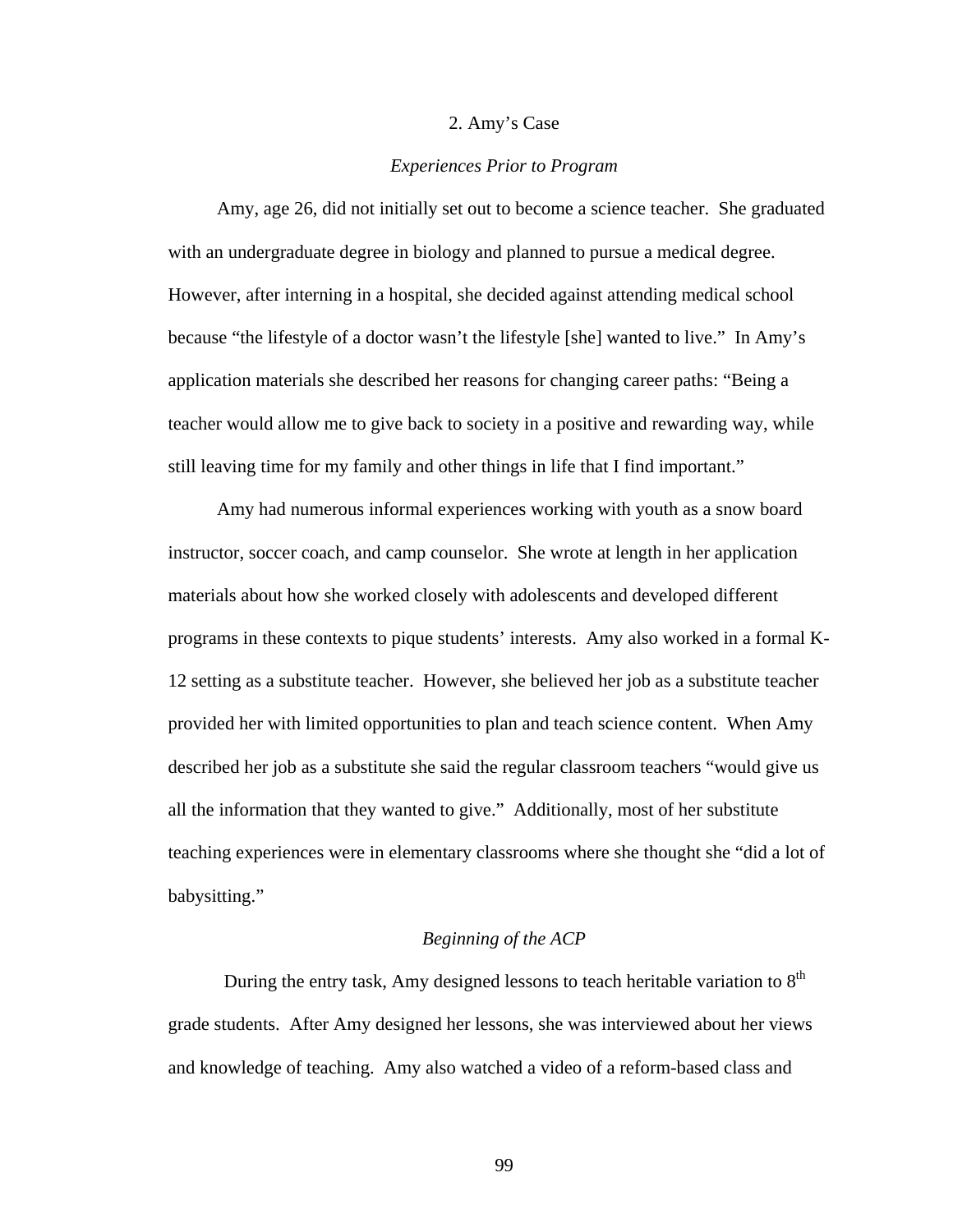### 2. Amy's Case

## *Experiences Prior to Program*

Amy, age 26, did not initially set out to become a science teacher. She graduated with an undergraduate degree in biology and planned to pursue a medical degree. However, after interning in a hospital, she decided against attending medical school because "the lifestyle of a doctor wasn't the lifestyle [she] wanted to live." In Amy's application materials she described her reasons for changing career paths: "Being a teacher would allow me to give back to society in a positive and rewarding way, while still leaving time for my family and other things in life that I find important."

Amy had numerous informal experiences working with youth as a snow board instructor, soccer coach, and camp counselor. She wrote at length in her application materials about how she worked closely with adolescents and developed different programs in these contexts to pique students' interests. Amy also worked in a formal K-12 setting as a substitute teacher. However, she believed her job as a substitute teacher provided her with limited opportunities to plan and teach science content. When Amy described her job as a substitute she said the regular classroom teachers "would give us all the information that they wanted to give." Additionally, most of her substitute teaching experiences were in elementary classrooms where she thought she "did a lot of babysitting."

# *Beginning of the ACP*

During the entry task, Amy designed lessons to teach heritable variation to  $8<sup>th</sup>$ grade students. After Amy designed her lessons, she was interviewed about her views and knowledge of teaching. Amy also watched a video of a reform-based class and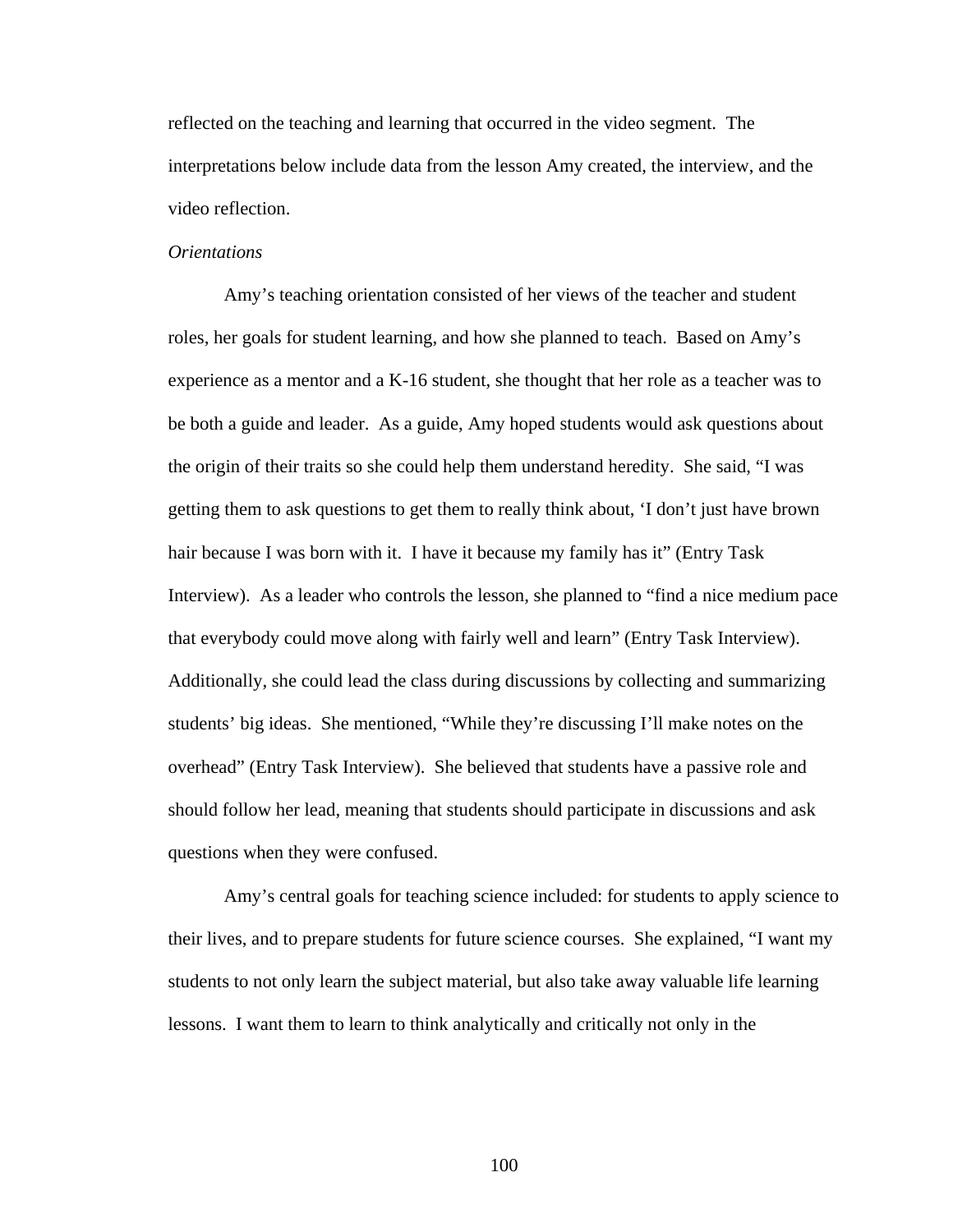reflected on the teaching and learning that occurred in the video segment. The interpretations below include data from the lesson Amy created, the interview, and the video reflection.

# *Orientations*

Amy's teaching orientation consisted of her views of the teacher and student roles, her goals for student learning, and how she planned to teach. Based on Amy's experience as a mentor and a K-16 student, she thought that her role as a teacher was to be both a guide and leader. As a guide, Amy hoped students would ask questions about the origin of their traits so she could help them understand heredity. She said, "I was getting them to ask questions to get them to really think about, 'I don't just have brown hair because I was born with it. I have it because my family has it" (Entry Task Interview). As a leader who controls the lesson, she planned to "find a nice medium pace that everybody could move along with fairly well and learn" (Entry Task Interview). Additionally, she could lead the class during discussions by collecting and summarizing students' big ideas. She mentioned, "While they're discussing I'll make notes on the overhead" (Entry Task Interview). She believed that students have a passive role and should follow her lead, meaning that students should participate in discussions and ask questions when they were confused.

Amy's central goals for teaching science included: for students to apply science to their lives, and to prepare students for future science courses. She explained, "I want my students to not only learn the subject material, but also take away valuable life learning lessons. I want them to learn to think analytically and critically not only in the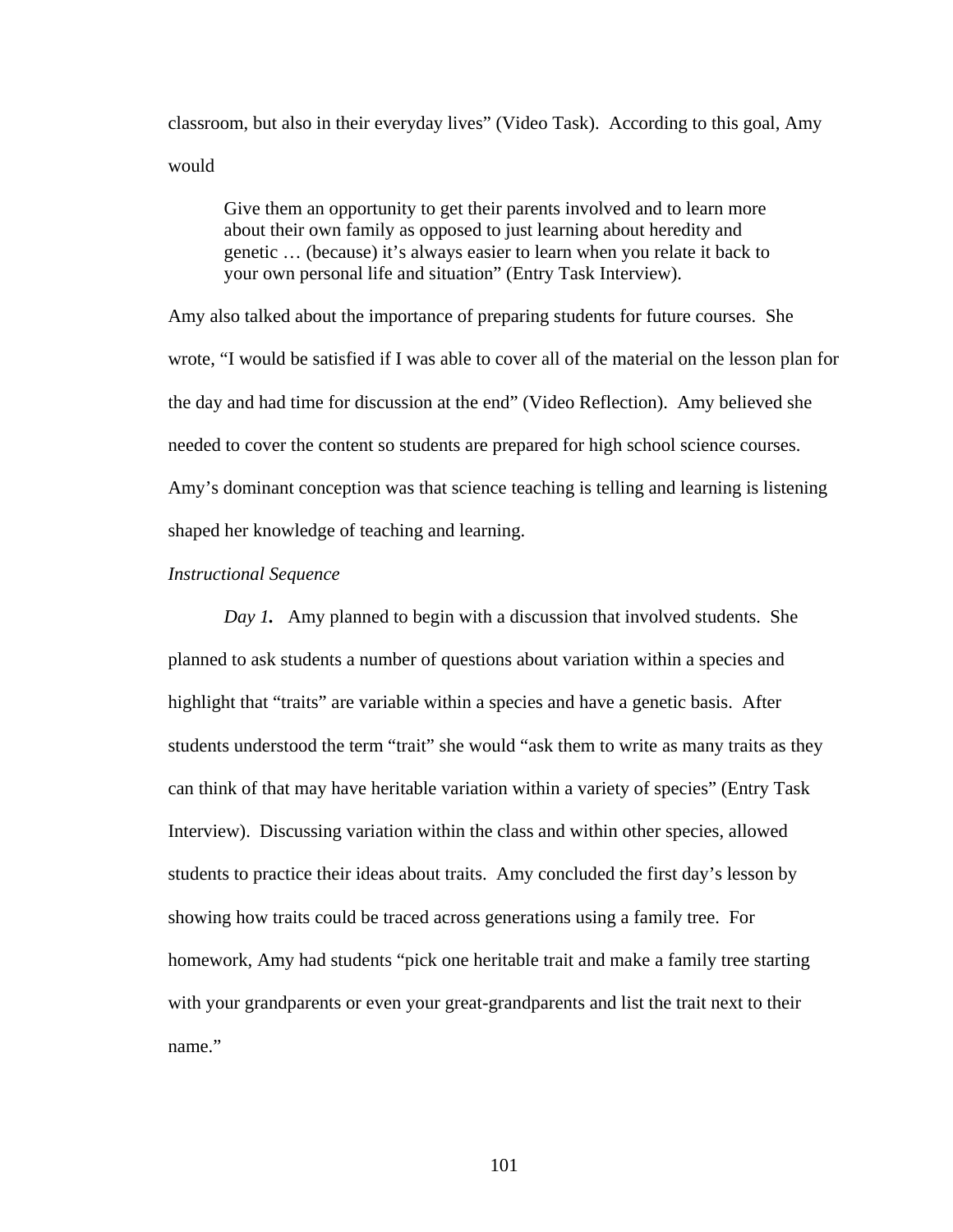classroom, but also in their everyday lives" (Video Task). According to this goal, Amy would

Give them an opportunity to get their parents involved and to learn more about their own family as opposed to just learning about heredity and genetic … (because) it's always easier to learn when you relate it back to your own personal life and situation" (Entry Task Interview).

Amy also talked about the importance of preparing students for future courses. She wrote, "I would be satisfied if I was able to cover all of the material on the lesson plan for the day and had time for discussion at the end" (Video Reflection). Amy believed she needed to cover the content so students are prepared for high school science courses. Amy's dominant conception was that science teaching is telling and learning is listening shaped her knowledge of teaching and learning.

## *Instructional Sequence*

*Day 1.* Amy planned to begin with a discussion that involved students. She planned to ask students a number of questions about variation within a species and highlight that "traits" are variable within a species and have a genetic basis. After students understood the term "trait" she would "ask them to write as many traits as they can think of that may have heritable variation within a variety of species" (Entry Task Interview). Discussing variation within the class and within other species, allowed students to practice their ideas about traits. Amy concluded the first day's lesson by showing how traits could be traced across generations using a family tree. For homework, Amy had students "pick one heritable trait and make a family tree starting with your grandparents or even your great-grandparents and list the trait next to their name."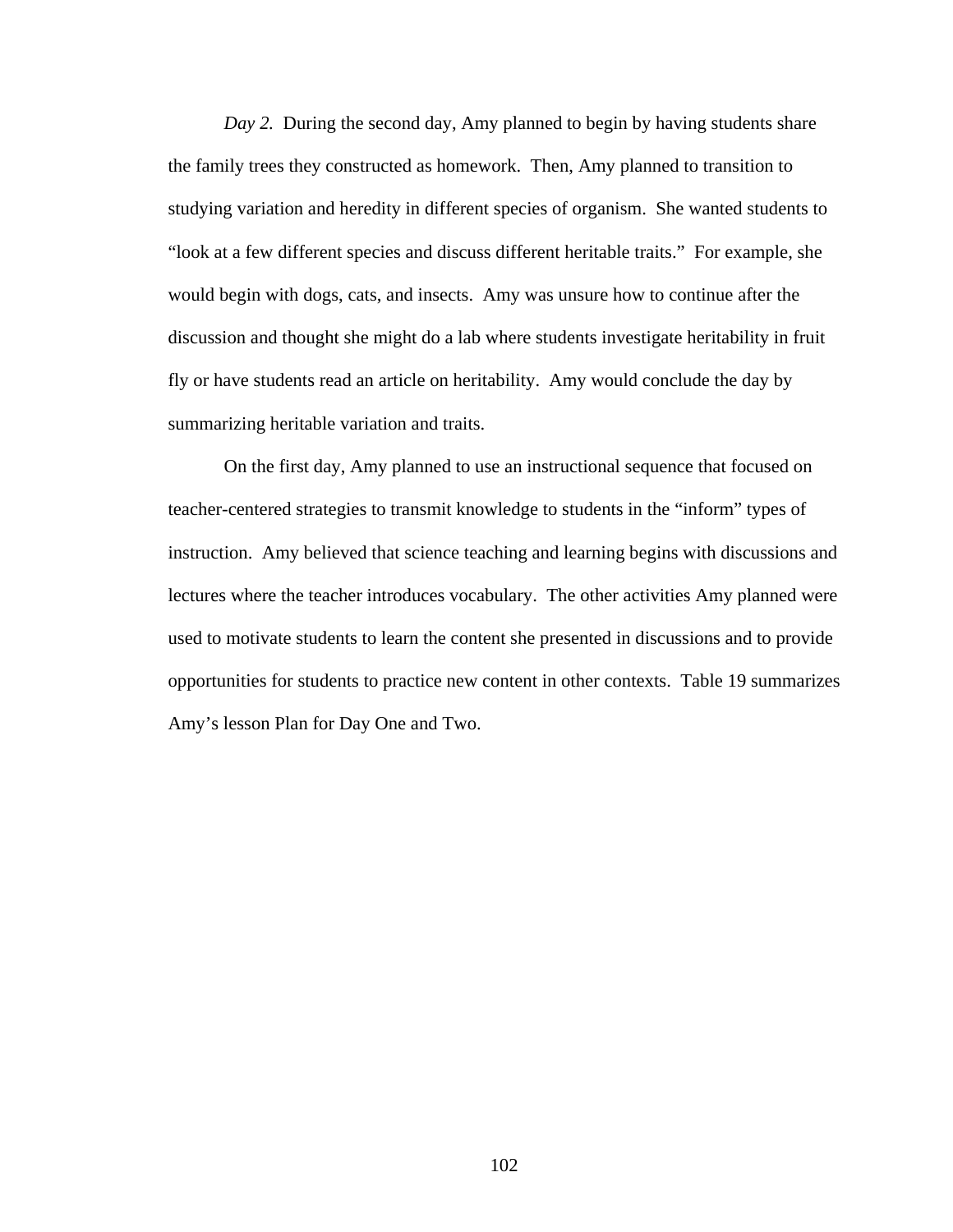*Day 2.* During the second day, Amy planned to begin by having students share the family trees they constructed as homework. Then, Amy planned to transition to studying variation and heredity in different species of organism. She wanted students to "look at a few different species and discuss different heritable traits." For example, she would begin with dogs, cats, and insects. Amy was unsure how to continue after the discussion and thought she might do a lab where students investigate heritability in fruit fly or have students read an article on heritability. Amy would conclude the day by summarizing heritable variation and traits.

On the first day, Amy planned to use an instructional sequence that focused on teacher-centered strategies to transmit knowledge to students in the "inform" types of instruction. Amy believed that science teaching and learning begins with discussions and lectures where the teacher introduces vocabulary. The other activities Amy planned were used to motivate students to learn the content she presented in discussions and to provide opportunities for students to practice new content in other contexts. Table 19 summarizes Amy's lesson Plan for Day One and Two.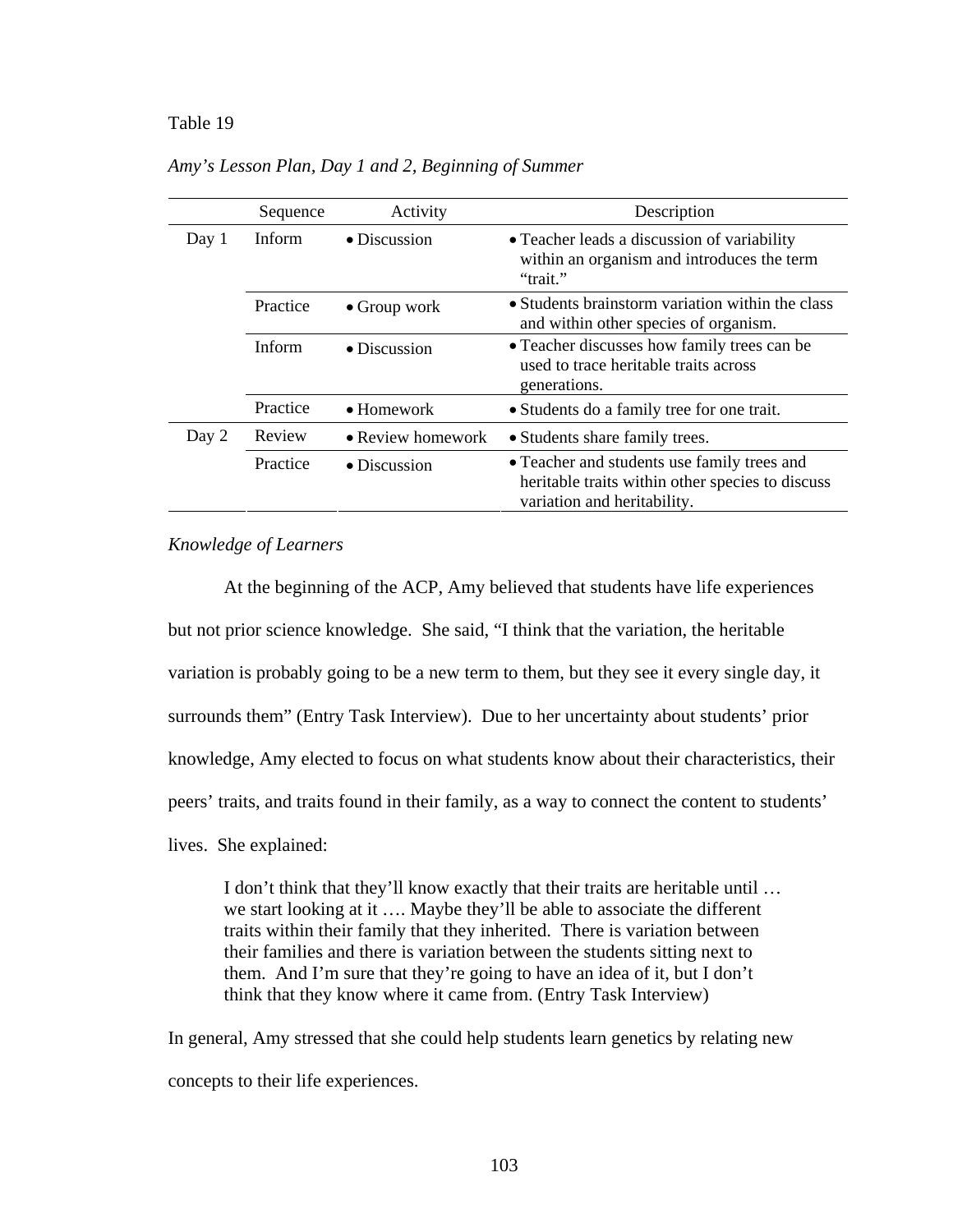#### Table 19

|       | Sequence | Activity                  | Description                                                                                                                    |
|-------|----------|---------------------------|--------------------------------------------------------------------------------------------------------------------------------|
| Day 1 | Inform.  | $\bullet$ Discussion      | • Teacher leads a discussion of variability<br>within an organism and introduces the term<br>"trait."                          |
|       | Practice | $\bullet$ Group work      | • Students brainstorm variation within the class<br>and within other species of organism.                                      |
|       | Inform   | • Discussion              | • Teacher discusses how family trees can be<br>used to trace heritable traits across<br>generations.                           |
|       | Practice | $\bullet$ Homework        | • Students do a family tree for one trait.                                                                                     |
| Day 2 | Review   | $\bullet$ Review homework | • Students share family trees.                                                                                                 |
|       | Practice | $\bullet$ Discussion      | • Teacher and students use family trees and<br>heritable traits within other species to discuss<br>variation and heritability. |

*Amy's Lesson Plan, Day 1 and 2, Beginning of Summer* 

## *Knowledge of Learners*

At the beginning of the ACP, Amy believed that students have life experiences but not prior science knowledge. She said, "I think that the variation, the heritable variation is probably going to be a new term to them, but they see it every single day, it surrounds them" (Entry Task Interview). Due to her uncertainty about students' prior knowledge, Amy elected to focus on what students know about their characteristics, their peers' traits, and traits found in their family, as a way to connect the content to students' lives. She explained:

I don't think that they'll know exactly that their traits are heritable until … we start looking at it …. Maybe they'll be able to associate the different traits within their family that they inherited. There is variation between their families and there is variation between the students sitting next to them. And I'm sure that they're going to have an idea of it, but I don't think that they know where it came from. (Entry Task Interview)

In general, Amy stressed that she could help students learn genetics by relating new concepts to their life experiences.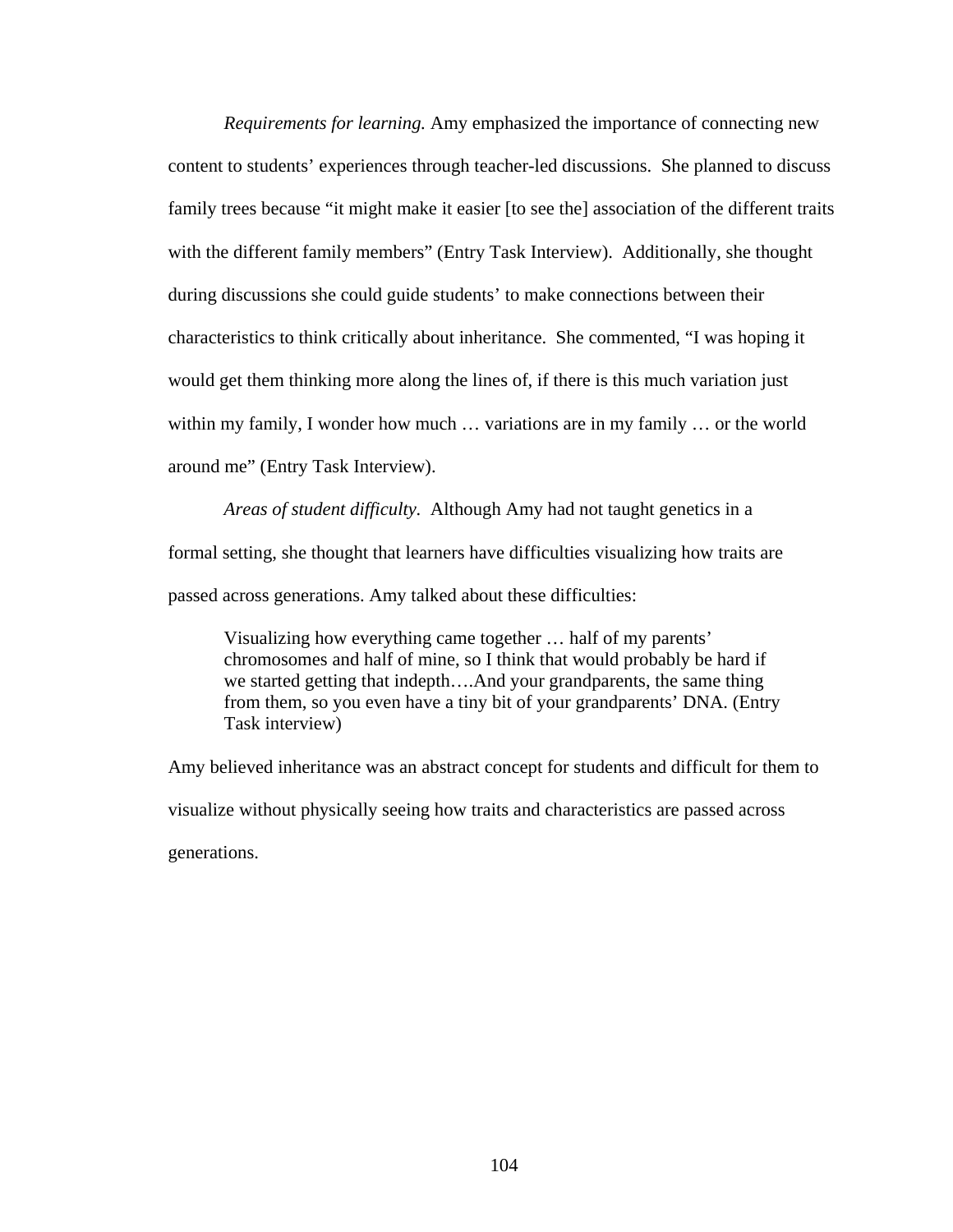*Requirements for learning.* Amy emphasized the importance of connecting new content to students' experiences through teacher-led discussions. She planned to discuss family trees because "it might make it easier [to see the] association of the different traits with the different family members" (Entry Task Interview). Additionally, she thought during discussions she could guide students' to make connections between their characteristics to think critically about inheritance. She commented, "I was hoping it would get them thinking more along the lines of, if there is this much variation just within my family, I wonder how much … variations are in my family … or the world around me" (Entry Task Interview).

*Areas of student difficulty.* Although Amy had not taught genetics in a formal setting, she thought that learners have difficulties visualizing how traits are passed across generations. Amy talked about these difficulties:

Visualizing how everything came together … half of my parents' chromosomes and half of mine, so I think that would probably be hard if we started getting that indepth….And your grandparents, the same thing from them, so you even have a tiny bit of your grandparents' DNA. (Entry Task interview)

Amy believed inheritance was an abstract concept for students and difficult for them to visualize without physically seeing how traits and characteristics are passed across generations.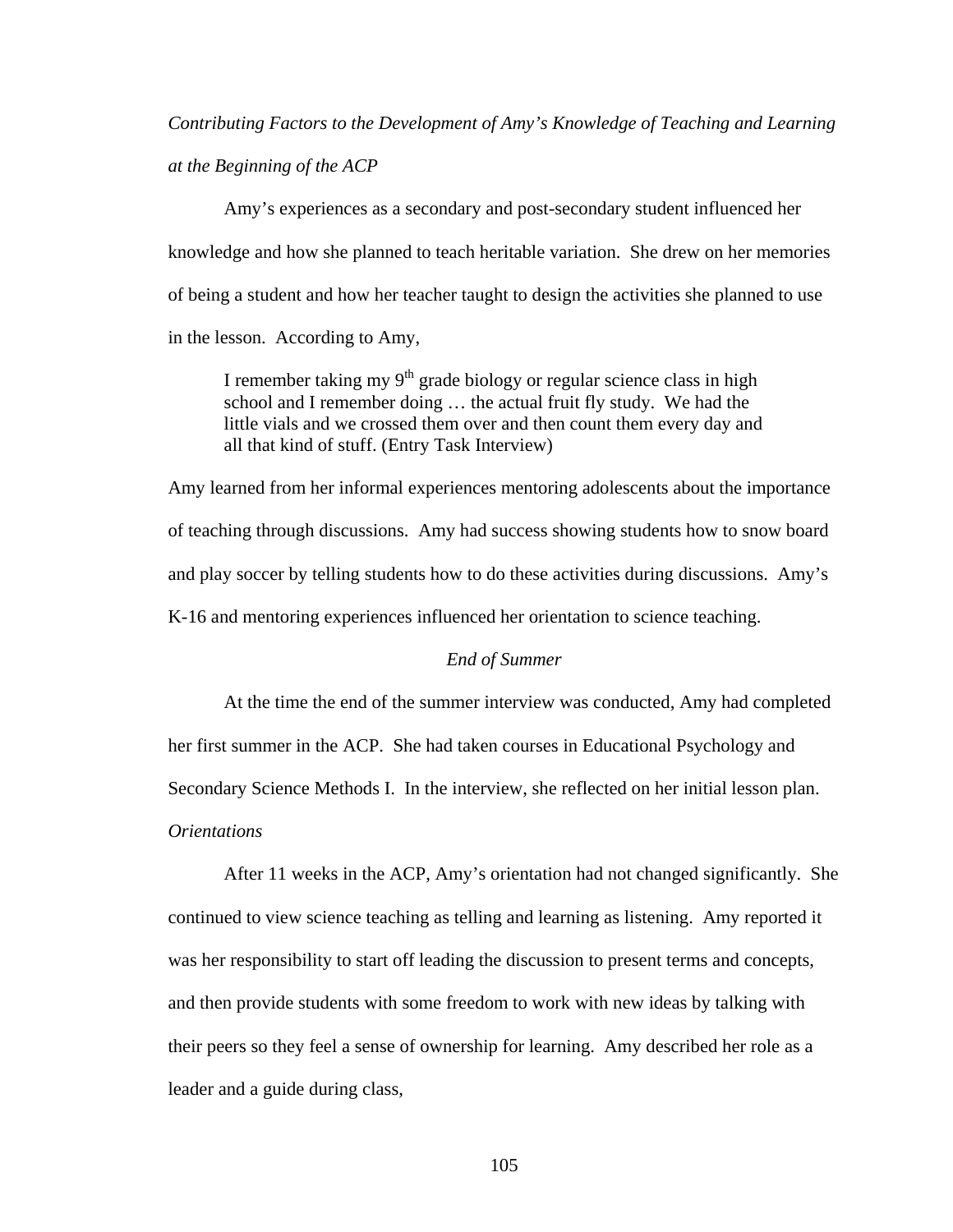*Contributing Factors to the Development of Amy's Knowledge of Teaching and Learning at the Beginning of the ACP* 

Amy's experiences as a secondary and post-secondary student influenced her knowledge and how she planned to teach heritable variation. She drew on her memories of being a student and how her teacher taught to design the activities she planned to use in the lesson. According to Amy,

I remember taking my  $9<sup>th</sup>$  grade biology or regular science class in high school and I remember doing … the actual fruit fly study. We had the little vials and we crossed them over and then count them every day and all that kind of stuff. (Entry Task Interview)

Amy learned from her informal experiences mentoring adolescents about the importance of teaching through discussions. Amy had success showing students how to snow board and play soccer by telling students how to do these activities during discussions. Amy's K-16 and mentoring experiences influenced her orientation to science teaching.

## *End of Summer*

At the time the end of the summer interview was conducted, Amy had completed her first summer in the ACP. She had taken courses in Educational Psychology and Secondary Science Methods I. In the interview, she reflected on her initial lesson plan. *Orientations* 

After 11 weeks in the ACP, Amy's orientation had not changed significantly. She continued to view science teaching as telling and learning as listening. Amy reported it was her responsibility to start off leading the discussion to present terms and concepts, and then provide students with some freedom to work with new ideas by talking with their peers so they feel a sense of ownership for learning. Amy described her role as a leader and a guide during class,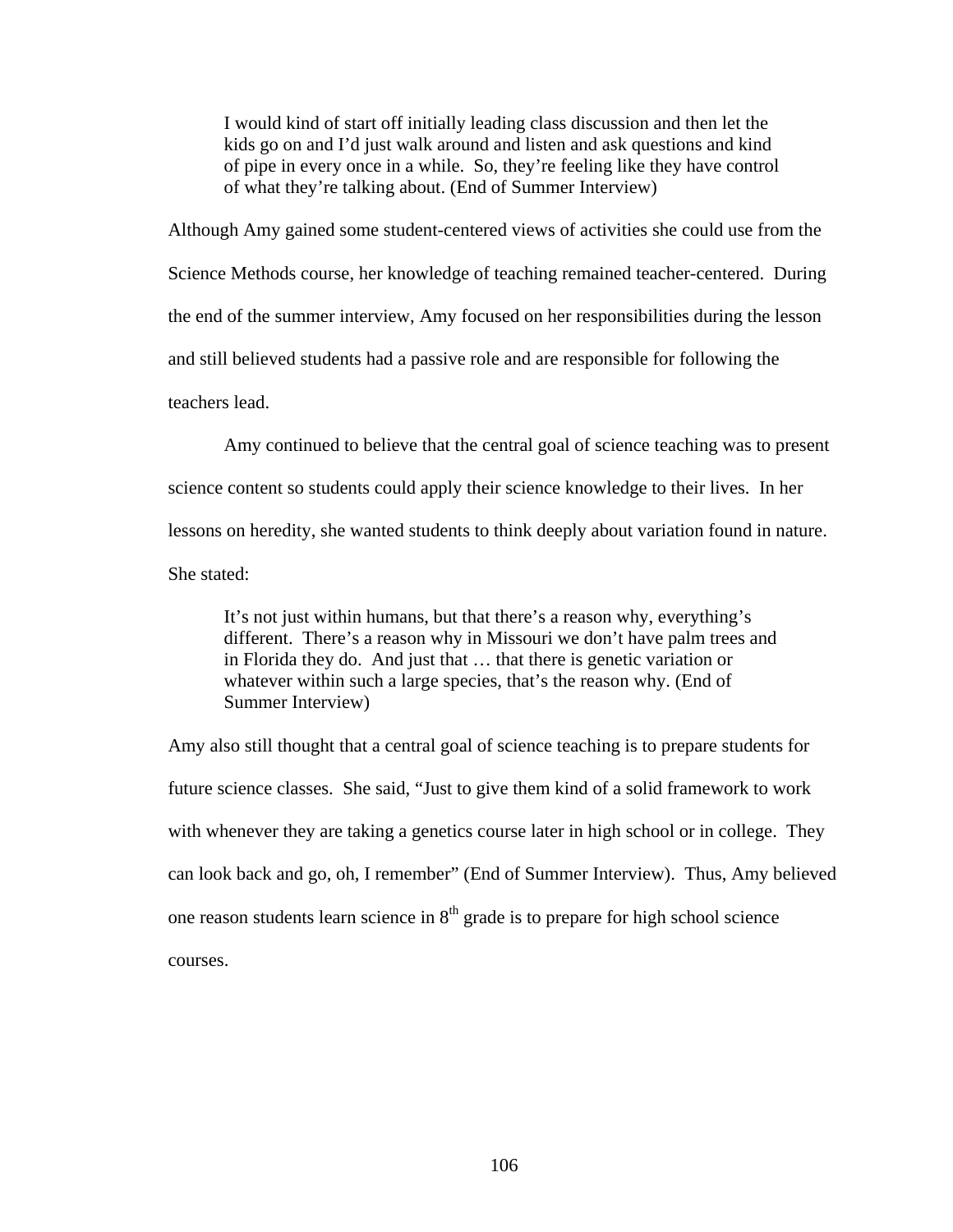I would kind of start off initially leading class discussion and then let the kids go on and I'd just walk around and listen and ask questions and kind of pipe in every once in a while. So, they're feeling like they have control of what they're talking about. (End of Summer Interview)

Although Amy gained some student-centered views of activities she could use from the Science Methods course, her knowledge of teaching remained teacher-centered. During the end of the summer interview, Amy focused on her responsibilities during the lesson and still believed students had a passive role and are responsible for following the teachers lead.

Amy continued to believe that the central goal of science teaching was to present science content so students could apply their science knowledge to their lives. In her lessons on heredity, she wanted students to think deeply about variation found in nature. She stated:

It's not just within humans, but that there's a reason why, everything's different. There's a reason why in Missouri we don't have palm trees and in Florida they do. And just that … that there is genetic variation or whatever within such a large species, that's the reason why. (End of Summer Interview)

Amy also still thought that a central goal of science teaching is to prepare students for future science classes. She said, "Just to give them kind of a solid framework to work with whenever they are taking a genetics course later in high school or in college. They can look back and go, oh, I remember" (End of Summer Interview). Thus, Amy believed one reason students learn science in  $8<sup>th</sup>$  grade is to prepare for high school science courses.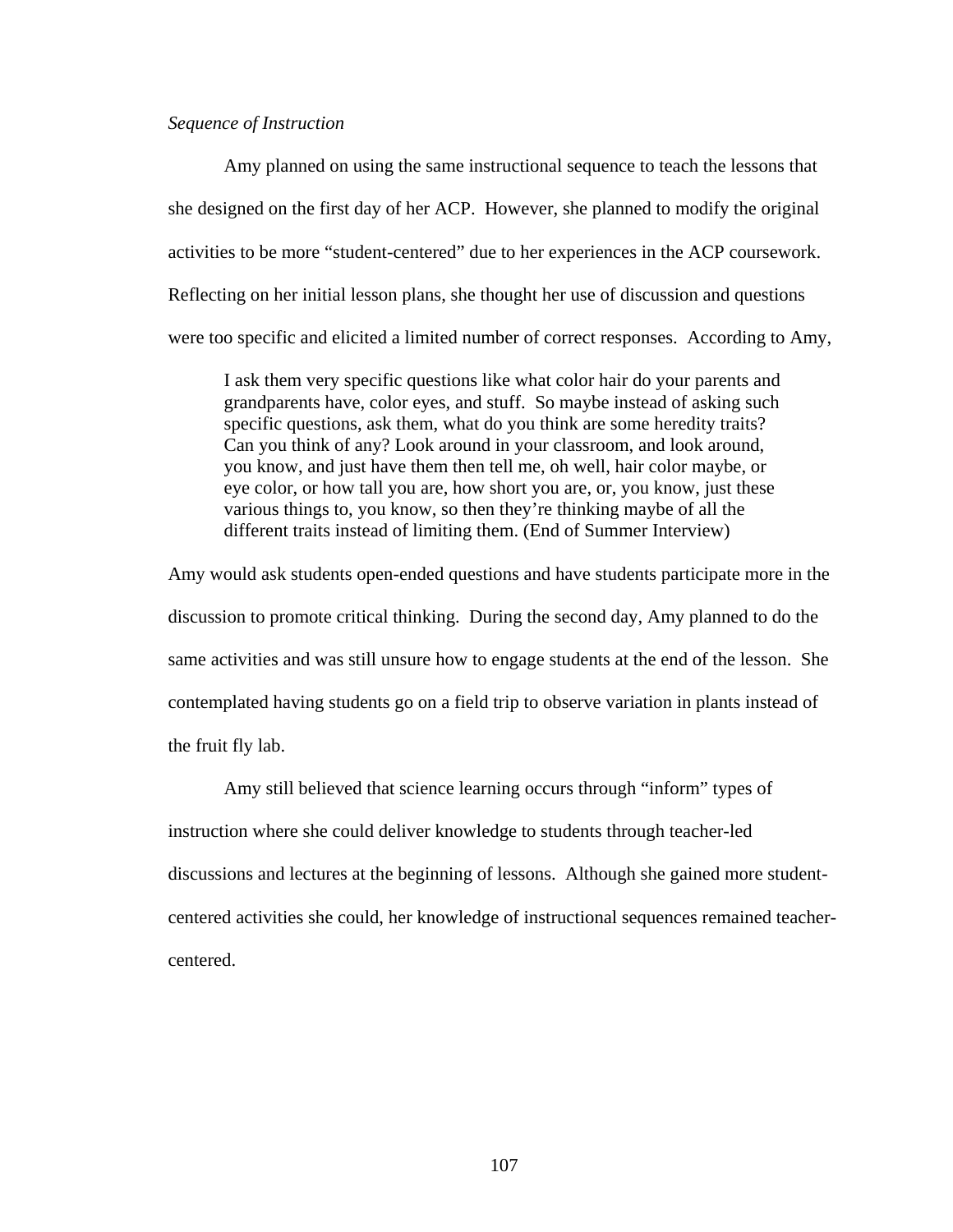# *Sequence of Instruction*

Amy planned on using the same instructional sequence to teach the lessons that she designed on the first day of her ACP. However, she planned to modify the original activities to be more "student-centered" due to her experiences in the ACP coursework. Reflecting on her initial lesson plans, she thought her use of discussion and questions were too specific and elicited a limited number of correct responses. According to Amy,

I ask them very specific questions like what color hair do your parents and grandparents have, color eyes, and stuff. So maybe instead of asking such specific questions, ask them, what do you think are some heredity traits? Can you think of any? Look around in your classroom, and look around, you know, and just have them then tell me, oh well, hair color maybe, or eye color, or how tall you are, how short you are, or, you know, just these various things to, you know, so then they're thinking maybe of all the different traits instead of limiting them. (End of Summer Interview)

Amy would ask students open-ended questions and have students participate more in the discussion to promote critical thinking. During the second day, Amy planned to do the same activities and was still unsure how to engage students at the end of the lesson. She contemplated having students go on a field trip to observe variation in plants instead of the fruit fly lab.

Amy still believed that science learning occurs through "inform" types of instruction where she could deliver knowledge to students through teacher-led discussions and lectures at the beginning of lessons. Although she gained more studentcentered activities she could, her knowledge of instructional sequences remained teachercentered.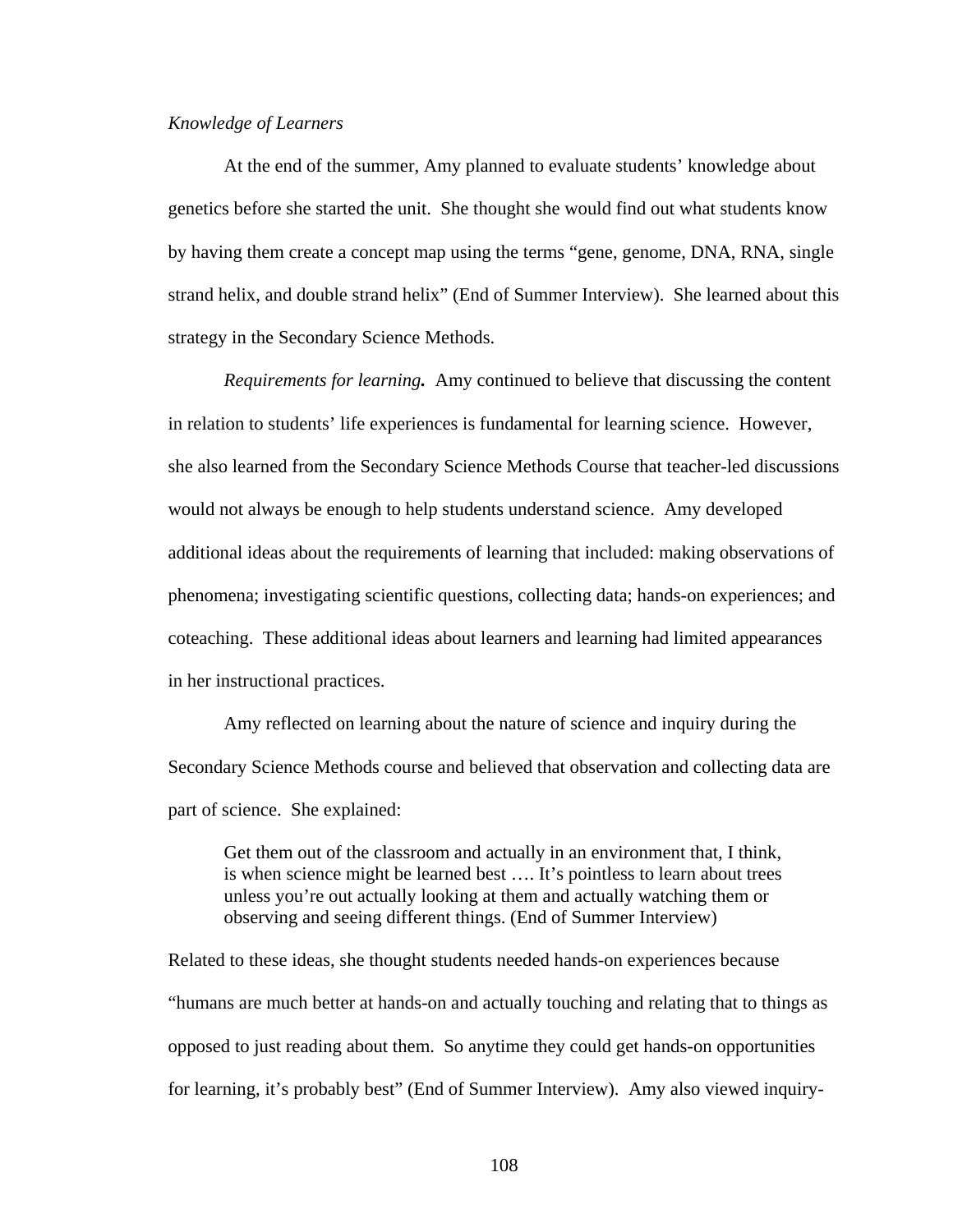## *Knowledge of Learners*

 At the end of the summer, Amy planned to evaluate students' knowledge about genetics before she started the unit. She thought she would find out what students know by having them create a concept map using the terms "gene, genome, DNA, RNA, single strand helix, and double strand helix" (End of Summer Interview). She learned about this strategy in the Secondary Science Methods.

 *Requirements for learning.* Amy continued to believe that discussing the content in relation to students' life experiences is fundamental for learning science. However, she also learned from the Secondary Science Methods Course that teacher-led discussions would not always be enough to help students understand science. Amy developed additional ideas about the requirements of learning that included: making observations of phenomena; investigating scientific questions, collecting data; hands-on experiences; and coteaching. These additional ideas about learners and learning had limited appearances in her instructional practices.

 Amy reflected on learning about the nature of science and inquiry during the Secondary Science Methods course and believed that observation and collecting data are part of science. She explained:

Get them out of the classroom and actually in an environment that, I think, is when science might be learned best …. It's pointless to learn about trees unless you're out actually looking at them and actually watching them or observing and seeing different things. (End of Summer Interview)

Related to these ideas, she thought students needed hands-on experiences because "humans are much better at hands-on and actually touching and relating that to things as opposed to just reading about them. So anytime they could get hands-on opportunities for learning, it's probably best" (End of Summer Interview). Amy also viewed inquiry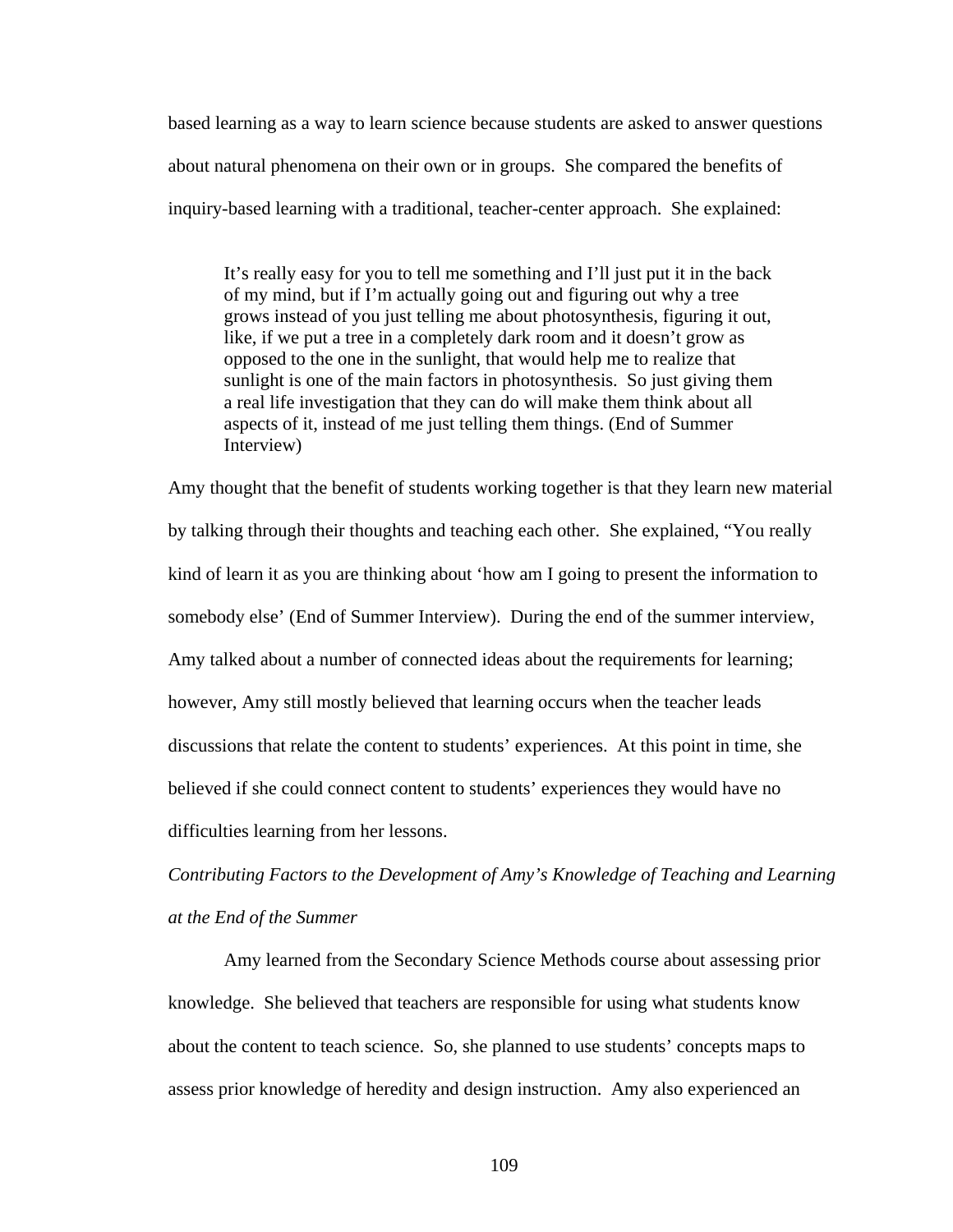based learning as a way to learn science because students are asked to answer questions about natural phenomena on their own or in groups. She compared the benefits of inquiry-based learning with a traditional, teacher-center approach. She explained:

It's really easy for you to tell me something and I'll just put it in the back of my mind, but if I'm actually going out and figuring out why a tree grows instead of you just telling me about photosynthesis, figuring it out, like, if we put a tree in a completely dark room and it doesn't grow as opposed to the one in the sunlight, that would help me to realize that sunlight is one of the main factors in photosynthesis. So just giving them a real life investigation that they can do will make them think about all aspects of it, instead of me just telling them things. (End of Summer Interview)

Amy thought that the benefit of students working together is that they learn new material by talking through their thoughts and teaching each other. She explained, "You really kind of learn it as you are thinking about 'how am I going to present the information to somebody else' (End of Summer Interview). During the end of the summer interview, Amy talked about a number of connected ideas about the requirements for learning; however, Amy still mostly believed that learning occurs when the teacher leads discussions that relate the content to students' experiences. At this point in time, she believed if she could connect content to students' experiences they would have no difficulties learning from her lessons.

*Contributing Factors to the Development of Amy's Knowledge of Teaching and Learning at the End of the Summer* 

 Amy learned from the Secondary Science Methods course about assessing prior knowledge. She believed that teachers are responsible for using what students know about the content to teach science. So, she planned to use students' concepts maps to assess prior knowledge of heredity and design instruction. Amy also experienced an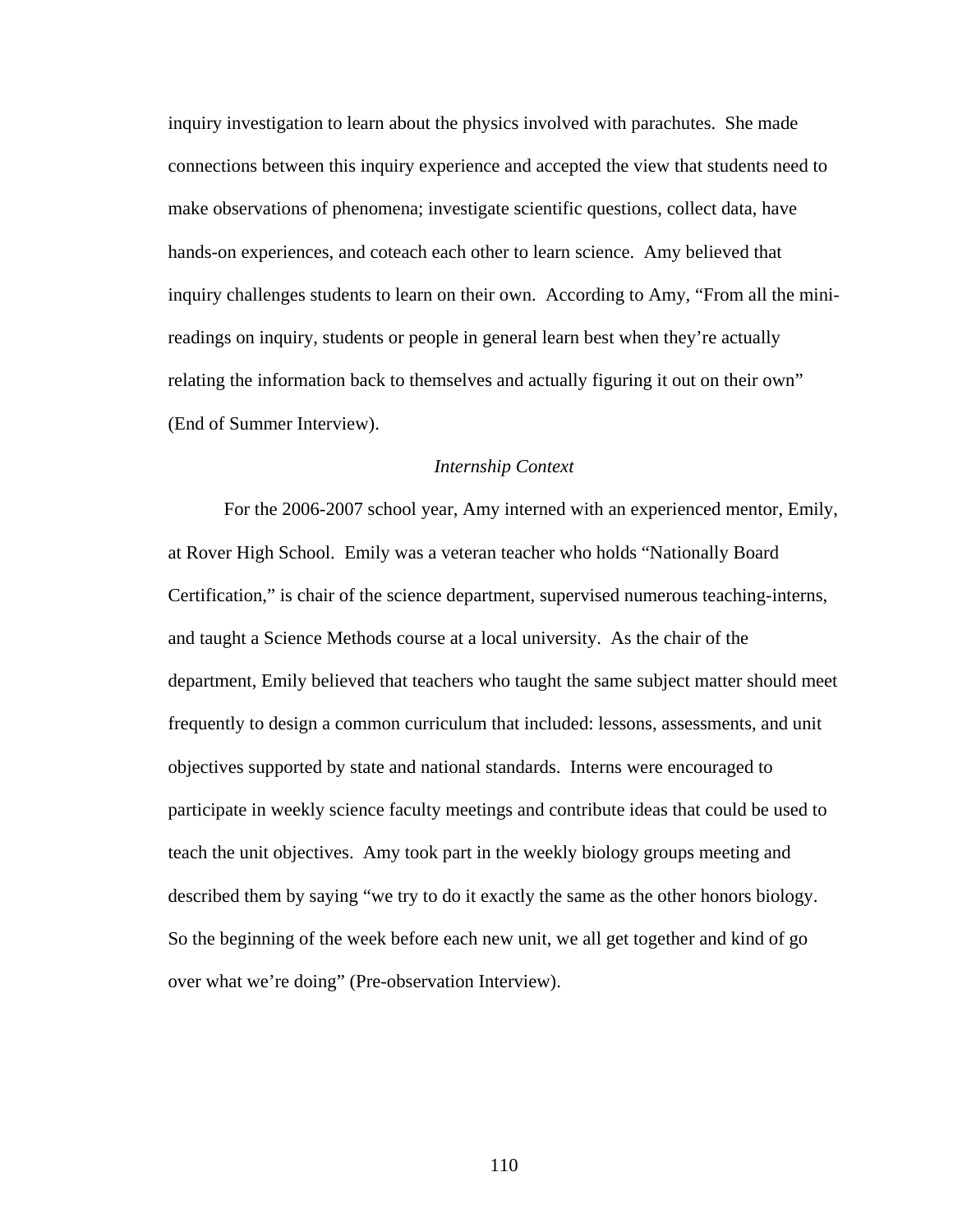inquiry investigation to learn about the physics involved with parachutes. She made connections between this inquiry experience and accepted the view that students need to make observations of phenomena; investigate scientific questions, collect data, have hands-on experiences, and coteach each other to learn science. Amy believed that inquiry challenges students to learn on their own. According to Amy, "From all the minireadings on inquiry, students or people in general learn best when they're actually relating the information back to themselves and actually figuring it out on their own" (End of Summer Interview).

# *Internship Context*

For the 2006-2007 school year, Amy interned with an experienced mentor, Emily, at Rover High School. Emily was a veteran teacher who holds "Nationally Board Certification," is chair of the science department, supervised numerous teaching-interns, and taught a Science Methods course at a local university. As the chair of the department, Emily believed that teachers who taught the same subject matter should meet frequently to design a common curriculum that included: lessons, assessments, and unit objectives supported by state and national standards. Interns were encouraged to participate in weekly science faculty meetings and contribute ideas that could be used to teach the unit objectives. Amy took part in the weekly biology groups meeting and described them by saying "we try to do it exactly the same as the other honors biology. So the beginning of the week before each new unit, we all get together and kind of go over what we're doing" (Pre-observation Interview).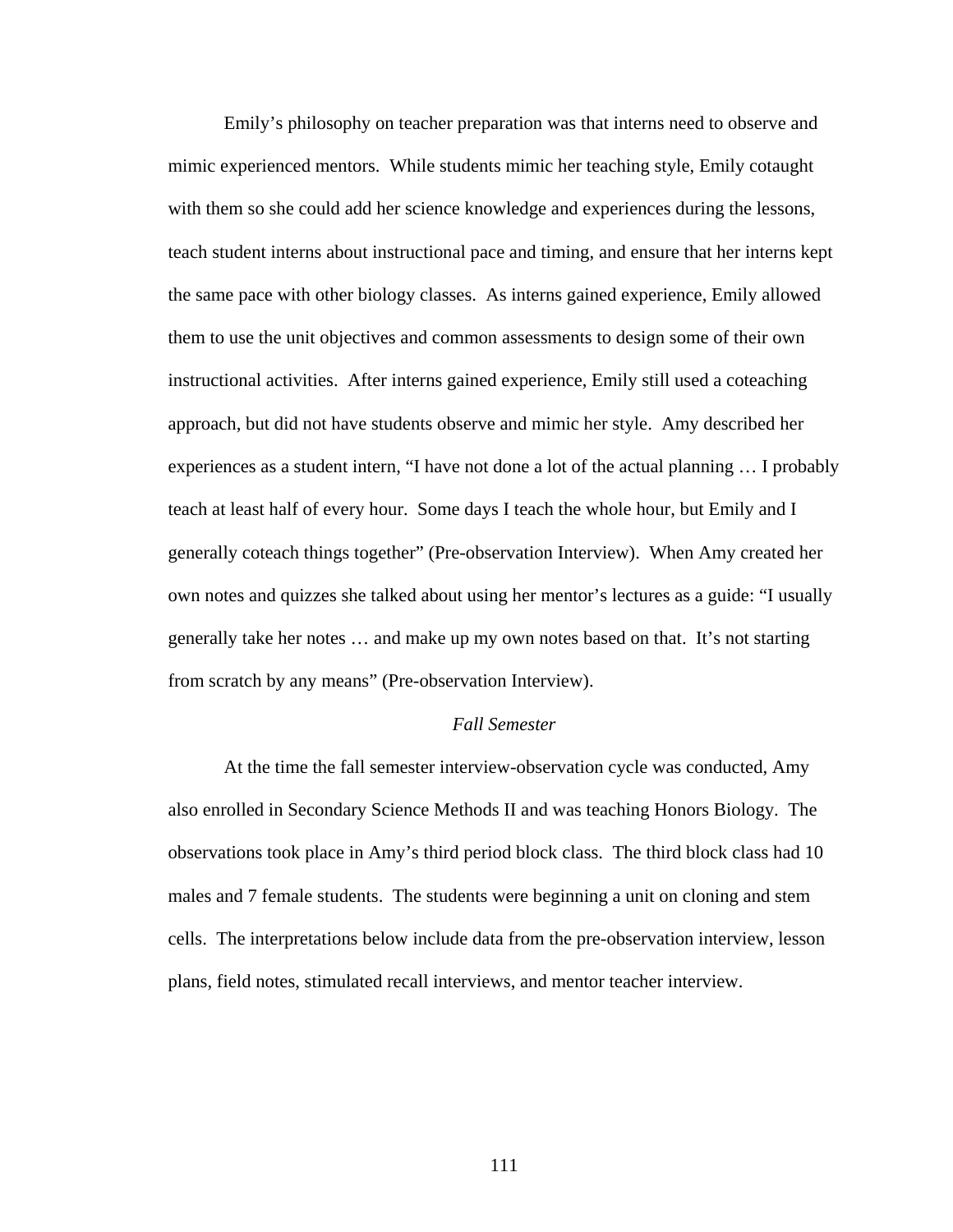Emily's philosophy on teacher preparation was that interns need to observe and mimic experienced mentors. While students mimic her teaching style, Emily cotaught with them so she could add her science knowledge and experiences during the lessons, teach student interns about instructional pace and timing, and ensure that her interns kept the same pace with other biology classes. As interns gained experience, Emily allowed them to use the unit objectives and common assessments to design some of their own instructional activities. After interns gained experience, Emily still used a coteaching approach, but did not have students observe and mimic her style. Amy described her experiences as a student intern, "I have not done a lot of the actual planning … I probably teach at least half of every hour. Some days I teach the whole hour, but Emily and I generally coteach things together" (Pre-observation Interview). When Amy created her own notes and quizzes she talked about using her mentor's lectures as a guide: "I usually generally take her notes … and make up my own notes based on that. It's not starting from scratch by any means" (Pre-observation Interview).

# *Fall Semester*

At the time the fall semester interview-observation cycle was conducted, Amy also enrolled in Secondary Science Methods II and was teaching Honors Biology. The observations took place in Amy's third period block class. The third block class had 10 males and 7 female students. The students were beginning a unit on cloning and stem cells. The interpretations below include data from the pre-observation interview, lesson plans, field notes, stimulated recall interviews, and mentor teacher interview.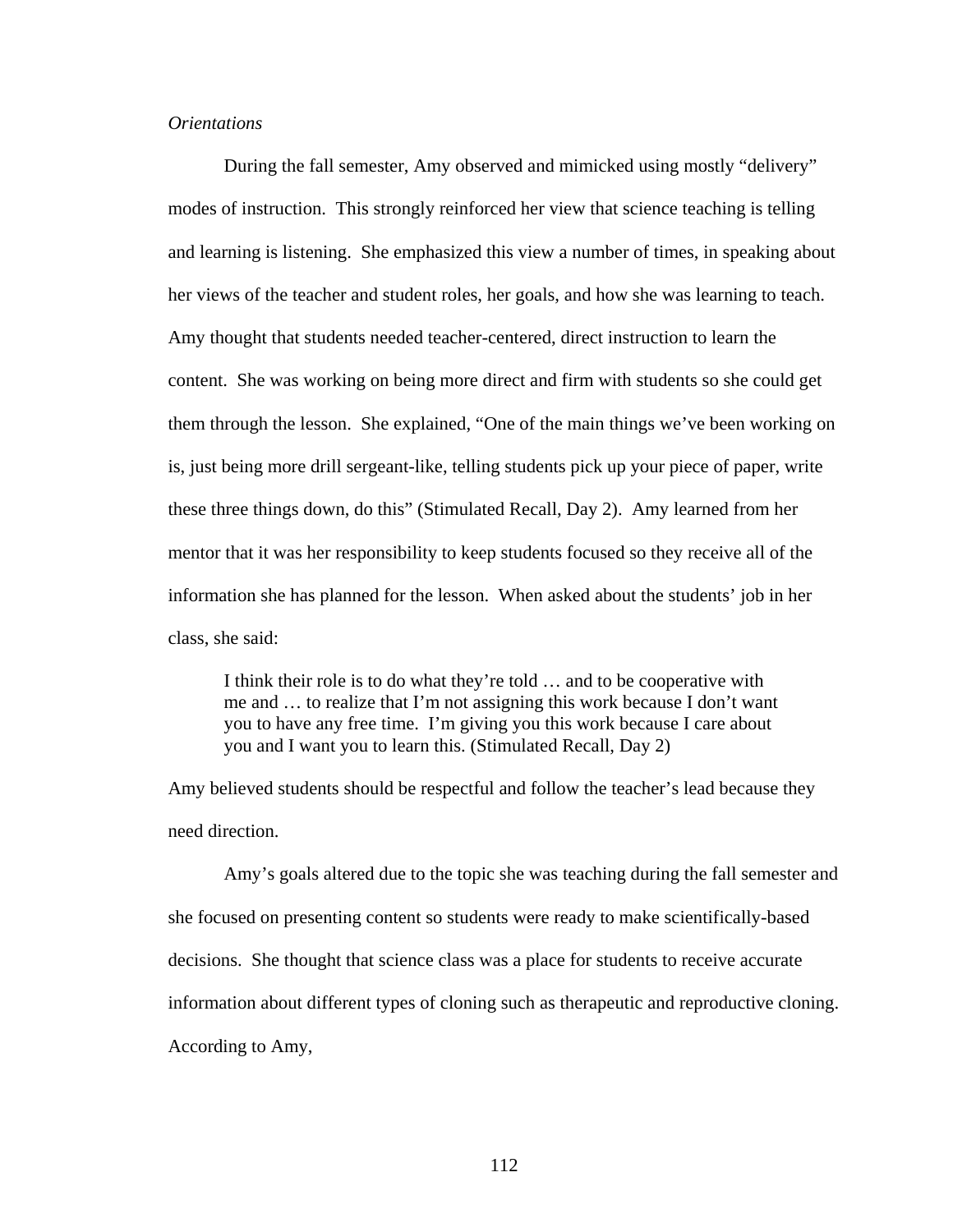# *Orientations*

During the fall semester, Amy observed and mimicked using mostly "delivery" modes of instruction. This strongly reinforced her view that science teaching is telling and learning is listening. She emphasized this view a number of times, in speaking about her views of the teacher and student roles, her goals, and how she was learning to teach. Amy thought that students needed teacher-centered, direct instruction to learn the content. She was working on being more direct and firm with students so she could get them through the lesson. She explained, "One of the main things we've been working on is, just being more drill sergeant-like, telling students pick up your piece of paper, write these three things down, do this" (Stimulated Recall, Day 2). Amy learned from her mentor that it was her responsibility to keep students focused so they receive all of the information she has planned for the lesson. When asked about the students' job in her class, she said:

I think their role is to do what they're told … and to be cooperative with me and … to realize that I'm not assigning this work because I don't want you to have any free time. I'm giving you this work because I care about you and I want you to learn this. (Stimulated Recall, Day 2)

Amy believed students should be respectful and follow the teacher's lead because they need direction.

Amy's goals altered due to the topic she was teaching during the fall semester and she focused on presenting content so students were ready to make scientifically-based decisions. She thought that science class was a place for students to receive accurate information about different types of cloning such as therapeutic and reproductive cloning. According to Amy,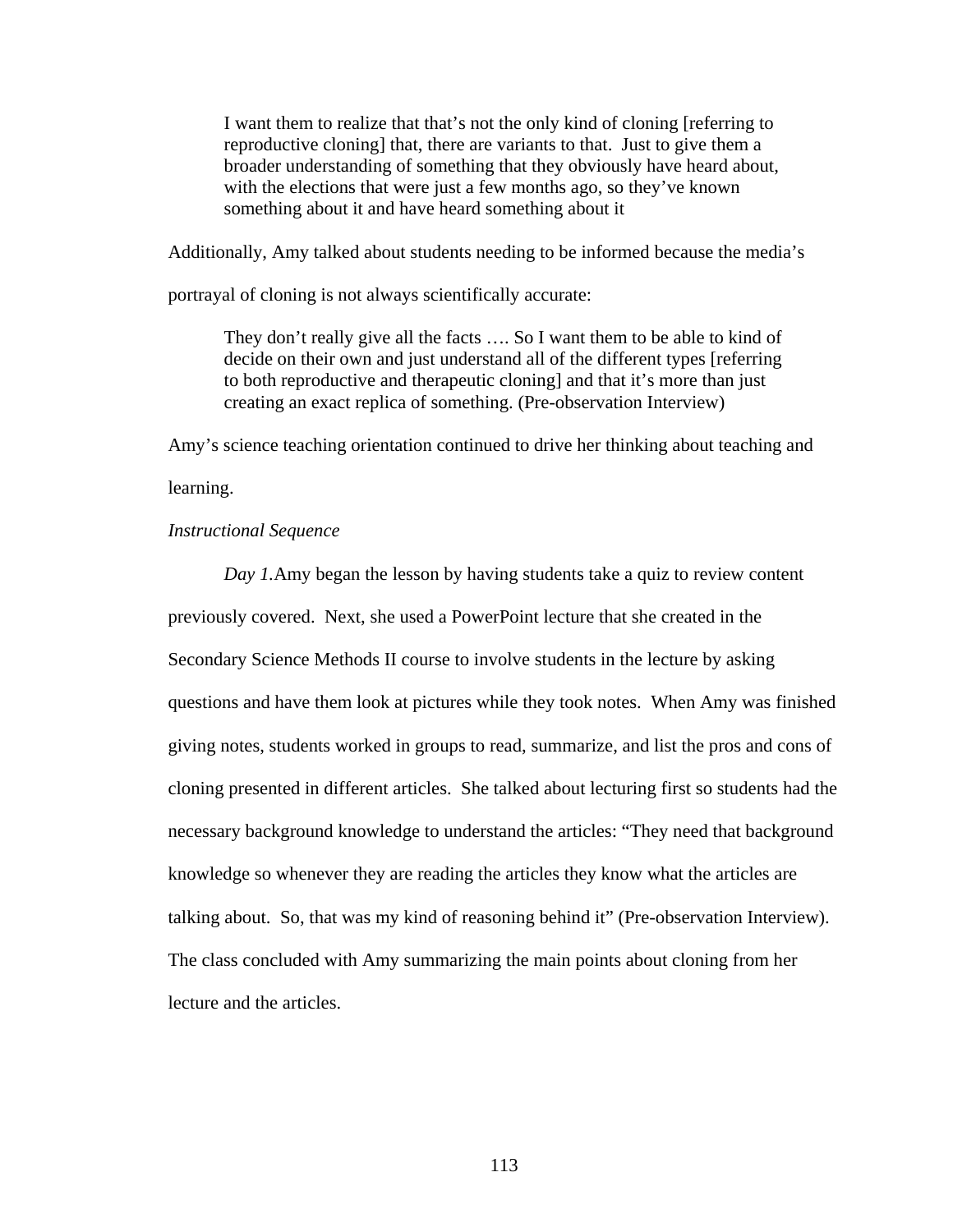I want them to realize that that's not the only kind of cloning [referring to reproductive cloning] that, there are variants to that. Just to give them a broader understanding of something that they obviously have heard about, with the elections that were just a few months ago, so they've known something about it and have heard something about it

Additionally, Amy talked about students needing to be informed because the media's

portrayal of cloning is not always scientifically accurate:

They don't really give all the facts …. So I want them to be able to kind of decide on their own and just understand all of the different types [referring to both reproductive and therapeutic cloning] and that it's more than just creating an exact replica of something. (Pre-observation Interview)

Amy's science teaching orientation continued to drive her thinking about teaching and

learning.

# *Instructional Sequence*

*Day 1.*Amy began the lesson by having students take a quiz to review content previously covered. Next, she used a PowerPoint lecture that she created in the Secondary Science Methods II course to involve students in the lecture by asking questions and have them look at pictures while they took notes. When Amy was finished giving notes, students worked in groups to read, summarize, and list the pros and cons of cloning presented in different articles. She talked about lecturing first so students had the necessary background knowledge to understand the articles: "They need that background knowledge so whenever they are reading the articles they know what the articles are talking about. So, that was my kind of reasoning behind it" (Pre-observation Interview). The class concluded with Amy summarizing the main points about cloning from her lecture and the articles.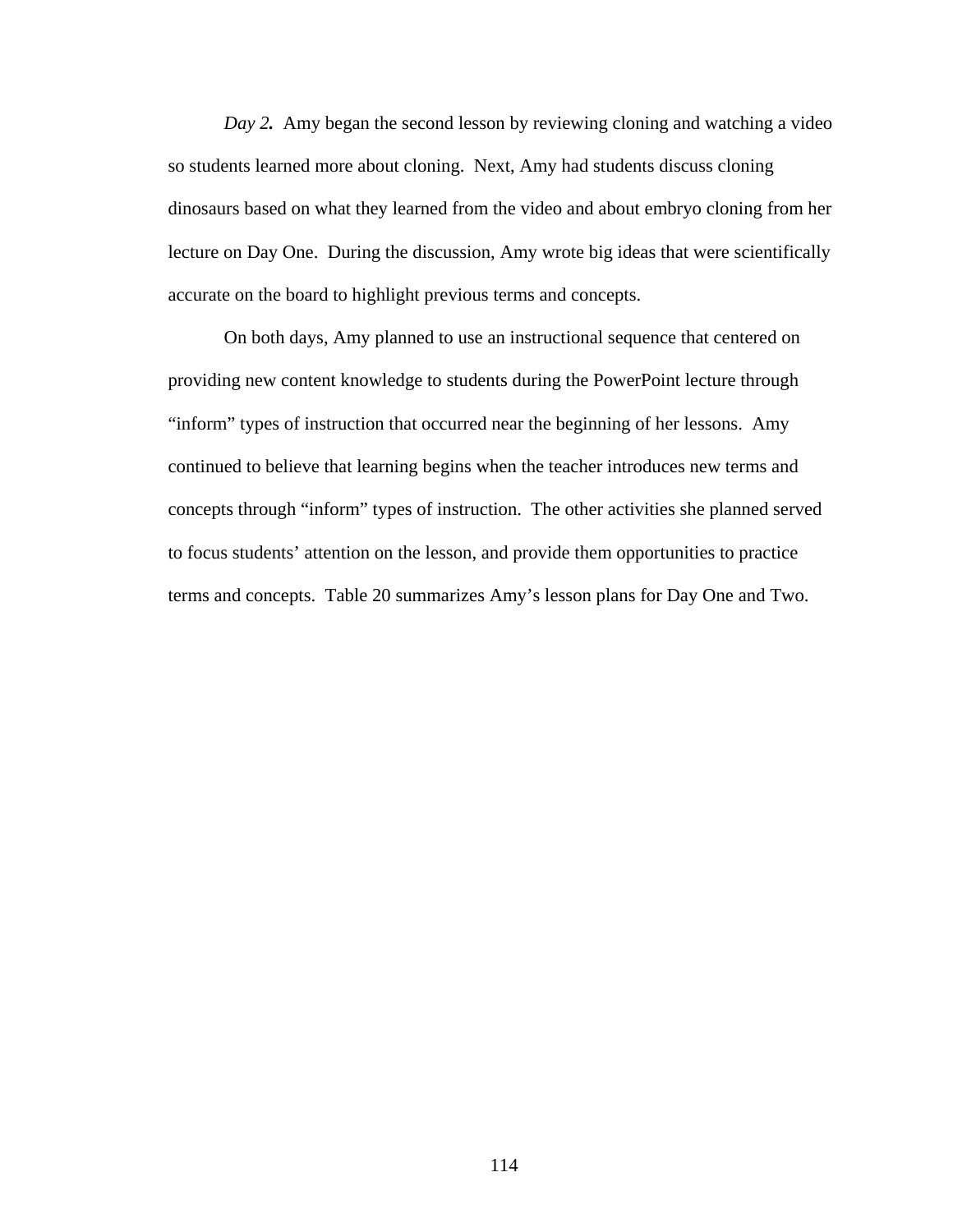*Day 2.* Amy began the second lesson by reviewing cloning and watching a video so students learned more about cloning. Next, Amy had students discuss cloning dinosaurs based on what they learned from the video and about embryo cloning from her lecture on Day One. During the discussion, Amy wrote big ideas that were scientifically accurate on the board to highlight previous terms and concepts.

On both days, Amy planned to use an instructional sequence that centered on providing new content knowledge to students during the PowerPoint lecture through "inform" types of instruction that occurred near the beginning of her lessons. Amy continued to believe that learning begins when the teacher introduces new terms and concepts through "inform" types of instruction. The other activities she planned served to focus students' attention on the lesson, and provide them opportunities to practice terms and concepts. Table 20 summarizes Amy's lesson plans for Day One and Two.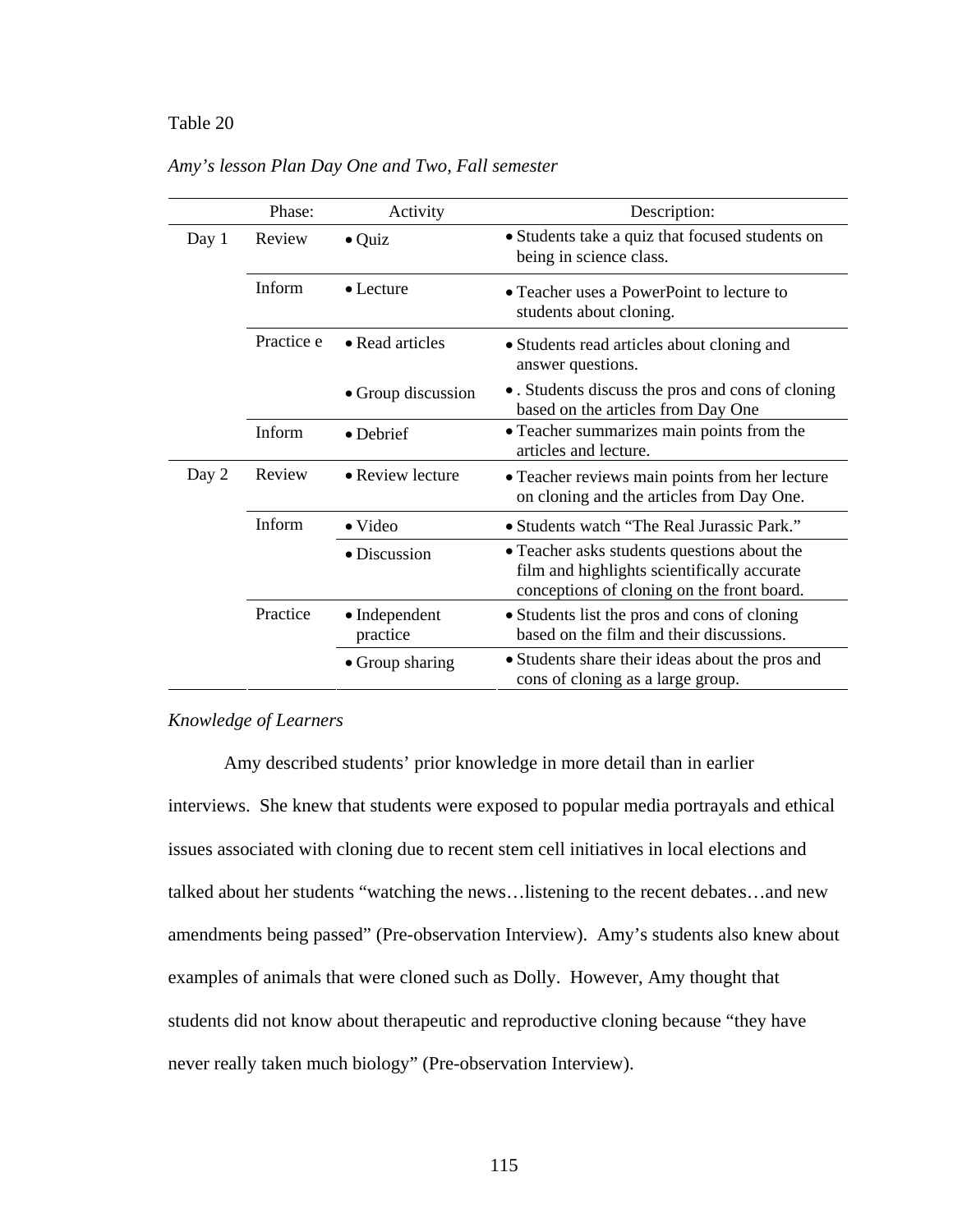# Table 20 *Amy's lesson Plan Day One and Two, Fall semester*

|       | Phase:     | Activity                  | Description:                                                                                                                             |
|-------|------------|---------------------------|------------------------------------------------------------------------------------------------------------------------------------------|
| Day 1 | Review     | $\bullet$ Quiz            | • Students take a quiz that focused students on<br>being in science class.                                                               |
|       | Inform     | $\bullet$ Lecture         | • Teacher uses a PowerPoint to lecture to<br>students about cloning.                                                                     |
|       | Practice e | • Read articles           | • Students read articles about cloning and<br>answer questions.                                                                          |
|       |            | • Group discussion        | • . Students discuss the pros and cons of cloning<br>based on the articles from Day One                                                  |
|       | Inform     | • Debrief                 | • Teacher summarizes main points from the<br>articles and lecture.                                                                       |
| Day 2 | Review     | • Review lecture          | • Teacher reviews main points from her lecture<br>on cloning and the articles from Day One.                                              |
|       | Inform     | $\bullet$ Video           | • Students watch "The Real Jurassic Park."                                                                                               |
|       |            | • Discussion              | • Teacher asks students questions about the<br>film and highlights scientifically accurate<br>conceptions of cloning on the front board. |
|       | Practice   | • Independent<br>practice | • Students list the pros and cons of cloning<br>based on the film and their discussions.                                                 |
|       |            | • Group sharing           | • Students share their ideas about the pros and<br>cons of cloning as a large group.                                                     |

# *Amy's lesson Plan Day One and Two, Fall semester*

# *Knowledge of Learners*

Amy described students' prior knowledge in more detail than in earlier interviews. She knew that students were exposed to popular media portrayals and ethical issues associated with cloning due to recent stem cell initiatives in local elections and talked about her students "watching the news…listening to the recent debates…and new amendments being passed" (Pre-observation Interview). Amy's students also knew about examples of animals that were cloned such as Dolly. However, Amy thought that students did not know about therapeutic and reproductive cloning because "they have never really taken much biology" (Pre-observation Interview).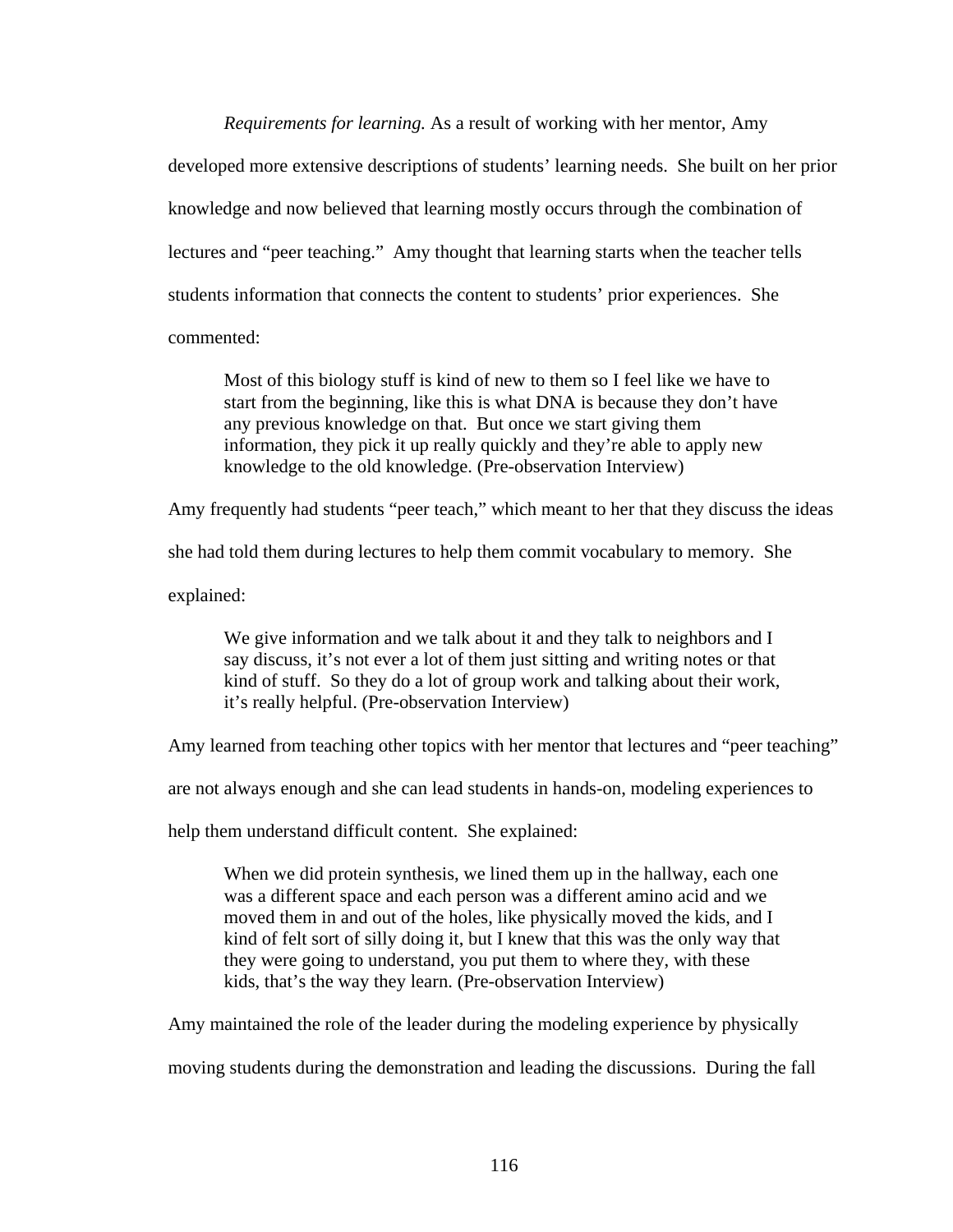*Requirements for learning.* As a result of working with her mentor, Amy developed more extensive descriptions of students' learning needs. She built on her prior knowledge and now believed that learning mostly occurs through the combination of lectures and "peer teaching." Amy thought that learning starts when the teacher tells students information that connects the content to students' prior experiences. She commented:

Most of this biology stuff is kind of new to them so I feel like we have to start from the beginning, like this is what DNA is because they don't have any previous knowledge on that. But once we start giving them information, they pick it up really quickly and they're able to apply new knowledge to the old knowledge. (Pre-observation Interview)

Amy frequently had students "peer teach," which meant to her that they discuss the ideas

she had told them during lectures to help them commit vocabulary to memory. She

explained:

We give information and we talk about it and they talk to neighbors and I say discuss, it's not ever a lot of them just sitting and writing notes or that kind of stuff. So they do a lot of group work and talking about their work, it's really helpful. (Pre-observation Interview)

Amy learned from teaching other topics with her mentor that lectures and "peer teaching"

are not always enough and she can lead students in hands-on, modeling experiences to

help them understand difficult content. She explained:

When we did protein synthesis, we lined them up in the hallway, each one was a different space and each person was a different amino acid and we moved them in and out of the holes, like physically moved the kids, and I kind of felt sort of silly doing it, but I knew that this was the only way that they were going to understand, you put them to where they, with these kids, that's the way they learn. (Pre-observation Interview)

Amy maintained the role of the leader during the modeling experience by physically

moving students during the demonstration and leading the discussions. During the fall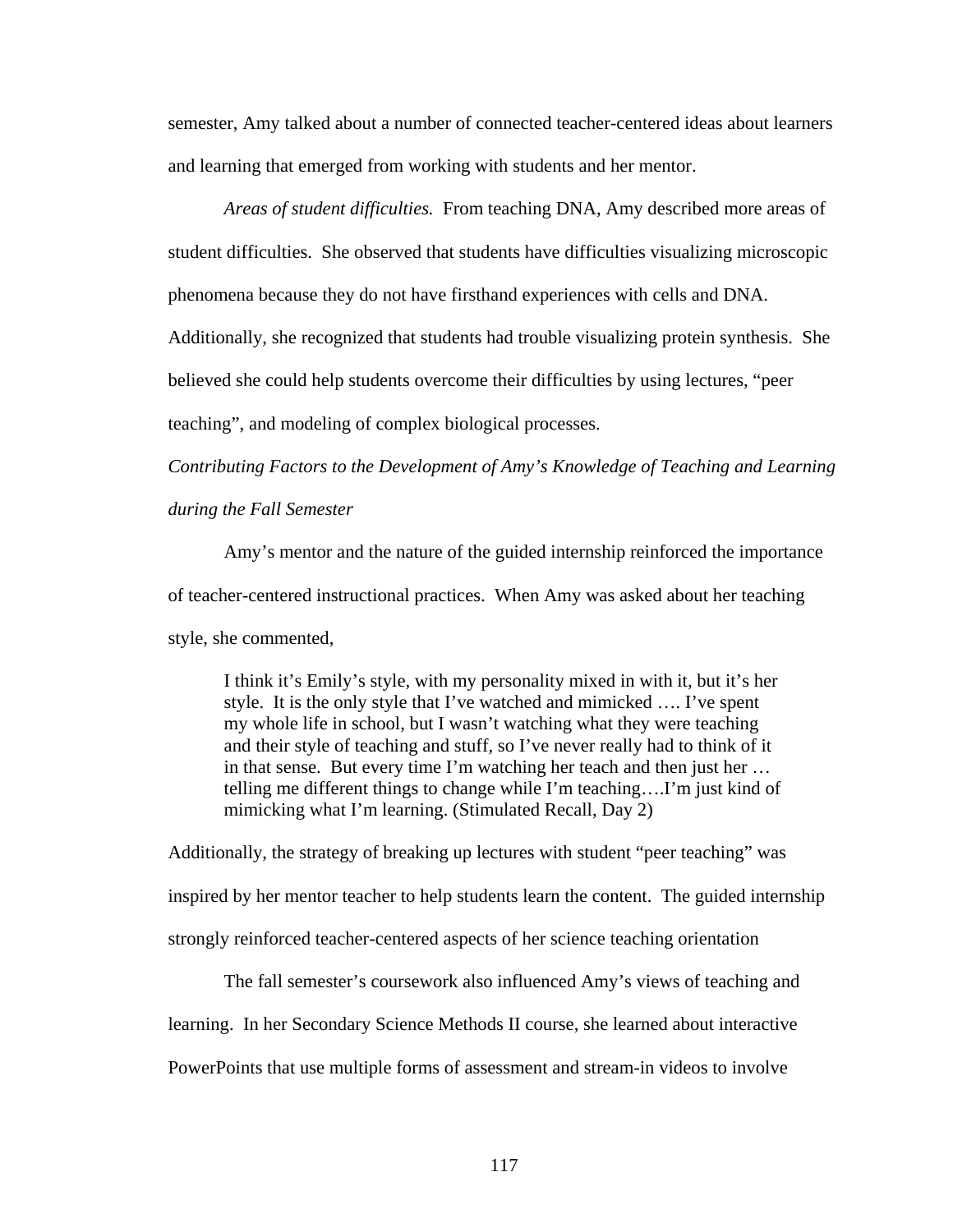semester, Amy talked about a number of connected teacher-centered ideas about learners and learning that emerged from working with students and her mentor.

*Areas of student difficulties.* From teaching DNA, Amy described more areas of student difficulties. She observed that students have difficulties visualizing microscopic

phenomena because they do not have firsthand experiences with cells and DNA.

Additionally, she recognized that students had trouble visualizing protein synthesis. She

believed she could help students overcome their difficulties by using lectures, "peer

teaching", and modeling of complex biological processes.

*Contributing Factors to the Development of Amy's Knowledge of Teaching and Learning* 

## *during the Fall Semester*

Amy's mentor and the nature of the guided internship reinforced the importance of teacher-centered instructional practices. When Amy was asked about her teaching style, she commented,

I think it's Emily's style, with my personality mixed in with it, but it's her style. It is the only style that I've watched and mimicked …. I've spent my whole life in school, but I wasn't watching what they were teaching and their style of teaching and stuff, so I've never really had to think of it in that sense. But every time I'm watching her teach and then just her … telling me different things to change while I'm teaching….I'm just kind of mimicking what I'm learning. (Stimulated Recall, Day 2)

Additionally, the strategy of breaking up lectures with student "peer teaching" was inspired by her mentor teacher to help students learn the content. The guided internship strongly reinforced teacher-centered aspects of her science teaching orientation

The fall semester's coursework also influenced Amy's views of teaching and learning. In her Secondary Science Methods II course, she learned about interactive PowerPoints that use multiple forms of assessment and stream-in videos to involve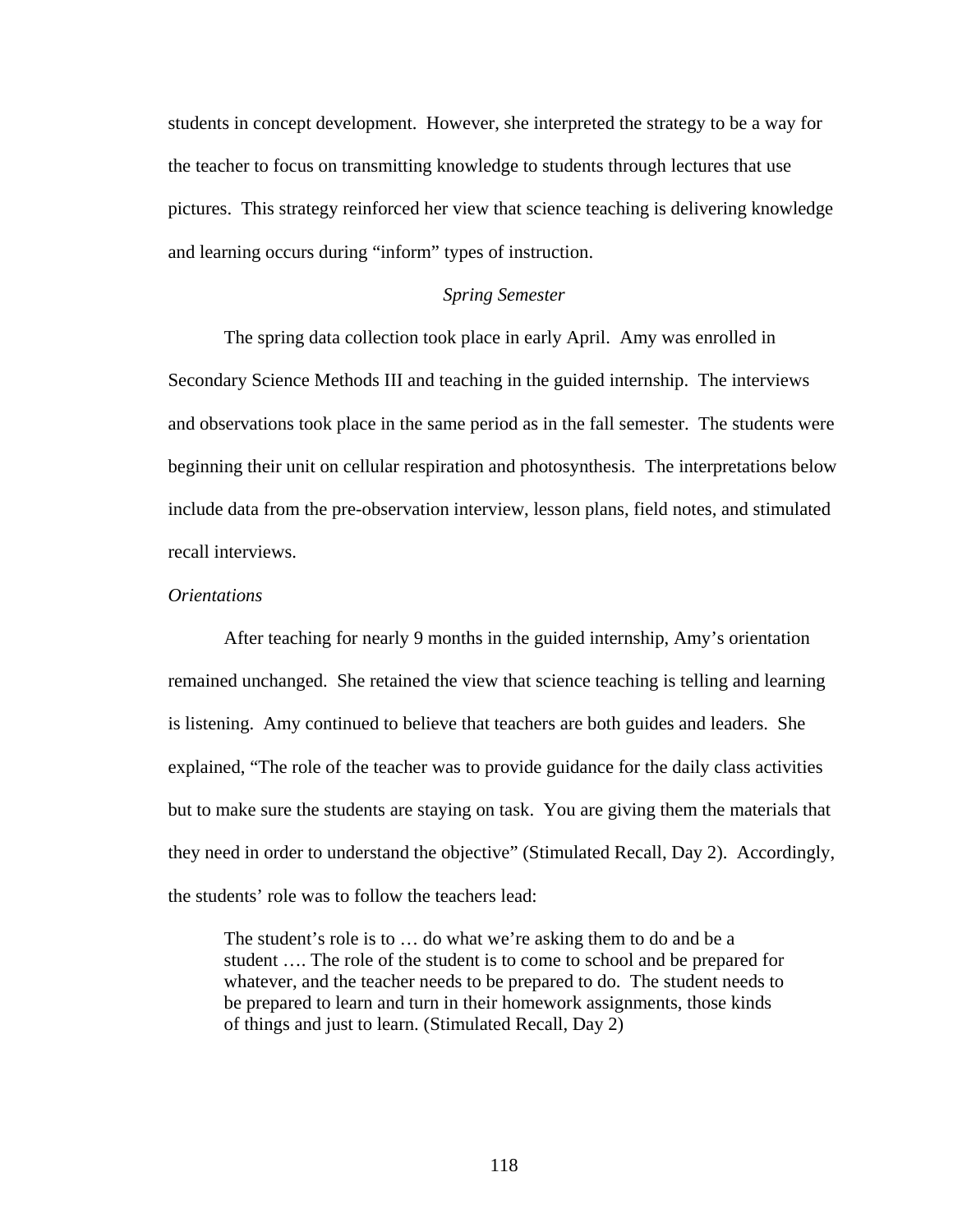students in concept development. However, she interpreted the strategy to be a way for the teacher to focus on transmitting knowledge to students through lectures that use pictures. This strategy reinforced her view that science teaching is delivering knowledge and learning occurs during "inform" types of instruction.

## *Spring Semester*

The spring data collection took place in early April. Amy was enrolled in Secondary Science Methods III and teaching in the guided internship. The interviews and observations took place in the same period as in the fall semester. The students were beginning their unit on cellular respiration and photosynthesis. The interpretations below include data from the pre-observation interview, lesson plans, field notes, and stimulated recall interviews.

#### *Orientations*

After teaching for nearly 9 months in the guided internship, Amy's orientation remained unchanged. She retained the view that science teaching is telling and learning is listening. Amy continued to believe that teachers are both guides and leaders. She explained, "The role of the teacher was to provide guidance for the daily class activities but to make sure the students are staying on task. You are giving them the materials that they need in order to understand the objective" (Stimulated Recall, Day 2). Accordingly, the students' role was to follow the teachers lead:

The student's role is to … do what we're asking them to do and be a student …. The role of the student is to come to school and be prepared for whatever, and the teacher needs to be prepared to do. The student needs to be prepared to learn and turn in their homework assignments, those kinds of things and just to learn. (Stimulated Recall, Day 2)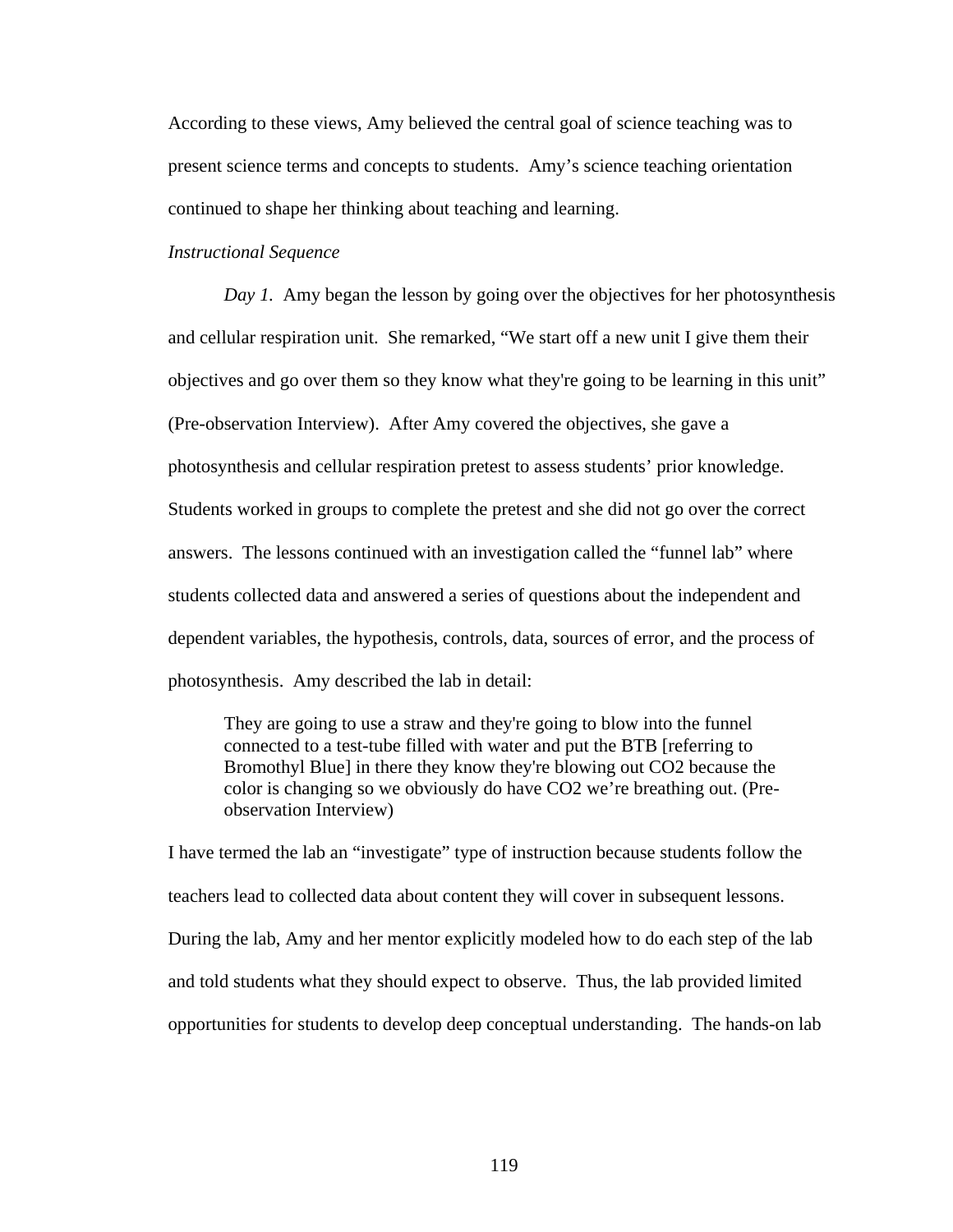According to these views, Amy believed the central goal of science teaching was to present science terms and concepts to students. Amy's science teaching orientation continued to shape her thinking about teaching and learning.

## *Instructional Sequence*

*Day 1.* Amy began the lesson by going over the objectives for her photosynthesis and cellular respiration unit. She remarked, "We start off a new unit I give them their objectives and go over them so they know what they're going to be learning in this unit" (Pre-observation Interview). After Amy covered the objectives, she gave a photosynthesis and cellular respiration pretest to assess students' prior knowledge. Students worked in groups to complete the pretest and she did not go over the correct answers. The lessons continued with an investigation called the "funnel lab" where students collected data and answered a series of questions about the independent and dependent variables, the hypothesis, controls, data, sources of error, and the process of photosynthesis. Amy described the lab in detail:

They are going to use a straw and they're going to blow into the funnel connected to a test-tube filled with water and put the BTB [referring to Bromothyl Blue] in there they know they're blowing out CO2 because the color is changing so we obviously do have CO2 we're breathing out. (Preobservation Interview)

I have termed the lab an "investigate" type of instruction because students follow the teachers lead to collected data about content they will cover in subsequent lessons. During the lab, Amy and her mentor explicitly modeled how to do each step of the lab and told students what they should expect to observe. Thus, the lab provided limited opportunities for students to develop deep conceptual understanding. The hands-on lab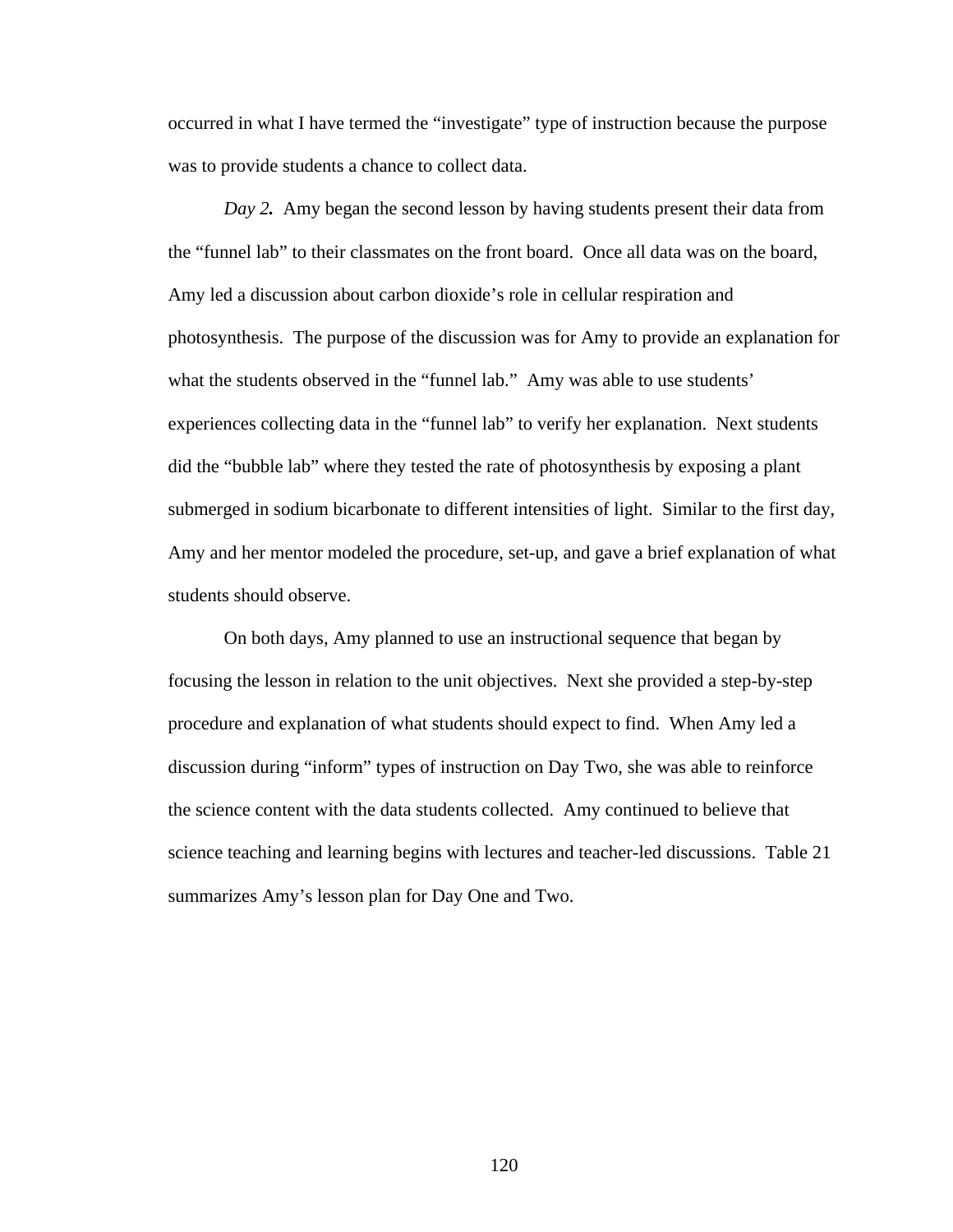occurred in what I have termed the "investigate" type of instruction because the purpose was to provide students a chance to collect data.

 *Day 2.* Amy began the second lesson by having students present their data from the "funnel lab" to their classmates on the front board. Once all data was on the board, Amy led a discussion about carbon dioxide's role in cellular respiration and photosynthesis. The purpose of the discussion was for Amy to provide an explanation for what the students observed in the "funnel lab." Amy was able to use students' experiences collecting data in the "funnel lab" to verify her explanation. Next students did the "bubble lab" where they tested the rate of photosynthesis by exposing a plant submerged in sodium bicarbonate to different intensities of light. Similar to the first day, Amy and her mentor modeled the procedure, set-up, and gave a brief explanation of what students should observe.

On both days, Amy planned to use an instructional sequence that began by focusing the lesson in relation to the unit objectives. Next she provided a step-by-step procedure and explanation of what students should expect to find. When Amy led a discussion during "inform" types of instruction on Day Two, she was able to reinforce the science content with the data students collected. Amy continued to believe that science teaching and learning begins with lectures and teacher-led discussions. Table 21 summarizes Amy's lesson plan for Day One and Two.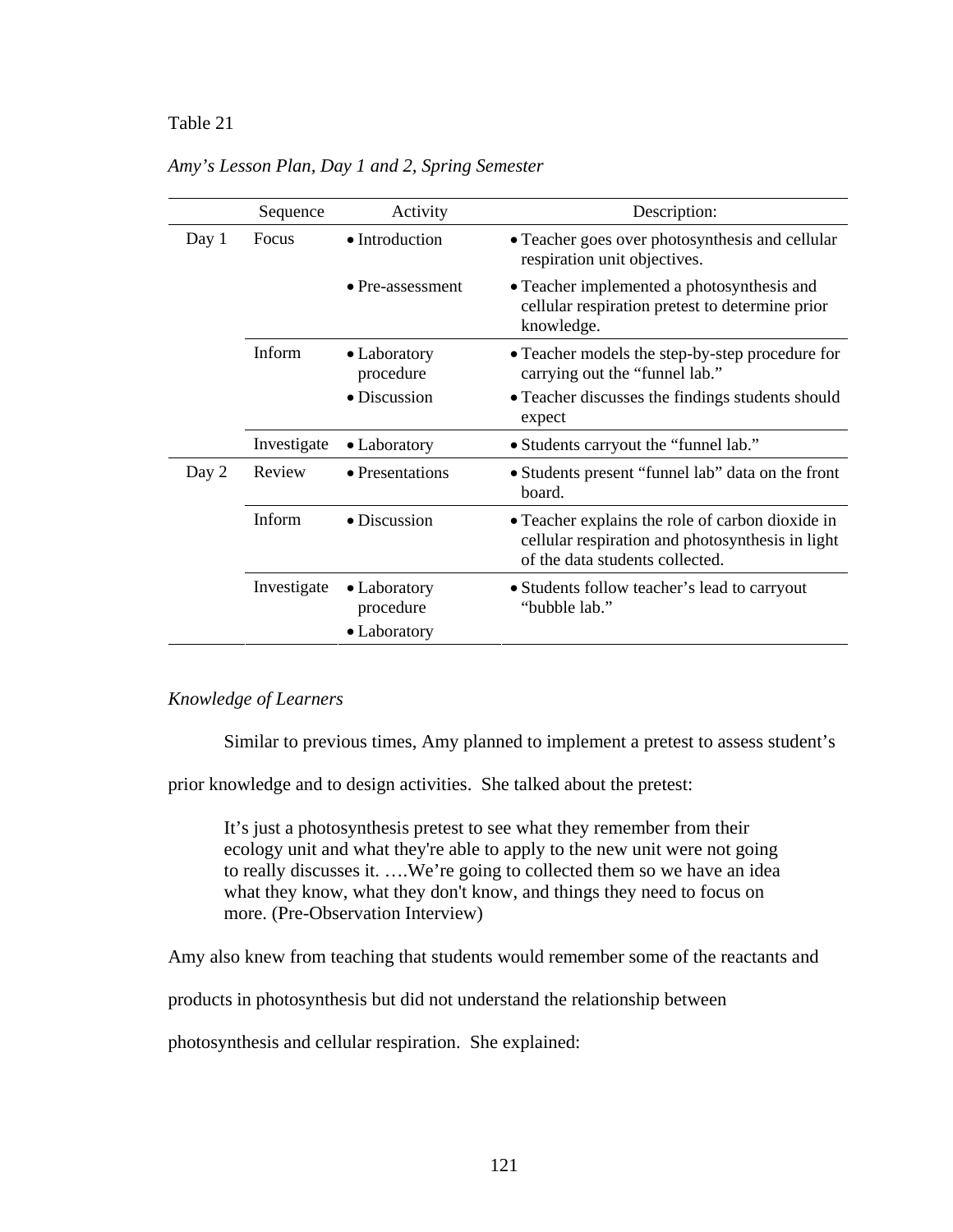# Table 21 *Amy's Lesson Plan, Day 1 and 2, Spring Semester*

|       | Sequence    | Activity                  | Description:                                                                                                                            |
|-------|-------------|---------------------------|-----------------------------------------------------------------------------------------------------------------------------------------|
| Day 1 | Focus       | • Introduction            | • Teacher goes over photosynthesis and cellular<br>respiration unit objectives.                                                         |
|       |             | $\bullet$ Pre-assessment  | • Teacher implemented a photosynthesis and<br>cellular respiration pretest to determine prior<br>knowledge.                             |
|       | Inform      | • Laboratory<br>procedure | • Teacher models the step-by-step procedure for<br>carrying out the "funnel lab."                                                       |
|       |             | • Discussion              | • Teacher discusses the findings students should<br>expect                                                                              |
|       | Investigate | • Laboratory              | • Students carryout the "funnel lab."                                                                                                   |
| Day 2 | Review      | • Presentations           | • Students present "funnel lab" data on the front<br>board.                                                                             |
|       | Inform      | $\bullet$ Discussion      | • Teacher explains the role of carbon dioxide in<br>cellular respiration and photosynthesis in light<br>of the data students collected. |
|       | Investigate | • Laboratory<br>procedure | • Students follow teacher's lead to carryout<br>"bubble lab."                                                                           |
|       |             | • Laboratory              |                                                                                                                                         |

*Amy's Lesson Plan, Day 1 and 2, Spring Semester* 

# *Knowledge of Learners*

Similar to previous times, Amy planned to implement a pretest to assess student's

prior knowledge and to design activities. She talked about the pretest:

It's just a photosynthesis pretest to see what they remember from their ecology unit and what they're able to apply to the new unit were not going to really discusses it. ….We're going to collected them so we have an idea what they know, what they don't know, and things they need to focus on more. (Pre-Observation Interview)

Amy also knew from teaching that students would remember some of the reactants and

products in photosynthesis but did not understand the relationship between

photosynthesis and cellular respiration. She explained: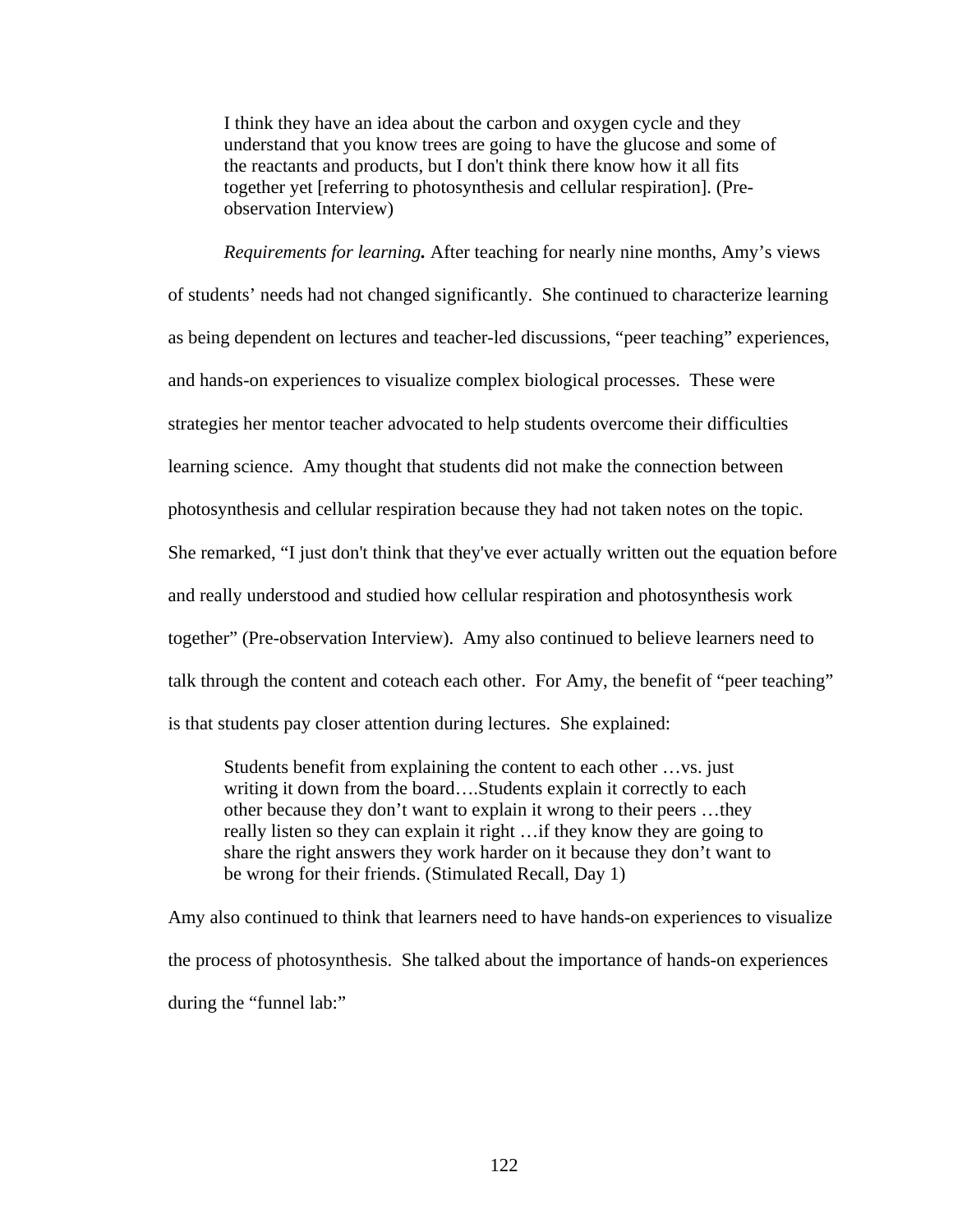I think they have an idea about the carbon and oxygen cycle and they understand that you know trees are going to have the glucose and some of the reactants and products, but I don't think there know how it all fits together yet [referring to photosynthesis and cellular respiration]. (Preobservation Interview)

*Requirements for learning.* After teaching for nearly nine months, Amy's views of students' needs had not changed significantly. She continued to characterize learning as being dependent on lectures and teacher-led discussions, "peer teaching" experiences, and hands-on experiences to visualize complex biological processes. These were strategies her mentor teacher advocated to help students overcome their difficulties learning science. Amy thought that students did not make the connection between photosynthesis and cellular respiration because they had not taken notes on the topic. She remarked, "I just don't think that they've ever actually written out the equation before and really understood and studied how cellular respiration and photosynthesis work together" (Pre-observation Interview). Amy also continued to believe learners need to talk through the content and coteach each other. For Amy, the benefit of "peer teaching" is that students pay closer attention during lectures. She explained:

Students benefit from explaining the content to each other …vs. just writing it down from the board….Students explain it correctly to each other because they don't want to explain it wrong to their peers …they really listen so they can explain it right …if they know they are going to share the right answers they work harder on it because they don't want to be wrong for their friends. (Stimulated Recall, Day 1)

Amy also continued to think that learners need to have hands-on experiences to visualize the process of photosynthesis. She talked about the importance of hands-on experiences during the "funnel lab:"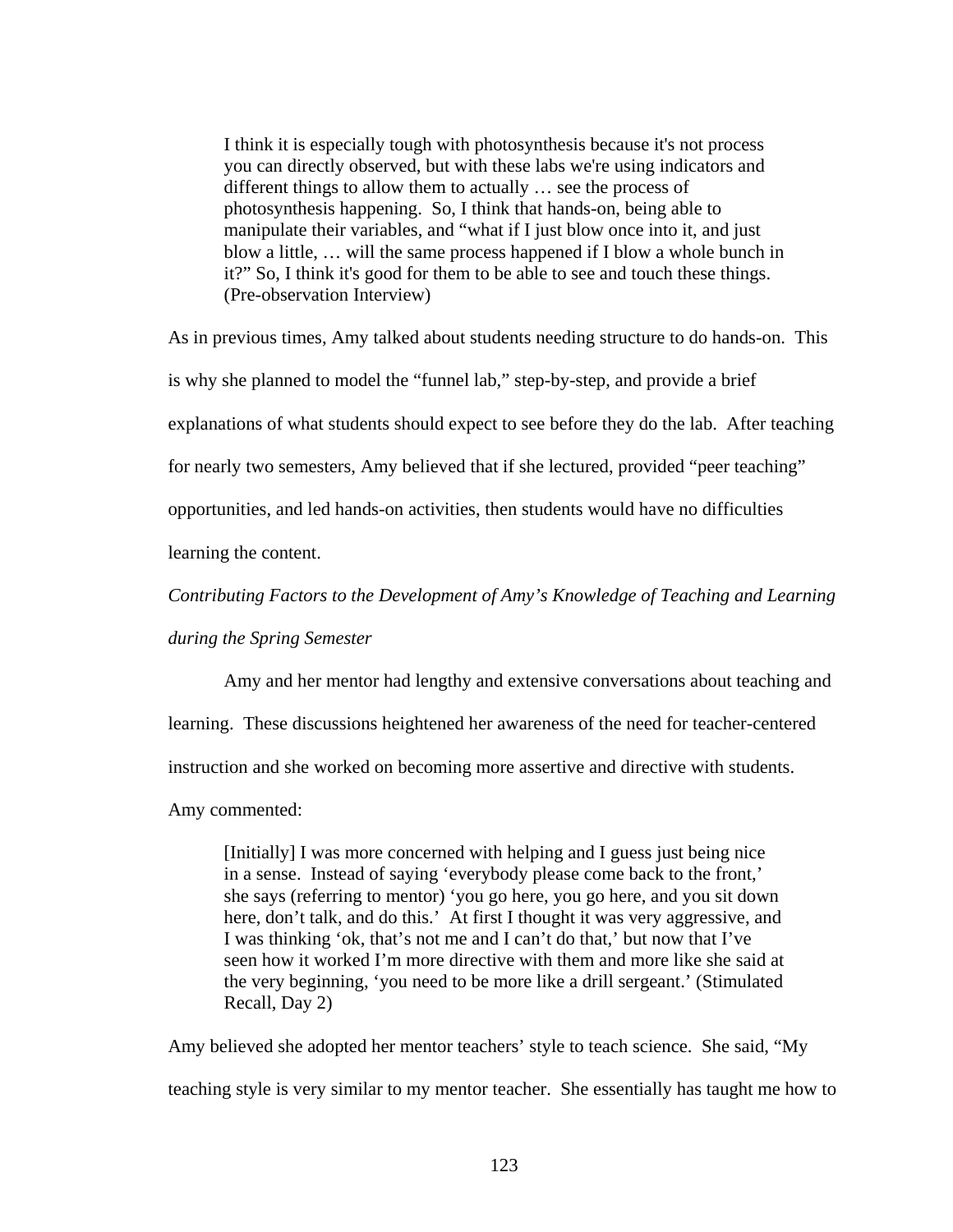I think it is especially tough with photosynthesis because it's not process you can directly observed, but with these labs we're using indicators and different things to allow them to actually … see the process of photosynthesis happening. So, I think that hands-on, being able to manipulate their variables, and "what if I just blow once into it, and just blow a little, … will the same process happened if I blow a whole bunch in it?" So, I think it's good for them to be able to see and touch these things. (Pre-observation Interview)

As in previous times, Amy talked about students needing structure to do hands-on. This

is why she planned to model the "funnel lab," step-by-step, and provide a brief

explanations of what students should expect to see before they do the lab. After teaching

for nearly two semesters, Amy believed that if she lectured, provided "peer teaching"

opportunities, and led hands-on activities, then students would have no difficulties

learning the content.

*Contributing Factors to the Development of Amy's Knowledge of Teaching and Learning* 

*during the Spring Semester* 

Amy and her mentor had lengthy and extensive conversations about teaching and

learning. These discussions heightened her awareness of the need for teacher-centered

instruction and she worked on becoming more assertive and directive with students.

Amy commented:

[Initially] I was more concerned with helping and I guess just being nice in a sense. Instead of saying 'everybody please come back to the front,' she says (referring to mentor) 'you go here, you go here, and you sit down here, don't talk, and do this.' At first I thought it was very aggressive, and I was thinking 'ok, that's not me and I can't do that,' but now that I've seen how it worked I'm more directive with them and more like she said at the very beginning, 'you need to be more like a drill sergeant.' (Stimulated Recall, Day 2)

Amy believed she adopted her mentor teachers' style to teach science. She said, "My teaching style is very similar to my mentor teacher. She essentially has taught me how to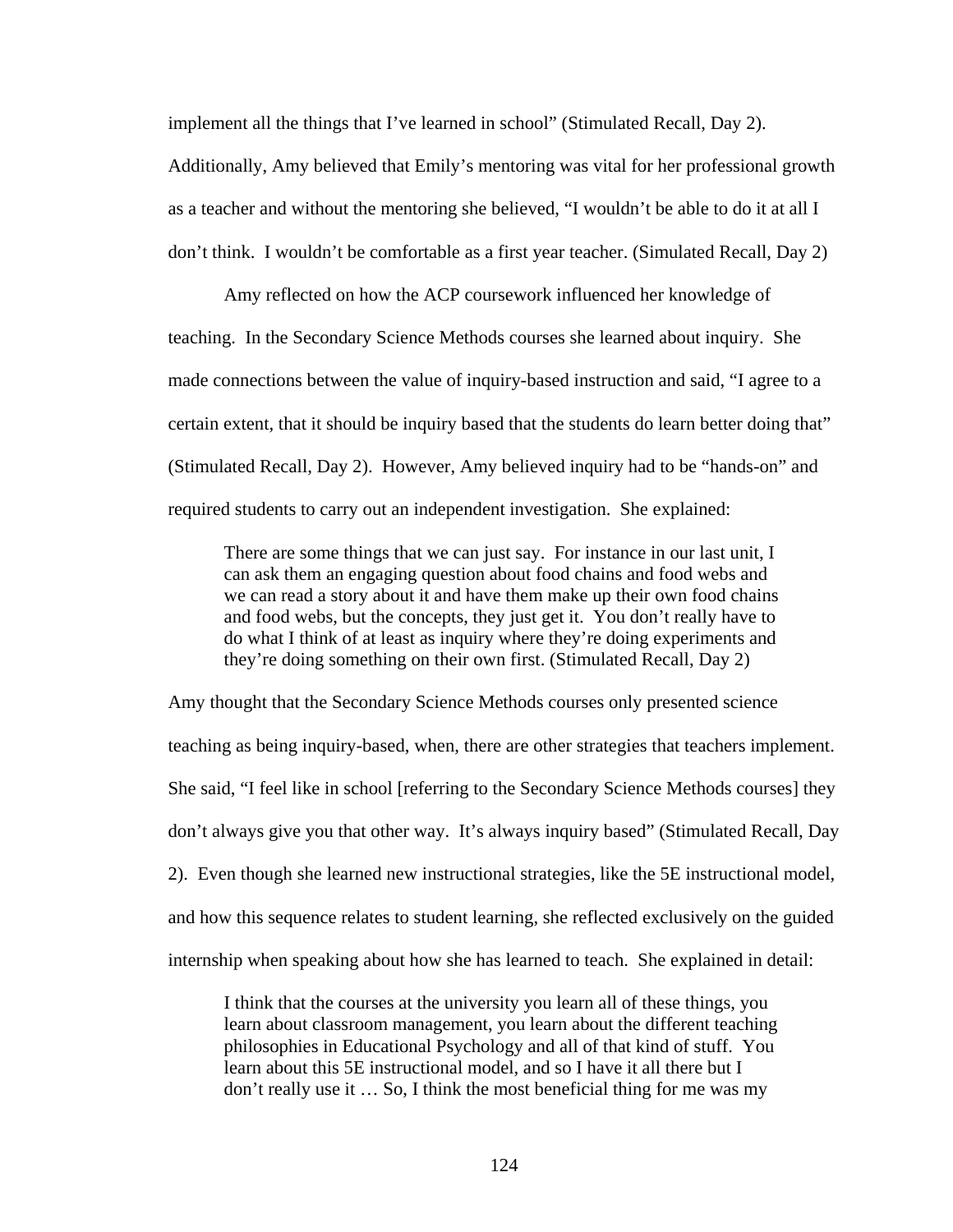implement all the things that I've learned in school" (Stimulated Recall, Day 2). Additionally, Amy believed that Emily's mentoring was vital for her professional growth as a teacher and without the mentoring she believed, "I wouldn't be able to do it at all I don't think. I wouldn't be comfortable as a first year teacher. (Simulated Recall, Day 2)

Amy reflected on how the ACP coursework influenced her knowledge of teaching. In the Secondary Science Methods courses she learned about inquiry. She made connections between the value of inquiry-based instruction and said, "I agree to a certain extent, that it should be inquiry based that the students do learn better doing that" (Stimulated Recall, Day 2). However, Amy believed inquiry had to be "hands-on" and required students to carry out an independent investigation. She explained:

There are some things that we can just say. For instance in our last unit, I can ask them an engaging question about food chains and food webs and we can read a story about it and have them make up their own food chains and food webs, but the concepts, they just get it. You don't really have to do what I think of at least as inquiry where they're doing experiments and they're doing something on their own first. (Stimulated Recall, Day 2)

Amy thought that the Secondary Science Methods courses only presented science teaching as being inquiry-based, when, there are other strategies that teachers implement. She said, "I feel like in school [referring to the Secondary Science Methods courses] they don't always give you that other way. It's always inquiry based" (Stimulated Recall, Day 2). Even though she learned new instructional strategies, like the 5E instructional model, and how this sequence relates to student learning, she reflected exclusively on the guided internship when speaking about how she has learned to teach. She explained in detail:

I think that the courses at the university you learn all of these things, you learn about classroom management, you learn about the different teaching philosophies in Educational Psychology and all of that kind of stuff. You learn about this 5E instructional model, and so I have it all there but I don't really use it … So, I think the most beneficial thing for me was my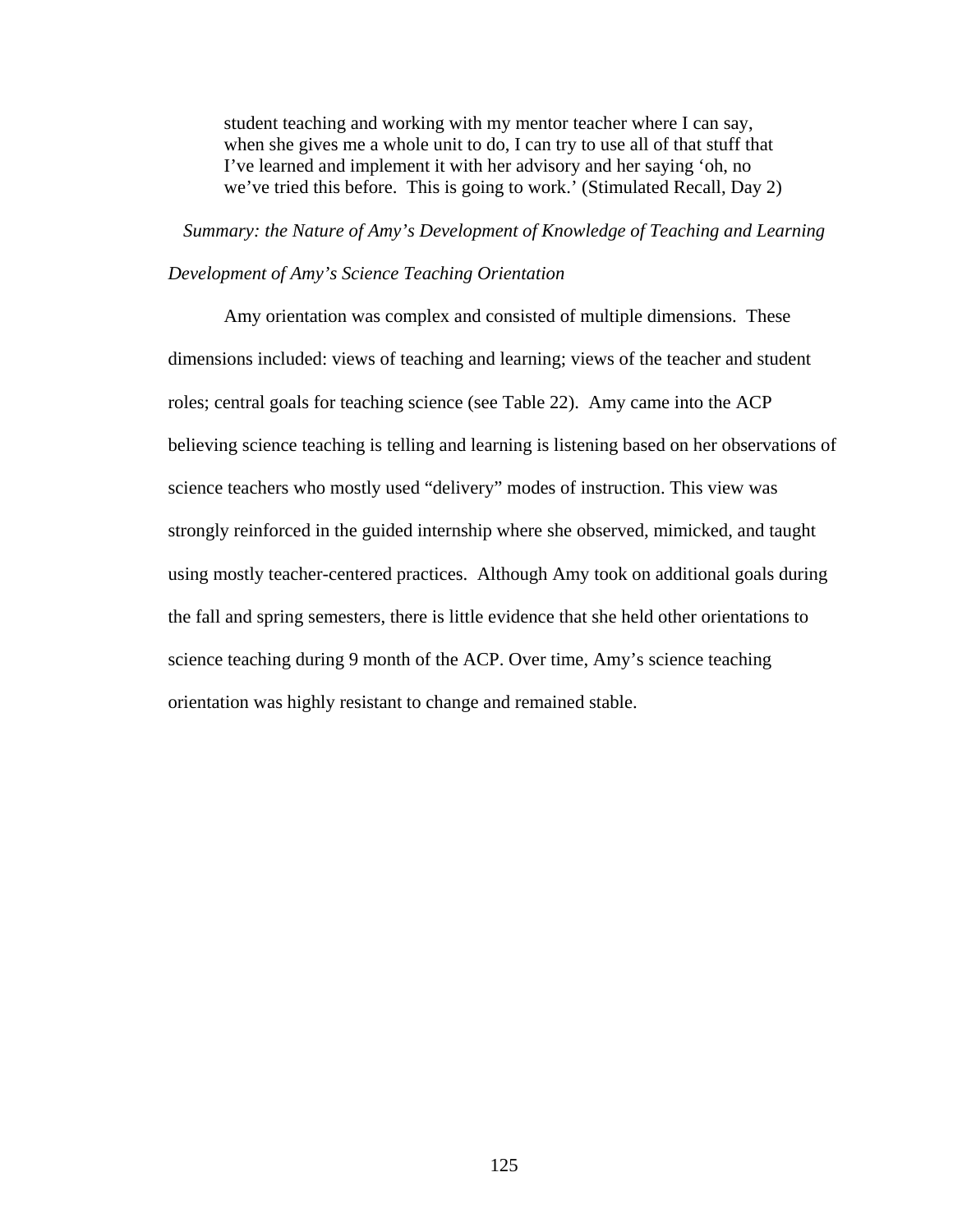student teaching and working with my mentor teacher where I can say, when she gives me a whole unit to do, I can try to use all of that stuff that I've learned and implement it with her advisory and her saying 'oh, no we've tried this before. This is going to work.' (Stimulated Recall, Day 2)

*Summary: the Nature of Amy's Development of Knowledge of Teaching and Learning* 

# *Development of Amy's Science Teaching Orientation*

Amy orientation was complex and consisted of multiple dimensions. These dimensions included: views of teaching and learning; views of the teacher and student roles; central goals for teaching science (see Table 22). Amy came into the ACP believing science teaching is telling and learning is listening based on her observations of science teachers who mostly used "delivery" modes of instruction. This view was strongly reinforced in the guided internship where she observed, mimicked, and taught using mostly teacher-centered practices. Although Amy took on additional goals during the fall and spring semesters, there is little evidence that she held other orientations to science teaching during 9 month of the ACP. Over time, Amy's science teaching orientation was highly resistant to change and remained stable.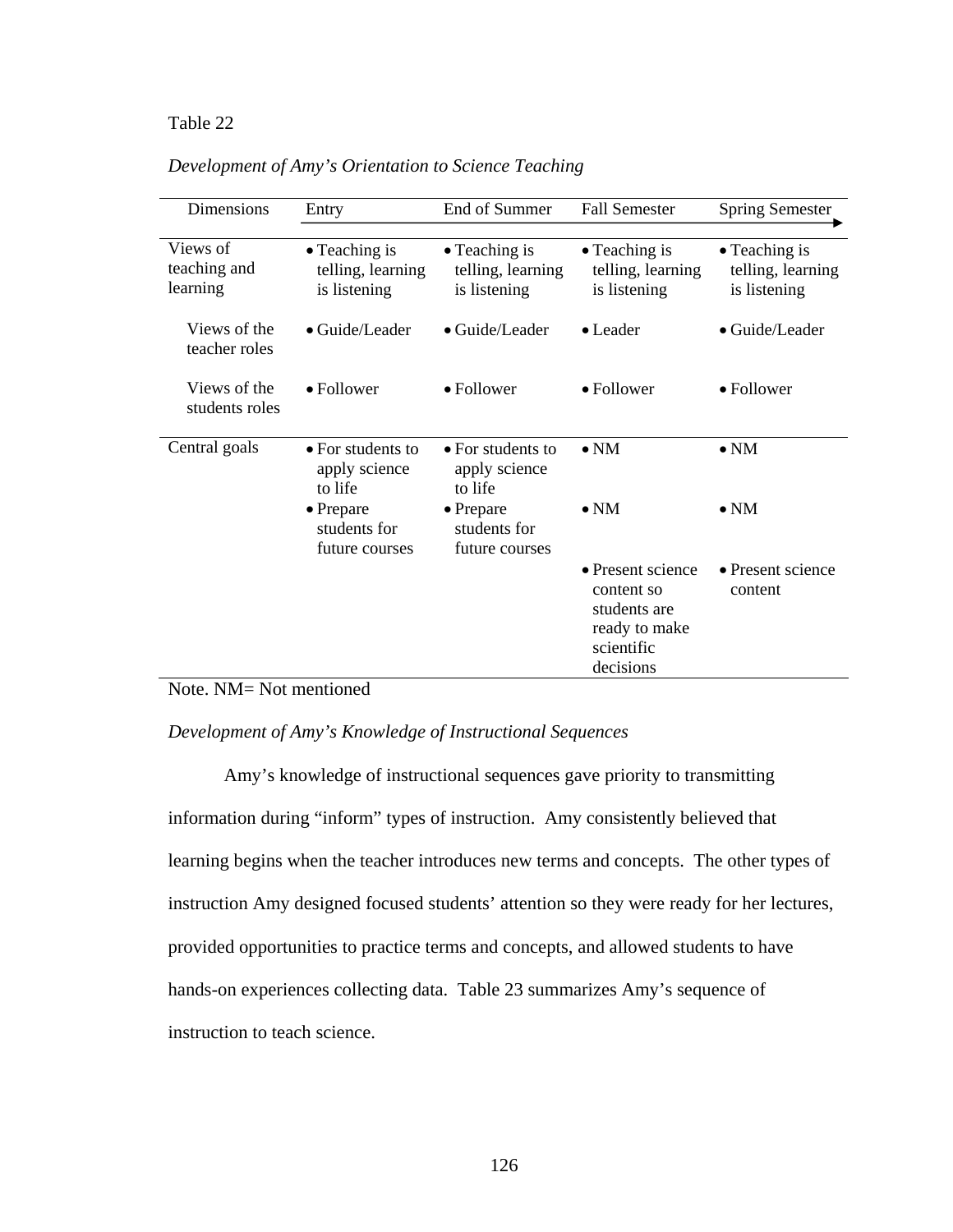# Table 22 *Development of Amy's Orientation to Science Teaching*

| Dimensions                           | Entry                                               | End of Summer                                       | <b>Fall Semester</b>                                                                        | <b>Spring Semester</b>                                     |  |
|--------------------------------------|-----------------------------------------------------|-----------------------------------------------------|---------------------------------------------------------------------------------------------|------------------------------------------------------------|--|
| Views of<br>teaching and<br>learning | • Teaching is<br>telling, learning<br>is listening  | • Teaching is<br>telling, learning<br>is listening  | • Teaching is<br>telling, learning<br>is listening                                          | $\bullet$ Teaching is<br>telling, learning<br>is listening |  |
| Views of the<br>teacher roles        | $\bullet$ Guide/Leader                              | · Guide/Leader                                      | $\bullet$ Leader                                                                            | • Guide/Leader                                             |  |
| Views of the<br>students roles       | $\bullet$ Follower                                  | $\bullet$ Follower                                  | • Follower                                                                                  | • Follower                                                 |  |
| Central goals                        | • For students to<br>apply science<br>to life       | • For students to<br>apply science<br>to life       | $\bullet$ NM                                                                                | $\bullet$ NM                                               |  |
|                                      | $\bullet$ Prepare<br>students for<br>future courses | $\bullet$ Prepare<br>students for<br>future courses | $\bullet$ NM                                                                                | $\bullet$ NM                                               |  |
|                                      |                                                     |                                                     | • Present science<br>content so<br>students are<br>ready to make<br>scientific<br>decisions | • Present science<br>content                               |  |

*Development of Amy's Orientation to Science Teaching* 

# Note. NM= Not mentioned

## *Development of Amy's Knowledge of Instructional Sequences*

Amy's knowledge of instructional sequences gave priority to transmitting information during "inform" types of instruction. Amy consistently believed that learning begins when the teacher introduces new terms and concepts. The other types of instruction Amy designed focused students' attention so they were ready for her lectures, provided opportunities to practice terms and concepts, and allowed students to have hands-on experiences collecting data. Table 23 summarizes Amy's sequence of instruction to teach science.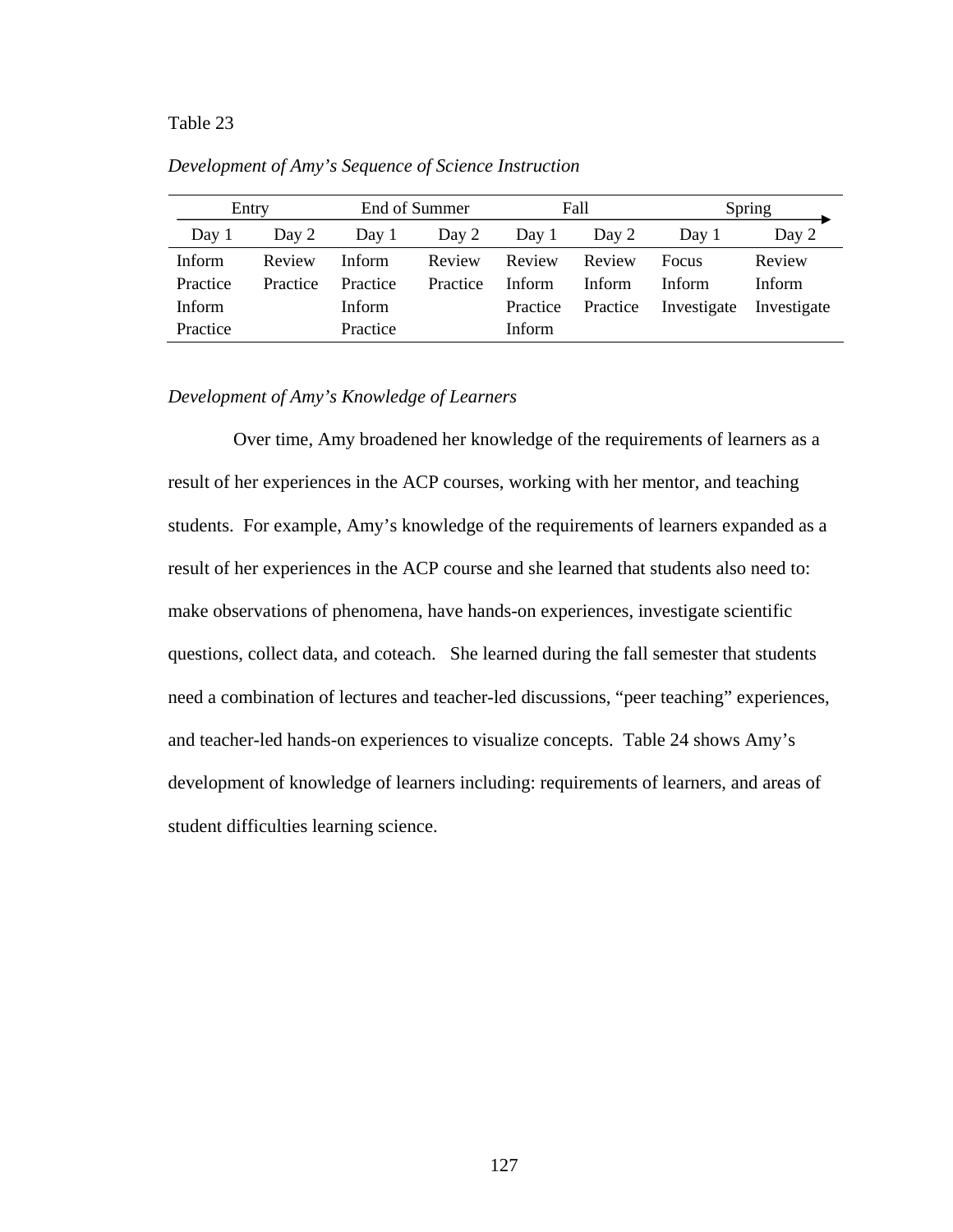## Table 23 *Development of Amy's Sequence of Science Instruction*

| Entry         |          |          | Fall<br>End of Summer |          |          | Spring      |             |
|---------------|----------|----------|-----------------------|----------|----------|-------------|-------------|
| Day 1         | Day 2    | Day 1    | Day 2                 | Day 1    | Day 2    | Day 1       | Day 2       |
| Inform        | Review   | Inform   | Review                | Review   | Review   | Focus       | Review      |
| Practice      | Practice | Practice | Practice              | Inform   | Inform   | Inform      | Inform      |
| <b>Inform</b> |          | Inform   |                       | Practice | Practice | Investigate | Investigate |
| Practice      |          | Practice |                       | Inform   |          |             |             |

*Development of Amy's Sequence of Science Instruction*  

#### *Development of Amy's Knowledge of Learners*

 Over time, Amy broadened her knowledge of the requirements of learners as a result of her experiences in the ACP courses, working with her mentor, and teaching students. For example, Amy's knowledge of the requirements of learners expanded as a result of her experiences in the ACP course and she learned that students also need to: make observations of phenomena, have hands-on experiences, investigate scientific questions, collect data, and coteach. She learned during the fall semester that students need a combination of lectures and teacher-led discussions, "peer teaching" experiences, and teacher-led hands-on experiences to visualize concepts. Table 24 shows Amy's development of knowledge of learners including: requirements of learners, and areas of student difficulties learning science.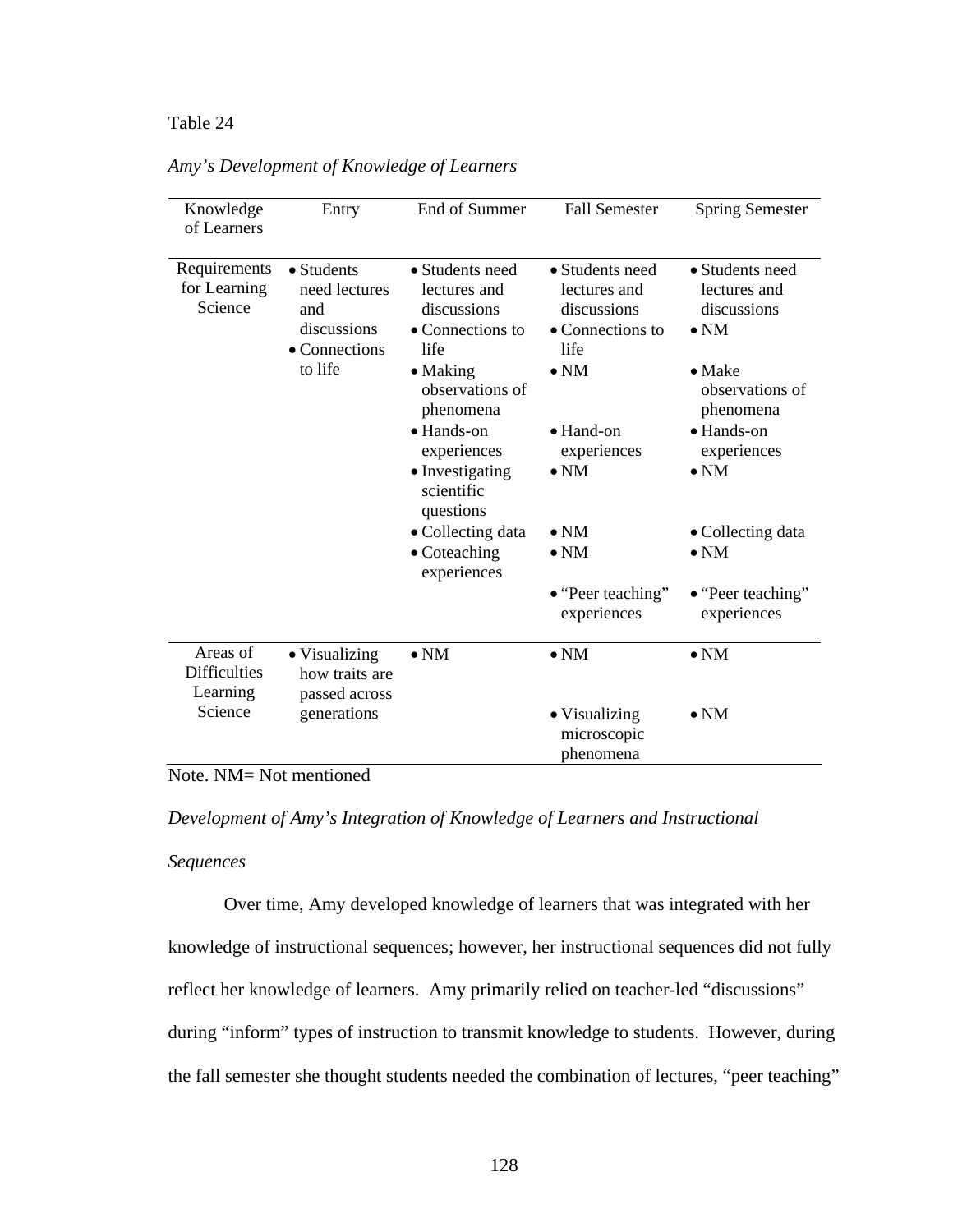## Table 24 *Amy's Development of Knowledge of Learners*

| Knowledge<br>of Learners                    | Entry                                                                         | End of Summer                                                                                                     | <b>Fall Semester</b>                                                                       | <b>Spring Semester</b>                                                                              |
|---------------------------------------------|-------------------------------------------------------------------------------|-------------------------------------------------------------------------------------------------------------------|--------------------------------------------------------------------------------------------|-----------------------------------------------------------------------------------------------------|
| Requirements<br>for Learning<br>Science     | • Students<br>need lectures<br>and<br>discussions<br>• Connections<br>to life | • Students need<br>lectures and<br>discussions<br>• Connections to<br>life<br>$\bullet$ Making<br>observations of | • Students need<br>lectures and<br>discussions<br>• Connections to<br>life<br>$\bullet$ NM | • Students need<br>lectures and<br>discussions<br>$\bullet$ NM<br>$\bullet$ Make<br>observations of |
|                                             |                                                                               | phenomena<br>$\bullet$ Hands-on<br>experiences<br>• Investigating<br>scientific<br>questions                      | $\bullet$ Hand-on<br>experiences<br>$\bullet$ NM                                           | phenomena<br>$\bullet$ Hands-on<br>experiences<br>$\bullet$ NM                                      |
|                                             |                                                                               | • Collecting data<br>$\bullet$ Coteaching<br>experiences                                                          | $\bullet$ NM<br>$\bullet$ NM                                                               | • Collecting data<br>$\bullet$ NM                                                                   |
|                                             |                                                                               |                                                                                                                   | $\bullet$ "Peer teaching"<br>experiences                                                   | • "Peer teaching"<br>experiences                                                                    |
| Areas of<br><b>Difficulties</b><br>Learning | • Visualizing<br>how traits are<br>passed across                              | $\bullet$ NM                                                                                                      | $\bullet$ NM                                                                               | $\bullet$ NM                                                                                        |
| Science                                     | generations                                                                   |                                                                                                                   | • Visualizing<br>microscopic<br>phenomena                                                  | $\bullet$ NM                                                                                        |

*Amy's Development of Knowledge of Learners* 

# Note. NM= Not mentioned

*Development of Amy's Integration of Knowledge of Learners and Instructional* 

## *Sequences*

Over time, Amy developed knowledge of learners that was integrated with her knowledge of instructional sequences; however, her instructional sequences did not fully reflect her knowledge of learners. Amy primarily relied on teacher-led "discussions" during "inform" types of instruction to transmit knowledge to students. However, during the fall semester she thought students needed the combination of lectures, "peer teaching"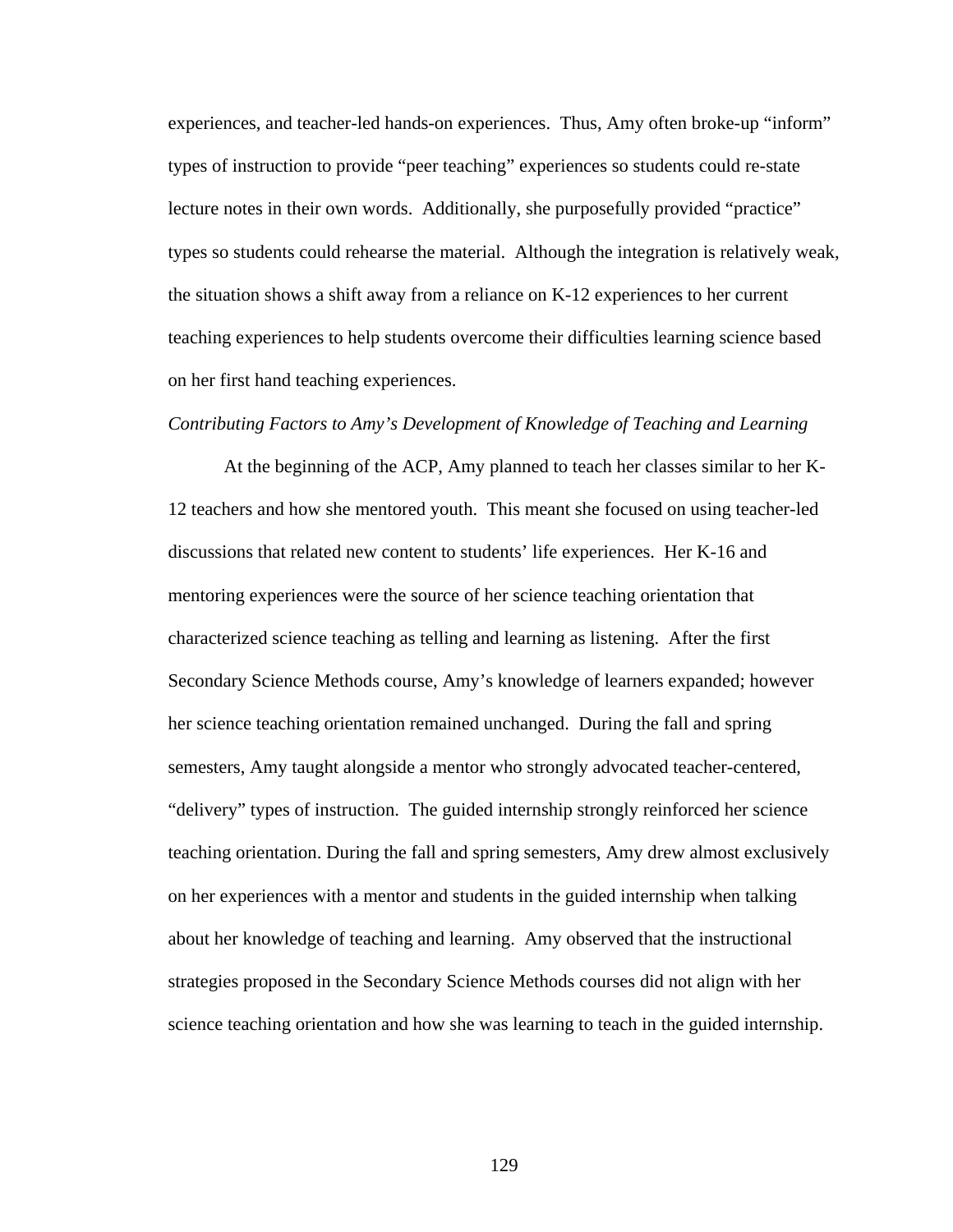experiences, and teacher-led hands-on experiences. Thus, Amy often broke-up "inform" types of instruction to provide "peer teaching" experiences so students could re-state lecture notes in their own words. Additionally, she purposefully provided "practice" types so students could rehearse the material. Although the integration is relatively weak, the situation shows a shift away from a reliance on K-12 experiences to her current teaching experiences to help students overcome their difficulties learning science based on her first hand teaching experiences.

#### *Contributing Factors to Amy's Development of Knowledge of Teaching and Learning*

At the beginning of the ACP, Amy planned to teach her classes similar to her K-12 teachers and how she mentored youth. This meant she focused on using teacher-led discussions that related new content to students' life experiences. Her K-16 and mentoring experiences were the source of her science teaching orientation that characterized science teaching as telling and learning as listening. After the first Secondary Science Methods course, Amy's knowledge of learners expanded; however her science teaching orientation remained unchanged. During the fall and spring semesters, Amy taught alongside a mentor who strongly advocated teacher-centered, "delivery" types of instruction. The guided internship strongly reinforced her science teaching orientation. During the fall and spring semesters, Amy drew almost exclusively on her experiences with a mentor and students in the guided internship when talking about her knowledge of teaching and learning. Amy observed that the instructional strategies proposed in the Secondary Science Methods courses did not align with her science teaching orientation and how she was learning to teach in the guided internship.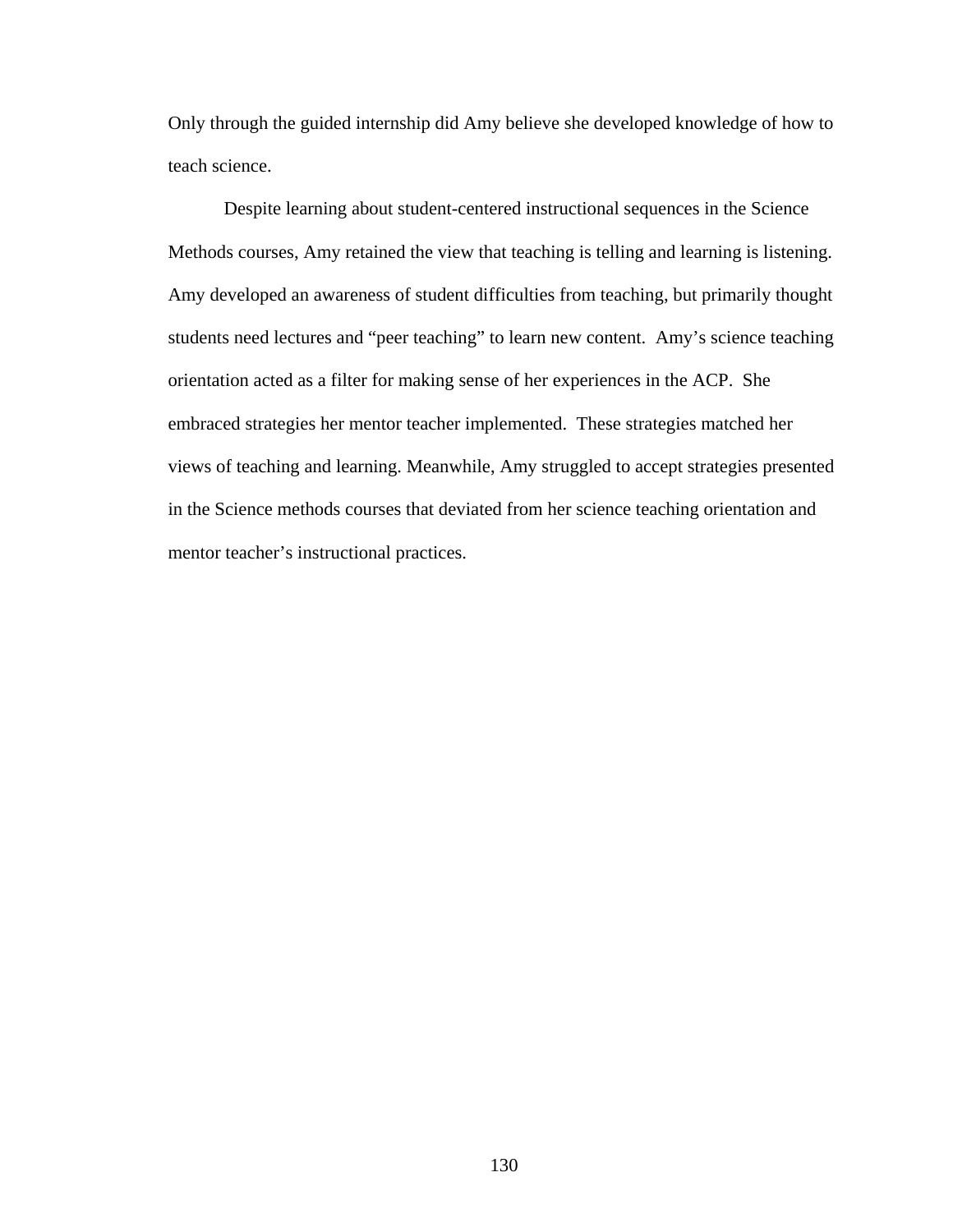Only through the guided internship did Amy believe she developed knowledge of how to teach science.

Despite learning about student-centered instructional sequences in the Science Methods courses, Amy retained the view that teaching is telling and learning is listening. Amy developed an awareness of student difficulties from teaching, but primarily thought students need lectures and "peer teaching" to learn new content. Amy's science teaching orientation acted as a filter for making sense of her experiences in the ACP. She embraced strategies her mentor teacher implemented. These strategies matched her views of teaching and learning. Meanwhile, Amy struggled to accept strategies presented in the Science methods courses that deviated from her science teaching orientation and mentor teacher's instructional practices.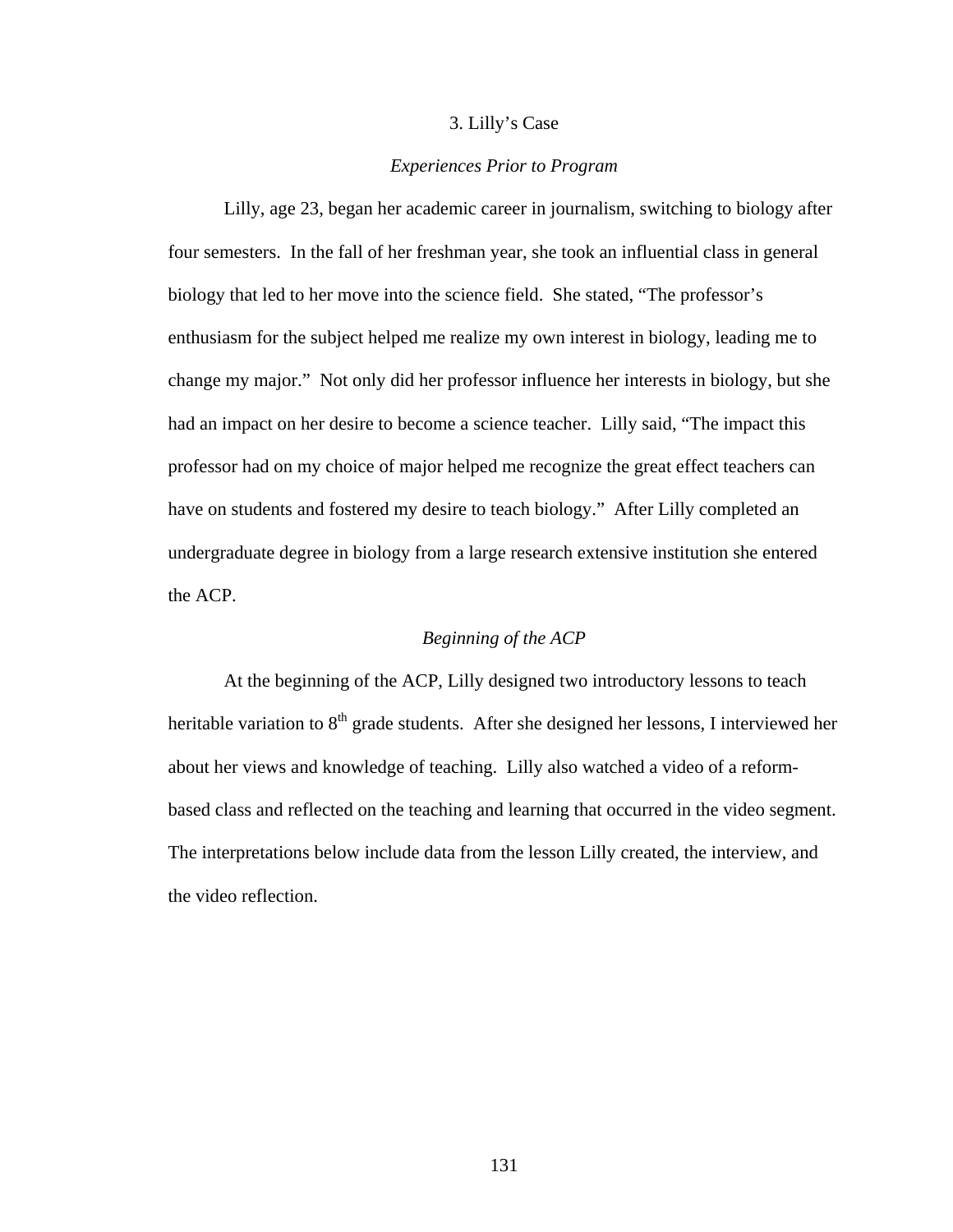## 3. Lilly's Case

## *Experiences Prior to Program*

Lilly, age 23, began her academic career in journalism, switching to biology after four semesters. In the fall of her freshman year, she took an influential class in general biology that led to her move into the science field. She stated, "The professor's enthusiasm for the subject helped me realize my own interest in biology, leading me to change my major." Not only did her professor influence her interests in biology, but she had an impact on her desire to become a science teacher. Lilly said, "The impact this professor had on my choice of major helped me recognize the great effect teachers can have on students and fostered my desire to teach biology." After Lilly completed an undergraduate degree in biology from a large research extensive institution she entered the ACP.

# *Beginning of the ACP*

At the beginning of the ACP, Lilly designed two introductory lessons to teach heritable variation to  $8<sup>th</sup>$  grade students. After she designed her lessons, I interviewed her about her views and knowledge of teaching. Lilly also watched a video of a reformbased class and reflected on the teaching and learning that occurred in the video segment. The interpretations below include data from the lesson Lilly created, the interview, and the video reflection.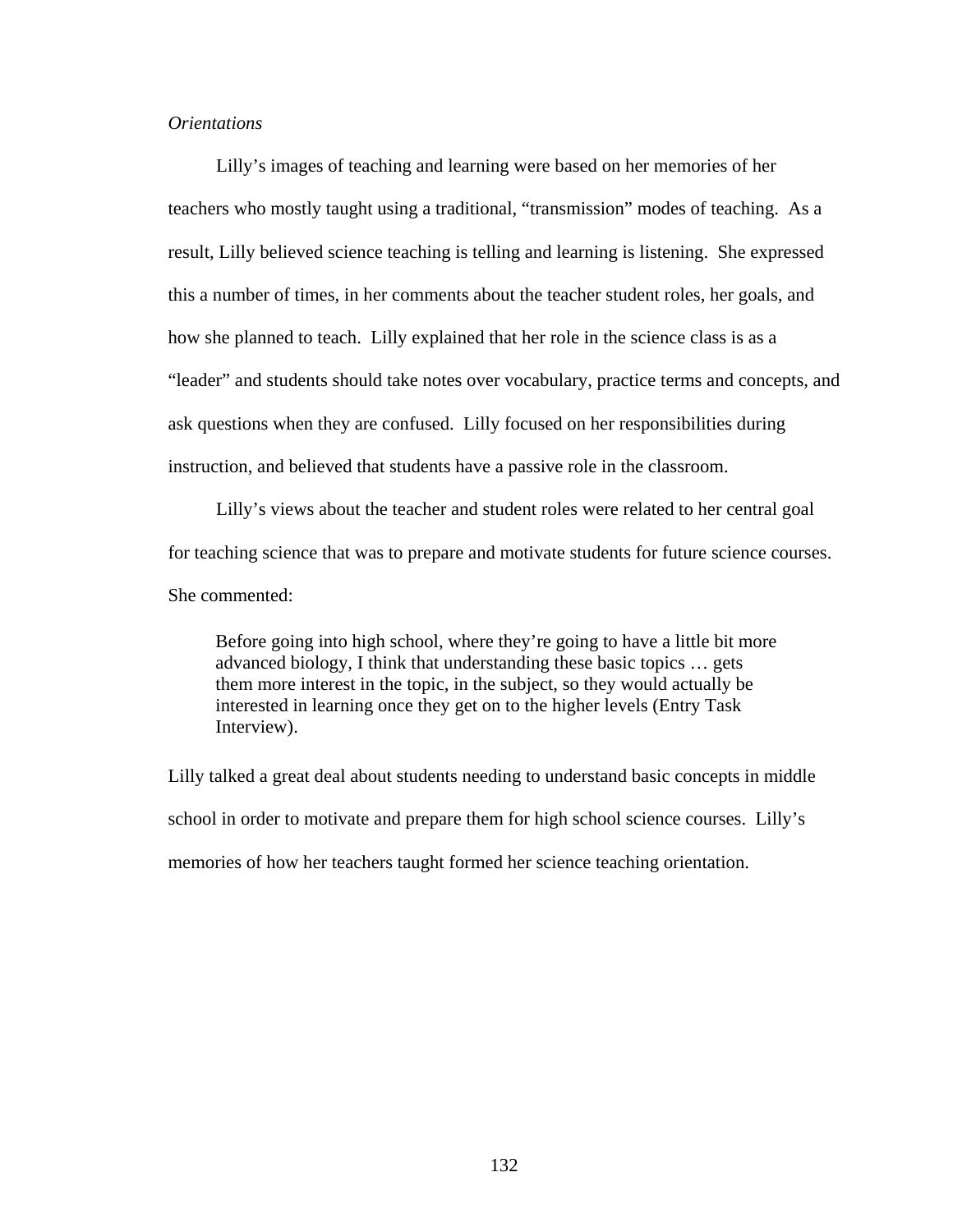# *Orientations*

Lilly's images of teaching and learning were based on her memories of her teachers who mostly taught using a traditional, "transmission" modes of teaching. As a result, Lilly believed science teaching is telling and learning is listening. She expressed this a number of times, in her comments about the teacher student roles, her goals, and how she planned to teach. Lilly explained that her role in the science class is as a "leader" and students should take notes over vocabulary, practice terms and concepts, and ask questions when they are confused. Lilly focused on her responsibilities during instruction, and believed that students have a passive role in the classroom.

Lilly's views about the teacher and student roles were related to her central goal for teaching science that was to prepare and motivate students for future science courses. She commented:

Before going into high school, where they're going to have a little bit more advanced biology, I think that understanding these basic topics … gets them more interest in the topic, in the subject, so they would actually be interested in learning once they get on to the higher levels (Entry Task Interview).

Lilly talked a great deal about students needing to understand basic concepts in middle school in order to motivate and prepare them for high school science courses. Lilly's memories of how her teachers taught formed her science teaching orientation.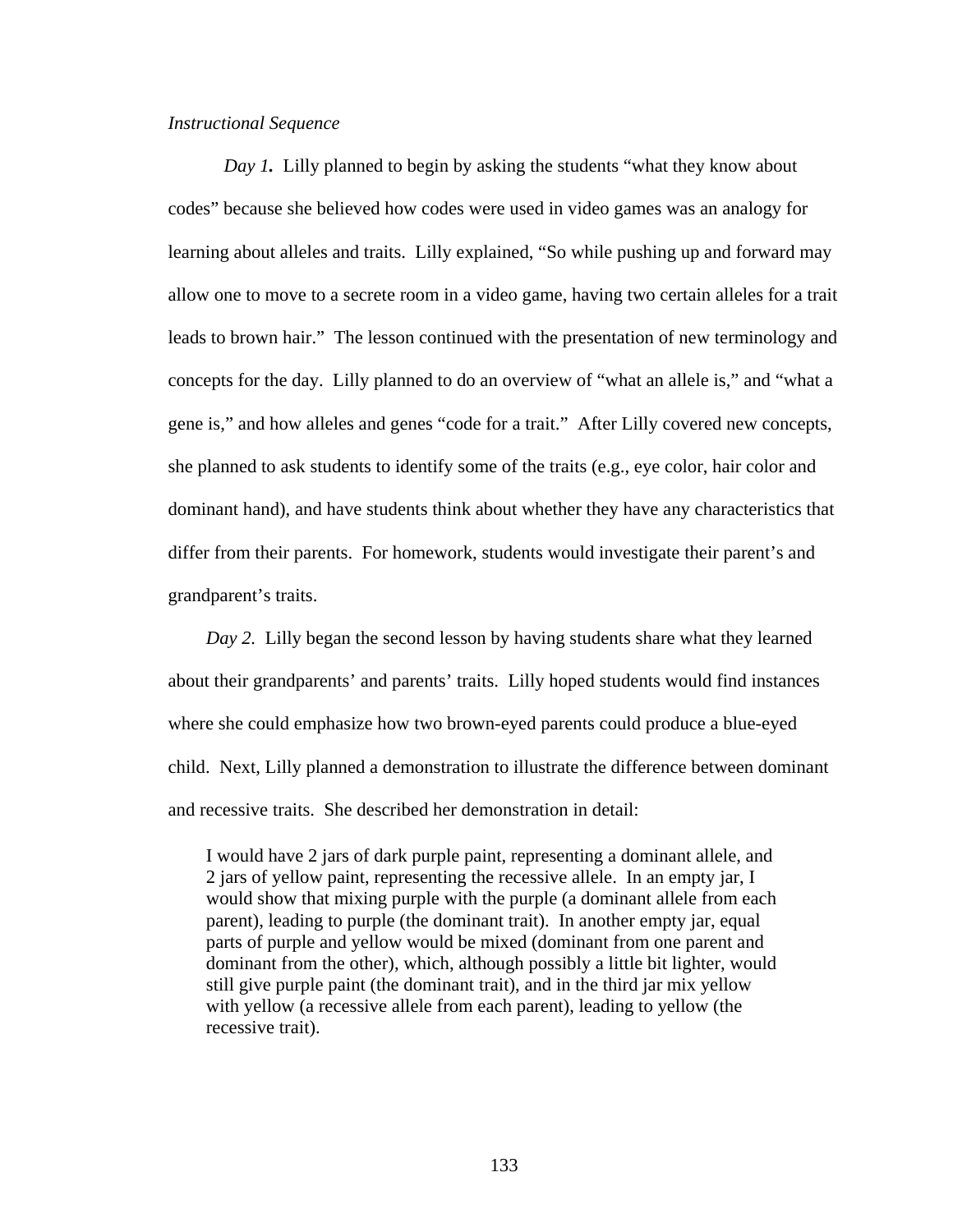# *Instructional Sequence*

*Day 1*. Lilly planned to begin by asking the students "what they know about codes" because she believed how codes were used in video games was an analogy for learning about alleles and traits. Lilly explained, "So while pushing up and forward may allow one to move to a secrete room in a video game, having two certain alleles for a trait leads to brown hair." The lesson continued with the presentation of new terminology and concepts for the day. Lilly planned to do an overview of "what an allele is," and "what a gene is," and how alleles and genes "code for a trait." After Lilly covered new concepts, she planned to ask students to identify some of the traits (e.g., eye color, hair color and dominant hand), and have students think about whether they have any characteristics that differ from their parents. For homework, students would investigate their parent's and grandparent's traits.

*Day 2.* Lilly began the second lesson by having students share what they learned about their grandparents' and parents' traits. Lilly hoped students would find instances where she could emphasize how two brown-eyed parents could produce a blue-eyed child. Next, Lilly planned a demonstration to illustrate the difference between dominant and recessive traits. She described her demonstration in detail:

I would have 2 jars of dark purple paint, representing a dominant allele, and 2 jars of yellow paint, representing the recessive allele. In an empty jar, I would show that mixing purple with the purple (a dominant allele from each parent), leading to purple (the dominant trait). In another empty jar, equal parts of purple and yellow would be mixed (dominant from one parent and dominant from the other), which, although possibly a little bit lighter, would still give purple paint (the dominant trait), and in the third jar mix yellow with yellow (a recessive allele from each parent), leading to yellow (the recessive trait).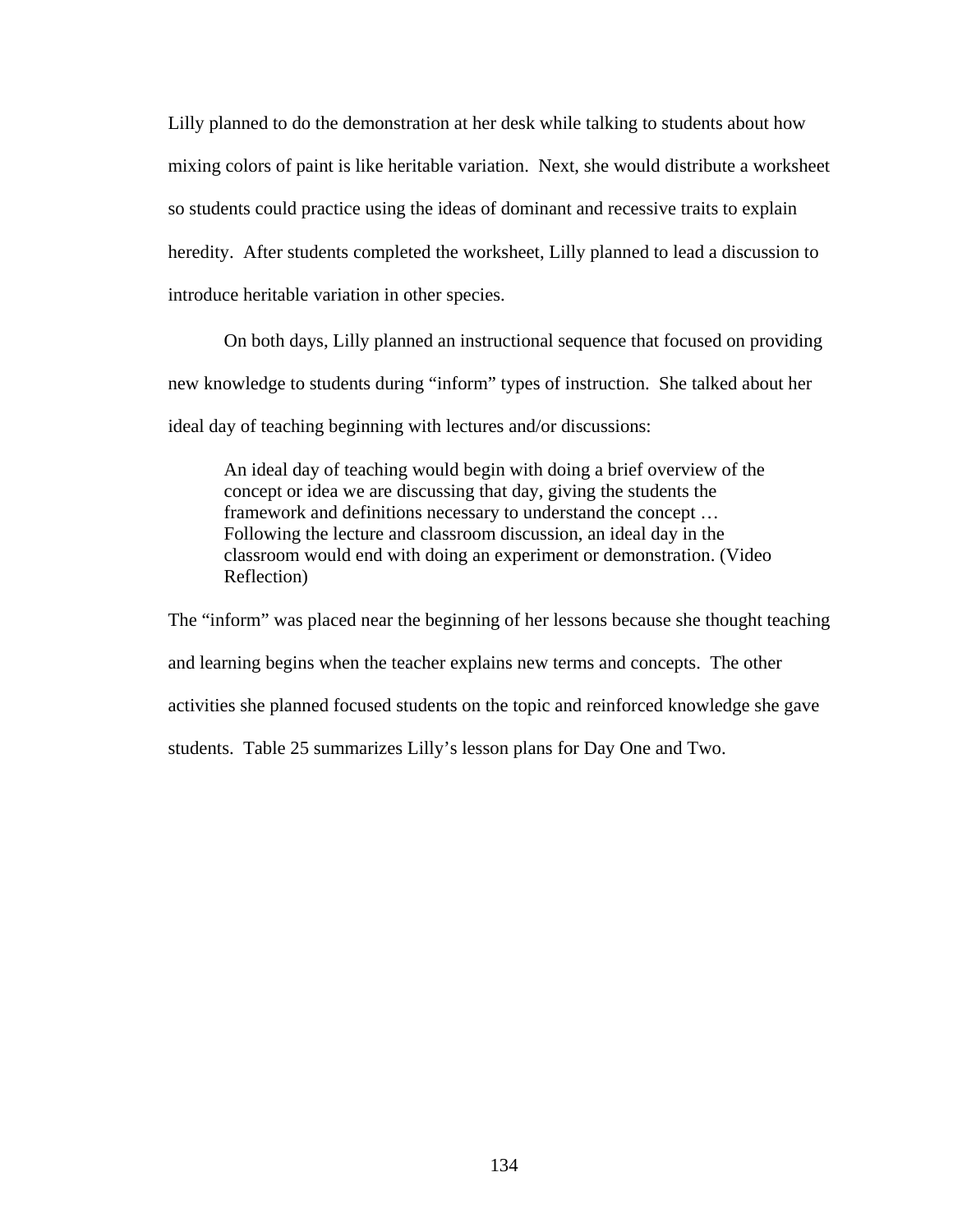Lilly planned to do the demonstration at her desk while talking to students about how mixing colors of paint is like heritable variation. Next, she would distribute a worksheet so students could practice using the ideas of dominant and recessive traits to explain heredity. After students completed the worksheet, Lilly planned to lead a discussion to introduce heritable variation in other species.

On both days, Lilly planned an instructional sequence that focused on providing new knowledge to students during "inform" types of instruction. She talked about her ideal day of teaching beginning with lectures and/or discussions:

An ideal day of teaching would begin with doing a brief overview of the concept or idea we are discussing that day, giving the students the framework and definitions necessary to understand the concept … Following the lecture and classroom discussion, an ideal day in the classroom would end with doing an experiment or demonstration. (Video Reflection)

The "inform" was placed near the beginning of her lessons because she thought teaching and learning begins when the teacher explains new terms and concepts. The other activities she planned focused students on the topic and reinforced knowledge she gave students. Table 25 summarizes Lilly's lesson plans for Day One and Two.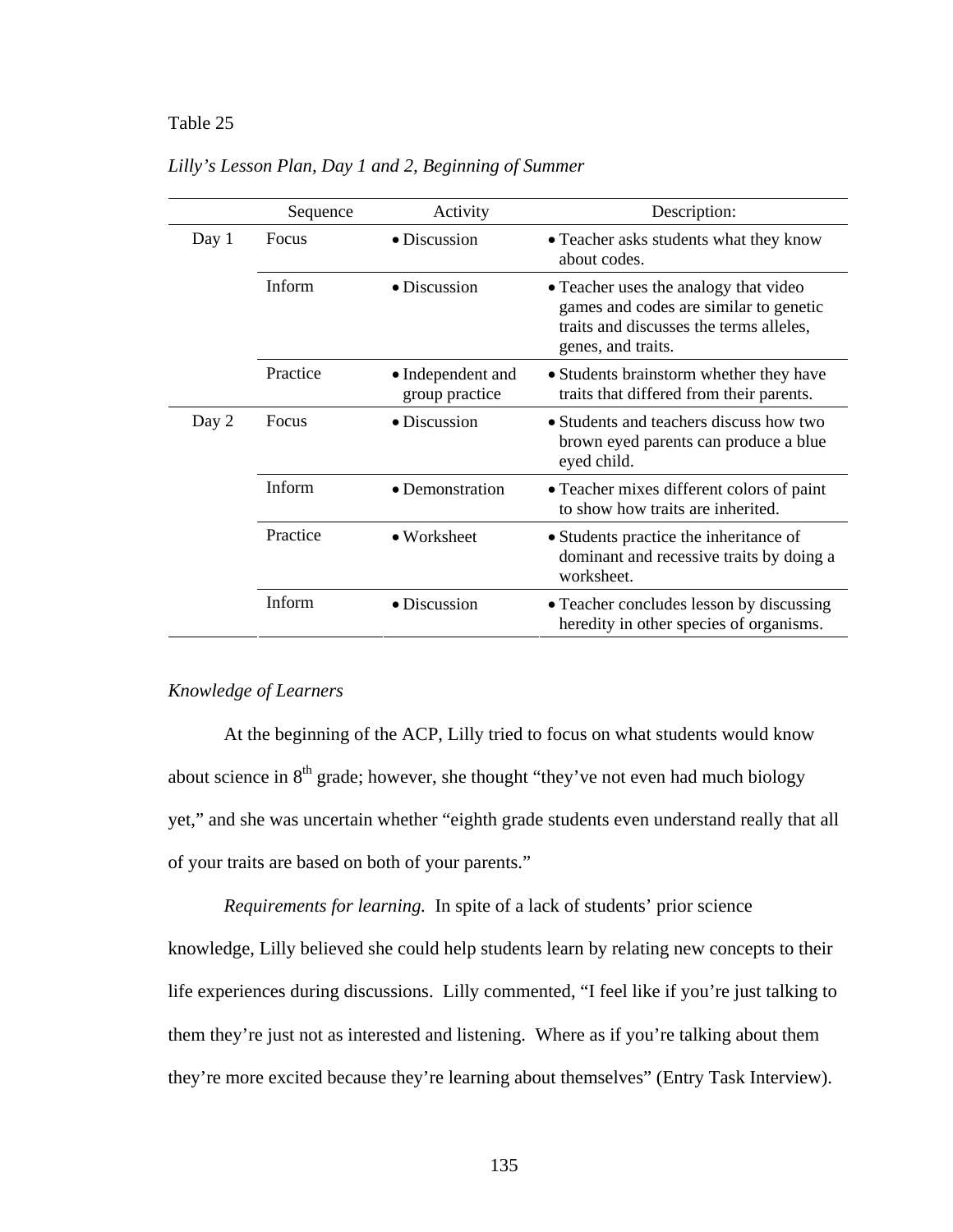# Table 25 *Lilly's Lesson Plan, Day 1 and 2, Beginning of Summer*

|       | Sequence | Activity                            | Description:                                                                                                                                     |
|-------|----------|-------------------------------------|--------------------------------------------------------------------------------------------------------------------------------------------------|
| Day 1 | Focus    | • Discussion                        | • Teacher asks students what they know<br>about codes.                                                                                           |
|       | Inform   | $\bullet$ Discussion                | • Teacher uses the analogy that video<br>games and codes are similar to genetic<br>traits and discusses the terms alleles,<br>genes, and traits. |
|       | Practice | • Independent and<br>group practice | • Students brainstorm whether they have<br>traits that differed from their parents.                                                              |
| Day 2 | Focus    | • Discussion                        | • Students and teachers discuss how two<br>brown eyed parents can produce a blue<br>eyed child.                                                  |
|       | Inform   | • Demonstration                     | • Teacher mixes different colors of paint<br>to show how traits are inherited.                                                                   |
|       | Practice | $\bullet$ Worksheet                 | • Students practice the inheritance of<br>dominant and recessive traits by doing a<br>worksheet.                                                 |
|       | Inform   | $\bullet$ Discussion                | • Teacher concludes lesson by discussing<br>heredity in other species of organisms.                                                              |

# *Lilly's Lesson Plan, Day 1 and 2, Beginning of Summer*

## *Knowledge of Learners*

At the beginning of the ACP, Lilly tried to focus on what students would know about science in  $8<sup>th</sup>$  grade; however, she thought "they've not even had much biology yet," and she was uncertain whether "eighth grade students even understand really that all of your traits are based on both of your parents."

*Requirements for learning.* In spite of a lack of students' prior science knowledge, Lilly believed she could help students learn by relating new concepts to their life experiences during discussions. Lilly commented, "I feel like if you're just talking to them they're just not as interested and listening. Where as if you're talking about them they're more excited because they're learning about themselves" (Entry Task Interview).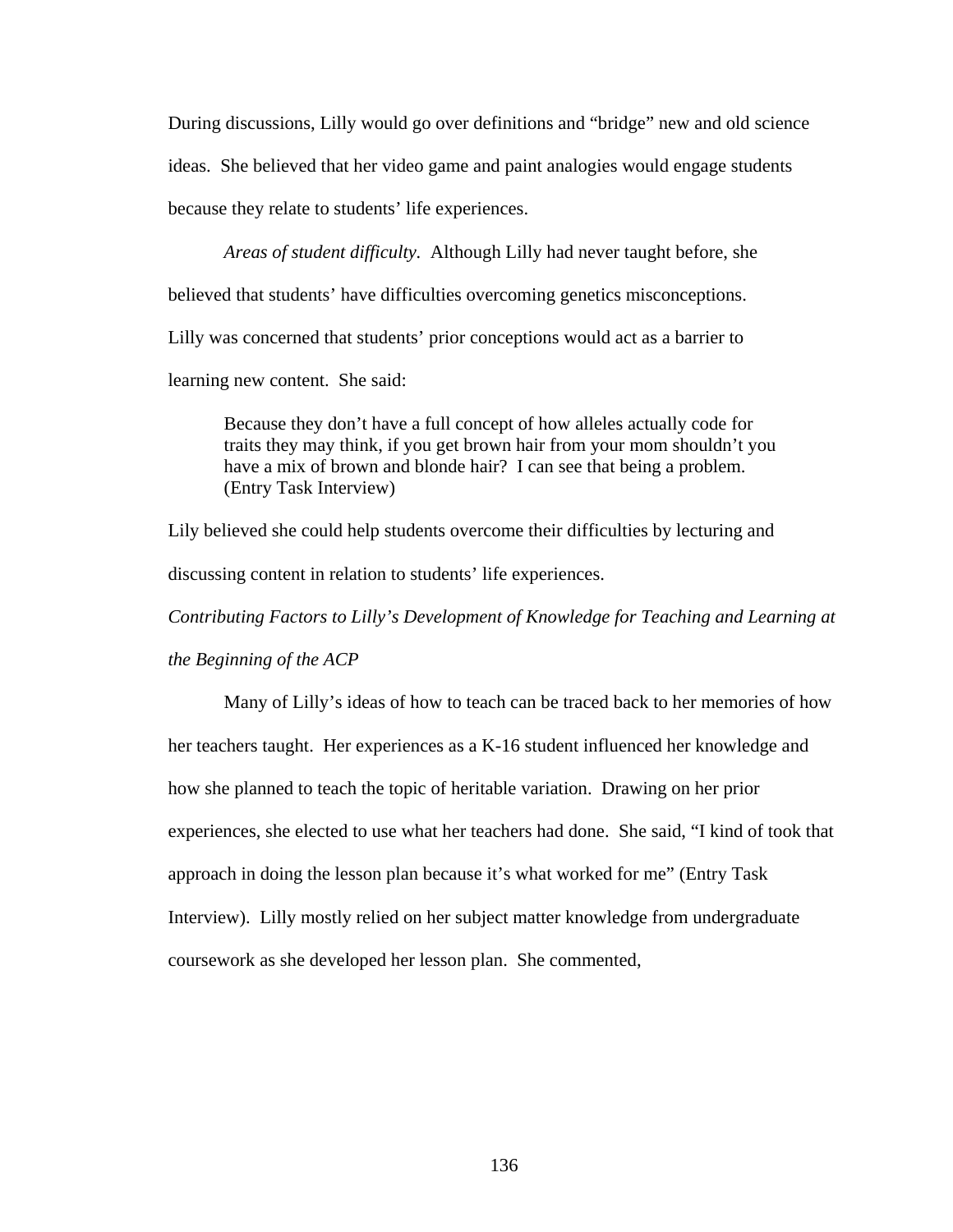During discussions, Lilly would go over definitions and "bridge" new and old science ideas. She believed that her video game and paint analogies would engage students because they relate to students' life experiences.

*Areas of student difficulty.* Although Lilly had never taught before, she believed that students' have difficulties overcoming genetics misconceptions. Lilly was concerned that students' prior conceptions would act as a barrier to learning new content. She said:

Because they don't have a full concept of how alleles actually code for traits they may think, if you get brown hair from your mom shouldn't you have a mix of brown and blonde hair? I can see that being a problem. (Entry Task Interview)

Lily believed she could help students overcome their difficulties by lecturing and discussing content in relation to students' life experiences.

*Contributing Factors to Lilly's Development of Knowledge for Teaching and Learning at* 

*the Beginning of the ACP* 

Many of Lilly's ideas of how to teach can be traced back to her memories of how her teachers taught. Her experiences as a K-16 student influenced her knowledge and how she planned to teach the topic of heritable variation. Drawing on her prior experiences, she elected to use what her teachers had done. She said, "I kind of took that approach in doing the lesson plan because it's what worked for me" (Entry Task Interview). Lilly mostly relied on her subject matter knowledge from undergraduate coursework as she developed her lesson plan. She commented,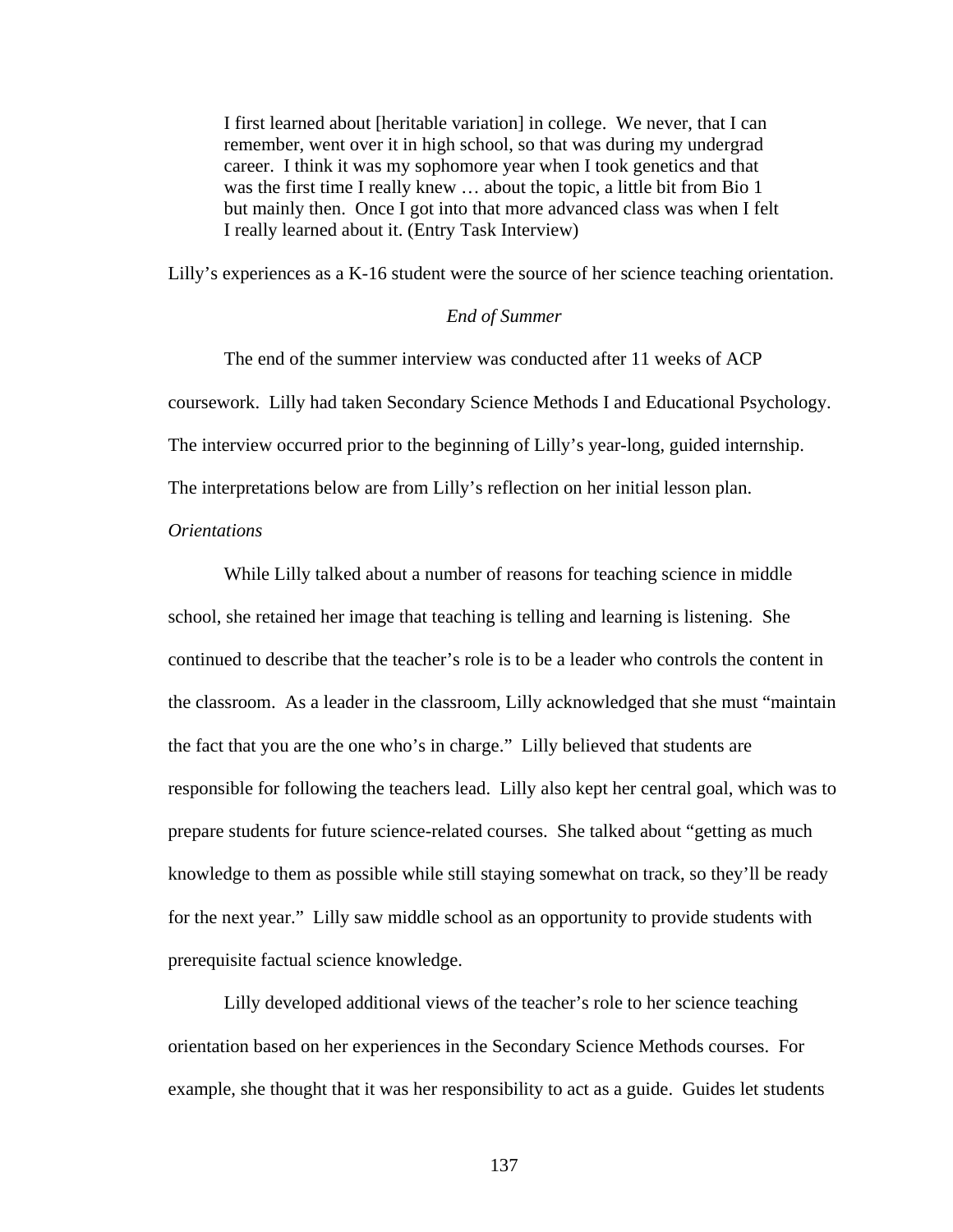I first learned about [heritable variation] in college. We never, that I can remember, went over it in high school, so that was during my undergrad career. I think it was my sophomore year when I took genetics and that was the first time I really knew … about the topic, a little bit from Bio 1 but mainly then. Once I got into that more advanced class was when I felt I really learned about it. (Entry Task Interview)

Lilly's experiences as a K-16 student were the source of her science teaching orientation.

# *End of Summer*

The end of the summer interview was conducted after 11 weeks of ACP coursework. Lilly had taken Secondary Science Methods I and Educational Psychology. The interview occurred prior to the beginning of Lilly's year-long, guided internship. The interpretations below are from Lilly's reflection on her initial lesson plan.

# *Orientations*

While Lilly talked about a number of reasons for teaching science in middle school, she retained her image that teaching is telling and learning is listening. She continued to describe that the teacher's role is to be a leader who controls the content in the classroom. As a leader in the classroom, Lilly acknowledged that she must "maintain the fact that you are the one who's in charge." Lilly believed that students are responsible for following the teachers lead. Lilly also kept her central goal, which was to prepare students for future science-related courses. She talked about "getting as much knowledge to them as possible while still staying somewhat on track, so they'll be ready for the next year." Lilly saw middle school as an opportunity to provide students with prerequisite factual science knowledge.

Lilly developed additional views of the teacher's role to her science teaching orientation based on her experiences in the Secondary Science Methods courses. For example, she thought that it was her responsibility to act as a guide. Guides let students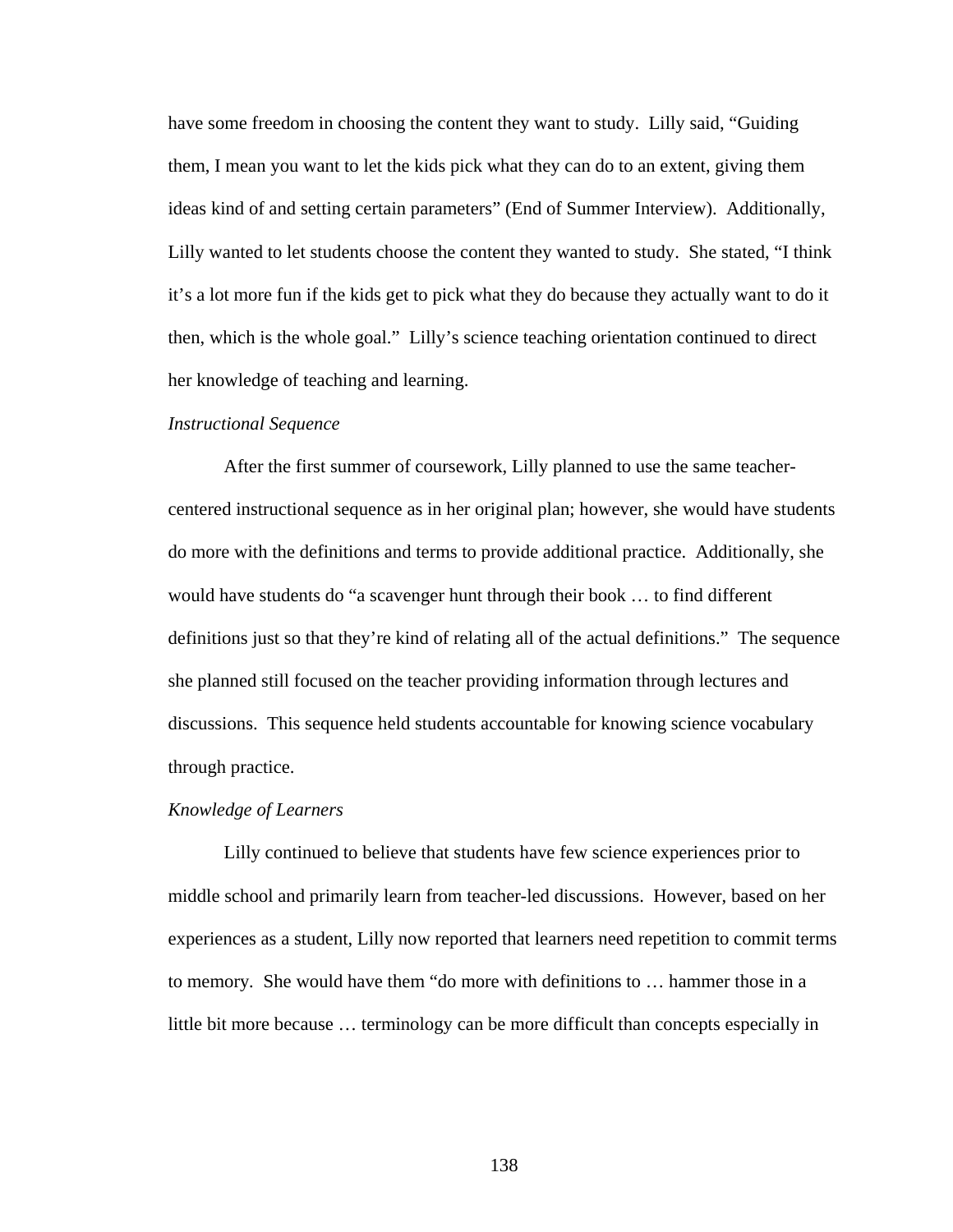have some freedom in choosing the content they want to study. Lilly said, "Guiding them, I mean you want to let the kids pick what they can do to an extent, giving them ideas kind of and setting certain parameters" (End of Summer Interview). Additionally, Lilly wanted to let students choose the content they wanted to study. She stated, "I think it's a lot more fun if the kids get to pick what they do because they actually want to do it then, which is the whole goal." Lilly's science teaching orientation continued to direct her knowledge of teaching and learning.

#### *Instructional Sequence*

After the first summer of coursework, Lilly planned to use the same teachercentered instructional sequence as in her original plan; however, she would have students do more with the definitions and terms to provide additional practice. Additionally, she would have students do "a scavenger hunt through their book … to find different definitions just so that they're kind of relating all of the actual definitions." The sequence she planned still focused on the teacher providing information through lectures and discussions. This sequence held students accountable for knowing science vocabulary through practice.

#### *Knowledge of Learners*

Lilly continued to believe that students have few science experiences prior to middle school and primarily learn from teacher-led discussions. However, based on her experiences as a student, Lilly now reported that learners need repetition to commit terms to memory*.* She would have them "do more with definitions to … hammer those in a little bit more because … terminology can be more difficult than concepts especially in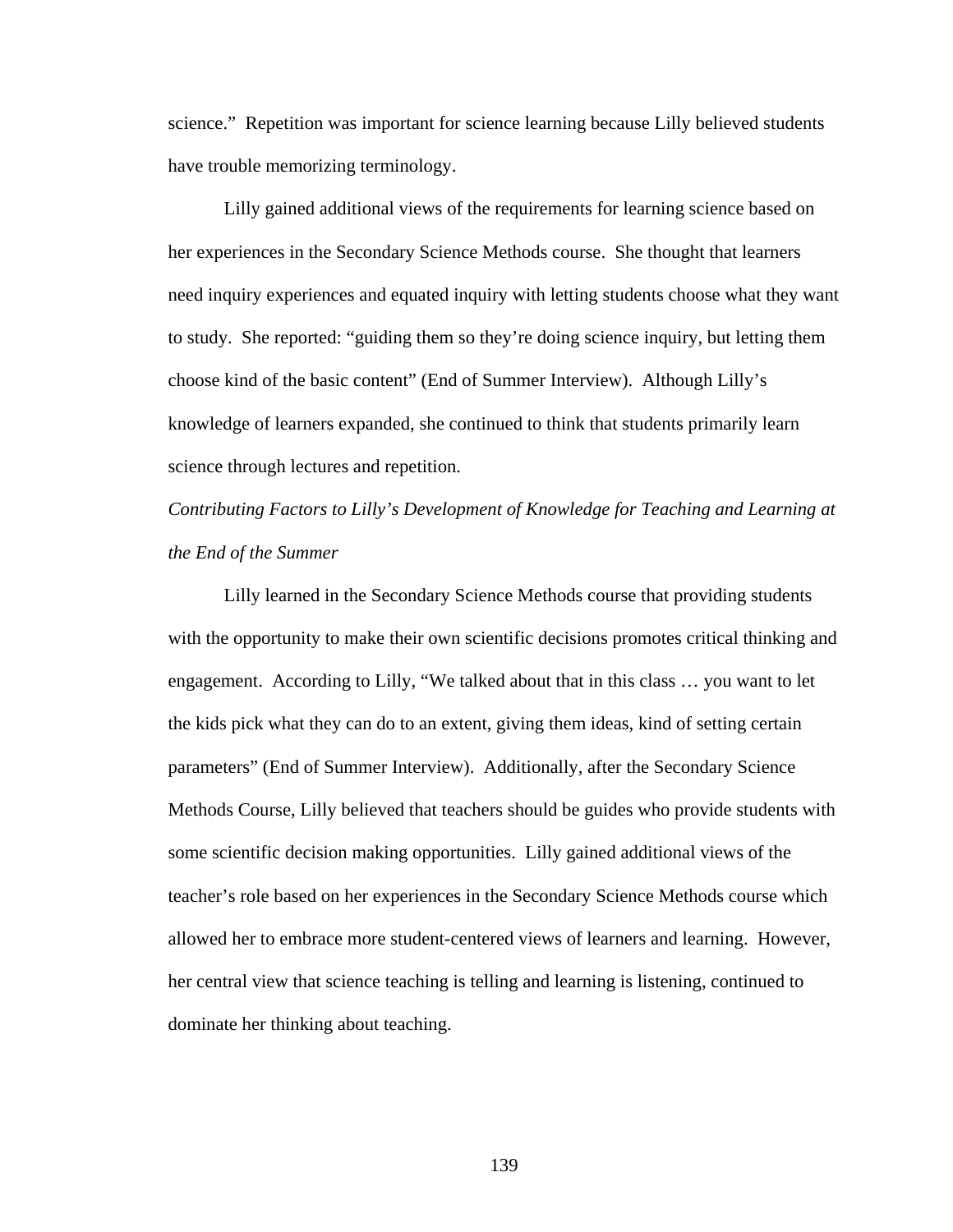science." Repetition was important for science learning because Lilly believed students have trouble memorizing terminology.

Lilly gained additional views of the requirements for learning science based on her experiences in the Secondary Science Methods course. She thought that learners need inquiry experiences and equated inquiry with letting students choose what they want to study. She reported: "guiding them so they're doing science inquiry, but letting them choose kind of the basic content" (End of Summer Interview). Although Lilly's knowledge of learners expanded, she continued to think that students primarily learn science through lectures and repetition.

*Contributing Factors to Lilly's Development of Knowledge for Teaching and Learning at the End of the Summer* 

Lilly learned in the Secondary Science Methods course that providing students with the opportunity to make their own scientific decisions promotes critical thinking and engagement. According to Lilly, "We talked about that in this class … you want to let the kids pick what they can do to an extent, giving them ideas, kind of setting certain parameters" (End of Summer Interview). Additionally, after the Secondary Science Methods Course, Lilly believed that teachers should be guides who provide students with some scientific decision making opportunities. Lilly gained additional views of the teacher's role based on her experiences in the Secondary Science Methods course which allowed her to embrace more student-centered views of learners and learning. However, her central view that science teaching is telling and learning is listening, continued to dominate her thinking about teaching.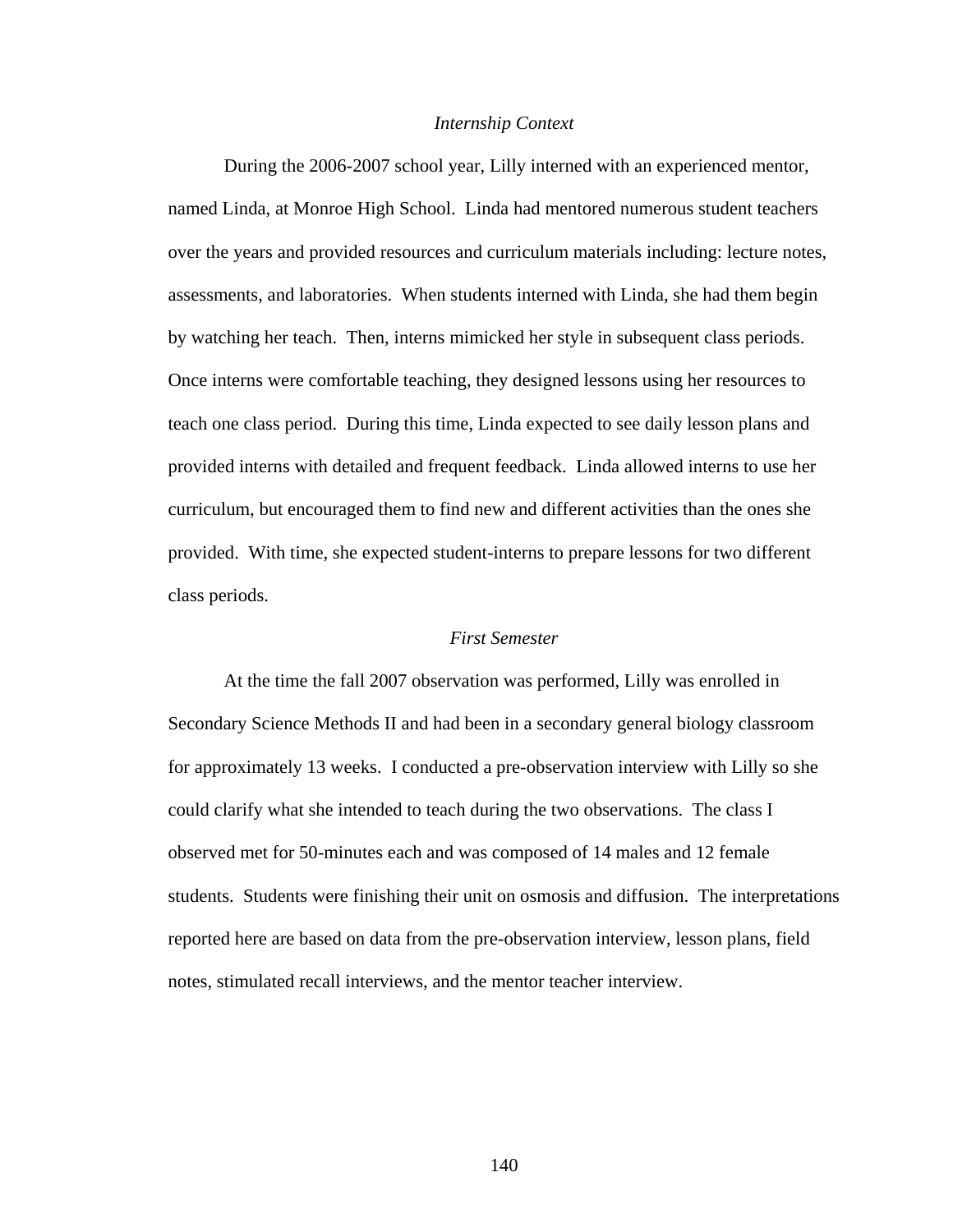#### *Internship Context*

 During the 2006-2007 school year, Lilly interned with an experienced mentor, named Linda, at Monroe High School. Linda had mentored numerous student teachers over the years and provided resources and curriculum materials including: lecture notes, assessments, and laboratories. When students interned with Linda, she had them begin by watching her teach. Then, interns mimicked her style in subsequent class periods. Once interns were comfortable teaching, they designed lessons using her resources to teach one class period. During this time, Linda expected to see daily lesson plans and provided interns with detailed and frequent feedback. Linda allowed interns to use her curriculum, but encouraged them to find new and different activities than the ones she provided. With time, she expected student-interns to prepare lessons for two different class periods.

## *First Semester*

At the time the fall 2007 observation was performed, Lilly was enrolled in Secondary Science Methods II and had been in a secondary general biology classroom for approximately 13 weeks. I conducted a pre-observation interview with Lilly so she could clarify what she intended to teach during the two observations. The class I observed met for 50-minutes each and was composed of 14 males and 12 female students. Students were finishing their unit on osmosis and diffusion. The interpretations reported here are based on data from the pre-observation interview, lesson plans, field notes, stimulated recall interviews, and the mentor teacher interview.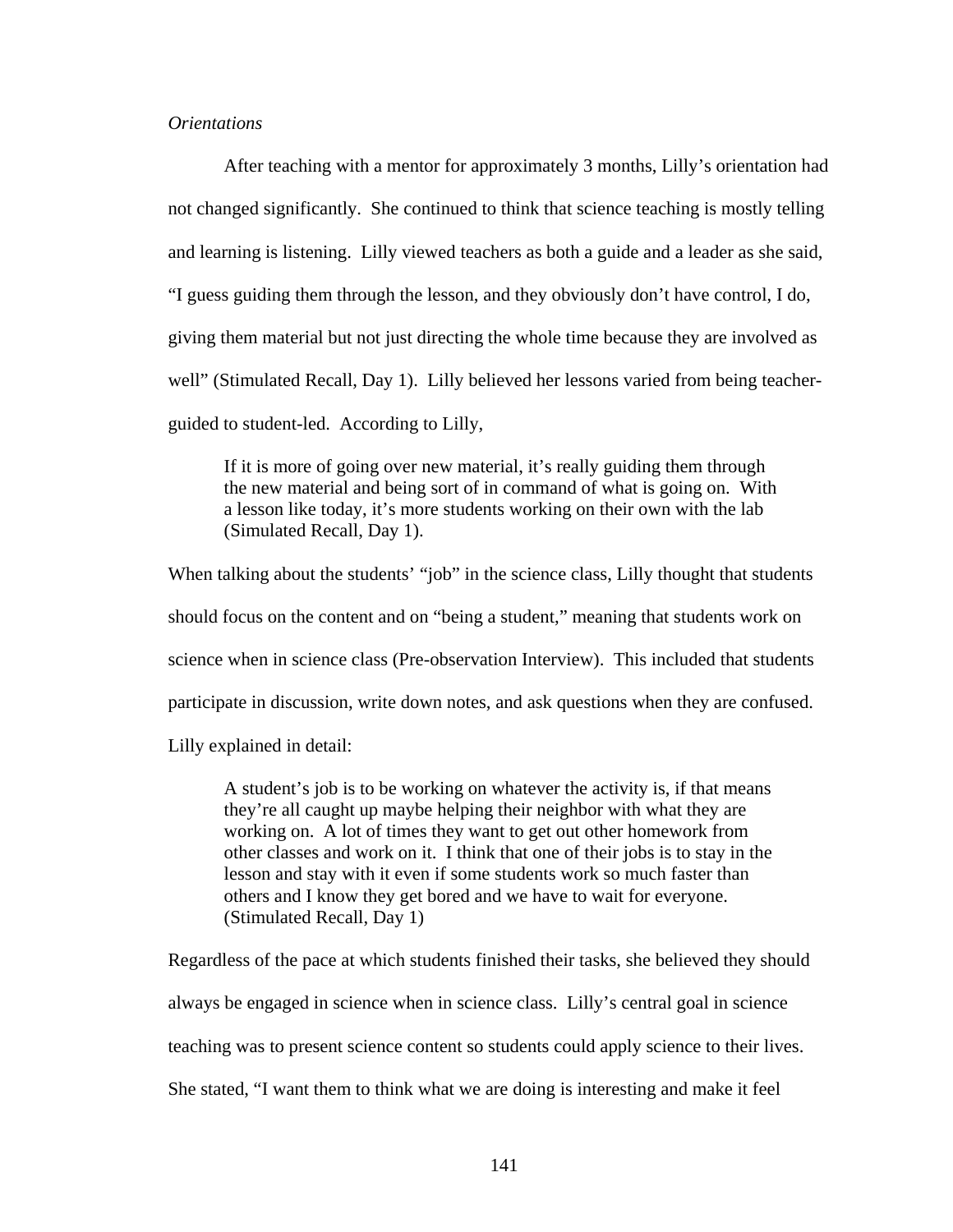# *Orientations*

After teaching with a mentor for approximately 3 months, Lilly's orientation had not changed significantly. She continued to think that science teaching is mostly telling and learning is listening. Lilly viewed teachers as both a guide and a leader as she said, "I guess guiding them through the lesson, and they obviously don't have control, I do, giving them material but not just directing the whole time because they are involved as well" (Stimulated Recall, Day 1). Lilly believed her lessons varied from being teacherguided to student-led. According to Lilly,

If it is more of going over new material, it's really guiding them through the new material and being sort of in command of what is going on. With a lesson like today, it's more students working on their own with the lab (Simulated Recall, Day 1).

When talking about the students' "job" in the science class, Lilly thought that students should focus on the content and on "being a student," meaning that students work on science when in science class (Pre-observation Interview). This included that students participate in discussion, write down notes, and ask questions when they are confused. Lilly explained in detail:

A student's job is to be working on whatever the activity is, if that means they're all caught up maybe helping their neighbor with what they are working on. A lot of times they want to get out other homework from other classes and work on it. I think that one of their jobs is to stay in the lesson and stay with it even if some students work so much faster than others and I know they get bored and we have to wait for everyone. (Stimulated Recall, Day 1)

Regardless of the pace at which students finished their tasks, she believed they should always be engaged in science when in science class. Lilly's central goal in science teaching was to present science content so students could apply science to their lives.

She stated, "I want them to think what we are doing is interesting and make it feel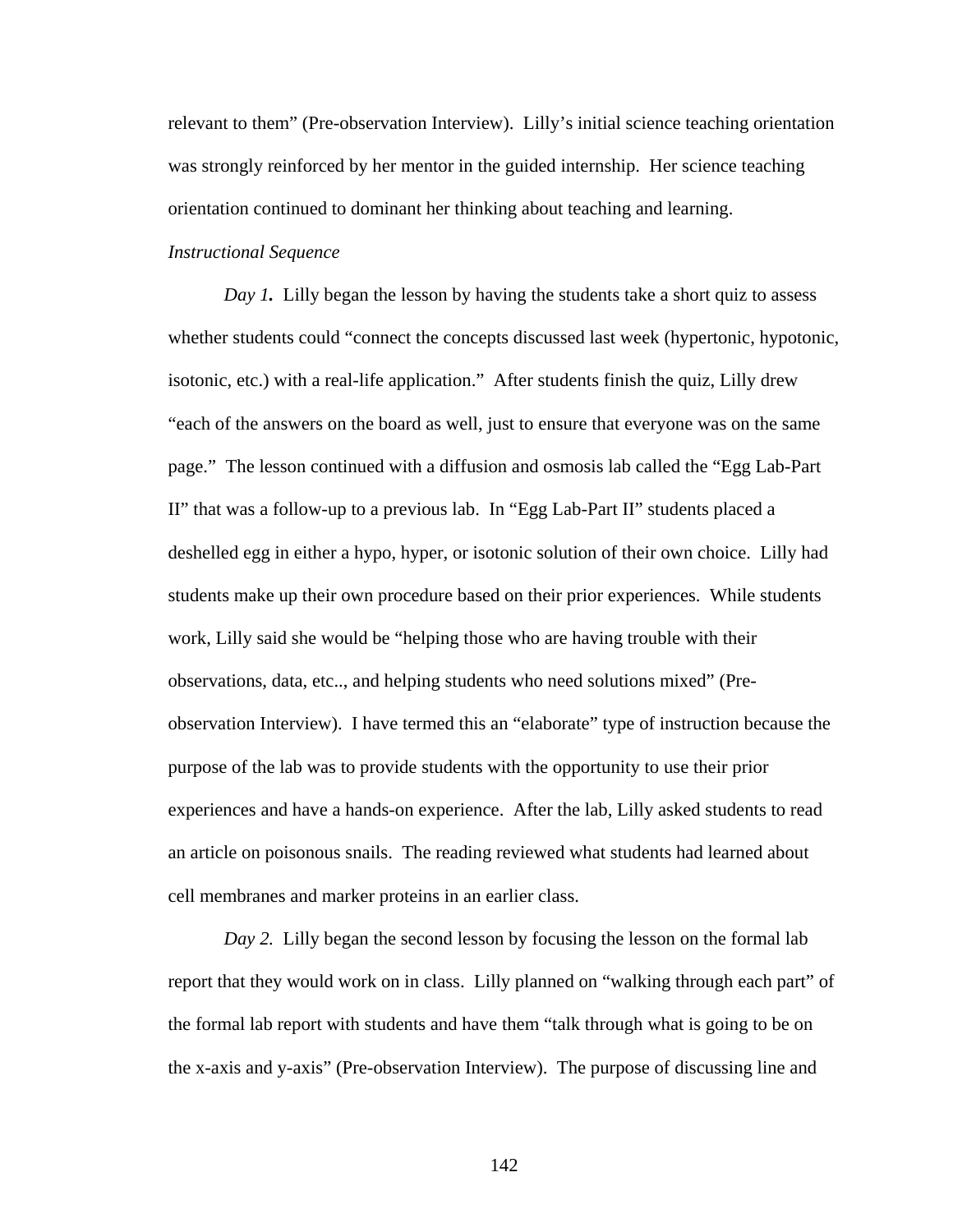relevant to them" (Pre-observation Interview). Lilly's initial science teaching orientation was strongly reinforced by her mentor in the guided internship. Her science teaching orientation continued to dominant her thinking about teaching and learning.

# *Instructional Sequence*

*Day 1*. Lilly began the lesson by having the students take a short quiz to assess whether students could "connect the concepts discussed last week (hypertonic, hypotonic, isotonic, etc.) with a real-life application." After students finish the quiz, Lilly drew "each of the answers on the board as well, just to ensure that everyone was on the same page." The lesson continued with a diffusion and osmosis lab called the "Egg Lab-Part II" that was a follow-up to a previous lab. In "Egg Lab-Part II" students placed a deshelled egg in either a hypo, hyper, or isotonic solution of their own choice. Lilly had students make up their own procedure based on their prior experiences. While students work, Lilly said she would be "helping those who are having trouble with their observations, data, etc.., and helping students who need solutions mixed" (Preobservation Interview). I have termed this an "elaborate" type of instruction because the purpose of the lab was to provide students with the opportunity to use their prior experiences and have a hands-on experience. After the lab, Lilly asked students to read an article on poisonous snails. The reading reviewed what students had learned about cell membranes and marker proteins in an earlier class.

*Day 2.* Lilly began the second lesson by focusing the lesson on the formal lab report that they would work on in class. Lilly planned on "walking through each part" of the formal lab report with students and have them "talk through what is going to be on the x-axis and y-axis" (Pre-observation Interview). The purpose of discussing line and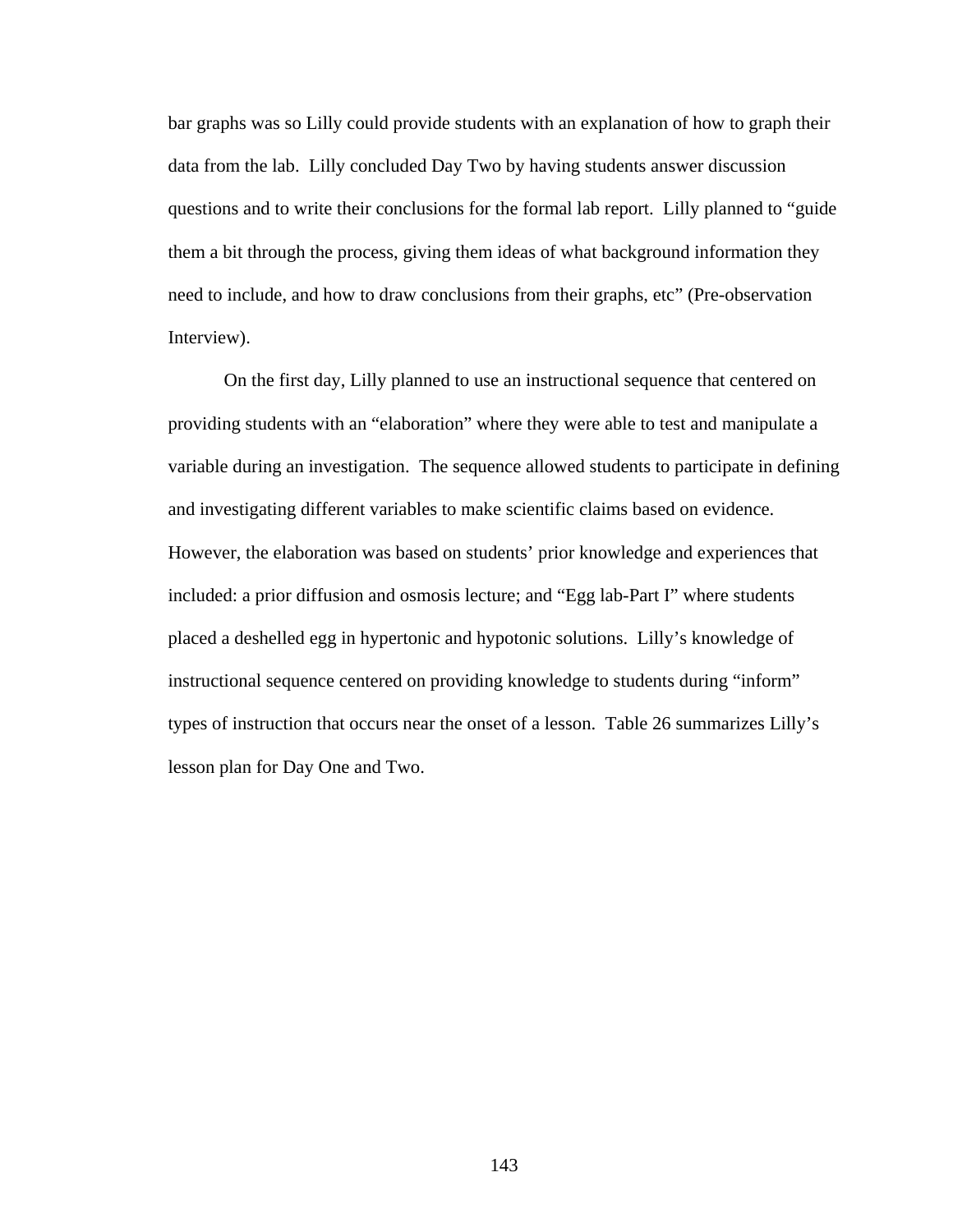bar graphs was so Lilly could provide students with an explanation of how to graph their data from the lab. Lilly concluded Day Two by having students answer discussion questions and to write their conclusions for the formal lab report. Lilly planned to "guide them a bit through the process, giving them ideas of what background information they need to include, and how to draw conclusions from their graphs, etc" (Pre-observation Interview).

 On the first day, Lilly planned to use an instructional sequence that centered on providing students with an "elaboration" where they were able to test and manipulate a variable during an investigation. The sequence allowed students to participate in defining and investigating different variables to make scientific claims based on evidence. However, the elaboration was based on students' prior knowledge and experiences that included: a prior diffusion and osmosis lecture; and "Egg lab-Part I" where students placed a deshelled egg in hypertonic and hypotonic solutions. Lilly's knowledge of instructional sequence centered on providing knowledge to students during "inform" types of instruction that occurs near the onset of a lesson. Table 26 summarizes Lilly's lesson plan for Day One and Two.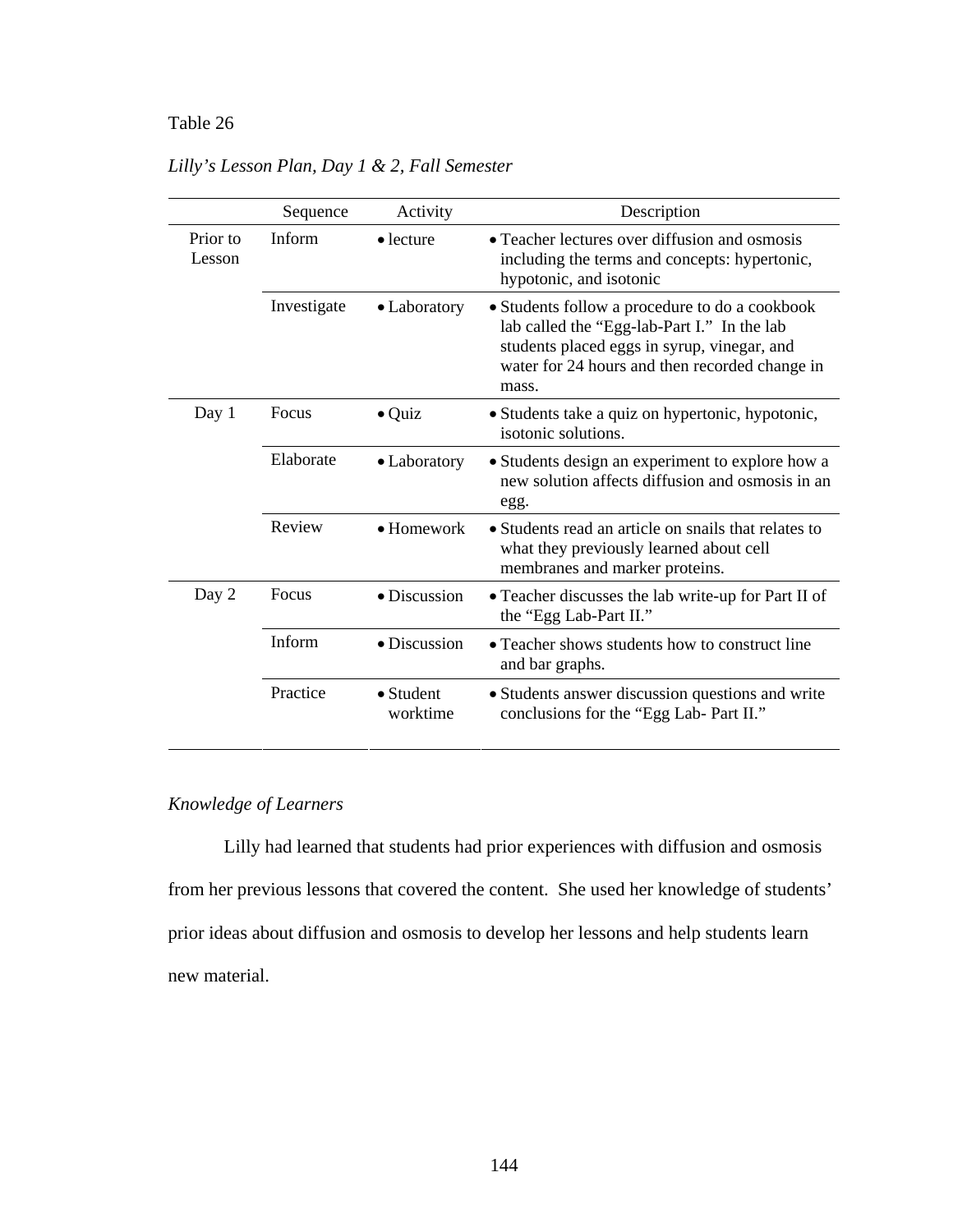# Table 26 *Lilly's Lesson Plan, Day 1 & 2, Fall Semester*

|                    | Sequence    | Activity                      | Description                                                                                                                                                                                             |
|--------------------|-------------|-------------------------------|---------------------------------------------------------------------------------------------------------------------------------------------------------------------------------------------------------|
| Prior to<br>Lesson | Inform      | $\bullet$ lecture             | • Teacher lectures over diffusion and osmosis<br>including the terms and concepts: hypertonic,<br>hypotonic, and isotonic                                                                               |
|                    | Investigate | • Laboratory                  | • Students follow a procedure to do a cookbook<br>lab called the "Egg-lab-Part I." In the lab<br>students placed eggs in syrup, vinegar, and<br>water for 24 hours and then recorded change in<br>mass. |
| Day 1              | Focus       | $\bullet$ Quiz                | • Students take a quiz on hypertonic, hypotonic,<br>isotonic solutions.                                                                                                                                 |
|                    | Elaborate   | • Laboratory                  | • Students design an experiment to explore how a<br>new solution affects diffusion and osmosis in an<br>egg.                                                                                            |
|                    | Review      | $\bullet$ Homework            | • Students read an article on snails that relates to<br>what they previously learned about cell<br>membranes and marker proteins.                                                                       |
| Day 2              | Focus       | $\bullet$ Discussion          | • Teacher discusses the lab write-up for Part II of<br>the "Egg Lab-Part II."                                                                                                                           |
|                    | Inform      | · Discussion                  | • Teacher shows students how to construct line<br>and bar graphs.                                                                                                                                       |
|                    | Practice    | $\bullet$ Student<br>worktime | • Students answer discussion questions and write<br>conclusions for the "Egg Lab- Part II."                                                                                                             |

*Lilly's Lesson Plan, Day 1 & 2, Fall Semester*

# *Knowledge of Learners*

Lilly had learned that students had prior experiences with diffusion and osmosis from her previous lessons that covered the content. She used her knowledge of students' prior ideas about diffusion and osmosis to develop her lessons and help students learn new material.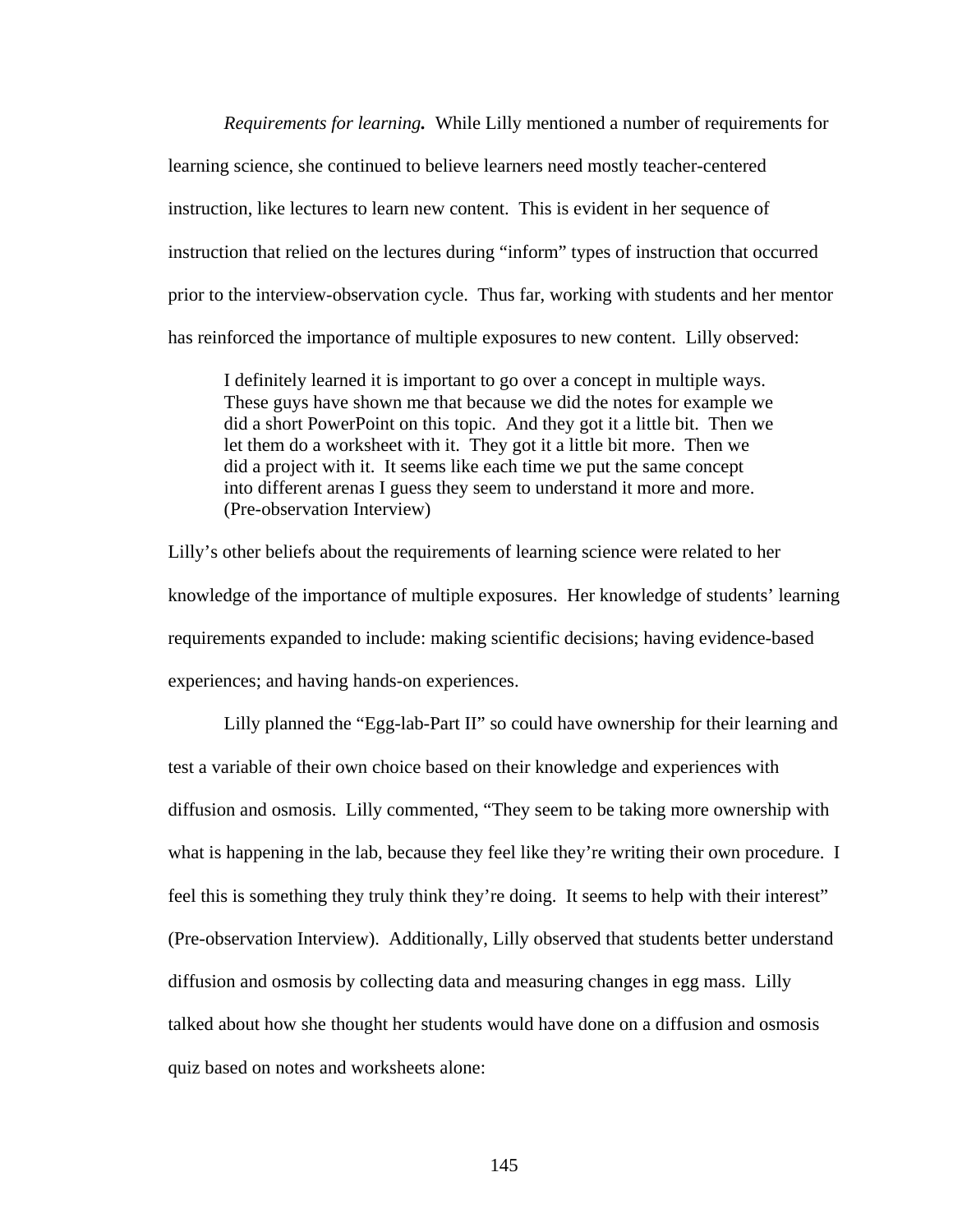*Requirements for learning.* While Lilly mentioned a number of requirements for learning science, she continued to believe learners need mostly teacher-centered instruction, like lectures to learn new content. This is evident in her sequence of instruction that relied on the lectures during "inform" types of instruction that occurred prior to the interview-observation cycle. Thus far, working with students and her mentor has reinforced the importance of multiple exposures to new content. Lilly observed:

I definitely learned it is important to go over a concept in multiple ways. These guys have shown me that because we did the notes for example we did a short PowerPoint on this topic. And they got it a little bit. Then we let them do a worksheet with it. They got it a little bit more. Then we did a project with it. It seems like each time we put the same concept into different arenas I guess they seem to understand it more and more. (Pre-observation Interview)

Lilly's other beliefs about the requirements of learning science were related to her knowledge of the importance of multiple exposures. Her knowledge of students' learning requirements expanded to include: making scientific decisions; having evidence-based experiences; and having hands-on experiences.

 Lilly planned the "Egg-lab-Part II" so could have ownership for their learning and test a variable of their own choice based on their knowledge and experiences with diffusion and osmosis. Lilly commented, "They seem to be taking more ownership with what is happening in the lab, because they feel like they're writing their own procedure. I feel this is something they truly think they're doing. It seems to help with their interest" (Pre-observation Interview). Additionally, Lilly observed that students better understand diffusion and osmosis by collecting data and measuring changes in egg mass. Lilly talked about how she thought her students would have done on a diffusion and osmosis quiz based on notes and worksheets alone: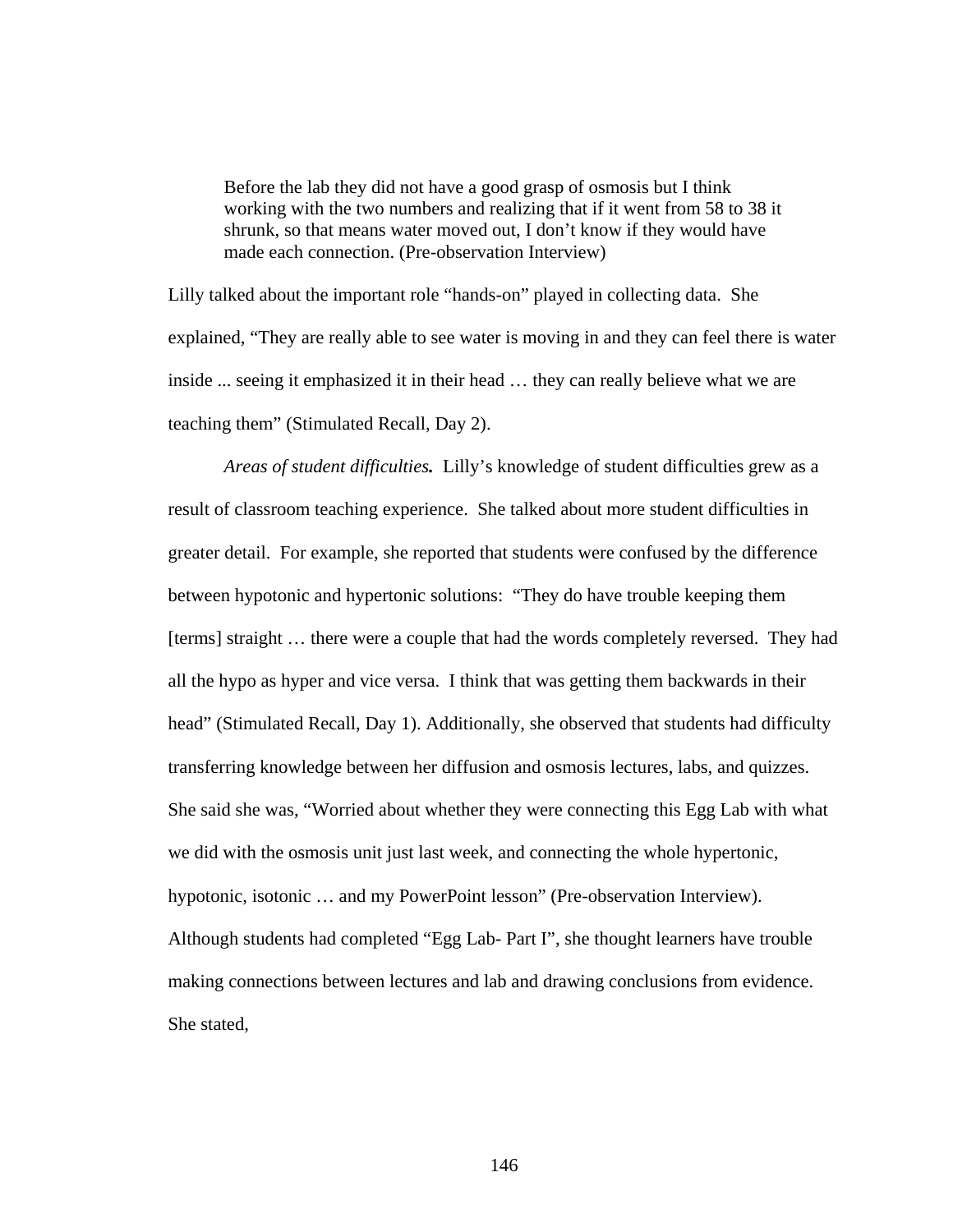Before the lab they did not have a good grasp of osmosis but I think working with the two numbers and realizing that if it went from 58 to 38 it shrunk, so that means water moved out, I don't know if they would have made each connection. (Pre-observation Interview)

Lilly talked about the important role "hands-on" played in collecting data. She explained, "They are really able to see water is moving in and they can feel there is water inside ... seeing it emphasized it in their head … they can really believe what we are teaching them" (Stimulated Recall, Day 2).

*Areas of student difficulties.* Lilly's knowledge of student difficulties grew as a result of classroom teaching experience. She talked about more student difficulties in greater detail. For example, she reported that students were confused by the difference between hypotonic and hypertonic solutions: "They do have trouble keeping them [terms] straight … there were a couple that had the words completely reversed. They had all the hypo as hyper and vice versa. I think that was getting them backwards in their head" (Stimulated Recall, Day 1). Additionally, she observed that students had difficulty transferring knowledge between her diffusion and osmosis lectures, labs, and quizzes. She said she was, "Worried about whether they were connecting this Egg Lab with what we did with the osmosis unit just last week, and connecting the whole hypertonic, hypotonic, isotonic … and my PowerPoint lesson" (Pre-observation Interview). Although students had completed "Egg Lab- Part I", she thought learners have trouble making connections between lectures and lab and drawing conclusions from evidence. She stated,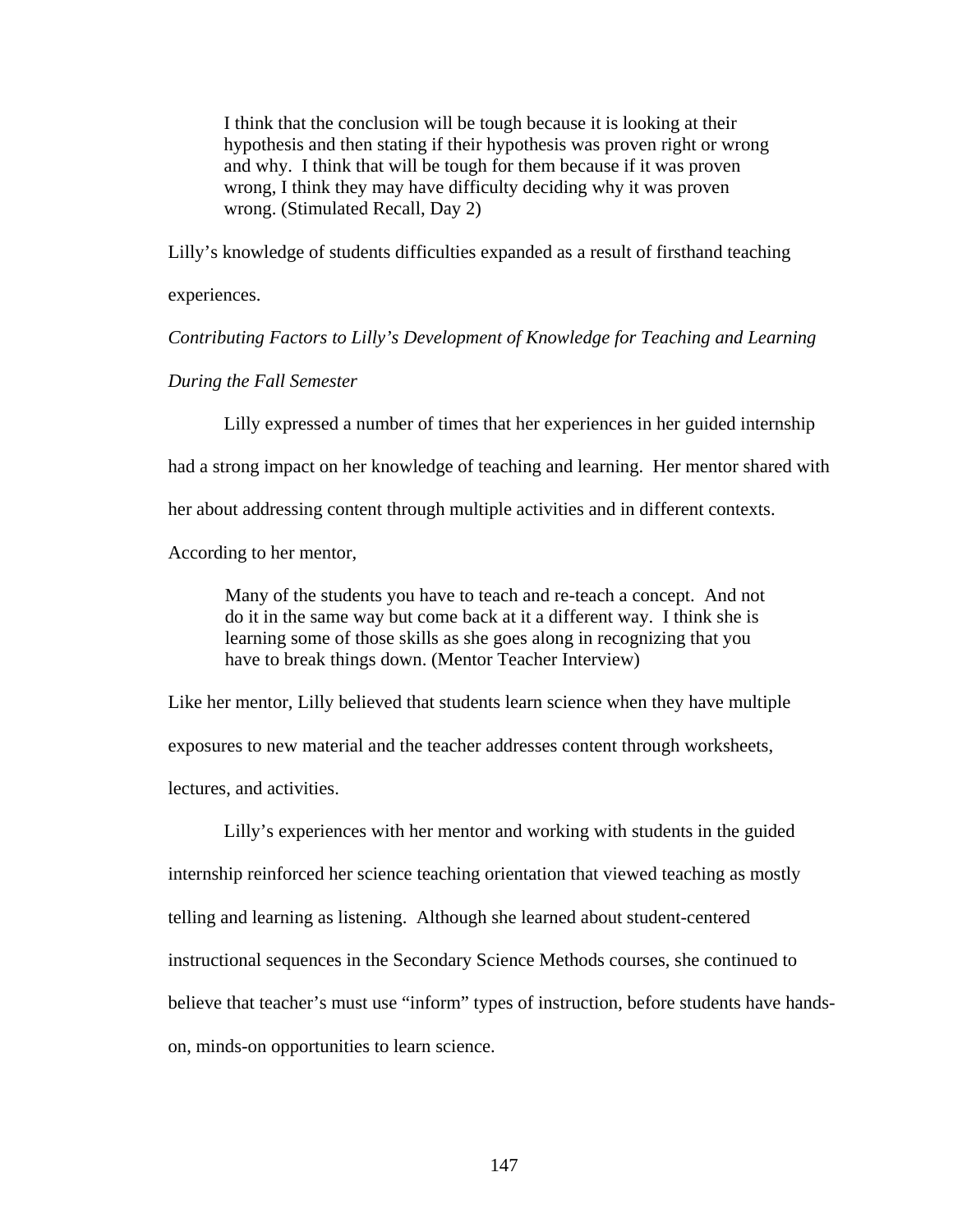I think that the conclusion will be tough because it is looking at their hypothesis and then stating if their hypothesis was proven right or wrong and why. I think that will be tough for them because if it was proven wrong, I think they may have difficulty deciding why it was proven wrong. (Stimulated Recall, Day 2)

Lilly's knowledge of students difficulties expanded as a result of firsthand teaching

experiences.

*Contributing Factors to Lilly's Development of Knowledge for Teaching and Learning* 

*During the Fall Semester* 

Lilly expressed a number of times that her experiences in her guided internship had a strong impact on her knowledge of teaching and learning. Her mentor shared with her about addressing content through multiple activities and in different contexts. According to her mentor,

Many of the students you have to teach and re-teach a concept. And not do it in the same way but come back at it a different way. I think she is learning some of those skills as she goes along in recognizing that you have to break things down. (Mentor Teacher Interview)

Like her mentor, Lilly believed that students learn science when they have multiple exposures to new material and the teacher addresses content through worksheets,

lectures, and activities.

Lilly's experiences with her mentor and working with students in the guided internship reinforced her science teaching orientation that viewed teaching as mostly telling and learning as listening. Although she learned about student-centered instructional sequences in the Secondary Science Methods courses, she continued to believe that teacher's must use "inform" types of instruction, before students have handson, minds-on opportunities to learn science.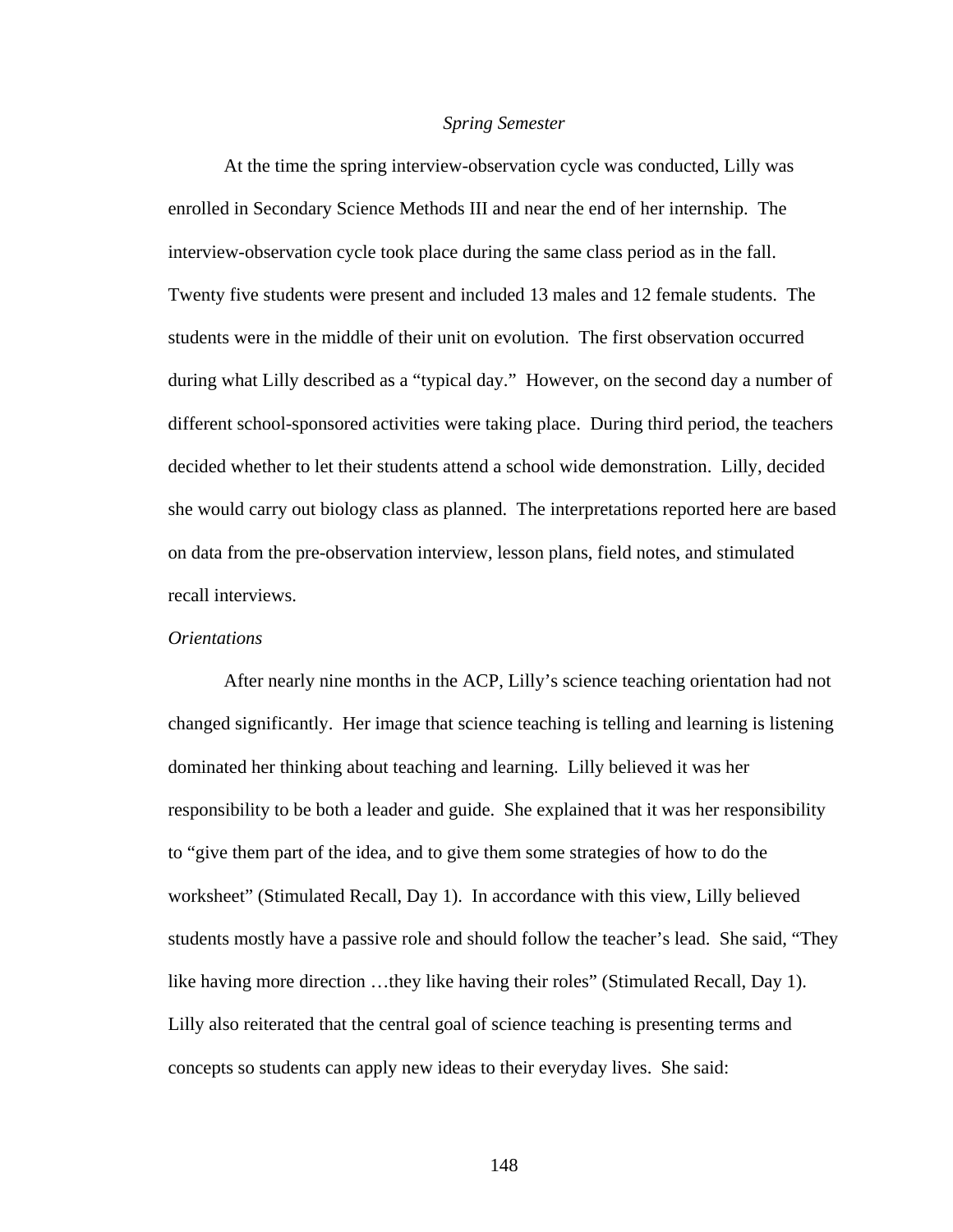#### *Spring Semester*

At the time the spring interview-observation cycle was conducted, Lilly was enrolled in Secondary Science Methods III and near the end of her internship. The interview-observation cycle took place during the same class period as in the fall. Twenty five students were present and included 13 males and 12 female students. The students were in the middle of their unit on evolution. The first observation occurred during what Lilly described as a "typical day." However, on the second day a number of different school-sponsored activities were taking place. During third period, the teachers decided whether to let their students attend a school wide demonstration. Lilly, decided she would carry out biology class as planned. The interpretations reported here are based on data from the pre-observation interview, lesson plans, field notes, and stimulated recall interviews.

## *Orientations*

After nearly nine months in the ACP, Lilly's science teaching orientation had not changed significantly. Her image that science teaching is telling and learning is listening dominated her thinking about teaching and learning. Lilly believed it was her responsibility to be both a leader and guide. She explained that it was her responsibility to "give them part of the idea, and to give them some strategies of how to do the worksheet" (Stimulated Recall, Day 1). In accordance with this view, Lilly believed students mostly have a passive role and should follow the teacher's lead. She said, "They like having more direction …they like having their roles" (Stimulated Recall, Day 1). Lilly also reiterated that the central goal of science teaching is presenting terms and concepts so students can apply new ideas to their everyday lives. She said: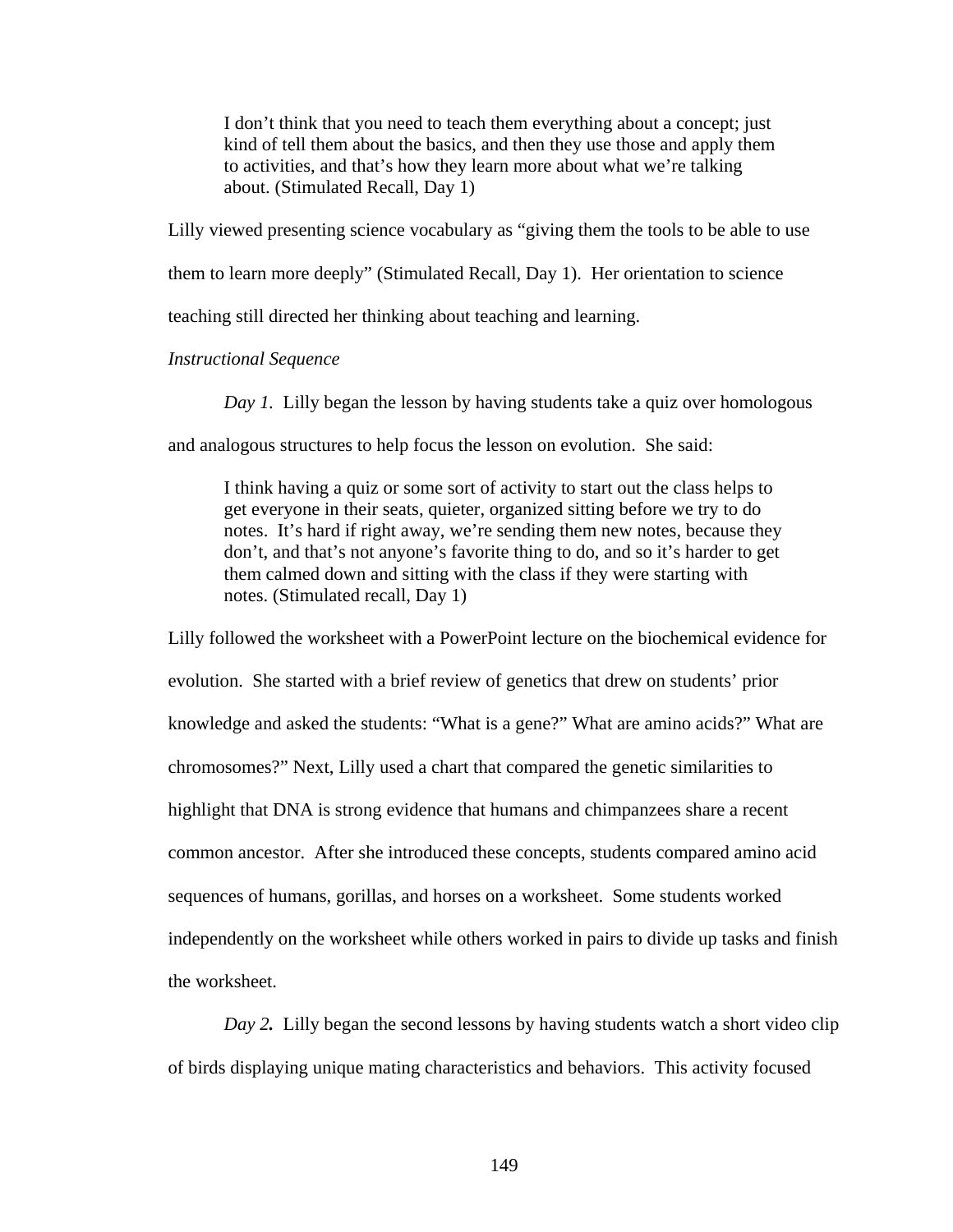I don't think that you need to teach them everything about a concept; just kind of tell them about the basics, and then they use those and apply them to activities, and that's how they learn more about what we're talking about. (Stimulated Recall, Day 1)

Lilly viewed presenting science vocabulary as "giving them the tools to be able to use

them to learn more deeply" (Stimulated Recall, Day 1). Her orientation to science

teaching still directed her thinking about teaching and learning.

*Instructional Sequence* 

*Day 1.* Lilly began the lesson by having students take a quiz over homologous

and analogous structures to help focus the lesson on evolution. She said:

I think having a quiz or some sort of activity to start out the class helps to get everyone in their seats, quieter, organized sitting before we try to do notes. It's hard if right away, we're sending them new notes, because they don't, and that's not anyone's favorite thing to do, and so it's harder to get them calmed down and sitting with the class if they were starting with notes. (Stimulated recall, Day 1)

Lilly followed the worksheet with a PowerPoint lecture on the biochemical evidence for evolution. She started with a brief review of genetics that drew on students' prior knowledge and asked the students: "What is a gene?" What are amino acids?" What are chromosomes?" Next, Lilly used a chart that compared the genetic similarities to highlight that DNA is strong evidence that humans and chimpanzees share a recent common ancestor. After she introduced these concepts, students compared amino acid sequences of humans, gorillas, and horses on a worksheet. Some students worked independently on the worksheet while others worked in pairs to divide up tasks and finish the worksheet.

*Day 2.* Lilly began the second lessons by having students watch a short video clip of birds displaying unique mating characteristics and behaviors. This activity focused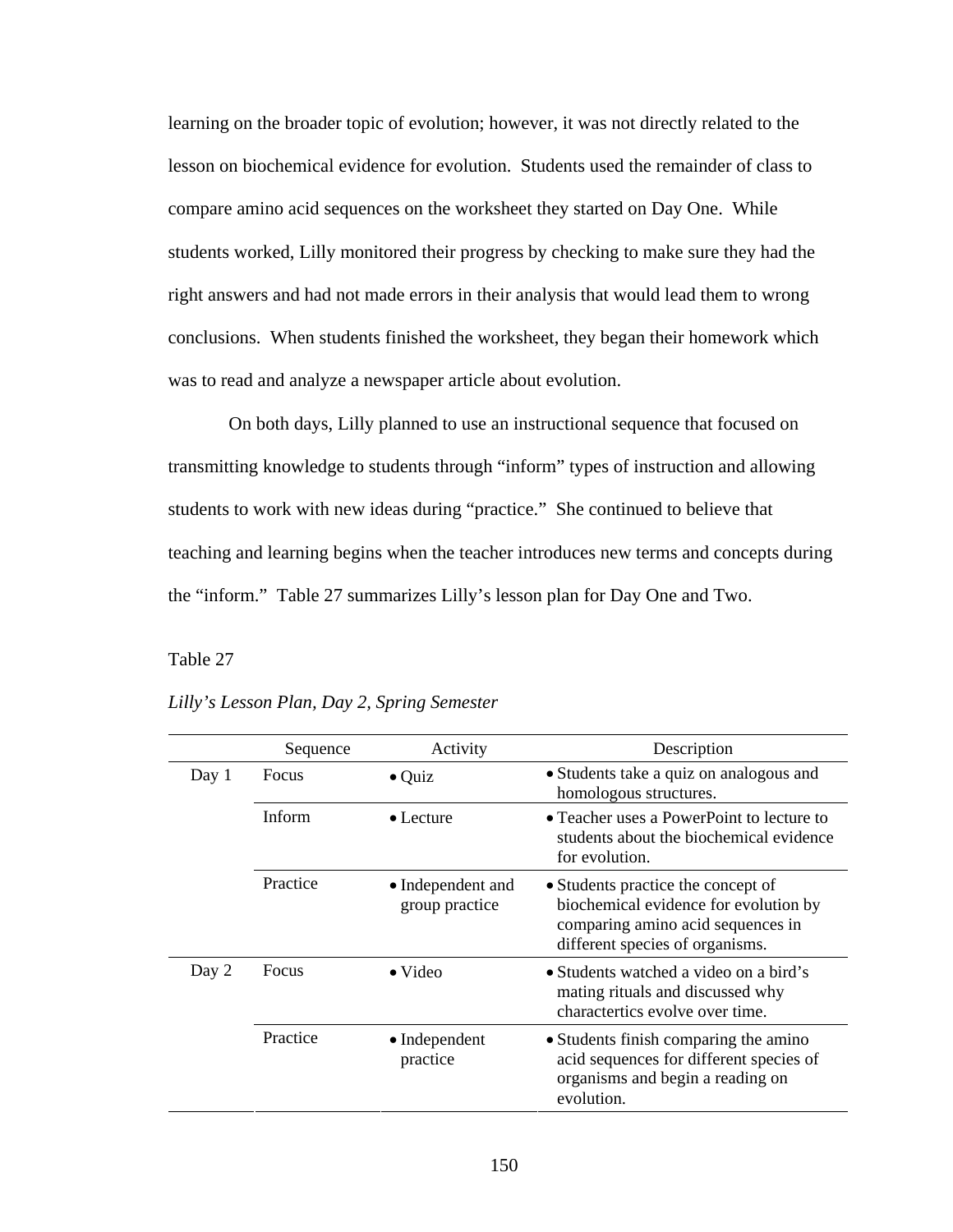learning on the broader topic of evolution; however, it was not directly related to the lesson on biochemical evidence for evolution. Students used the remainder of class to compare amino acid sequences on the worksheet they started on Day One. While students worked, Lilly monitored their progress by checking to make sure they had the right answers and had not made errors in their analysis that would lead them to wrong conclusions. When students finished the worksheet, they began their homework which was to read and analyze a newspaper article about evolution.

 On both days, Lilly planned to use an instructional sequence that focused on transmitting knowledge to students through "inform" types of instruction and allowing students to work with new ideas during "practice." She continued to believe that teaching and learning begins when the teacher introduces new terms and concepts during the "inform." Table 27 summarizes Lilly's lesson plan for Day One and Two.

## Table 27 *Lilly's Lesson Plan, Day 2, Spring Semester*

|       | Sequence     | Activity                            | Description                                                                                                                                         |
|-------|--------------|-------------------------------------|-----------------------------------------------------------------------------------------------------------------------------------------------------|
| Day 1 | <b>Focus</b> | $\bullet$ Quiz                      | • Students take a quiz on analogous and<br>homologous structures.                                                                                   |
|       | Inform       | $\bullet$ Lecture                   | • Teacher uses a PowerPoint to lecture to<br>students about the biochemical evidence<br>for evolution.                                              |
|       | Practice     | • Independent and<br>group practice | • Students practice the concept of<br>biochemical evidence for evolution by<br>comparing amino acid sequences in<br>different species of organisms. |
| Day 2 | Focus        | $\bullet$ Video                     | • Students watched a video on a bird's<br>mating rituals and discussed why<br>charactertics evolve over time.                                       |
|       | Practice     | • Independent<br>practice           | • Students finish comparing the amino<br>acid sequences for different species of<br>organisms and begin a reading on<br>evolution.                  |

*Lilly's Lesson Plan, Day 2, Spring Semester*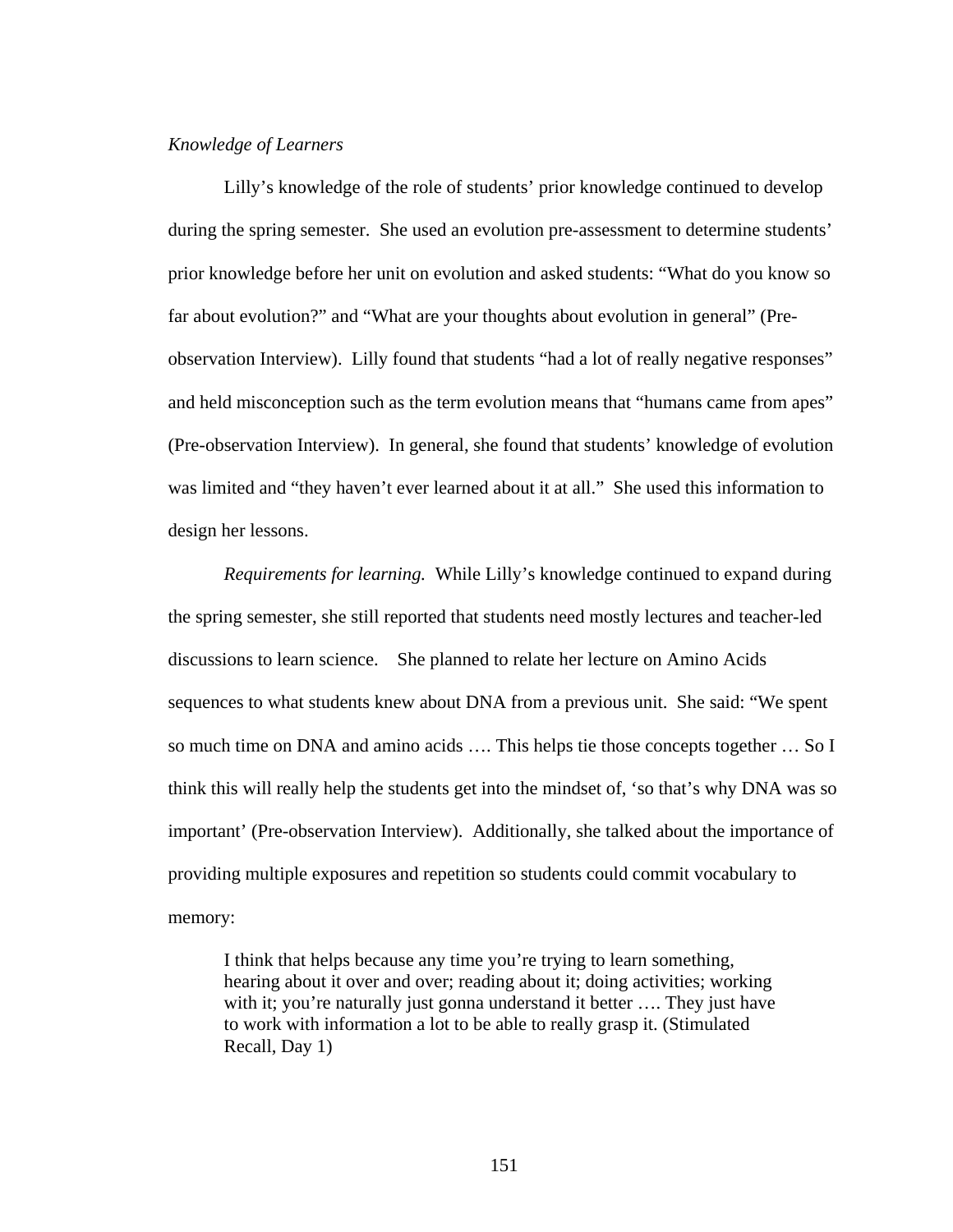# *Knowledge of Learners*

Lilly's knowledge of the role of students' prior knowledge continued to develop during the spring semester. She used an evolution pre-assessment to determine students' prior knowledge before her unit on evolution and asked students: "What do you know so far about evolution?" and "What are your thoughts about evolution in general" (Preobservation Interview). Lilly found that students "had a lot of really negative responses" and held misconception such as the term evolution means that "humans came from apes" (Pre-observation Interview). In general, she found that students' knowledge of evolution was limited and "they haven't ever learned about it at all." She used this information to design her lessons.

 *Requirements for learning.* While Lilly's knowledge continued to expand during the spring semester, she still reported that students need mostly lectures and teacher-led discussions to learn science. She planned to relate her lecture on Amino Acids sequences to what students knew about DNA from a previous unit. She said: "We spent so much time on DNA and amino acids …. This helps tie those concepts together … So I think this will really help the students get into the mindset of, 'so that's why DNA was so important' (Pre-observation Interview). Additionally, she talked about the importance of providing multiple exposures and repetition so students could commit vocabulary to memory:

I think that helps because any time you're trying to learn something, hearing about it over and over; reading about it; doing activities; working with it; you're naturally just gonna understand it better .... They just have to work with information a lot to be able to really grasp it. (Stimulated Recall, Day 1)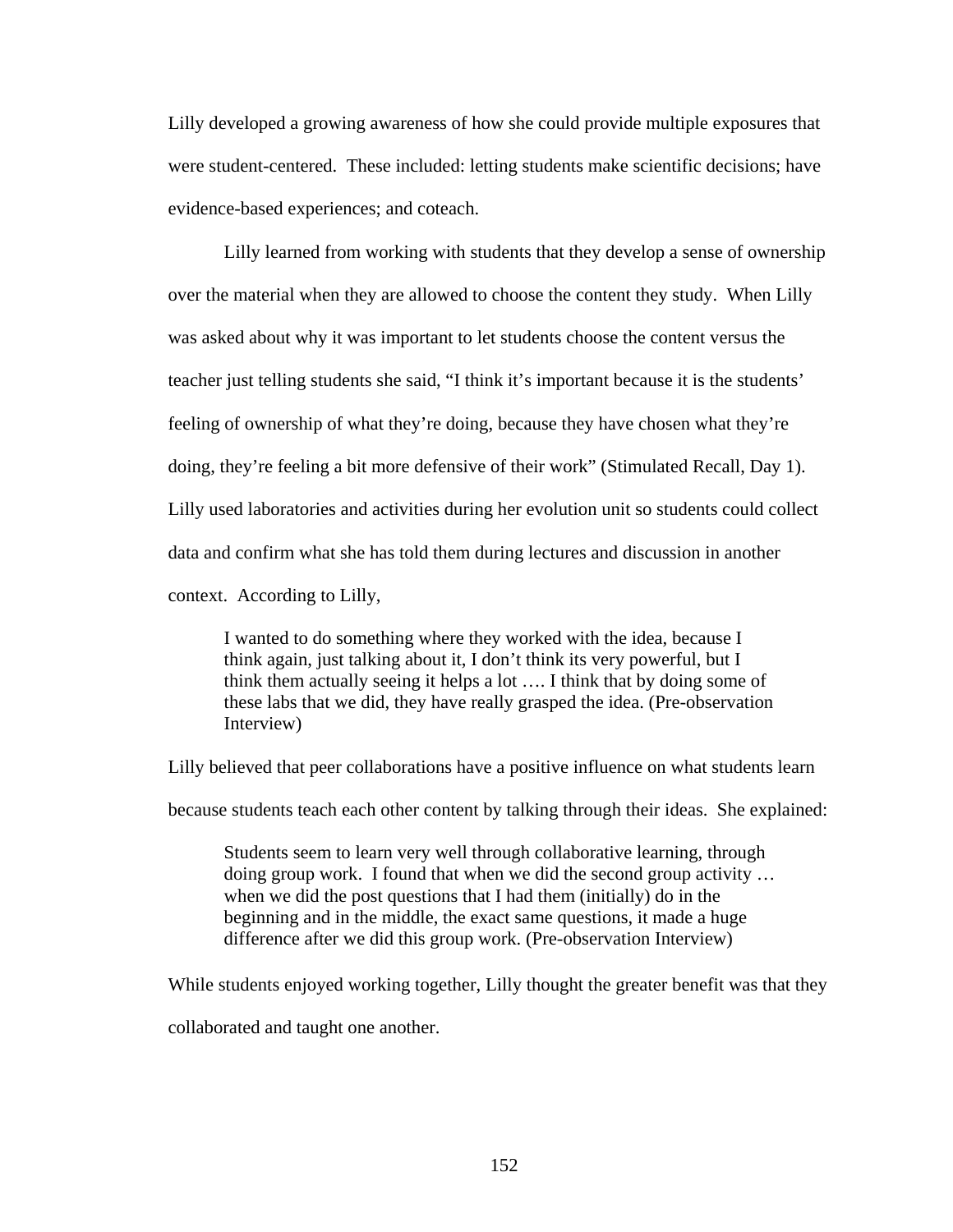Lilly developed a growing awareness of how she could provide multiple exposures that were student-centered. These included: letting students make scientific decisions; have evidence-based experiences; and coteach.

Lilly learned from working with students that they develop a sense of ownership over the material when they are allowed to choose the content they study. When Lilly was asked about why it was important to let students choose the content versus the teacher just telling students she said, "I think it's important because it is the students' feeling of ownership of what they're doing, because they have chosen what they're doing, they're feeling a bit more defensive of their work" (Stimulated Recall, Day 1). Lilly used laboratories and activities during her evolution unit so students could collect data and confirm what she has told them during lectures and discussion in another context. According to Lilly,

I wanted to do something where they worked with the idea, because I think again, just talking about it, I don't think its very powerful, but I think them actually seeing it helps a lot …. I think that by doing some of these labs that we did, they have really grasped the idea. (Pre-observation Interview)

Lilly believed that peer collaborations have a positive influence on what students learn

because students teach each other content by talking through their ideas. She explained:

Students seem to learn very well through collaborative learning, through doing group work. I found that when we did the second group activity … when we did the post questions that I had them (initially) do in the beginning and in the middle, the exact same questions, it made a huge difference after we did this group work. (Pre-observation Interview)

While students enjoyed working together, Lilly thought the greater benefit was that they

collaborated and taught one another.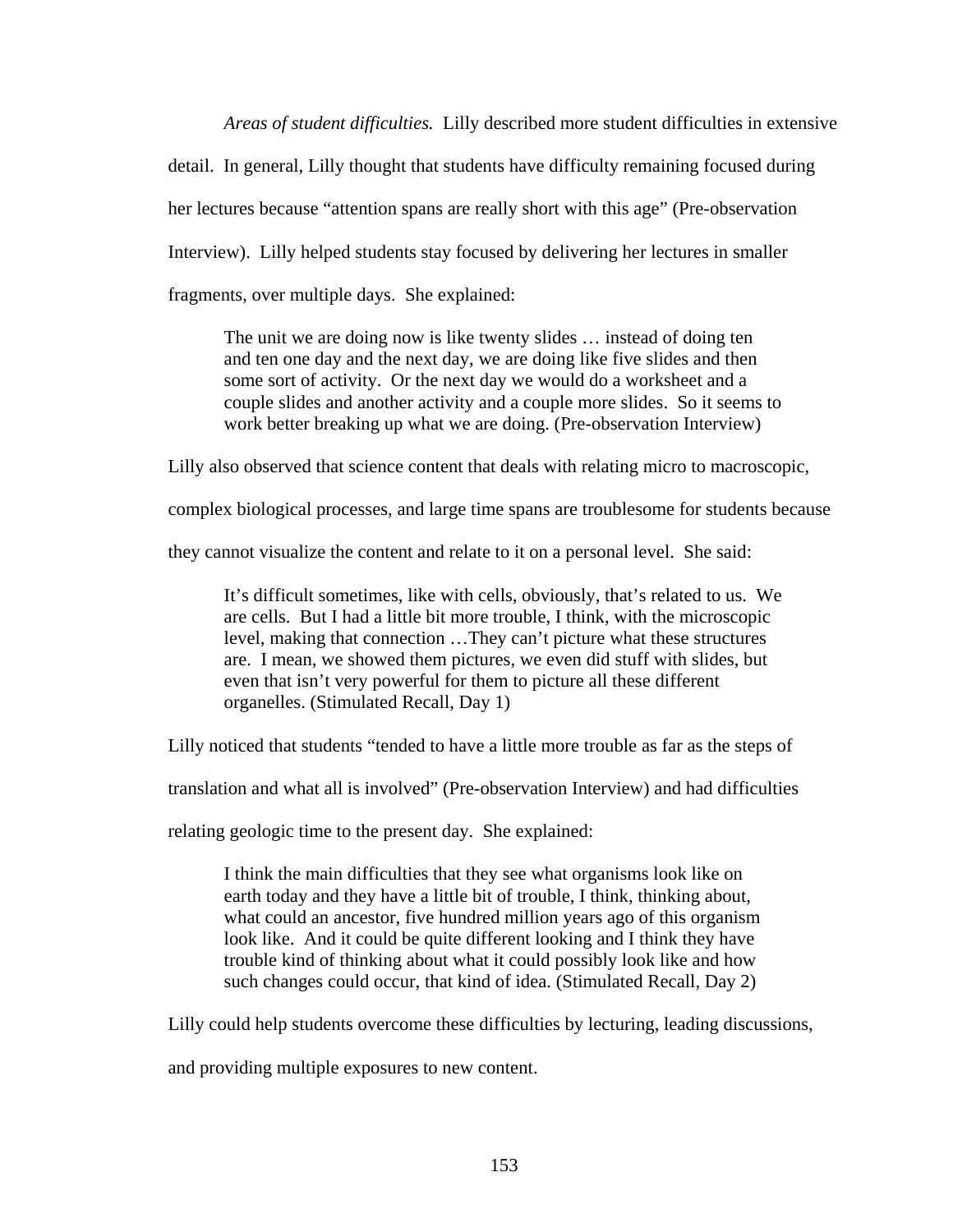*Areas of student difficulties.* Lilly described more student difficulties in extensive detail. In general, Lilly thought that students have difficulty remaining focused during her lectures because "attention spans are really short with this age" (Pre-observation Interview). Lilly helped students stay focused by delivering her lectures in smaller fragments, over multiple days. She explained:

The unit we are doing now is like twenty slides … instead of doing ten and ten one day and the next day, we are doing like five slides and then some sort of activity. Or the next day we would do a worksheet and a couple slides and another activity and a couple more slides. So it seems to work better breaking up what we are doing. (Pre-observation Interview)

Lilly also observed that science content that deals with relating micro to macroscopic,

complex biological processes, and large time spans are troublesome for students because

they cannot visualize the content and relate to it on a personal level. She said:

It's difficult sometimes, like with cells, obviously, that's related to us. We are cells. But I had a little bit more trouble, I think, with the microscopic level, making that connection …They can't picture what these structures are. I mean, we showed them pictures, we even did stuff with slides, but even that isn't very powerful for them to picture all these different organelles. (Stimulated Recall, Day 1)

Lilly noticed that students "tended to have a little more trouble as far as the steps of

translation and what all is involved" (Pre-observation Interview) and had difficulties

relating geologic time to the present day. She explained:

I think the main difficulties that they see what organisms look like on earth today and they have a little bit of trouble, I think, thinking about, what could an ancestor, five hundred million years ago of this organism look like. And it could be quite different looking and I think they have trouble kind of thinking about what it could possibly look like and how such changes could occur, that kind of idea. (Stimulated Recall, Day 2)

Lilly could help students overcome these difficulties by lecturing, leading discussions,

and providing multiple exposures to new content.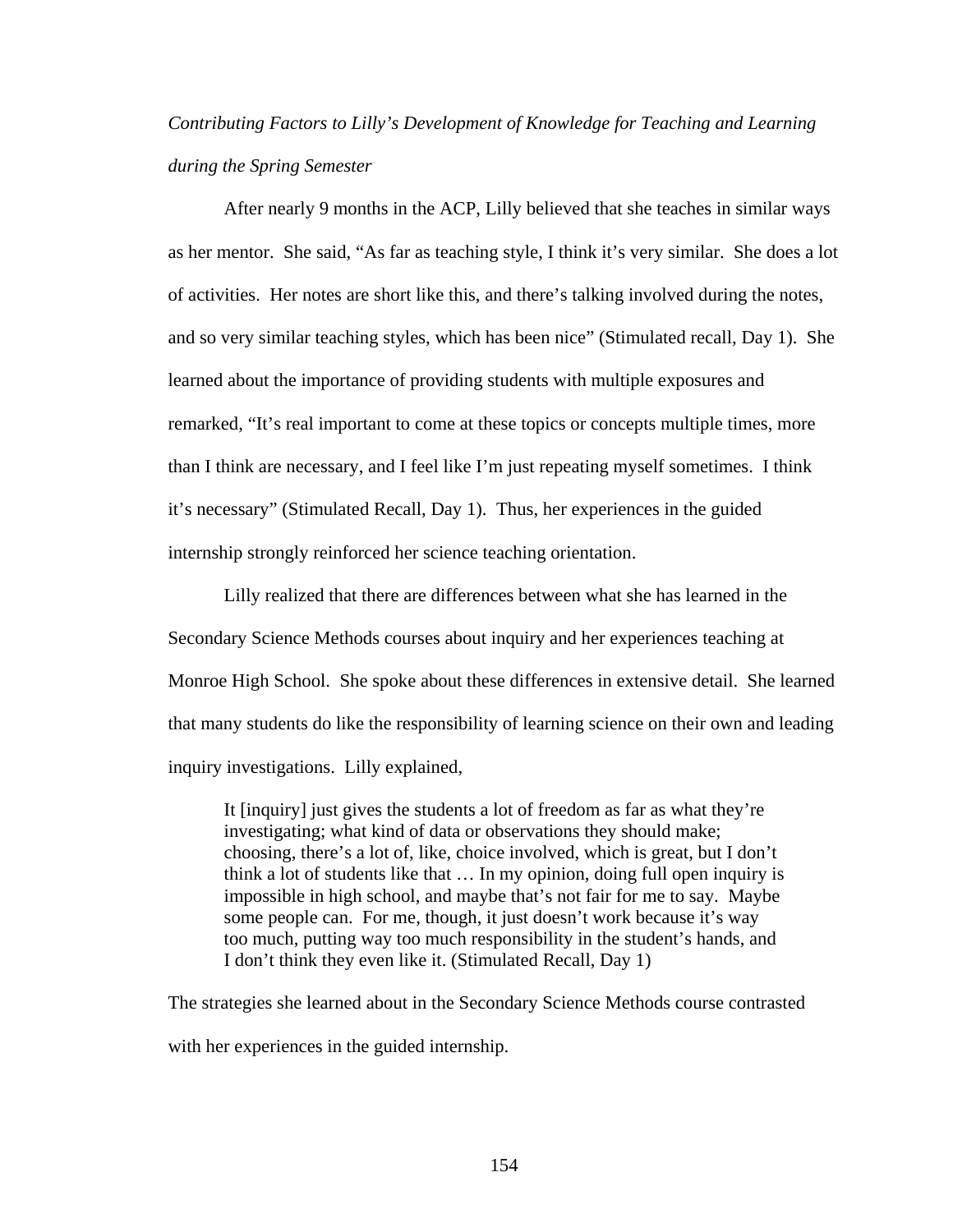# *Contributing Factors to Lilly's Development of Knowledge for Teaching and Learning during the Spring Semester*

 After nearly 9 months in the ACP, Lilly believed that she teaches in similar ways as her mentor. She said, "As far as teaching style, I think it's very similar. She does a lot of activities. Her notes are short like this, and there's talking involved during the notes, and so very similar teaching styles, which has been nice" (Stimulated recall, Day 1). She learned about the importance of providing students with multiple exposures and remarked, "It's real important to come at these topics or concepts multiple times, more than I think are necessary, and I feel like I'm just repeating myself sometimes. I think it's necessary" (Stimulated Recall, Day 1). Thus, her experiences in the guided internship strongly reinforced her science teaching orientation.

 Lilly realized that there are differences between what she has learned in the Secondary Science Methods courses about inquiry and her experiences teaching at Monroe High School. She spoke about these differences in extensive detail. She learned that many students do like the responsibility of learning science on their own and leading inquiry investigations. Lilly explained,

It [inquiry] just gives the students a lot of freedom as far as what they're investigating; what kind of data or observations they should make; choosing, there's a lot of, like, choice involved, which is great, but I don't think a lot of students like that … In my opinion, doing full open inquiry is impossible in high school, and maybe that's not fair for me to say. Maybe some people can. For me, though, it just doesn't work because it's way too much, putting way too much responsibility in the student's hands, and I don't think they even like it. (Stimulated Recall, Day 1)

The strategies she learned about in the Secondary Science Methods course contrasted with her experiences in the guided internship.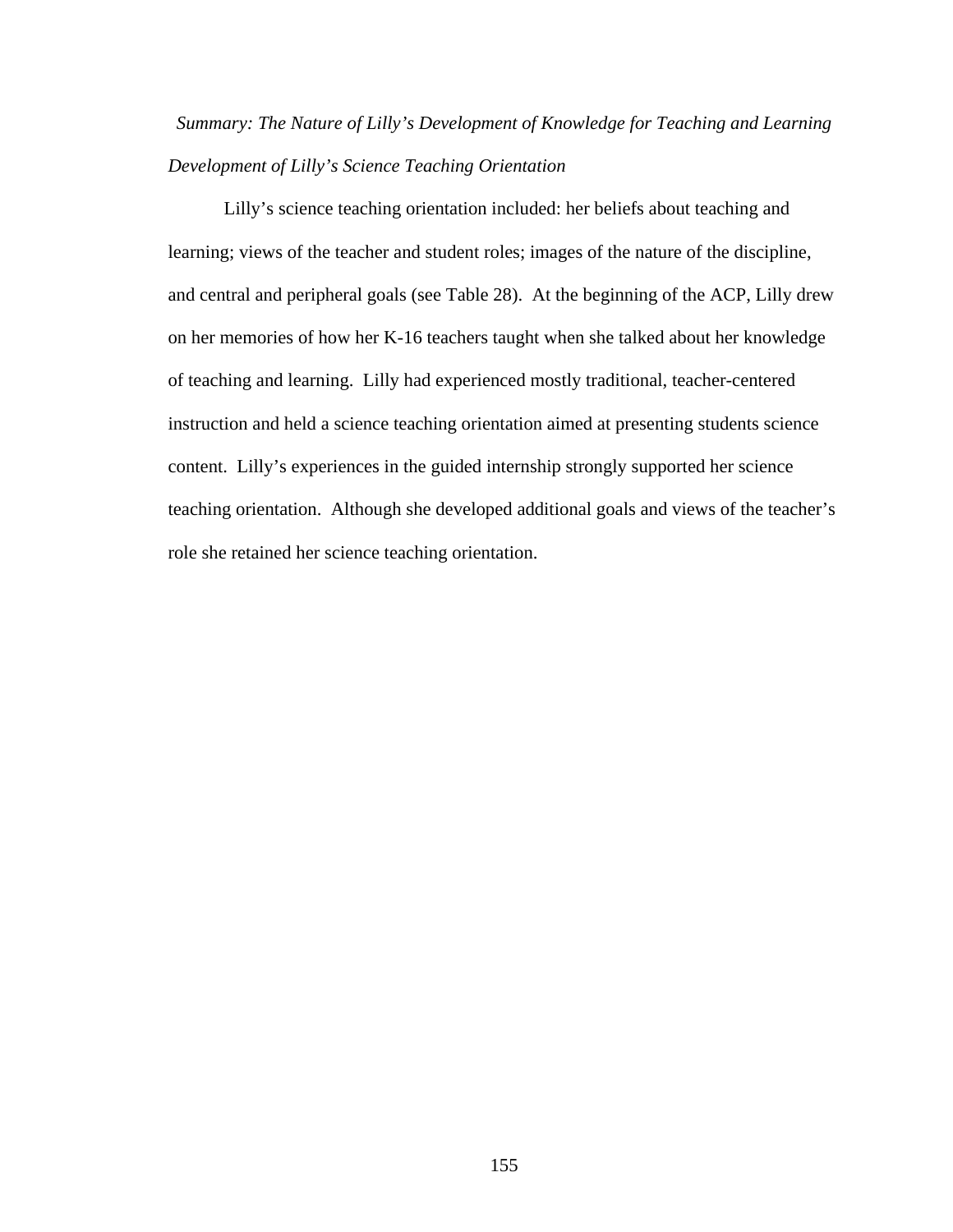*Summary: The Nature of Lilly's Development of Knowledge for Teaching and Learning Development of Lilly's Science Teaching Orientation* 

Lilly's science teaching orientation included: her beliefs about teaching and learning; views of the teacher and student roles; images of the nature of the discipline, and central and peripheral goals (see Table 28). At the beginning of the ACP, Lilly drew on her memories of how her K-16 teachers taught when she talked about her knowledge of teaching and learning. Lilly had experienced mostly traditional, teacher-centered instruction and held a science teaching orientation aimed at presenting students science content. Lilly's experiences in the guided internship strongly supported her science teaching orientation. Although she developed additional goals and views of the teacher's role she retained her science teaching orientation.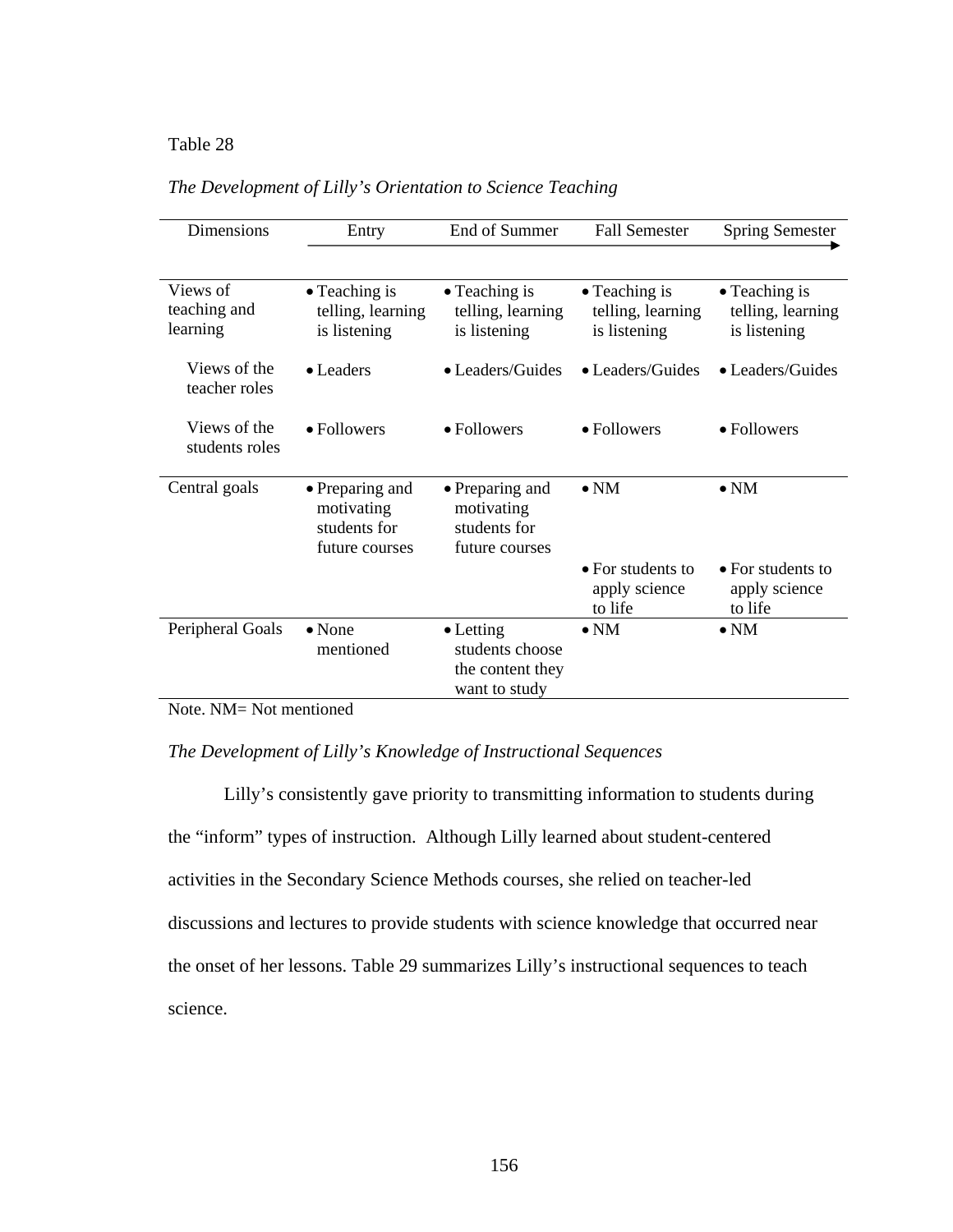## Table 28 *The Development of Lilly's Orientation to Science Teaching*

| Dimensions                           | Entry                                                           | End of Summer                                                             |                                                    | <b>Spring Semester</b>                             |
|--------------------------------------|-----------------------------------------------------------------|---------------------------------------------------------------------------|----------------------------------------------------|----------------------------------------------------|
|                                      |                                                                 |                                                                           |                                                    |                                                    |
| Views of<br>teaching and<br>learning | • Teaching is<br>telling, learning<br>is listening              | $\bullet$ Teaching is<br>telling, learning<br>is listening                | • Teaching is<br>telling, learning<br>is listening | • Teaching is<br>telling, learning<br>is listening |
| Views of the<br>teacher roles        | $\bullet$ Leaders                                               | • Leaders/Guides                                                          | • Leaders/Guides                                   | • Leaders/Guides                                   |
| Views of the<br>students roles       | • Followers                                                     | • Followers                                                               | • Followers                                        | • Followers                                        |
| Central goals                        | • Preparing and<br>motivating<br>students for<br>future courses | • Preparing and<br>motivating<br>students for<br>future courses           | $\bullet$ NM                                       | $\bullet$ NM                                       |
|                                      |                                                                 |                                                                           | • For students to<br>apply science<br>to life      | • For students to<br>apply science<br>to life      |
| Peripheral Goals                     | $\bullet$ None<br>mentioned                                     | $\bullet$ Letting<br>students choose<br>the content they<br>want to study | $\bullet$ NM                                       | $\bullet$ NM                                       |

## *The Development of Lilly's Orientation to Science Teaching*

Note. NM= Not mentioned

## *The Development of Lilly's Knowledge of Instructional Sequences*

Lilly's consistently gave priority to transmitting information to students during the "inform" types of instruction. Although Lilly learned about student-centered activities in the Secondary Science Methods courses, she relied on teacher-led discussions and lectures to provide students with science knowledge that occurred near the onset of her lessons. Table 29 summarizes Lilly's instructional sequences to teach science.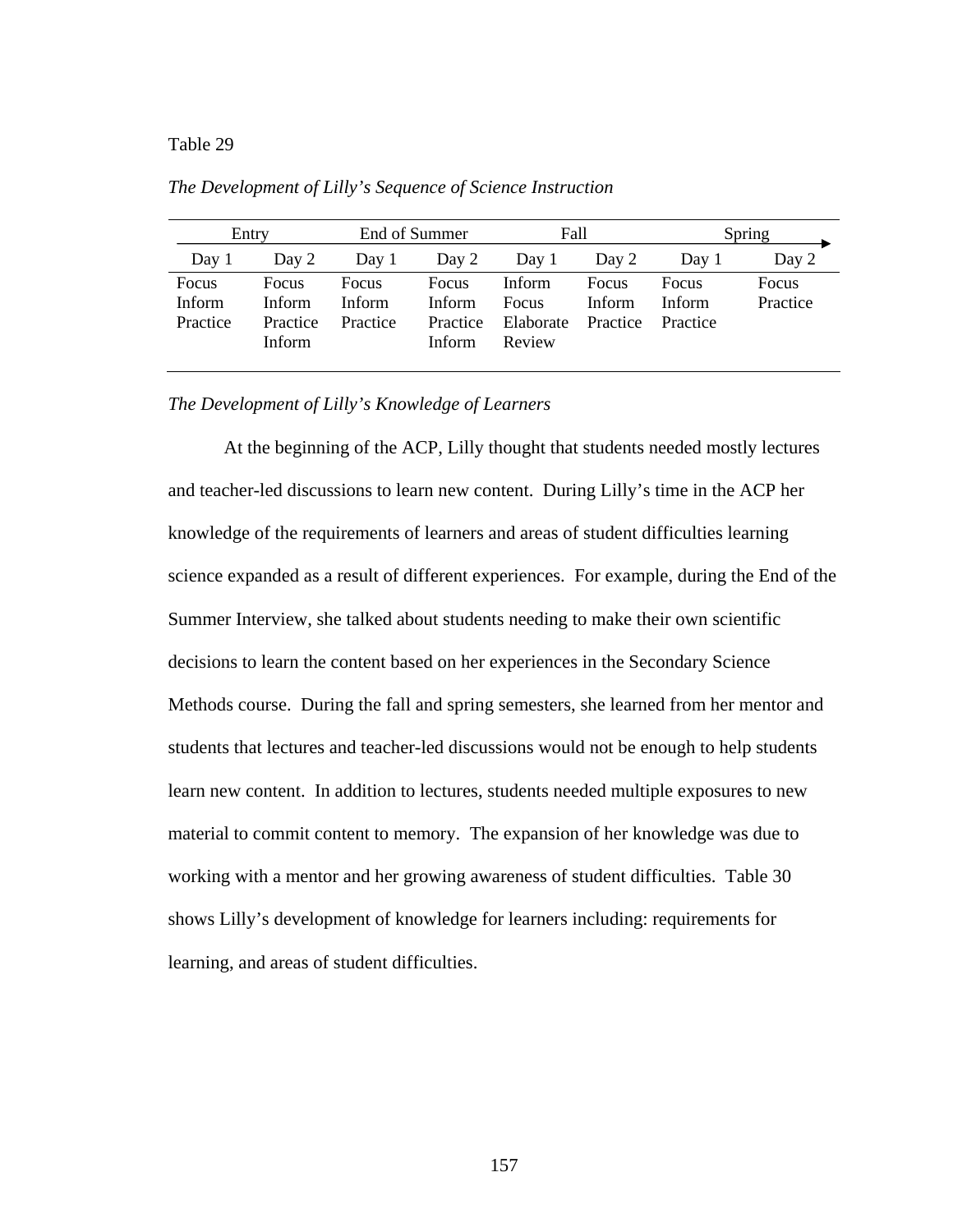#### Table 29 *The Development of Lilly's Sequence of Science Instruction*

| Entry                       |                                              | End of Summer                      |                                       | Fall                                   |                             | Spring                      |                   |
|-----------------------------|----------------------------------------------|------------------------------------|---------------------------------------|----------------------------------------|-----------------------------|-----------------------------|-------------------|
| Day 1                       | Day 2                                        | Day 1                              | Day 2                                 | Day 1                                  | Day 2                       | Day 1                       | Day 2             |
| Focus<br>Inform<br>Practice | <b>Focus</b><br>Inform<br>Practice<br>Inform | <b>Focus</b><br>Inform<br>Practice | Focus<br>Inform<br>Practice<br>Inform | Inform<br>Focus<br>Elaborate<br>Review | Focus<br>Inform<br>Practice | Focus<br>Inform<br>Practice | Focus<br>Practice |

*The Development of Lilly's Sequence of Science Instruction* 

*The Development of Lilly's Knowledge of Learners* 

At the beginning of the ACP, Lilly thought that students needed mostly lectures and teacher-led discussions to learn new content. During Lilly's time in the ACP her knowledge of the requirements of learners and areas of student difficulties learning science expanded as a result of different experiences. For example, during the End of the Summer Interview, she talked about students needing to make their own scientific decisions to learn the content based on her experiences in the Secondary Science Methods course. During the fall and spring semesters, she learned from her mentor and students that lectures and teacher-led discussions would not be enough to help students learn new content. In addition to lectures, students needed multiple exposures to new material to commit content to memory. The expansion of her knowledge was due to working with a mentor and her growing awareness of student difficulties. Table 30 shows Lilly's development of knowledge for learners including: requirements for learning, and areas of student difficulties.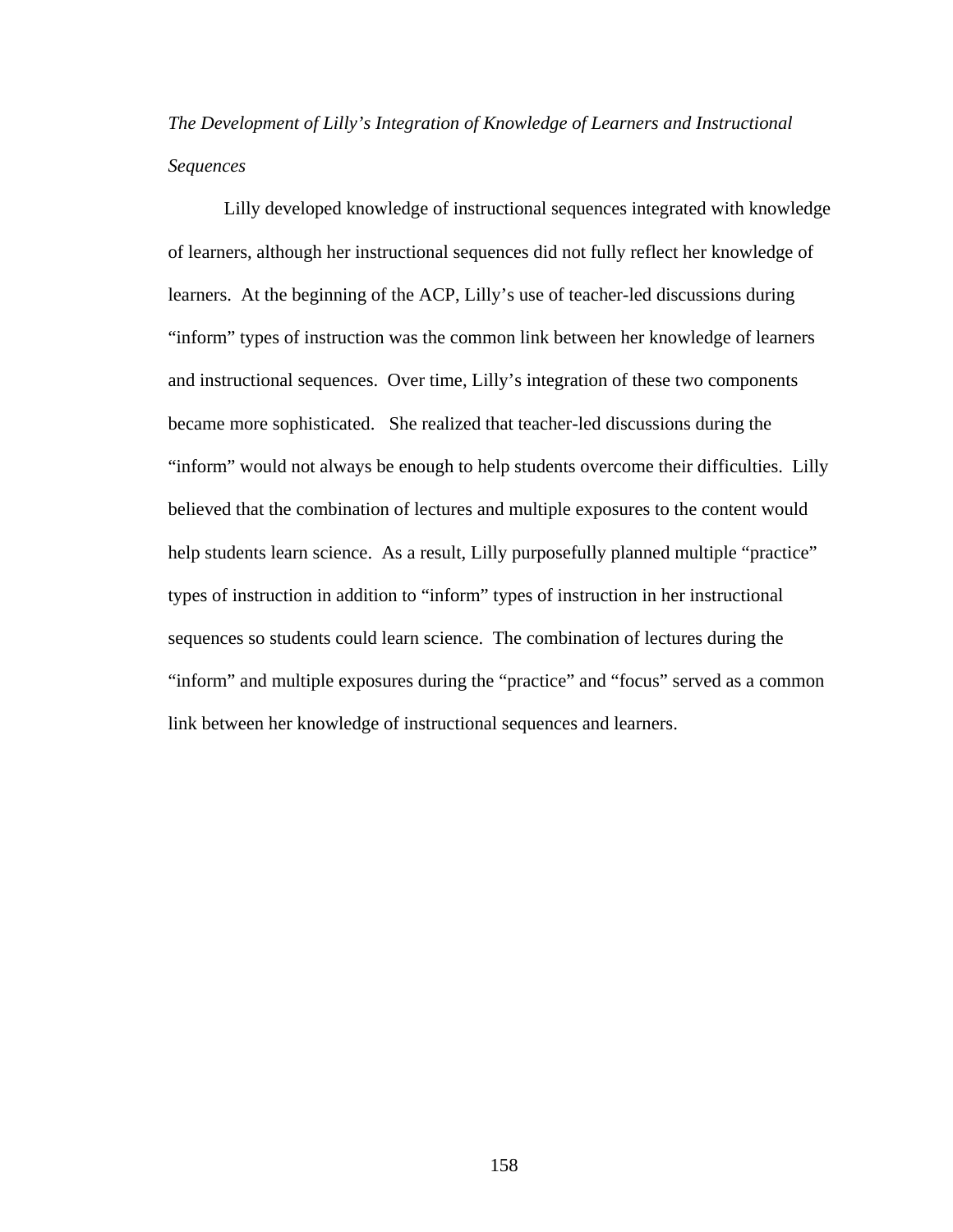*The Development of Lilly's Integration of Knowledge of Learners and Instructional Sequences* 

Lilly developed knowledge of instructional sequences integrated with knowledge of learners, although her instructional sequences did not fully reflect her knowledge of learners. At the beginning of the ACP, Lilly's use of teacher-led discussions during "inform" types of instruction was the common link between her knowledge of learners and instructional sequences. Over time, Lilly's integration of these two components became more sophisticated. She realized that teacher-led discussions during the "inform" would not always be enough to help students overcome their difficulties. Lilly believed that the combination of lectures and multiple exposures to the content would help students learn science. As a result, Lilly purposefully planned multiple "practice" types of instruction in addition to "inform" types of instruction in her instructional sequences so students could learn science. The combination of lectures during the "inform" and multiple exposures during the "practice" and "focus" served as a common link between her knowledge of instructional sequences and learners.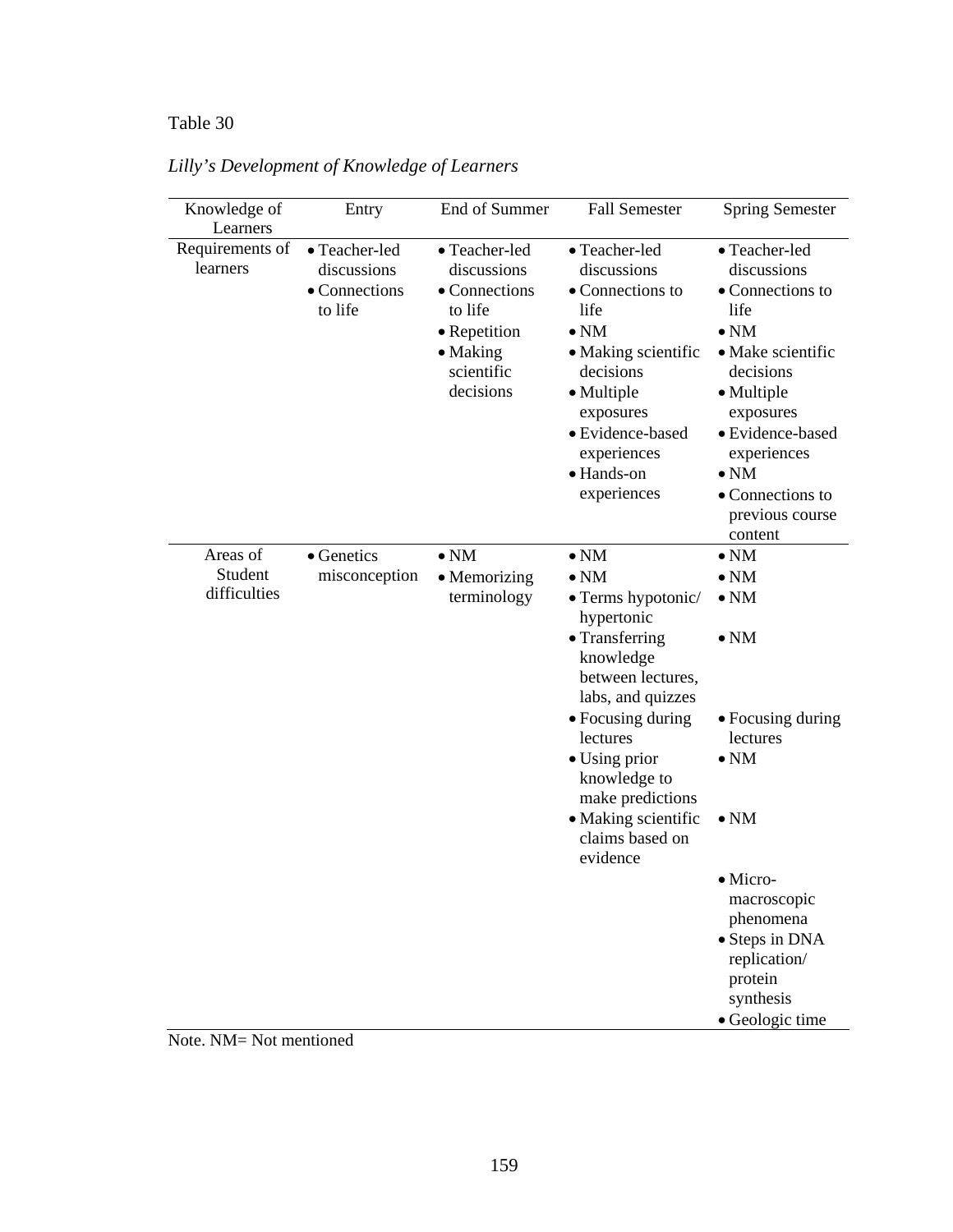# Table 30 *Lilly's Development of Knowledge of Learners*

| Knowledge of<br>Learners            | Entry                                                    | End of Summer                                                                                                   | <b>Fall Semester</b>                                                                                                                                                                                    | <b>Spring Semester</b>                                                                                                                                                                                                                     |
|-------------------------------------|----------------------------------------------------------|-----------------------------------------------------------------------------------------------------------------|---------------------------------------------------------------------------------------------------------------------------------------------------------------------------------------------------------|--------------------------------------------------------------------------------------------------------------------------------------------------------------------------------------------------------------------------------------------|
| Requirements of<br>learners         | • Teacher-led<br>discussions<br>• Connections<br>to life | • Teacher-led<br>discussions<br>• Connections<br>to life<br>• Repetition<br>• Making<br>scientific<br>decisions | • Teacher-led<br>discussions<br>• Connections to<br>life<br>$\bullet$ NM<br>• Making scientific<br>decisions<br>• Multiple<br>exposures<br>· Evidence-based<br>experiences<br>· Hands-on<br>experiences | • Teacher-led<br>discussions<br>• Connections to<br>life<br>$\bullet$ NM<br>• Make scientific<br>decisions<br>• Multiple<br>exposures<br>· Evidence-based<br>experiences<br>$\bullet$ NM<br>• Connections to<br>previous course<br>content |
| Areas of<br>Student<br>difficulties | • Genetics<br>misconception                              | $\bullet$ NM<br>$\bullet$ Memorizing<br>terminology                                                             | $\bullet$ NM<br>$\bullet$ NM<br>• Terms hypotonic/                                                                                                                                                      | $\bullet$ NM<br>$\bullet$ NM<br>$\bullet$ NM                                                                                                                                                                                               |
|                                     |                                                          |                                                                                                                 | hypertonic<br>• Transferring<br>knowledge<br>between lectures,<br>labs, and quizzes                                                                                                                     | $\bullet$ NM                                                                                                                                                                                                                               |
|                                     |                                                          |                                                                                                                 | • Focusing during<br>lectures<br>$\bullet$ Using prior<br>knowledge to<br>make predictions                                                                                                              | • Focusing during<br>lectures<br>$\bullet$ NM                                                                                                                                                                                              |
|                                     |                                                          |                                                                                                                 | • Making scientific<br>claims based on<br>evidence                                                                                                                                                      | $\bullet$ NM                                                                                                                                                                                                                               |
|                                     |                                                          |                                                                                                                 |                                                                                                                                                                                                         | $\bullet$ Micro-<br>macroscopic<br>phenomena<br>• Steps in DNA<br>replication/<br>protein<br>synthesis<br>· Geologic time                                                                                                                  |

*Lilly's Development of Knowledge of Learners* 

Note. NM= Not mentioned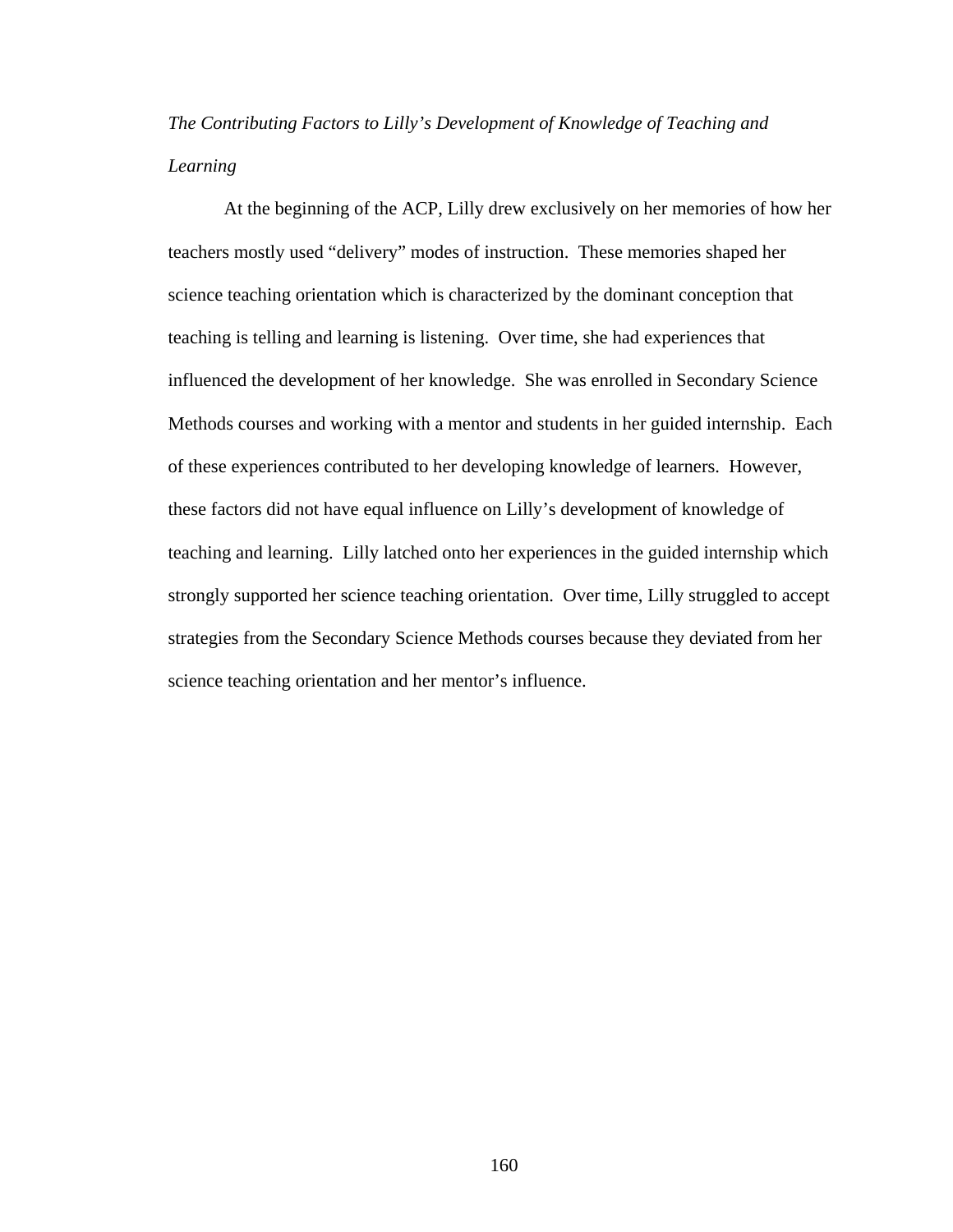# *The Contributing Factors to Lilly's Development of Knowledge of Teaching and Learning*

 At the beginning of the ACP, Lilly drew exclusively on her memories of how her teachers mostly used "delivery" modes of instruction. These memories shaped her science teaching orientation which is characterized by the dominant conception that teaching is telling and learning is listening. Over time, she had experiences that influenced the development of her knowledge. She was enrolled in Secondary Science Methods courses and working with a mentor and students in her guided internship. Each of these experiences contributed to her developing knowledge of learners. However, these factors did not have equal influence on Lilly's development of knowledge of teaching and learning. Lilly latched onto her experiences in the guided internship which strongly supported her science teaching orientation. Over time, Lilly struggled to accept strategies from the Secondary Science Methods courses because they deviated from her science teaching orientation and her mentor's influence.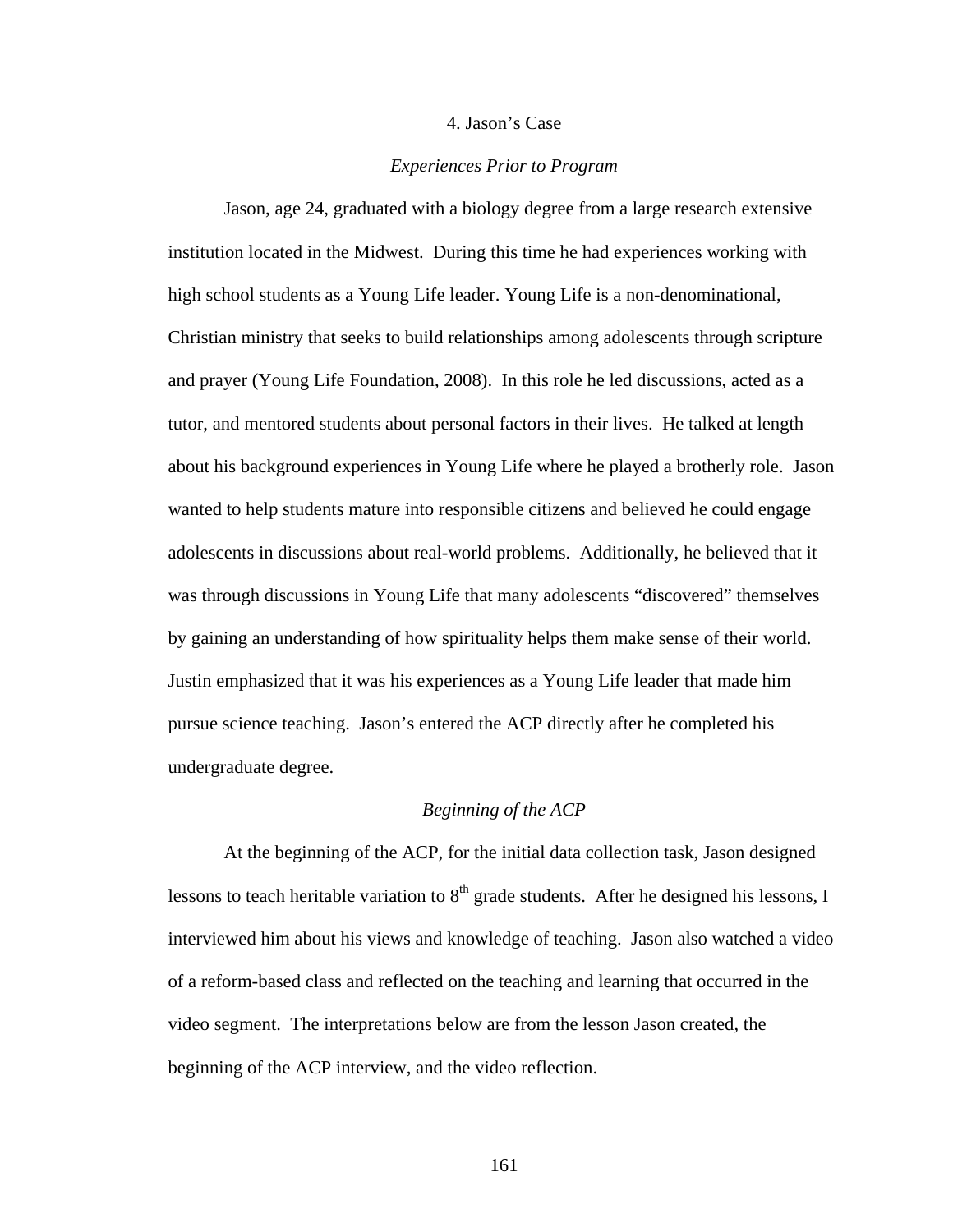#### 4. Jason's Case

#### *Experiences Prior to Program*

 Jason, age 24, graduated with a biology degree from a large research extensive institution located in the Midwest. During this time he had experiences working with high school students as a Young Life leader. Young Life is a non-denominational, Christian ministry that seeks to build relationships among adolescents through scripture and prayer (Young Life Foundation, 2008). In this role he led discussions, acted as a tutor, and mentored students about personal factors in their lives. He talked at length about his background experiences in Young Life where he played a brotherly role. Jason wanted to help students mature into responsible citizens and believed he could engage adolescents in discussions about real-world problems. Additionally, he believed that it was through discussions in Young Life that many adolescents "discovered" themselves by gaining an understanding of how spirituality helps them make sense of their world. Justin emphasized that it was his experiences as a Young Life leader that made him pursue science teaching. Jason's entered the ACP directly after he completed his undergraduate degree.

#### *Beginning of the ACP*

At the beginning of the ACP, for the initial data collection task, Jason designed lessons to teach heritable variation to  $8<sup>th</sup>$  grade students. After he designed his lessons, I interviewed him about his views and knowledge of teaching. Jason also watched a video of a reform-based class and reflected on the teaching and learning that occurred in the video segment. The interpretations below are from the lesson Jason created, the beginning of the ACP interview, and the video reflection.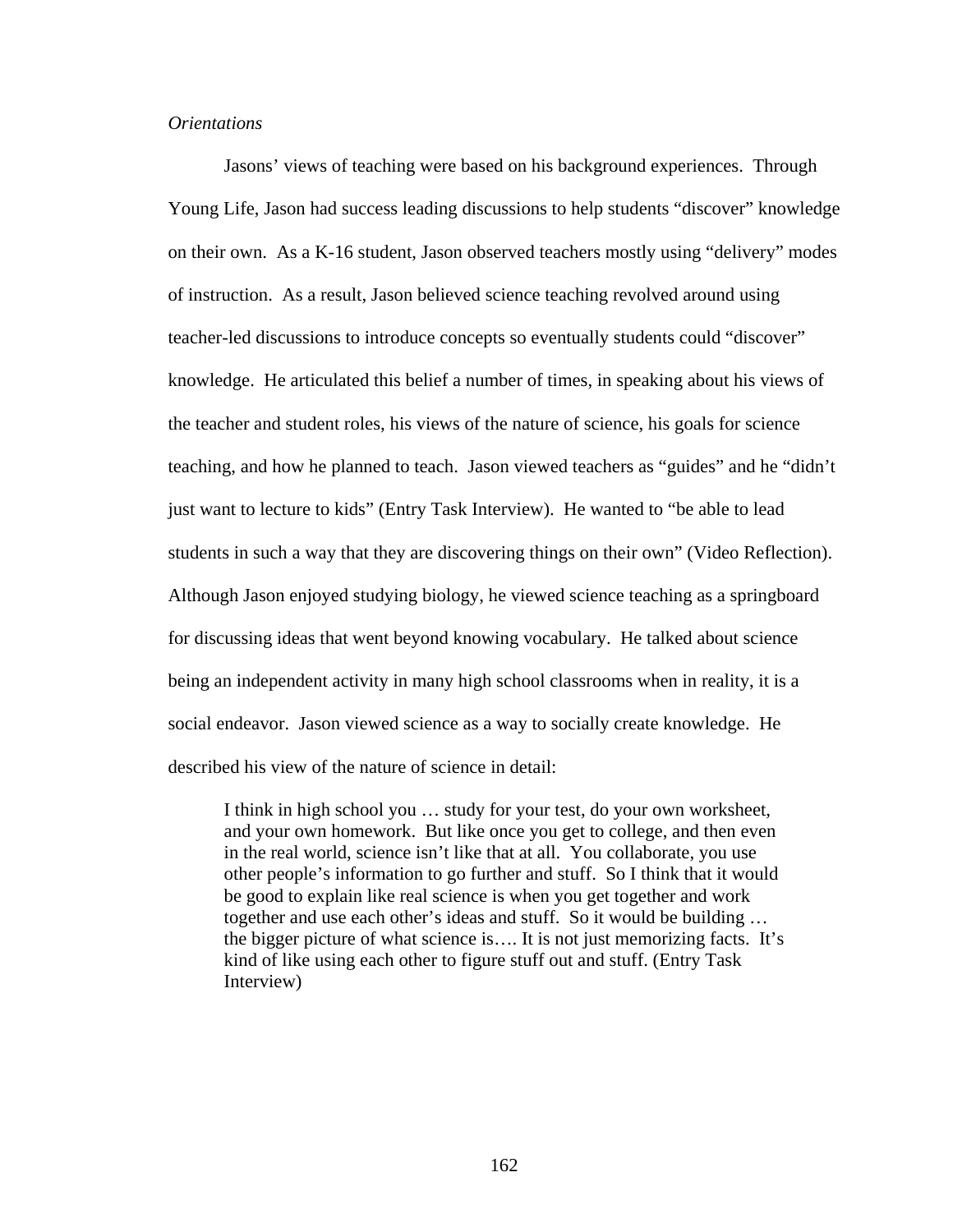#### *Orientations*

Jasons' views of teaching were based on his background experiences. Through Young Life, Jason had success leading discussions to help students "discover" knowledge on their own. As a K-16 student, Jason observed teachers mostly using "delivery" modes of instruction. As a result, Jason believed science teaching revolved around using teacher-led discussions to introduce concepts so eventually students could "discover" knowledge. He articulated this belief a number of times, in speaking about his views of the teacher and student roles, his views of the nature of science, his goals for science teaching, and how he planned to teach. Jason viewed teachers as "guides" and he "didn't just want to lecture to kids" (Entry Task Interview). He wanted to "be able to lead students in such a way that they are discovering things on their own" (Video Reflection). Although Jason enjoyed studying biology, he viewed science teaching as a springboard for discussing ideas that went beyond knowing vocabulary. He talked about science being an independent activity in many high school classrooms when in reality, it is a social endeavor. Jason viewed science as a way to socially create knowledge. He described his view of the nature of science in detail:

I think in high school you … study for your test, do your own worksheet, and your own homework. But like once you get to college, and then even in the real world, science isn't like that at all. You collaborate, you use other people's information to go further and stuff. So I think that it would be good to explain like real science is when you get together and work together and use each other's ideas and stuff. So it would be building … the bigger picture of what science is…. It is not just memorizing facts. It's kind of like using each other to figure stuff out and stuff. (Entry Task Interview)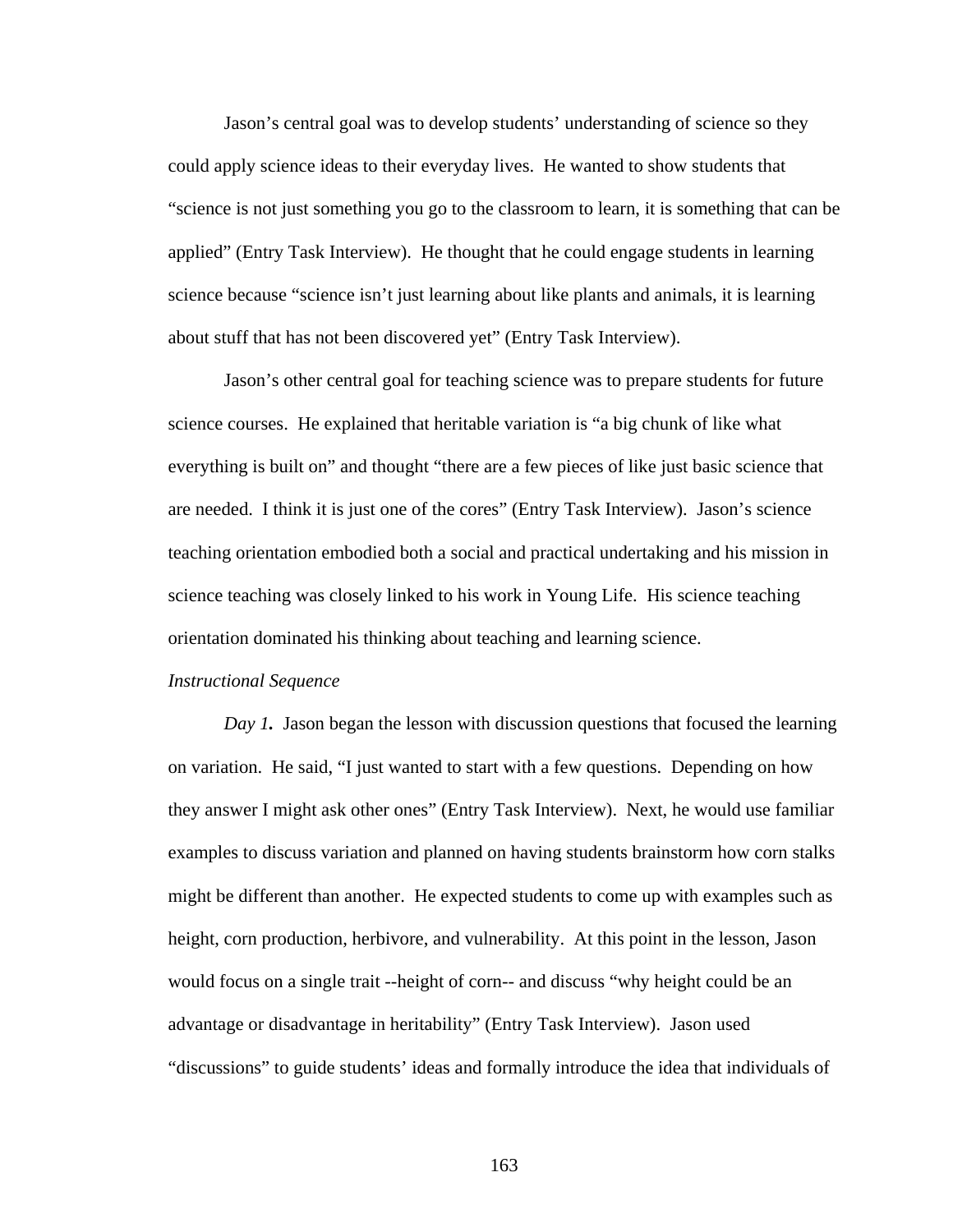Jason's central goal was to develop students' understanding of science so they could apply science ideas to their everyday lives. He wanted to show students that "science is not just something you go to the classroom to learn, it is something that can be applied" (Entry Task Interview). He thought that he could engage students in learning science because "science isn't just learning about like plants and animals, it is learning about stuff that has not been discovered yet" (Entry Task Interview).

Jason's other central goal for teaching science was to prepare students for future science courses. He explained that heritable variation is "a big chunk of like what everything is built on" and thought "there are a few pieces of like just basic science that are needed. I think it is just one of the cores" (Entry Task Interview). Jason's science teaching orientation embodied both a social and practical undertaking and his mission in science teaching was closely linked to his work in Young Life. His science teaching orientation dominated his thinking about teaching and learning science.

#### *Instructional Sequence*

*Day 1.* Jason began the lesson with discussion questions that focused the learning on variation. He said, "I just wanted to start with a few questions. Depending on how they answer I might ask other ones" (Entry Task Interview). Next, he would use familiar examples to discuss variation and planned on having students brainstorm how corn stalks might be different than another. He expected students to come up with examples such as height, corn production, herbivore, and vulnerability. At this point in the lesson, Jason would focus on a single trait --height of corn-- and discuss "why height could be an advantage or disadvantage in heritability" (Entry Task Interview). Jason used "discussions" to guide students' ideas and formally introduce the idea that individuals of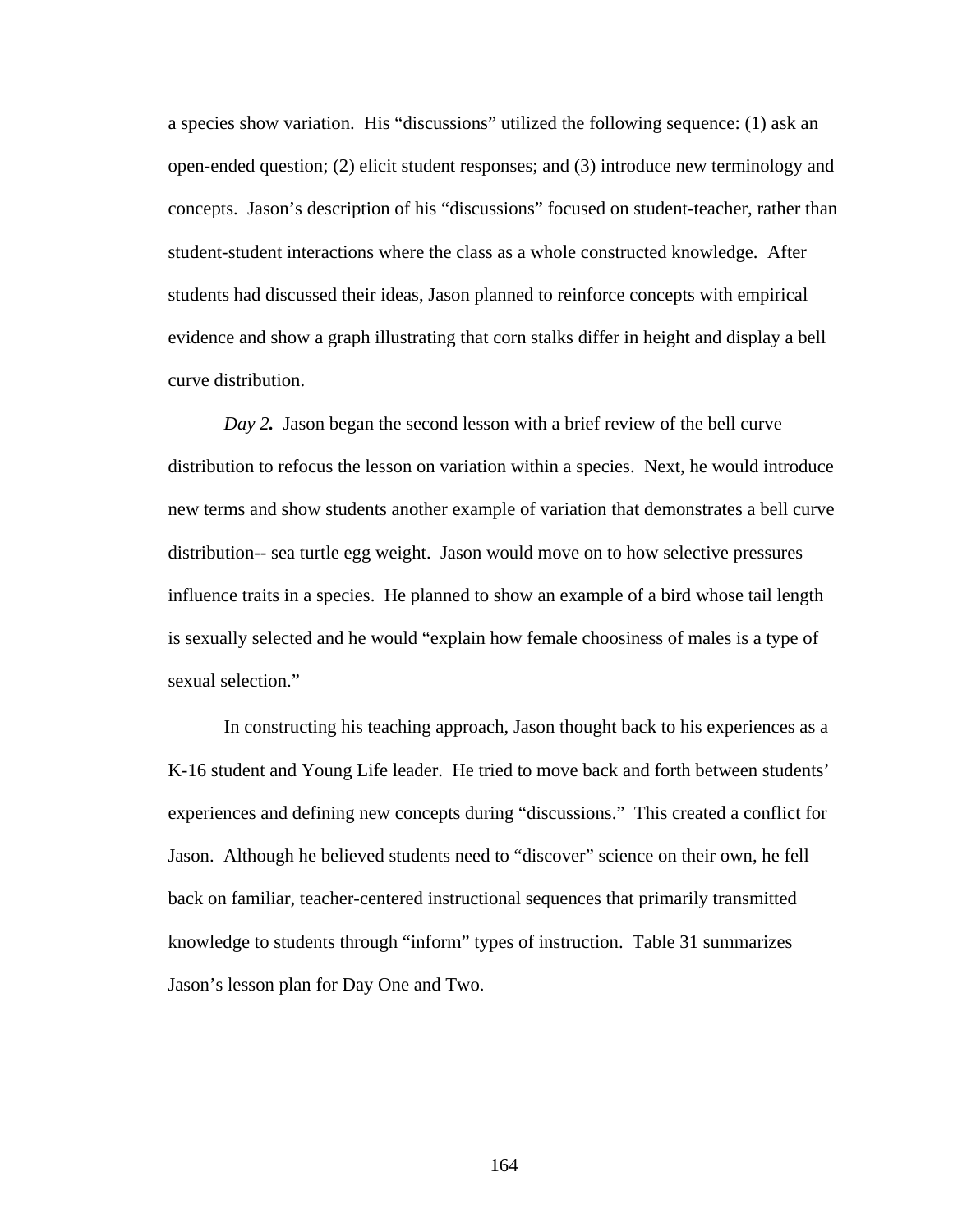a species show variation. His "discussions" utilized the following sequence: (1) ask an open-ended question; (2) elicit student responses; and (3) introduce new terminology and concepts. Jason's description of his "discussions" focused on student-teacher, rather than student-student interactions where the class as a whole constructed knowledge. After students had discussed their ideas, Jason planned to reinforce concepts with empirical evidence and show a graph illustrating that corn stalks differ in height and display a bell curve distribution.

*Day 2.* Jason began the second lesson with a brief review of the bell curve distribution to refocus the lesson on variation within a species. Next, he would introduce new terms and show students another example of variation that demonstrates a bell curve distribution-- sea turtle egg weight. Jason would move on to how selective pressures influence traits in a species. He planned to show an example of a bird whose tail length is sexually selected and he would "explain how female choosiness of males is a type of sexual selection."

In constructing his teaching approach, Jason thought back to his experiences as a K-16 student and Young Life leader. He tried to move back and forth between students' experiences and defining new concepts during "discussions." This created a conflict for Jason. Although he believed students need to "discover" science on their own, he fell back on familiar, teacher-centered instructional sequences that primarily transmitted knowledge to students through "inform" types of instruction. Table 31 summarizes Jason's lesson plan for Day One and Two.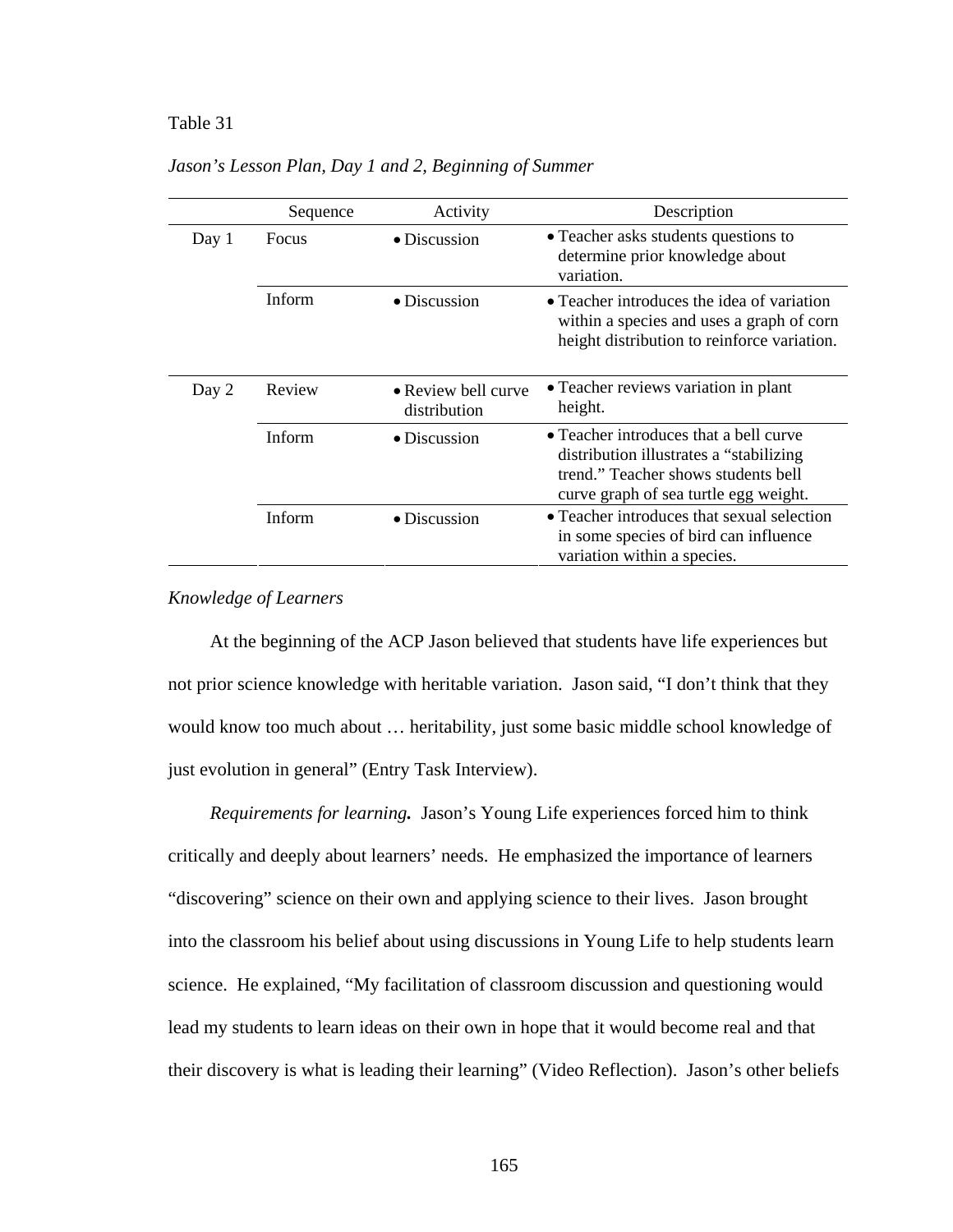### Table 31 *Jason's Lesson Plan, Day 1 and 2, Beginning of Summer*

|       | Sequence      | Activity                            | Description                                                                                                                                                        |
|-------|---------------|-------------------------------------|--------------------------------------------------------------------------------------------------------------------------------------------------------------------|
| Day 1 | Focus         | $\bullet$ Discussion                | • Teacher asks students questions to<br>determine prior knowledge about<br>variation.                                                                              |
|       | <b>Inform</b> | $\bullet$ Discussion                | • Teacher introduces the idea of variation<br>within a species and uses a graph of corn<br>height distribution to reinforce variation.                             |
| Day 2 | Review        | • Review bell curve<br>distribution | • Teacher reviews variation in plant<br>height.                                                                                                                    |
|       | Inform        | $\bullet$ Discussion                | • Teacher introduces that a bell curve<br>distribution illustrates a "stabilizing"<br>trend." Teacher shows students bell<br>curve graph of sea turtle egg weight. |
|       | Inform        | $\bullet$ Discussion                | • Teacher introduces that sexual selection<br>in some species of bird can influence<br>variation within a species.                                                 |

*Jason's Lesson Plan, Day 1 and 2, Beginning of Summer*

# *Knowledge of Learners*

At the beginning of the ACP Jason believed that students have life experiences but not prior science knowledge with heritable variation. Jason said, "I don't think that they would know too much about … heritability, just some basic middle school knowledge of just evolution in general" (Entry Task Interview).

*Requirements for learning.* Jason's Young Life experiences forced him to think critically and deeply about learners' needs. He emphasized the importance of learners "discovering" science on their own and applying science to their lives. Jason brought into the classroom his belief about using discussions in Young Life to help students learn science. He explained, "My facilitation of classroom discussion and questioning would lead my students to learn ideas on their own in hope that it would become real and that their discovery is what is leading their learning" (Video Reflection). Jason's other beliefs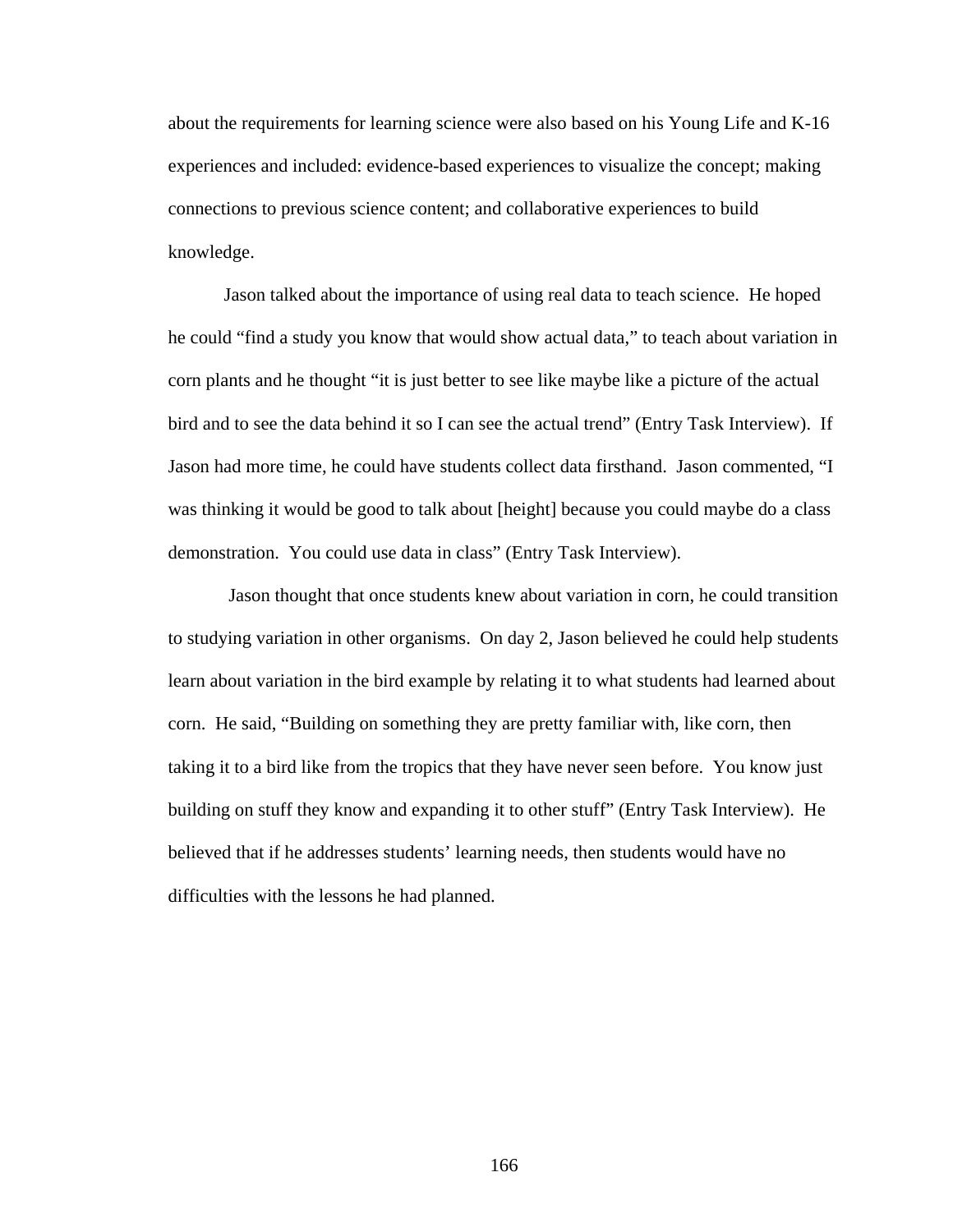about the requirements for learning science were also based on his Young Life and K-16 experiences and included: evidence-based experiences to visualize the concept; making connections to previous science content; and collaborative experiences to build knowledge.

Jason talked about the importance of using real data to teach science. He hoped he could "find a study you know that would show actual data," to teach about variation in corn plants and he thought "it is just better to see like maybe like a picture of the actual bird and to see the data behind it so I can see the actual trend" (Entry Task Interview). If Jason had more time, he could have students collect data firsthand. Jason commented, "I was thinking it would be good to talk about [height] because you could maybe do a class demonstration. You could use data in class" (Entry Task Interview).

 Jason thought that once students knew about variation in corn, he could transition to studying variation in other organisms. On day 2, Jason believed he could help students learn about variation in the bird example by relating it to what students had learned about corn. He said, "Building on something they are pretty familiar with, like corn, then taking it to a bird like from the tropics that they have never seen before. You know just building on stuff they know and expanding it to other stuff" (Entry Task Interview). He believed that if he addresses students' learning needs, then students would have no difficulties with the lessons he had planned.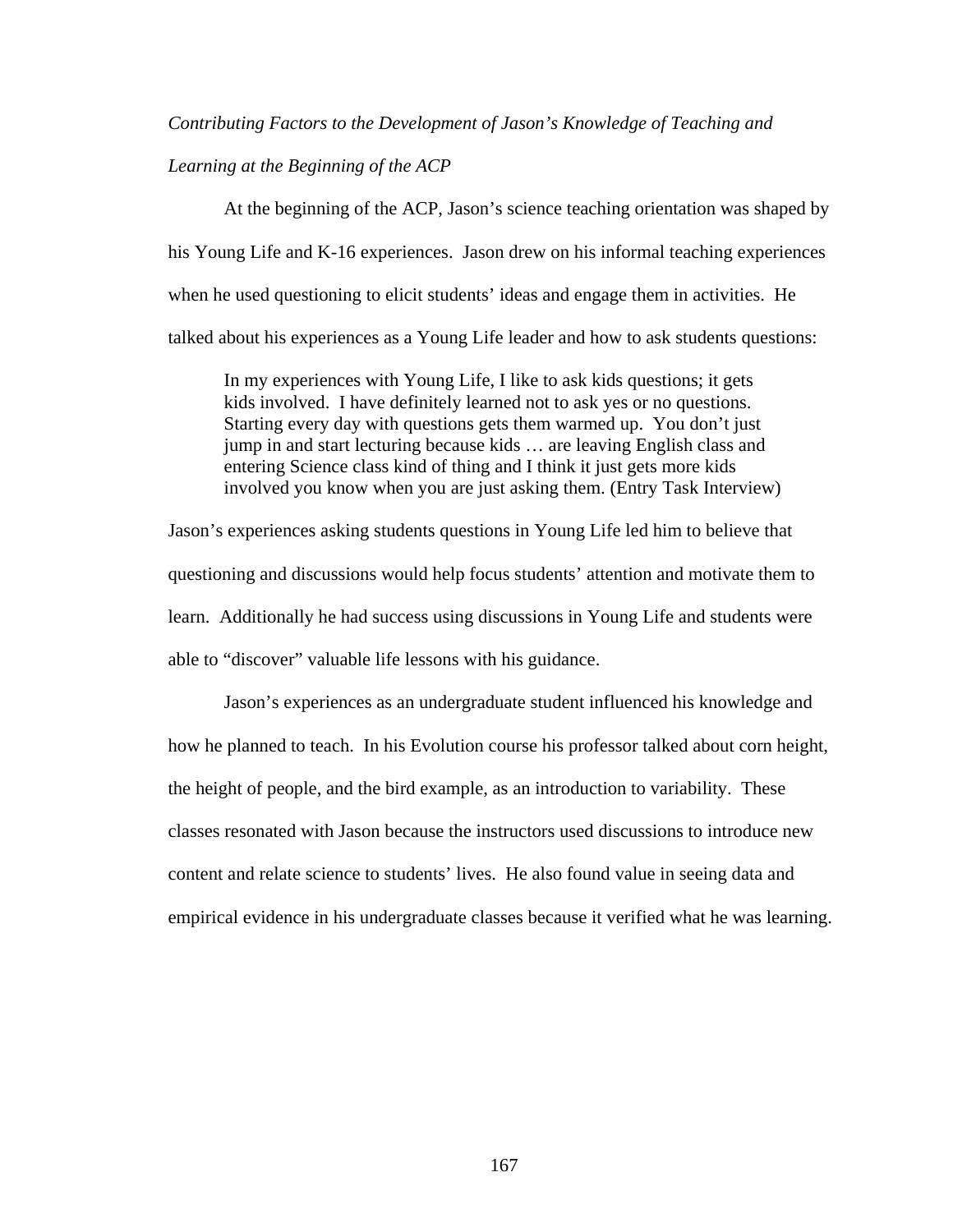## *Contributing Factors to the Development of Jason's Knowledge of Teaching and*

### *Learning at the Beginning of the ACP*

At the beginning of the ACP, Jason's science teaching orientation was shaped by his Young Life and K-16 experiences. Jason drew on his informal teaching experiences when he used questioning to elicit students' ideas and engage them in activities. He talked about his experiences as a Young Life leader and how to ask students questions:

In my experiences with Young Life, I like to ask kids questions; it gets kids involved. I have definitely learned not to ask yes or no questions. Starting every day with questions gets them warmed up. You don't just jump in and start lecturing because kids … are leaving English class and entering Science class kind of thing and I think it just gets more kids involved you know when you are just asking them. (Entry Task Interview)

Jason's experiences asking students questions in Young Life led him to believe that questioning and discussions would help focus students' attention and motivate them to learn. Additionally he had success using discussions in Young Life and students were able to "discover" valuable life lessons with his guidance.

Jason's experiences as an undergraduate student influenced his knowledge and how he planned to teach. In his Evolution course his professor talked about corn height, the height of people, and the bird example, as an introduction to variability. These classes resonated with Jason because the instructors used discussions to introduce new content and relate science to students' lives. He also found value in seeing data and empirical evidence in his undergraduate classes because it verified what he was learning.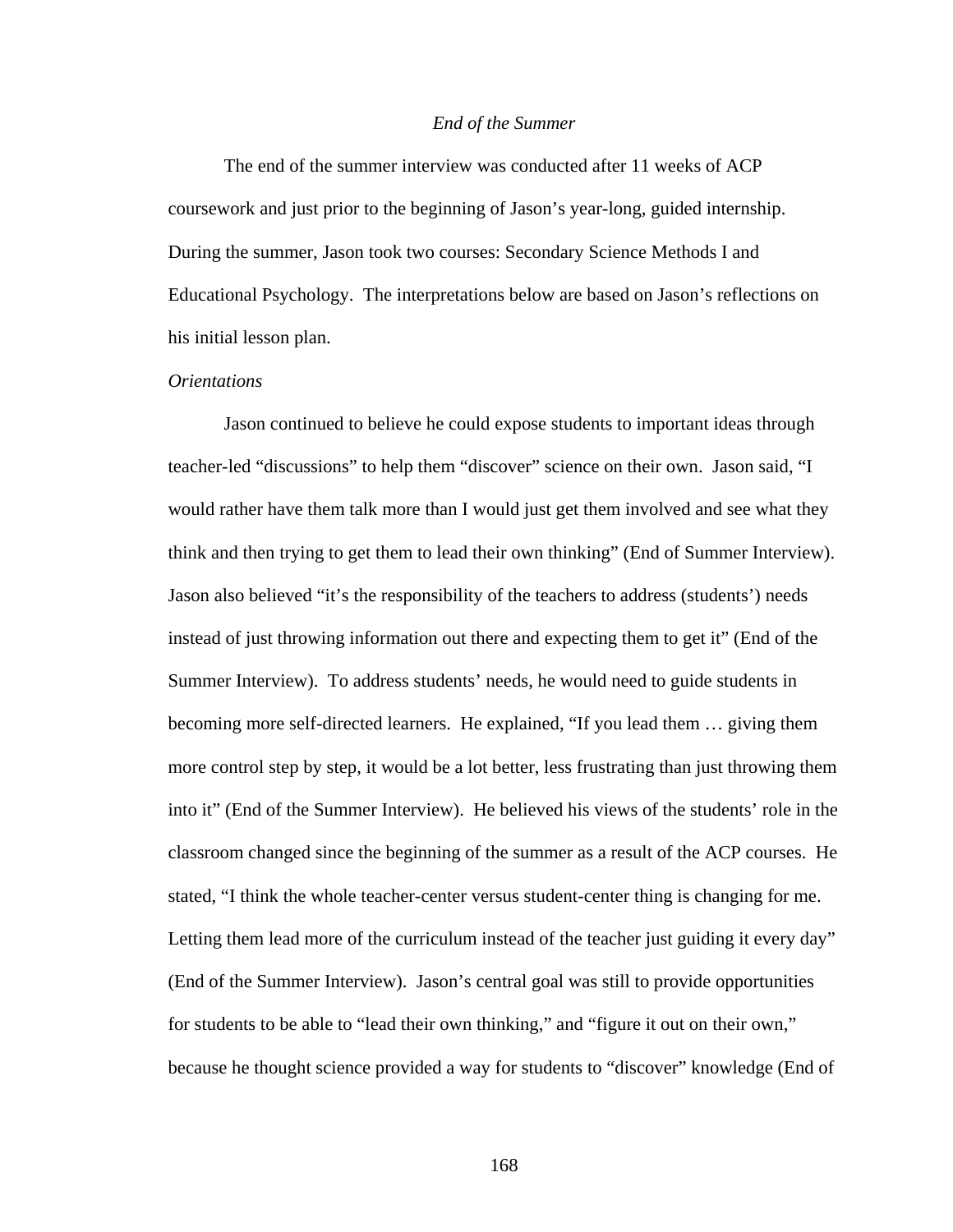#### *End of the Summer*

The end of the summer interview was conducted after 11 weeks of ACP coursework and just prior to the beginning of Jason's year-long, guided internship. During the summer, Jason took two courses: Secondary Science Methods I and Educational Psychology. The interpretations below are based on Jason's reflections on his initial lesson plan.

#### *Orientations*

Jason continued to believe he could expose students to important ideas through teacher-led "discussions" to help them "discover" science on their own. Jason said, "I would rather have them talk more than I would just get them involved and see what they think and then trying to get them to lead their own thinking" (End of Summer Interview). Jason also believed "it's the responsibility of the teachers to address (students') needs instead of just throwing information out there and expecting them to get it" (End of the Summer Interview). To address students' needs, he would need to guide students in becoming more self-directed learners. He explained, "If you lead them … giving them more control step by step, it would be a lot better, less frustrating than just throwing them into it" (End of the Summer Interview). He believed his views of the students' role in the classroom changed since the beginning of the summer as a result of the ACP courses. He stated, "I think the whole teacher-center versus student-center thing is changing for me. Letting them lead more of the curriculum instead of the teacher just guiding it every day" (End of the Summer Interview). Jason's central goal was still to provide opportunities for students to be able to "lead their own thinking," and "figure it out on their own," because he thought science provided a way for students to "discover" knowledge (End of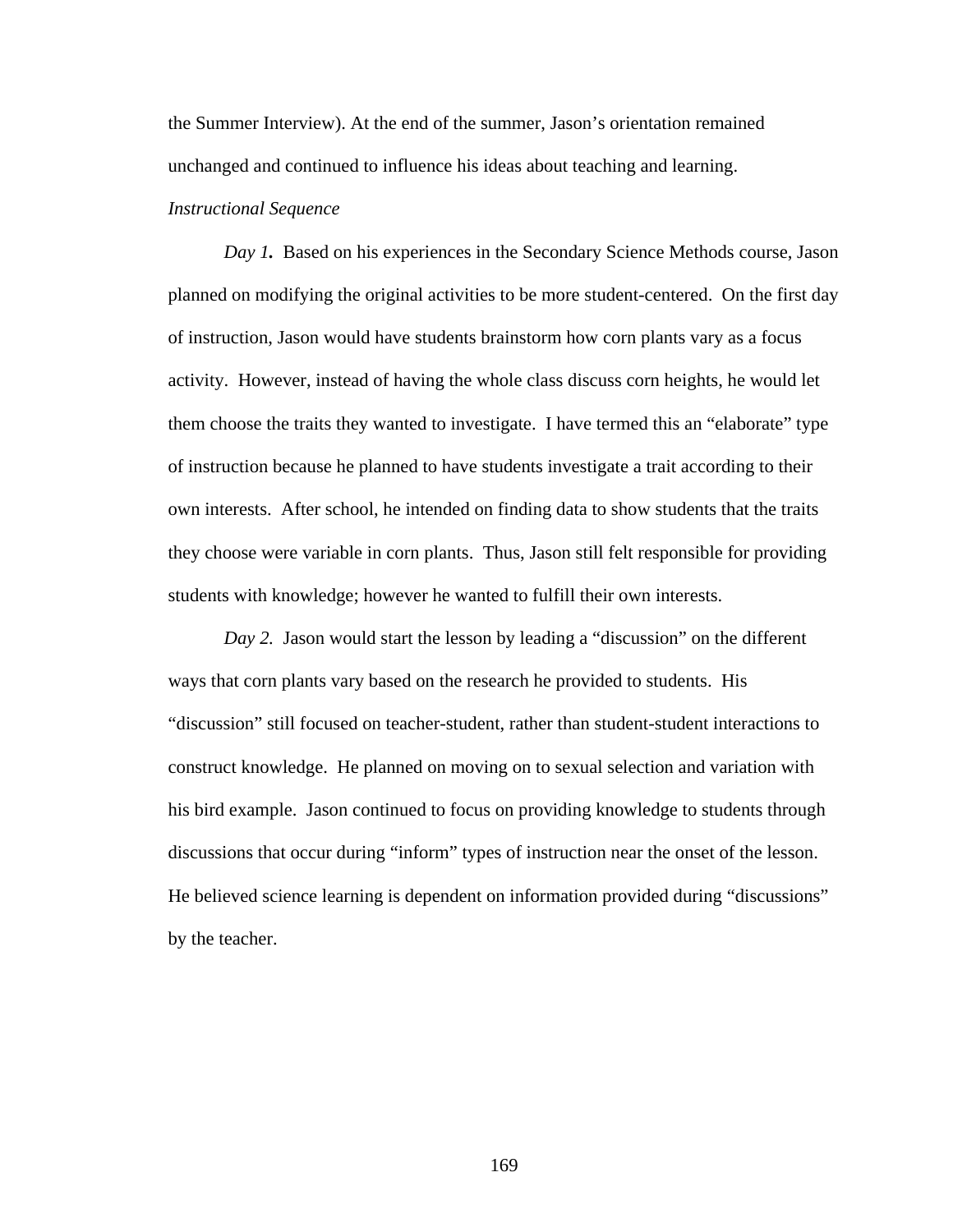the Summer Interview). At the end of the summer, Jason's orientation remained unchanged and continued to influence his ideas about teaching and learning.

# *Instructional Sequence*

*Day 1*. Based on his experiences in the Secondary Science Methods course, Jason planned on modifying the original activities to be more student-centered. On the first day of instruction, Jason would have students brainstorm how corn plants vary as a focus activity. However, instead of having the whole class discuss corn heights, he would let them choose the traits they wanted to investigate. I have termed this an "elaborate" type of instruction because he planned to have students investigate a trait according to their own interests. After school, he intended on finding data to show students that the traits they choose were variable in corn plants. Thus, Jason still felt responsible for providing students with knowledge; however he wanted to fulfill their own interests.

*Day 2.* Jason would start the lesson by leading a "discussion" on the different ways that corn plants vary based on the research he provided to students. His "discussion" still focused on teacher-student, rather than student-student interactions to construct knowledge. He planned on moving on to sexual selection and variation with his bird example. Jason continued to focus on providing knowledge to students through discussions that occur during "inform" types of instruction near the onset of the lesson. He believed science learning is dependent on information provided during "discussions" by the teacher.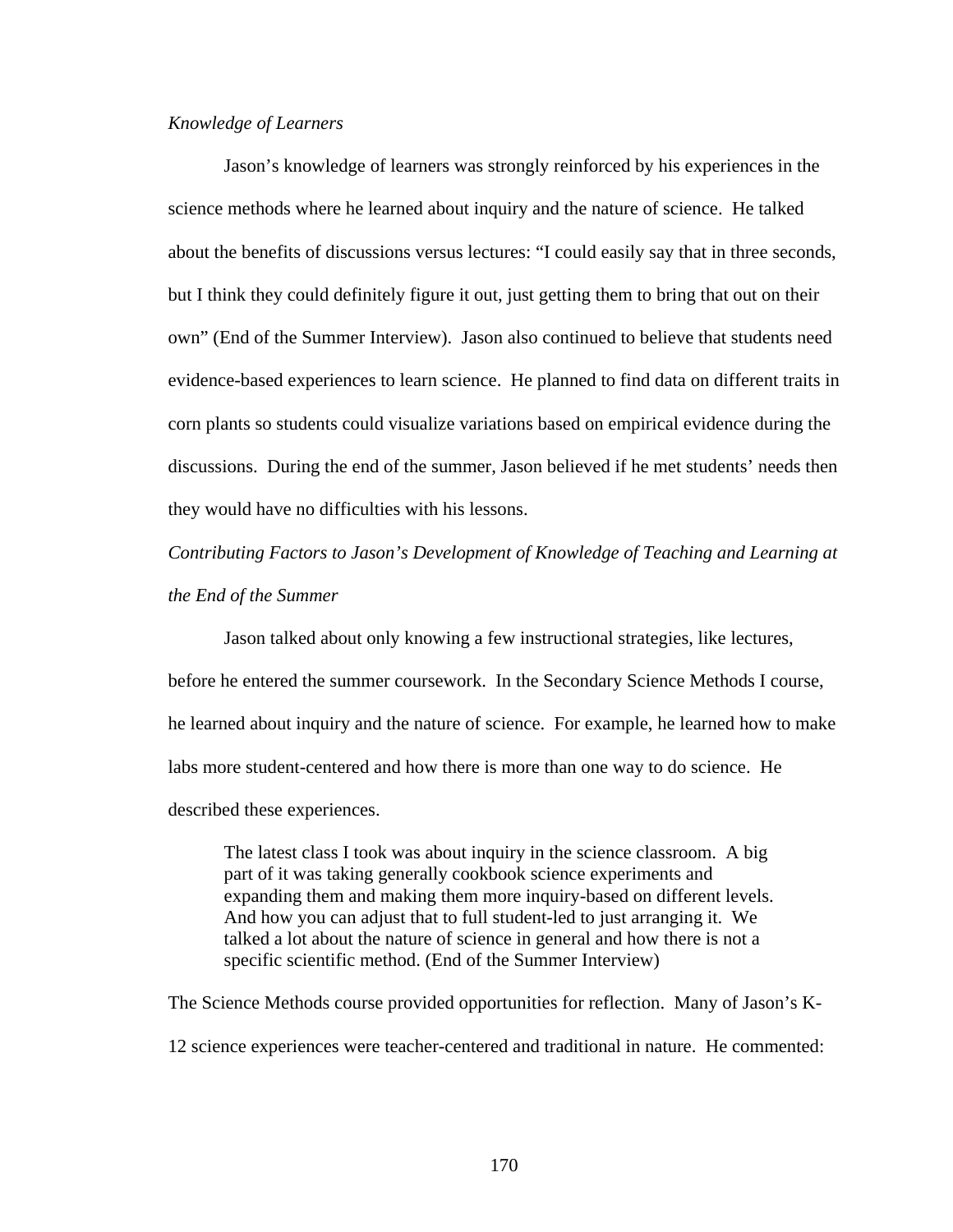#### *Knowledge of Learners*

Jason's knowledge of learners was strongly reinforced by his experiences in the science methods where he learned about inquiry and the nature of science. He talked about the benefits of discussions versus lectures: "I could easily say that in three seconds, but I think they could definitely figure it out, just getting them to bring that out on their own" (End of the Summer Interview). Jason also continued to believe that students need evidence-based experiences to learn science. He planned to find data on different traits in corn plants so students could visualize variations based on empirical evidence during the discussions. During the end of the summer, Jason believed if he met students' needs then they would have no difficulties with his lessons.

*Contributing Factors to Jason's Development of Knowledge of Teaching and Learning at the End of the Summer* 

Jason talked about only knowing a few instructional strategies, like lectures, before he entered the summer coursework. In the Secondary Science Methods I course, he learned about inquiry and the nature of science. For example, he learned how to make labs more student-centered and how there is more than one way to do science. He described these experiences.

The latest class I took was about inquiry in the science classroom. A big part of it was taking generally cookbook science experiments and expanding them and making them more inquiry-based on different levels. And how you can adjust that to full student-led to just arranging it. We talked a lot about the nature of science in general and how there is not a specific scientific method. (End of the Summer Interview)

The Science Methods course provided opportunities for reflection. Many of Jason's K-12 science experiences were teacher-centered and traditional in nature. He commented: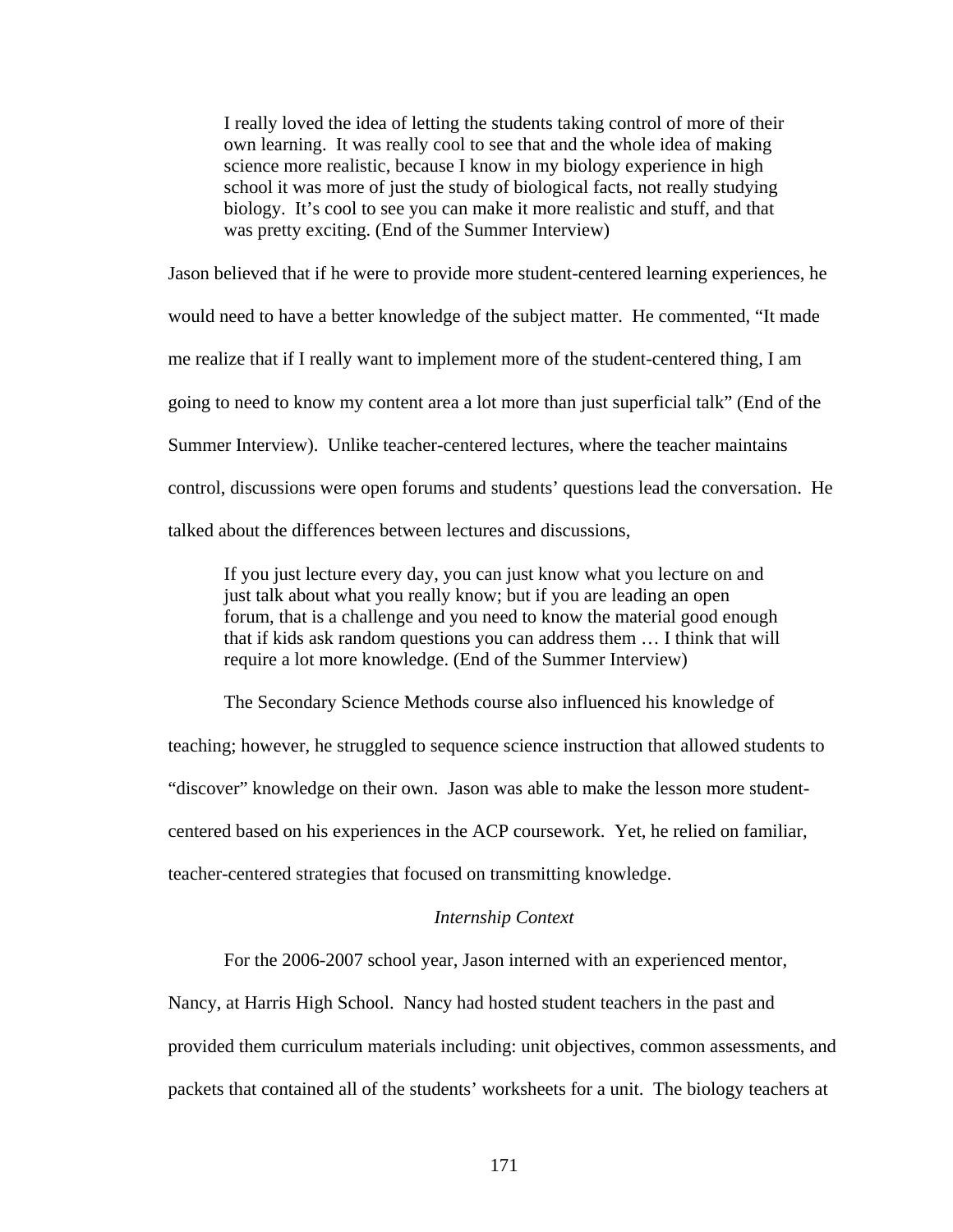I really loved the idea of letting the students taking control of more of their own learning. It was really cool to see that and the whole idea of making science more realistic, because I know in my biology experience in high school it was more of just the study of biological facts, not really studying biology. It's cool to see you can make it more realistic and stuff, and that was pretty exciting. (End of the Summer Interview)

Jason believed that if he were to provide more student-centered learning experiences, he would need to have a better knowledge of the subject matter. He commented, "It made me realize that if I really want to implement more of the student-centered thing, I am going to need to know my content area a lot more than just superficial talk" (End of the Summer Interview). Unlike teacher-centered lectures, where the teacher maintains control, discussions were open forums and students' questions lead the conversation. He talked about the differences between lectures and discussions,

If you just lecture every day, you can just know what you lecture on and just talk about what you really know; but if you are leading an open forum, that is a challenge and you need to know the material good enough that if kids ask random questions you can address them … I think that will require a lot more knowledge. (End of the Summer Interview)

The Secondary Science Methods course also influenced his knowledge of teaching; however, he struggled to sequence science instruction that allowed students to "discover" knowledge on their own. Jason was able to make the lesson more studentcentered based on his experiences in the ACP coursework. Yet, he relied on familiar, teacher-centered strategies that focused on transmitting knowledge.

### *Internship Context*

For the 2006-2007 school year, Jason interned with an experienced mentor,

Nancy, at Harris High School. Nancy had hosted student teachers in the past and

provided them curriculum materials including: unit objectives, common assessments, and

packets that contained all of the students' worksheets for a unit. The biology teachers at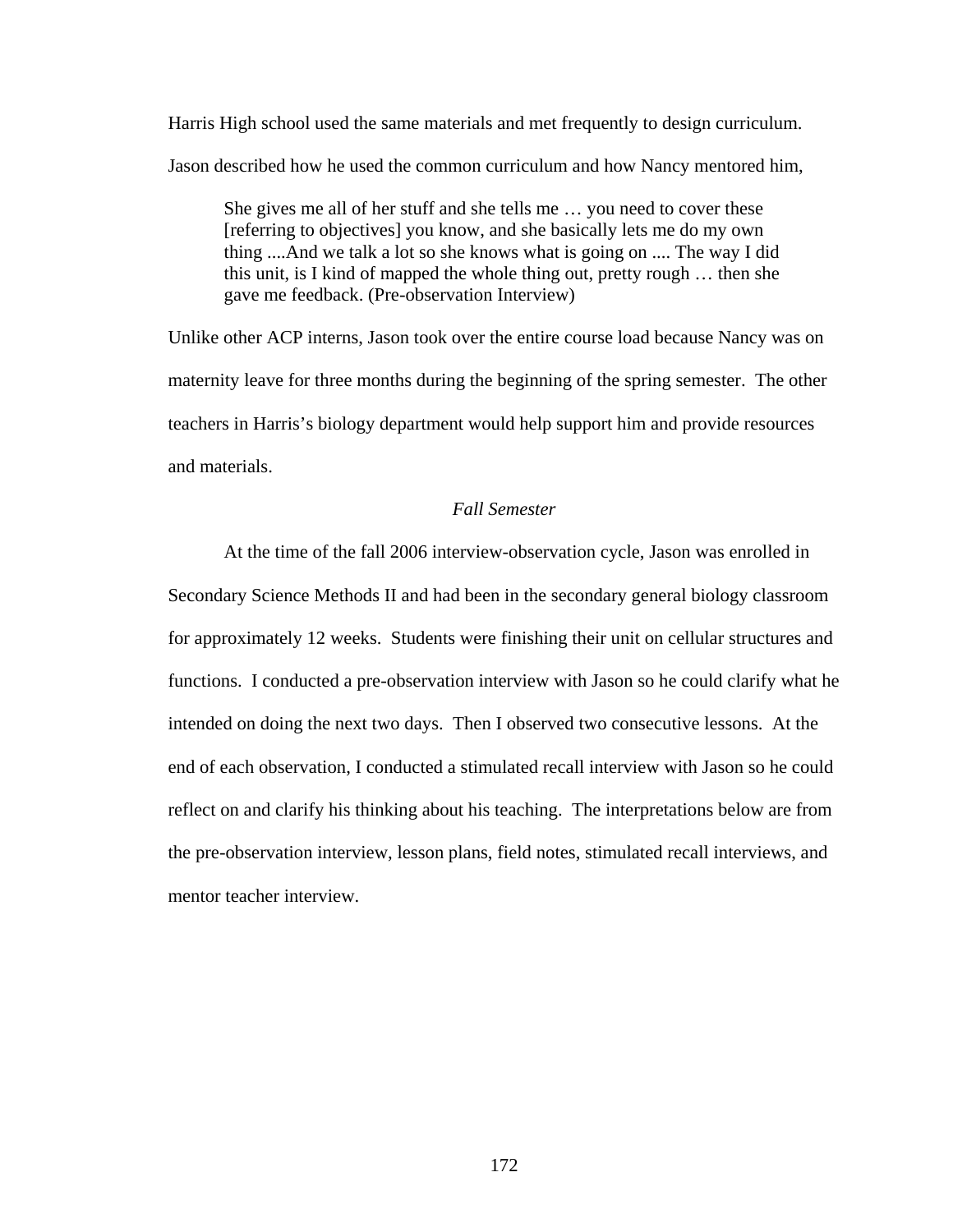Harris High school used the same materials and met frequently to design curriculum. Jason described how he used the common curriculum and how Nancy mentored him,

She gives me all of her stuff and she tells me … you need to cover these [referring to objectives] you know, and she basically lets me do my own thing ....And we talk a lot so she knows what is going on .... The way I did this unit, is I kind of mapped the whole thing out, pretty rough … then she gave me feedback. (Pre-observation Interview)

Unlike other ACP interns, Jason took over the entire course load because Nancy was on maternity leave for three months during the beginning of the spring semester. The other teachers in Harris's biology department would help support him and provide resources and materials.

## *Fall Semester*

At the time of the fall 2006 interview-observation cycle, Jason was enrolled in Secondary Science Methods II and had been in the secondary general biology classroom for approximately 12 weeks. Students were finishing their unit on cellular structures and functions. I conducted a pre-observation interview with Jason so he could clarify what he intended on doing the next two days. Then I observed two consecutive lessons. At the end of each observation, I conducted a stimulated recall interview with Jason so he could reflect on and clarify his thinking about his teaching. The interpretations below are from the pre-observation interview, lesson plans, field notes, stimulated recall interviews, and mentor teacher interview.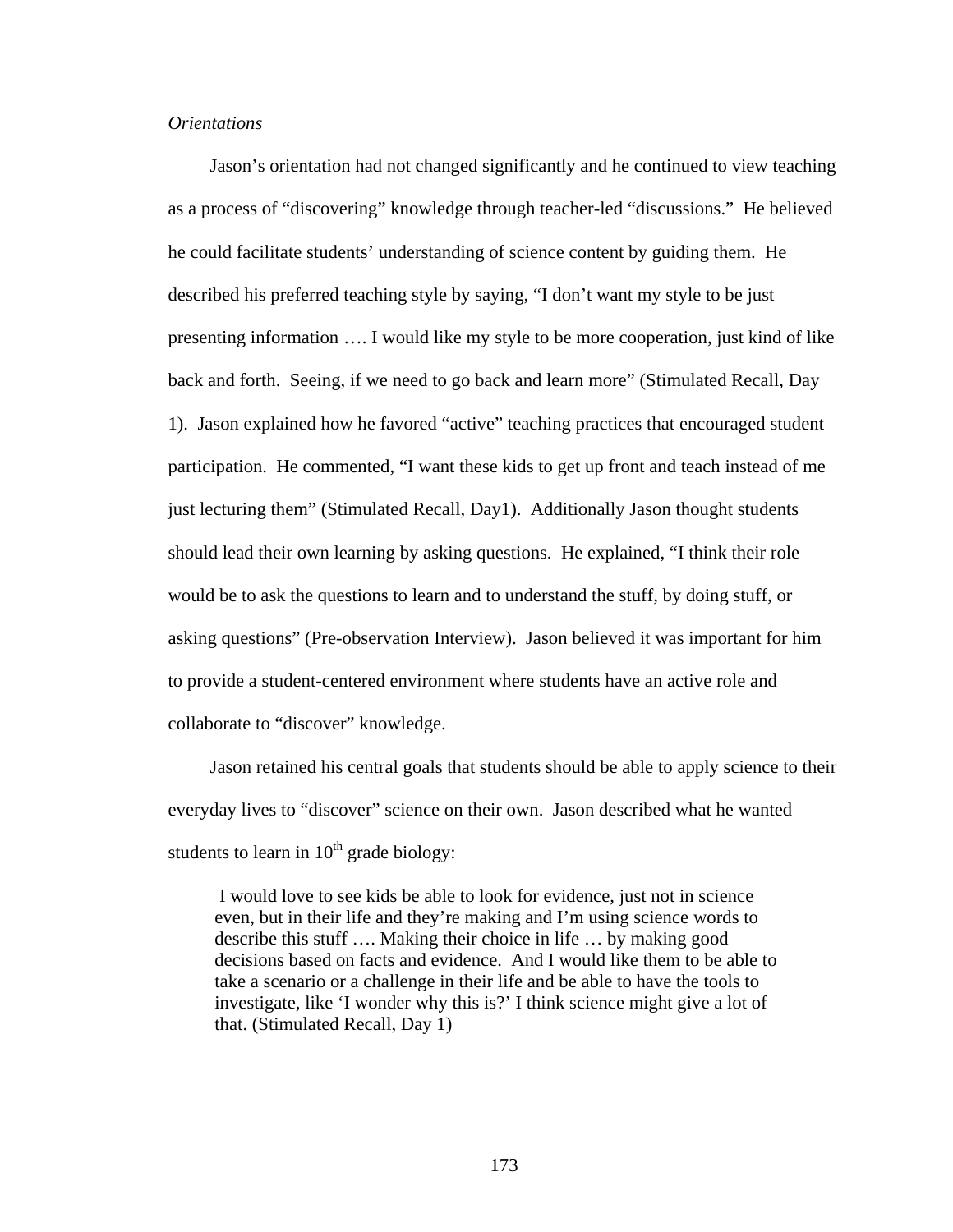#### *Orientations*

Jason's orientation had not changed significantly and he continued to view teaching as a process of "discovering" knowledge through teacher-led "discussions." He believed he could facilitate students' understanding of science content by guiding them. He described his preferred teaching style by saying, "I don't want my style to be just presenting information …. I would like my style to be more cooperation, just kind of like back and forth. Seeing, if we need to go back and learn more" (Stimulated Recall, Day 1). Jason explained how he favored "active" teaching practices that encouraged student participation. He commented, "I want these kids to get up front and teach instead of me just lecturing them" (Stimulated Recall, Day1). Additionally Jason thought students should lead their own learning by asking questions. He explained, "I think their role would be to ask the questions to learn and to understand the stuff, by doing stuff, or asking questions" (Pre-observation Interview). Jason believed it was important for him to provide a student-centered environment where students have an active role and collaborate to "discover" knowledge.

Jason retained his central goals that students should be able to apply science to their everyday lives to "discover" science on their own. Jason described what he wanted students to learn in  $10<sup>th</sup>$  grade biology:

 I would love to see kids be able to look for evidence, just not in science even, but in their life and they're making and I'm using science words to describe this stuff …. Making their choice in life … by making good decisions based on facts and evidence. And I would like them to be able to take a scenario or a challenge in their life and be able to have the tools to investigate, like 'I wonder why this is?' I think science might give a lot of that. (Stimulated Recall, Day 1)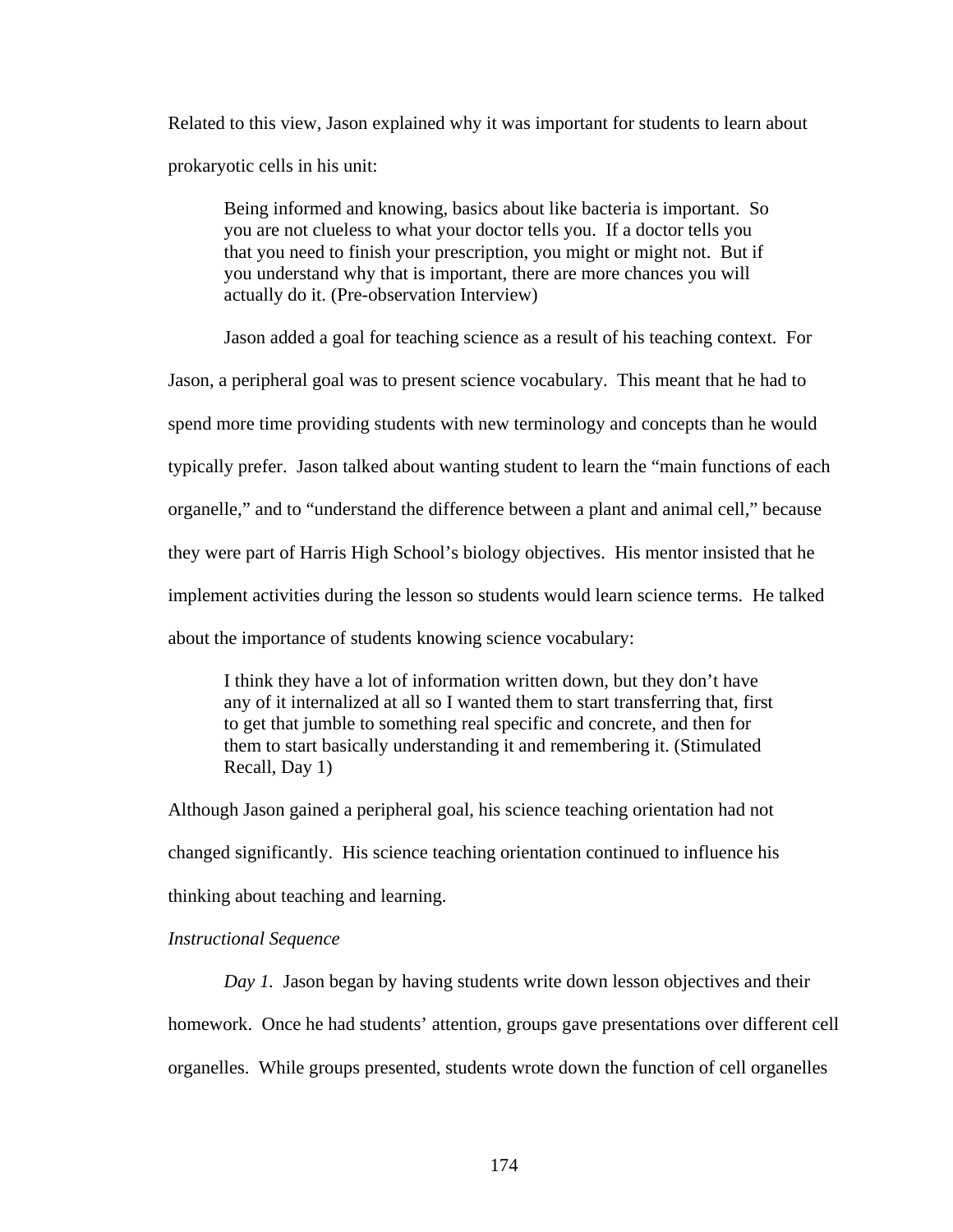Related to this view, Jason explained why it was important for students to learn about prokaryotic cells in his unit:

Being informed and knowing, basics about like bacteria is important. So you are not clueless to what your doctor tells you. If a doctor tells you that you need to finish your prescription, you might or might not. But if you understand why that is important, there are more chances you will actually do it. (Pre-observation Interview)

Jason added a goal for teaching science as a result of his teaching context. For

Jason, a peripheral goal was to present science vocabulary. This meant that he had to spend more time providing students with new terminology and concepts than he would typically prefer. Jason talked about wanting student to learn the "main functions of each organelle," and to "understand the difference between a plant and animal cell," because they were part of Harris High School's biology objectives. His mentor insisted that he implement activities during the lesson so students would learn science terms. He talked about the importance of students knowing science vocabulary:

I think they have a lot of information written down, but they don't have any of it internalized at all so I wanted them to start transferring that, first to get that jumble to something real specific and concrete, and then for them to start basically understanding it and remembering it. (Stimulated Recall, Day 1)

Although Jason gained a peripheral goal, his science teaching orientation had not changed significantly. His science teaching orientation continued to influence his thinking about teaching and learning.

#### *Instructional Sequence*

*Day 1.* Jason began by having students write down lesson objectives and their homework. Once he had students' attention, groups gave presentations over different cell organelles. While groups presented, students wrote down the function of cell organelles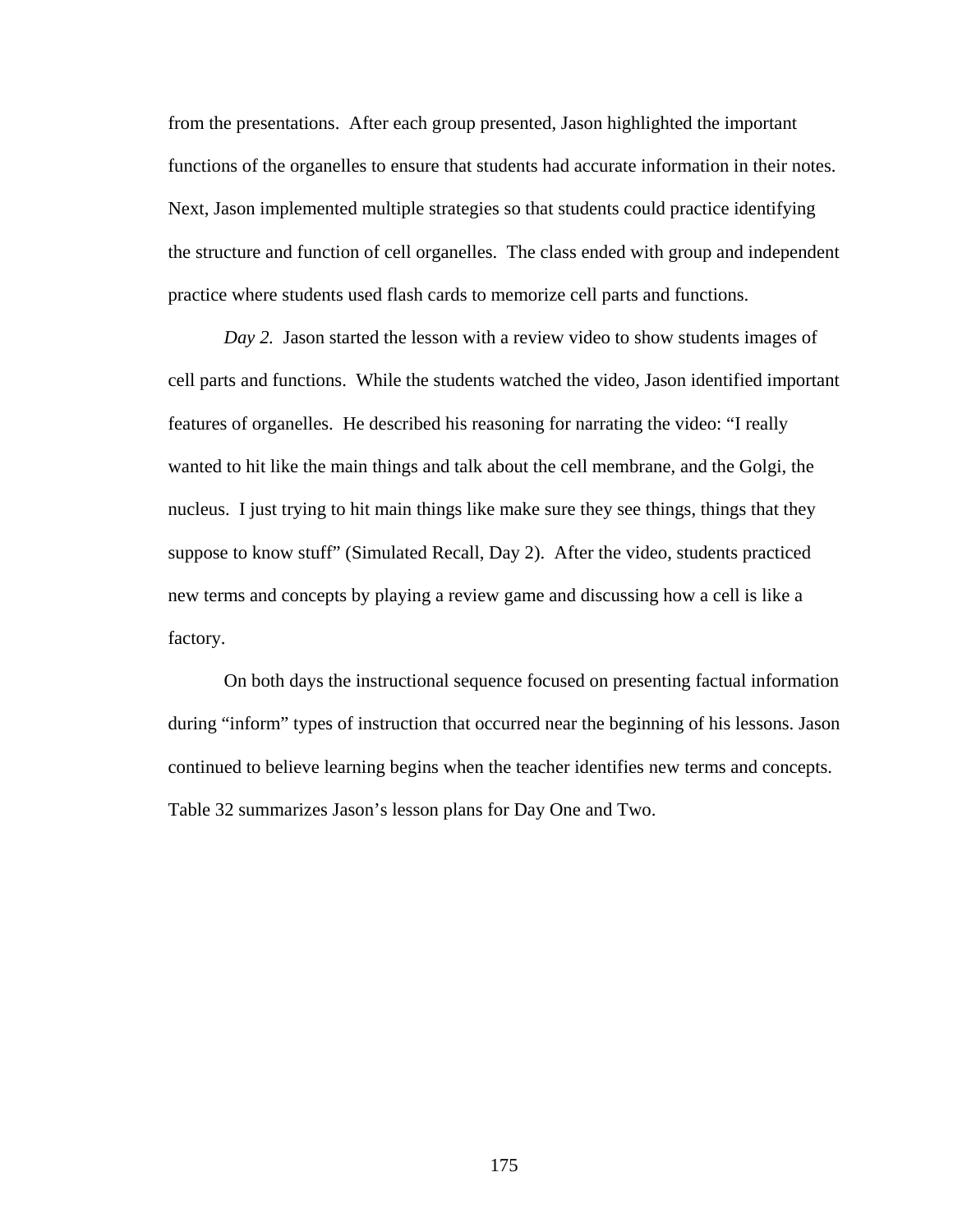from the presentations. After each group presented, Jason highlighted the important functions of the organelles to ensure that students had accurate information in their notes. Next, Jason implemented multiple strategies so that students could practice identifying the structure and function of cell organelles. The class ended with group and independent practice where students used flash cards to memorize cell parts and functions.

*Day 2.* Jason started the lesson with a review video to show students images of cell parts and functions. While the students watched the video, Jason identified important features of organelles. He described his reasoning for narrating the video: "I really wanted to hit like the main things and talk about the cell membrane, and the Golgi, the nucleus. I just trying to hit main things like make sure they see things, things that they suppose to know stuff" (Simulated Recall, Day 2). After the video, students practiced new terms and concepts by playing a review game and discussing how a cell is like a factory.

On both days the instructional sequence focused on presenting factual information during "inform" types of instruction that occurred near the beginning of his lessons. Jason continued to believe learning begins when the teacher identifies new terms and concepts. Table 32 summarizes Jason's lesson plans for Day One and Two.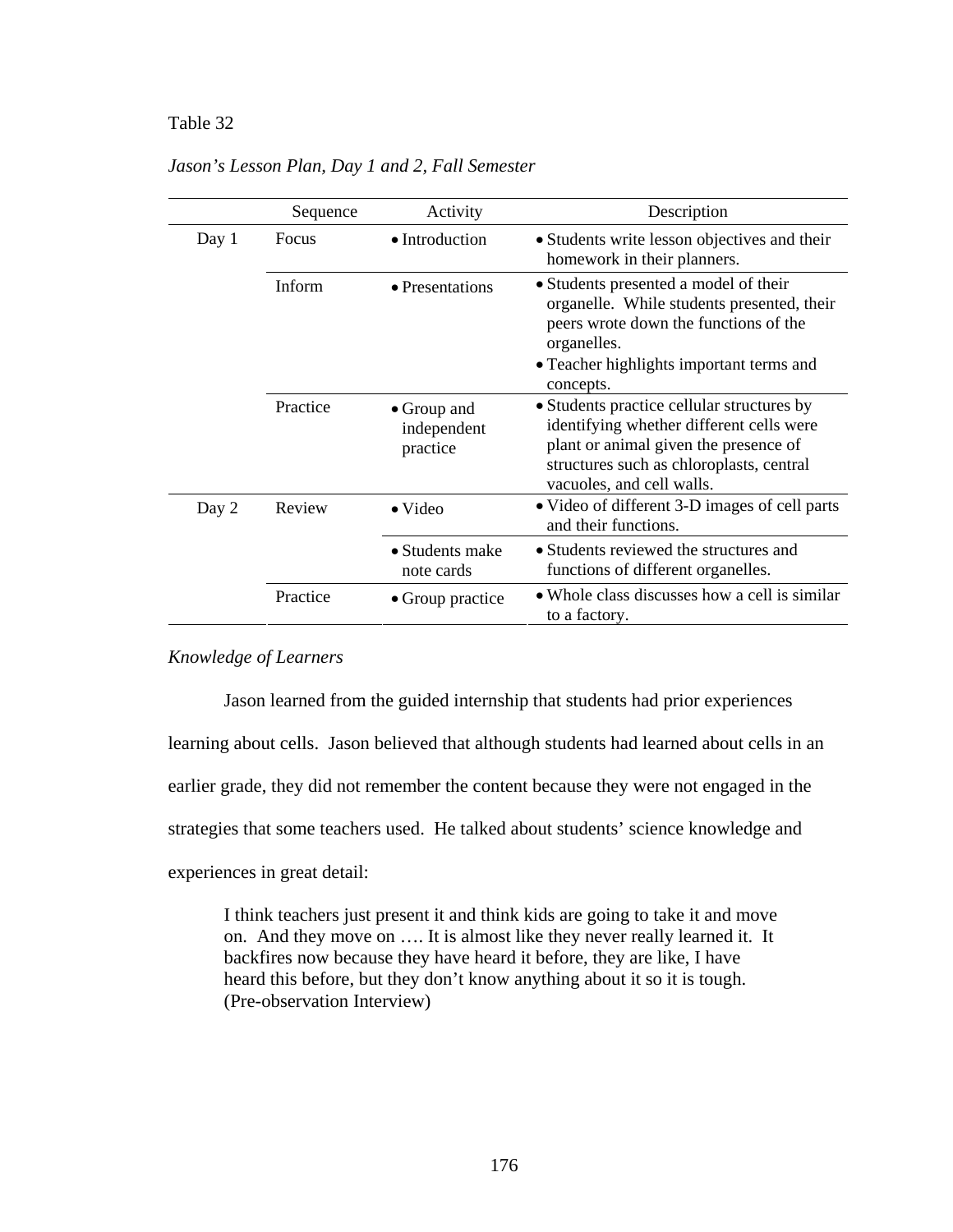## Table 32 *Jason's Lesson Plan, Day 1 and 2, Fall Semester*

|       | Sequence | Activity                                       | Description                                                                                                                                                                                              |
|-------|----------|------------------------------------------------|----------------------------------------------------------------------------------------------------------------------------------------------------------------------------------------------------------|
| Day 1 | Focus    | • Introduction                                 | • Students write lesson objectives and their<br>homework in their planners.                                                                                                                              |
|       | Inform   | • Presentations                                | • Students presented a model of their<br>organelle. While students presented, their<br>peers wrote down the functions of the<br>organelles.<br>• Teacher highlights important terms and<br>concepts.     |
|       | Practice | $\bullet$ Group and<br>independent<br>practice | • Students practice cellular structures by<br>identifying whether different cells were<br>plant or animal given the presence of<br>structures such as chloroplasts, central<br>vacuoles, and cell walls. |
| Day 2 | Review   | $\bullet$ Video                                | • Video of different 3-D images of cell parts<br>and their functions.                                                                                                                                    |
|       |          | • Students make<br>note cards                  | • Students reviewed the structures and<br>functions of different organelles.                                                                                                                             |
|       | Practice | • Group practice                               | • Whole class discusses how a cell is similar<br>to a factory.                                                                                                                                           |

## *Jason's Lesson Plan, Day 1 and 2, Fall Semester*

#### *Knowledge of Learners*

Jason learned from the guided internship that students had prior experiences

learning about cells. Jason believed that although students had learned about cells in an

earlier grade, they did not remember the content because they were not engaged in the

strategies that some teachers used. He talked about students' science knowledge and

experiences in great detail:

I think teachers just present it and think kids are going to take it and move on. And they move on …. It is almost like they never really learned it. It backfires now because they have heard it before, they are like, I have heard this before, but they don't know anything about it so it is tough. (Pre-observation Interview)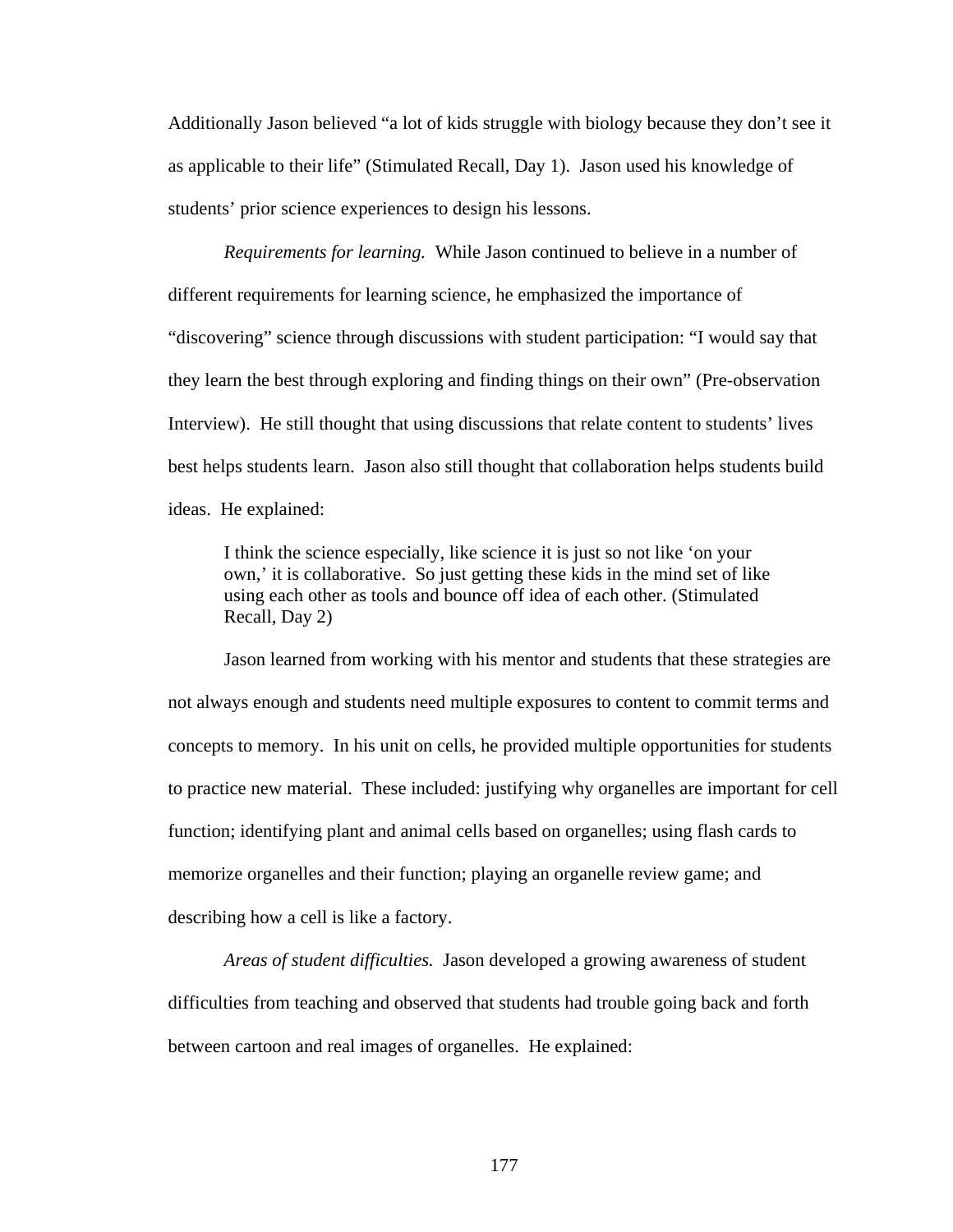Additionally Jason believed "a lot of kids struggle with biology because they don't see it as applicable to their life" (Stimulated Recall, Day 1). Jason used his knowledge of students' prior science experiences to design his lessons.

*Requirements for learning.* While Jason continued to believe in a number of different requirements for learning science, he emphasized the importance of "discovering" science through discussions with student participation: "I would say that they learn the best through exploring and finding things on their own" (Pre-observation Interview). He still thought that using discussions that relate content to students' lives best helps students learn. Jason also still thought that collaboration helps students build ideas. He explained:

I think the science especially, like science it is just so not like 'on your own,' it is collaborative. So just getting these kids in the mind set of like using each other as tools and bounce off idea of each other. (Stimulated Recall, Day 2)

Jason learned from working with his mentor and students that these strategies are not always enough and students need multiple exposures to content to commit terms and concepts to memory. In his unit on cells, he provided multiple opportunities for students to practice new material. These included: justifying why organelles are important for cell function; identifying plant and animal cells based on organelles; using flash cards to memorize organelles and their function; playing an organelle review game; and describing how a cell is like a factory.

*Areas of student difficulties.* Jason developed a growing awareness of student difficulties from teaching and observed that students had trouble going back and forth between cartoon and real images of organelles. He explained: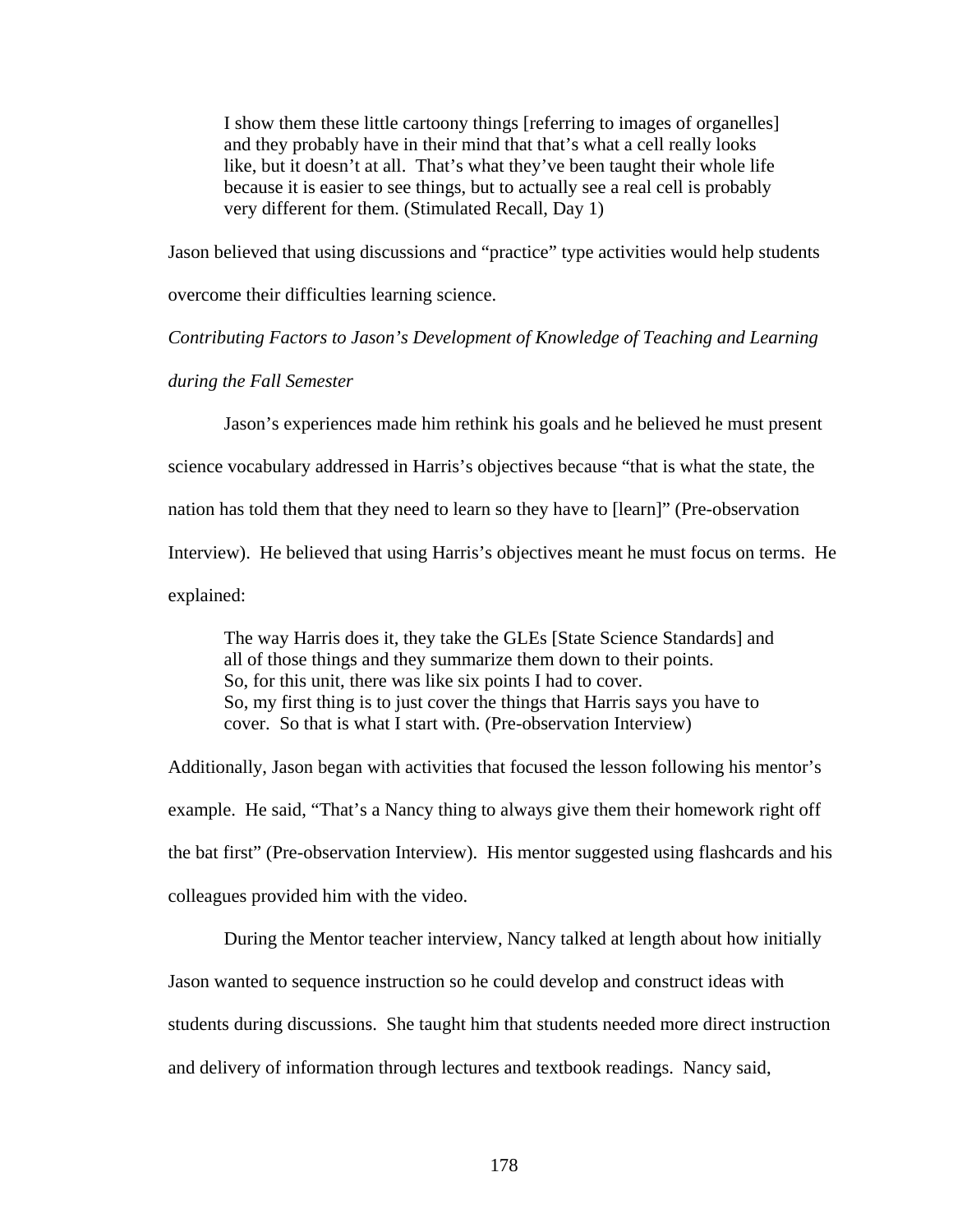I show them these little cartoony things [referring to images of organelles] and they probably have in their mind that that's what a cell really looks like, but it doesn't at all. That's what they've been taught their whole life because it is easier to see things, but to actually see a real cell is probably very different for them. (Stimulated Recall, Day 1)

Jason believed that using discussions and "practice" type activities would help students

overcome their difficulties learning science.

*Contributing Factors to Jason's Development of Knowledge of Teaching and Learning* 

*during the Fall Semester* 

Jason's experiences made him rethink his goals and he believed he must present

science vocabulary addressed in Harris's objectives because "that is what the state, the

nation has told them that they need to learn so they have to [learn]" (Pre-observation

Interview). He believed that using Harris's objectives meant he must focus on terms. He

explained:

The way Harris does it, they take the GLEs [State Science Standards] and all of those things and they summarize them down to their points. So, for this unit, there was like six points I had to cover. So, my first thing is to just cover the things that Harris says you have to cover. So that is what I start with. (Pre-observation Interview)

Additionally, Jason began with activities that focused the lesson following his mentor's example. He said, "That's a Nancy thing to always give them their homework right off the bat first" (Pre-observation Interview). His mentor suggested using flashcards and his colleagues provided him with the video.

During the Mentor teacher interview, Nancy talked at length about how initially Jason wanted to sequence instruction so he could develop and construct ideas with students during discussions. She taught him that students needed more direct instruction and delivery of information through lectures and textbook readings. Nancy said,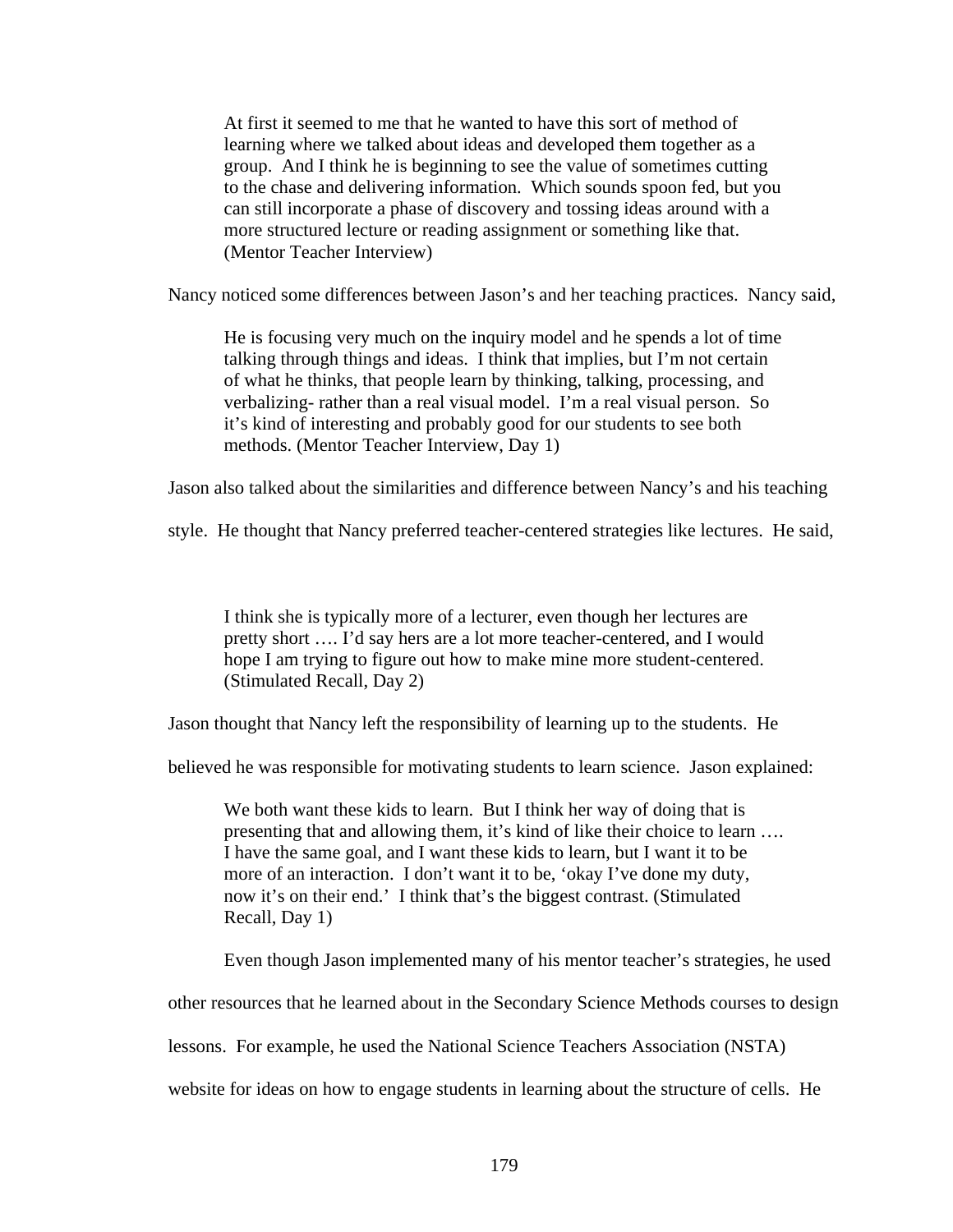At first it seemed to me that he wanted to have this sort of method of learning where we talked about ideas and developed them together as a group. And I think he is beginning to see the value of sometimes cutting to the chase and delivering information. Which sounds spoon fed, but you can still incorporate a phase of discovery and tossing ideas around with a more structured lecture or reading assignment or something like that. (Mentor Teacher Interview)

Nancy noticed some differences between Jason's and her teaching practices. Nancy said,

He is focusing very much on the inquiry model and he spends a lot of time talking through things and ideas. I think that implies, but I'm not certain of what he thinks, that people learn by thinking, talking, processing, and verbalizing- rather than a real visual model. I'm a real visual person. So it's kind of interesting and probably good for our students to see both methods. (Mentor Teacher Interview, Day 1)

Jason also talked about the similarities and difference between Nancy's and his teaching

style. He thought that Nancy preferred teacher-centered strategies like lectures. He said,

I think she is typically more of a lecturer, even though her lectures are pretty short …. I'd say hers are a lot more teacher-centered, and I would hope I am trying to figure out how to make mine more student-centered. (Stimulated Recall, Day 2)

Jason thought that Nancy left the responsibility of learning up to the students. He

believed he was responsible for motivating students to learn science. Jason explained:

We both want these kids to learn. But I think her way of doing that is presenting that and allowing them, it's kind of like their choice to learn …. I have the same goal, and I want these kids to learn, but I want it to be more of an interaction. I don't want it to be, 'okay I've done my duty, now it's on their end.' I think that's the biggest contrast. (Stimulated Recall, Day 1)

Even though Jason implemented many of his mentor teacher's strategies, he used

other resources that he learned about in the Secondary Science Methods courses to design

lessons. For example, he used the National Science Teachers Association (NSTA)

website for ideas on how to engage students in learning about the structure of cells. He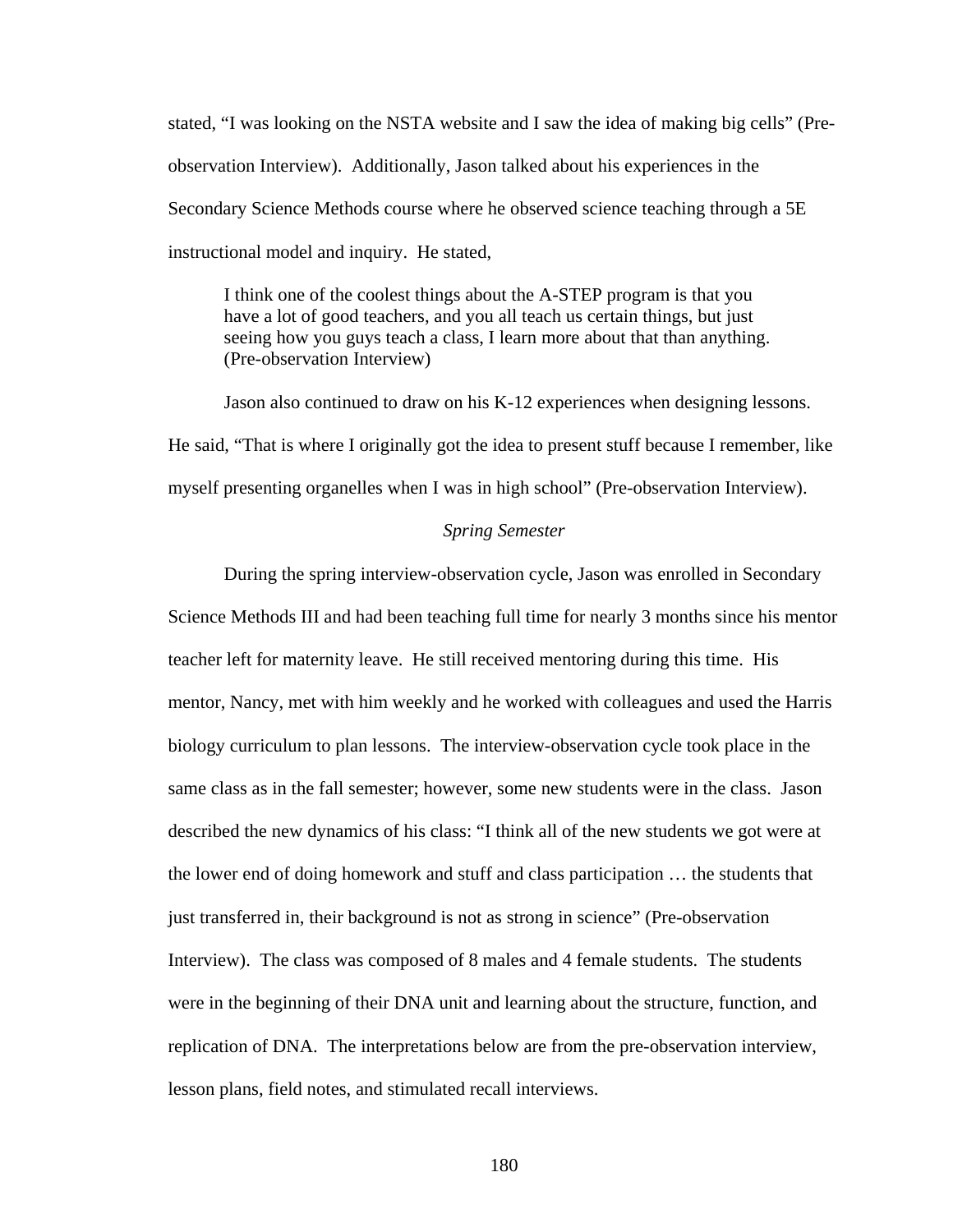stated, "I was looking on the NSTA website and I saw the idea of making big cells" (Preobservation Interview). Additionally, Jason talked about his experiences in the Secondary Science Methods course where he observed science teaching through a 5E instructional model and inquiry. He stated,

I think one of the coolest things about the A-STEP program is that you have a lot of good teachers, and you all teach us certain things, but just seeing how you guys teach a class, I learn more about that than anything. (Pre-observation Interview)

Jason also continued to draw on his K-12 experiences when designing lessons. He said, "That is where I originally got the idea to present stuff because I remember, like myself presenting organelles when I was in high school" (Pre-observation Interview).

# *Spring Semester*

During the spring interview-observation cycle, Jason was enrolled in Secondary Science Methods III and had been teaching full time for nearly 3 months since his mentor teacher left for maternity leave. He still received mentoring during this time. His mentor, Nancy, met with him weekly and he worked with colleagues and used the Harris biology curriculum to plan lessons. The interview-observation cycle took place in the same class as in the fall semester; however, some new students were in the class. Jason described the new dynamics of his class: "I think all of the new students we got were at the lower end of doing homework and stuff and class participation … the students that just transferred in, their background is not as strong in science" (Pre-observation Interview). The class was composed of 8 males and 4 female students. The students were in the beginning of their DNA unit and learning about the structure, function, and replication of DNA. The interpretations below are from the pre-observation interview, lesson plans, field notes, and stimulated recall interviews.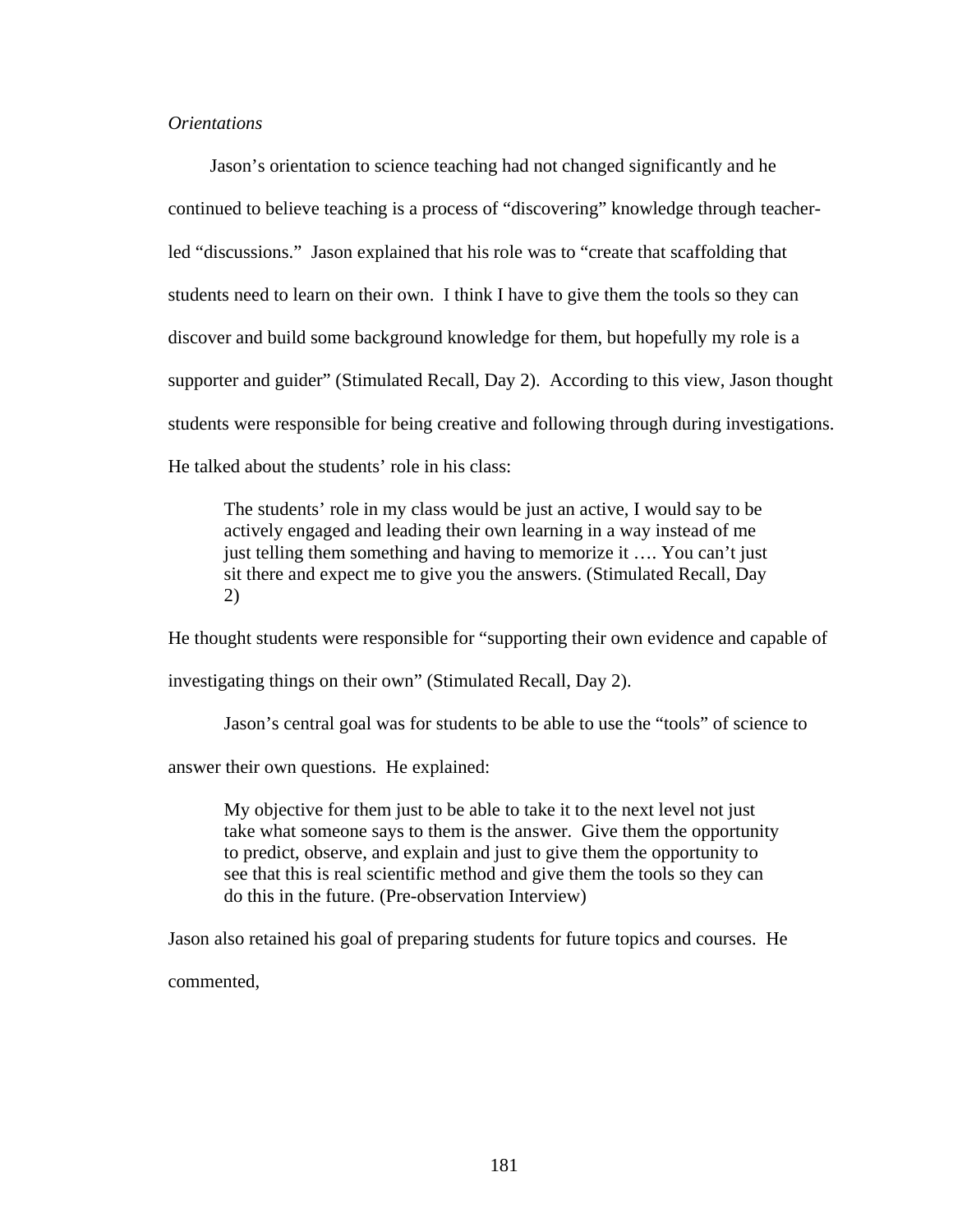## *Orientations*

Jason's orientation to science teaching had not changed significantly and he continued to believe teaching is a process of "discovering" knowledge through teacherled "discussions." Jason explained that his role was to "create that scaffolding that students need to learn on their own. I think I have to give them the tools so they can discover and build some background knowledge for them, but hopefully my role is a supporter and guider" (Stimulated Recall, Day 2). According to this view, Jason thought students were responsible for being creative and following through during investigations. He talked about the students' role in his class:

The students' role in my class would be just an active, I would say to be actively engaged and leading their own learning in a way instead of me just telling them something and having to memorize it …. You can't just sit there and expect me to give you the answers. (Stimulated Recall, Day 2)

He thought students were responsible for "supporting their own evidence and capable of investigating things on their own" (Stimulated Recall, Day 2).

Jason's central goal was for students to be able to use the "tools" of science to

answer their own questions. He explained:

My objective for them just to be able to take it to the next level not just take what someone says to them is the answer. Give them the opportunity to predict, observe, and explain and just to give them the opportunity to see that this is real scientific method and give them the tools so they can do this in the future. (Pre-observation Interview)

Jason also retained his goal of preparing students for future topics and courses. He

commented,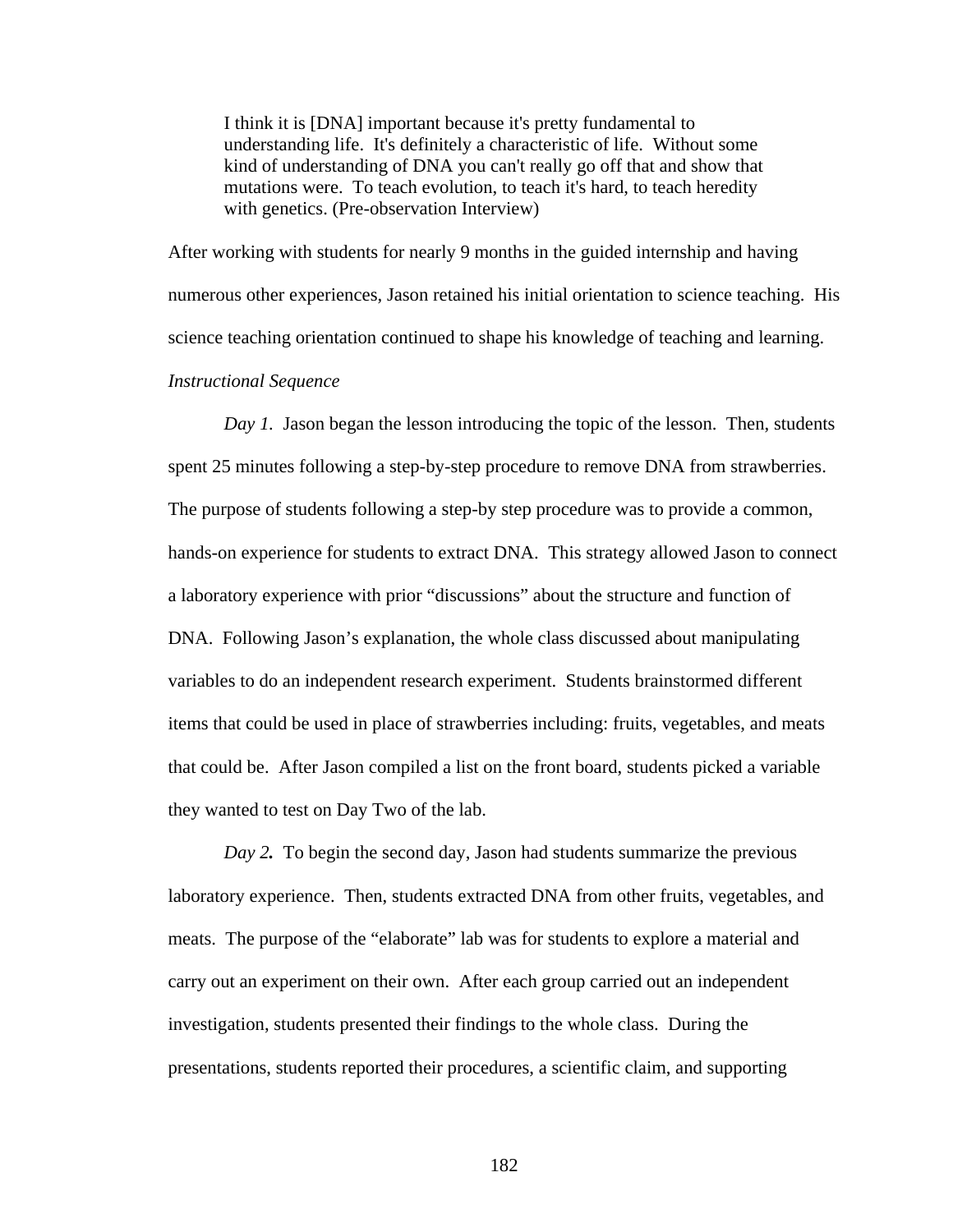I think it is [DNA] important because it's pretty fundamental to understanding life. It's definitely a characteristic of life. Without some kind of understanding of DNA you can't really go off that and show that mutations were. To teach evolution, to teach it's hard, to teach heredity with genetics. (Pre-observation Interview)

After working with students for nearly 9 months in the guided internship and having numerous other experiences, Jason retained his initial orientation to science teaching. His science teaching orientation continued to shape his knowledge of teaching and learning. *Instructional Sequence* 

*Day 1.* Jason began the lesson introducing the topic of the lesson. Then, students spent 25 minutes following a step-by-step procedure to remove DNA from strawberries. The purpose of students following a step-by step procedure was to provide a common, hands-on experience for students to extract DNA. This strategy allowed Jason to connect a laboratory experience with prior "discussions" about the structure and function of DNA. Following Jason's explanation, the whole class discussed about manipulating variables to do an independent research experiment. Students brainstormed different items that could be used in place of strawberries including: fruits, vegetables, and meats that could be. After Jason compiled a list on the front board, students picked a variable they wanted to test on Day Two of the lab.

*Day 2.* To begin the second day, Jason had students summarize the previous laboratory experience. Then, students extracted DNA from other fruits, vegetables, and meats. The purpose of the "elaborate" lab was for students to explore a material and carry out an experiment on their own. After each group carried out an independent investigation, students presented their findings to the whole class. During the presentations, students reported their procedures, a scientific claim, and supporting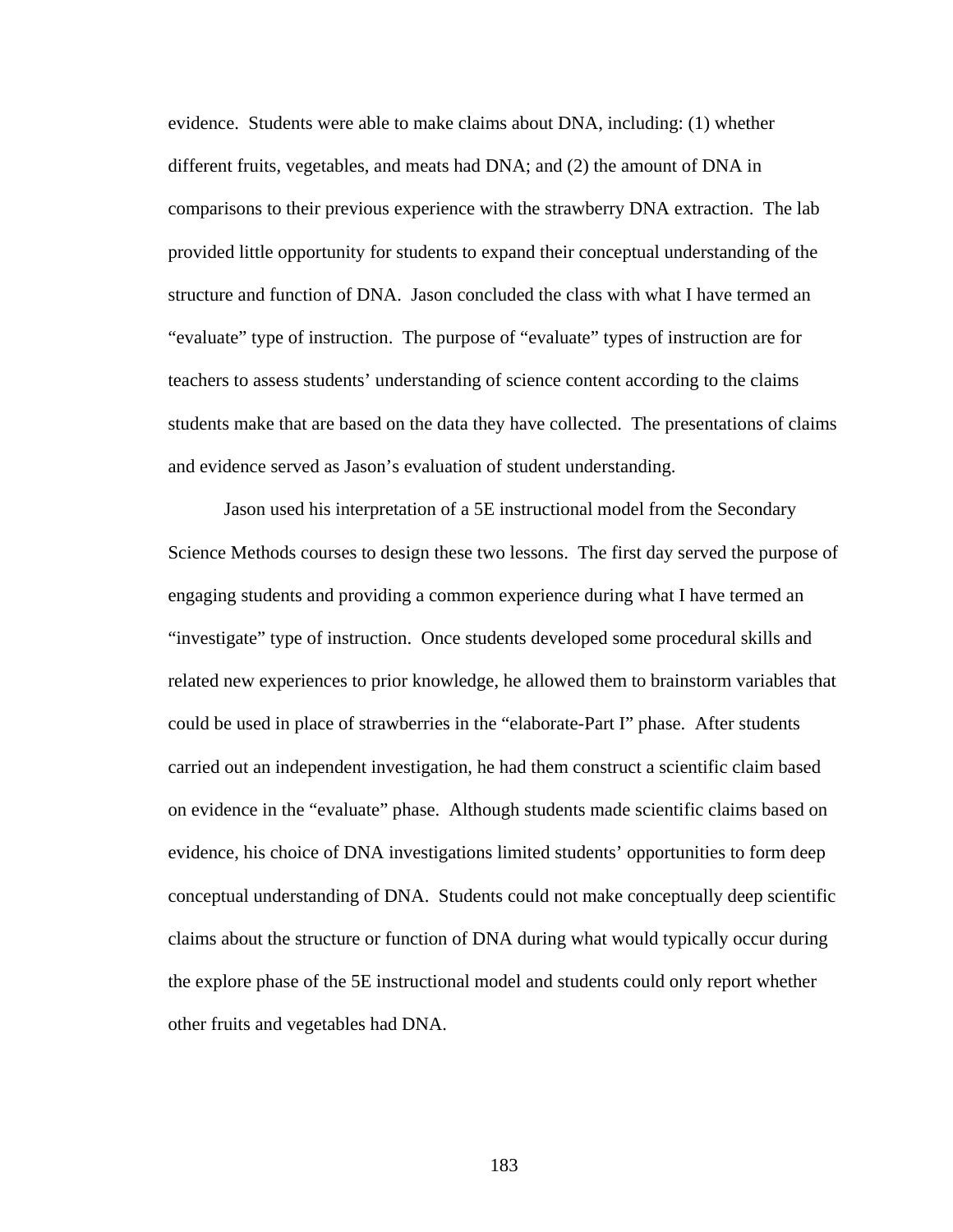evidence. Students were able to make claims about DNA, including: (1) whether different fruits, vegetables, and meats had DNA; and (2) the amount of DNA in comparisons to their previous experience with the strawberry DNA extraction. The lab provided little opportunity for students to expand their conceptual understanding of the structure and function of DNA. Jason concluded the class with what I have termed an "evaluate" type of instruction. The purpose of "evaluate" types of instruction are for teachers to assess students' understanding of science content according to the claims students make that are based on the data they have collected. The presentations of claims and evidence served as Jason's evaluation of student understanding.

Jason used his interpretation of a 5E instructional model from the Secondary Science Methods courses to design these two lessons. The first day served the purpose of engaging students and providing a common experience during what I have termed an "investigate" type of instruction. Once students developed some procedural skills and related new experiences to prior knowledge, he allowed them to brainstorm variables that could be used in place of strawberries in the "elaborate-Part I" phase. After students carried out an independent investigation, he had them construct a scientific claim based on evidence in the "evaluate" phase. Although students made scientific claims based on evidence, his choice of DNA investigations limited students' opportunities to form deep conceptual understanding of DNA. Students could not make conceptually deep scientific claims about the structure or function of DNA during what would typically occur during the explore phase of the 5E instructional model and students could only report whether other fruits and vegetables had DNA.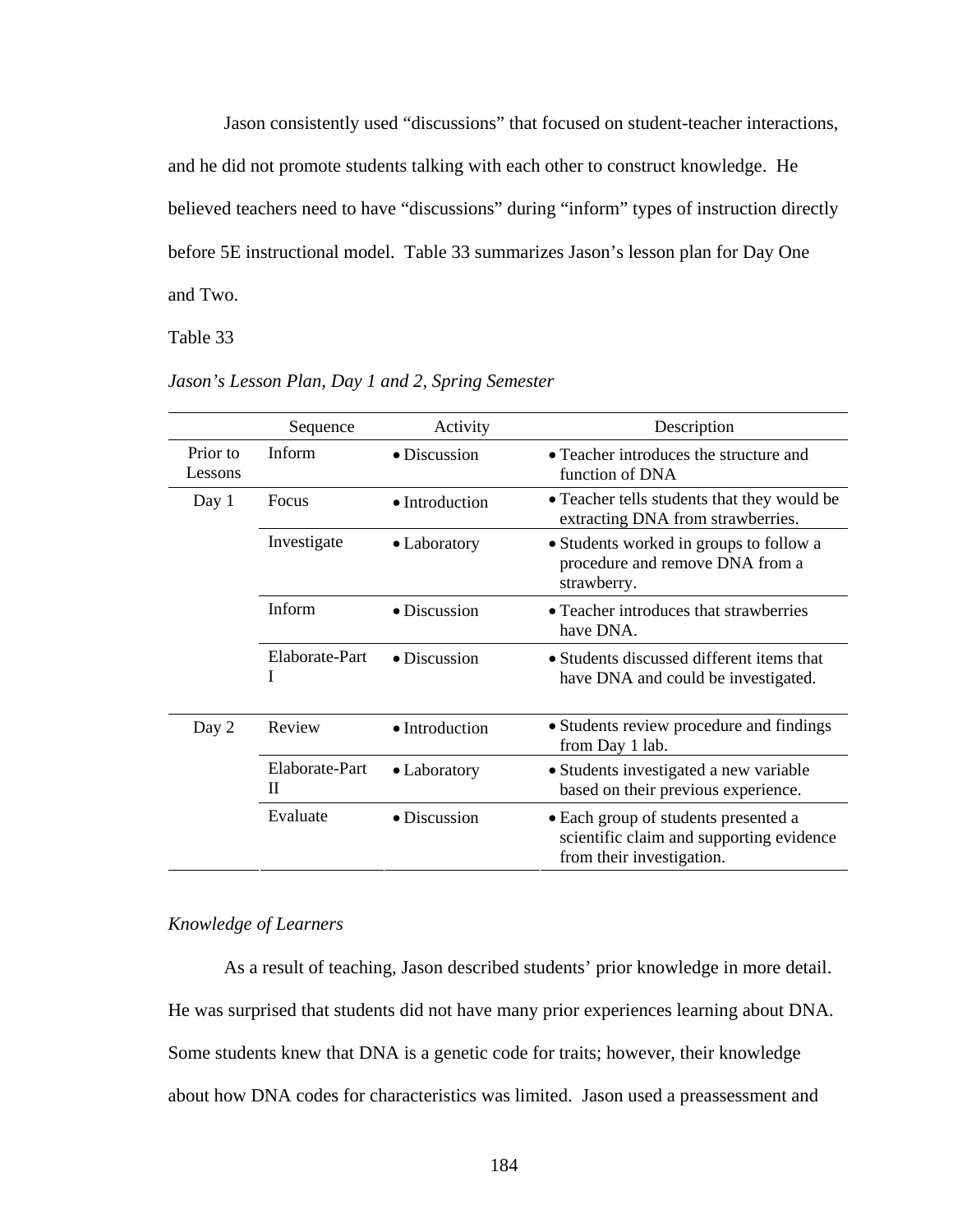Jason consistently used "discussions" that focused on student-teacher interactions, and he did not promote students talking with each other to construct knowledge. He believed teachers need to have "discussions" during "inform" types of instruction directly before 5E instructional model. Table 33 summarizes Jason's lesson plan for Day One and Two.

Table 33 *Jason's Lesson Plan, Day 1 and 2, Spring Semester*

|                     | Sequence            | Activity             | Description                                                                                                   |
|---------------------|---------------------|----------------------|---------------------------------------------------------------------------------------------------------------|
| Prior to<br>Lessons | <b>Inform</b>       | $\bullet$ Discussion | • Teacher introduces the structure and<br>function of DNA                                                     |
| Day 1               | Focus               | • Introduction       | • Teacher tells students that they would be<br>extracting DNA from strawberries.                              |
|                     | Investigate         | • Laboratory         | • Students worked in groups to follow a<br>procedure and remove DNA from a<br>strawberry.                     |
|                     | Inform              | $\bullet$ Discussion | • Teacher introduces that strawberries<br>have DNA.                                                           |
|                     | Elaborate-Part<br>L | $\bullet$ Discussion | • Students discussed different items that<br>have DNA and could be investigated.                              |
| Day 2               | Review              | • Introduction       | • Students review procedure and findings<br>from Day 1 lab.                                                   |
|                     | Elaborate-Part<br>П | • Laboratory         | • Students investigated a new variable<br>based on their previous experience.                                 |
|                     | Evaluate            | $\bullet$ Discussion | • Each group of students presented a<br>scientific claim and supporting evidence<br>from their investigation. |

*Jason's Lesson Plan, Day 1 and 2, Spring Semester* 

# *Knowledge of Learners*

As a result of teaching, Jason described students' prior knowledge in more detail. He was surprised that students did not have many prior experiences learning about DNA. Some students knew that DNA is a genetic code for traits; however, their knowledge about how DNA codes for characteristics was limited. Jason used a preassessment and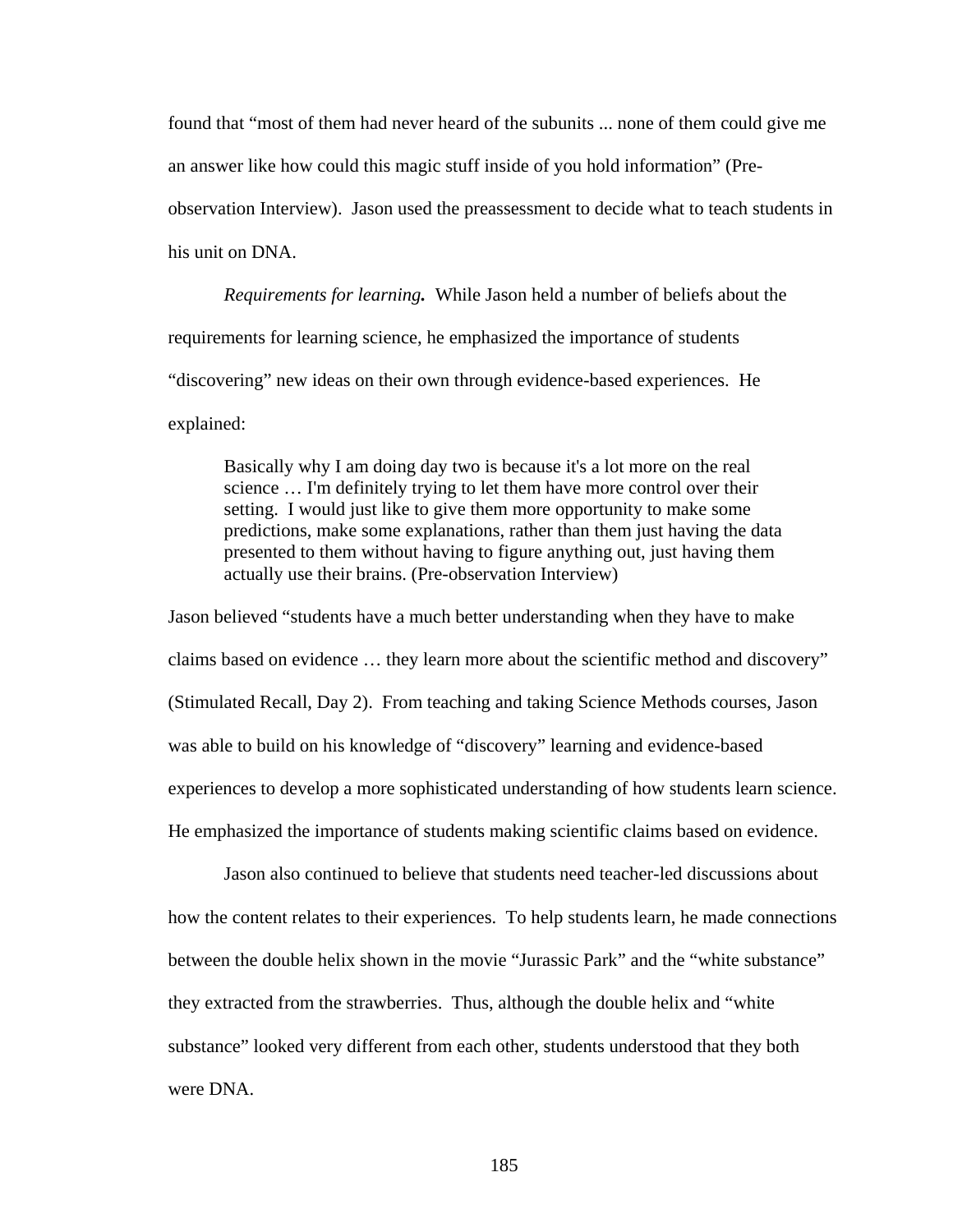found that "most of them had never heard of the subunits ... none of them could give me an answer like how could this magic stuff inside of you hold information" (Pre-

observation Interview). Jason used the preassessment to decide what to teach students in

his unit on DNA.

*Requirements for learning.* While Jason held a number of beliefs about the requirements for learning science, he emphasized the importance of students "discovering" new ideas on their own through evidence-based experiences. He explained:

Basically why I am doing day two is because it's a lot more on the real science … I'm definitely trying to let them have more control over their setting. I would just like to give them more opportunity to make some predictions, make some explanations, rather than them just having the data presented to them without having to figure anything out, just having them actually use their brains. (Pre-observation Interview)

Jason believed "students have a much better understanding when they have to make claims based on evidence … they learn more about the scientific method and discovery" (Stimulated Recall, Day 2). From teaching and taking Science Methods courses, Jason was able to build on his knowledge of "discovery" learning and evidence-based experiences to develop a more sophisticated understanding of how students learn science. He emphasized the importance of students making scientific claims based on evidence.

Jason also continued to believe that students need teacher-led discussions about how the content relates to their experiences. To help students learn, he made connections between the double helix shown in the movie "Jurassic Park" and the "white substance" they extracted from the strawberries. Thus, although the double helix and "white substance" looked very different from each other, students understood that they both were DNA.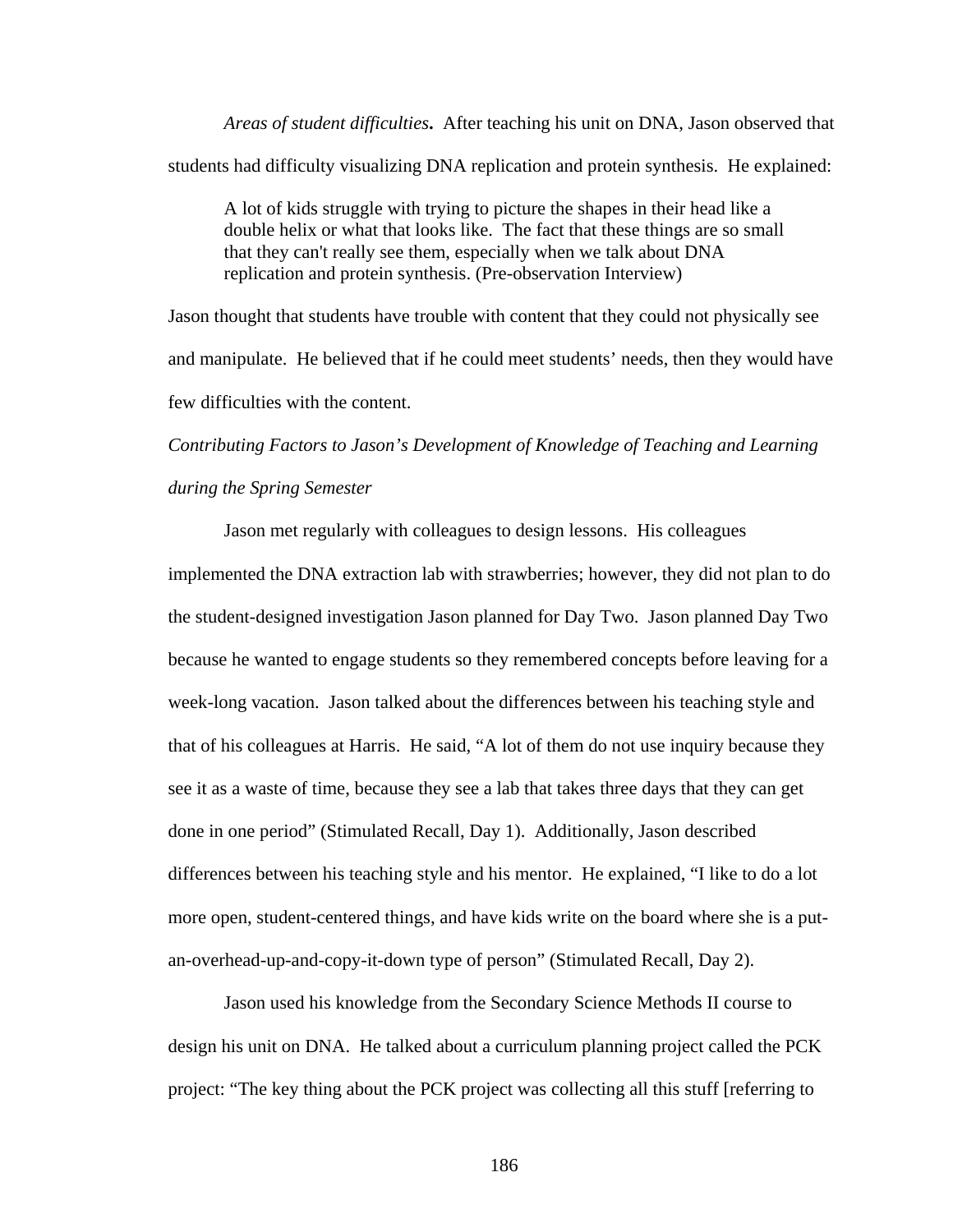*Areas of student difficulties***.** After teaching his unit on DNA, Jason observed that students had difficulty visualizing DNA replication and protein synthesis. He explained:

A lot of kids struggle with trying to picture the shapes in their head like a double helix or what that looks like. The fact that these things are so small that they can't really see them, especially when we talk about DNA replication and protein synthesis. (Pre-observation Interview)

Jason thought that students have trouble with content that they could not physically see and manipulate. He believed that if he could meet students' needs, then they would have few difficulties with the content.

*Contributing Factors to Jason's Development of Knowledge of Teaching and Learning during the Spring Semester* 

Jason met regularly with colleagues to design lessons. His colleagues implemented the DNA extraction lab with strawberries; however, they did not plan to do the student-designed investigation Jason planned for Day Two. Jason planned Day Two because he wanted to engage students so they remembered concepts before leaving for a week-long vacation. Jason talked about the differences between his teaching style and that of his colleagues at Harris. He said, "A lot of them do not use inquiry because they see it as a waste of time, because they see a lab that takes three days that they can get done in one period" (Stimulated Recall, Day 1). Additionally, Jason described differences between his teaching style and his mentor. He explained, "I like to do a lot more open, student-centered things, and have kids write on the board where she is a putan-overhead-up-and-copy-it-down type of person" (Stimulated Recall, Day 2).

 Jason used his knowledge from the Secondary Science Methods II course to design his unit on DNA. He talked about a curriculum planning project called the PCK project: "The key thing about the PCK project was collecting all this stuff [referring to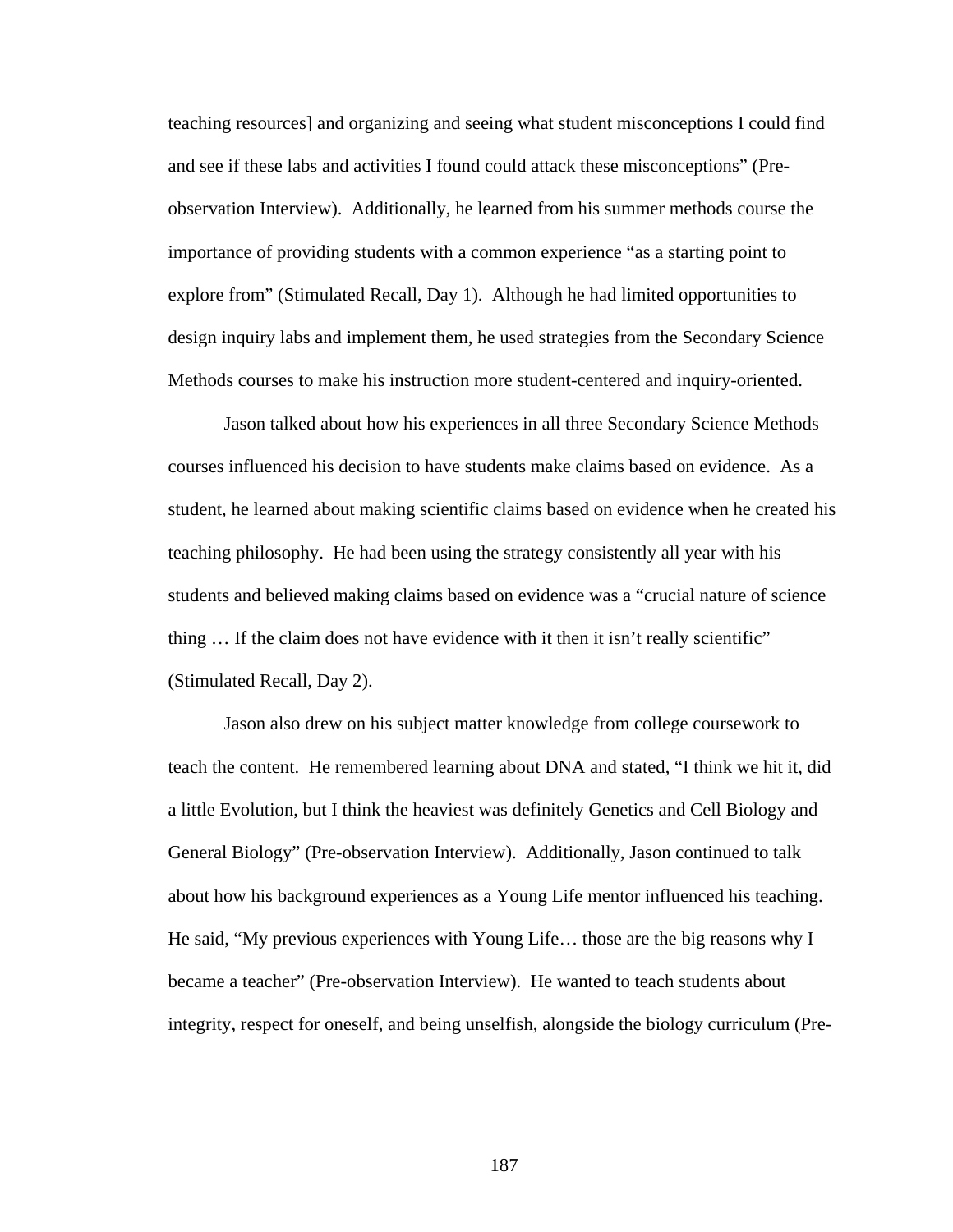teaching resources] and organizing and seeing what student misconceptions I could find and see if these labs and activities I found could attack these misconceptions" (Preobservation Interview). Additionally, he learned from his summer methods course the importance of providing students with a common experience "as a starting point to explore from" (Stimulated Recall, Day 1). Although he had limited opportunities to design inquiry labs and implement them, he used strategies from the Secondary Science Methods courses to make his instruction more student-centered and inquiry-oriented.

 Jason talked about how his experiences in all three Secondary Science Methods courses influenced his decision to have students make claims based on evidence. As a student, he learned about making scientific claims based on evidence when he created his teaching philosophy. He had been using the strategy consistently all year with his students and believed making claims based on evidence was a "crucial nature of science thing … If the claim does not have evidence with it then it isn't really scientific" (Stimulated Recall, Day 2).

 Jason also drew on his subject matter knowledge from college coursework to teach the content. He remembered learning about DNA and stated, "I think we hit it, did a little Evolution, but I think the heaviest was definitely Genetics and Cell Biology and General Biology" (Pre-observation Interview). Additionally, Jason continued to talk about how his background experiences as a Young Life mentor influenced his teaching. He said, "My previous experiences with Young Life… those are the big reasons why I became a teacher" (Pre-observation Interview). He wanted to teach students about integrity, respect for oneself, and being unselfish, alongside the biology curriculum (Pre-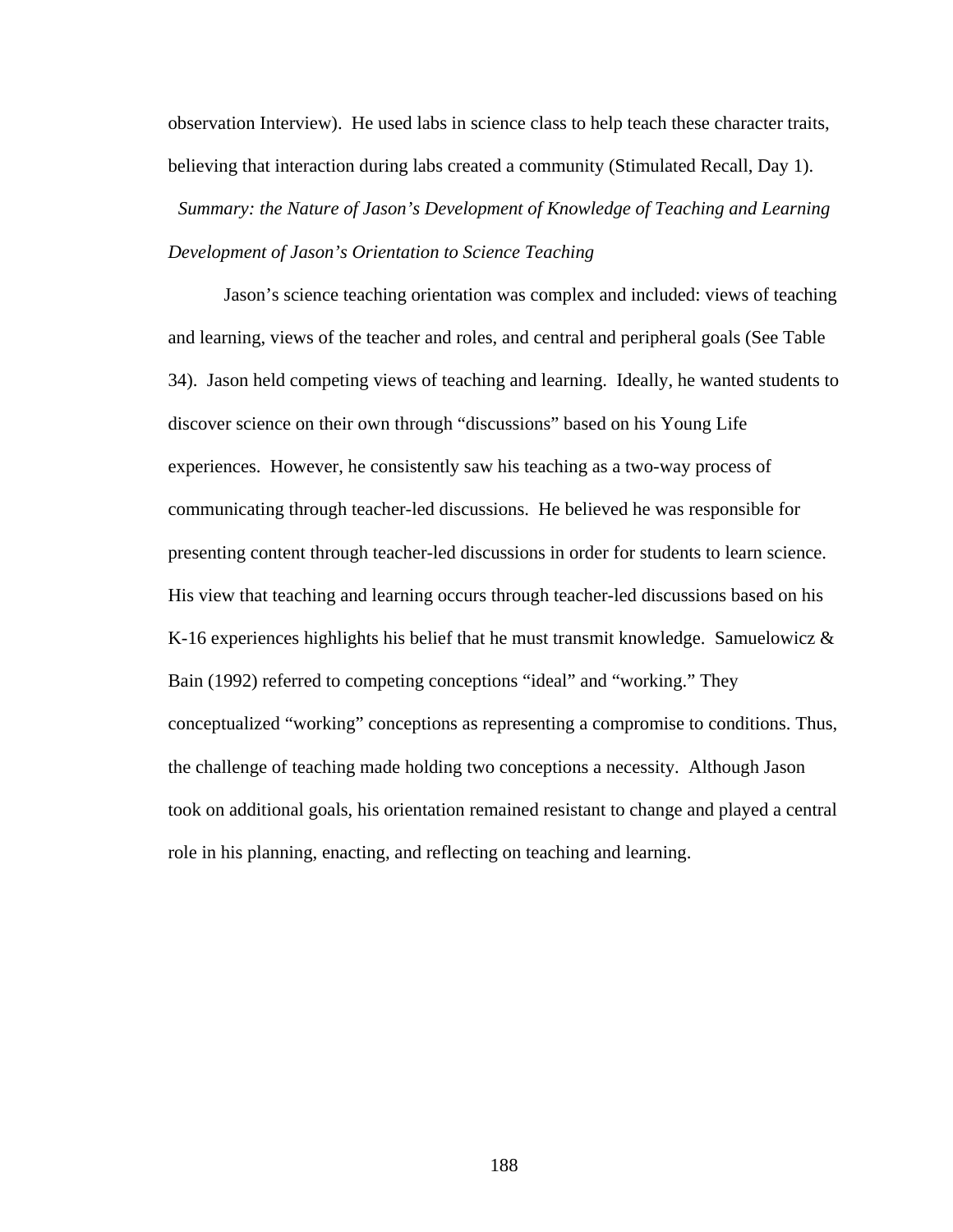observation Interview). He used labs in science class to help teach these character traits, believing that interaction during labs created a community (Stimulated Recall, Day 1).

*Summary: the Nature of Jason's Development of Knowledge of Teaching and Learning Development of Jason's Orientation to Science Teaching* 

Jason's science teaching orientation was complex and included: views of teaching and learning, views of the teacher and roles, and central and peripheral goals (See Table 34). Jason held competing views of teaching and learning. Ideally, he wanted students to discover science on their own through "discussions" based on his Young Life experiences. However, he consistently saw his teaching as a two-way process of communicating through teacher-led discussions. He believed he was responsible for presenting content through teacher-led discussions in order for students to learn science. His view that teaching and learning occurs through teacher-led discussions based on his K-16 experiences highlights his belief that he must transmit knowledge. Samuelowicz & Bain (1992) referred to competing conceptions "ideal" and "working." They conceptualized "working" conceptions as representing a compromise to conditions. Thus, the challenge of teaching made holding two conceptions a necessity. Although Jason took on additional goals, his orientation remained resistant to change and played a central role in his planning, enacting, and reflecting on teaching and learning.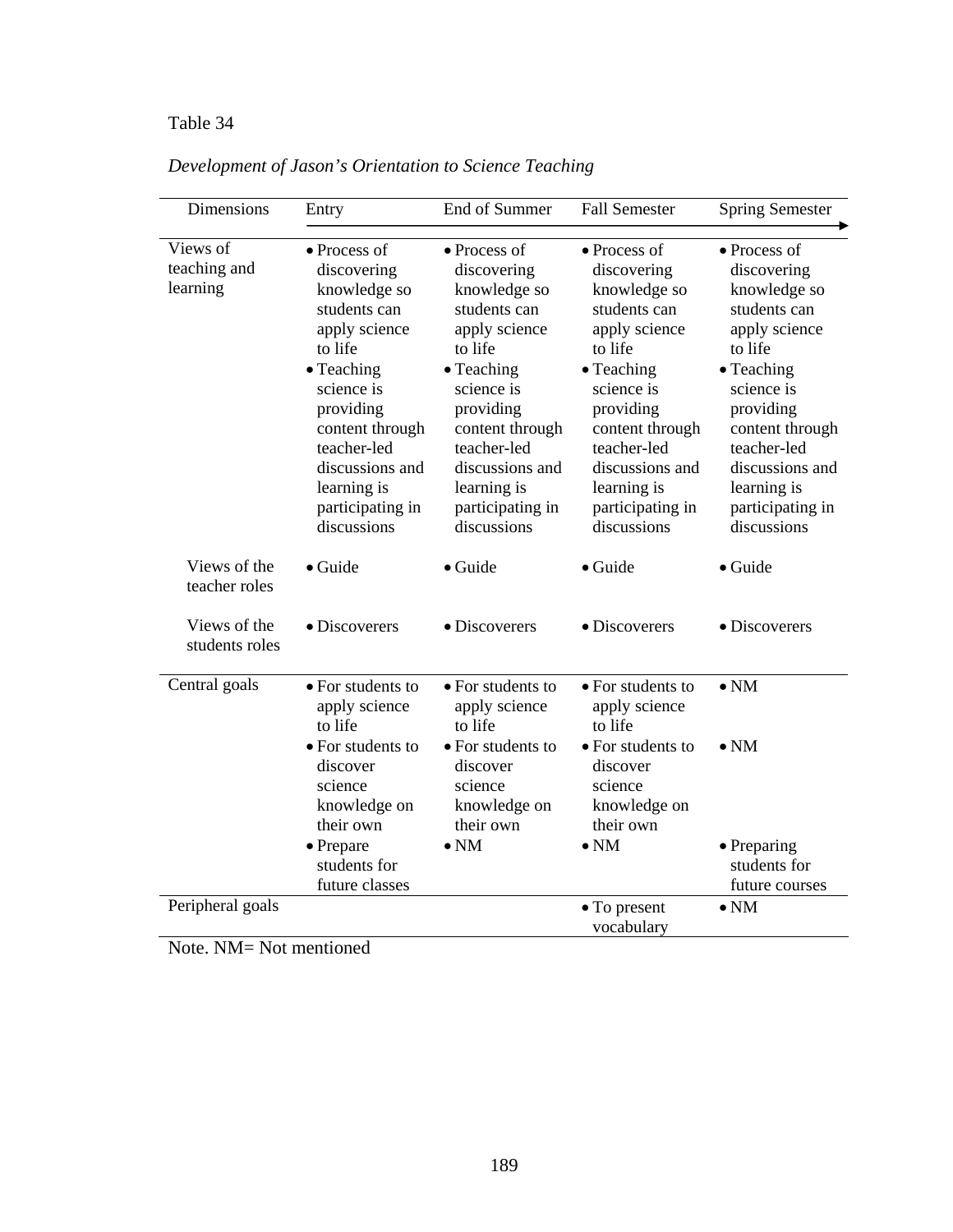# Table 34 *Development of Jason's Orientation to Science Teaching*

| <b>Dimensions</b>                    | Entry                                                                                                                                                                                                                                   | End of Summer                                                                                                                                                                                                                                   | <b>Fall Semester</b>                                                                                                                                                                                                                            | <b>Spring Semester</b>                                                                                                                                                                                                                          |
|--------------------------------------|-----------------------------------------------------------------------------------------------------------------------------------------------------------------------------------------------------------------------------------------|-------------------------------------------------------------------------------------------------------------------------------------------------------------------------------------------------------------------------------------------------|-------------------------------------------------------------------------------------------------------------------------------------------------------------------------------------------------------------------------------------------------|-------------------------------------------------------------------------------------------------------------------------------------------------------------------------------------------------------------------------------------------------|
| Views of<br>teaching and<br>learning | • Process of<br>discovering<br>knowledge so<br>students can<br>apply science<br>to life<br>• Teaching<br>science is<br>providing<br>content through<br>teacher-led<br>discussions and<br>learning is<br>participating in<br>discussions | • Process of<br>discovering<br>knowledge so<br>students can<br>apply science<br>to life<br>$\bullet$ Teaching<br>science is<br>providing<br>content through<br>teacher-led<br>discussions and<br>learning is<br>participating in<br>discussions | • Process of<br>discovering<br>knowledge so<br>students can<br>apply science<br>to life<br>$\bullet$ Teaching<br>science is<br>providing<br>content through<br>teacher-led<br>discussions and<br>learning is<br>participating in<br>discussions | $\bullet$ Process of<br>discovering<br>knowledge so<br>students can<br>apply science<br>to life<br>• Teaching<br>science is<br>providing<br>content through<br>teacher-led<br>discussions and<br>learning is<br>participating in<br>discussions |
| Views of the<br>teacher roles        | $\bullet$ Guide                                                                                                                                                                                                                         | · Guide                                                                                                                                                                                                                                         | $\bullet$ Guide                                                                                                                                                                                                                                 | $\bullet$ Guide                                                                                                                                                                                                                                 |
| Views of the<br>students roles       | • Discoverers                                                                                                                                                                                                                           | $\bullet$ Discoverers                                                                                                                                                                                                                           | · Discoverers                                                                                                                                                                                                                                   | • Discoverers                                                                                                                                                                                                                                   |
| Central goals                        | • For students to<br>apply science<br>to life<br>• For students to<br>discover<br>science<br>knowledge on                                                                                                                               | • For students to<br>apply science<br>to life<br>• For students to<br>discover<br>science<br>knowledge on                                                                                                                                       | • For students to<br>apply science<br>to life<br>• For students to<br>discover<br>science<br>knowledge on                                                                                                                                       | $\bullet$ NM<br>$\bullet$ NM                                                                                                                                                                                                                    |
|                                      | their own<br>$\bullet$ Prepare<br>students for<br>future classes                                                                                                                                                                        | their own<br>$\bullet$ NM                                                                                                                                                                                                                       | their own<br>$\bullet$ NM                                                                                                                                                                                                                       | • Preparing<br>students for<br>future courses                                                                                                                                                                                                   |
| Peripheral goals                     |                                                                                                                                                                                                                                         |                                                                                                                                                                                                                                                 | $\bullet$ To present<br>vocabulary                                                                                                                                                                                                              | $\bullet$ NM                                                                                                                                                                                                                                    |

*Development of Jason's Orientation to Science Teaching* 

Note. NM= Not mentioned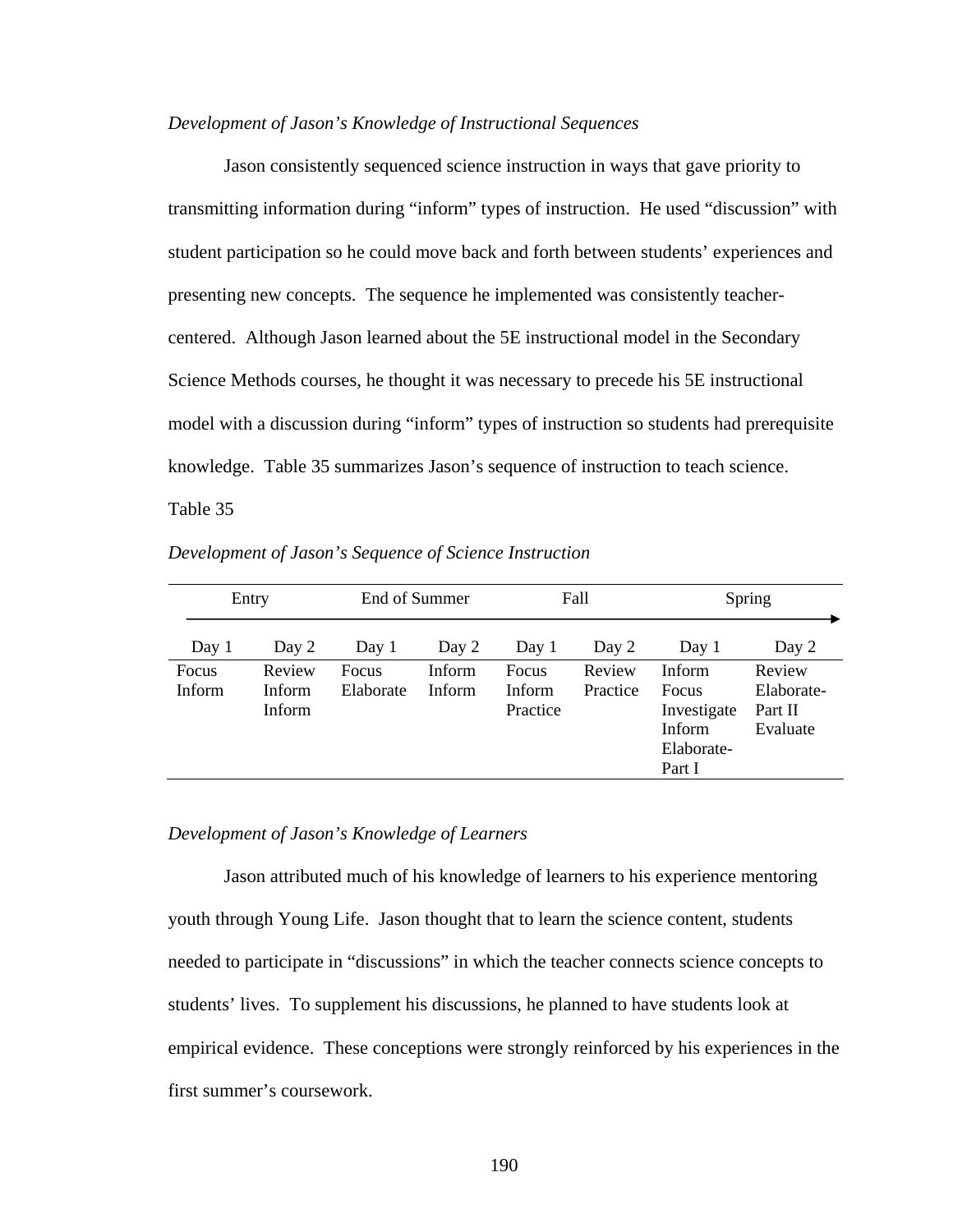#### *Development of Jason's Knowledge of Instructional Sequences*

Jason consistently sequenced science instruction in ways that gave priority to transmitting information during "inform" types of instruction. He used "discussion" with student participation so he could move back and forth between students' experiences and presenting new concepts. The sequence he implemented was consistently teachercentered. Although Jason learned about the 5E instructional model in the Secondary Science Methods courses, he thought it was necessary to precede his 5E instructional model with a discussion during "inform" types of instruction so students had prerequisite knowledge. Table 35 summarizes Jason's sequence of instruction to teach science. Table 35 *Development of Jason's Sequence of Science Instruction*

| End of Summer<br>Entry        |                                   | Fall               |                  | Spring                      |                    |                                                                                       |                                             |
|-------------------------------|-----------------------------------|--------------------|------------------|-----------------------------|--------------------|---------------------------------------------------------------------------------------|---------------------------------------------|
| Day 1                         | Day 2                             | Day 1              | Day 2            | Day 1                       | Day 2              | Day 1                                                                                 | Day 2                                       |
| <b>Focus</b><br><b>Inform</b> | Review<br>Inform<br><b>Inform</b> | Focus<br>Elaborate | Inform<br>Inform | Focus<br>Inform<br>Practice | Review<br>Practice | <b>Inform</b><br><b>Focus</b><br>Investigate<br><b>Inform</b><br>Elaborate-<br>Part I | Review<br>Elaborate-<br>Part II<br>Evaluate |

*Development of Jason's Sequence of Science Instruction* 

#### *Development of Jason's Knowledge of Learners*

 Jason attributed much of his knowledge of learners to his experience mentoring youth through Young Life. Jason thought that to learn the science content, students needed to participate in "discussions" in which the teacher connects science concepts to students' lives. To supplement his discussions, he planned to have students look at empirical evidence. These conceptions were strongly reinforced by his experiences in the first summer's coursework.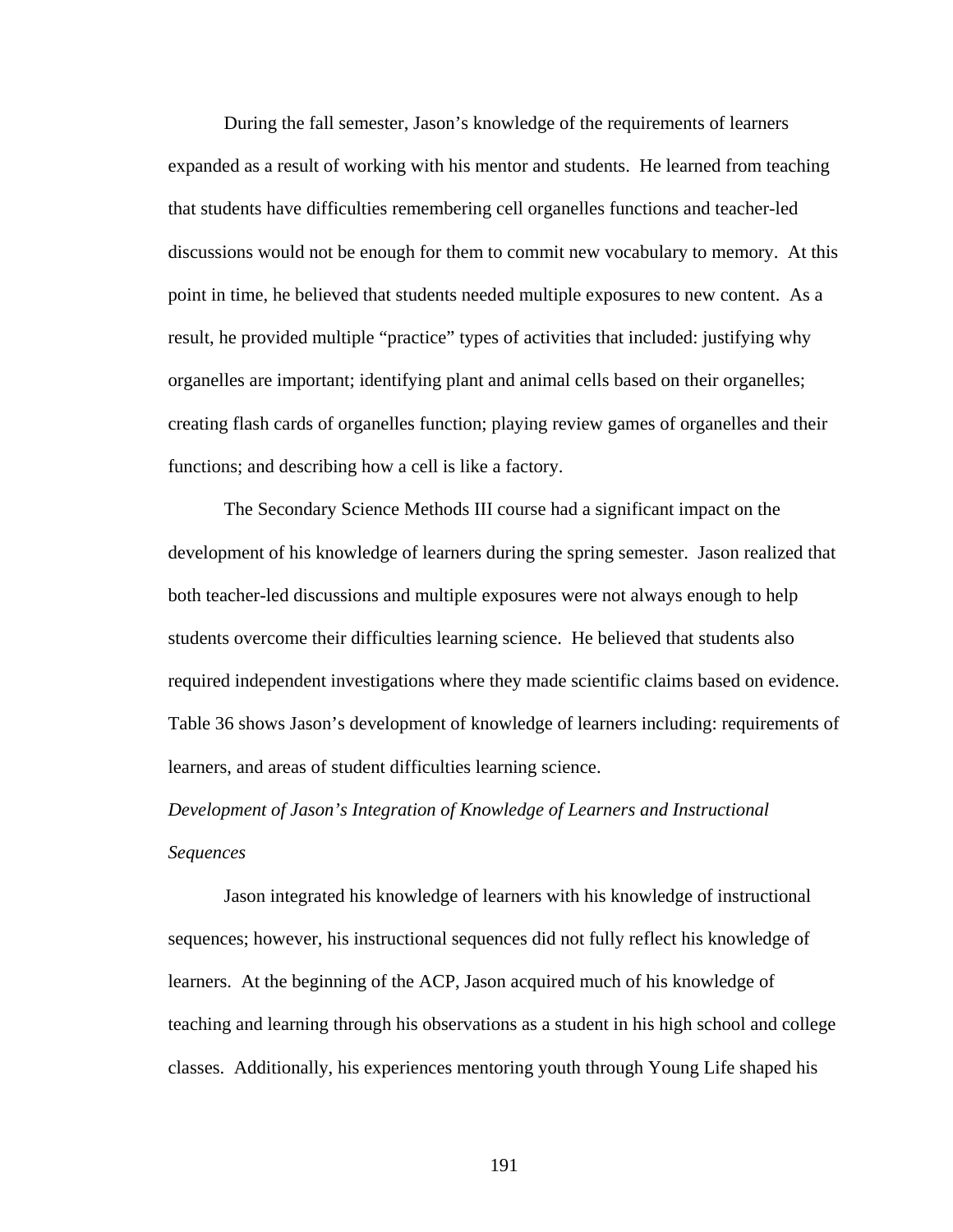During the fall semester, Jason's knowledge of the requirements of learners expanded as a result of working with his mentor and students. He learned from teaching that students have difficulties remembering cell organelles functions and teacher-led discussions would not be enough for them to commit new vocabulary to memory. At this point in time, he believed that students needed multiple exposures to new content. As a result, he provided multiple "practice" types of activities that included: justifying why organelles are important; identifying plant and animal cells based on their organelles; creating flash cards of organelles function; playing review games of organelles and their functions; and describing how a cell is like a factory.

 The Secondary Science Methods III course had a significant impact on the development of his knowledge of learners during the spring semester. Jason realized that both teacher-led discussions and multiple exposures were not always enough to help students overcome their difficulties learning science. He believed that students also required independent investigations where they made scientific claims based on evidence. Table 36 shows Jason's development of knowledge of learners including: requirements of learners, and areas of student difficulties learning science.

# *Development of Jason's Integration of Knowledge of Learners and Instructional Sequences*

Jason integrated his knowledge of learners with his knowledge of instructional sequences; however, his instructional sequences did not fully reflect his knowledge of learners. At the beginning of the ACP, Jason acquired much of his knowledge of teaching and learning through his observations as a student in his high school and college classes. Additionally, his experiences mentoring youth through Young Life shaped his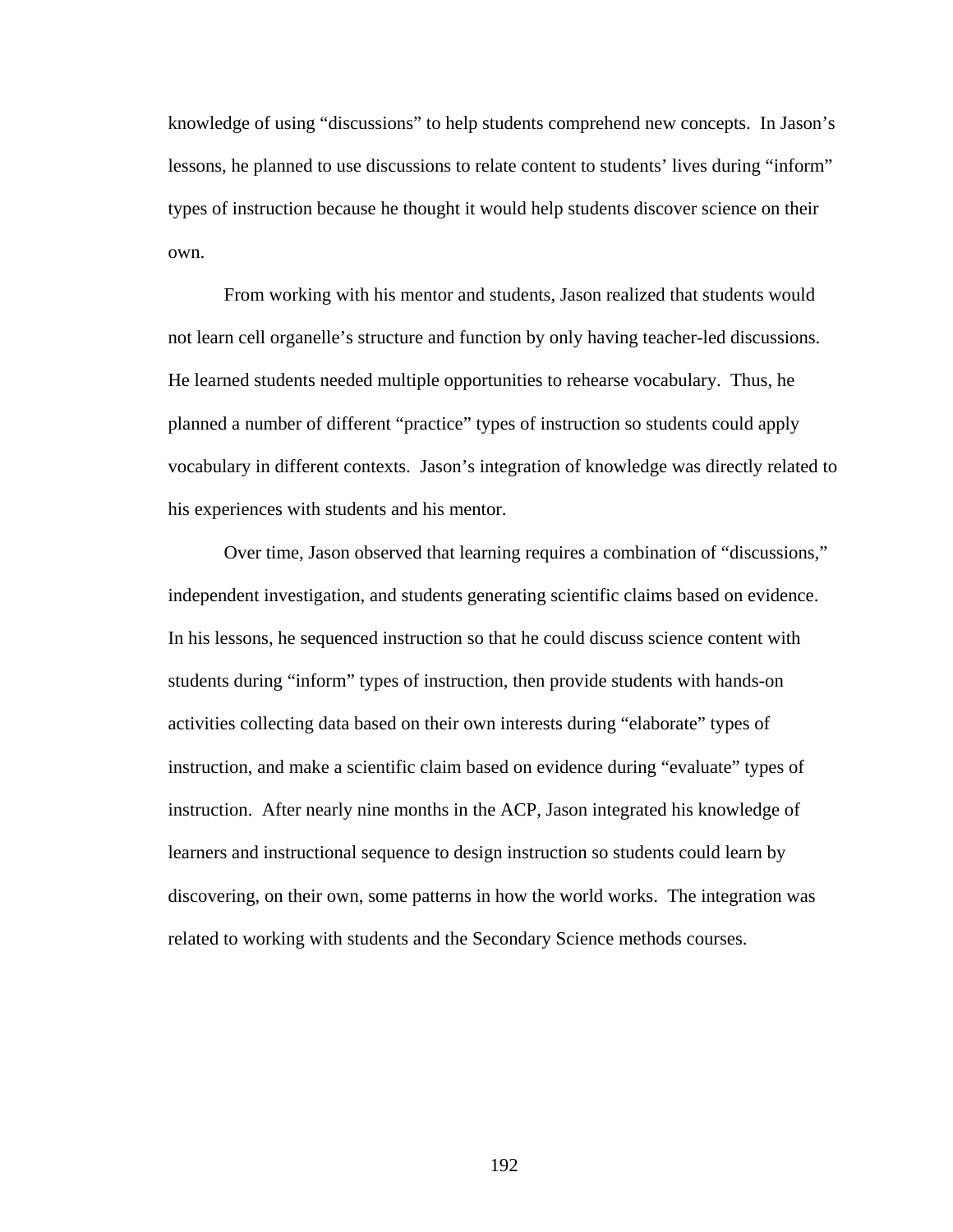knowledge of using "discussions" to help students comprehend new concepts. In Jason's lessons, he planned to use discussions to relate content to students' lives during "inform" types of instruction because he thought it would help students discover science on their own.

From working with his mentor and students, Jason realized that students would not learn cell organelle's structure and function by only having teacher-led discussions. He learned students needed multiple opportunities to rehearse vocabulary. Thus, he planned a number of different "practice" types of instruction so students could apply vocabulary in different contexts. Jason's integration of knowledge was directly related to his experiences with students and his mentor.

Over time, Jason observed that learning requires a combination of "discussions," independent investigation, and students generating scientific claims based on evidence. In his lessons, he sequenced instruction so that he could discuss science content with students during "inform" types of instruction, then provide students with hands-on activities collecting data based on their own interests during "elaborate" types of instruction, and make a scientific claim based on evidence during "evaluate" types of instruction. After nearly nine months in the ACP, Jason integrated his knowledge of learners and instructional sequence to design instruction so students could learn by discovering, on their own, some patterns in how the world works. The integration was related to working with students and the Secondary Science methods courses.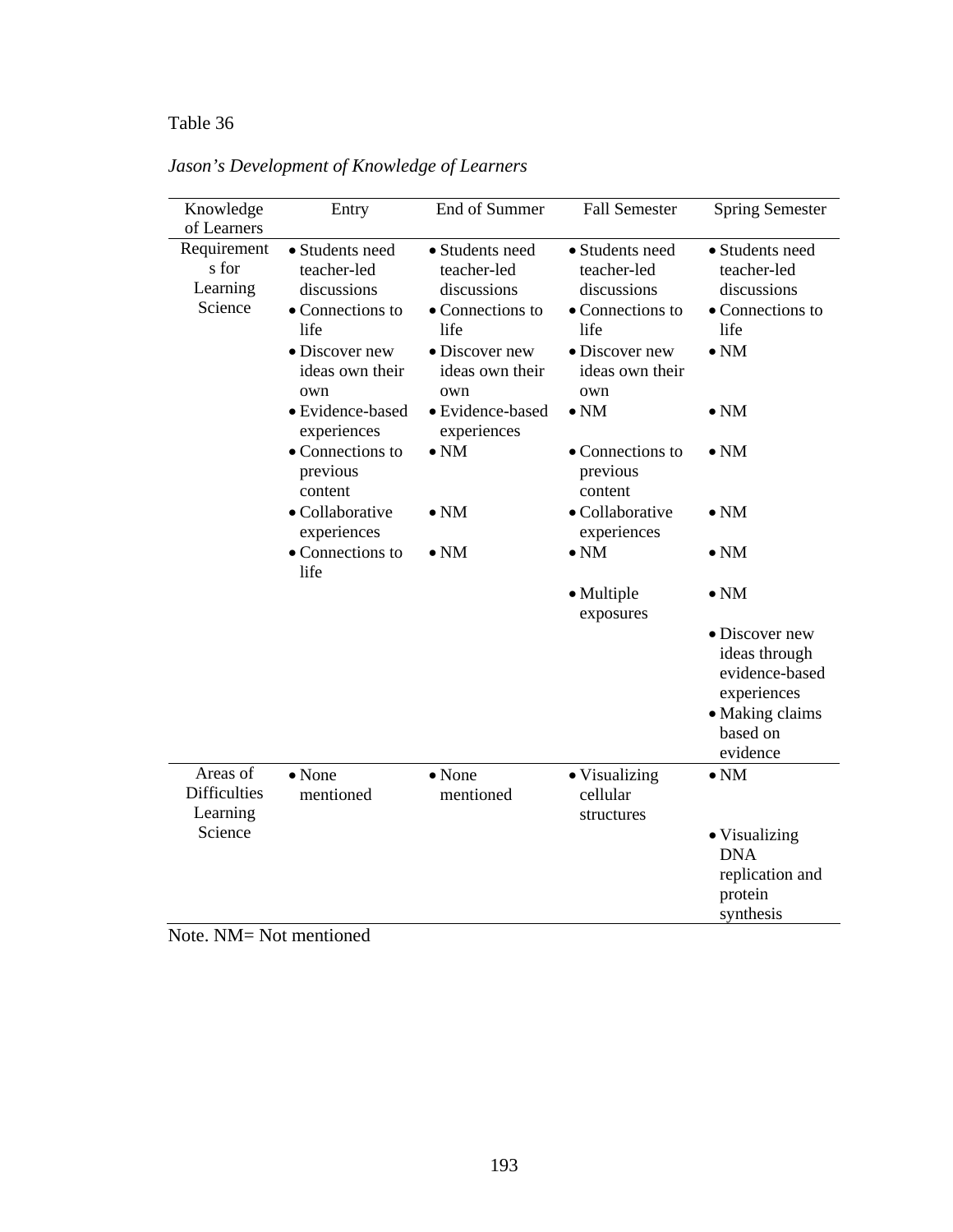# Table 36 *Jason's Development of Knowledge of Learners*

| Knowledge<br>of Learners                    | Entry                                                                                                          | End of Summer                                                                                                  | <b>Fall Semester</b>                                                                                           | <b>Spring Semester</b>                                                                          |
|---------------------------------------------|----------------------------------------------------------------------------------------------------------------|----------------------------------------------------------------------------------------------------------------|----------------------------------------------------------------------------------------------------------------|-------------------------------------------------------------------------------------------------|
| Requirement<br>s for<br>Learning<br>Science | • Students need<br>teacher-led<br>discussions<br>• Connections to<br>life<br>• Discover new<br>ideas own their | • Students need<br>teacher-led<br>discussions<br>• Connections to<br>life<br>· Discover new<br>ideas own their | • Students need<br>teacher-led<br>discussions<br>• Connections to<br>life<br>• Discover new<br>ideas own their | • Students need<br>teacher-led<br>discussions<br>• Connections to<br>life<br>$\bullet$ NM       |
|                                             | own<br>· Evidence-based                                                                                        | own<br>• Evidence-based                                                                                        | own<br>$\bullet$ NM                                                                                            | $\bullet$ NM                                                                                    |
|                                             | experiences<br>• Connections to<br>previous<br>content                                                         | experiences<br>$\bullet$ NM                                                                                    | • Connections to<br>previous<br>content                                                                        | $\bullet$ NM                                                                                    |
|                                             | • Collaborative<br>experiences                                                                                 | $\bullet$ NM                                                                                                   | • Collaborative<br>experiences                                                                                 | $\bullet$ NM                                                                                    |
|                                             | • Connections to<br>life                                                                                       | $\bullet$ NM                                                                                                   | $\bullet$ NM                                                                                                   | $\bullet$ NM                                                                                    |
|                                             |                                                                                                                |                                                                                                                | • Multiple<br>exposures                                                                                        | $\bullet$ NM                                                                                    |
|                                             |                                                                                                                |                                                                                                                |                                                                                                                | · Discover new<br>ideas through<br>evidence-based<br>experiences<br>• Making claims<br>based on |
| Areas of<br><b>Difficulties</b><br>Learning | $\bullet$ None<br>mentioned                                                                                    | $\bullet$ None<br>mentioned                                                                                    | • Visualizing<br>cellular<br>structures                                                                        | evidence<br>$\bullet$ NM                                                                        |
| Science                                     |                                                                                                                |                                                                                                                |                                                                                                                | • Visualizing<br><b>DNA</b><br>replication and<br>protein<br>synthesis                          |

*Jason's Development of Knowledge of Learners* 

Note. NM= Not mentioned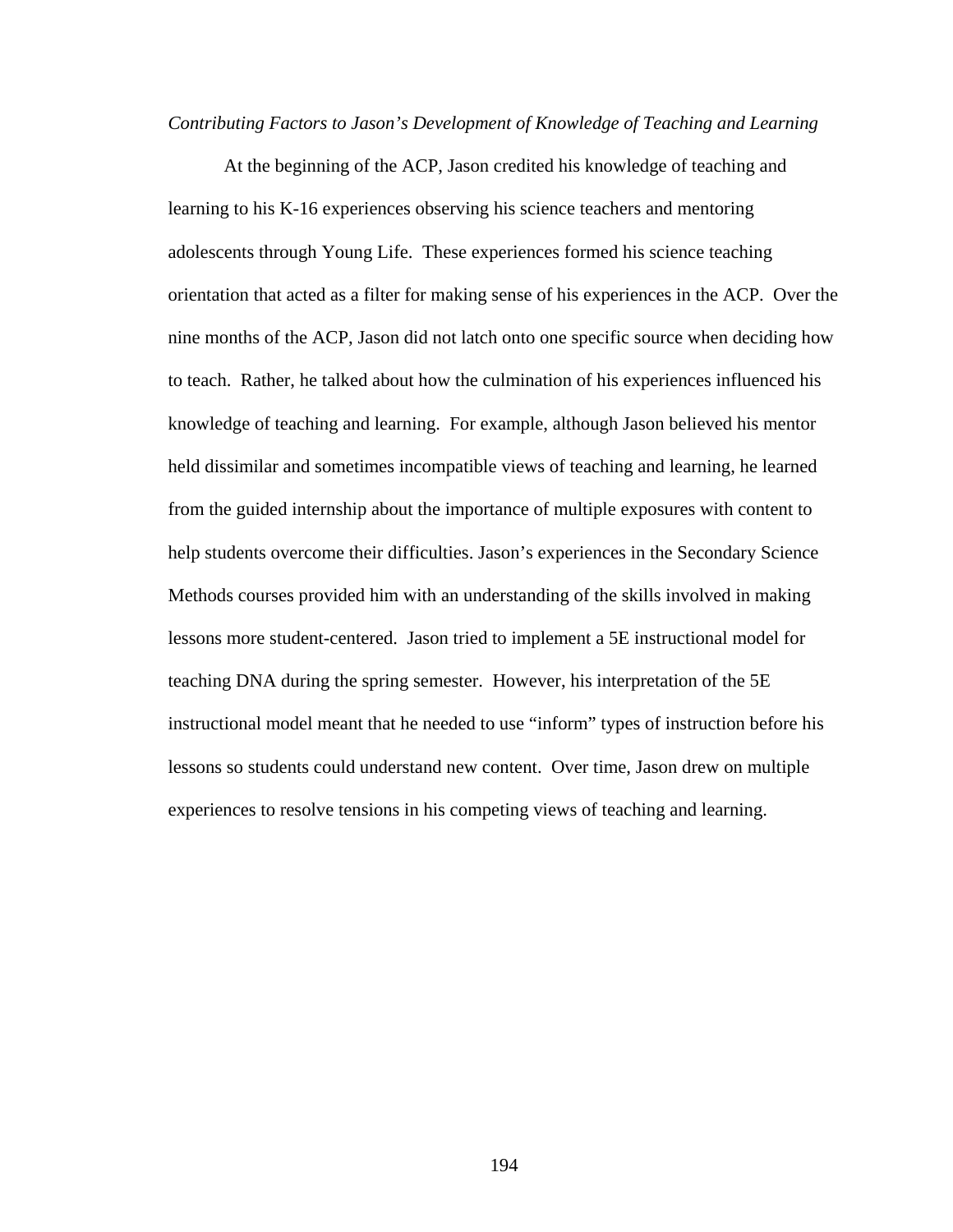#### *Contributing Factors to Jason's Development of Knowledge of Teaching and Learning*

 At the beginning of the ACP, Jason credited his knowledge of teaching and learning to his K-16 experiences observing his science teachers and mentoring adolescents through Young Life. These experiences formed his science teaching orientation that acted as a filter for making sense of his experiences in the ACP. Over the nine months of the ACP, Jason did not latch onto one specific source when deciding how to teach. Rather, he talked about how the culmination of his experiences influenced his knowledge of teaching and learning. For example, although Jason believed his mentor held dissimilar and sometimes incompatible views of teaching and learning, he learned from the guided internship about the importance of multiple exposures with content to help students overcome their difficulties. Jason's experiences in the Secondary Science Methods courses provided him with an understanding of the skills involved in making lessons more student-centered. Jason tried to implement a 5E instructional model for teaching DNA during the spring semester. However, his interpretation of the 5E instructional model meant that he needed to use "inform" types of instruction before his lessons so students could understand new content. Over time, Jason drew on multiple experiences to resolve tensions in his competing views of teaching and learning.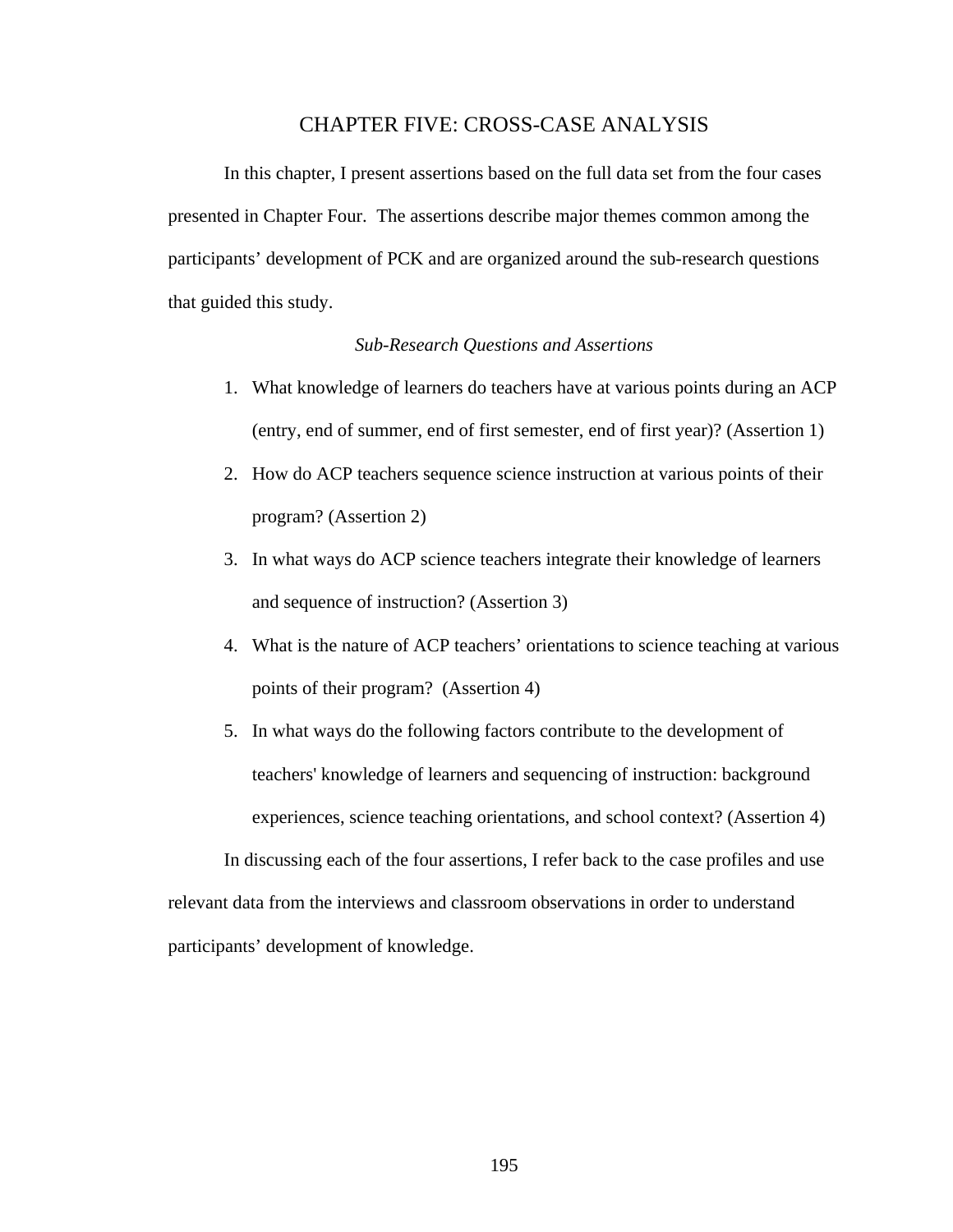#### CHAPTER FIVE: CROSS-CASE ANALYSIS

 In this chapter, I present assertions based on the full data set from the four cases presented in Chapter Four. The assertions describe major themes common among the participants' development of PCK and are organized around the sub-research questions that guided this study.

#### *Sub-Research Questions and Assertions*

- 1. What knowledge of learners do teachers have at various points during an ACP (entry, end of summer, end of first semester, end of first year)? (Assertion 1)
- 2. How do ACP teachers sequence science instruction at various points of their program? (Assertion 2)
- 3. In what ways do ACP science teachers integrate their knowledge of learners and sequence of instruction? (Assertion 3)
- 4. What is the nature of ACP teachers' orientations to science teaching at various points of their program? (Assertion 4)
- 5. In what ways do the following factors contribute to the development of teachers' knowledge of learners and sequencing of instruction: background experiences, science teaching orientations, and school context? (Assertion 4)

In discussing each of the four assertions, I refer back to the case profiles and use relevant data from the interviews and classroom observations in order to understand participants' development of knowledge.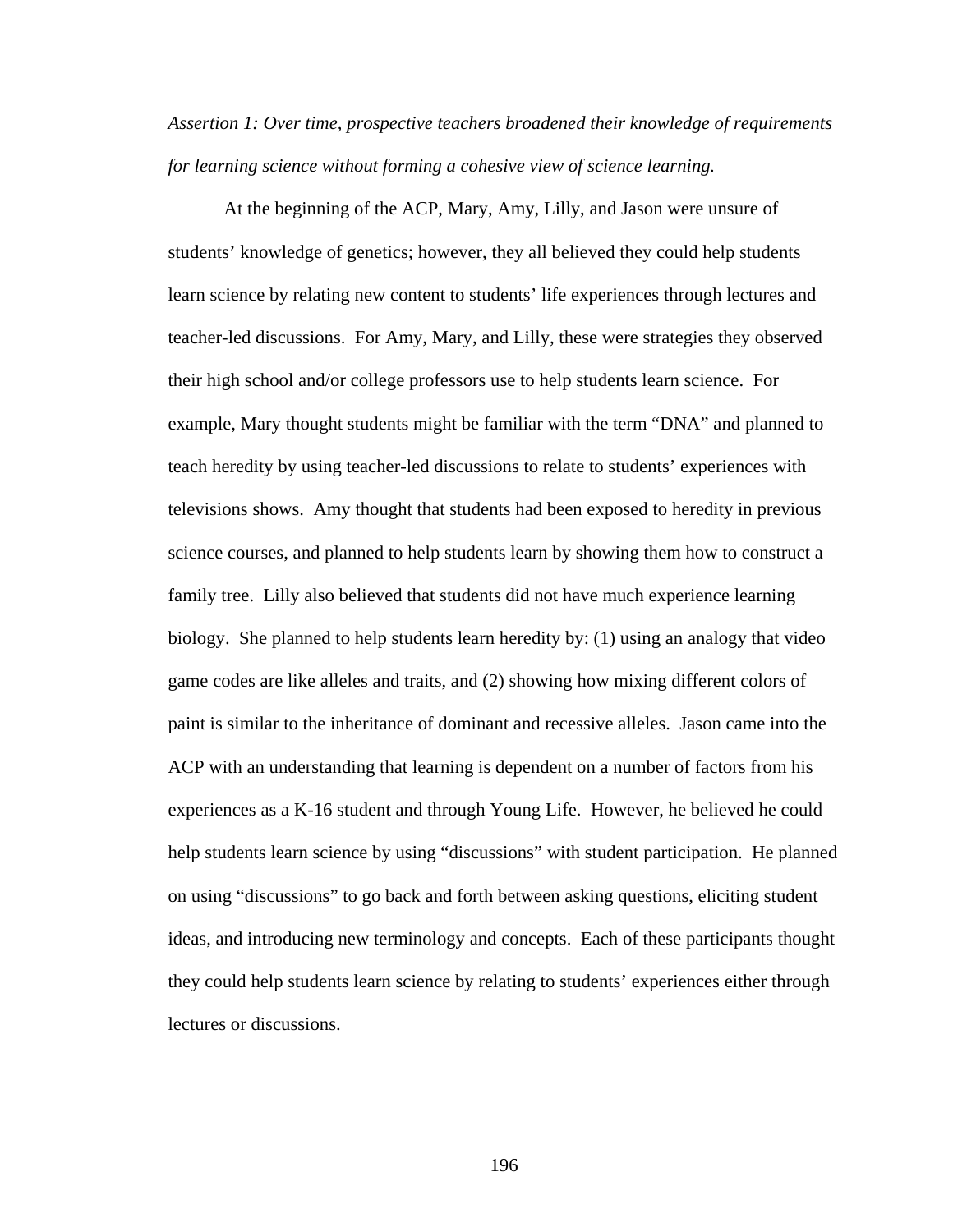*Assertion 1: Over time, prospective teachers broadened their knowledge of requirements for learning science without forming a cohesive view of science learning.* 

At the beginning of the ACP, Mary, Amy, Lilly, and Jason were unsure of students' knowledge of genetics; however, they all believed they could help students learn science by relating new content to students' life experiences through lectures and teacher-led discussions. For Amy, Mary, and Lilly, these were strategies they observed their high school and/or college professors use to help students learn science. For example, Mary thought students might be familiar with the term "DNA" and planned to teach heredity by using teacher-led discussions to relate to students' experiences with televisions shows. Amy thought that students had been exposed to heredity in previous science courses, and planned to help students learn by showing them how to construct a family tree. Lilly also believed that students did not have much experience learning biology. She planned to help students learn heredity by: (1) using an analogy that video game codes are like alleles and traits, and (2) showing how mixing different colors of paint is similar to the inheritance of dominant and recessive alleles. Jason came into the ACP with an understanding that learning is dependent on a number of factors from his experiences as a K-16 student and through Young Life. However, he believed he could help students learn science by using "discussions" with student participation. He planned on using "discussions" to go back and forth between asking questions, eliciting student ideas, and introducing new terminology and concepts. Each of these participants thought they could help students learn science by relating to students' experiences either through lectures or discussions.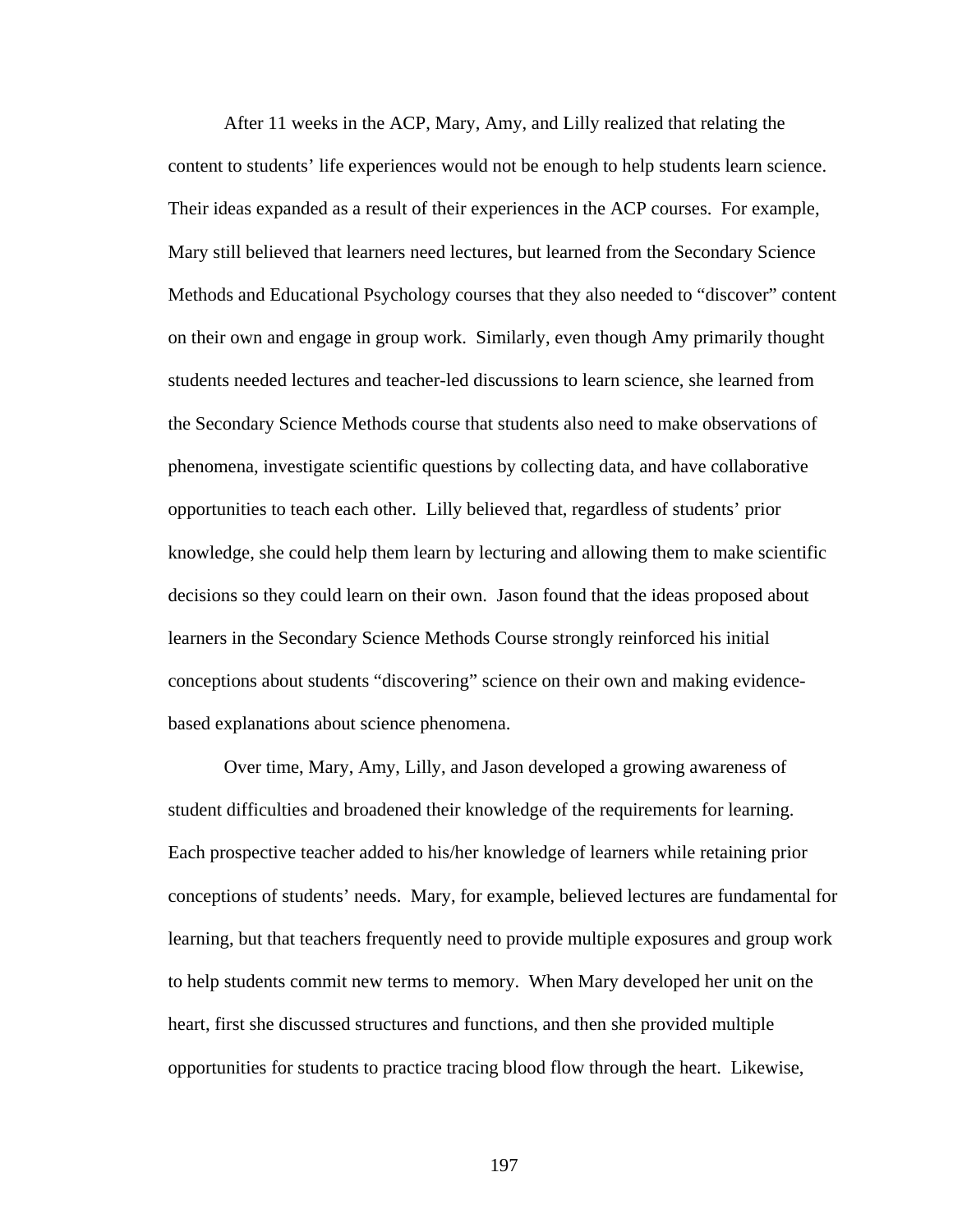After 11 weeks in the ACP, Mary, Amy, and Lilly realized that relating the content to students' life experiences would not be enough to help students learn science. Their ideas expanded as a result of their experiences in the ACP courses. For example, Mary still believed that learners need lectures, but learned from the Secondary Science Methods and Educational Psychology courses that they also needed to "discover" content on their own and engage in group work. Similarly, even though Amy primarily thought students needed lectures and teacher-led discussions to learn science, she learned from the Secondary Science Methods course that students also need to make observations of phenomena, investigate scientific questions by collecting data, and have collaborative opportunities to teach each other. Lilly believed that, regardless of students' prior knowledge, she could help them learn by lecturing and allowing them to make scientific decisions so they could learn on their own. Jason found that the ideas proposed about learners in the Secondary Science Methods Course strongly reinforced his initial conceptions about students "discovering" science on their own and making evidencebased explanations about science phenomena.

Over time, Mary, Amy, Lilly, and Jason developed a growing awareness of student difficulties and broadened their knowledge of the requirements for learning. Each prospective teacher added to his/her knowledge of learners while retaining prior conceptions of students' needs. Mary, for example, believed lectures are fundamental for learning, but that teachers frequently need to provide multiple exposures and group work to help students commit new terms to memory. When Mary developed her unit on the heart, first she discussed structures and functions, and then she provided multiple opportunities for students to practice tracing blood flow through the heart. Likewise,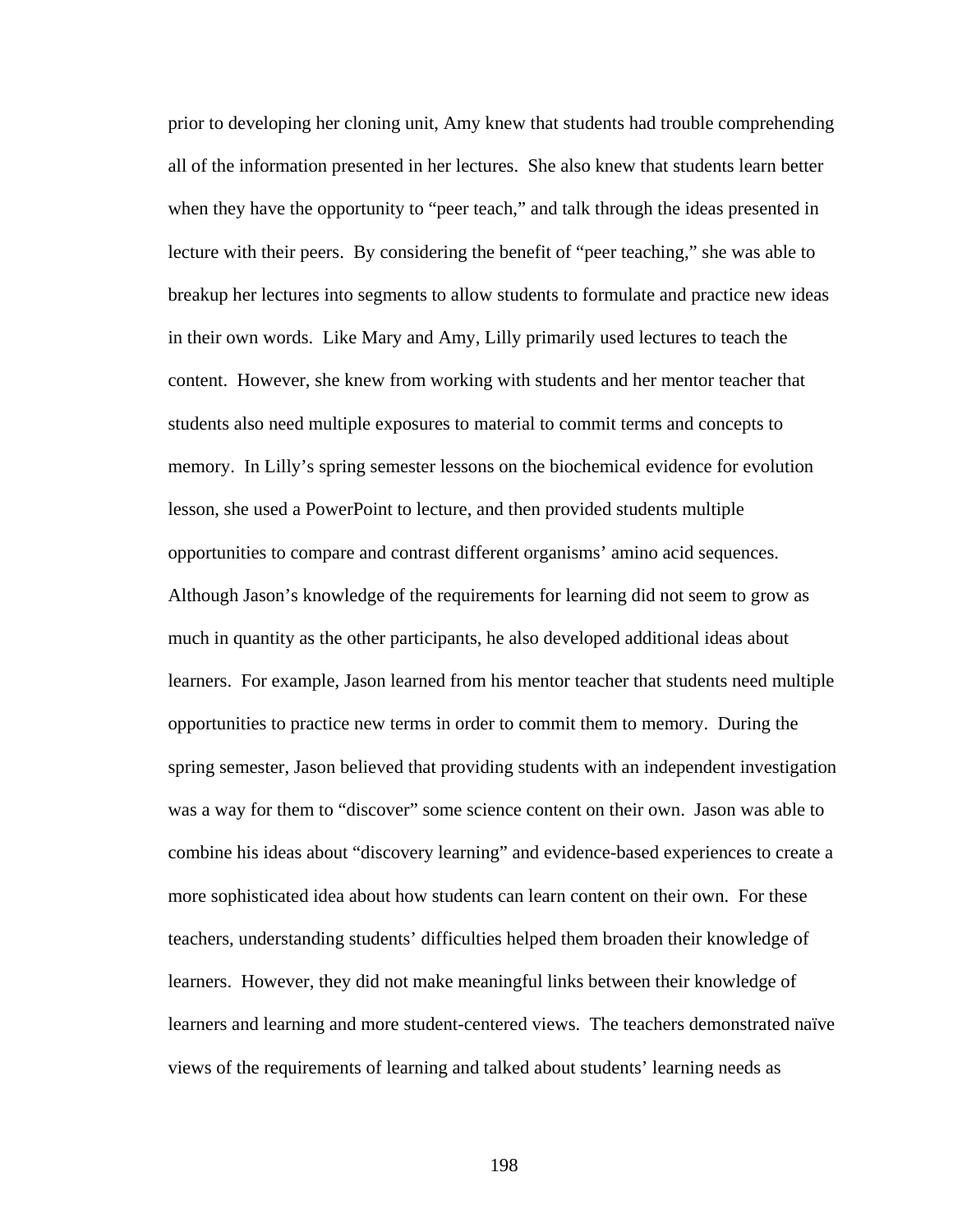prior to developing her cloning unit, Amy knew that students had trouble comprehending all of the information presented in her lectures. She also knew that students learn better when they have the opportunity to "peer teach," and talk through the ideas presented in lecture with their peers. By considering the benefit of "peer teaching," she was able to breakup her lectures into segments to allow students to formulate and practice new ideas in their own words. Like Mary and Amy, Lilly primarily used lectures to teach the content. However, she knew from working with students and her mentor teacher that students also need multiple exposures to material to commit terms and concepts to memory. In Lilly's spring semester lessons on the biochemical evidence for evolution lesson, she used a PowerPoint to lecture, and then provided students multiple opportunities to compare and contrast different organisms' amino acid sequences. Although Jason's knowledge of the requirements for learning did not seem to grow as much in quantity as the other participants, he also developed additional ideas about learners. For example, Jason learned from his mentor teacher that students need multiple opportunities to practice new terms in order to commit them to memory. During the spring semester, Jason believed that providing students with an independent investigation was a way for them to "discover" some science content on their own. Jason was able to combine his ideas about "discovery learning" and evidence-based experiences to create a more sophisticated idea about how students can learn content on their own. For these teachers, understanding students' difficulties helped them broaden their knowledge of learners. However, they did not make meaningful links between their knowledge of learners and learning and more student-centered views. The teachers demonstrated naïve views of the requirements of learning and talked about students' learning needs as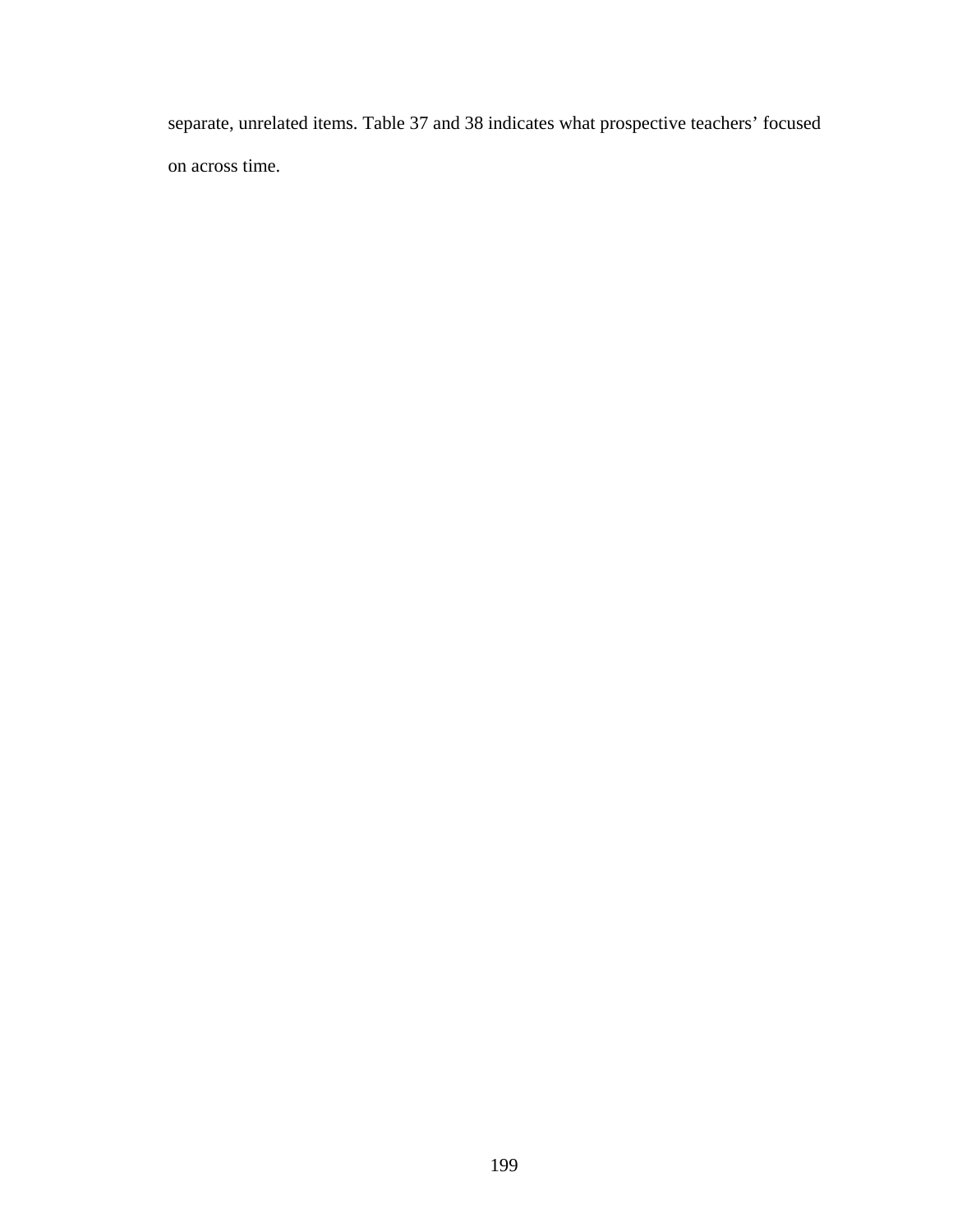separate, unrelated items. Table 37 and 38 indicates what prospective teachers' focused on across time.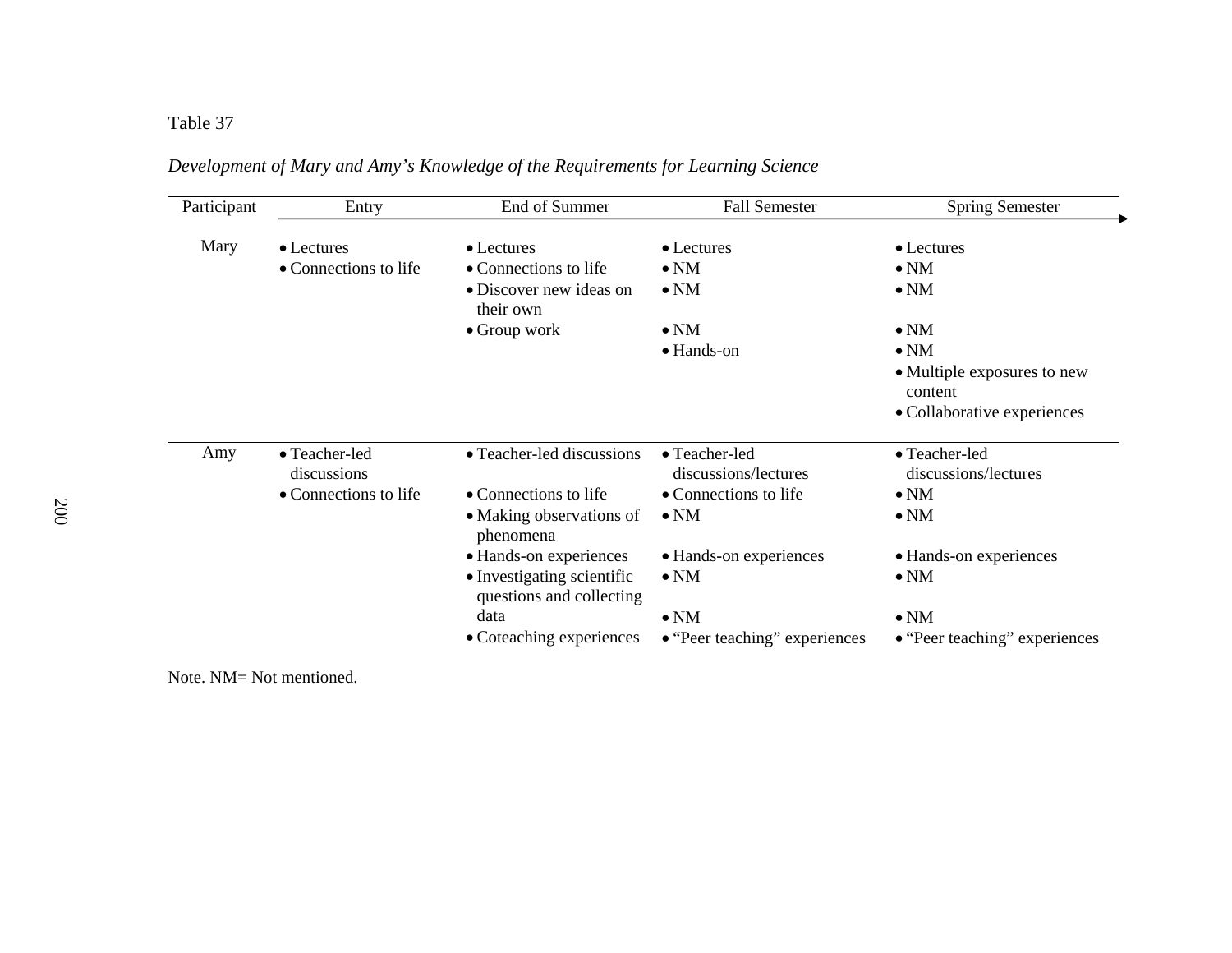| Participant | Entry                        | End of Summer                                          | <b>Fall Semester</b>                  | <b>Spring Semester</b>                 |
|-------------|------------------------------|--------------------------------------------------------|---------------------------------------|----------------------------------------|
| Mary        | $\bullet$ Lectures           | • Lectures                                             | • Lectures                            | $\bullet$ Lectures                     |
|             | • Connections to life        | • Connections to life                                  | $\bullet$ NM                          | $\bullet$ NM                           |
|             |                              | • Discover new ideas on<br>their own                   | $\bullet$ NM                          | $\bullet$ NM                           |
|             |                              | $\bullet$ Group work                                   | $\bullet$ NM                          | $\bullet$ NM                           |
|             |                              |                                                        | • Hands-on                            | $\bullet$ NM                           |
|             |                              |                                                        |                                       | • Multiple exposures to new<br>content |
|             |                              |                                                        |                                       | • Collaborative experiences            |
| Amy         | • Teacher-led<br>discussions | • Teacher-led discussions                              | • Teacher-led<br>discussions/lectures | • Teacher-led<br>discussions/lectures  |
|             | • Connections to life        | • Connections to life                                  | • Connections to life                 | $\bullet$ NM                           |
|             |                              | • Making observations of<br>phenomena                  | $\bullet$ NM                          | $\bullet$ NM                           |
|             |                              | • Hands-on experiences                                 | • Hands-on experiences                | • Hands-on experiences                 |
|             |                              | • Investigating scientific<br>questions and collecting | $\bullet$ NM                          | $\bullet$ NM                           |
|             |                              | data                                                   | $\bullet$ NM                          | $\bullet$ NM                           |
|             |                              | • Coteaching experiences                               | • "Peer teaching" experiences         | • "Peer teaching" experiences          |

*Development of Mary and Amy's Knowledge of the Requirements for Learning Science* 

Note. NM= Not mentioned.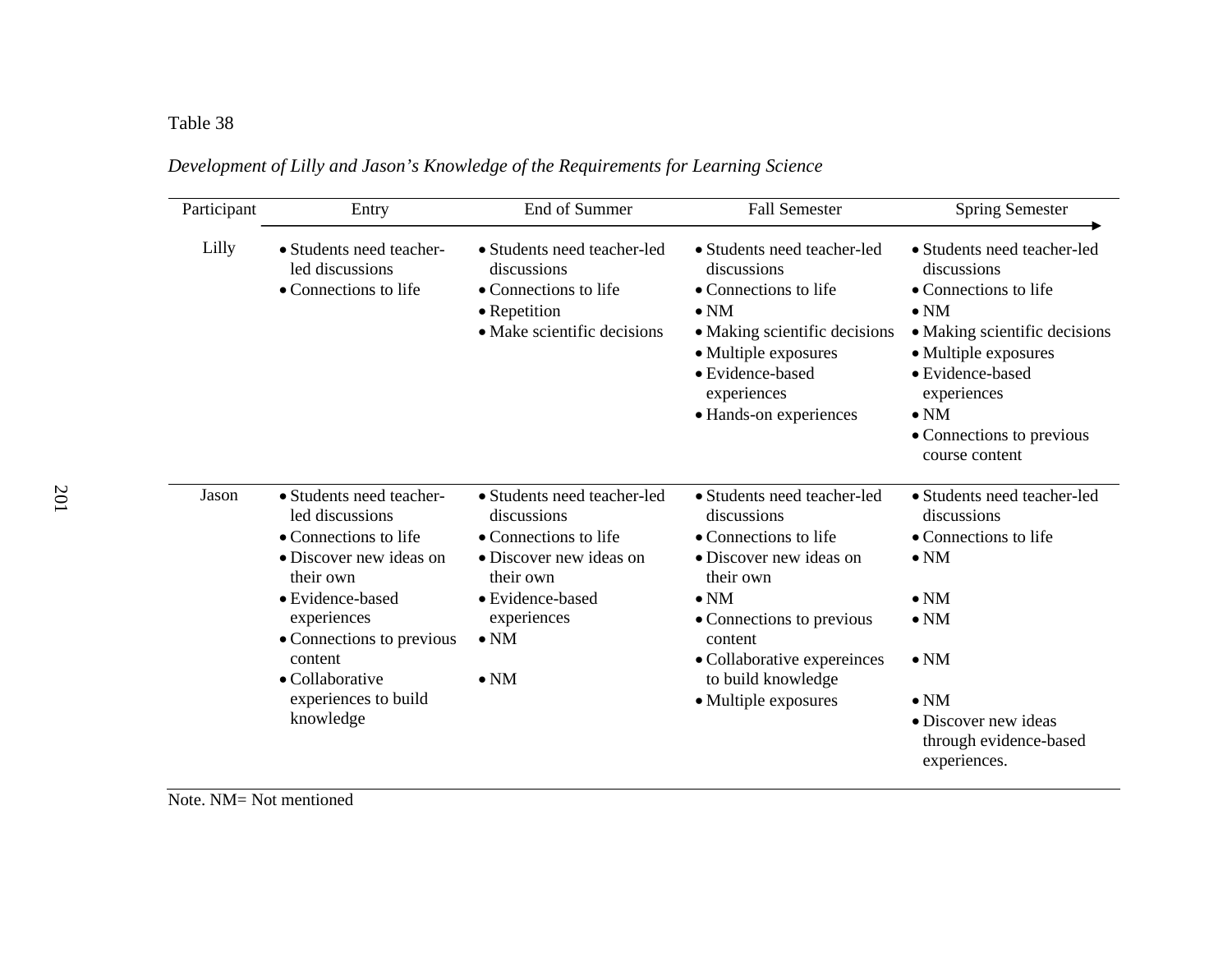#### Table 38  $\Box$

| Participant | End of Summer<br>Entry<br>• Students need teacher-led<br>• Students need teacher-<br>led discussions<br>discussions<br>• Connections to life<br>• Connections to life<br>• Repetition<br>• Make scientific decisions                            |                                                                                                                                                                                | <b>Fall Semester</b>                                                                                                                                                                                                                             | <b>Spring Semester</b><br>• Students need teacher-led<br>discussions<br>• Connections to life<br>$\bullet$ NM<br>• Making scientific decisions<br>• Multiple exposures<br>• Evidence-based<br>experiences<br>$\bullet$ NM<br>• Connections to previous<br>course content |  |
|-------------|-------------------------------------------------------------------------------------------------------------------------------------------------------------------------------------------------------------------------------------------------|--------------------------------------------------------------------------------------------------------------------------------------------------------------------------------|--------------------------------------------------------------------------------------------------------------------------------------------------------------------------------------------------------------------------------------------------|--------------------------------------------------------------------------------------------------------------------------------------------------------------------------------------------------------------------------------------------------------------------------|--|
| Lilly       |                                                                                                                                                                                                                                                 |                                                                                                                                                                                | • Students need teacher-led<br>discussions<br>• Connections to life<br>$\bullet$ NM<br>• Making scientific decisions<br>• Multiple exposures<br>• Evidence-based<br>experiences<br>• Hands-on experiences                                        |                                                                                                                                                                                                                                                                          |  |
| Jason       | • Students need teacher-<br>led discussions<br>• Connections to life<br>• Discover new ideas on<br>their own<br>· Evidence-based<br>experiences<br>• Connections to previous<br>content<br>• Collaborative<br>experiences to build<br>knowledge | • Students need teacher-led<br>discussions<br>• Connections to life<br>• Discover new ideas on<br>their own<br>· Evidence-based<br>experiences<br>$\bullet$ NM<br>$\bullet$ NM | • Students need teacher-led<br>discussions<br>• Connections to life<br>• Discover new ideas on<br>their own<br>$\bullet$ NM<br>• Connections to previous<br>content<br>• Collaborative expereinces<br>to build knowledge<br>• Multiple exposures | • Students need teacher-led<br>discussions<br>• Connections to life<br>$\bullet$ NM<br>$\bullet$ NM<br>$\bullet$ NM<br>$\bullet$ NM<br>$\bullet$ NM<br>• Discover new ideas<br>through evidence-based<br>experiences.                                                    |  |

*Development of Lilly and Jason's Knowledge of the Requirements for Learning Science*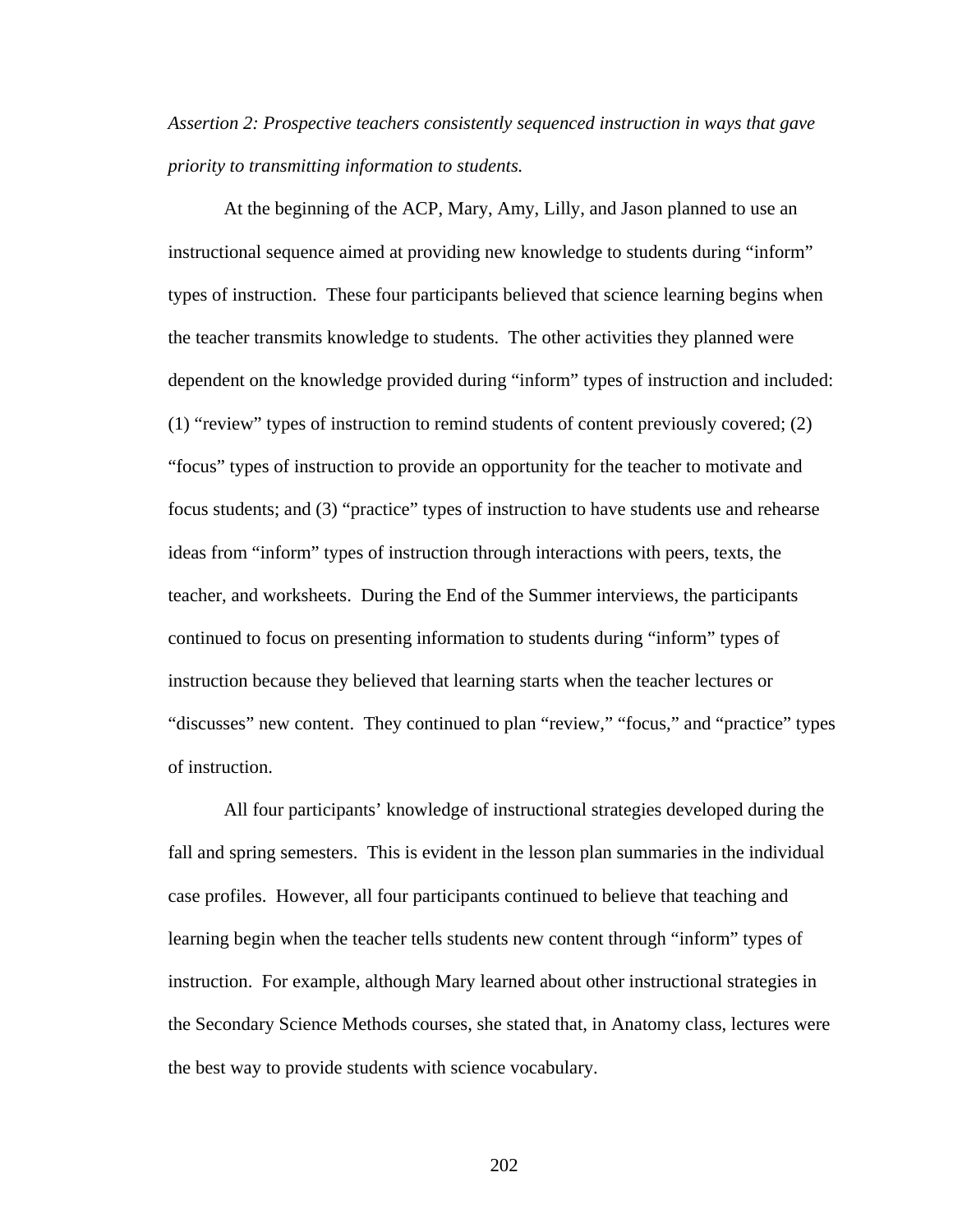*Assertion 2: Prospective teachers consistently sequenced instruction in ways that gave priority to transmitting information to students.* 

At the beginning of the ACP, Mary, Amy, Lilly, and Jason planned to use an instructional sequence aimed at providing new knowledge to students during "inform" types of instruction. These four participants believed that science learning begins when the teacher transmits knowledge to students. The other activities they planned were dependent on the knowledge provided during "inform" types of instruction and included: (1) "review" types of instruction to remind students of content previously covered; (2) "focus" types of instruction to provide an opportunity for the teacher to motivate and focus students; and (3) "practice" types of instruction to have students use and rehearse ideas from "inform" types of instruction through interactions with peers, texts, the teacher, and worksheets. During the End of the Summer interviews, the participants continued to focus on presenting information to students during "inform" types of instruction because they believed that learning starts when the teacher lectures or "discusses" new content. They continued to plan "review," "focus," and "practice" types of instruction.

 All four participants' knowledge of instructional strategies developed during the fall and spring semesters. This is evident in the lesson plan summaries in the individual case profiles. However, all four participants continued to believe that teaching and learning begin when the teacher tells students new content through "inform" types of instruction. For example, although Mary learned about other instructional strategies in the Secondary Science Methods courses, she stated that, in Anatomy class, lectures were the best way to provide students with science vocabulary.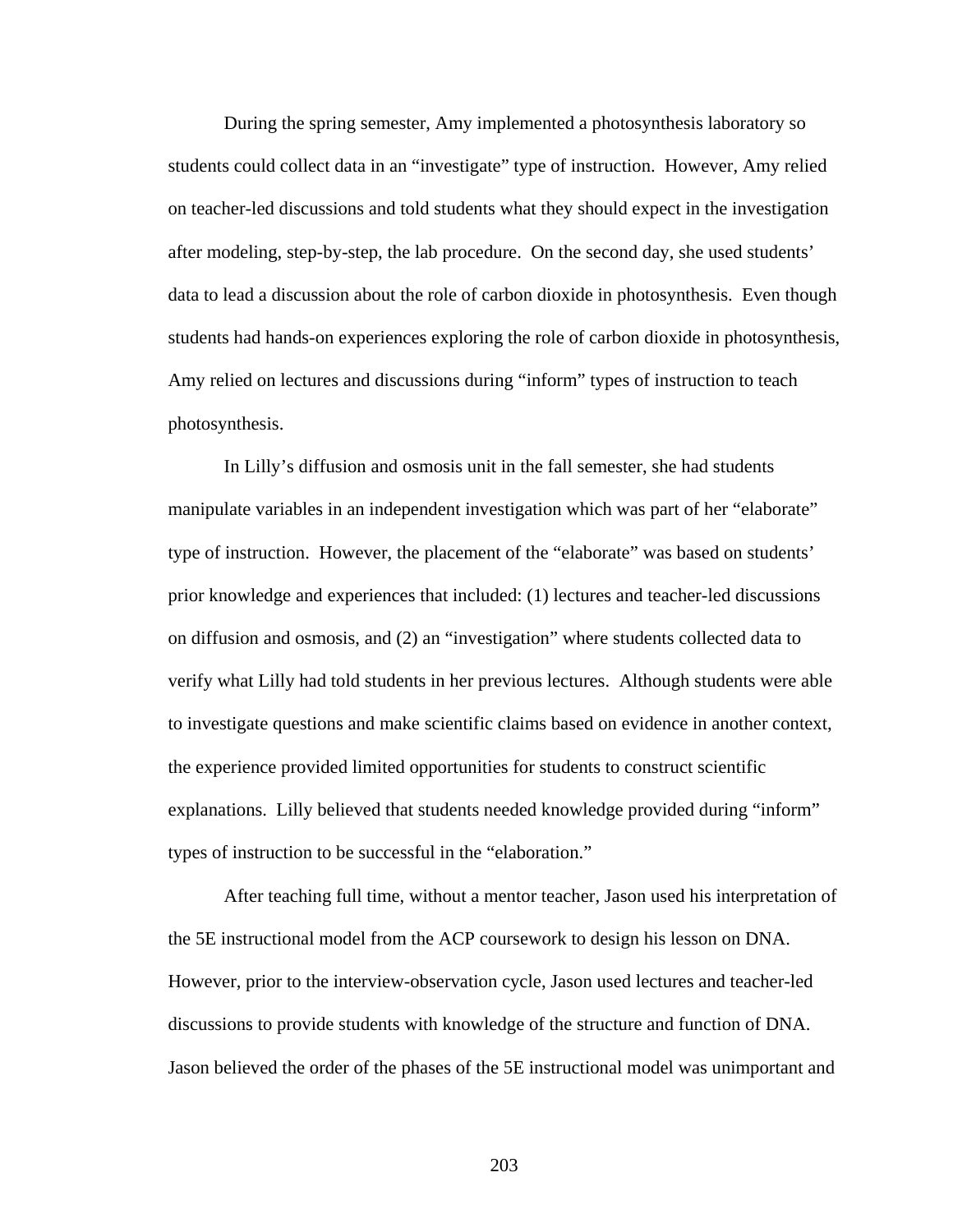During the spring semester, Amy implemented a photosynthesis laboratory so students could collect data in an "investigate" type of instruction. However, Amy relied on teacher-led discussions and told students what they should expect in the investigation after modeling, step-by-step, the lab procedure. On the second day, she used students' data to lead a discussion about the role of carbon dioxide in photosynthesis. Even though students had hands-on experiences exploring the role of carbon dioxide in photosynthesis, Amy relied on lectures and discussions during "inform" types of instruction to teach photosynthesis.

 In Lilly's diffusion and osmosis unit in the fall semester, she had students manipulate variables in an independent investigation which was part of her "elaborate" type of instruction. However, the placement of the "elaborate" was based on students' prior knowledge and experiences that included: (1) lectures and teacher-led discussions on diffusion and osmosis, and (2) an "investigation" where students collected data to verify what Lilly had told students in her previous lectures. Although students were able to investigate questions and make scientific claims based on evidence in another context, the experience provided limited opportunities for students to construct scientific explanations. Lilly believed that students needed knowledge provided during "inform" types of instruction to be successful in the "elaboration."

After teaching full time, without a mentor teacher, Jason used his interpretation of the 5E instructional model from the ACP coursework to design his lesson on DNA. However, prior to the interview-observation cycle, Jason used lectures and teacher-led discussions to provide students with knowledge of the structure and function of DNA. Jason believed the order of the phases of the 5E instructional model was unimportant and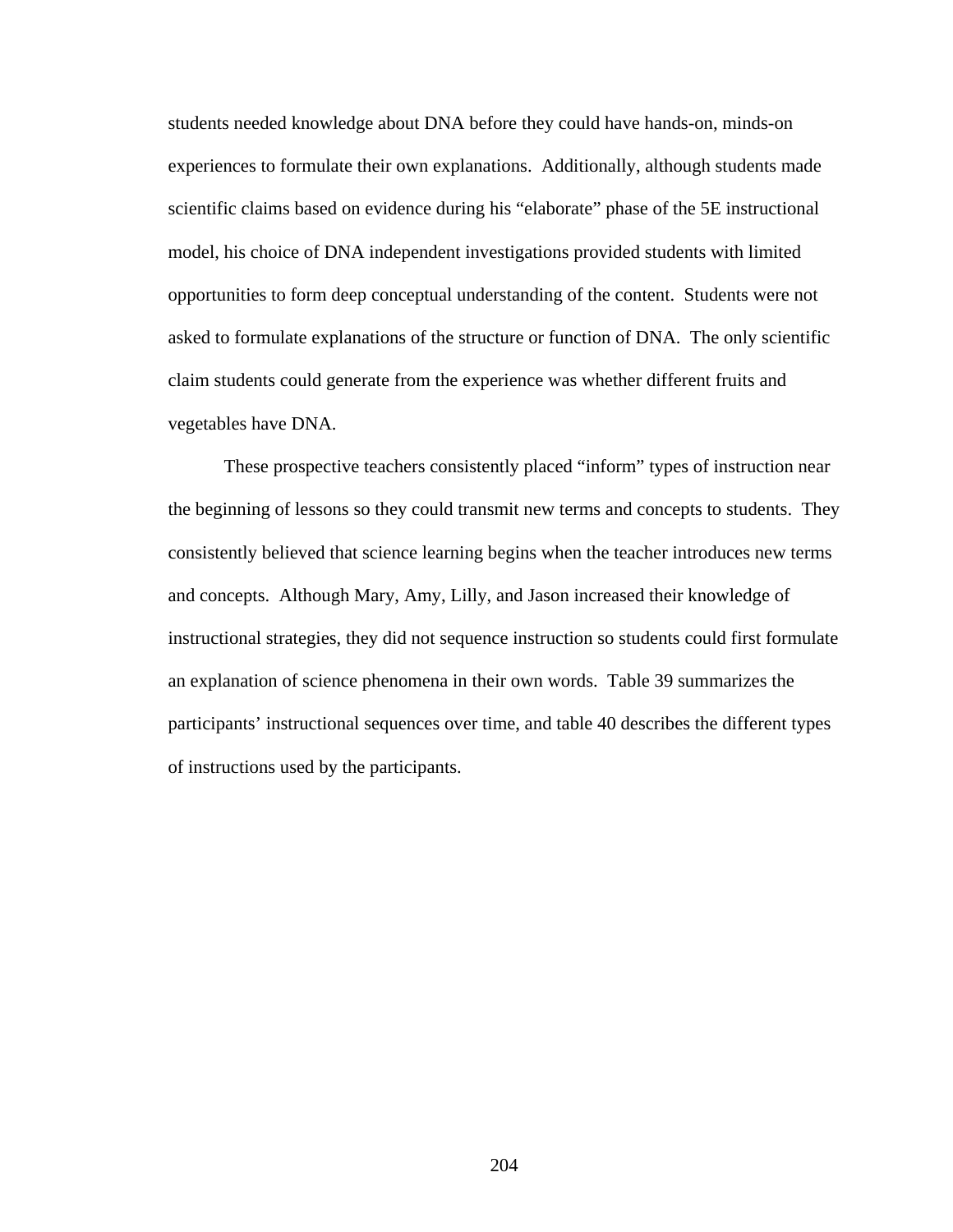students needed knowledge about DNA before they could have hands-on, minds-on experiences to formulate their own explanations. Additionally, although students made scientific claims based on evidence during his "elaborate" phase of the 5E instructional model, his choice of DNA independent investigations provided students with limited opportunities to form deep conceptual understanding of the content. Students were not asked to formulate explanations of the structure or function of DNA. The only scientific claim students could generate from the experience was whether different fruits and vegetables have DNA.

 These prospective teachers consistently placed "inform" types of instruction near the beginning of lessons so they could transmit new terms and concepts to students. They consistently believed that science learning begins when the teacher introduces new terms and concepts. Although Mary, Amy, Lilly, and Jason increased their knowledge of instructional strategies, they did not sequence instruction so students could first formulate an explanation of science phenomena in their own words. Table 39 summarizes the participants' instructional sequences over time, and table 40 describes the different types of instructions used by the participants.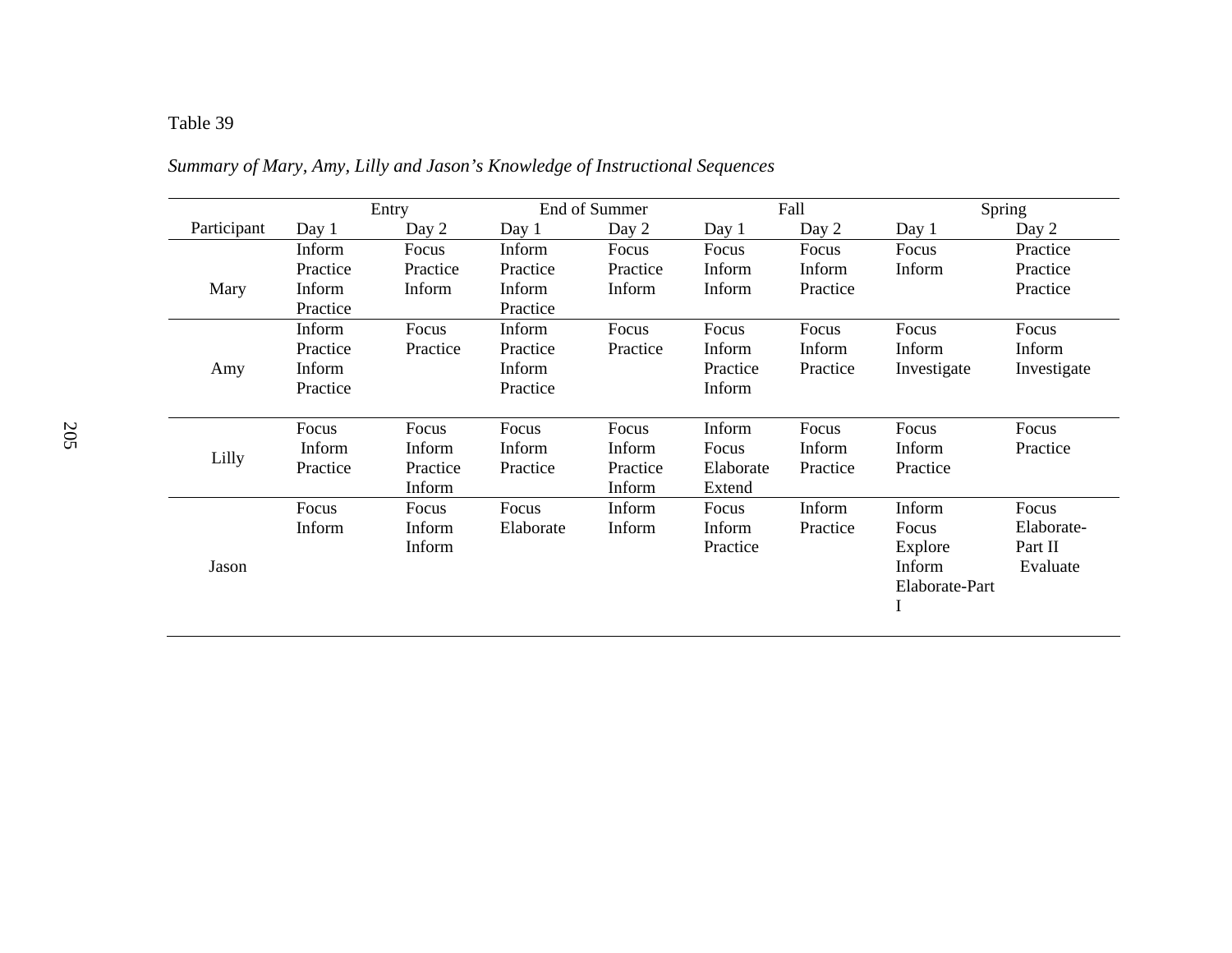## Table 39 *Summary of Mary, Amy, Lilly and Jason's Knowledge of Instructional Sequences*

|             |          | Entry    |           | End of Summer |           | Fall     |                | Spring      |
|-------------|----------|----------|-----------|---------------|-----------|----------|----------------|-------------|
| Participant | Day 1    | Day 2    | Day 1     | Day 2         | Day 1     | Day 2    | Day 1          | Day 2       |
|             | Inform   | Focus    | Inform    | Focus         | Focus     | Focus    | Focus          | Practice    |
|             | Practice | Practice | Practice  | Practice      | Inform    | Inform   | Inform         | Practice    |
| Mary        | Inform   | Inform   | Inform    | Inform        | Inform    | Practice |                | Practice    |
|             | Practice |          | Practice  |               |           |          |                |             |
|             | Inform   | Focus    | Inform    | Focus         | Focus     | Focus    | Focus          | Focus       |
|             | Practice | Practice | Practice  | Practice      | Inform    | Inform   | Inform         | Inform      |
| Amy         | Inform   |          | Inform    |               | Practice  | Practice | Investigate    | Investigate |
|             | Practice |          | Practice  |               | Inform    |          |                |             |
|             |          |          |           |               |           |          |                |             |
|             | Focus    | Focus    | Focus     | Focus         | Inform    | Focus    | Focus          | Focus       |
| Lilly       | Inform   | Inform   | Inform    | Inform        | Focus     | Inform   | Inform         | Practice    |
|             | Practice | Practice | Practice  | Practice      | Elaborate | Practice | Practice       |             |
|             |          | Inform   |           | Inform        | Extend    |          |                |             |
|             | Focus    | Focus    | Focus     | Inform        | Focus     | Inform   | Inform         | Focus       |
|             | Inform   | Inform   | Elaborate | Inform        | Inform    | Practice | Focus          | Elaborate-  |
|             |          | Inform   |           |               | Practice  |          | Explore        | Part II     |
| Jason       |          |          |           |               |           |          | Inform         | Evaluate    |
|             |          |          |           |               |           |          | Elaborate-Part |             |
|             |          |          |           |               |           |          |                |             |
|             |          |          |           |               |           |          |                |             |

*Summary of Mary, Amy, Lilly and Jason's Knowledge of Instructional Sequences*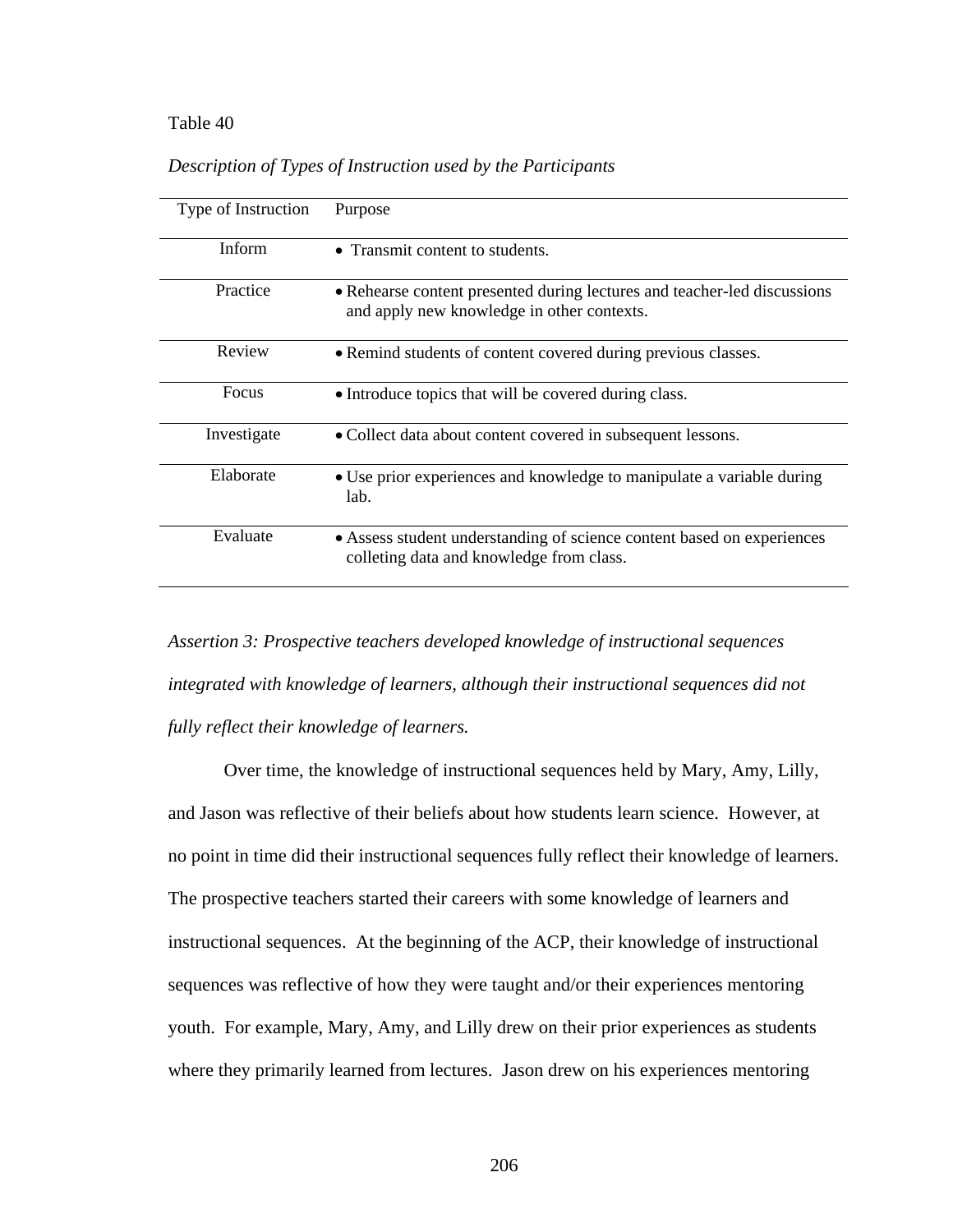#### Table 40 *Description of Types of Instruction used by the Participants*

| Type of Instruction | Purpose                                                                                                                |
|---------------------|------------------------------------------------------------------------------------------------------------------------|
| <b>Inform</b>       | • Transmit content to students.                                                                                        |
| Practice            | • Rehearse content presented during lectures and teacher-led discussions<br>and apply new knowledge in other contexts. |
| Review              | • Remind students of content covered during previous classes.                                                          |
| Focus               | • Introduce topics that will be covered during class.                                                                  |
| Investigate         | • Collect data about content covered in subsequent lessons.                                                            |
| Elaborate           | • Use prior experiences and knowledge to manipulate a variable during<br>lab.                                          |
| Evaluate            | • Assess student understanding of science content based on experiences<br>colleting data and knowledge from class.     |

*Description of Types of Instruction used by the Participants* 

*Assertion 3: Prospective teachers developed knowledge of instructional sequences integrated with knowledge of learners, although their instructional sequences did not fully reflect their knowledge of learners.* 

 Over time, the knowledge of instructional sequences held by Mary, Amy, Lilly, and Jason was reflective of their beliefs about how students learn science. However, at no point in time did their instructional sequences fully reflect their knowledge of learners. The prospective teachers started their careers with some knowledge of learners and instructional sequences. At the beginning of the ACP, their knowledge of instructional sequences was reflective of how they were taught and/or their experiences mentoring youth. For example, Mary, Amy, and Lilly drew on their prior experiences as students where they primarily learned from lectures. Jason drew on his experiences mentoring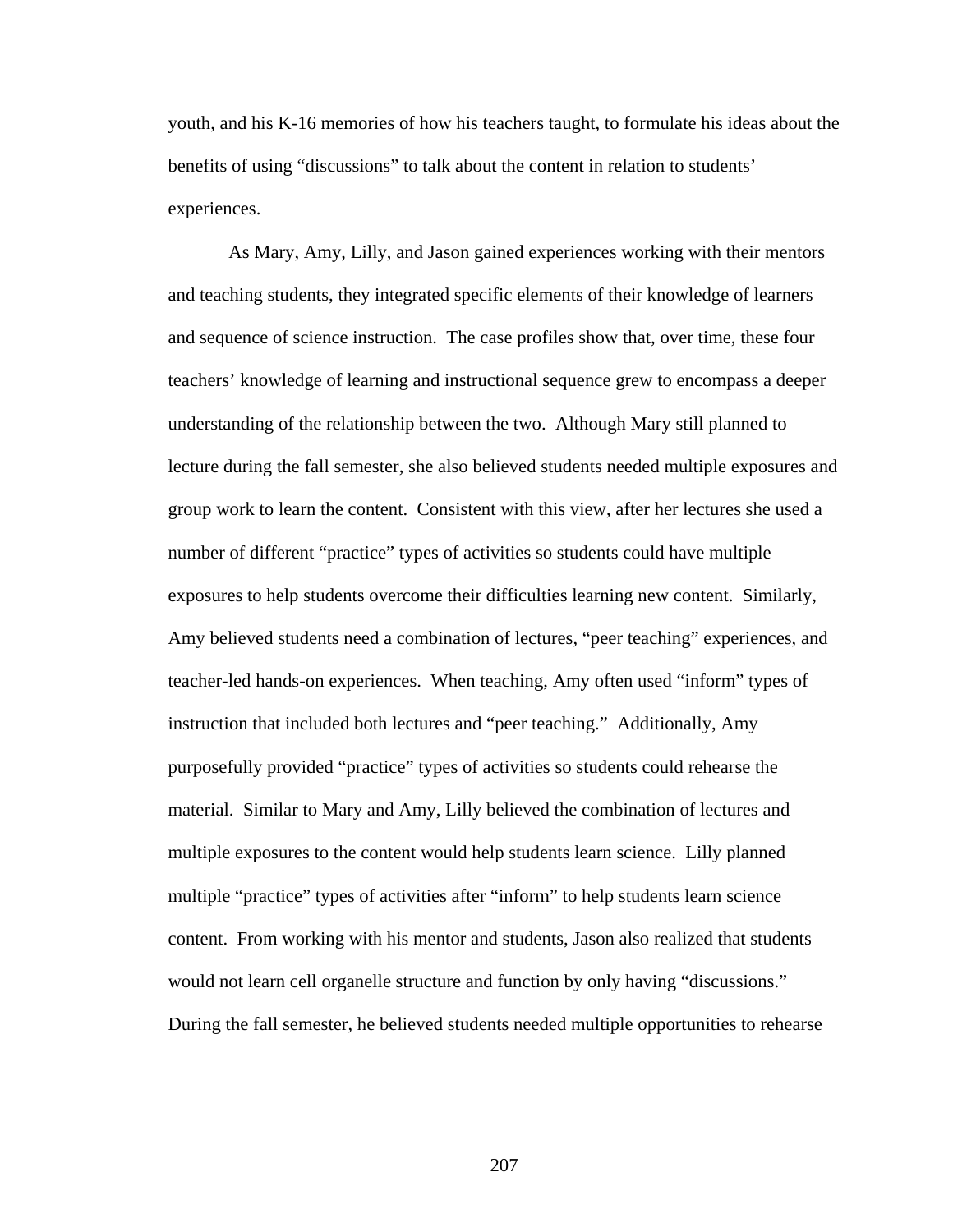youth, and his K-16 memories of how his teachers taught, to formulate his ideas about the benefits of using "discussions" to talk about the content in relation to students' experiences.

 As Mary, Amy, Lilly, and Jason gained experiences working with their mentors and teaching students, they integrated specific elements of their knowledge of learners and sequence of science instruction. The case profiles show that, over time, these four teachers' knowledge of learning and instructional sequence grew to encompass a deeper understanding of the relationship between the two. Although Mary still planned to lecture during the fall semester, she also believed students needed multiple exposures and group work to learn the content. Consistent with this view, after her lectures she used a number of different "practice" types of activities so students could have multiple exposures to help students overcome their difficulties learning new content. Similarly, Amy believed students need a combination of lectures, "peer teaching" experiences, and teacher-led hands-on experiences. When teaching, Amy often used "inform" types of instruction that included both lectures and "peer teaching." Additionally, Amy purposefully provided "practice" types of activities so students could rehearse the material. Similar to Mary and Amy, Lilly believed the combination of lectures and multiple exposures to the content would help students learn science. Lilly planned multiple "practice" types of activities after "inform" to help students learn science content. From working with his mentor and students, Jason also realized that students would not learn cell organelle structure and function by only having "discussions." During the fall semester, he believed students needed multiple opportunities to rehearse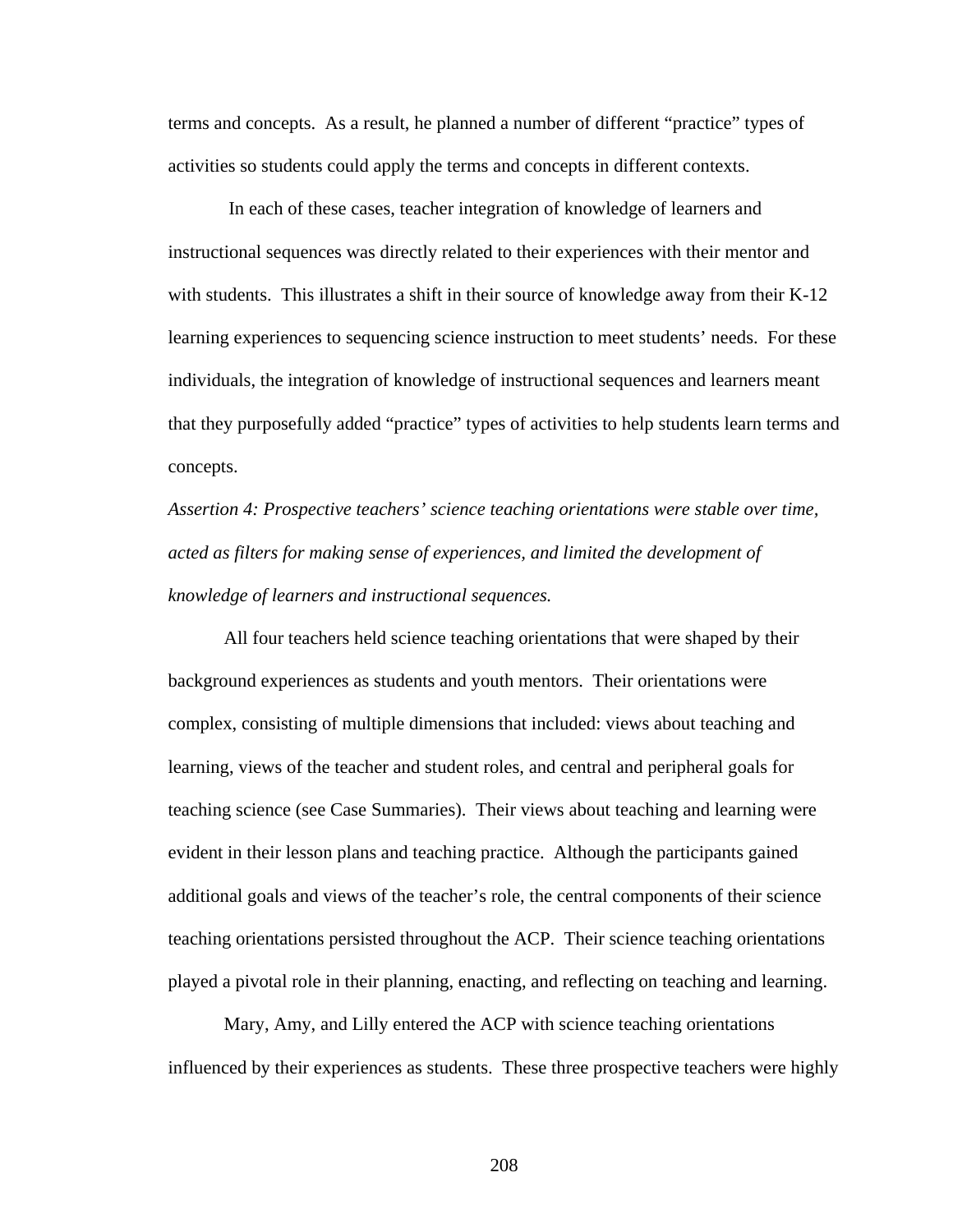terms and concepts. As a result, he planned a number of different "practice" types of activities so students could apply the terms and concepts in different contexts.

 In each of these cases, teacher integration of knowledge of learners and instructional sequences was directly related to their experiences with their mentor and with students. This illustrates a shift in their source of knowledge away from their K-12 learning experiences to sequencing science instruction to meet students' needs. For these individuals, the integration of knowledge of instructional sequences and learners meant that they purposefully added "practice" types of activities to help students learn terms and concepts.

*Assertion 4: Prospective teachers' science teaching orientations were stable over time, acted as filters for making sense of experiences, and limited the development of knowledge of learners and instructional sequences.* 

 All four teachers held science teaching orientations that were shaped by their background experiences as students and youth mentors. Their orientations were complex, consisting of multiple dimensions that included: views about teaching and learning, views of the teacher and student roles, and central and peripheral goals for teaching science (see Case Summaries). Their views about teaching and learning were evident in their lesson plans and teaching practice. Although the participants gained additional goals and views of the teacher's role, the central components of their science teaching orientations persisted throughout the ACP. Their science teaching orientations played a pivotal role in their planning, enacting, and reflecting on teaching and learning.

 Mary, Amy, and Lilly entered the ACP with science teaching orientations influenced by their experiences as students. These three prospective teachers were highly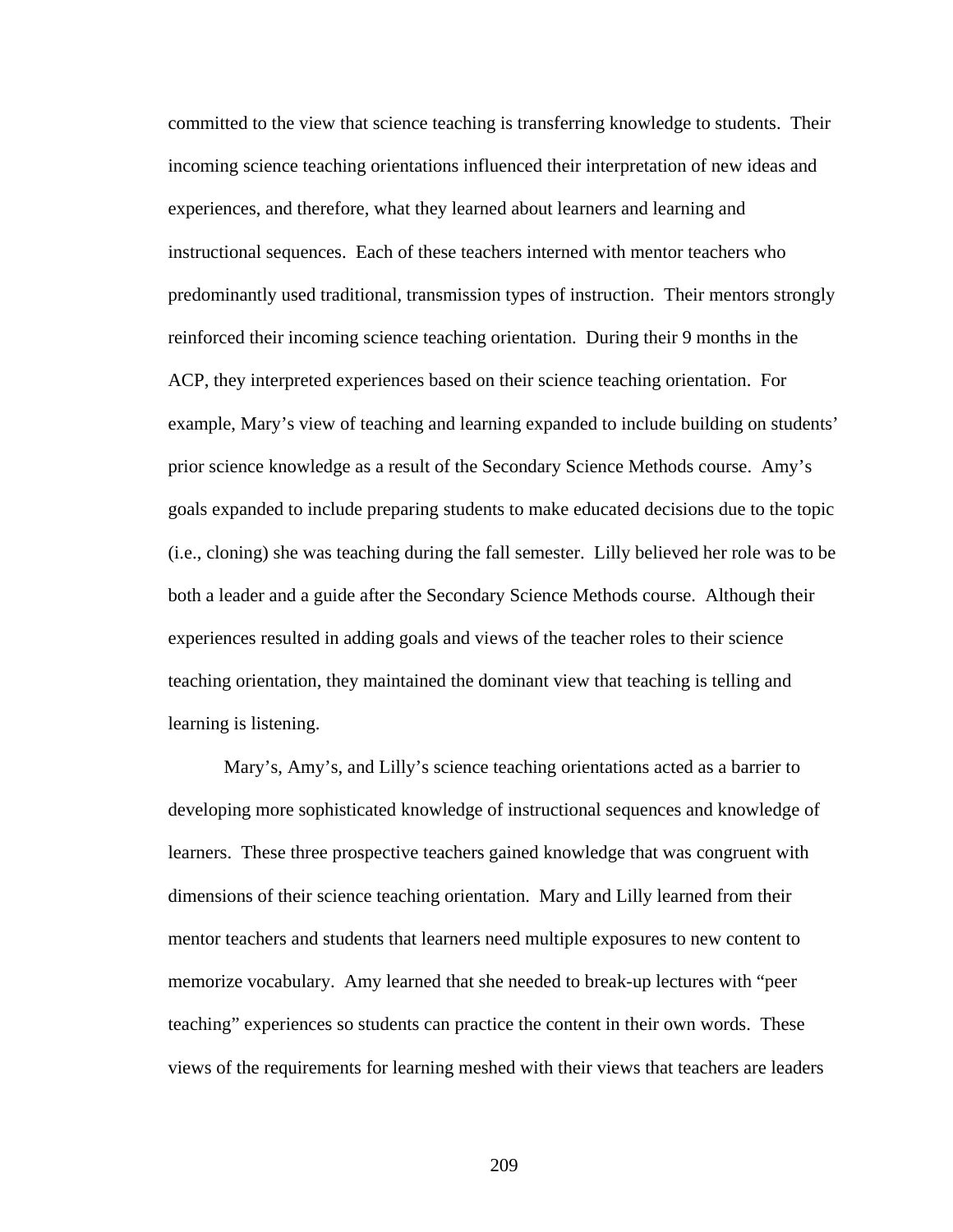committed to the view that science teaching is transferring knowledge to students. Their incoming science teaching orientations influenced their interpretation of new ideas and experiences, and therefore, what they learned about learners and learning and instructional sequences. Each of these teachers interned with mentor teachers who predominantly used traditional, transmission types of instruction. Their mentors strongly reinforced their incoming science teaching orientation. During their 9 months in the ACP, they interpreted experiences based on their science teaching orientation. For example, Mary's view of teaching and learning expanded to include building on students' prior science knowledge as a result of the Secondary Science Methods course. Amy's goals expanded to include preparing students to make educated decisions due to the topic (i.e., cloning) she was teaching during the fall semester. Lilly believed her role was to be both a leader and a guide after the Secondary Science Methods course. Although their experiences resulted in adding goals and views of the teacher roles to their science teaching orientation, they maintained the dominant view that teaching is telling and learning is listening.

 Mary's, Amy's, and Lilly's science teaching orientations acted as a barrier to developing more sophisticated knowledge of instructional sequences and knowledge of learners. These three prospective teachers gained knowledge that was congruent with dimensions of their science teaching orientation. Mary and Lilly learned from their mentor teachers and students that learners need multiple exposures to new content to memorize vocabulary. Amy learned that she needed to break-up lectures with "peer teaching" experiences so students can practice the content in their own words. These views of the requirements for learning meshed with their views that teachers are leaders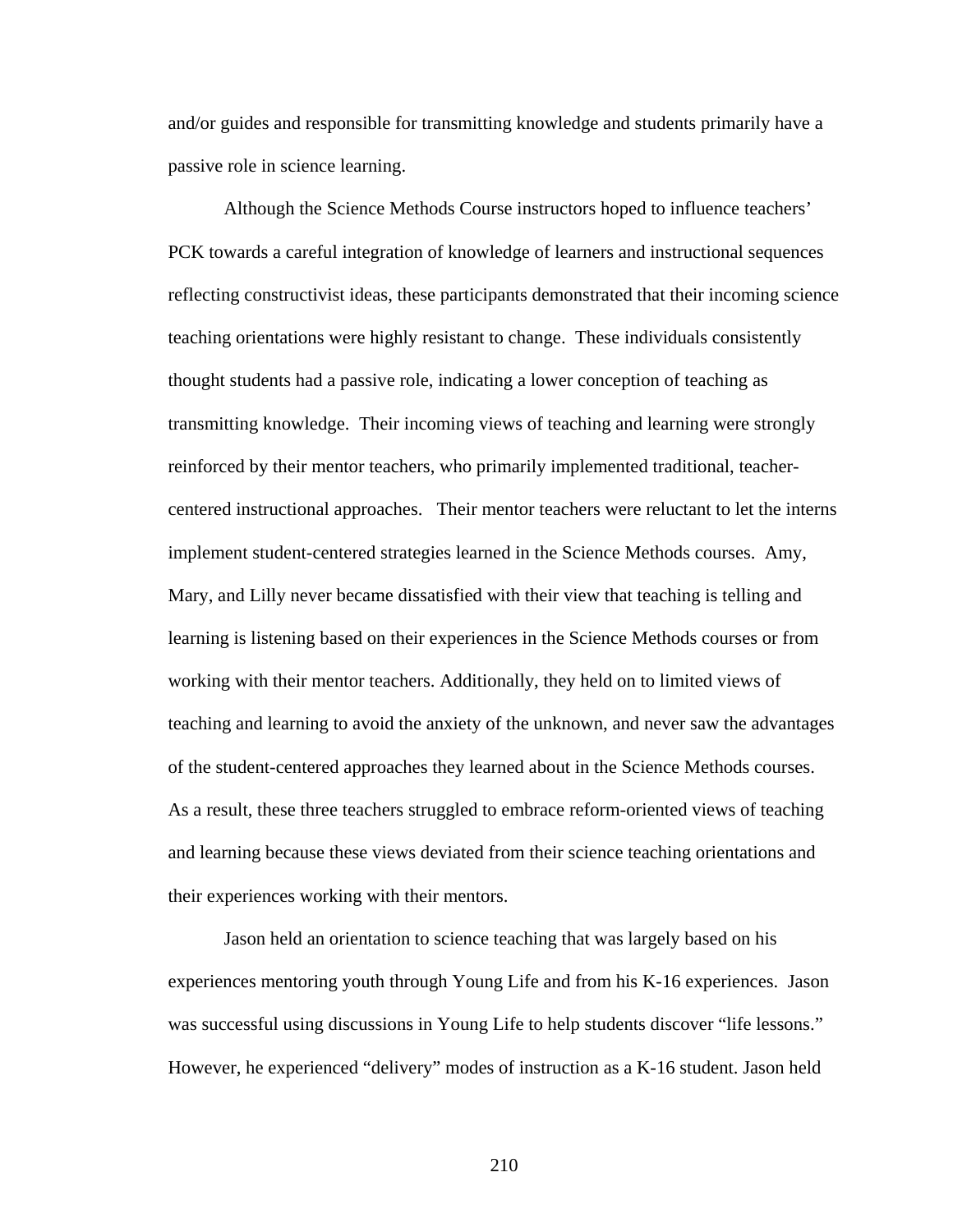and/or guides and responsible for transmitting knowledge and students primarily have a passive role in science learning.

 Although the Science Methods Course instructors hoped to influence teachers' PCK towards a careful integration of knowledge of learners and instructional sequences reflecting constructivist ideas, these participants demonstrated that their incoming science teaching orientations were highly resistant to change. These individuals consistently thought students had a passive role, indicating a lower conception of teaching as transmitting knowledge. Their incoming views of teaching and learning were strongly reinforced by their mentor teachers, who primarily implemented traditional, teachercentered instructional approaches. Their mentor teachers were reluctant to let the interns implement student-centered strategies learned in the Science Methods courses. Amy, Mary, and Lilly never became dissatisfied with their view that teaching is telling and learning is listening based on their experiences in the Science Methods courses or from working with their mentor teachers. Additionally, they held on to limited views of teaching and learning to avoid the anxiety of the unknown, and never saw the advantages of the student-centered approaches they learned about in the Science Methods courses. As a result, these three teachers struggled to embrace reform-oriented views of teaching and learning because these views deviated from their science teaching orientations and their experiences working with their mentors.

 Jason held an orientation to science teaching that was largely based on his experiences mentoring youth through Young Life and from his K-16 experiences. Jason was successful using discussions in Young Life to help students discover "life lessons." However, he experienced "delivery" modes of instruction as a K-16 student. Jason held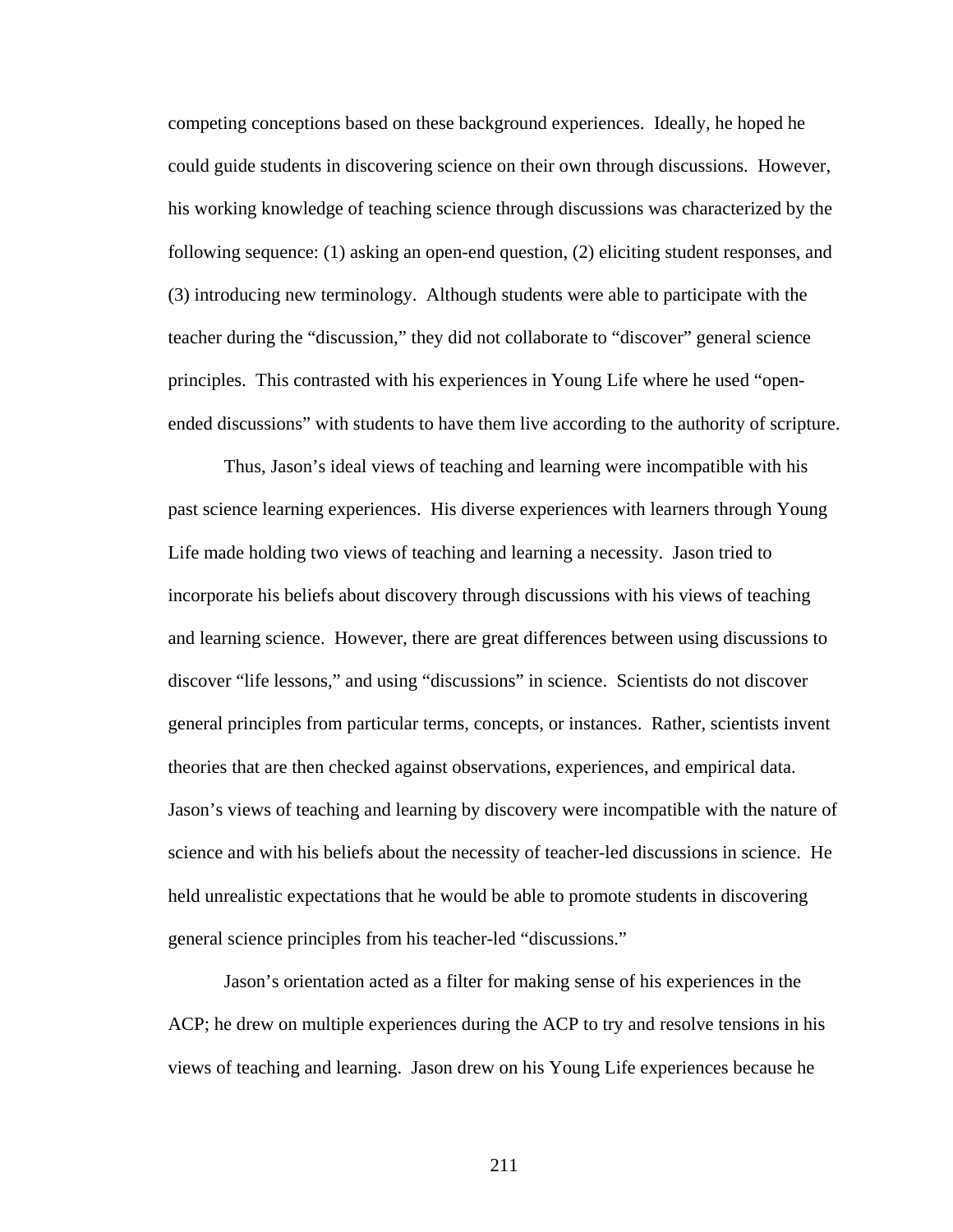competing conceptions based on these background experiences. Ideally, he hoped he could guide students in discovering science on their own through discussions. However, his working knowledge of teaching science through discussions was characterized by the following sequence: (1) asking an open-end question, (2) eliciting student responses, and (3) introducing new terminology. Although students were able to participate with the teacher during the "discussion," they did not collaborate to "discover" general science principles. This contrasted with his experiences in Young Life where he used "openended discussions" with students to have them live according to the authority of scripture.

 Thus, Jason's ideal views of teaching and learning were incompatible with his past science learning experiences. His diverse experiences with learners through Young Life made holding two views of teaching and learning a necessity. Jason tried to incorporate his beliefs about discovery through discussions with his views of teaching and learning science. However, there are great differences between using discussions to discover "life lessons," and using "discussions" in science. Scientists do not discover general principles from particular terms, concepts, or instances. Rather, scientists invent theories that are then checked against observations, experiences, and empirical data. Jason's views of teaching and learning by discovery were incompatible with the nature of science and with his beliefs about the necessity of teacher-led discussions in science. He held unrealistic expectations that he would be able to promote students in discovering general science principles from his teacher-led "discussions."

Jason's orientation acted as a filter for making sense of his experiences in the ACP; he drew on multiple experiences during the ACP to try and resolve tensions in his views of teaching and learning. Jason drew on his Young Life experiences because he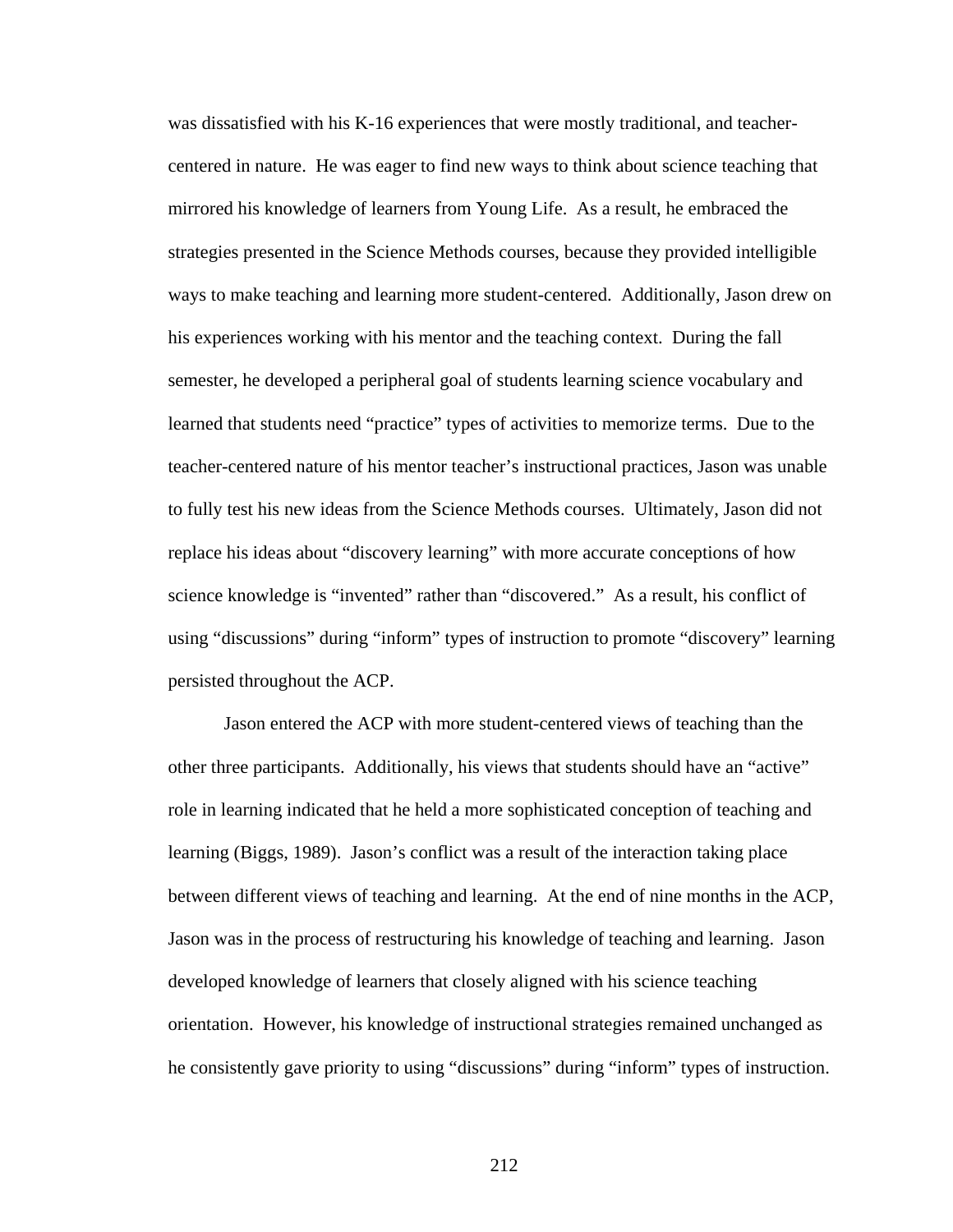was dissatisfied with his K-16 experiences that were mostly traditional, and teachercentered in nature. He was eager to find new ways to think about science teaching that mirrored his knowledge of learners from Young Life. As a result, he embraced the strategies presented in the Science Methods courses, because they provided intelligible ways to make teaching and learning more student-centered. Additionally, Jason drew on his experiences working with his mentor and the teaching context. During the fall semester, he developed a peripheral goal of students learning science vocabulary and learned that students need "practice" types of activities to memorize terms. Due to the teacher-centered nature of his mentor teacher's instructional practices, Jason was unable to fully test his new ideas from the Science Methods courses. Ultimately, Jason did not replace his ideas about "discovery learning" with more accurate conceptions of how science knowledge is "invented" rather than "discovered." As a result, his conflict of using "discussions" during "inform" types of instruction to promote "discovery" learning persisted throughout the ACP.

Jason entered the ACP with more student-centered views of teaching than the other three participants. Additionally, his views that students should have an "active" role in learning indicated that he held a more sophisticated conception of teaching and learning (Biggs, 1989). Jason's conflict was a result of the interaction taking place between different views of teaching and learning. At the end of nine months in the ACP, Jason was in the process of restructuring his knowledge of teaching and learning. Jason developed knowledge of learners that closely aligned with his science teaching orientation. However, his knowledge of instructional strategies remained unchanged as he consistently gave priority to using "discussions" during "inform" types of instruction.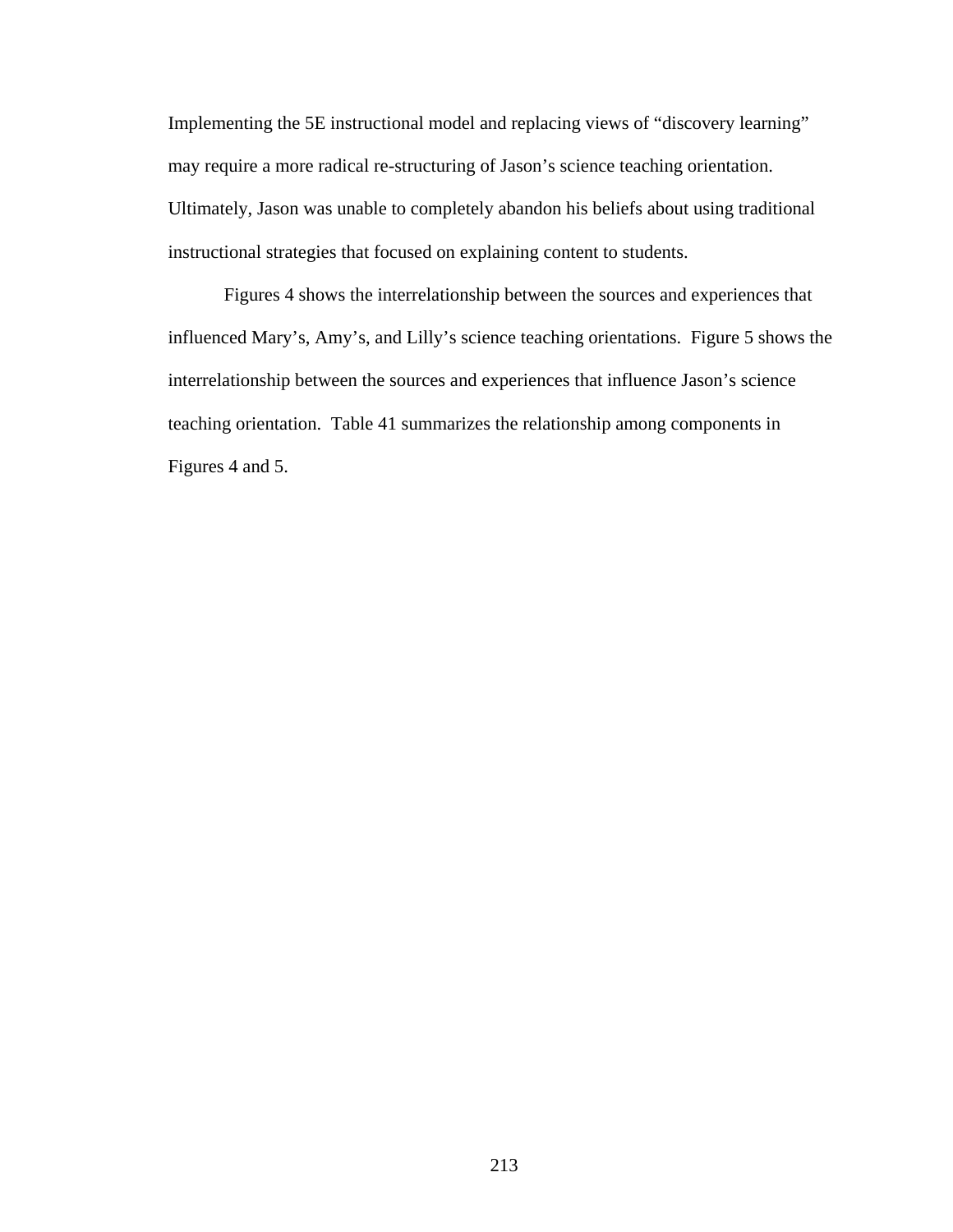Implementing the 5E instructional model and replacing views of "discovery learning" may require a more radical re-structuring of Jason's science teaching orientation. Ultimately, Jason was unable to completely abandon his beliefs about using traditional instructional strategies that focused on explaining content to students.

 Figures 4 shows the interrelationship between the sources and experiences that influenced Mary's, Amy's, and Lilly's science teaching orientations. Figure 5 shows the interrelationship between the sources and experiences that influence Jason's science teaching orientation. Table 41 summarizes the relationship among components in Figures 4 and 5.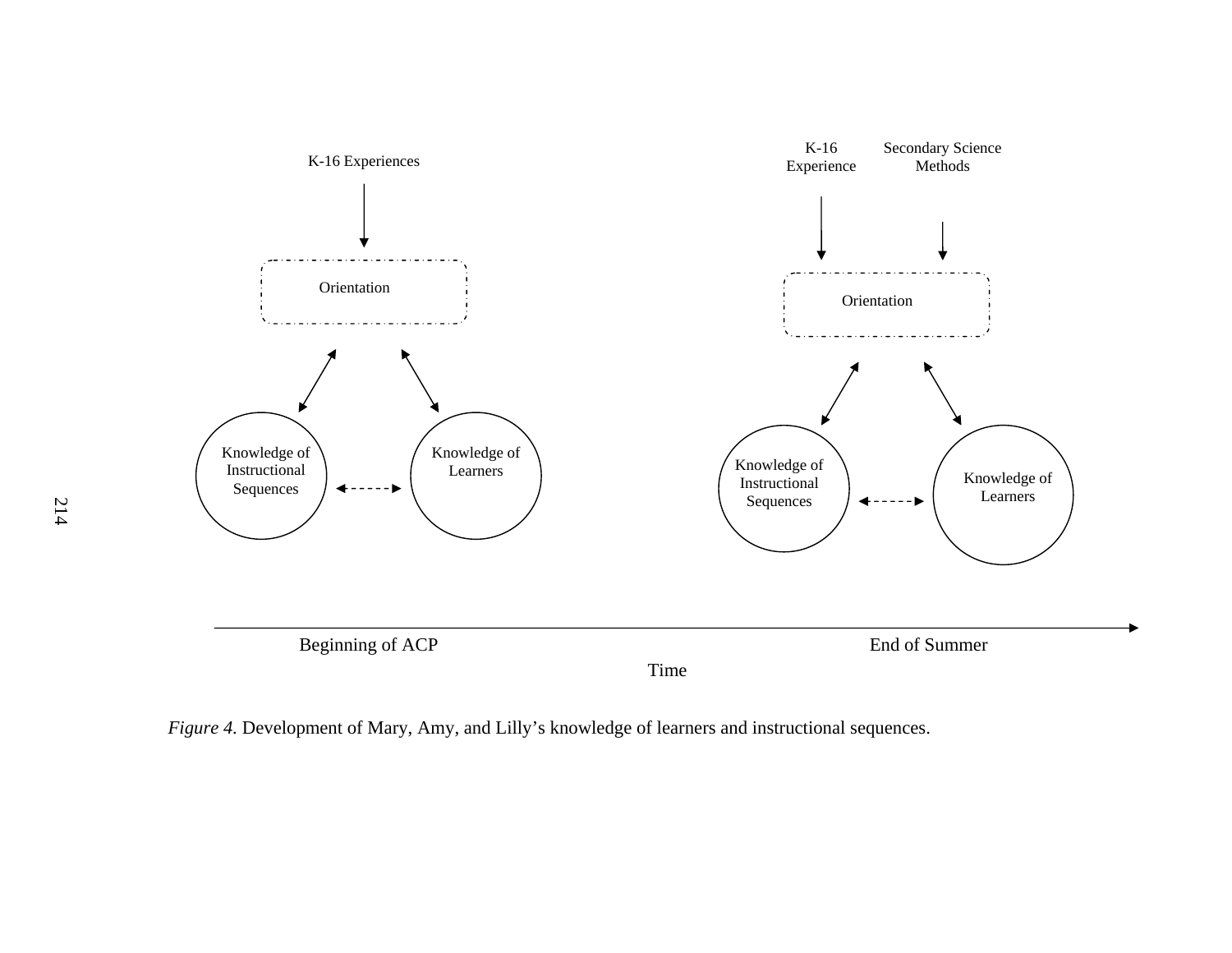

*Figure 4.* Development of Mary, Amy, and Lilly's knowledge of learners and instructional sequences.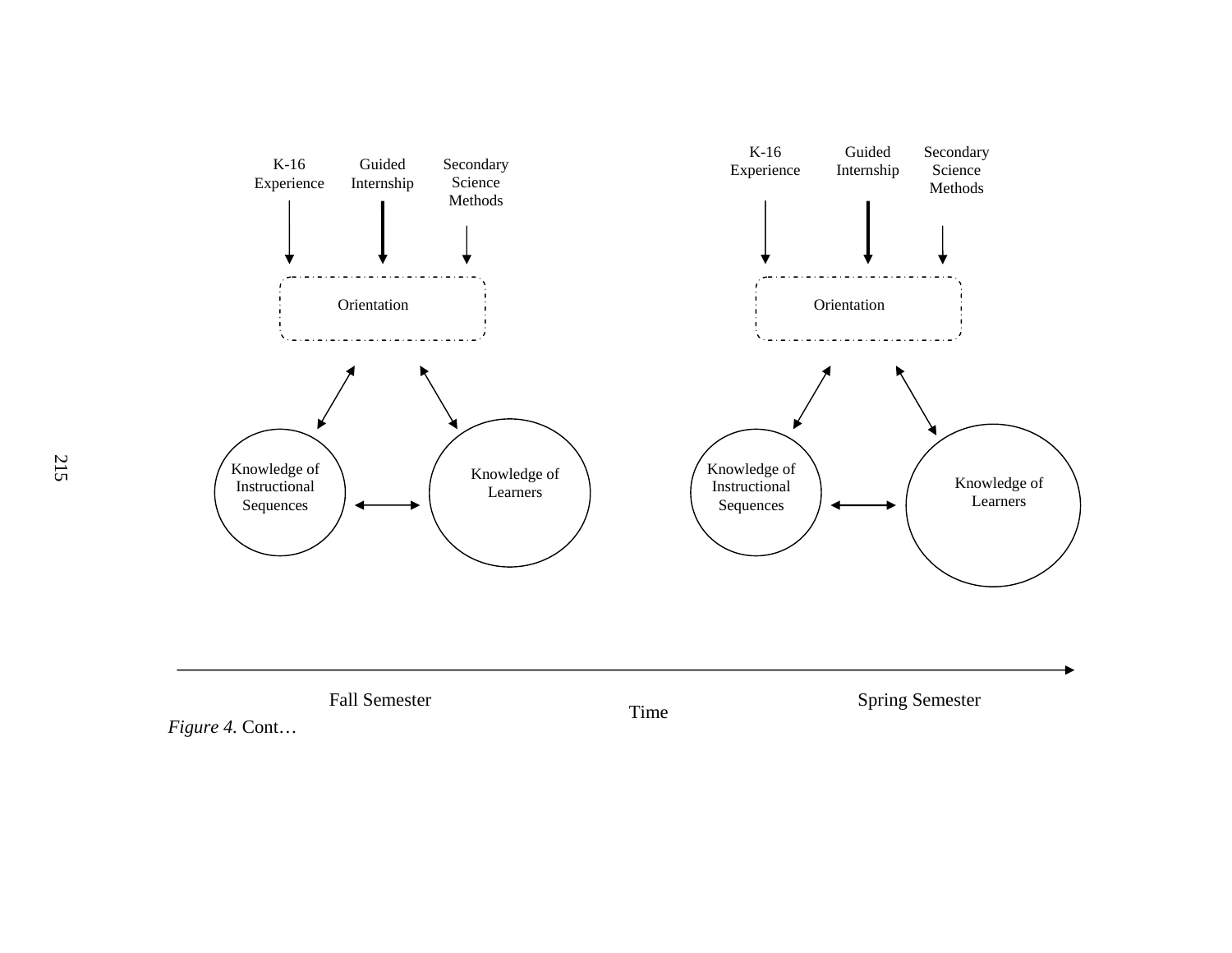

*Figure 4.* Cont…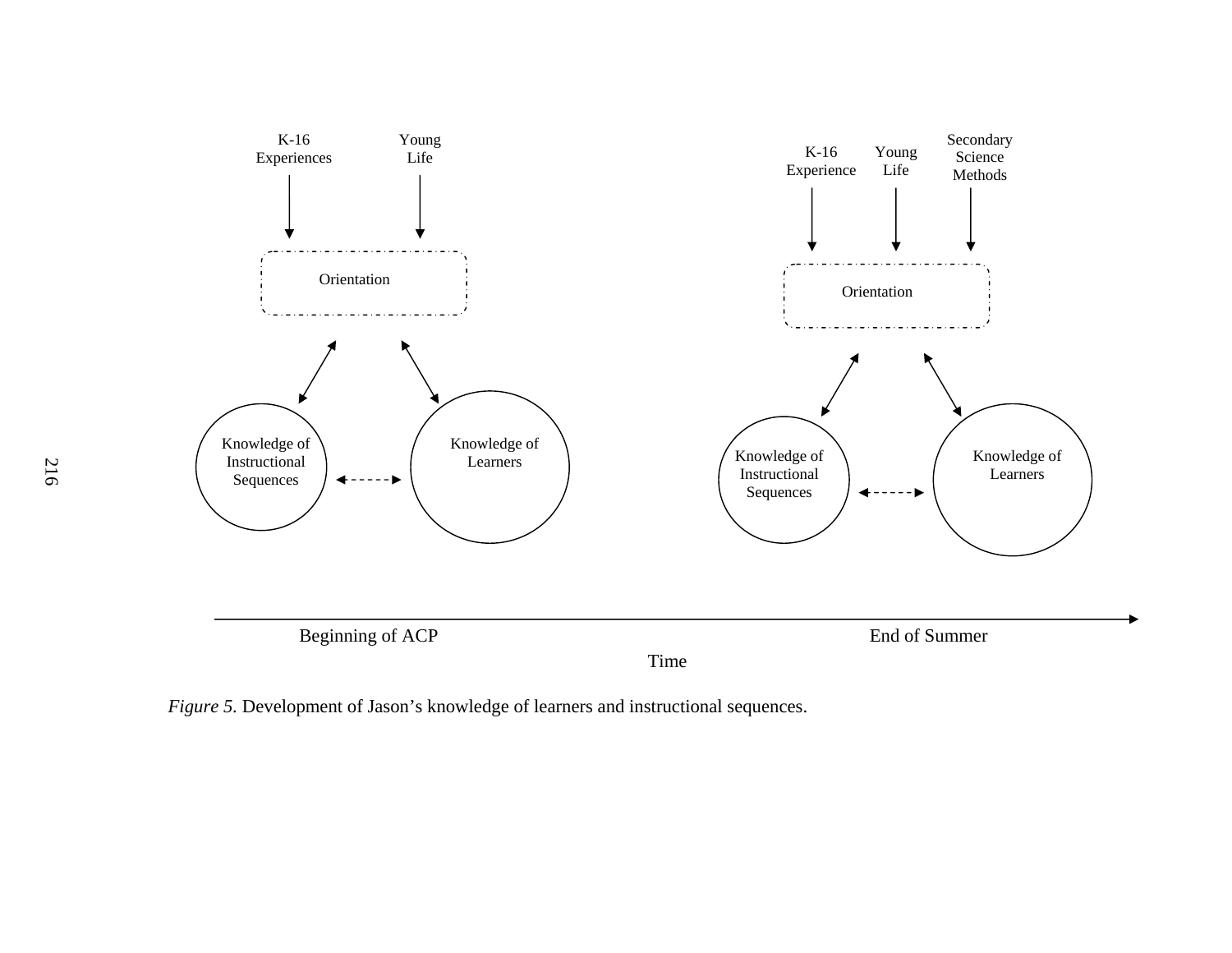

*Figure 5.* Development of Jason's knowledge of learners and instructional sequences.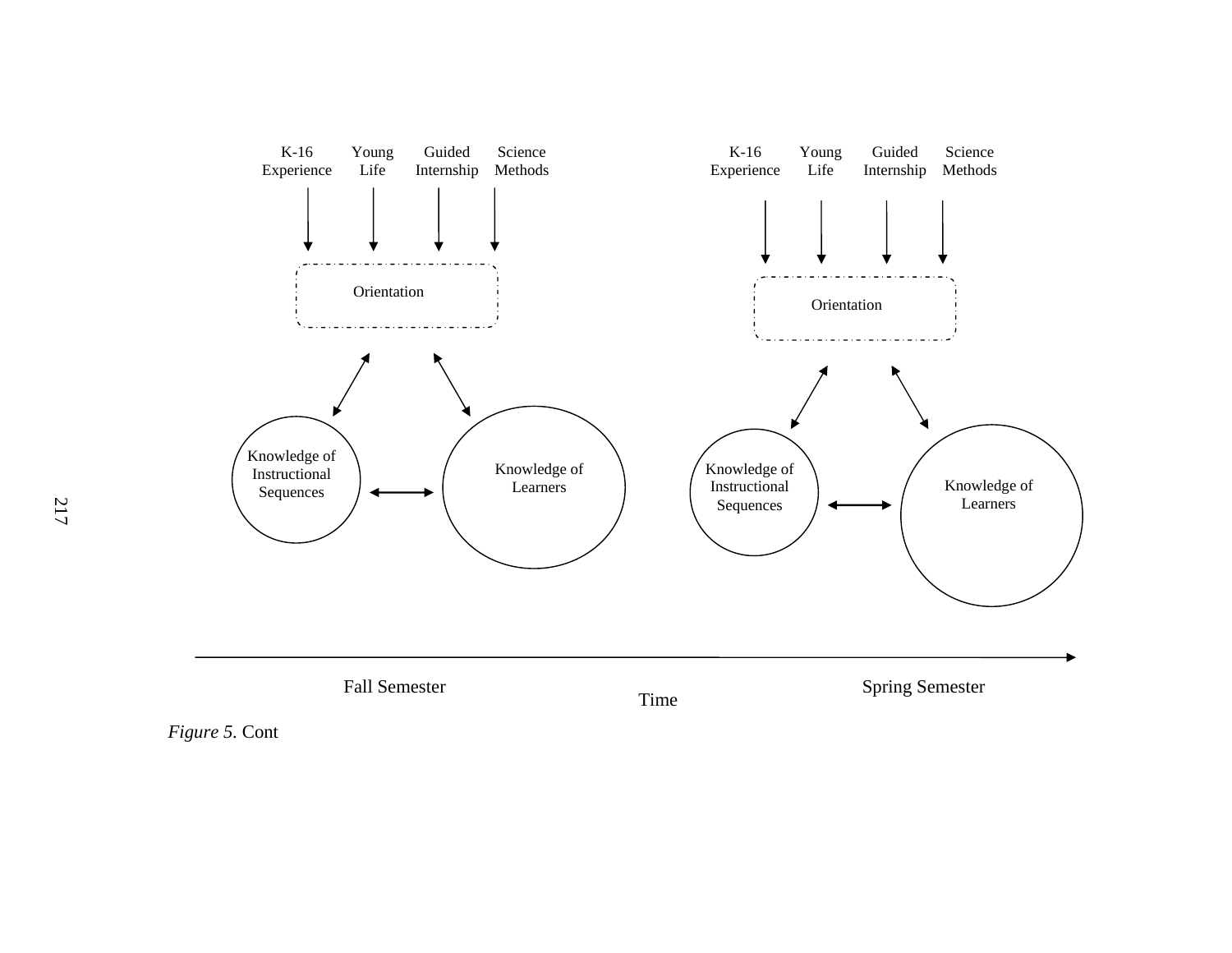

*Figure 5.* Cont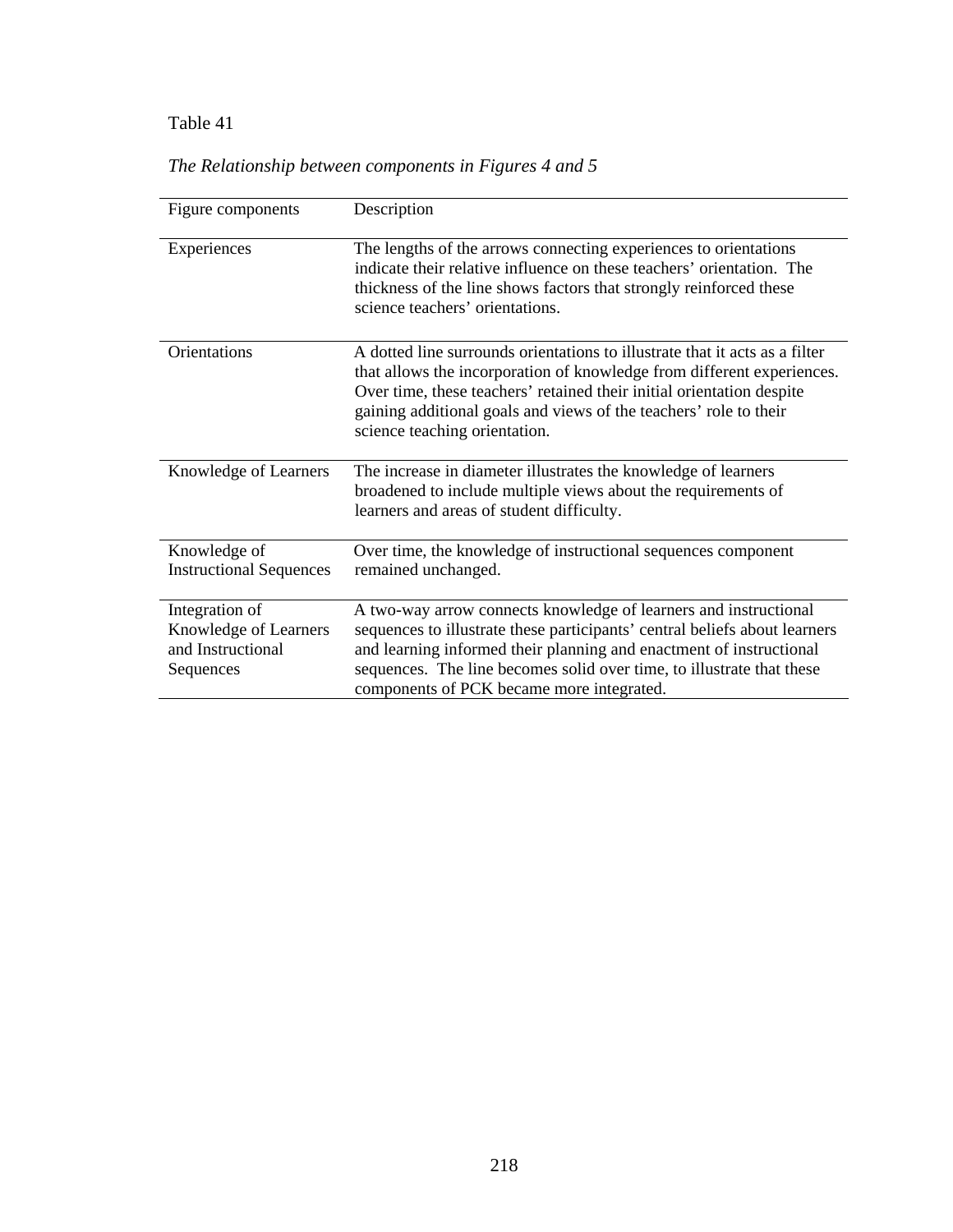### Table 41 *The Relationship between components in Figures 4 and 5*

| Figure components                                                         | Description                                                                                                                                                                                                                                                                                                                                 |
|---------------------------------------------------------------------------|---------------------------------------------------------------------------------------------------------------------------------------------------------------------------------------------------------------------------------------------------------------------------------------------------------------------------------------------|
| Experiences                                                               | The lengths of the arrows connecting experiences to orientations<br>indicate their relative influence on these teachers' orientation. The<br>thickness of the line shows factors that strongly reinforced these<br>science teachers' orientations.                                                                                          |
| Orientations                                                              | A dotted line surrounds orientations to illustrate that it acts as a filter<br>that allows the incorporation of knowledge from different experiences.<br>Over time, these teachers' retained their initial orientation despite<br>gaining additional goals and views of the teachers' role to their<br>science teaching orientation.        |
| Knowledge of Learners                                                     | The increase in diameter illustrates the knowledge of learners<br>broadened to include multiple views about the requirements of<br>learners and areas of student difficulty.                                                                                                                                                                |
| Knowledge of<br><b>Instructional Sequences</b>                            | Over time, the knowledge of instructional sequences component<br>remained unchanged.                                                                                                                                                                                                                                                        |
| Integration of<br>Knowledge of Learners<br>and Instructional<br>Sequences | A two-way arrow connects knowledge of learners and instructional<br>sequences to illustrate these participants' central beliefs about learners<br>and learning informed their planning and enactment of instructional<br>sequences. The line becomes solid over time, to illustrate that these<br>components of PCK became more integrated. |

## *The Relationship between components in Figures 4 and 5*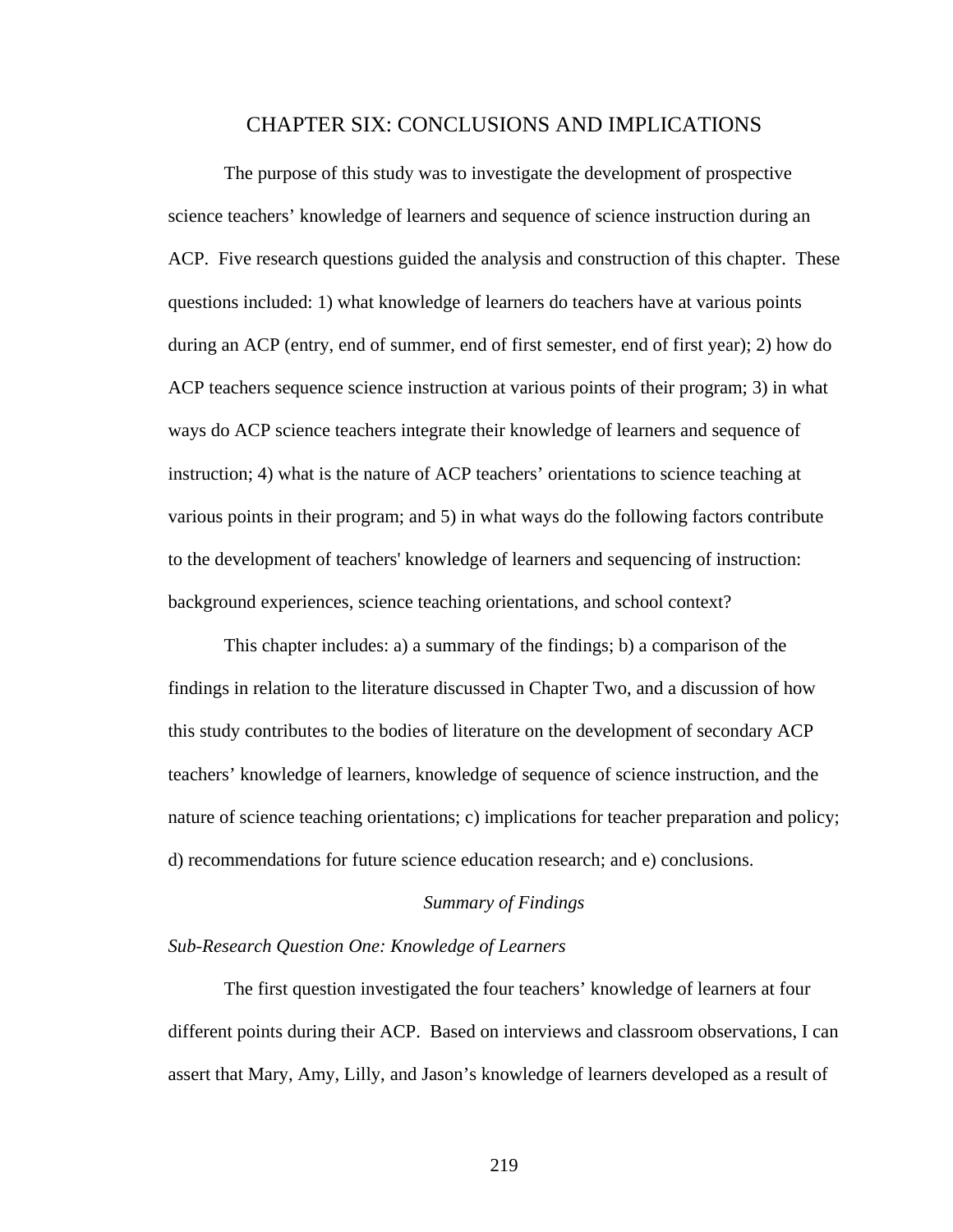#### CHAPTER SIX: CONCLUSIONS AND IMPLICATIONS

The purpose of this study was to investigate the development of prospective science teachers' knowledge of learners and sequence of science instruction during an ACP. Five research questions guided the analysis and construction of this chapter. These questions included: 1) what knowledge of learners do teachers have at various points during an ACP (entry, end of summer, end of first semester, end of first year); 2) how do ACP teachers sequence science instruction at various points of their program; 3) in what ways do ACP science teachers integrate their knowledge of learners and sequence of instruction; 4) what is the nature of ACP teachers' orientations to science teaching at various points in their program; and 5) in what ways do the following factors contribute to the development of teachers' knowledge of learners and sequencing of instruction: background experiences, science teaching orientations, and school context?

 This chapter includes: a) a summary of the findings; b) a comparison of the findings in relation to the literature discussed in Chapter Two, and a discussion of how this study contributes to the bodies of literature on the development of secondary ACP teachers' knowledge of learners, knowledge of sequence of science instruction, and the nature of science teaching orientations; c) implications for teacher preparation and policy; d) recommendations for future science education research; and e) conclusions.

#### *Summary of Findings*

#### *Sub-Research Question One: Knowledge of Learners*

The first question investigated the four teachers' knowledge of learners at four different points during their ACP. Based on interviews and classroom observations, I can assert that Mary, Amy, Lilly, and Jason's knowledge of learners developed as a result of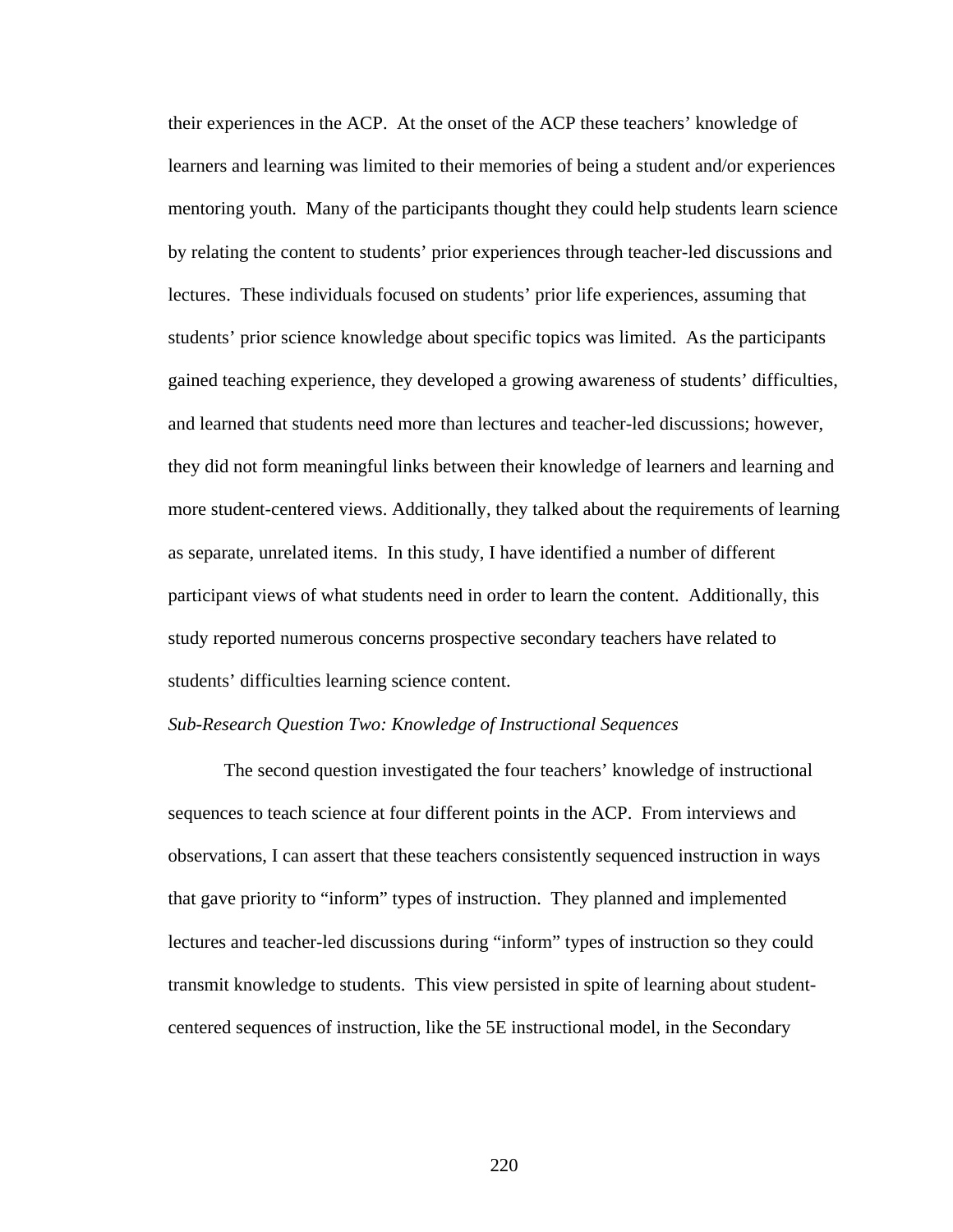their experiences in the ACP. At the onset of the ACP these teachers' knowledge of learners and learning was limited to their memories of being a student and/or experiences mentoring youth. Many of the participants thought they could help students learn science by relating the content to students' prior experiences through teacher-led discussions and lectures. These individuals focused on students' prior life experiences, assuming that students' prior science knowledge about specific topics was limited. As the participants gained teaching experience, they developed a growing awareness of students' difficulties, and learned that students need more than lectures and teacher-led discussions; however, they did not form meaningful links between their knowledge of learners and learning and more student-centered views. Additionally, they talked about the requirements of learning as separate, unrelated items. In this study, I have identified a number of different participant views of what students need in order to learn the content. Additionally, this study reported numerous concerns prospective secondary teachers have related to students' difficulties learning science content.

#### *Sub-Research Question Two: Knowledge of Instructional Sequences*

The second question investigated the four teachers' knowledge of instructional sequences to teach science at four different points in the ACP. From interviews and observations, I can assert that these teachers consistently sequenced instruction in ways that gave priority to "inform" types of instruction. They planned and implemented lectures and teacher-led discussions during "inform" types of instruction so they could transmit knowledge to students. This view persisted in spite of learning about studentcentered sequences of instruction, like the 5E instructional model, in the Secondary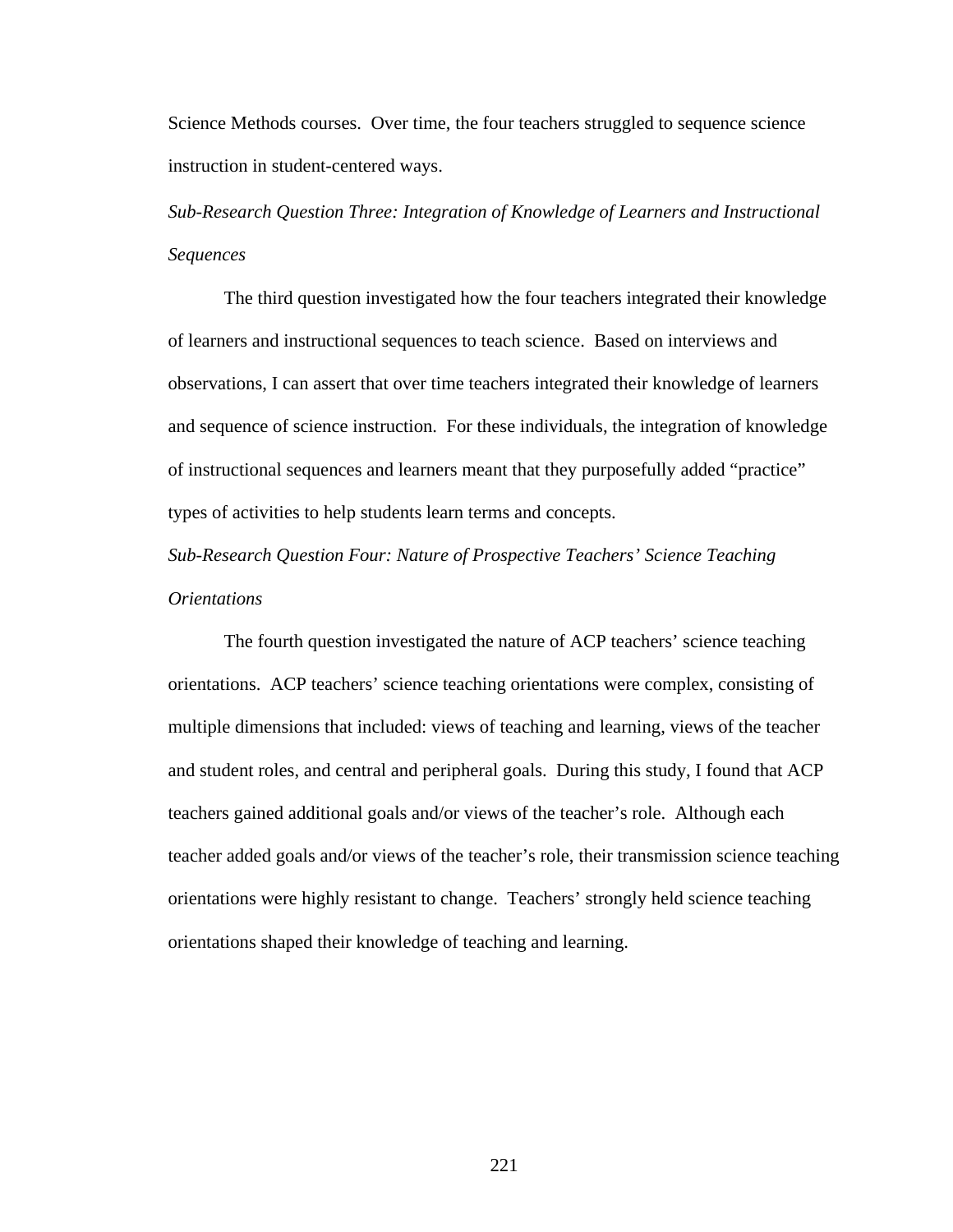Science Methods courses. Over time, the four teachers struggled to sequence science instruction in student-centered ways.

*Sub-Research Question Three: Integration of Knowledge of Learners and Instructional Sequences* 

The third question investigated how the four teachers integrated their knowledge of learners and instructional sequences to teach science. Based on interviews and observations, I can assert that over time teachers integrated their knowledge of learners and sequence of science instruction. For these individuals, the integration of knowledge of instructional sequences and learners meant that they purposefully added "practice" types of activities to help students learn terms and concepts.

*Sub-Research Question Four: Nature of Prospective Teachers' Science Teaching Orientations* 

The fourth question investigated the nature of ACP teachers' science teaching orientations. ACP teachers' science teaching orientations were complex, consisting of multiple dimensions that included: views of teaching and learning, views of the teacher and student roles, and central and peripheral goals. During this study, I found that ACP teachers gained additional goals and/or views of the teacher's role. Although each teacher added goals and/or views of the teacher's role, their transmission science teaching orientations were highly resistant to change. Teachers' strongly held science teaching orientations shaped their knowledge of teaching and learning.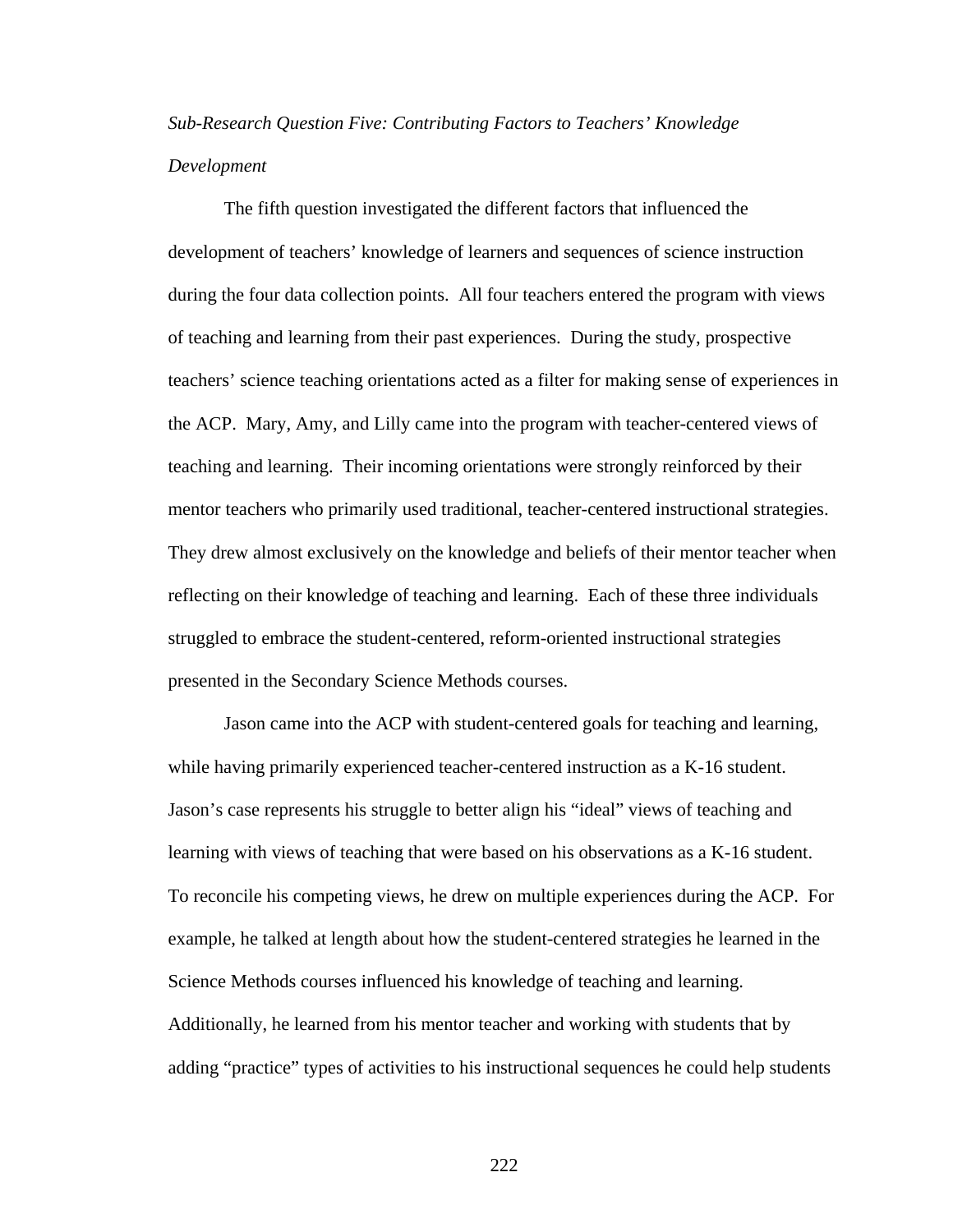# *Sub-Research Question Five: Contributing Factors to Teachers' Knowledge Development*

The fifth question investigated the different factors that influenced the development of teachers' knowledge of learners and sequences of science instruction during the four data collection points. All four teachers entered the program with views of teaching and learning from their past experiences. During the study, prospective teachers' science teaching orientations acted as a filter for making sense of experiences in the ACP. Mary, Amy, and Lilly came into the program with teacher-centered views of teaching and learning. Their incoming orientations were strongly reinforced by their mentor teachers who primarily used traditional, teacher-centered instructional strategies. They drew almost exclusively on the knowledge and beliefs of their mentor teacher when reflecting on their knowledge of teaching and learning. Each of these three individuals struggled to embrace the student-centered, reform-oriented instructional strategies presented in the Secondary Science Methods courses.

Jason came into the ACP with student-centered goals for teaching and learning, while having primarily experienced teacher-centered instruction as a K-16 student. Jason's case represents his struggle to better align his "ideal" views of teaching and learning with views of teaching that were based on his observations as a K-16 student. To reconcile his competing views, he drew on multiple experiences during the ACP. For example, he talked at length about how the student-centered strategies he learned in the Science Methods courses influenced his knowledge of teaching and learning. Additionally, he learned from his mentor teacher and working with students that by adding "practice" types of activities to his instructional sequences he could help students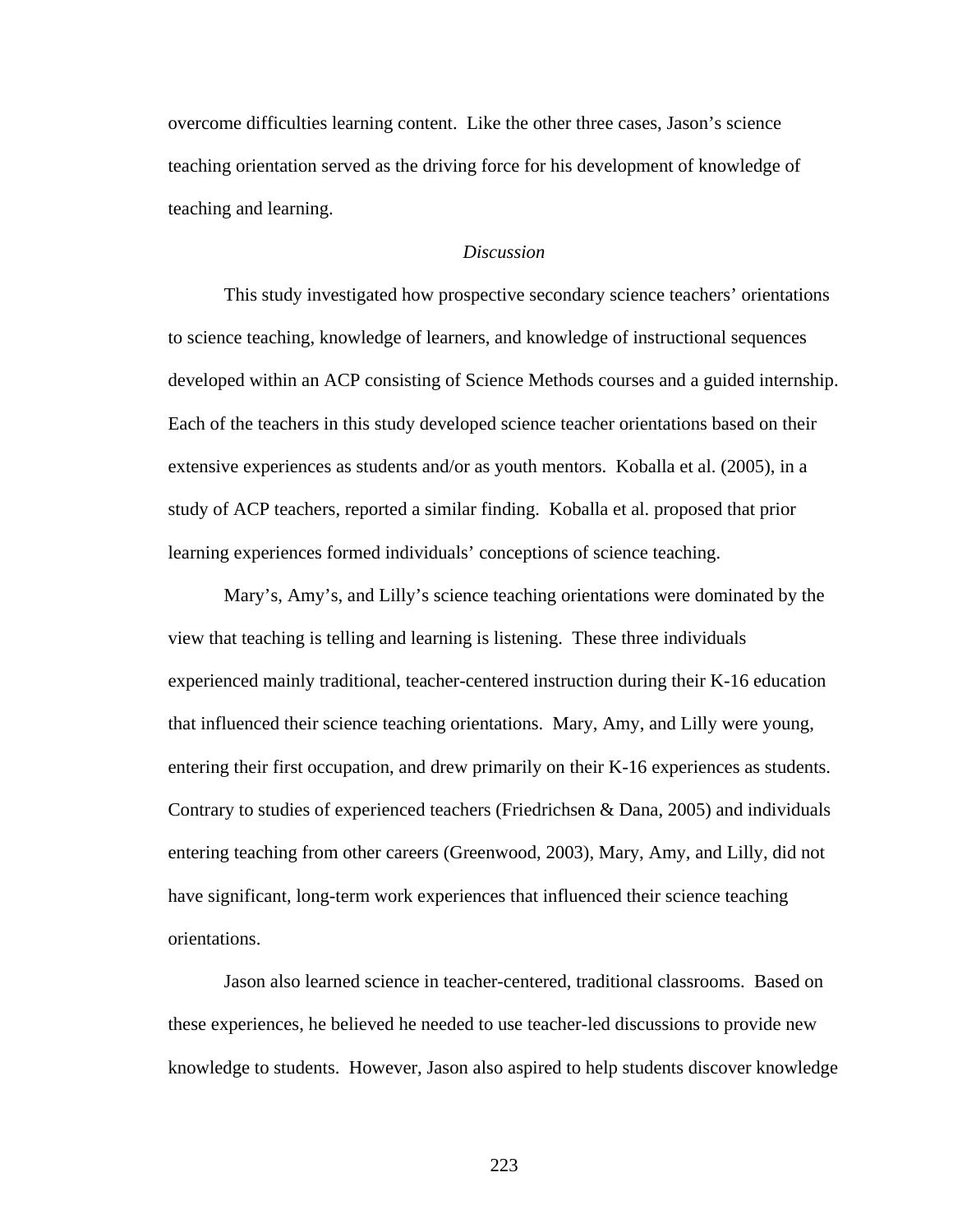overcome difficulties learning content. Like the other three cases, Jason's science teaching orientation served as the driving force for his development of knowledge of teaching and learning.

#### *Discussion*

This study investigated how prospective secondary science teachers' orientations to science teaching, knowledge of learners, and knowledge of instructional sequences developed within an ACP consisting of Science Methods courses and a guided internship. Each of the teachers in this study developed science teacher orientations based on their extensive experiences as students and/or as youth mentors. Koballa et al. (2005), in a study of ACP teachers, reported a similar finding. Koballa et al. proposed that prior learning experiences formed individuals' conceptions of science teaching.

Mary's, Amy's, and Lilly's science teaching orientations were dominated by the view that teaching is telling and learning is listening. These three individuals experienced mainly traditional, teacher-centered instruction during their K-16 education that influenced their science teaching orientations. Mary, Amy, and Lilly were young, entering their first occupation, and drew primarily on their K-16 experiences as students. Contrary to studies of experienced teachers (Friedrichsen & Dana, 2005) and individuals entering teaching from other careers (Greenwood, 2003), Mary, Amy, and Lilly, did not have significant, long-term work experiences that influenced their science teaching orientations.

Jason also learned science in teacher-centered, traditional classrooms. Based on these experiences, he believed he needed to use teacher-led discussions to provide new knowledge to students. However, Jason also aspired to help students discover knowledge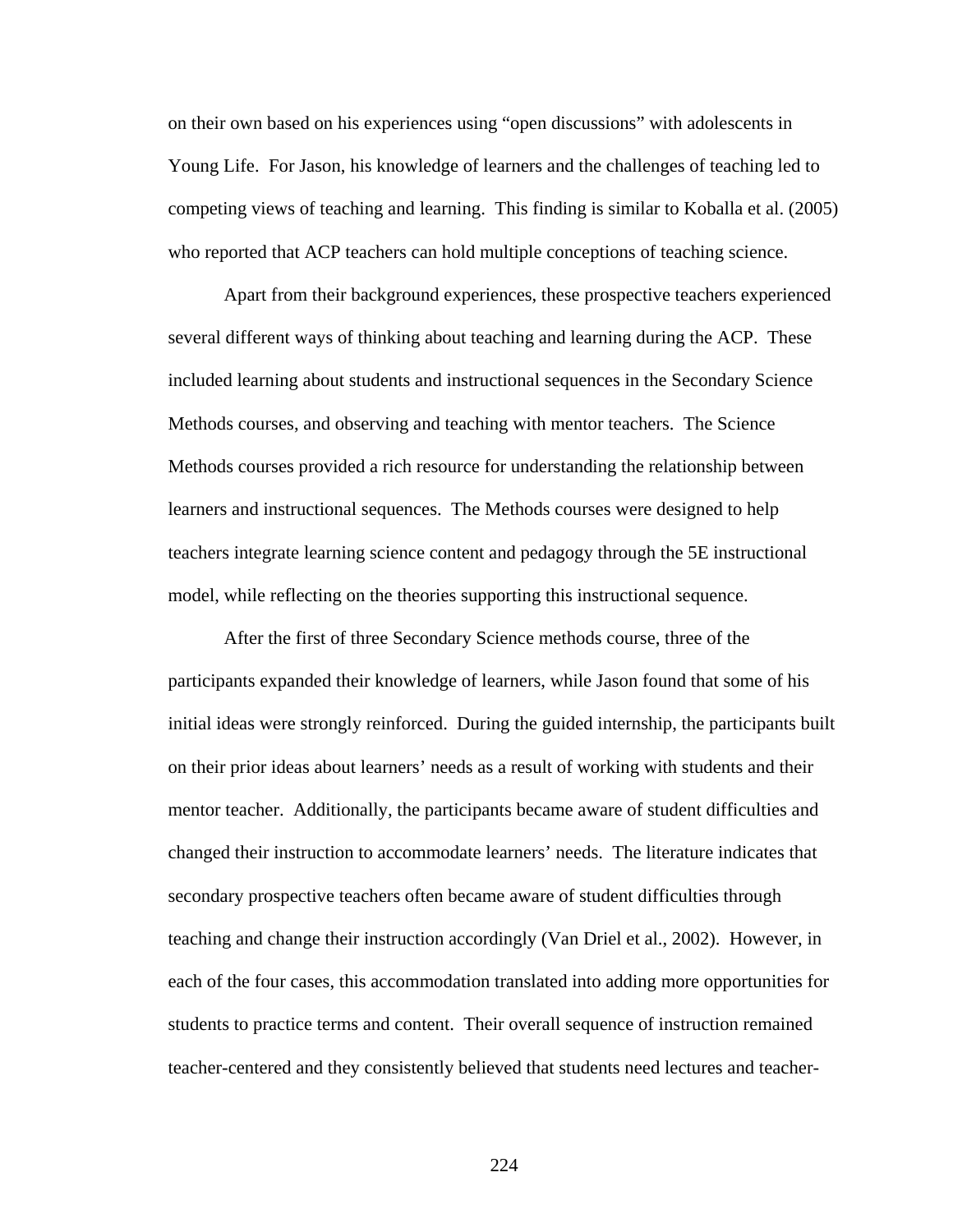on their own based on his experiences using "open discussions" with adolescents in Young Life. For Jason, his knowledge of learners and the challenges of teaching led to competing views of teaching and learning. This finding is similar to Koballa et al. (2005) who reported that ACP teachers can hold multiple conceptions of teaching science.

Apart from their background experiences, these prospective teachers experienced several different ways of thinking about teaching and learning during the ACP. These included learning about students and instructional sequences in the Secondary Science Methods courses, and observing and teaching with mentor teachers. The Science Methods courses provided a rich resource for understanding the relationship between learners and instructional sequences. The Methods courses were designed to help teachers integrate learning science content and pedagogy through the 5E instructional model, while reflecting on the theories supporting this instructional sequence.

After the first of three Secondary Science methods course, three of the participants expanded their knowledge of learners, while Jason found that some of his initial ideas were strongly reinforced. During the guided internship, the participants built on their prior ideas about learners' needs as a result of working with students and their mentor teacher. Additionally, the participants became aware of student difficulties and changed their instruction to accommodate learners' needs. The literature indicates that secondary prospective teachers often became aware of student difficulties through teaching and change their instruction accordingly (Van Driel et al., 2002). However, in each of the four cases, this accommodation translated into adding more opportunities for students to practice terms and content. Their overall sequence of instruction remained teacher-centered and they consistently believed that students need lectures and teacher-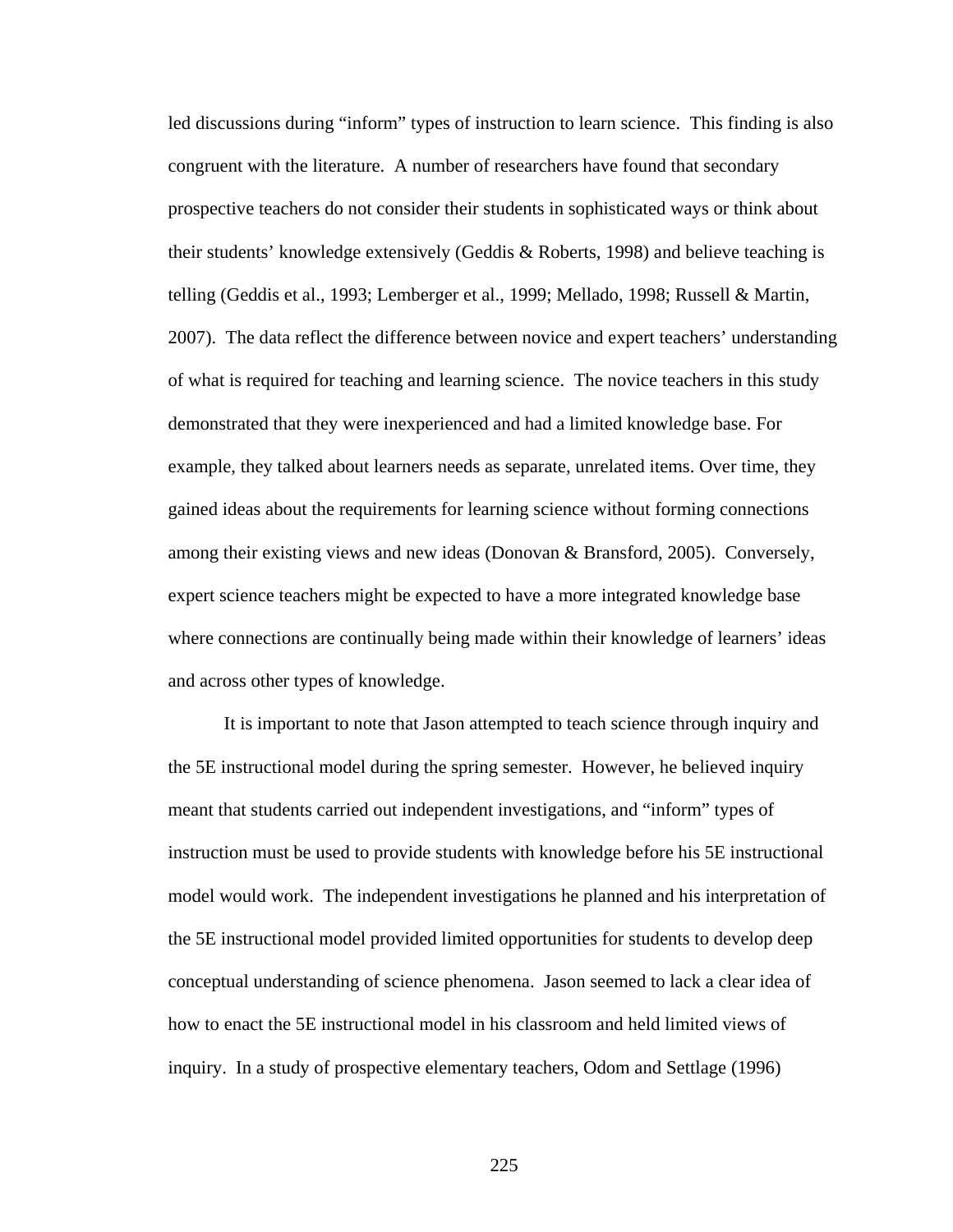led discussions during "inform" types of instruction to learn science. This finding is also congruent with the literature. A number of researchers have found that secondary prospective teachers do not consider their students in sophisticated ways or think about their students' knowledge extensively (Geddis & Roberts, 1998) and believe teaching is telling (Geddis et al., 1993; Lemberger et al., 1999; Mellado, 1998; Russell & Martin, 2007). The data reflect the difference between novice and expert teachers' understanding of what is required for teaching and learning science. The novice teachers in this study demonstrated that they were inexperienced and had a limited knowledge base. For example, they talked about learners needs as separate, unrelated items. Over time, they gained ideas about the requirements for learning science without forming connections among their existing views and new ideas (Donovan & Bransford, 2005). Conversely, expert science teachers might be expected to have a more integrated knowledge base where connections are continually being made within their knowledge of learners' ideas and across other types of knowledge.

It is important to note that Jason attempted to teach science through inquiry and the 5E instructional model during the spring semester. However, he believed inquiry meant that students carried out independent investigations, and "inform" types of instruction must be used to provide students with knowledge before his 5E instructional model would work. The independent investigations he planned and his interpretation of the 5E instructional model provided limited opportunities for students to develop deep conceptual understanding of science phenomena. Jason seemed to lack a clear idea of how to enact the 5E instructional model in his classroom and held limited views of inquiry. In a study of prospective elementary teachers, Odom and Settlage (1996)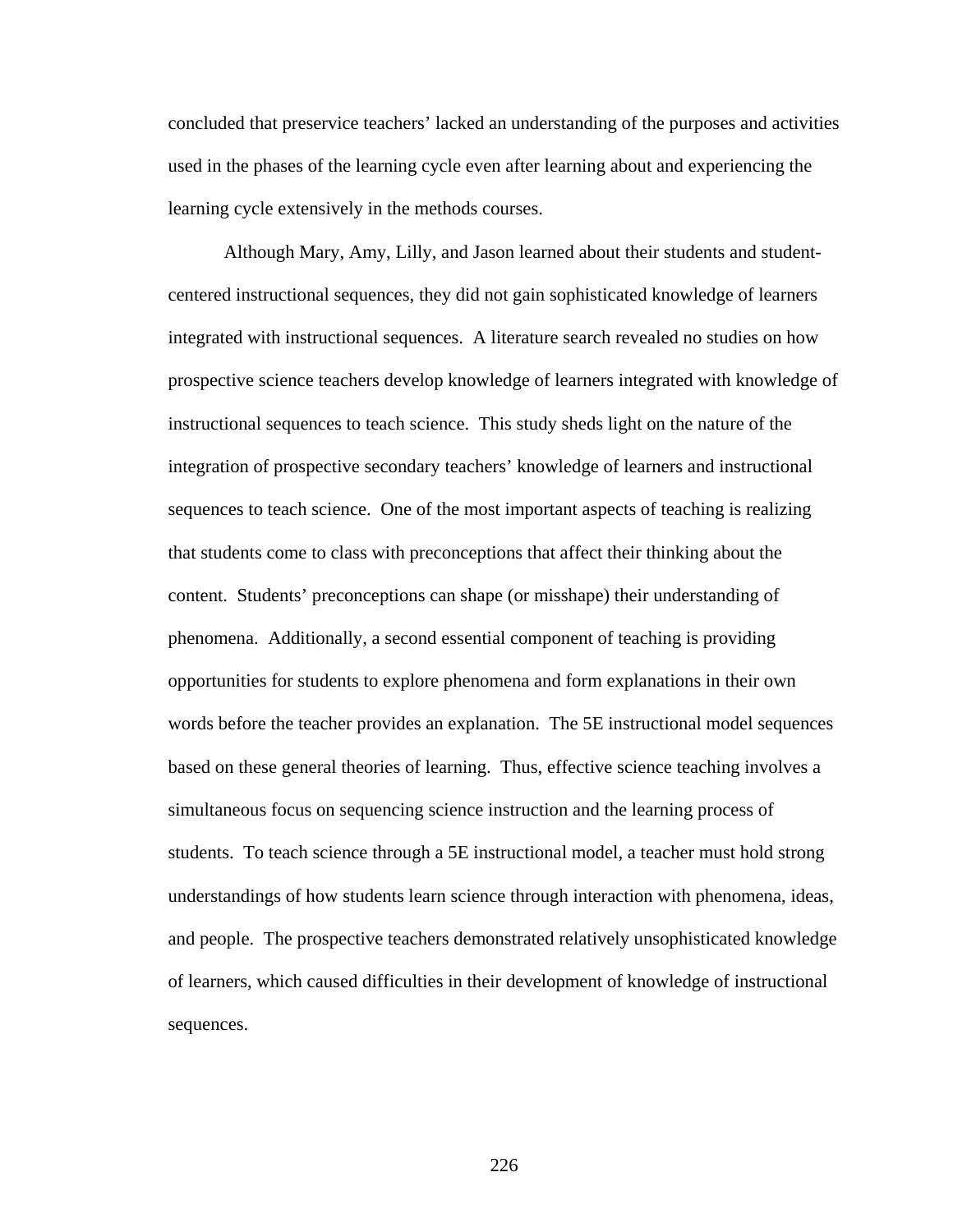concluded that preservice teachers' lacked an understanding of the purposes and activities used in the phases of the learning cycle even after learning about and experiencing the learning cycle extensively in the methods courses.

Although Mary, Amy, Lilly, and Jason learned about their students and studentcentered instructional sequences, they did not gain sophisticated knowledge of learners integrated with instructional sequences. A literature search revealed no studies on how prospective science teachers develop knowledge of learners integrated with knowledge of instructional sequences to teach science. This study sheds light on the nature of the integration of prospective secondary teachers' knowledge of learners and instructional sequences to teach science. One of the most important aspects of teaching is realizing that students come to class with preconceptions that affect their thinking about the content. Students' preconceptions can shape (or misshape) their understanding of phenomena. Additionally, a second essential component of teaching is providing opportunities for students to explore phenomena and form explanations in their own words before the teacher provides an explanation. The 5E instructional model sequences based on these general theories of learning. Thus, effective science teaching involves a simultaneous focus on sequencing science instruction and the learning process of students. To teach science through a 5E instructional model, a teacher must hold strong understandings of how students learn science through interaction with phenomena, ideas, and people. The prospective teachers demonstrated relatively unsophisticated knowledge of learners, which caused difficulties in their development of knowledge of instructional sequences.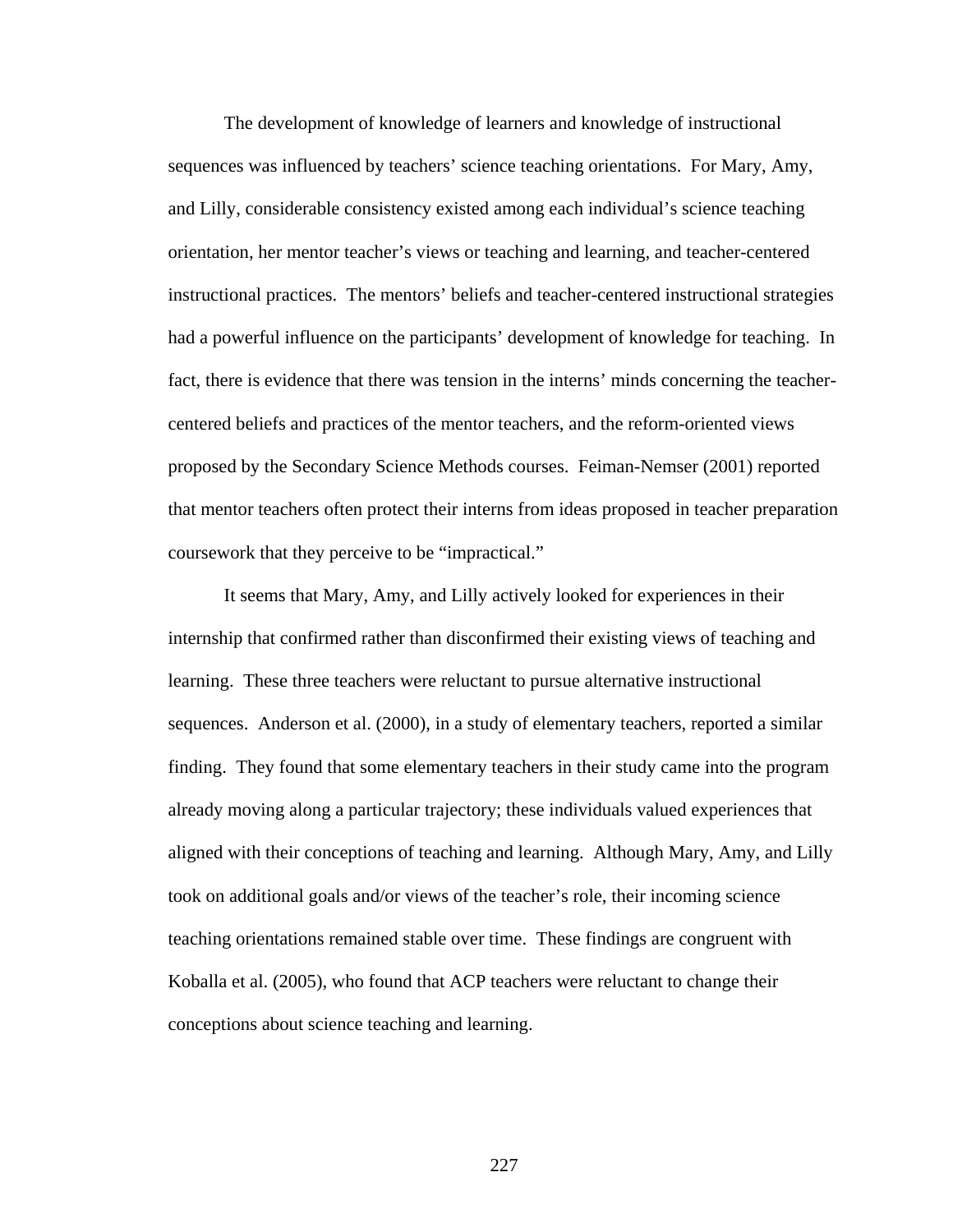The development of knowledge of learners and knowledge of instructional sequences was influenced by teachers' science teaching orientations. For Mary, Amy, and Lilly, considerable consistency existed among each individual's science teaching orientation, her mentor teacher's views or teaching and learning, and teacher-centered instructional practices. The mentors' beliefs and teacher-centered instructional strategies had a powerful influence on the participants' development of knowledge for teaching. In fact, there is evidence that there was tension in the interns' minds concerning the teachercentered beliefs and practices of the mentor teachers, and the reform-oriented views proposed by the Secondary Science Methods courses. Feiman-Nemser (2001) reported that mentor teachers often protect their interns from ideas proposed in teacher preparation coursework that they perceive to be "impractical."

It seems that Mary, Amy, and Lilly actively looked for experiences in their internship that confirmed rather than disconfirmed their existing views of teaching and learning. These three teachers were reluctant to pursue alternative instructional sequences. Anderson et al. (2000), in a study of elementary teachers, reported a similar finding. They found that some elementary teachers in their study came into the program already moving along a particular trajectory; these individuals valued experiences that aligned with their conceptions of teaching and learning. Although Mary, Amy, and Lilly took on additional goals and/or views of the teacher's role, their incoming science teaching orientations remained stable over time. These findings are congruent with Koballa et al. (2005), who found that ACP teachers were reluctant to change their conceptions about science teaching and learning.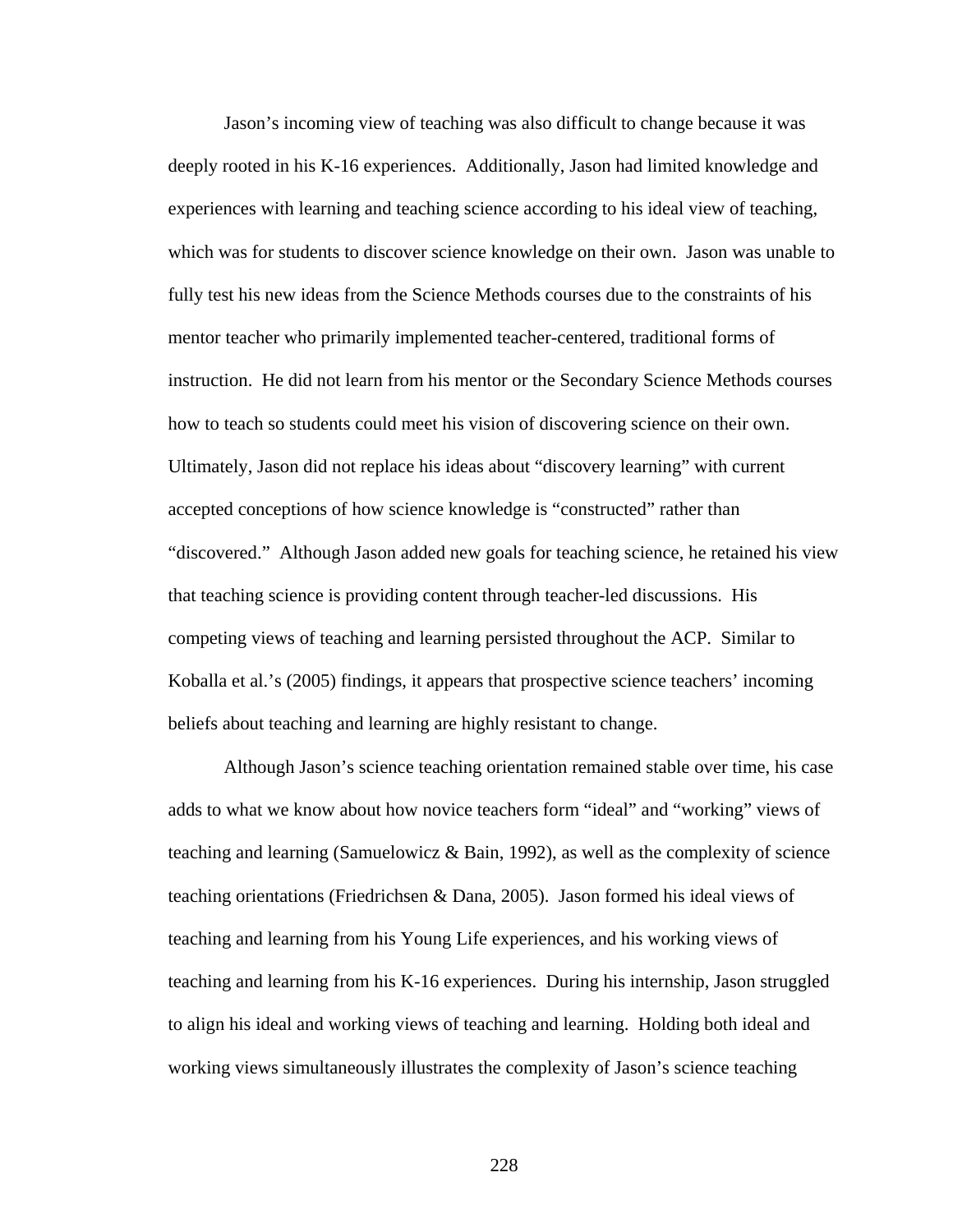Jason's incoming view of teaching was also difficult to change because it was deeply rooted in his K-16 experiences. Additionally, Jason had limited knowledge and experiences with learning and teaching science according to his ideal view of teaching, which was for students to discover science knowledge on their own. Jason was unable to fully test his new ideas from the Science Methods courses due to the constraints of his mentor teacher who primarily implemented teacher-centered, traditional forms of instruction. He did not learn from his mentor or the Secondary Science Methods courses how to teach so students could meet his vision of discovering science on their own. Ultimately, Jason did not replace his ideas about "discovery learning" with current accepted conceptions of how science knowledge is "constructed" rather than "discovered." Although Jason added new goals for teaching science, he retained his view that teaching science is providing content through teacher-led discussions. His competing views of teaching and learning persisted throughout the ACP. Similar to Koballa et al.'s (2005) findings, it appears that prospective science teachers' incoming beliefs about teaching and learning are highly resistant to change.

Although Jason's science teaching orientation remained stable over time, his case adds to what we know about how novice teachers form "ideal" and "working" views of teaching and learning (Samuelowicz & Bain, 1992), as well as the complexity of science teaching orientations (Friedrichsen & Dana, 2005). Jason formed his ideal views of teaching and learning from his Young Life experiences, and his working views of teaching and learning from his K-16 experiences. During his internship, Jason struggled to align his ideal and working views of teaching and learning. Holding both ideal and working views simultaneously illustrates the complexity of Jason's science teaching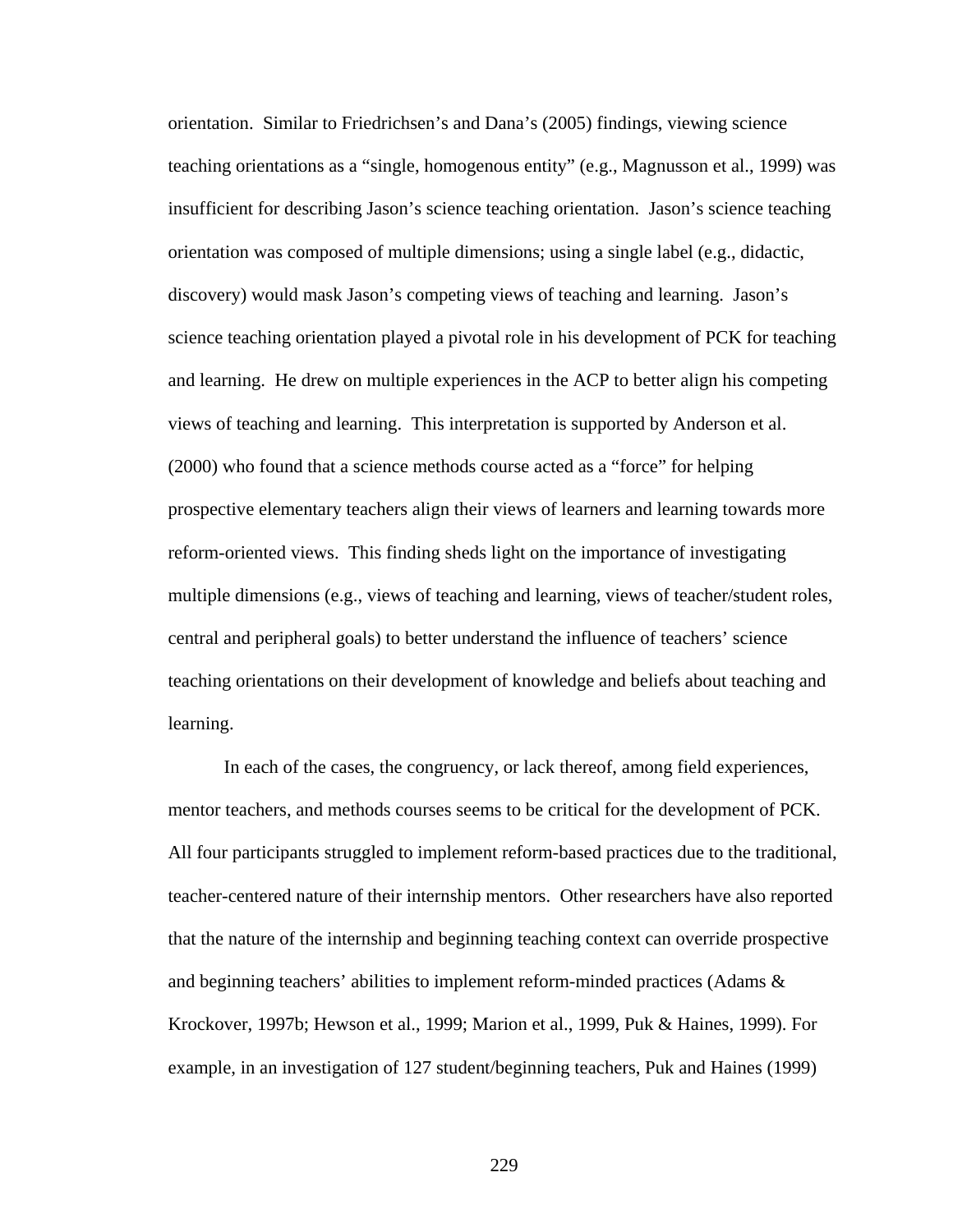orientation. Similar to Friedrichsen's and Dana's (2005) findings, viewing science teaching orientations as a "single, homogenous entity" (e.g., Magnusson et al., 1999) was insufficient for describing Jason's science teaching orientation. Jason's science teaching orientation was composed of multiple dimensions; using a single label (e.g., didactic, discovery) would mask Jason's competing views of teaching and learning. Jason's science teaching orientation played a pivotal role in his development of PCK for teaching and learning. He drew on multiple experiences in the ACP to better align his competing views of teaching and learning. This interpretation is supported by Anderson et al. (2000) who found that a science methods course acted as a "force" for helping prospective elementary teachers align their views of learners and learning towards more reform-oriented views. This finding sheds light on the importance of investigating multiple dimensions (e.g., views of teaching and learning, views of teacher/student roles, central and peripheral goals) to better understand the influence of teachers' science teaching orientations on their development of knowledge and beliefs about teaching and learning.

In each of the cases, the congruency, or lack thereof, among field experiences, mentor teachers, and methods courses seems to be critical for the development of PCK. All four participants struggled to implement reform-based practices due to the traditional, teacher-centered nature of their internship mentors. Other researchers have also reported that the nature of the internship and beginning teaching context can override prospective and beginning teachers' abilities to implement reform-minded practices (Adams & Krockover, 1997b; Hewson et al., 1999; Marion et al., 1999, Puk & Haines, 1999). For example, in an investigation of 127 student/beginning teachers, Puk and Haines (1999)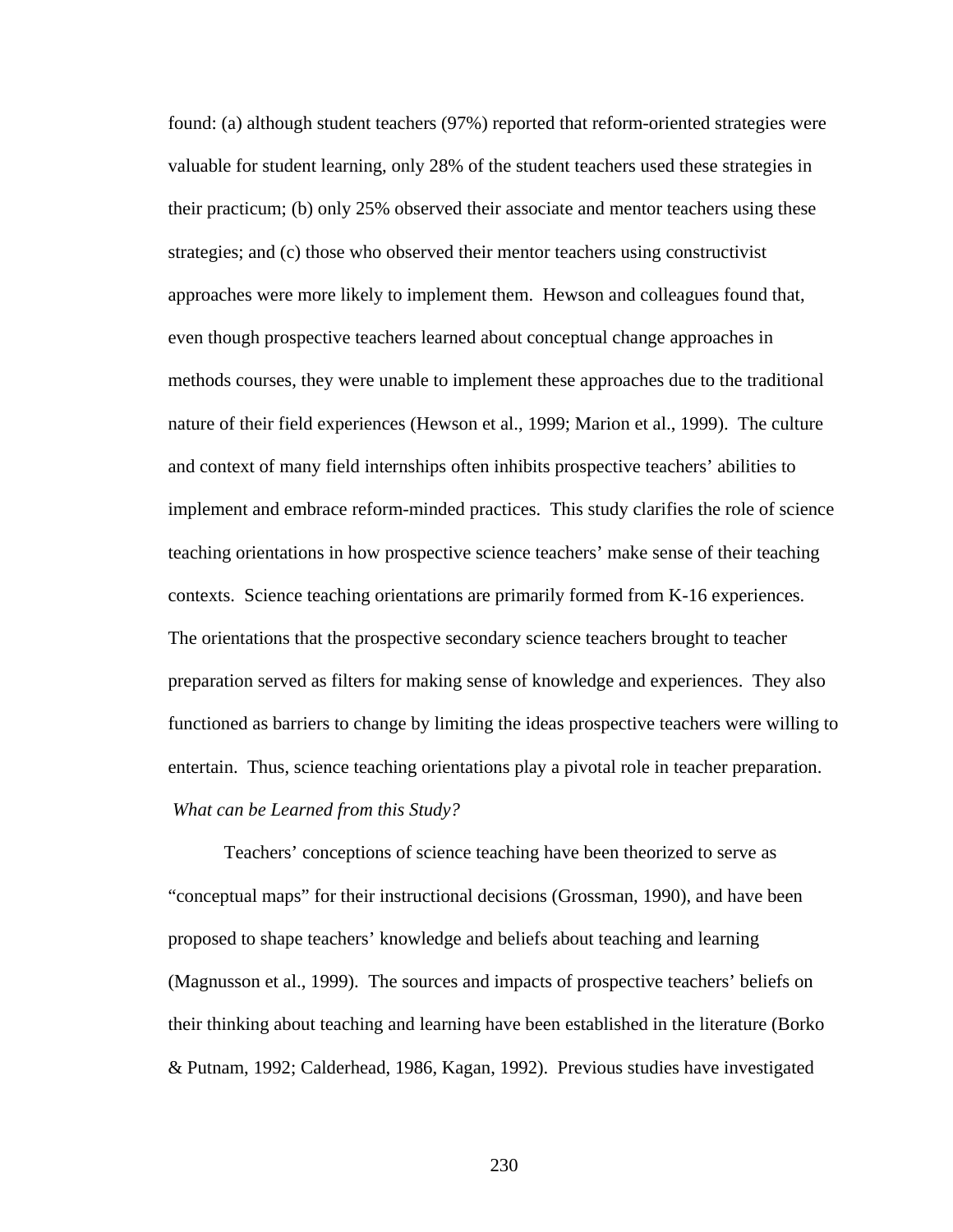found: (a) although student teachers (97%) reported that reform-oriented strategies were valuable for student learning, only 28% of the student teachers used these strategies in their practicum; (b) only 25% observed their associate and mentor teachers using these strategies; and (c) those who observed their mentor teachers using constructivist approaches were more likely to implement them. Hewson and colleagues found that, even though prospective teachers learned about conceptual change approaches in methods courses, they were unable to implement these approaches due to the traditional nature of their field experiences (Hewson et al., 1999; Marion et al., 1999). The culture and context of many field internships often inhibits prospective teachers' abilities to implement and embrace reform-minded practices. This study clarifies the role of science teaching orientations in how prospective science teachers' make sense of their teaching contexts. Science teaching orientations are primarily formed from K-16 experiences. The orientations that the prospective secondary science teachers brought to teacher preparation served as filters for making sense of knowledge and experiences. They also functioned as barriers to change by limiting the ideas prospective teachers were willing to entertain. Thus, science teaching orientations play a pivotal role in teacher preparation.  *What can be Learned from this Study?* 

Teachers' conceptions of science teaching have been theorized to serve as "conceptual maps" for their instructional decisions (Grossman, 1990), and have been proposed to shape teachers' knowledge and beliefs about teaching and learning (Magnusson et al., 1999). The sources and impacts of prospective teachers' beliefs on their thinking about teaching and learning have been established in the literature (Borko & Putnam, 1992; Calderhead, 1986, Kagan, 1992). Previous studies have investigated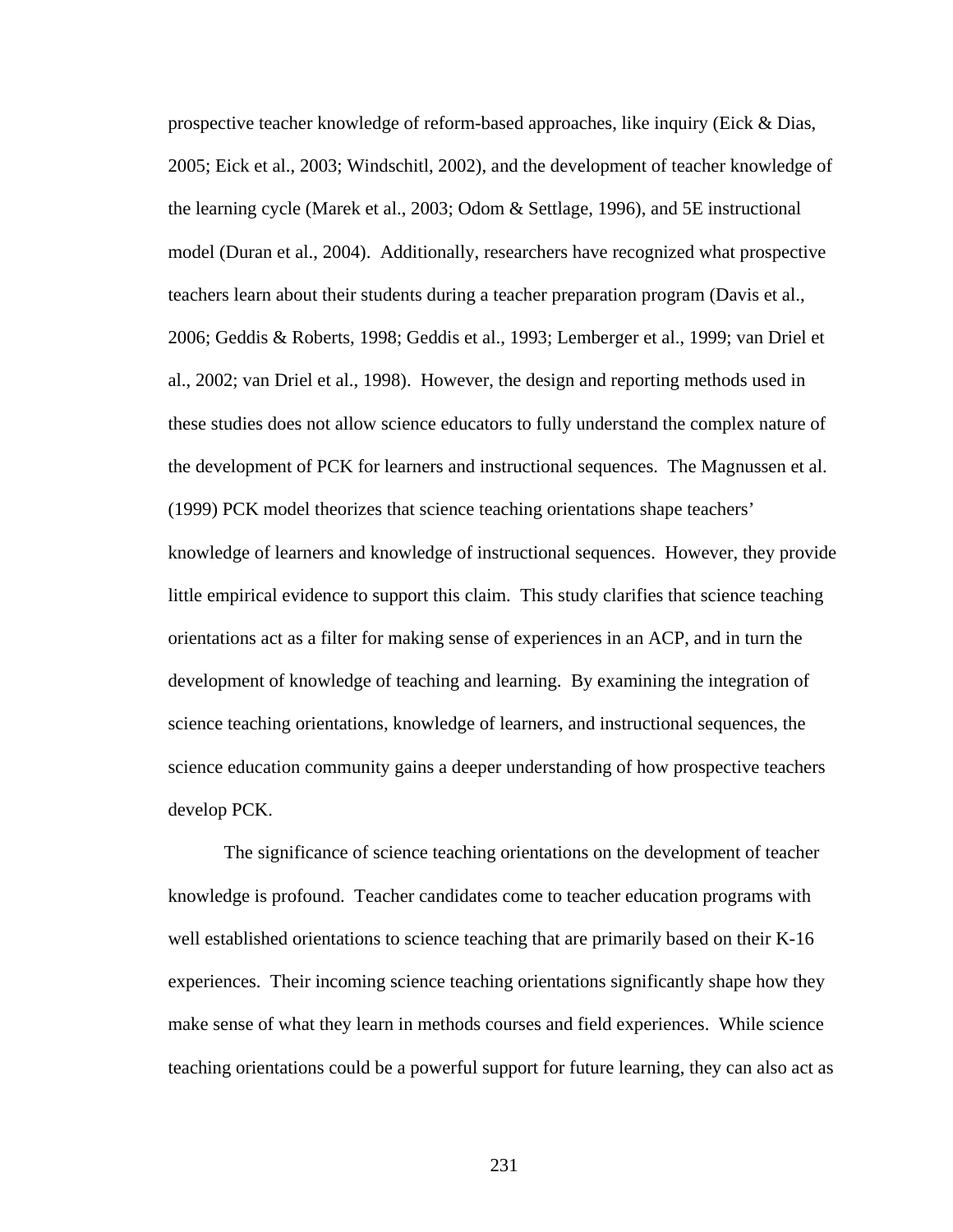prospective teacher knowledge of reform-based approaches, like inquiry (Eick & Dias, 2005; Eick et al., 2003; Windschitl, 2002), and the development of teacher knowledge of the learning cycle (Marek et al., 2003; Odom & Settlage, 1996), and 5E instructional model (Duran et al., 2004). Additionally, researchers have recognized what prospective teachers learn about their students during a teacher preparation program (Davis et al., 2006; Geddis & Roberts, 1998; Geddis et al., 1993; Lemberger et al., 1999; van Driel et al., 2002; van Driel et al., 1998). However, the design and reporting methods used in these studies does not allow science educators to fully understand the complex nature of the development of PCK for learners and instructional sequences. The Magnussen et al. (1999) PCK model theorizes that science teaching orientations shape teachers' knowledge of learners and knowledge of instructional sequences. However, they provide little empirical evidence to support this claim. This study clarifies that science teaching orientations act as a filter for making sense of experiences in an ACP, and in turn the development of knowledge of teaching and learning. By examining the integration of science teaching orientations, knowledge of learners, and instructional sequences, the science education community gains a deeper understanding of how prospective teachers develop PCK.

The significance of science teaching orientations on the development of teacher knowledge is profound. Teacher candidates come to teacher education programs with well established orientations to science teaching that are primarily based on their K-16 experiences. Their incoming science teaching orientations significantly shape how they make sense of what they learn in methods courses and field experiences. While science teaching orientations could be a powerful support for future learning, they can also act as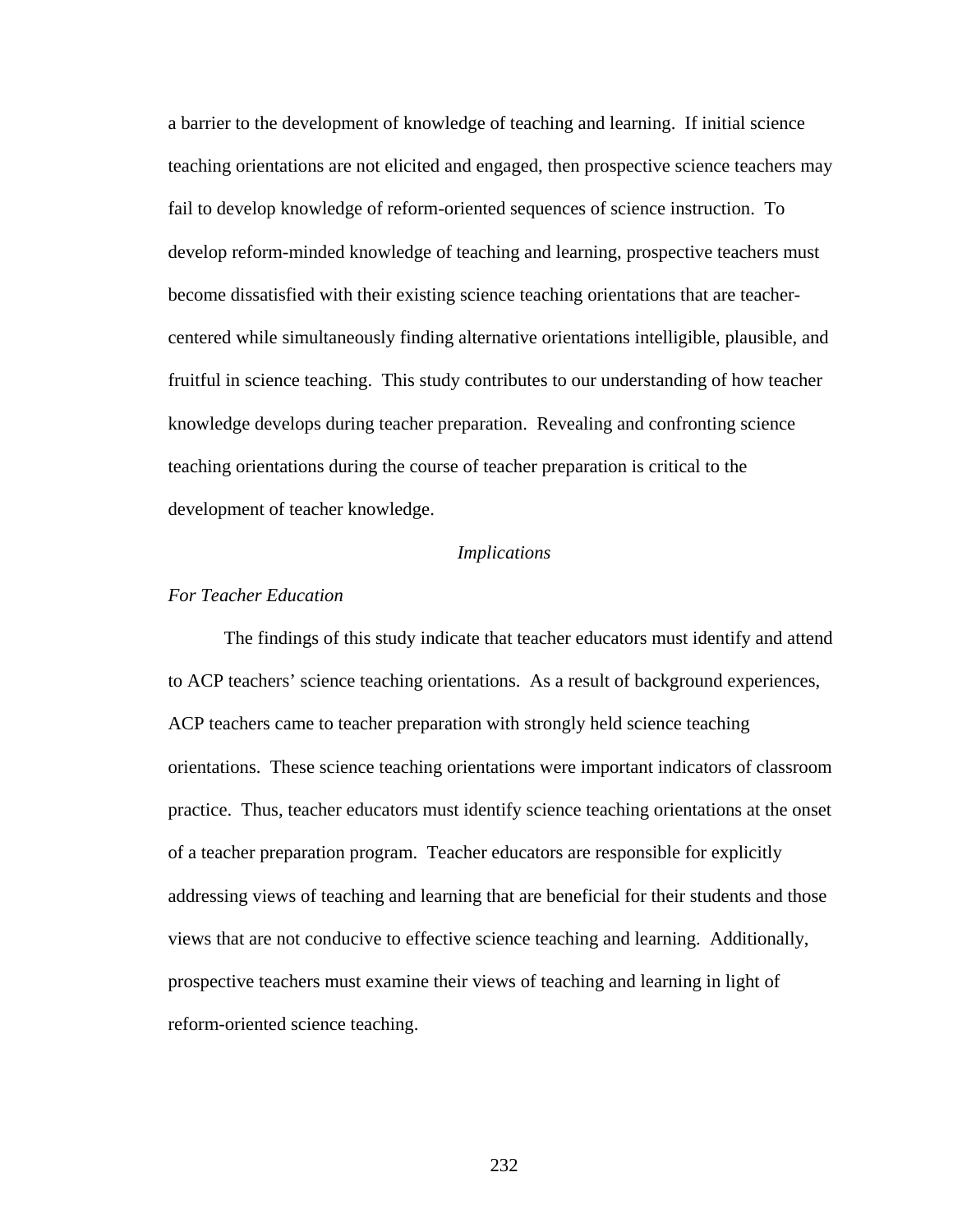a barrier to the development of knowledge of teaching and learning. If initial science teaching orientations are not elicited and engaged, then prospective science teachers may fail to develop knowledge of reform-oriented sequences of science instruction. To develop reform-minded knowledge of teaching and learning, prospective teachers must become dissatisfied with their existing science teaching orientations that are teachercentered while simultaneously finding alternative orientations intelligible, plausible, and fruitful in science teaching. This study contributes to our understanding of how teacher knowledge develops during teacher preparation. Revealing and confronting science teaching orientations during the course of teacher preparation is critical to the development of teacher knowledge.

#### *Implications*

#### *For Teacher Education*

 The findings of this study indicate that teacher educators must identify and attend to ACP teachers' science teaching orientations. As a result of background experiences, ACP teachers came to teacher preparation with strongly held science teaching orientations. These science teaching orientations were important indicators of classroom practice. Thus, teacher educators must identify science teaching orientations at the onset of a teacher preparation program. Teacher educators are responsible for explicitly addressing views of teaching and learning that are beneficial for their students and those views that are not conducive to effective science teaching and learning. Additionally, prospective teachers must examine their views of teaching and learning in light of reform-oriented science teaching.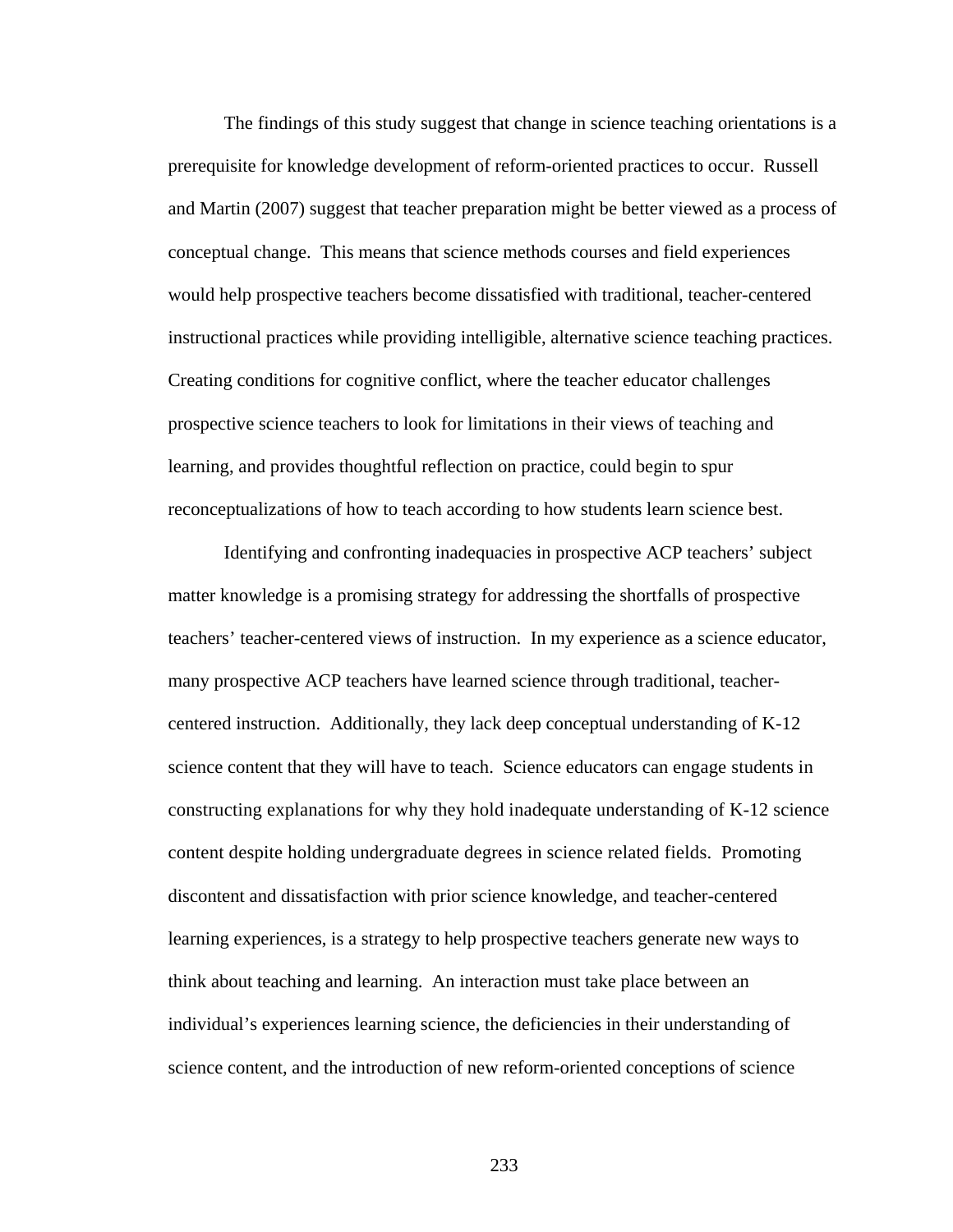The findings of this study suggest that change in science teaching orientations is a prerequisite for knowledge development of reform-oriented practices to occur. Russell and Martin (2007) suggest that teacher preparation might be better viewed as a process of conceptual change. This means that science methods courses and field experiences would help prospective teachers become dissatisfied with traditional, teacher-centered instructional practices while providing intelligible, alternative science teaching practices. Creating conditions for cognitive conflict, where the teacher educator challenges prospective science teachers to look for limitations in their views of teaching and learning, and provides thoughtful reflection on practice, could begin to spur reconceptualizations of how to teach according to how students learn science best.

Identifying and confronting inadequacies in prospective ACP teachers' subject matter knowledge is a promising strategy for addressing the shortfalls of prospective teachers' teacher-centered views of instruction. In my experience as a science educator, many prospective ACP teachers have learned science through traditional, teachercentered instruction. Additionally, they lack deep conceptual understanding of K-12 science content that they will have to teach. Science educators can engage students in constructing explanations for why they hold inadequate understanding of K-12 science content despite holding undergraduate degrees in science related fields. Promoting discontent and dissatisfaction with prior science knowledge, and teacher-centered learning experiences, is a strategy to help prospective teachers generate new ways to think about teaching and learning. An interaction must take place between an individual's experiences learning science, the deficiencies in their understanding of science content, and the introduction of new reform-oriented conceptions of science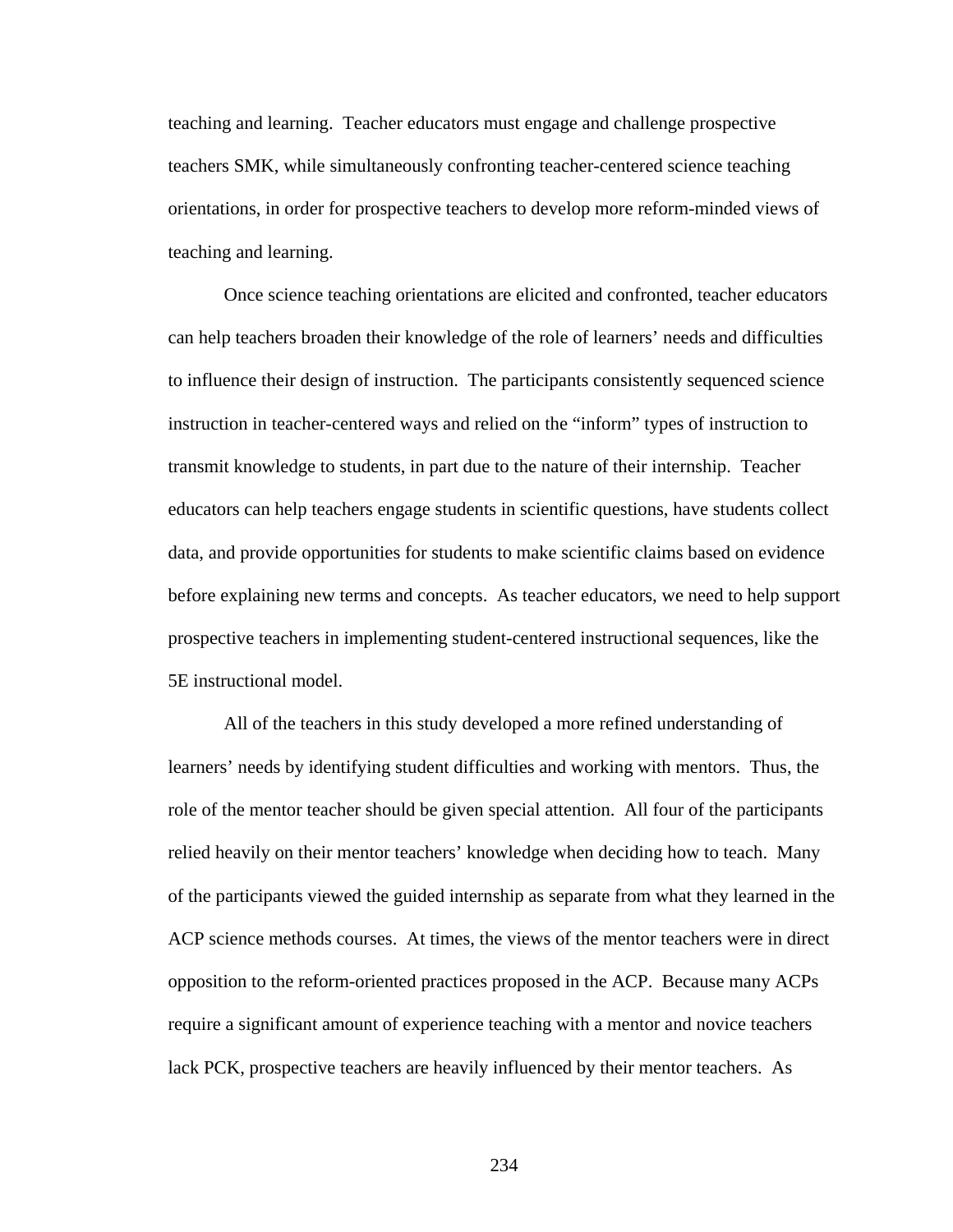teaching and learning. Teacher educators must engage and challenge prospective teachers SMK, while simultaneously confronting teacher-centered science teaching orientations, in order for prospective teachers to develop more reform-minded views of teaching and learning.

Once science teaching orientations are elicited and confronted, teacher educators can help teachers broaden their knowledge of the role of learners' needs and difficulties to influence their design of instruction. The participants consistently sequenced science instruction in teacher-centered ways and relied on the "inform" types of instruction to transmit knowledge to students, in part due to the nature of their internship. Teacher educators can help teachers engage students in scientific questions, have students collect data, and provide opportunities for students to make scientific claims based on evidence before explaining new terms and concepts. As teacher educators, we need to help support prospective teachers in implementing student-centered instructional sequences, like the 5E instructional model.

 All of the teachers in this study developed a more refined understanding of learners' needs by identifying student difficulties and working with mentors. Thus, the role of the mentor teacher should be given special attention. All four of the participants relied heavily on their mentor teachers' knowledge when deciding how to teach. Many of the participants viewed the guided internship as separate from what they learned in the ACP science methods courses. At times, the views of the mentor teachers were in direct opposition to the reform-oriented practices proposed in the ACP. Because many ACPs require a significant amount of experience teaching with a mentor and novice teachers lack PCK, prospective teachers are heavily influenced by their mentor teachers. As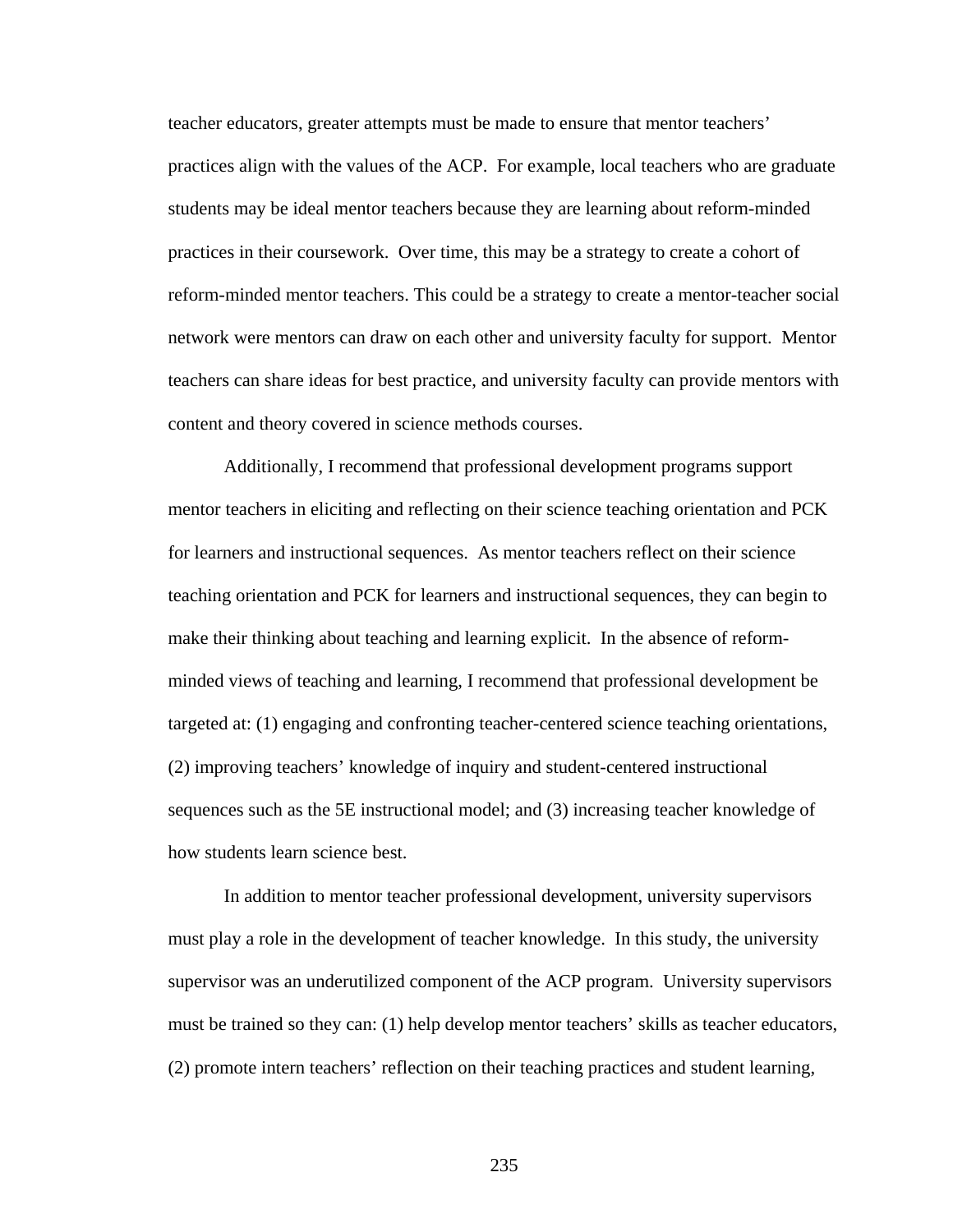teacher educators, greater attempts must be made to ensure that mentor teachers' practices align with the values of the ACP. For example, local teachers who are graduate students may be ideal mentor teachers because they are learning about reform-minded practices in their coursework. Over time, this may be a strategy to create a cohort of reform-minded mentor teachers. This could be a strategy to create a mentor-teacher social network were mentors can draw on each other and university faculty for support. Mentor teachers can share ideas for best practice, and university faculty can provide mentors with content and theory covered in science methods courses.

 Additionally, I recommend that professional development programs support mentor teachers in eliciting and reflecting on their science teaching orientation and PCK for learners and instructional sequences. As mentor teachers reflect on their science teaching orientation and PCK for learners and instructional sequences, they can begin to make their thinking about teaching and learning explicit. In the absence of reformminded views of teaching and learning, I recommend that professional development be targeted at: (1) engaging and confronting teacher-centered science teaching orientations, (2) improving teachers' knowledge of inquiry and student-centered instructional sequences such as the 5E instructional model; and (3) increasing teacher knowledge of how students learn science best.

In addition to mentor teacher professional development, university supervisors must play a role in the development of teacher knowledge. In this study, the university supervisor was an underutilized component of the ACP program. University supervisors must be trained so they can: (1) help develop mentor teachers' skills as teacher educators, (2) promote intern teachers' reflection on their teaching practices and student learning,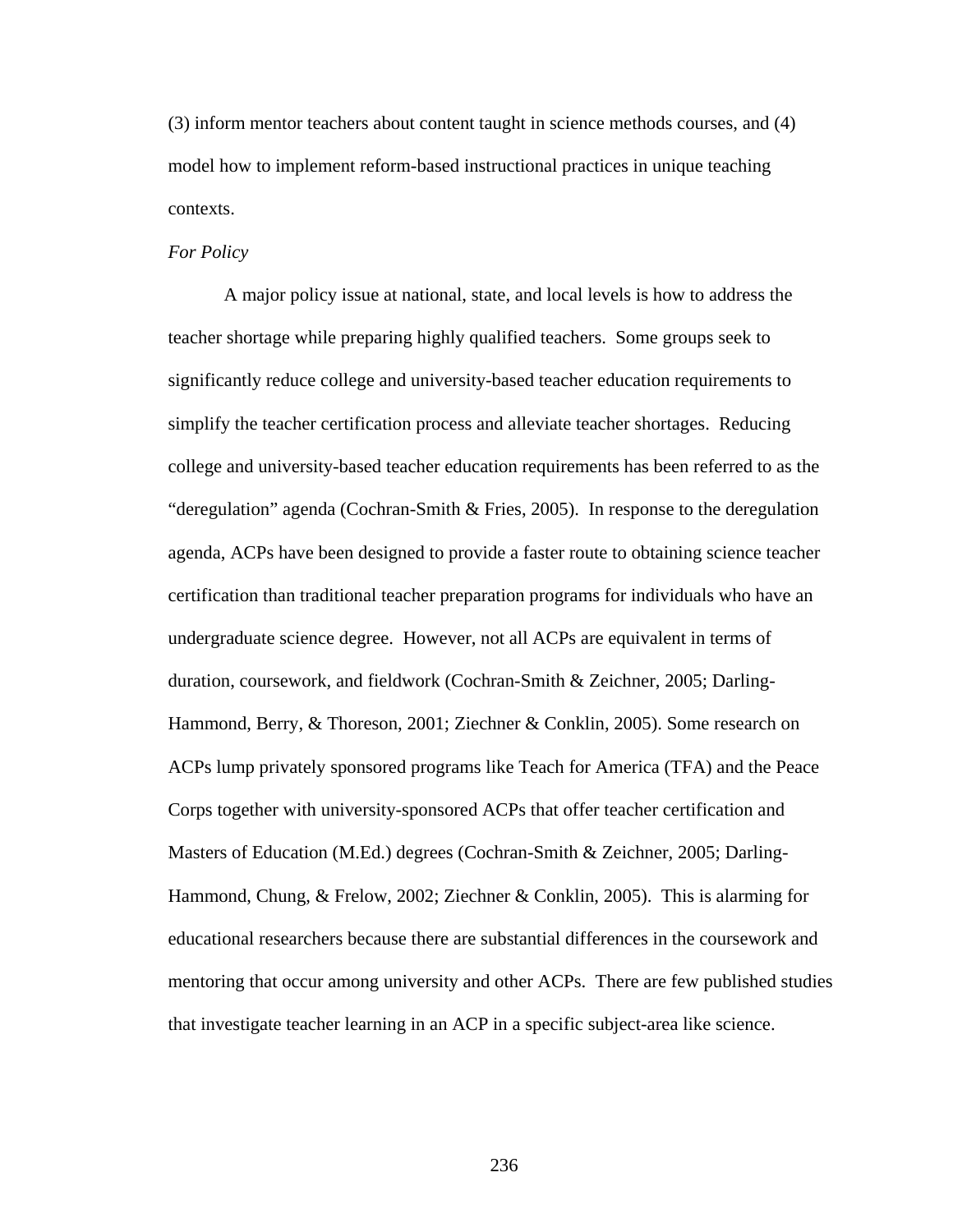(3) inform mentor teachers about content taught in science methods courses, and (4) model how to implement reform-based instructional practices in unique teaching contexts.

#### *For Policy*

A major policy issue at national, state, and local levels is how to address the teacher shortage while preparing highly qualified teachers. Some groups seek to significantly reduce college and university-based teacher education requirements to simplify the teacher certification process and alleviate teacher shortages. Reducing college and university-based teacher education requirements has been referred to as the "deregulation" agenda (Cochran-Smith & Fries, 2005). In response to the deregulation agenda, ACPs have been designed to provide a faster route to obtaining science teacher certification than traditional teacher preparation programs for individuals who have an undergraduate science degree. However, not all ACPs are equivalent in terms of duration, coursework, and fieldwork (Cochran-Smith & Zeichner, 2005; Darling-Hammond, Berry, & Thoreson, 2001; Ziechner & Conklin, 2005). Some research on ACPs lump privately sponsored programs like Teach for America (TFA) and the Peace Corps together with university-sponsored ACPs that offer teacher certification and Masters of Education (M.Ed.) degrees (Cochran-Smith & Zeichner, 2005; Darling-Hammond, Chung, & Frelow, 2002; Ziechner & Conklin, 2005). This is alarming for educational researchers because there are substantial differences in the coursework and mentoring that occur among university and other ACPs. There are few published studies that investigate teacher learning in an ACP in a specific subject-area like science.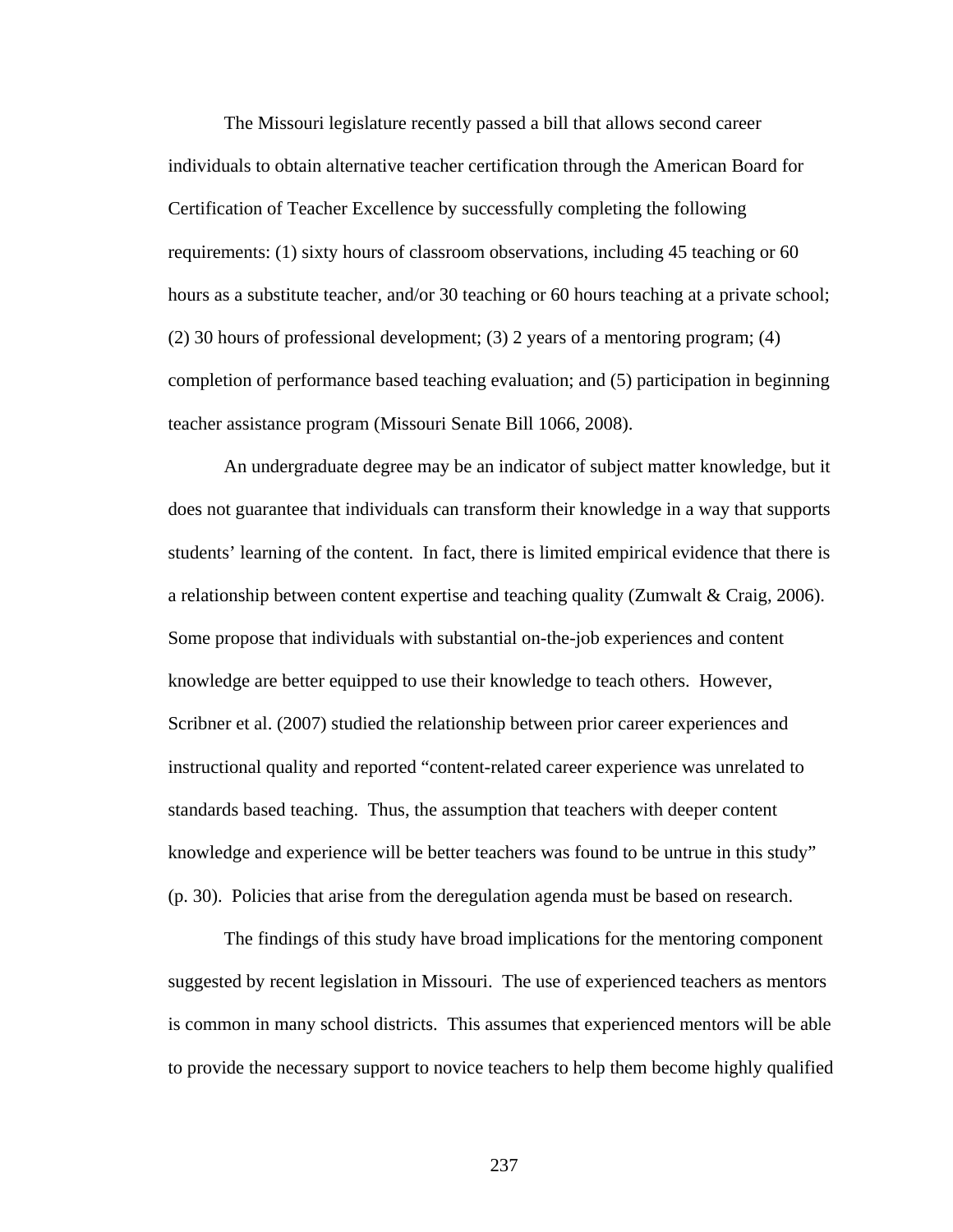The Missouri legislature recently passed a bill that allows second career individuals to obtain alternative teacher certification through the American Board for Certification of Teacher Excellence by successfully completing the following requirements: (1) sixty hours of classroom observations, including 45 teaching or 60 hours as a substitute teacher, and/or 30 teaching or 60 hours teaching at a private school; (2) 30 hours of professional development; (3) 2 years of a mentoring program; (4) completion of performance based teaching evaluation; and (5) participation in beginning teacher assistance program (Missouri Senate Bill 1066, 2008).

An undergraduate degree may be an indicator of subject matter knowledge, but it does not guarantee that individuals can transform their knowledge in a way that supports students' learning of the content. In fact, there is limited empirical evidence that there is a relationship between content expertise and teaching quality (Zumwalt & Craig, 2006). Some propose that individuals with substantial on-the-job experiences and content knowledge are better equipped to use their knowledge to teach others. However, Scribner et al. (2007) studied the relationship between prior career experiences and instructional quality and reported "content-related career experience was unrelated to standards based teaching. Thus, the assumption that teachers with deeper content knowledge and experience will be better teachers was found to be untrue in this study" (p. 30). Policies that arise from the deregulation agenda must be based on research.

The findings of this study have broad implications for the mentoring component suggested by recent legislation in Missouri. The use of experienced teachers as mentors is common in many school districts. This assumes that experienced mentors will be able to provide the necessary support to novice teachers to help them become highly qualified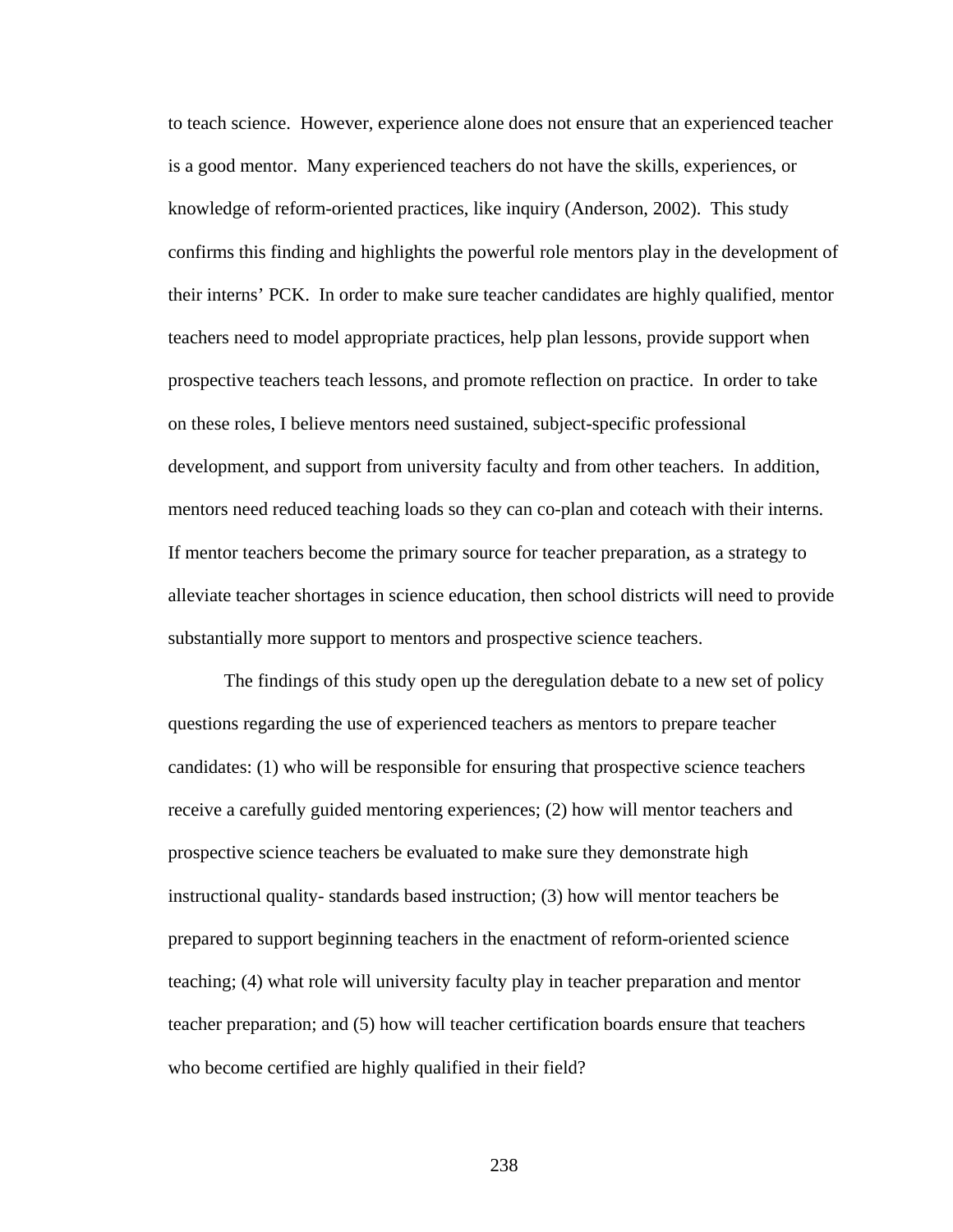to teach science. However, experience alone does not ensure that an experienced teacher is a good mentor. Many experienced teachers do not have the skills, experiences, or knowledge of reform-oriented practices, like inquiry (Anderson, 2002). This study confirms this finding and highlights the powerful role mentors play in the development of their interns' PCK. In order to make sure teacher candidates are highly qualified, mentor teachers need to model appropriate practices, help plan lessons, provide support when prospective teachers teach lessons, and promote reflection on practice. In order to take on these roles, I believe mentors need sustained, subject-specific professional development, and support from university faculty and from other teachers. In addition, mentors need reduced teaching loads so they can co-plan and coteach with their interns. If mentor teachers become the primary source for teacher preparation, as a strategy to alleviate teacher shortages in science education, then school districts will need to provide substantially more support to mentors and prospective science teachers.

The findings of this study open up the deregulation debate to a new set of policy questions regarding the use of experienced teachers as mentors to prepare teacher candidates: (1) who will be responsible for ensuring that prospective science teachers receive a carefully guided mentoring experiences; (2) how will mentor teachers and prospective science teachers be evaluated to make sure they demonstrate high instructional quality- standards based instruction; (3) how will mentor teachers be prepared to support beginning teachers in the enactment of reform-oriented science teaching; (4) what role will university faculty play in teacher preparation and mentor teacher preparation; and (5) how will teacher certification boards ensure that teachers who become certified are highly qualified in their field?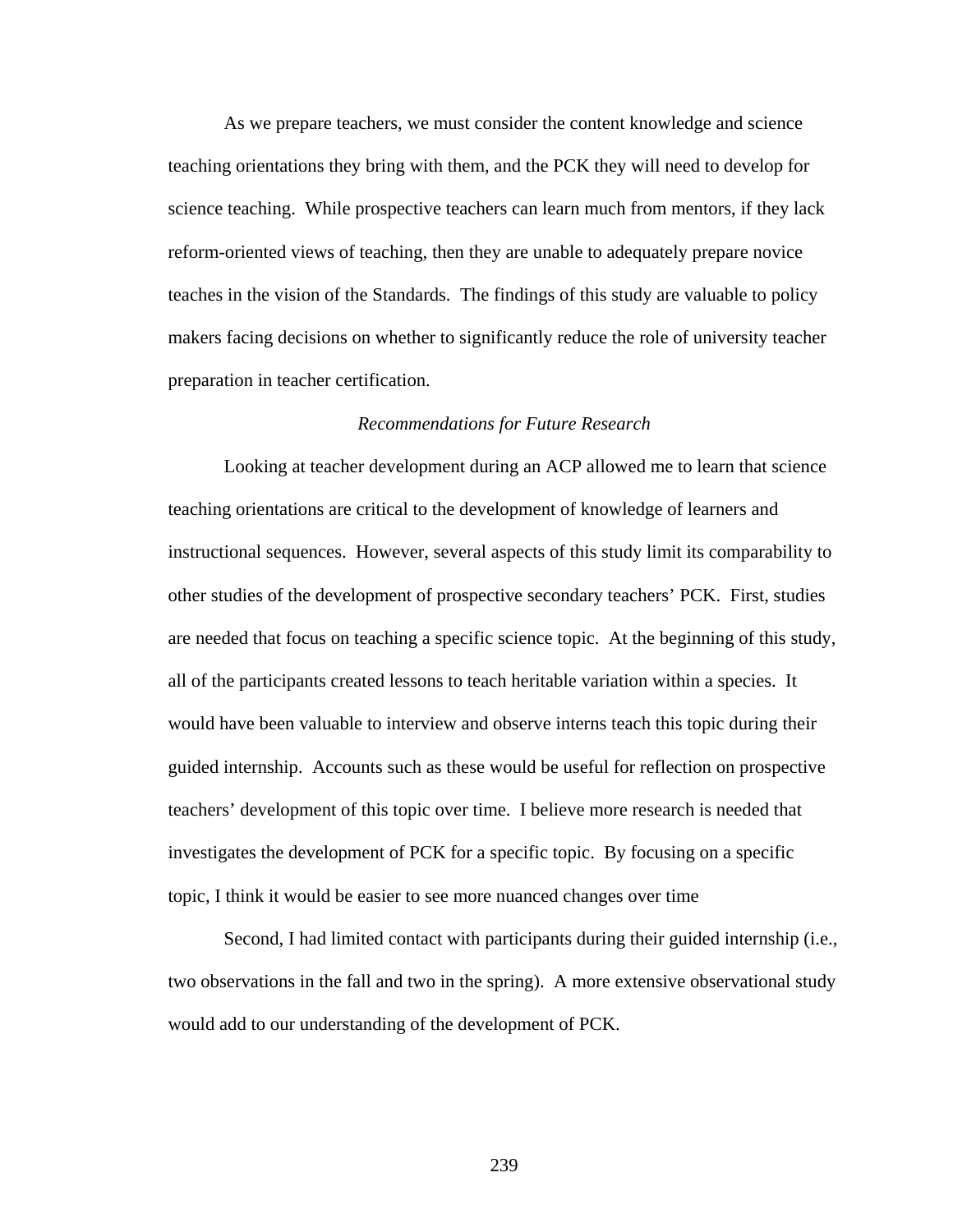As we prepare teachers, we must consider the content knowledge and science teaching orientations they bring with them, and the PCK they will need to develop for science teaching. While prospective teachers can learn much from mentors, if they lack reform-oriented views of teaching, then they are unable to adequately prepare novice teaches in the vision of the Standards. The findings of this study are valuable to policy makers facing decisions on whether to significantly reduce the role of university teacher preparation in teacher certification.

#### *Recommendations for Future Research*

 Looking at teacher development during an ACP allowed me to learn that science teaching orientations are critical to the development of knowledge of learners and instructional sequences. However, several aspects of this study limit its comparability to other studies of the development of prospective secondary teachers' PCK. First, studies are needed that focus on teaching a specific science topic. At the beginning of this study, all of the participants created lessons to teach heritable variation within a species. It would have been valuable to interview and observe interns teach this topic during their guided internship. Accounts such as these would be useful for reflection on prospective teachers' development of this topic over time. I believe more research is needed that investigates the development of PCK for a specific topic. By focusing on a specific topic, I think it would be easier to see more nuanced changes over time

Second, I had limited contact with participants during their guided internship (i.e., two observations in the fall and two in the spring). A more extensive observational study would add to our understanding of the development of PCK.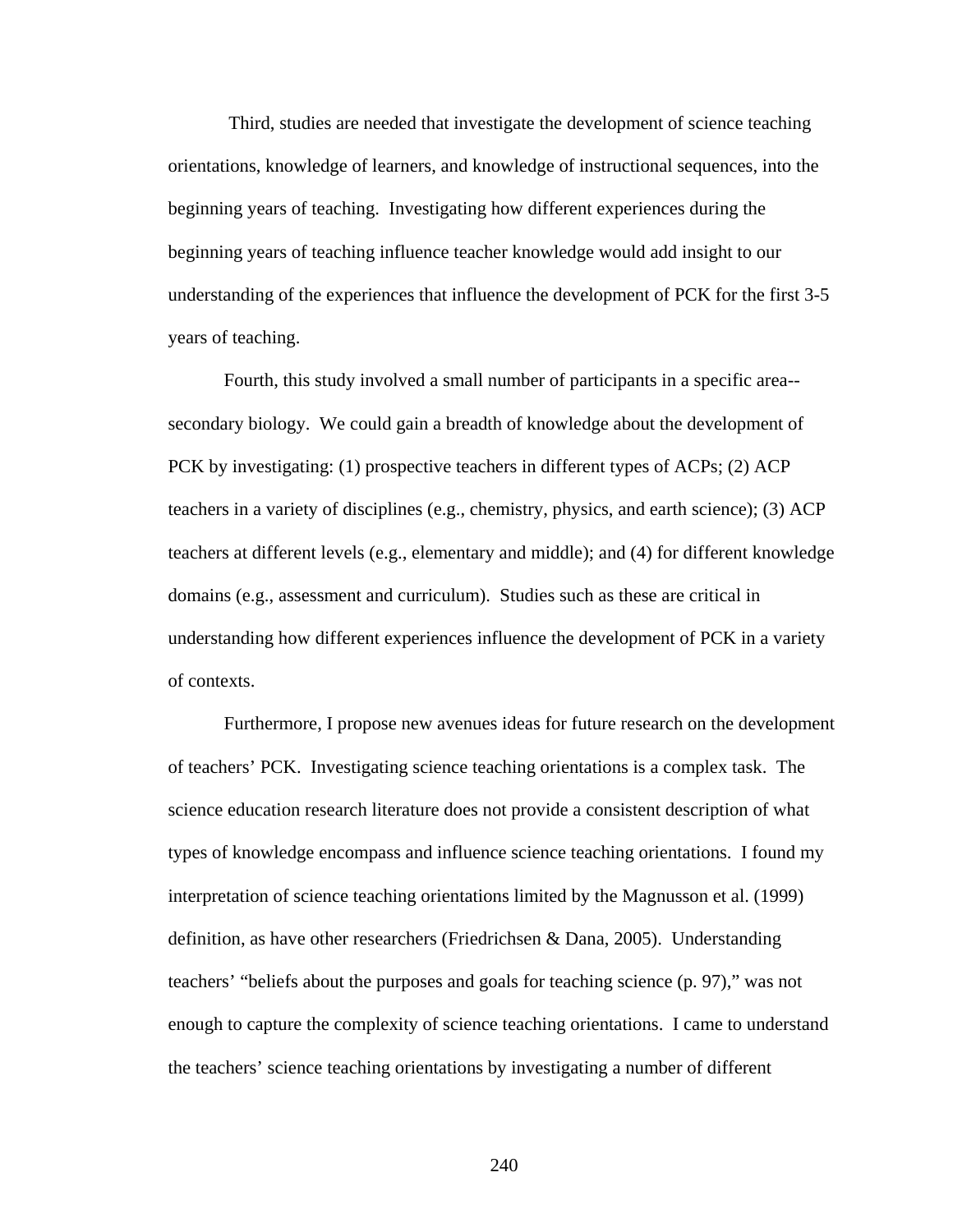Third, studies are needed that investigate the development of science teaching orientations, knowledge of learners, and knowledge of instructional sequences, into the beginning years of teaching. Investigating how different experiences during the beginning years of teaching influence teacher knowledge would add insight to our understanding of the experiences that influence the development of PCK for the first 3-5 years of teaching.

Fourth, this study involved a small number of participants in a specific area- secondary biology. We could gain a breadth of knowledge about the development of PCK by investigating: (1) prospective teachers in different types of ACPs; (2) ACP teachers in a variety of disciplines (e.g., chemistry, physics, and earth science); (3) ACP teachers at different levels (e.g., elementary and middle); and (4) for different knowledge domains (e.g., assessment and curriculum). Studies such as these are critical in understanding how different experiences influence the development of PCK in a variety of contexts.

Furthermore, I propose new avenues ideas for future research on the development of teachers' PCK. Investigating science teaching orientations is a complex task. The science education research literature does not provide a consistent description of what types of knowledge encompass and influence science teaching orientations. I found my interpretation of science teaching orientations limited by the Magnusson et al. (1999) definition, as have other researchers (Friedrichsen & Dana, 2005). Understanding teachers' "beliefs about the purposes and goals for teaching science (p. 97)," was not enough to capture the complexity of science teaching orientations. I came to understand the teachers' science teaching orientations by investigating a number of different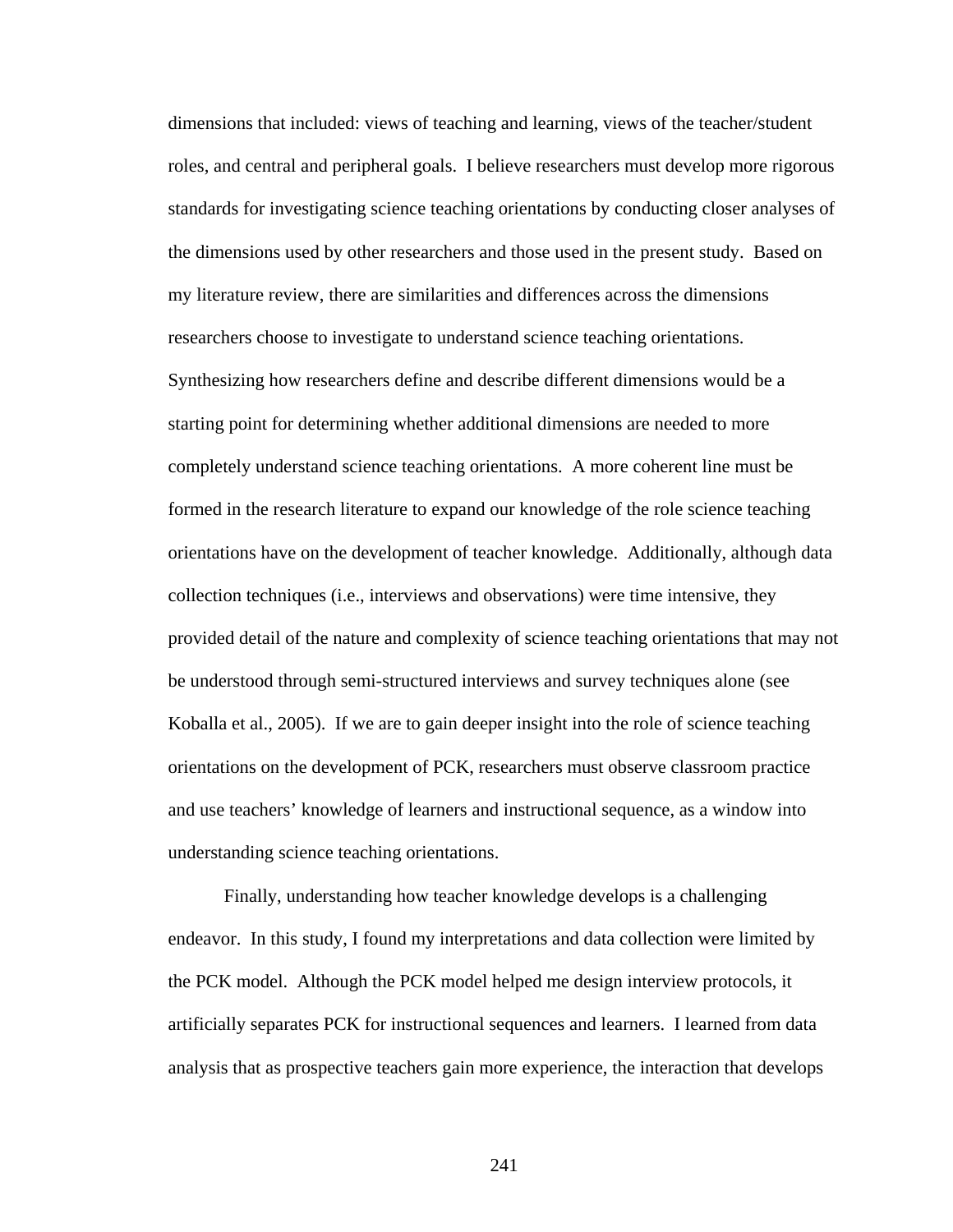dimensions that included: views of teaching and learning, views of the teacher/student roles, and central and peripheral goals. I believe researchers must develop more rigorous standards for investigating science teaching orientations by conducting closer analyses of the dimensions used by other researchers and those used in the present study. Based on my literature review, there are similarities and differences across the dimensions researchers choose to investigate to understand science teaching orientations. Synthesizing how researchers define and describe different dimensions would be a starting point for determining whether additional dimensions are needed to more completely understand science teaching orientations. A more coherent line must be formed in the research literature to expand our knowledge of the role science teaching orientations have on the development of teacher knowledge. Additionally, although data collection techniques (i.e., interviews and observations) were time intensive, they provided detail of the nature and complexity of science teaching orientations that may not be understood through semi-structured interviews and survey techniques alone (see Koballa et al., 2005). If we are to gain deeper insight into the role of science teaching orientations on the development of PCK, researchers must observe classroom practice and use teachers' knowledge of learners and instructional sequence, as a window into understanding science teaching orientations.

Finally, understanding how teacher knowledge develops is a challenging endeavor. In this study, I found my interpretations and data collection were limited by the PCK model. Although the PCK model helped me design interview protocols, it artificially separates PCK for instructional sequences and learners. I learned from data analysis that as prospective teachers gain more experience, the interaction that develops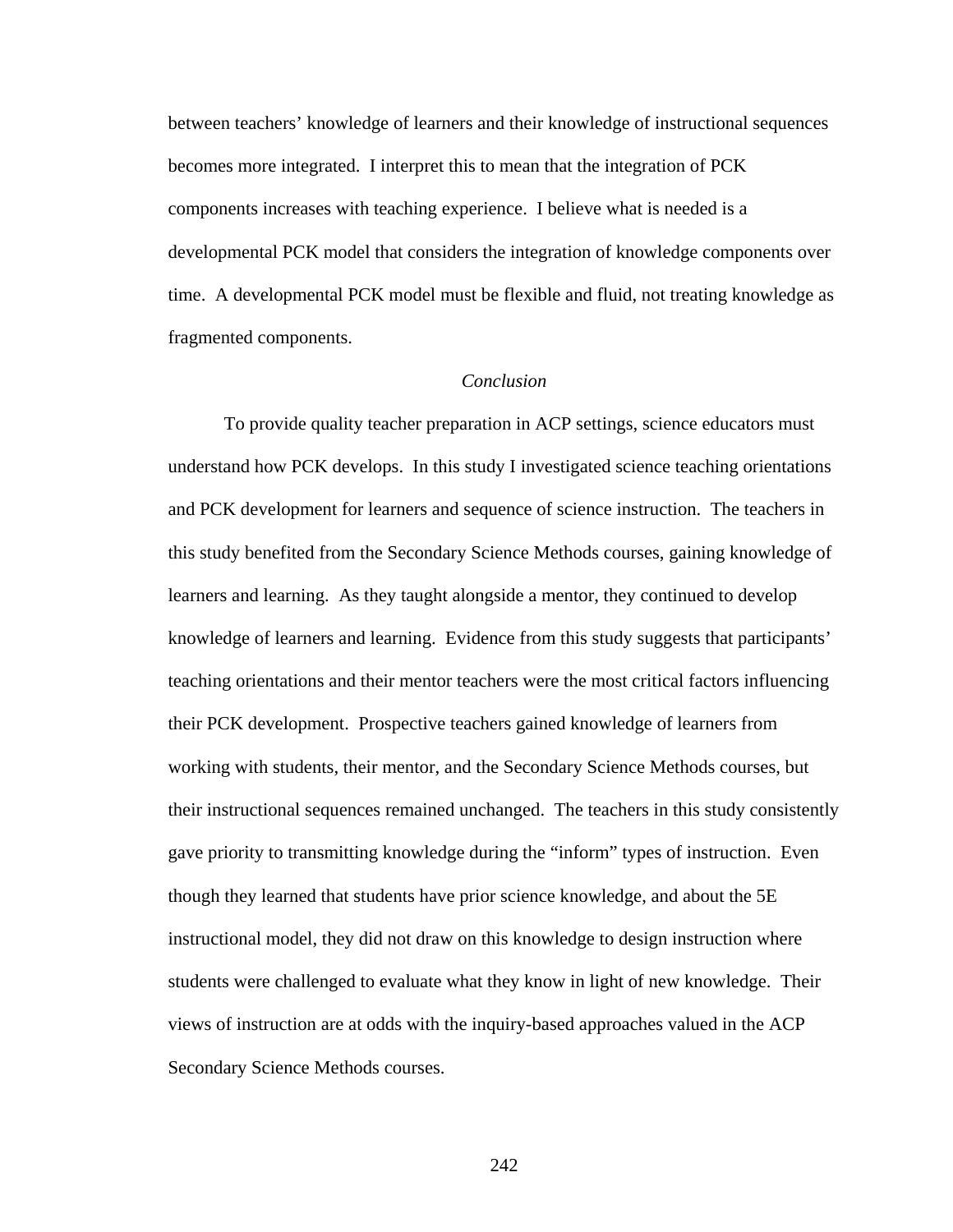between teachers' knowledge of learners and their knowledge of instructional sequences becomes more integrated. I interpret this to mean that the integration of PCK components increases with teaching experience. I believe what is needed is a developmental PCK model that considers the integration of knowledge components over time. A developmental PCK model must be flexible and fluid, not treating knowledge as fragmented components.

#### *Conclusion*

To provide quality teacher preparation in ACP settings, science educators must understand how PCK develops. In this study I investigated science teaching orientations and PCK development for learners and sequence of science instruction. The teachers in this study benefited from the Secondary Science Methods courses, gaining knowledge of learners and learning. As they taught alongside a mentor, they continued to develop knowledge of learners and learning. Evidence from this study suggests that participants' teaching orientations and their mentor teachers were the most critical factors influencing their PCK development. Prospective teachers gained knowledge of learners from working with students, their mentor, and the Secondary Science Methods courses, but their instructional sequences remained unchanged. The teachers in this study consistently gave priority to transmitting knowledge during the "inform" types of instruction. Even though they learned that students have prior science knowledge, and about the 5E instructional model, they did not draw on this knowledge to design instruction where students were challenged to evaluate what they know in light of new knowledge. Their views of instruction are at odds with the inquiry-based approaches valued in the ACP Secondary Science Methods courses.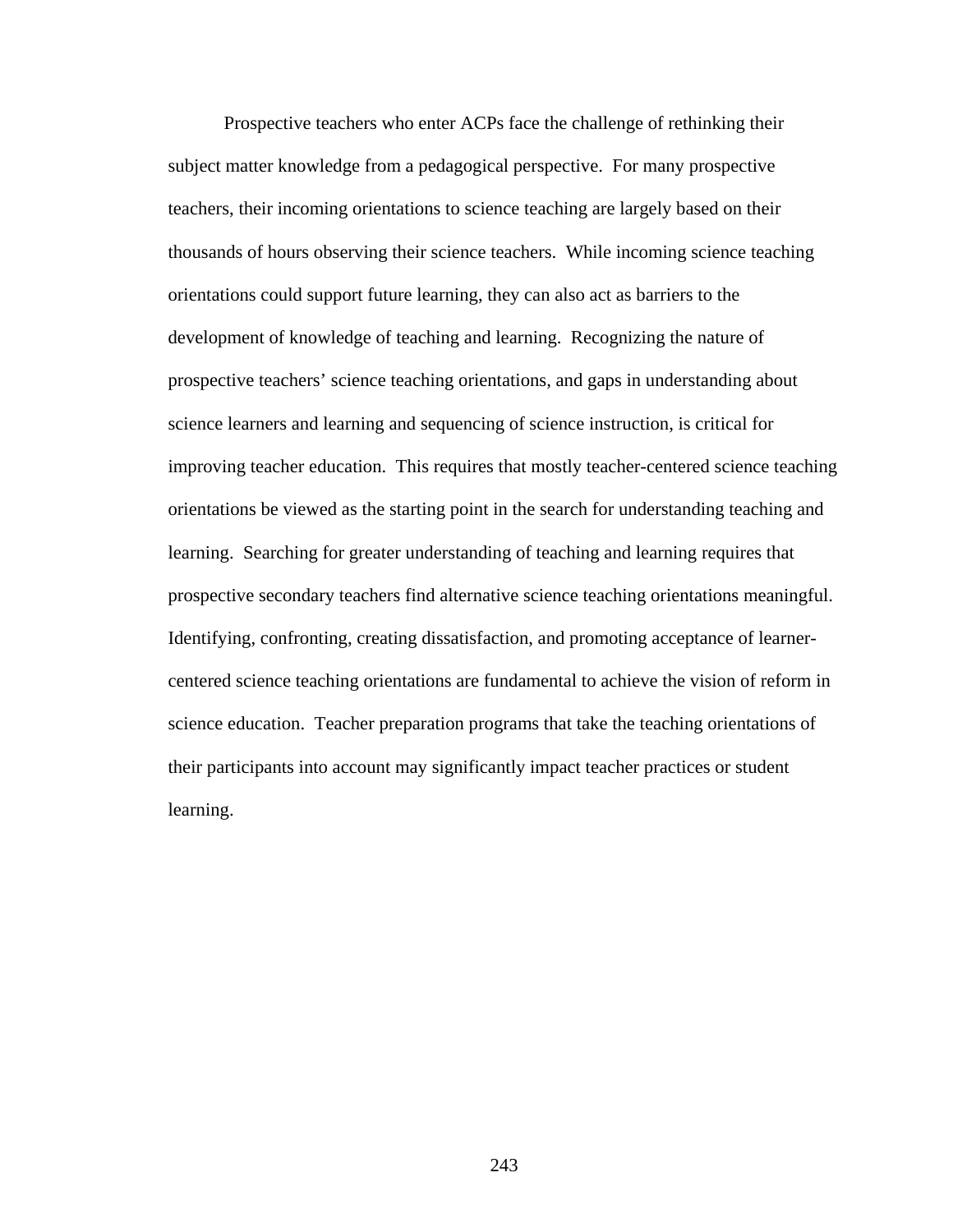Prospective teachers who enter ACPs face the challenge of rethinking their subject matter knowledge from a pedagogical perspective. For many prospective teachers, their incoming orientations to science teaching are largely based on their thousands of hours observing their science teachers. While incoming science teaching orientations could support future learning, they can also act as barriers to the development of knowledge of teaching and learning. Recognizing the nature of prospective teachers' science teaching orientations, and gaps in understanding about science learners and learning and sequencing of science instruction, is critical for improving teacher education. This requires that mostly teacher-centered science teaching orientations be viewed as the starting point in the search for understanding teaching and learning. Searching for greater understanding of teaching and learning requires that prospective secondary teachers find alternative science teaching orientations meaningful. Identifying, confronting, creating dissatisfaction, and promoting acceptance of learnercentered science teaching orientations are fundamental to achieve the vision of reform in science education. Teacher preparation programs that take the teaching orientations of their participants into account may significantly impact teacher practices or student learning.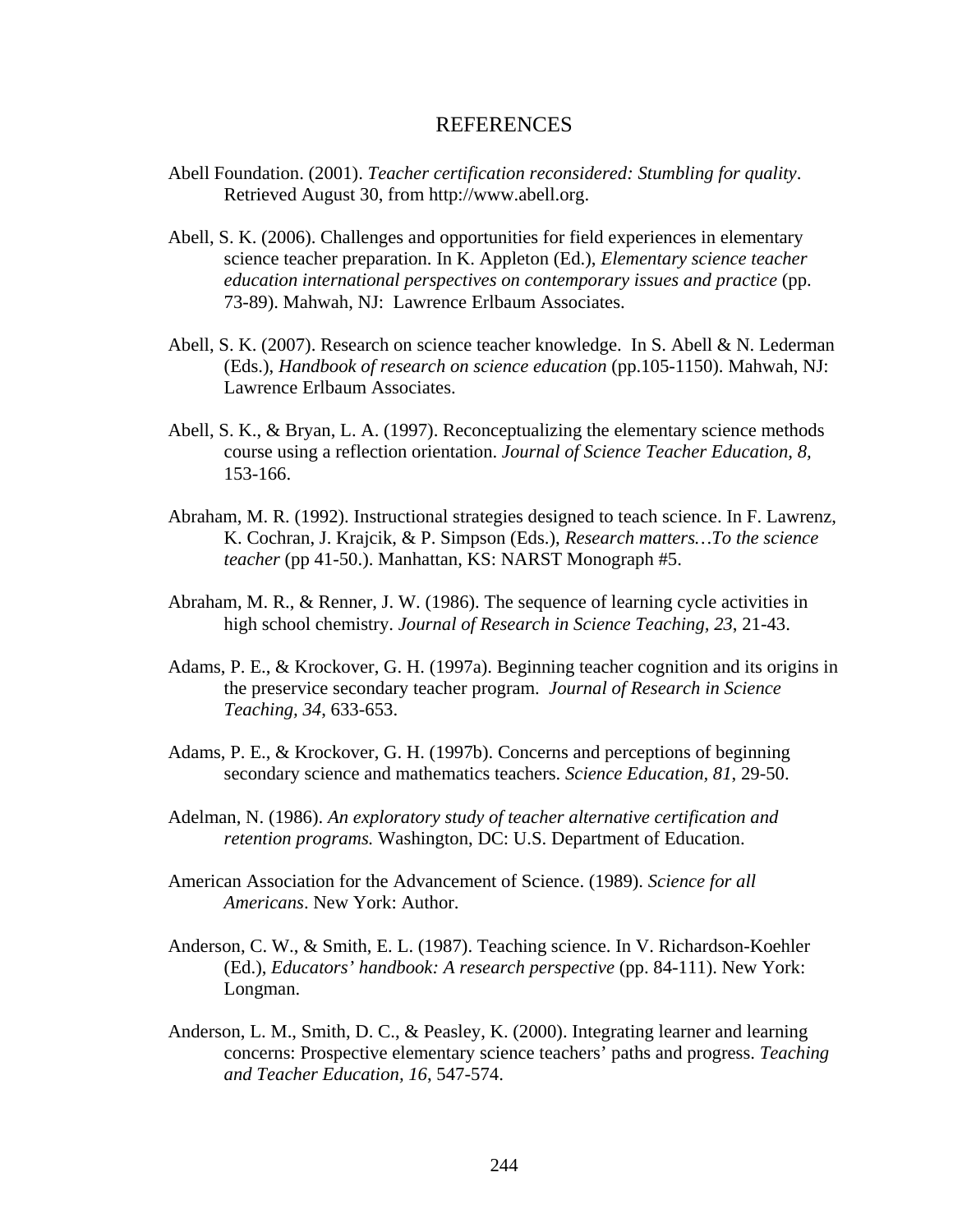#### **REFERENCES**

- Abell Foundation. (2001). *Teacher certification reconsidered: Stumbling for quality*. Retrieved August 30, from http://www.abell.org.
- Abell, S. K. (2006). Challenges and opportunities for field experiences in elementary science teacher preparation. In K. Appleton (Ed.), *Elementary science teacher education international perspectives on contemporary issues and practice* (pp. 73-89). Mahwah, NJ: Lawrence Erlbaum Associates.
- Abell, S. K. (2007). Research on science teacher knowledge. In S. Abell & N. Lederman (Eds.), *Handbook of research on science education* (pp.105-1150). Mahwah, NJ: Lawrence Erlbaum Associates.
- Abell, S. K., & Bryan, L. A. (1997). Reconceptualizing the elementary science methods course using a reflection orientation. *Journal of Science Teacher Education, 8,* 153-166.
- Abraham, M. R. (1992). Instructional strategies designed to teach science. In F. Lawrenz, K. Cochran, J. Krajcik, & P. Simpson (Eds.), *Research matters…To the science teacher* (pp 41-50.). Manhattan, KS: NARST Monograph #5.
- Abraham, M. R., & Renner, J. W. (1986). The sequence of learning cycle activities in high school chemistry. *Journal of Research in Science Teaching, 23*, 21-43.
- Adams, P. E., & Krockover, G. H. (1997a). Beginning teacher cognition and its origins in the preservice secondary teacher program. *Journal of Research in Science Teaching, 34*, 633-653.
- Adams, P. E., & Krockover, G. H. (1997b). Concerns and perceptions of beginning secondary science and mathematics teachers. *Science Education, 81*, 29-50.
- Adelman, N. (1986). *An exploratory study of teacher alternative certification and retention programs.* Washington, DC: U.S. Department of Education.
- American Association for the Advancement of Science. (1989). *Science for all Americans*. New York: Author.
- Anderson, C. W., & Smith, E. L. (1987). Teaching science. In V. Richardson-Koehler (Ed.), *Educators' handbook: A research perspective* (pp. 84-111). New York: Longman.
- Anderson, L. M., Smith, D. C., & Peasley, K. (2000). Integrating learner and learning concerns: Prospective elementary science teachers' paths and progress. *Teaching and Teacher Education, 16*, 547-574.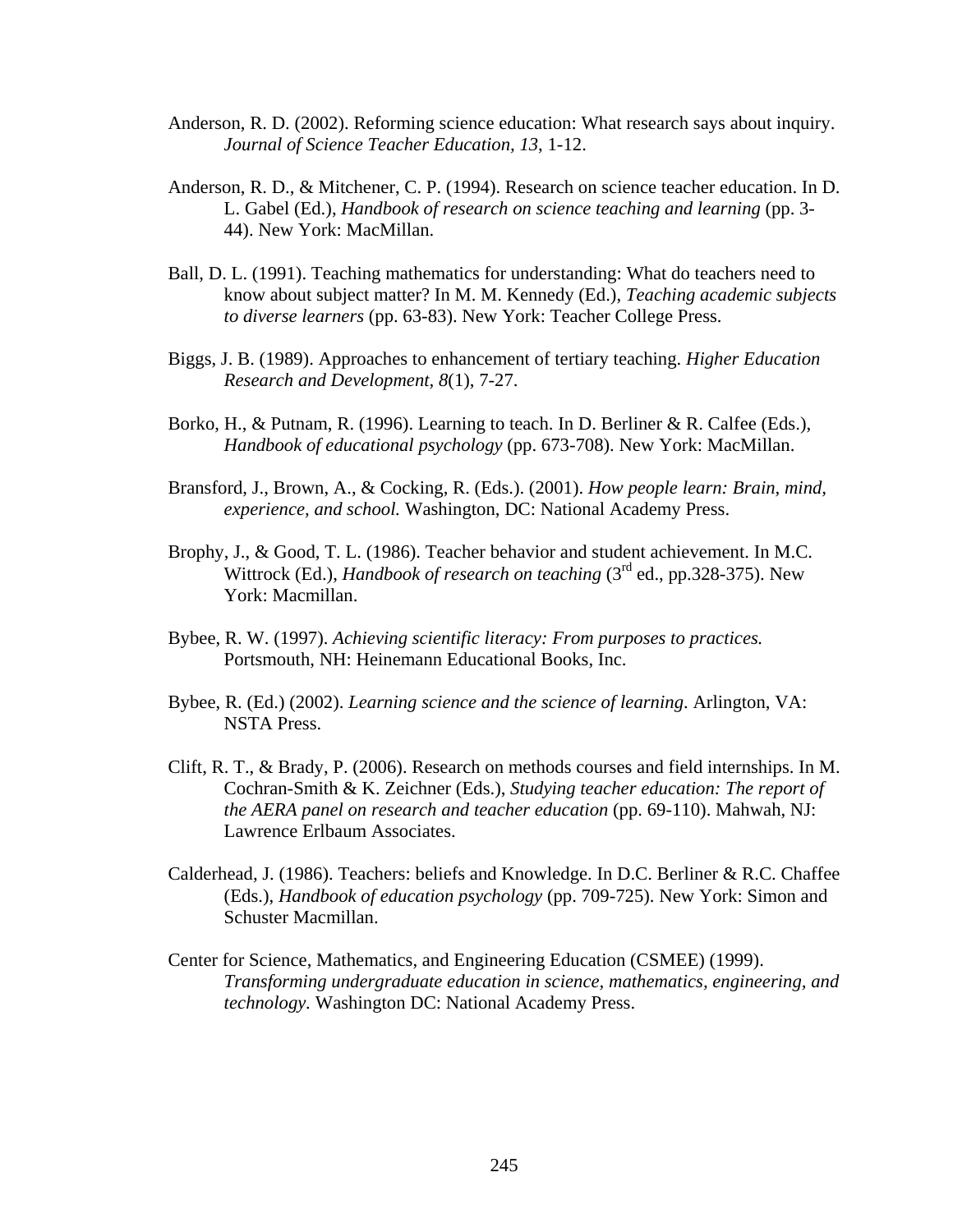- Anderson, R. D. (2002). Reforming science education: What research says about inquiry. *Journal of Science Teacher Education, 13*, 1-12.
- Anderson, R. D., & Mitchener, C. P. (1994). Research on science teacher education. In D. L. Gabel (Ed.), *Handbook of research on science teaching and learning* (pp. 3- 44). New York: MacMillan.
- Ball, D. L. (1991). Teaching mathematics for understanding: What do teachers need to know about subject matter? In M. M. Kennedy (Ed.), *Teaching academic subjects to diverse learners* (pp. 63-83). New York: Teacher College Press.
- Biggs, J. B. (1989). Approaches to enhancement of tertiary teaching. *Higher Education Research and Development, 8*(1), 7-27.
- Borko, H., & Putnam, R. (1996). Learning to teach. In D. Berliner & R. Calfee (Eds.), *Handbook of educational psychology* (pp. 673-708). New York: MacMillan.
- Bransford, J., Brown, A., & Cocking, R. (Eds.). (2001). *How people learn: Brain, mind, experience, and school.* Washington, DC: National Academy Press.
- Brophy, J., & Good, T. L. (1986). Teacher behavior and student achievement. In M.C. Wittrock (Ed.), *Handbook of research on teaching* (3rd ed., pp.328-375). New York: Macmillan.
- Bybee, R. W. (1997). *Achieving scientific literacy: From purposes to practices.* Portsmouth, NH: Heinemann Educational Books, Inc.
- Bybee, R. (Ed.) (2002). *Learning science and the science of learning*. Arlington, VA: NSTA Press.
- Clift, R. T., & Brady, P. (2006). Research on methods courses and field internships. In M. Cochran-Smith & K. Zeichner (Eds.), *Studying teacher education: The report of the AERA panel on research and teacher education* (pp. 69-110). Mahwah, NJ: Lawrence Erlbaum Associates.
- Calderhead, J. (1986). Teachers: beliefs and Knowledge. In D.C. Berliner & R.C. Chaffee (Eds.), *Handbook of education psychology* (pp. 709-725). New York: Simon and Schuster Macmillan.
- Center for Science, Mathematics, and Engineering Education (CSMEE) (1999). *Transforming undergraduate education in science, mathematics, engineering, and technology.* Washington DC: National Academy Press.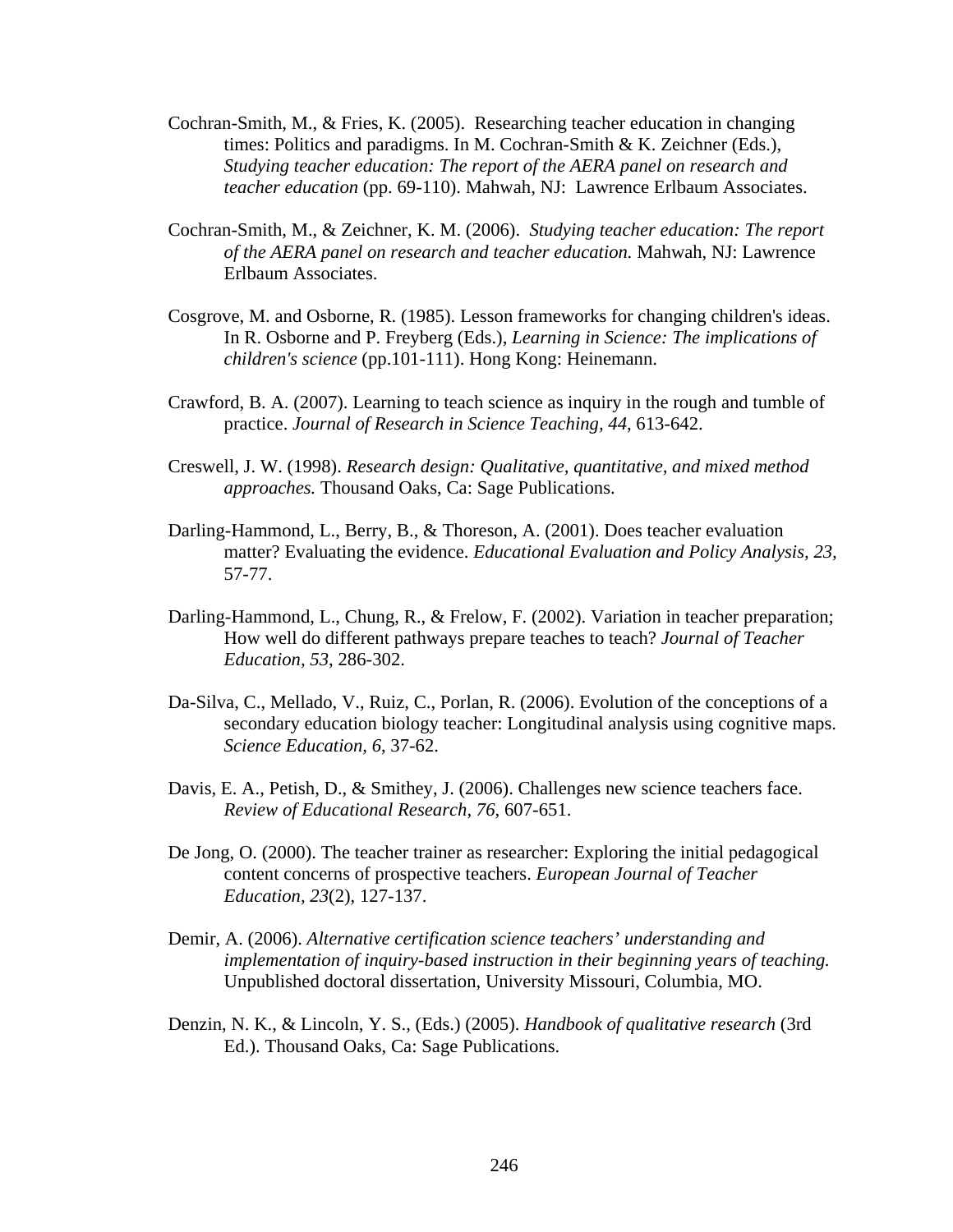- Cochran-Smith, M., & Fries, K. (2005). Researching teacher education in changing times: Politics and paradigms. In M. Cochran-Smith & K. Zeichner (Eds.), *Studying teacher education: The report of the AERA panel on research and teacher education* (pp. 69-110). Mahwah, NJ: Lawrence Erlbaum Associates.
- Cochran-Smith, M., & Zeichner, K. M. (2006). *Studying teacher education: The report of the AERA panel on research and teacher education.* Mahwah, NJ: Lawrence Erlbaum Associates.
- Cosgrove, M. and Osborne, R. (1985). Lesson frameworks for changing children's ideas. In R. Osborne and P. Freyberg (Eds.), *Learning in Science: The implications of children's science* (pp.101-111). Hong Kong: Heinemann.
- Crawford, B. A. (2007). Learning to teach science as inquiry in the rough and tumble of practice. *Journal of Research in Science Teaching, 44*, 613-642.
- Creswell, J. W. (1998). *Research design: Qualitative, quantitative, and mixed method approaches.* Thousand Oaks, Ca: Sage Publications.
- Darling-Hammond, L., Berry, B., & Thoreson, A. (2001). Does teacher evaluation matter? Evaluating the evidence. *Educational Evaluation and Policy Analysis, 23,* 57-77.
- Darling-Hammond, L., Chung, R., & Frelow, F. (2002). Variation in teacher preparation; How well do different pathways prepare teaches to teach? *Journal of Teacher Education, 53*, 286-302.
- Da-Silva, C., Mellado, V., Ruiz, C., Porlan, R. (2006). Evolution of the conceptions of a secondary education biology teacher: Longitudinal analysis using cognitive maps. *Science Education, 6*, 37-62.
- Davis, E. A., Petish, D., & Smithey, J. (2006). Challenges new science teachers face. *Review of Educational Research, 76*, 607-651.
- De Jong, O. (2000). The teacher trainer as researcher: Exploring the initial pedagogical content concerns of prospective teachers. *European Journal of Teacher Education, 23*(2), 127-137.
- Demir, A. (2006). *Alternative certification science teachers' understanding and implementation of inquiry-based instruction in their beginning years of teaching.*  Unpublished doctoral dissertation, University Missouri, Columbia, MO.
- Denzin, N. K., & Lincoln, Y. S., (Eds.) (2005). *Handbook of qualitative research* (3rd Ed.). Thousand Oaks, Ca: Sage Publications.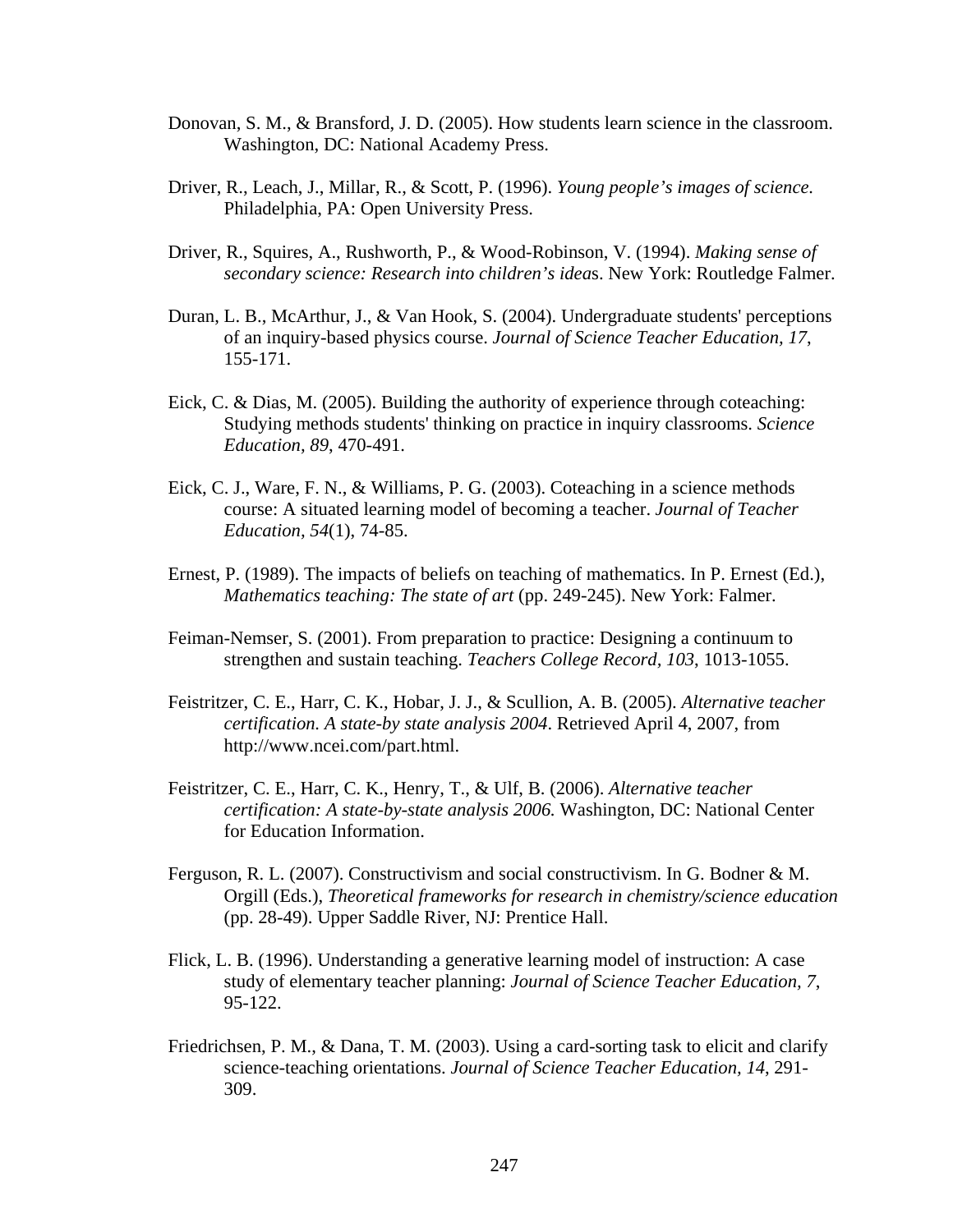- Donovan, S. M., & Bransford, J. D. (2005). How students learn science in the classroom. Washington, DC: National Academy Press.
- Driver, R., Leach, J., Millar, R., & Scott, P. (1996). *Young people's images of science.*  Philadelphia, PA: Open University Press.
- Driver, R., Squires, A., Rushworth, P., & Wood-Robinson, V. (1994). *Making sense of secondary science: Research into children's idea*s. New York: Routledge Falmer.
- Duran, L. B., McArthur, J., & Van Hook, S. (2004). Undergraduate students' perceptions of an inquiry-based physics course. *Journal of Science Teacher Education, 17*, 155-171.
- Eick, C. & Dias, M. (2005). Building the authority of experience through coteaching: Studying methods students' thinking on practice in inquiry classrooms. *Science Education, 89*, 470-491.
- Eick, C. J., Ware, F. N., & Williams, P. G. (2003). Coteaching in a science methods course: A situated learning model of becoming a teacher. *Journal of Teacher Education, 54*(1), 74-85.
- Ernest, P. (1989). The impacts of beliefs on teaching of mathematics. In P. Ernest (Ed.), *Mathematics teaching: The state of art* (pp. 249-245). New York: Falmer.
- Feiman-Nemser, S. (2001). From preparation to practice: Designing a continuum to strengthen and sustain teaching. *Teachers College Record, 103*, 1013-1055.
- Feistritzer, C. E., Harr, C. K., Hobar, J. J., & Scullion, A. B. (2005). *Alternative teacher certification. A state-by state analysis 2004*. Retrieved April 4, 2007, from http://www.ncei.com/part.html.
- Feistritzer, C. E., Harr, C. K., Henry, T., & Ulf, B. (2006). *Alternative teacher certification: A state-by-state analysis 2006.* Washington, DC: National Center for Education Information.
- Ferguson, R. L. (2007). Constructivism and social constructivism. In G. Bodner & M. Orgill (Eds.), *Theoretical frameworks for research in chemistry/science education*  (pp. 28-49). Upper Saddle River, NJ: Prentice Hall.
- Flick, L. B. (1996). Understanding a generative learning model of instruction: A case study of elementary teacher planning: *Journal of Science Teacher Education, 7*, 95-122.
- Friedrichsen, P. M., & Dana, T. M. (2003). Using a card-sorting task to elicit and clarify science-teaching orientations. *Journal of Science Teacher Education, 14*, 291- 309.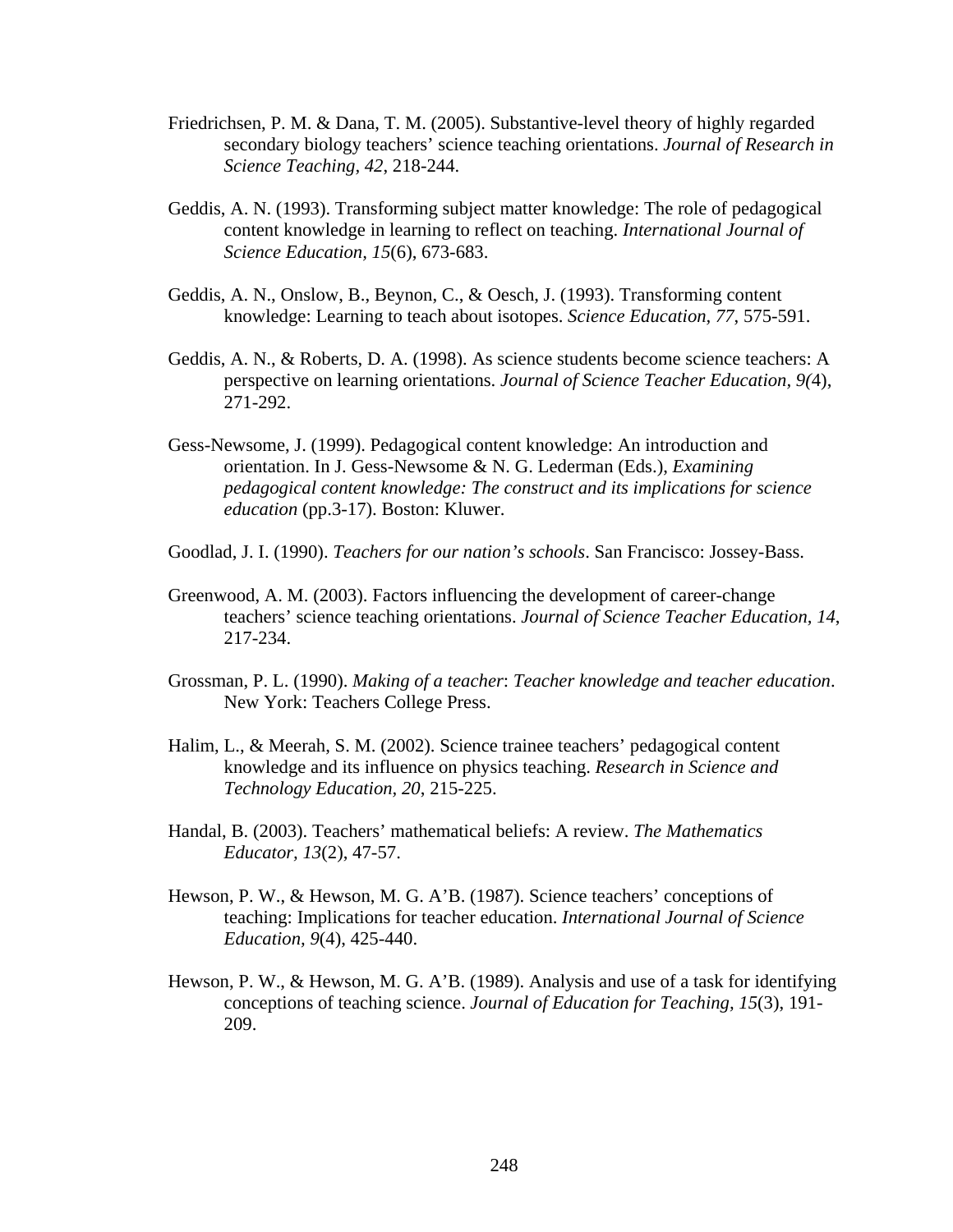- Friedrichsen, P. M. & Dana, T. M. (2005). Substantive-level theory of highly regarded secondary biology teachers' science teaching orientations. *Journal of Research in Science Teaching, 42*, 218-244.
- Geddis, A. N. (1993). Transforming subject matter knowledge: The role of pedagogical content knowledge in learning to reflect on teaching. *International Journal of Science Education, 15*(6), 673-683.
- Geddis, A. N., Onslow, B., Beynon, C., & Oesch, J. (1993). Transforming content knowledge: Learning to teach about isotopes. *Science Education, 77*, 575-591.
- Geddis, A. N., & Roberts, D. A. (1998). As science students become science teachers: A perspective on learning orientations. *Journal of Science Teacher Education, 9(*4), 271-292.
- Gess-Newsome, J. (1999). Pedagogical content knowledge: An introduction and orientation. In J. Gess-Newsome & N. G. Lederman (Eds.), *Examining pedagogical content knowledge: The construct and its implications for science education* (pp.3-17). Boston: Kluwer.
- Goodlad, J. I. (1990). *Teachers for our nation's schools*. San Francisco: Jossey-Bass.
- Greenwood, A. M. (2003). Factors influencing the development of career-change teachers' science teaching orientations. *Journal of Science Teacher Education, 14*, 217-234.
- Grossman, P. L. (1990). *Making of a teacher*: *Teacher knowledge and teacher education*. New York: Teachers College Press.
- Halim, L., & Meerah, S. M. (2002). Science trainee teachers' pedagogical content knowledge and its influence on physics teaching. *Research in Science and Technology Education, 20*, 215-225.
- Handal, B. (2003). Teachers' mathematical beliefs: A review. *The Mathematics Educator, 13*(2), 47-57.
- Hewson, P. W., & Hewson, M. G. A'B. (1987). Science teachers' conceptions of teaching: Implications for teacher education. *International Journal of Science Education, 9*(4), 425-440.
- Hewson, P. W., & Hewson, M. G. A'B. (1989). Analysis and use of a task for identifying conceptions of teaching science. *Journal of Education for Teaching, 15*(3), 191- 209.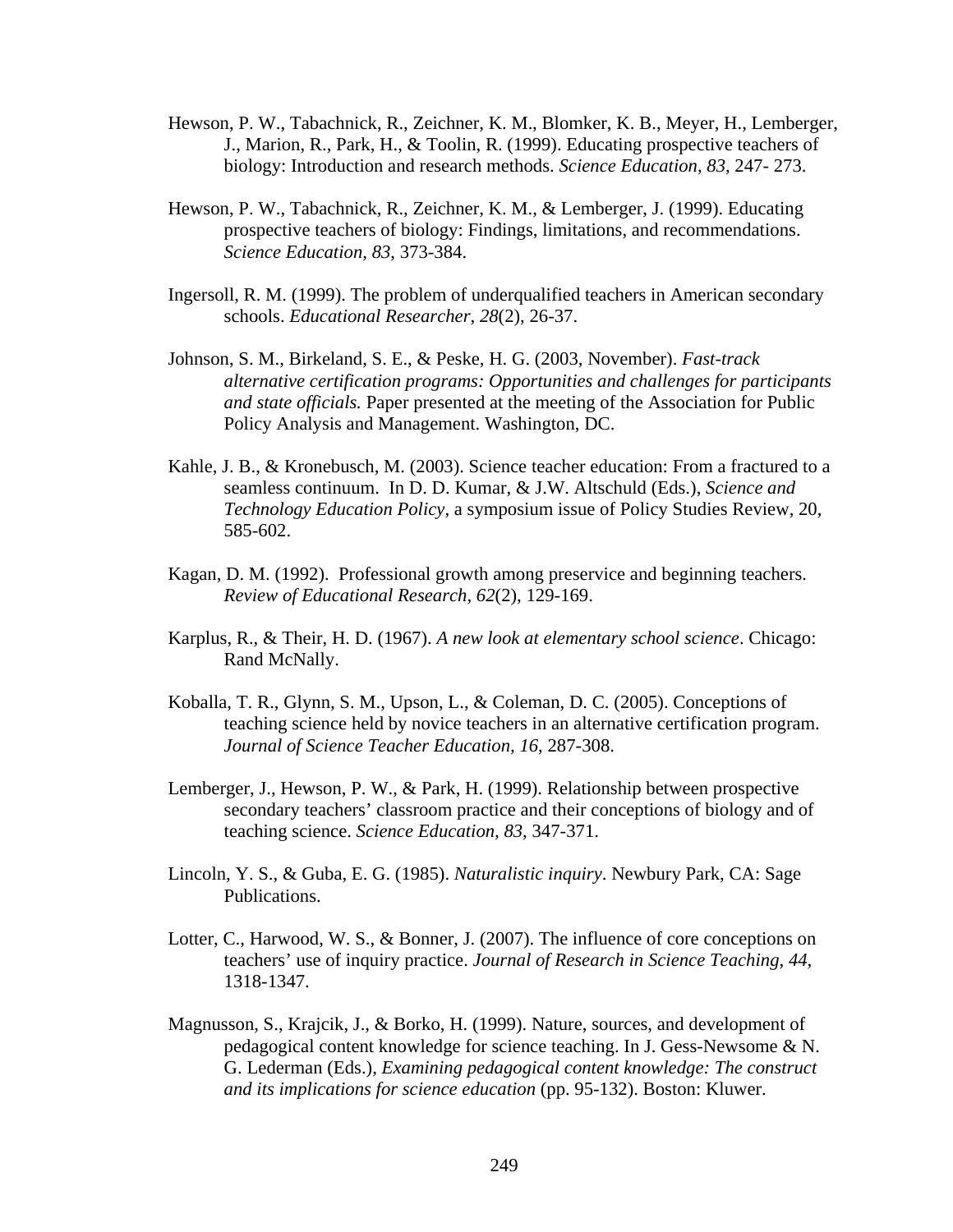- Hewson, P. W., Tabachnick, R., Zeichner, K. M., Blomker, K. B., Meyer, H., Lemberger, J., Marion, R., Park, H., & Toolin, R. (1999). Educating prospective teachers of biology: Introduction and research methods. *Science Education, 83*, 247- 273.
- Hewson, P. W., Tabachnick, R., Zeichner, K. M., & Lemberger, J. (1999). Educating prospective teachers of biology: Findings, limitations, and recommendations. *Science Education, 83*, 373-384.
- Ingersoll, R. M. (1999). The problem of underqualified teachers in American secondary schools. *Educational Researcher, 28*(2), 26-37.
- Johnson, S. M., Birkeland, S. E., & Peske, H. G. (2003, November). *Fast-track alternative certification programs: Opportunities and challenges for participants and state officials.* Paper presented at the meeting of the Association for Public Policy Analysis and Management. Washington, DC.
- Kahle, J. B., & Kronebusch, M. (2003). Science teacher education: From a fractured to a seamless continuum. In D. D. Kumar, & J.W. Altschuld (Eds.), *Science and Technology Education Policy,* a symposium issue of Policy Studies Review, 20, 585-602.
- Kagan, D. M. (1992). Professional growth among preservice and beginning teachers. *Review of Educational Research, 62*(2), 129-169.
- Karplus, R., & Their, H. D. (1967). *A new look at elementary school science*. Chicago: Rand McNally.
- Koballa, T. R., Glynn, S. M., Upson, L., & Coleman, D. C. (2005). Conceptions of teaching science held by novice teachers in an alternative certification program. *Journal of Science Teacher Education, 16*, 287-308.
- Lemberger, J., Hewson, P. W., & Park, H. (1999). Relationship between prospective secondary teachers' classroom practice and their conceptions of biology and of teaching science. *Science Education, 83*, 347-371.
- Lincoln, Y. S., & Guba, E. G. (1985). *Naturalistic inquiry*. Newbury Park, CA: Sage Publications.
- Lotter, C., Harwood, W. S., & Bonner, J. (2007). The influence of core conceptions on teachers' use of inquiry practice. *Journal of Research in Science Teaching, 44,* 1318-1347.
- Magnusson, S., Krajcik, J., & Borko, H. (1999). Nature, sources, and development of pedagogical content knowledge for science teaching. In J. Gess-Newsome & N. G. Lederman (Eds.), *Examining pedagogical content knowledge: The construct and its implications for science education* (pp. 95-132). Boston: Kluwer.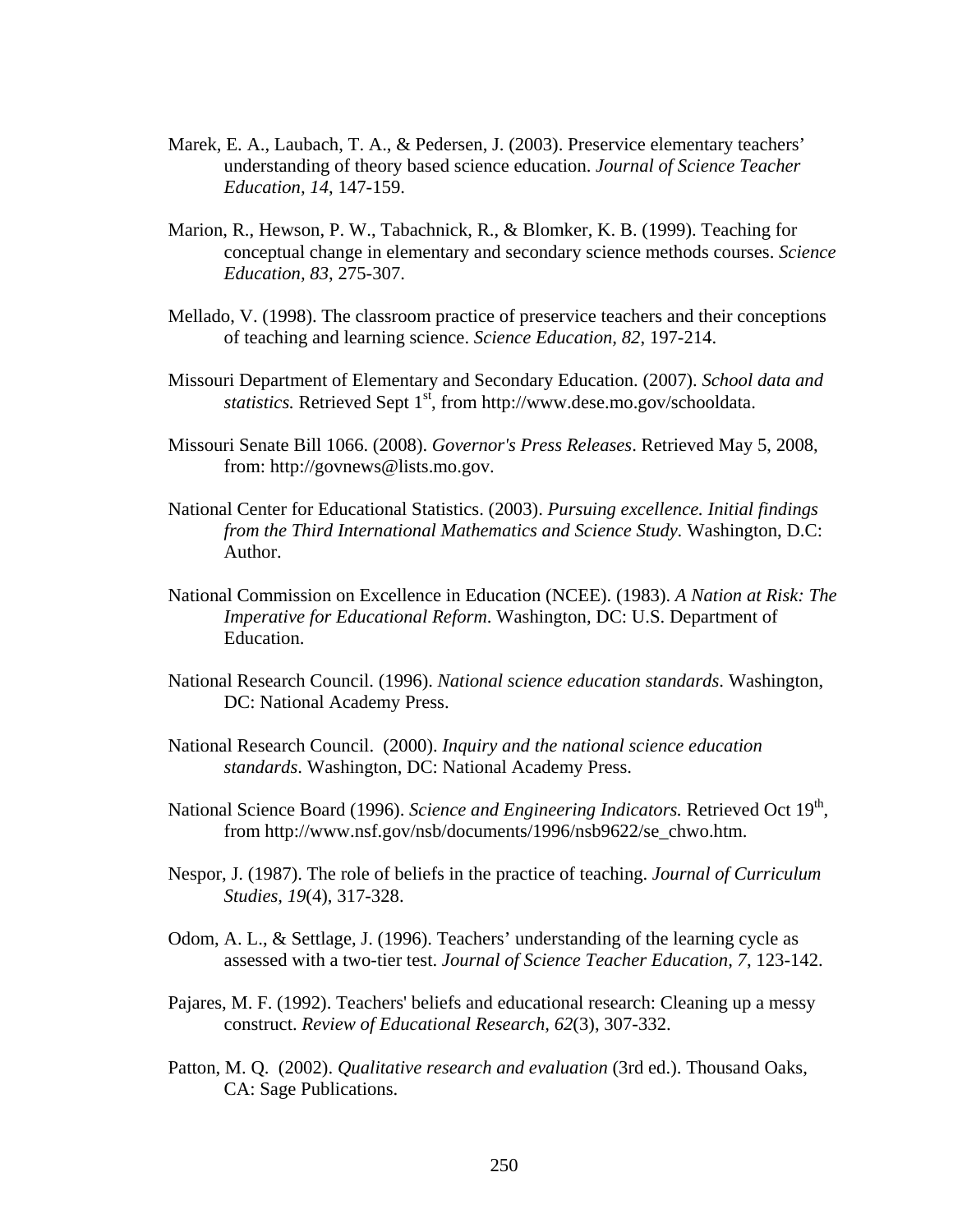- Marek, E. A., Laubach, T. A., & Pedersen, J. (2003). Preservice elementary teachers' understanding of theory based science education. *Journal of Science Teacher Education, 14*, 147-159.
- Marion, R., Hewson, P. W., Tabachnick, R., & Blomker, K. B. (1999). Teaching for conceptual change in elementary and secondary science methods courses. *Science Education, 83*, 275-307.
- Mellado, V. (1998). The classroom practice of preservice teachers and their conceptions of teaching and learning science. *Science Education, 82*, 197-214.
- Missouri Department of Elementary and Secondary Education. (2007). *School data and statistics.* Retrieved Sept 1<sup>st</sup>, from http://www.dese.mo.gov/schooldata.
- Missouri Senate Bill 1066. (2008). *Governor's Press Releases*. Retrieved May 5, 2008, from: http://govnews@lists.mo.gov.
- National Center for Educational Statistics. (2003). *Pursuing excellence. Initial findings from the Third International Mathematics and Science Study.* Washington, D.C: Author.
- National Commission on Excellence in Education (NCEE). (1983). *A Nation at Risk: The Imperative for Educational Reform*. Washington, DC: U.S. Department of Education.
- National Research Council. (1996). *National science education standards*. Washington, DC: National Academy Press.
- National Research Council. (2000). *Inquiry and the national science education standards*. Washington, DC: National Academy Press.
- National Science Board (1996). Science and Engineering Indicators. Retrieved Oct 19<sup>th</sup>, from http://www.nsf.gov/nsb/documents/1996/nsb9622/se\_chwo.htm.
- Nespor, J. (1987). The role of beliefs in the practice of teaching. *Journal of Curriculum Studies, 19*(4), 317-328.
- Odom, A. L., & Settlage, J. (1996). Teachers' understanding of the learning cycle as assessed with a two-tier test. *Journal of Science Teacher Education, 7*, 123-142.
- Pajares, M. F. (1992). Teachers' beliefs and educational research: Cleaning up a messy construct. *Review of Educational Research, 62*(3), 307-332.
- Patton, M. Q. (2002). *Qualitative research and evaluation* (3rd ed.). Thousand Oaks, CA: Sage Publications.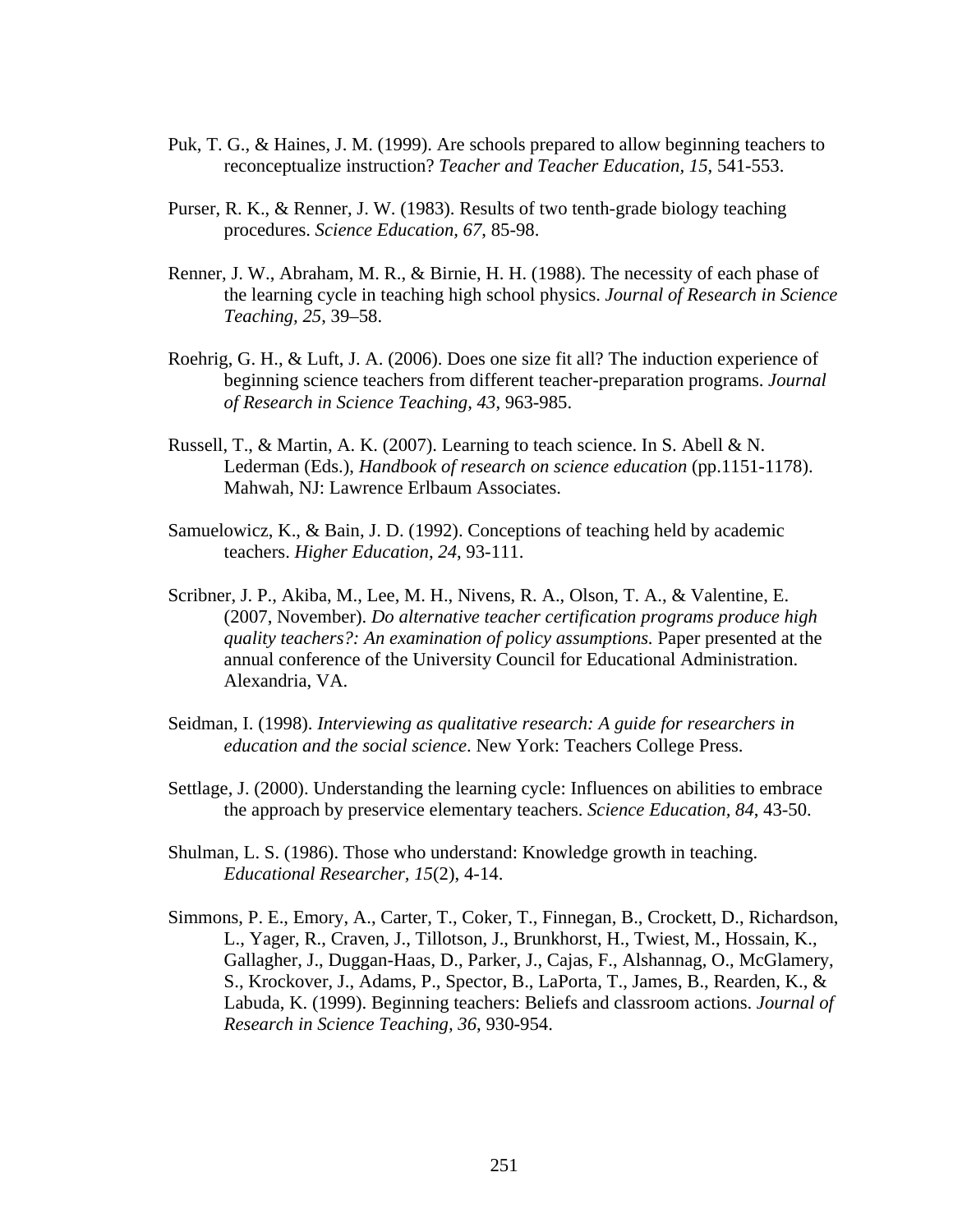- Puk, T. G., & Haines, J. M. (1999). Are schools prepared to allow beginning teachers to reconceptualize instruction? *Teacher and Teacher Education, 15*, 541-553.
- Purser, R. K., & Renner, J. W. (1983). Results of two tenth-grade biology teaching procedures. *Science Education, 67*, 85-98.
- Renner, J. W., Abraham, M. R., & Birnie, H. H. (1988). The necessity of each phase of the learning cycle in teaching high school physics. *Journal of Research in Science Teaching, 25*, 39–58.
- Roehrig, G. H., & Luft, J. A. (2006). Does one size fit all? The induction experience of beginning science teachers from different teacher-preparation programs. *Journal of Research in Science Teaching, 43*, 963-985.
- Russell, T., & Martin, A. K. (2007). Learning to teach science. In S. Abell & N. Lederman (Eds.), *Handbook of research on science education* (pp.1151-1178). Mahwah, NJ: Lawrence Erlbaum Associates.
- Samuelowicz, K., & Bain, J. D. (1992). Conceptions of teaching held by academic teachers. *Higher Education, 24*, 93-111.
- Scribner, J. P., Akiba, M., Lee, M. H., Nivens, R. A., Olson, T. A., & Valentine, E. (2007, November). *Do alternative teacher certification programs produce high quality teachers?: An examination of policy assumptions.* Paper presented at the annual conference of the University Council for Educational Administration. Alexandria, VA.
- Seidman, I. (1998). *Interviewing as qualitative research: A guide for researchers in education and the social science*. New York: Teachers College Press.
- Settlage, J. (2000). Understanding the learning cycle: Influences on abilities to embrace the approach by preservice elementary teachers. *Science Education, 84*, 43-50.
- Shulman, L. S. (1986). Those who understand: Knowledge growth in teaching. *Educational Researcher, 15*(2), 4-14.
- Simmons, P. E., Emory, A., Carter, T., Coker, T., Finnegan, B., Crockett, D., Richardson, L., Yager, R., Craven, J., Tillotson, J., Brunkhorst, H., Twiest, M., Hossain, K., Gallagher, J., Duggan-Haas, D., Parker, J., Cajas, F., Alshannag, O., McGlamery, S., Krockover, J., Adams, P., Spector, B., LaPorta, T., James, B., Rearden, K., & Labuda, K. (1999). Beginning teachers: Beliefs and classroom actions. *Journal of Research in Science Teaching, 36*, 930-954.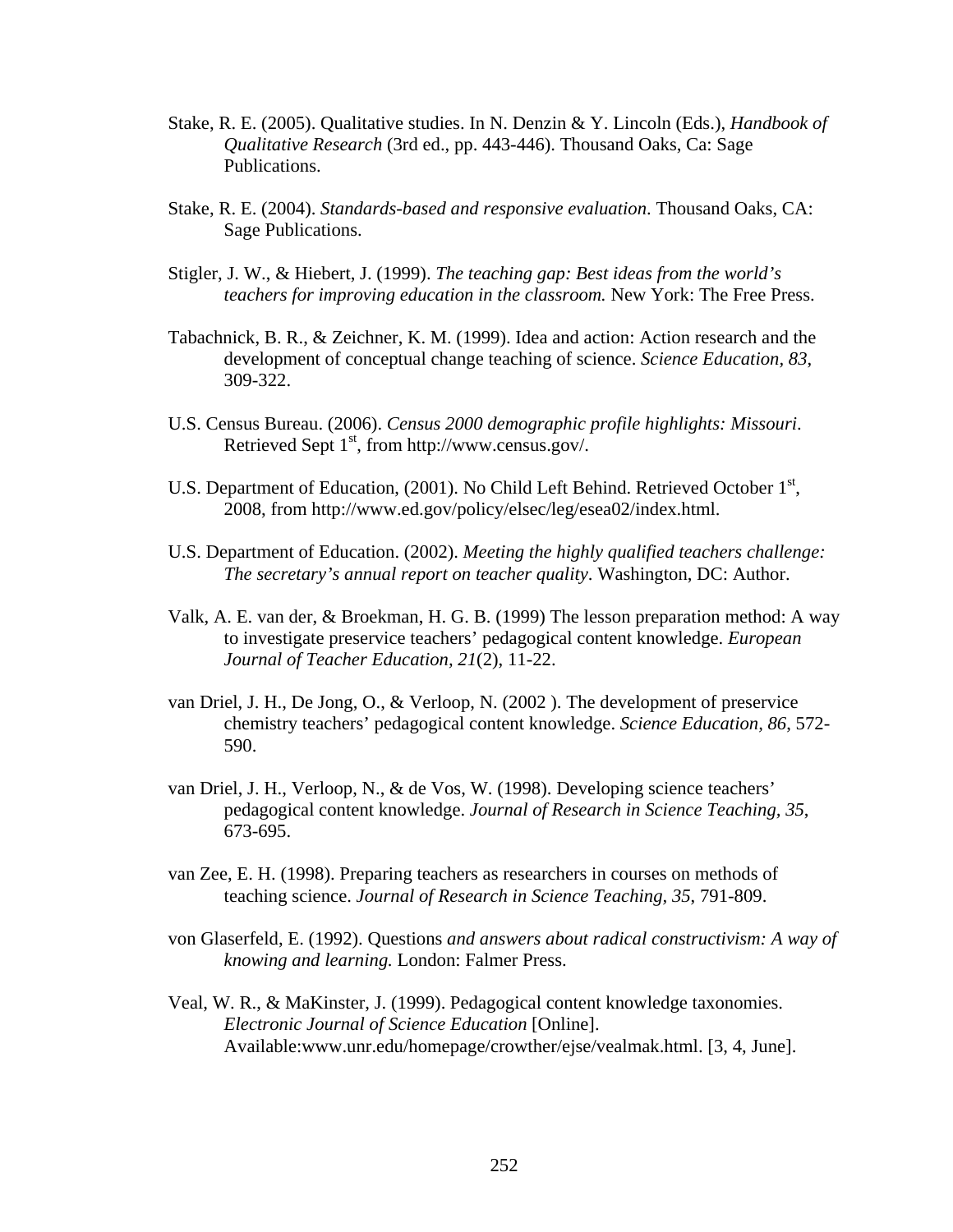- Stake, R. E. (2005). Qualitative studies. In N. Denzin & Y. Lincoln (Eds.), *Handbook of Qualitative Research* (3rd ed., pp. 443-446). Thousand Oaks, Ca: Sage Publications.
- Stake, R. E. (2004). *Standards-based and responsive evaluation*. Thousand Oaks, CA: Sage Publications.
- Stigler, J. W., & Hiebert, J. (1999). *The teaching gap: Best ideas from the world's teachers for improving education in the classroom.* New York: The Free Press.
- Tabachnick, B. R., & Zeichner, K. M. (1999). Idea and action: Action research and the development of conceptual change teaching of science. *Science Education, 83*, 309-322.
- U.S. Census Bureau. (2006). *Census 2000 demographic profile highlights: Missouri*. Retrieved Sept  $1<sup>st</sup>$ , from http://www.census.gov/.
- U.S. Department of Education, (2001). No Child Left Behind. Retrieved October 1<sup>st</sup>, 2008, from http://www.ed.gov/policy/elsec/leg/esea02/index.html.
- U.S. Department of Education. (2002). *Meeting the highly qualified teachers challenge: The secretary's annual report on teacher quality*. Washington, DC: Author.
- Valk, A. E. van der, & Broekman, H. G. B. (1999) The lesson preparation method: A way to investigate preservice teachers' pedagogical content knowledge. *European Journal of Teacher Education, 21*(2), 11-22.
- van Driel, J. H., De Jong, O., & Verloop, N. (2002 ). The development of preservice chemistry teachers' pedagogical content knowledge. *Science Education, 86*, 572- 590.
- van Driel, J. H., Verloop, N., & de Vos, W. (1998). Developing science teachers' pedagogical content knowledge. *Journal of Research in Science Teaching, 35*, 673-695.
- van Zee, E. H. (1998). Preparing teachers as researchers in courses on methods of teaching science. *Journal of Research in Science Teaching, 35*, 791-809.
- von Glaserfeld, E. (1992). Questions *and answers about radical constructivism: A way of knowing and learning.* London: Falmer Press.
- Veal, W. R., & MaKinster, J. (1999). Pedagogical content knowledge taxonomies. *Electronic Journal of Science Education* [Online]. Available:www.unr.edu/homepage/crowther/ejse/vealmak.html. [3, 4, June].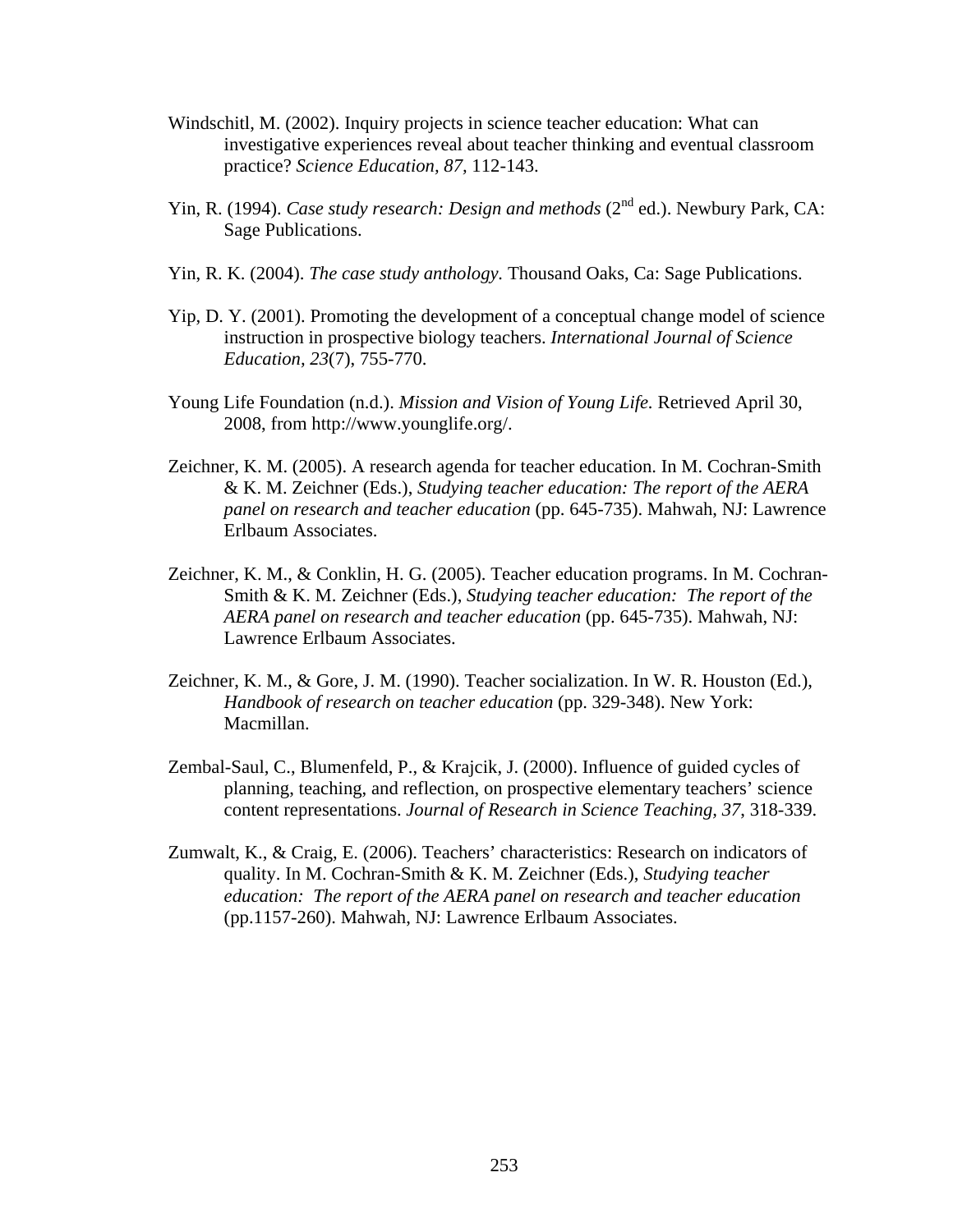- Windschitl, M. (2002). Inquiry projects in science teacher education: What can investigative experiences reveal about teacher thinking and eventual classroom practice? *Science Education, 87,* 112-143.
- Yin, R. (1994). *Case study research: Design and methods* (2<sup>nd</sup> ed.). Newbury Park, CA: Sage Publications.
- Yin, R. K. (2004). *The case study anthology.* Thousand Oaks, Ca: Sage Publications.
- Yip, D. Y. (2001). Promoting the development of a conceptual change model of science instruction in prospective biology teachers. *International Journal of Science Education, 23*(7), 755-770.
- Young Life Foundation (n.d.). *Mission and Vision of Young Life.* Retrieved April 30, 2008, from http://www.younglife.org/.
- Zeichner, K. M. (2005). A research agenda for teacher education. In M. Cochran-Smith & K. M. Zeichner (Eds.), *Studying teacher education: The report of the AERA panel on research and teacher education* (pp. 645-735). Mahwah, NJ: Lawrence Erlbaum Associates.
- Zeichner, K. M., & Conklin, H. G. (2005). Teacher education programs. In M. Cochran-Smith & K. M. Zeichner (Eds.), *Studying teacher education: The report of the AERA panel on research and teacher education* (pp. 645-735). Mahwah, NJ: Lawrence Erlbaum Associates.
- Zeichner, K. M., & Gore, J. M. (1990). Teacher socialization. In W. R. Houston (Ed.), *Handbook of research on teacher education* (pp. 329-348). New York: Macmillan.
- Zembal-Saul, C., Blumenfeld, P., & Krajcik, J. (2000). Influence of guided cycles of planning, teaching, and reflection, on prospective elementary teachers' science content representations. *Journal of Research in Science Teaching, 37*, 318-339.
- Zumwalt, K., & Craig, E. (2006). Teachers' characteristics: Research on indicators of quality. In M. Cochran-Smith & K. M. Zeichner (Eds.), *Studying teacher education: The report of the AERA panel on research and teacher education* (pp.1157-260). Mahwah, NJ: Lawrence Erlbaum Associates.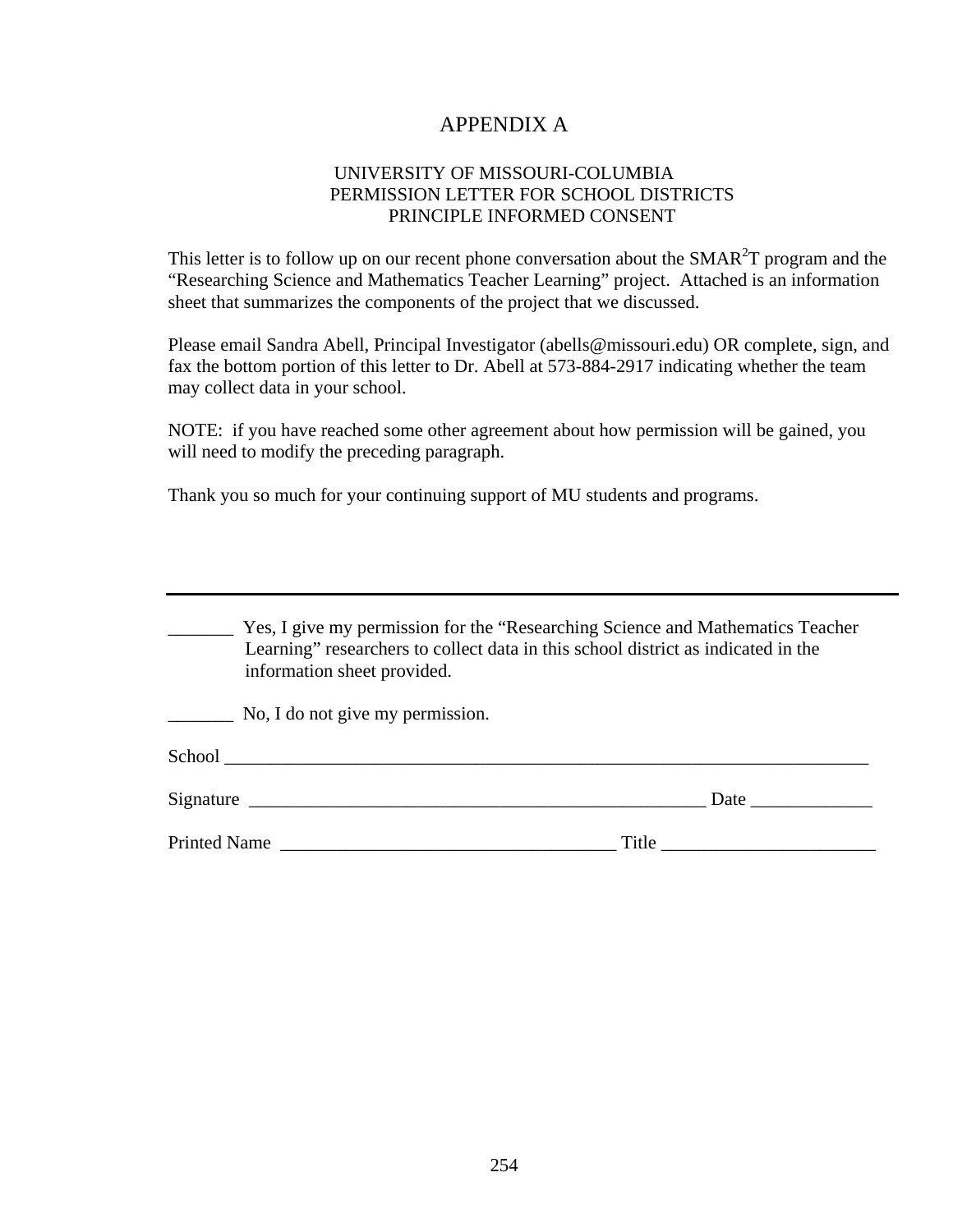# APPENDIX A

### UNIVERSITY OF MISSOURI-COLUMBIA PERMISSION LETTER FOR SCHOOL DISTRICTS PRINCIPLE INFORMED CONSENT

This letter is to follow up on our recent phone conversation about the SMAR<sup>2</sup>T program and the "Researching Science and Mathematics Teacher Learning" project. Attached is an information sheet that summarizes the components of the project that we discussed.

Please email Sandra Abell, Principal Investigator (abells@missouri.edu) OR complete, sign, and fax the bottom portion of this letter to Dr. Abell at 573-884-2917 indicating whether the team may collect data in your school.

NOTE: if you have reached some other agreement about how permission will be gained, you will need to modify the preceding paragraph.

Thank you so much for your continuing support of MU students and programs.

| Yes, I give my permission for the "Researching Science and Mathematics Teacher<br>Learning" researchers to collect data in this school district as indicated in the<br>information sheet provided.                             |  |  |
|--------------------------------------------------------------------------------------------------------------------------------------------------------------------------------------------------------------------------------|--|--|
| No, I do not give my permission.                                                                                                                                                                                               |  |  |
| School contract to the contract of the contract of the contract of the contract of the contract of the contract of the contract of the contract of the contract of the contract of the contract of the contract of the contrac |  |  |
|                                                                                                                                                                                                                                |  |  |
| <b>Printed Name</b><br>Title                                                                                                                                                                                                   |  |  |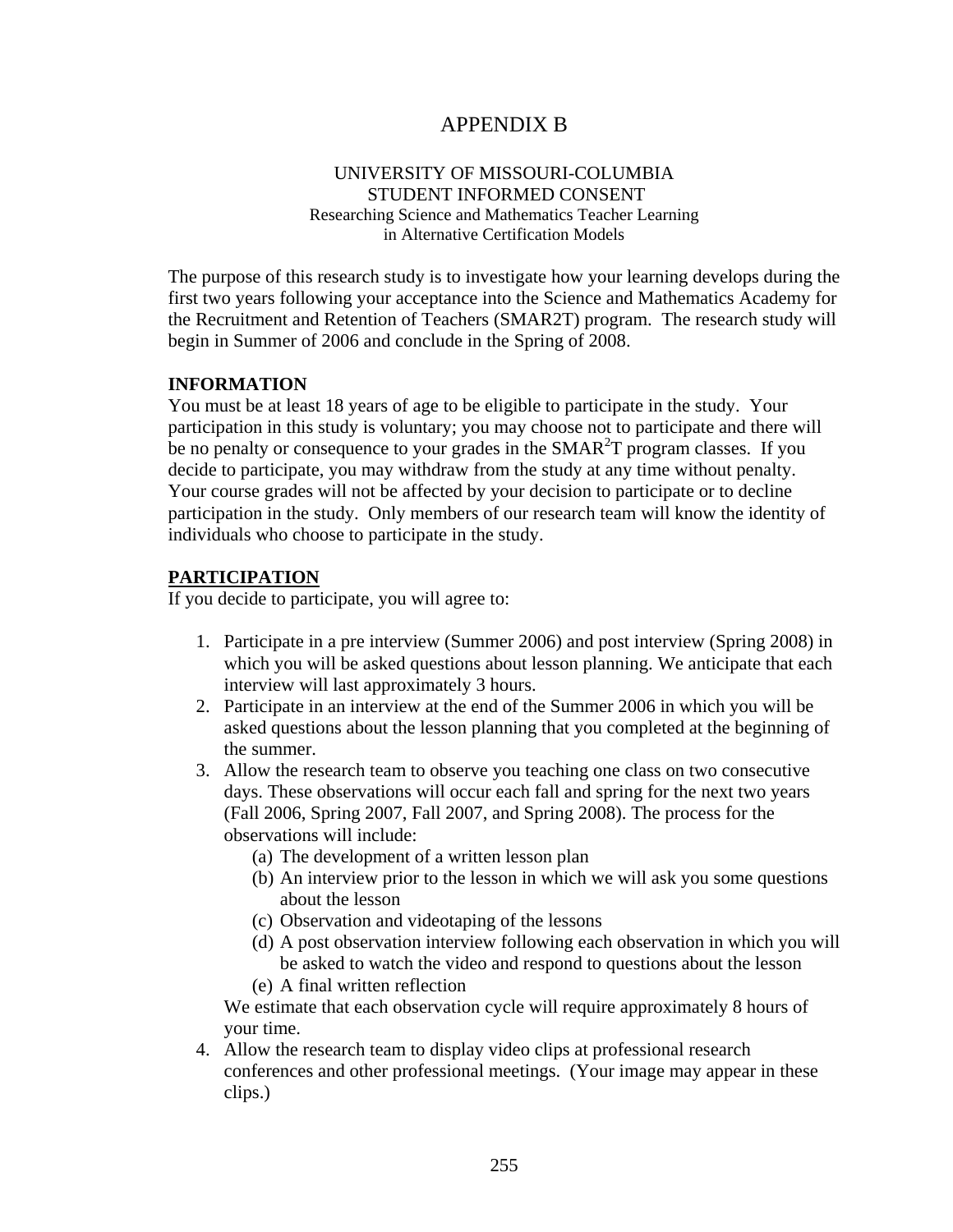# APPENDIX B

### UNIVERSITY OF MISSOURI-COLUMBIA STUDENT INFORMED CONSENT Researching Science and Mathematics Teacher Learning

in Alternative Certification Models

The purpose of this research study is to investigate how your learning develops during the first two years following your acceptance into the Science and Mathematics Academy for the Recruitment and Retention of Teachers (SMAR2T) program. The research study will begin in Summer of 2006 and conclude in the Spring of 2008.

### **INFORMATION**

You must be at least 18 years of age to be eligible to participate in the study. Your participation in this study is voluntary; you may choose not to participate and there will be no penalty or consequence to your grades in the SMAR $<sup>2</sup>T$  program classes. If you</sup> decide to participate, you may withdraw from the study at any time without penalty. Your course grades will not be affected by your decision to participate or to decline participation in the study. Only members of our research team will know the identity of individuals who choose to participate in the study.

## **PARTICIPATION**

If you decide to participate, you will agree to:

- 1. Participate in a pre interview (Summer 2006) and post interview (Spring 2008) in which you will be asked questions about lesson planning. We anticipate that each interview will last approximately 3 hours.
- 2. Participate in an interview at the end of the Summer 2006 in which you will be asked questions about the lesson planning that you completed at the beginning of the summer.
- 3. Allow the research team to observe you teaching one class on two consecutive days. These observations will occur each fall and spring for the next two years (Fall 2006, Spring 2007, Fall 2007, and Spring 2008). The process for the observations will include:
	- (a) The development of a written lesson plan
	- (b) An interview prior to the lesson in which we will ask you some questions about the lesson
	- (c) Observation and videotaping of the lessons
	- (d) A post observation interview following each observation in which you will be asked to watch the video and respond to questions about the lesson
	- (e) A final written reflection

We estimate that each observation cycle will require approximately 8 hours of your time.

4. Allow the research team to display video clips at professional research conferences and other professional meetings. (Your image may appear in these clips.)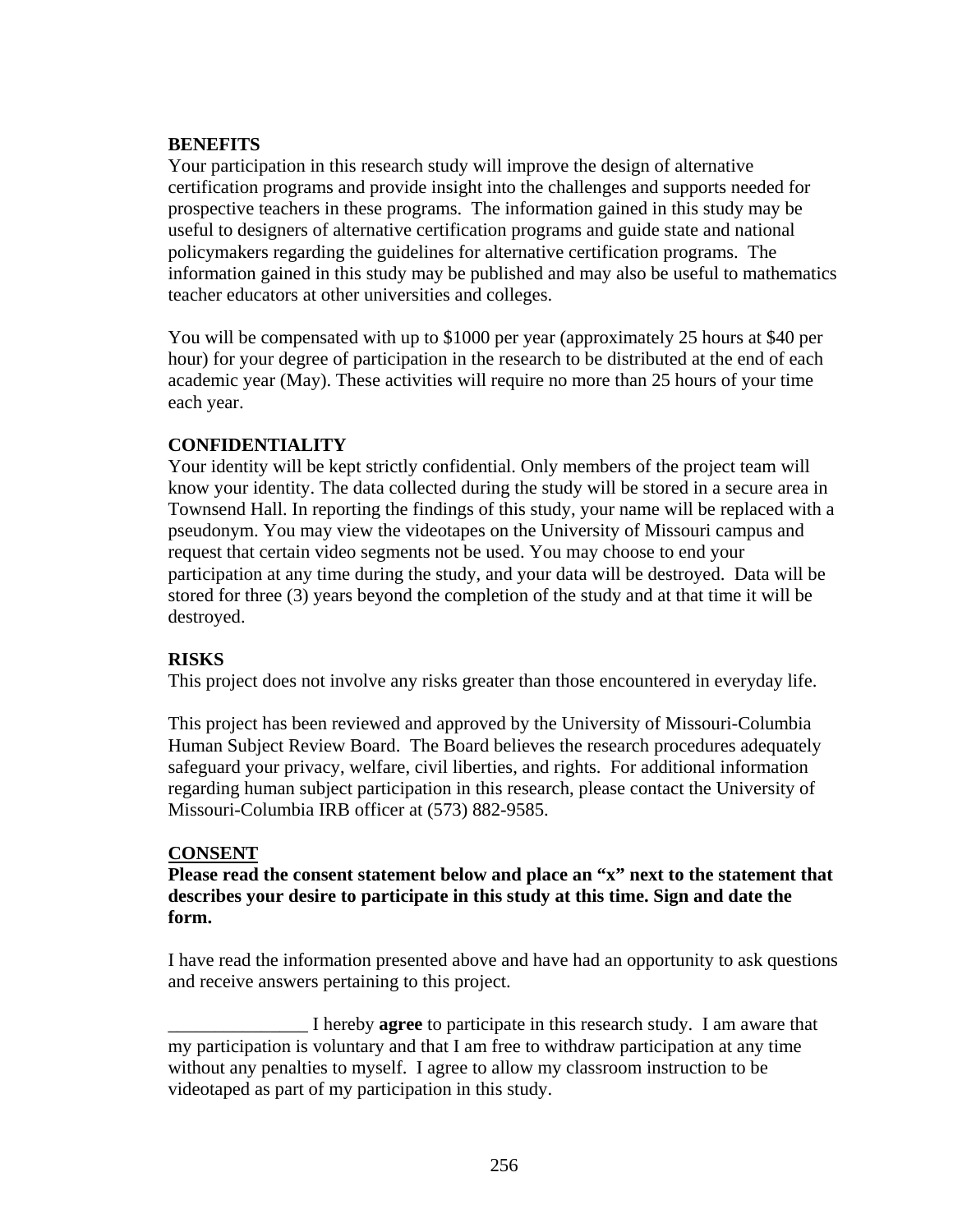### **BENEFITS**

Your participation in this research study will improve the design of alternative certification programs and provide insight into the challenges and supports needed for prospective teachers in these programs. The information gained in this study may be useful to designers of alternative certification programs and guide state and national policymakers regarding the guidelines for alternative certification programs. The information gained in this study may be published and may also be useful to mathematics teacher educators at other universities and colleges.

You will be compensated with up to \$1000 per year (approximately 25 hours at \$40 per hour) for your degree of participation in the research to be distributed at the end of each academic year (May). These activities will require no more than 25 hours of your time each year.

## **CONFIDENTIALITY**

Your identity will be kept strictly confidential. Only members of the project team will know your identity. The data collected during the study will be stored in a secure area in Townsend Hall. In reporting the findings of this study, your name will be replaced with a pseudonym. You may view the videotapes on the University of Missouri campus and request that certain video segments not be used. You may choose to end your participation at any time during the study, and your data will be destroyed. Data will be stored for three (3) years beyond the completion of the study and at that time it will be destroyed.

# **RISKS**

This project does not involve any risks greater than those encountered in everyday life.

This project has been reviewed and approved by the University of Missouri-Columbia Human Subject Review Board. The Board believes the research procedures adequately safeguard your privacy, welfare, civil liberties, and rights. For additional information regarding human subject participation in this research, please contact the University of Missouri-Columbia IRB officer at (573) 882-9585.

### **CONSENT**

**Please read the consent statement below and place an "x" next to the statement that describes your desire to participate in this study at this time. Sign and date the form.** 

I have read the information presented above and have had an opportunity to ask questions and receive answers pertaining to this project.

\_\_\_\_\_\_\_\_\_\_\_\_\_\_\_ I hereby **agree** to participate in this research study. I am aware that my participation is voluntary and that I am free to withdraw participation at any time without any penalties to myself. I agree to allow my classroom instruction to be videotaped as part of my participation in this study.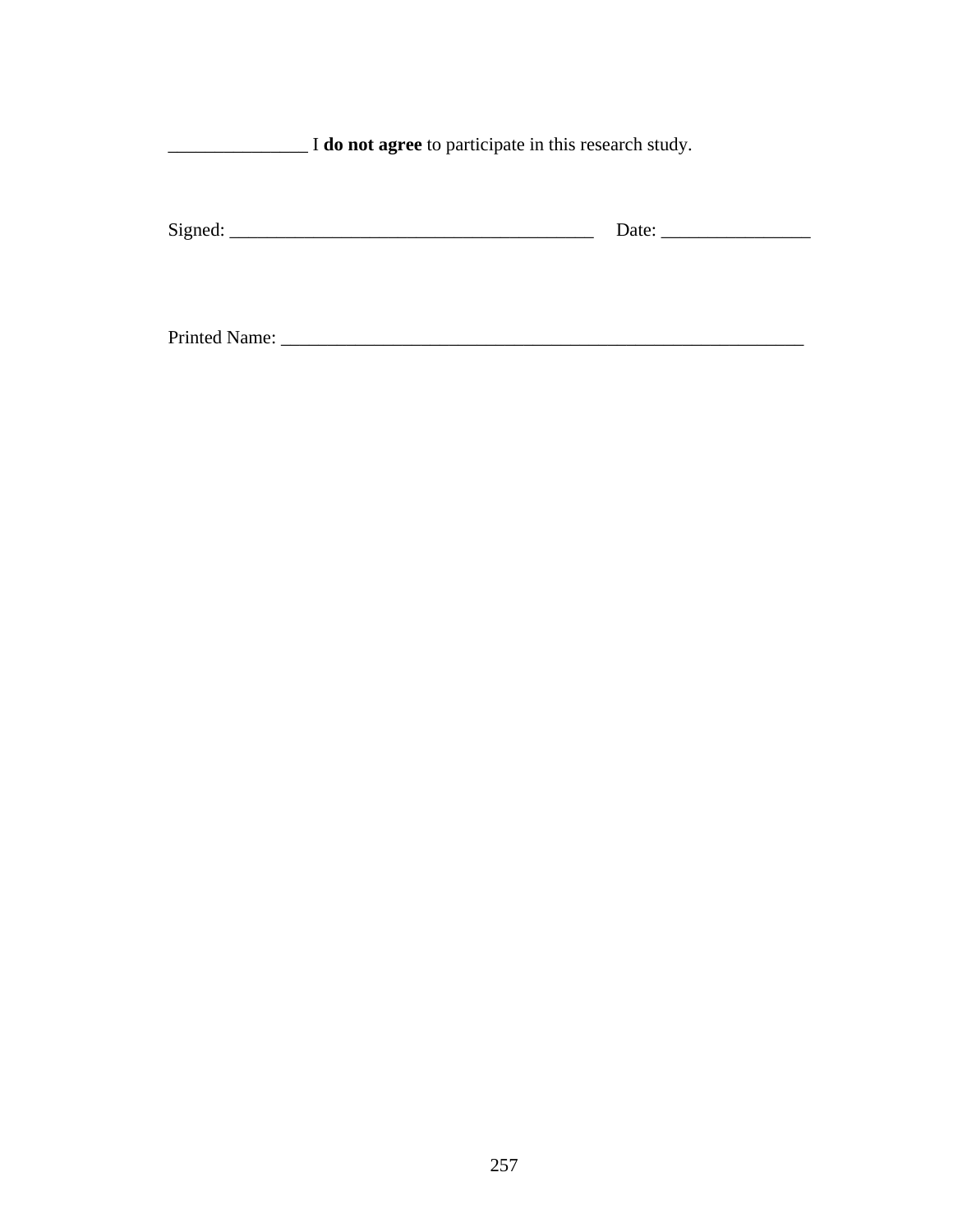| I do not agree to participate in this research study. |       |  |  |  |
|-------------------------------------------------------|-------|--|--|--|
| $Sigma$ : $\qquad \qquad$                             | Date: |  |  |  |
| Printed Name:                                         |       |  |  |  |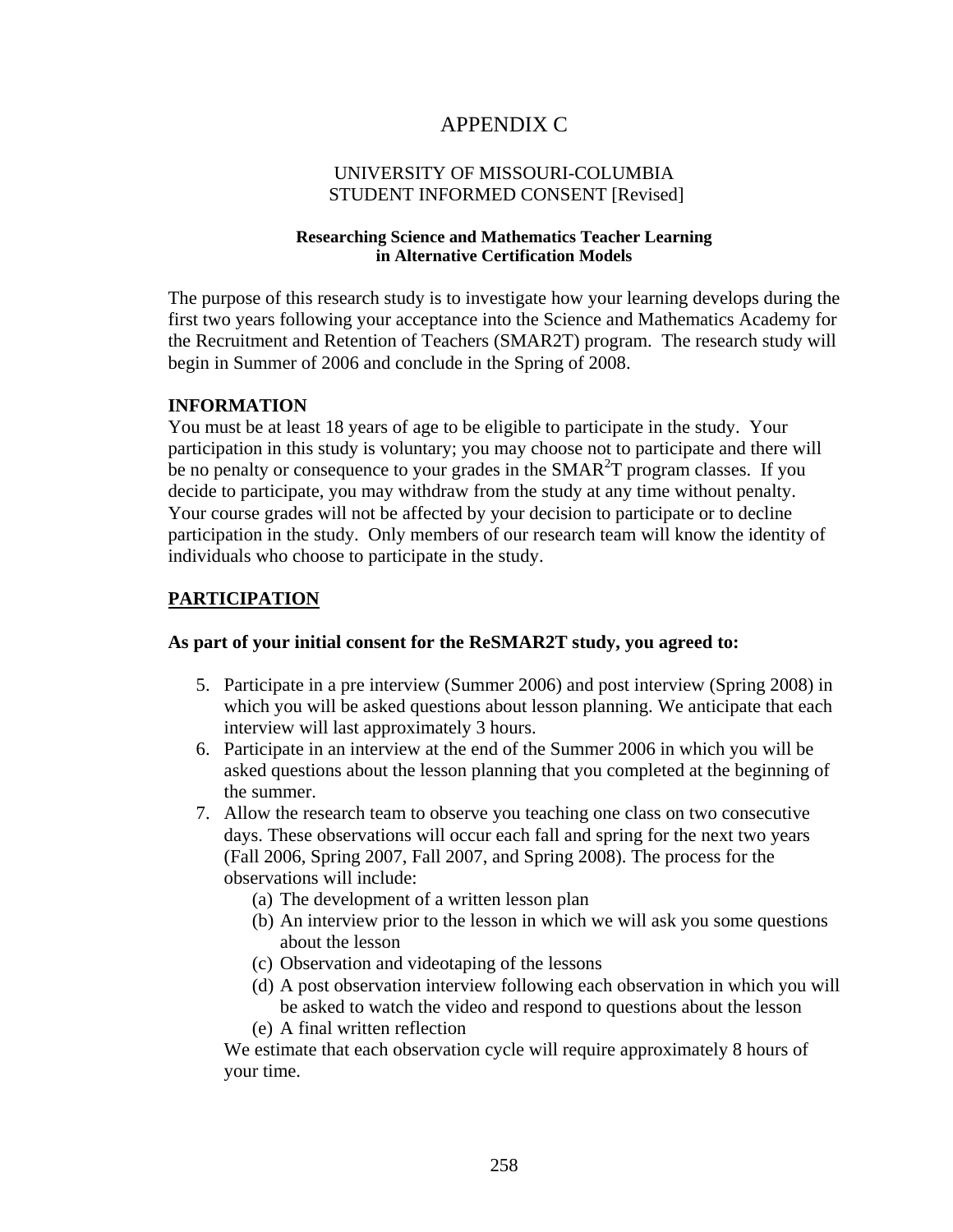# APPENDIX C

### UNIVERSITY OF MISSOURI-COLUMBIA STUDENT INFORMED CONSENT [Revised]

### **Researching Science and Mathematics Teacher Learning in Alternative Certification Models**

The purpose of this research study is to investigate how your learning develops during the first two years following your acceptance into the Science and Mathematics Academy for the Recruitment and Retention of Teachers (SMAR2T) program. The research study will begin in Summer of 2006 and conclude in the Spring of 2008.

### **INFORMATION**

You must be at least 18 years of age to be eligible to participate in the study. Your participation in this study is voluntary; you may choose not to participate and there will be no penalty or consequence to your grades in the SMAR<sup>2</sup>T program classes. If you decide to participate, you may withdraw from the study at any time without penalty. Your course grades will not be affected by your decision to participate or to decline participation in the study. Only members of our research team will know the identity of individuals who choose to participate in the study.

## **PARTICIPATION**

### **As part of your initial consent for the ReSMAR2T study, you agreed to:**

- 5. Participate in a pre interview (Summer 2006) and post interview (Spring 2008) in which you will be asked questions about lesson planning. We anticipate that each interview will last approximately 3 hours.
- 6. Participate in an interview at the end of the Summer 2006 in which you will be asked questions about the lesson planning that you completed at the beginning of the summer.
- 7. Allow the research team to observe you teaching one class on two consecutive days. These observations will occur each fall and spring for the next two years (Fall 2006, Spring 2007, Fall 2007, and Spring 2008). The process for the observations will include:
	- (a) The development of a written lesson plan
	- (b) An interview prior to the lesson in which we will ask you some questions about the lesson
	- (c) Observation and videotaping of the lessons
	- (d) A post observation interview following each observation in which you will be asked to watch the video and respond to questions about the lesson
	- (e) A final written reflection

We estimate that each observation cycle will require approximately 8 hours of your time.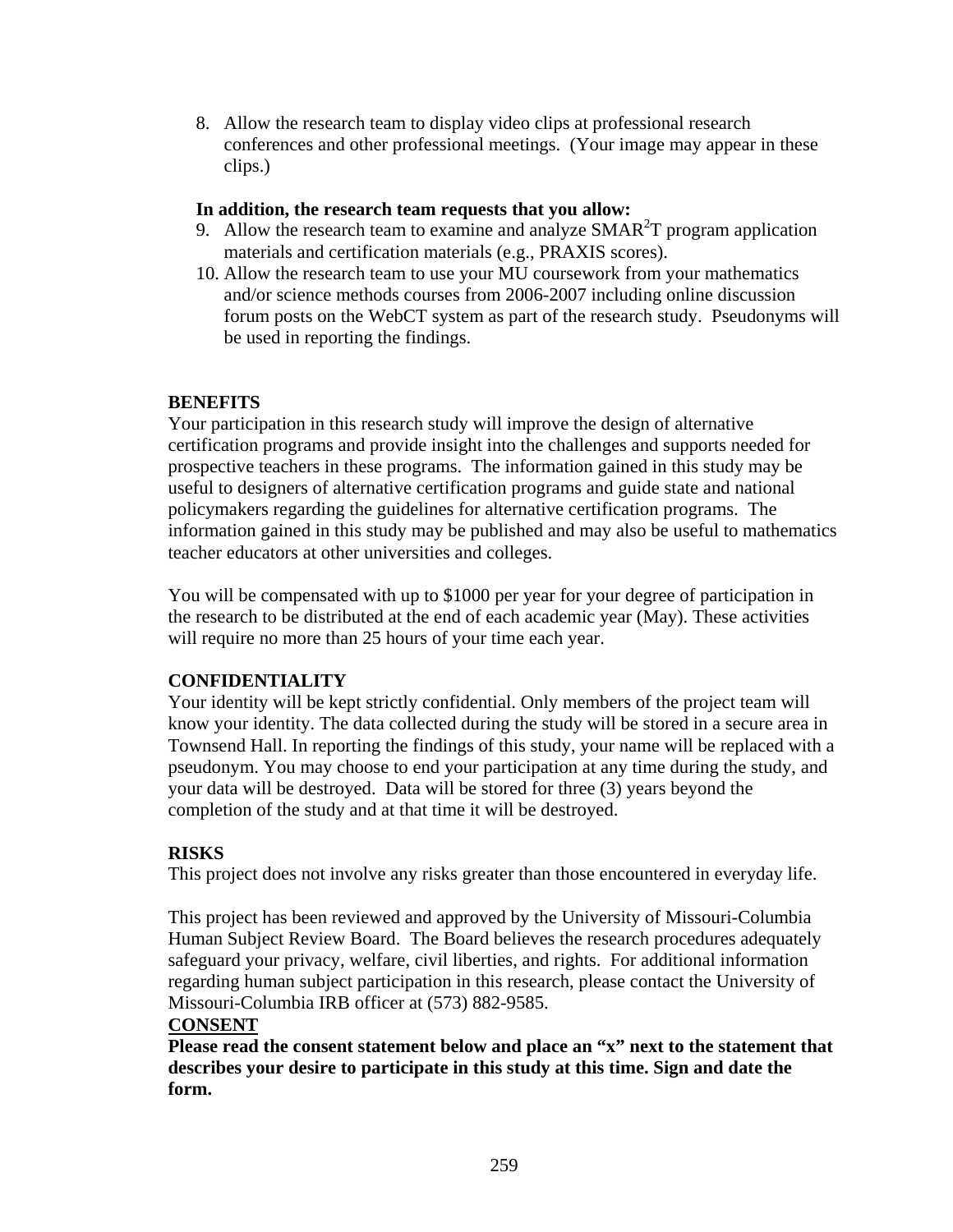8. Allow the research team to display video clips at professional research conferences and other professional meetings. (Your image may appear in these clips.)

## **In addition, the research team requests that you allow:**

- 9. Allow the research team to examine and analyze  $SMAR<sup>2</sup>T$  program application materials and certification materials (e.g., PRAXIS scores).
- 10. Allow the research team to use your MU coursework from your mathematics and/or science methods courses from 2006-2007 including online discussion forum posts on the WebCT system as part of the research study. Pseudonyms will be used in reporting the findings.

# **BENEFITS**

Your participation in this research study will improve the design of alternative certification programs and provide insight into the challenges and supports needed for prospective teachers in these programs. The information gained in this study may be useful to designers of alternative certification programs and guide state and national policymakers regarding the guidelines for alternative certification programs. The information gained in this study may be published and may also be useful to mathematics teacher educators at other universities and colleges.

You will be compensated with up to \$1000 per year for your degree of participation in the research to be distributed at the end of each academic year (May). These activities will require no more than 25 hours of your time each year.

# **CONFIDENTIALITY**

Your identity will be kept strictly confidential. Only members of the project team will know your identity. The data collected during the study will be stored in a secure area in Townsend Hall. In reporting the findings of this study, your name will be replaced with a pseudonym. You may choose to end your participation at any time during the study, and your data will be destroyed. Data will be stored for three (3) years beyond the completion of the study and at that time it will be destroyed.

# **RISKS**

This project does not involve any risks greater than those encountered in everyday life.

This project has been reviewed and approved by the University of Missouri-Columbia Human Subject Review Board. The Board believes the research procedures adequately safeguard your privacy, welfare, civil liberties, and rights. For additional information regarding human subject participation in this research, please contact the University of Missouri-Columbia IRB officer at (573) 882-9585.

# **CONSENT**

**Please read the consent statement below and place an "x" next to the statement that describes your desire to participate in this study at this time. Sign and date the form.**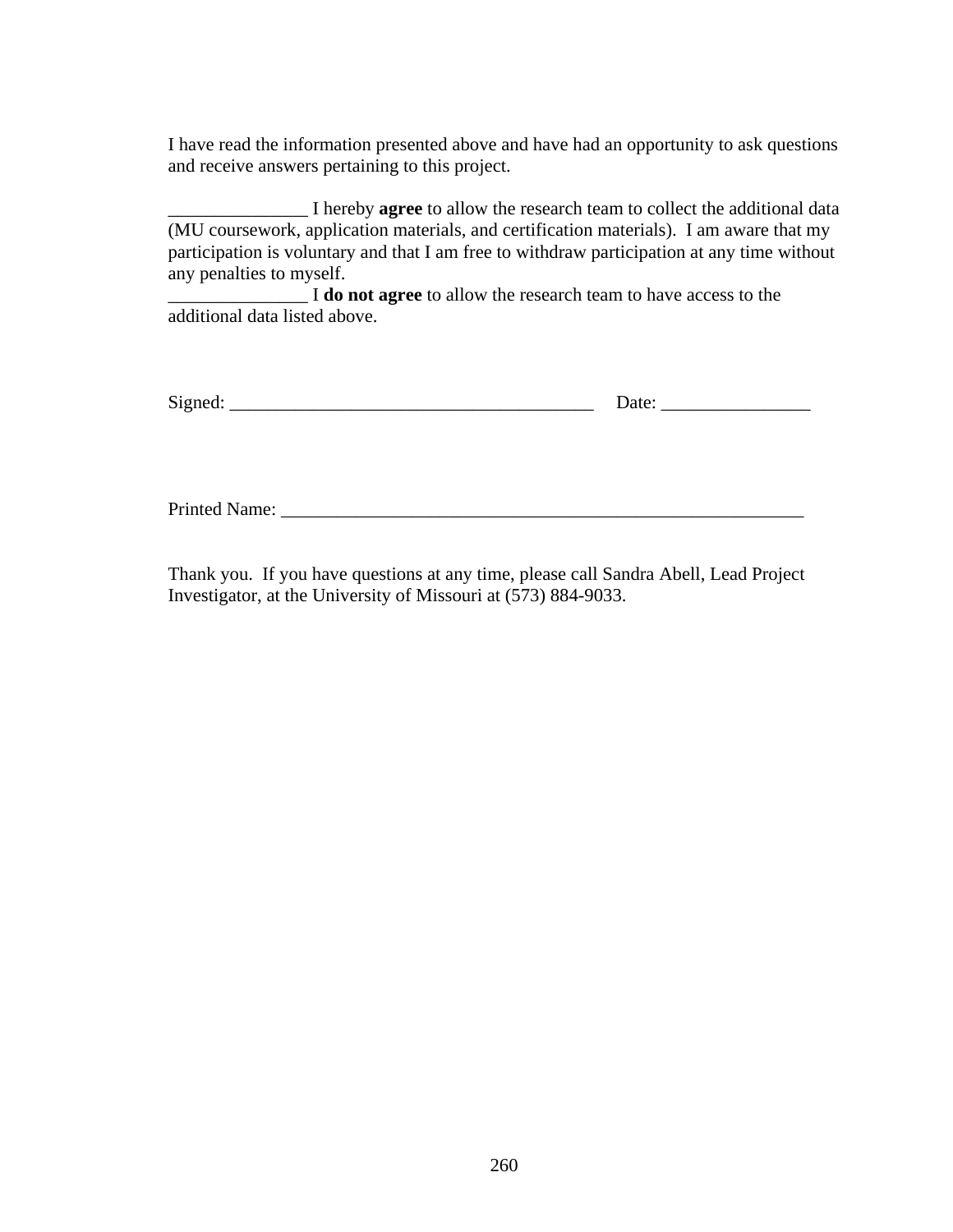I have read the information presented above and have had an opportunity to ask questions and receive answers pertaining to this project.

\_\_\_\_\_\_\_\_\_\_\_\_\_\_\_ I hereby **agree** to allow the research team to collect the additional data (MU coursework, application materials, and certification materials). I am aware that my participation is voluntary and that I am free to withdraw participation at any time without any penalties to myself.

\_\_\_\_\_\_\_\_\_\_\_\_\_\_\_ I **do not agree** to allow the research team to have access to the additional data listed above.

| $\sim$ |  |
|--------|--|
|        |  |

Printed Name: \_\_\_\_\_\_\_\_\_\_\_\_\_\_\_\_\_\_\_\_\_\_\_\_\_\_\_\_\_\_\_\_\_\_\_\_\_\_\_\_\_\_\_\_\_\_\_\_\_\_\_\_\_\_\_\_

Thank you. If you have questions at any time, please call Sandra Abell, Lead Project Investigator, at the University of Missouri at (573) 884-9033.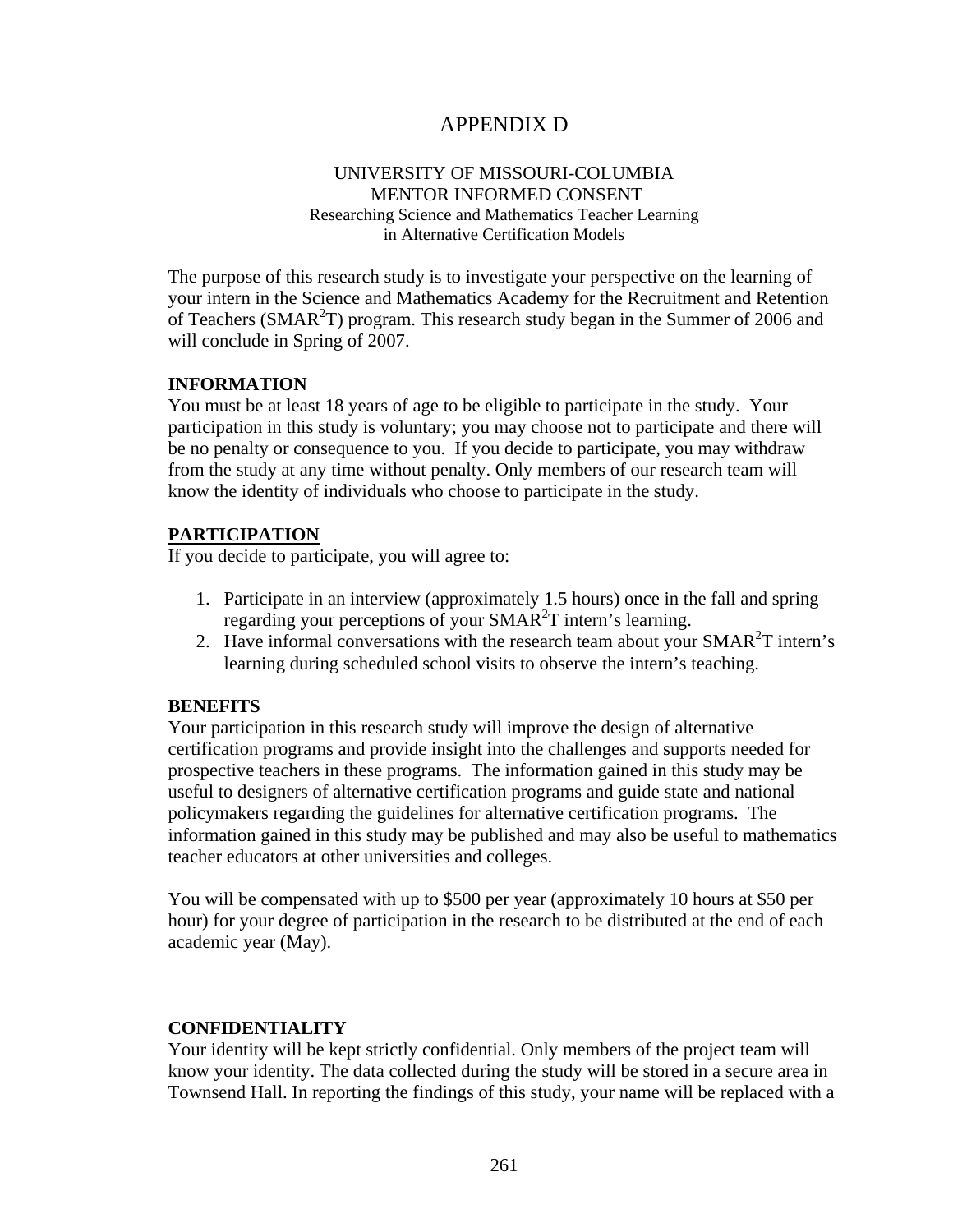# APPENDIX D

### UNIVERSITY OF MISSOURI-COLUMBIA MENTOR INFORMED CONSENT Researching Science and Mathematics Teacher Learning

in Alternative Certification Models

The purpose of this research study is to investigate your perspective on the learning of your intern in the Science and Mathematics Academy for the Recruitment and Retention of Teachers (SMAR<sup>2</sup>T) program. This research study began in the Summer of 2006 and will conclude in Spring of 2007.

### **INFORMATION**

You must be at least 18 years of age to be eligible to participate in the study. Your participation in this study is voluntary; you may choose not to participate and there will be no penalty or consequence to you. If you decide to participate, you may withdraw from the study at any time without penalty. Only members of our research team will know the identity of individuals who choose to participate in the study.

### **PARTICIPATION**

If you decide to participate, you will agree to:

- 1. Participate in an interview (approximately 1.5 hours) once in the fall and spring regarding your perceptions of your  $SMAR<sup>2</sup>T$  intern's learning.
- 2. Have informal conversations with the research team about your  $SMAR^2T$  intern's learning during scheduled school visits to observe the intern's teaching.

### **BENEFITS**

Your participation in this research study will improve the design of alternative certification programs and provide insight into the challenges and supports needed for prospective teachers in these programs. The information gained in this study may be useful to designers of alternative certification programs and guide state and national policymakers regarding the guidelines for alternative certification programs. The information gained in this study may be published and may also be useful to mathematics teacher educators at other universities and colleges.

You will be compensated with up to \$500 per year (approximately 10 hours at \$50 per hour) for your degree of participation in the research to be distributed at the end of each academic year (May).

### **CONFIDENTIALITY**

Your identity will be kept strictly confidential. Only members of the project team will know your identity. The data collected during the study will be stored in a secure area in Townsend Hall. In reporting the findings of this study, your name will be replaced with a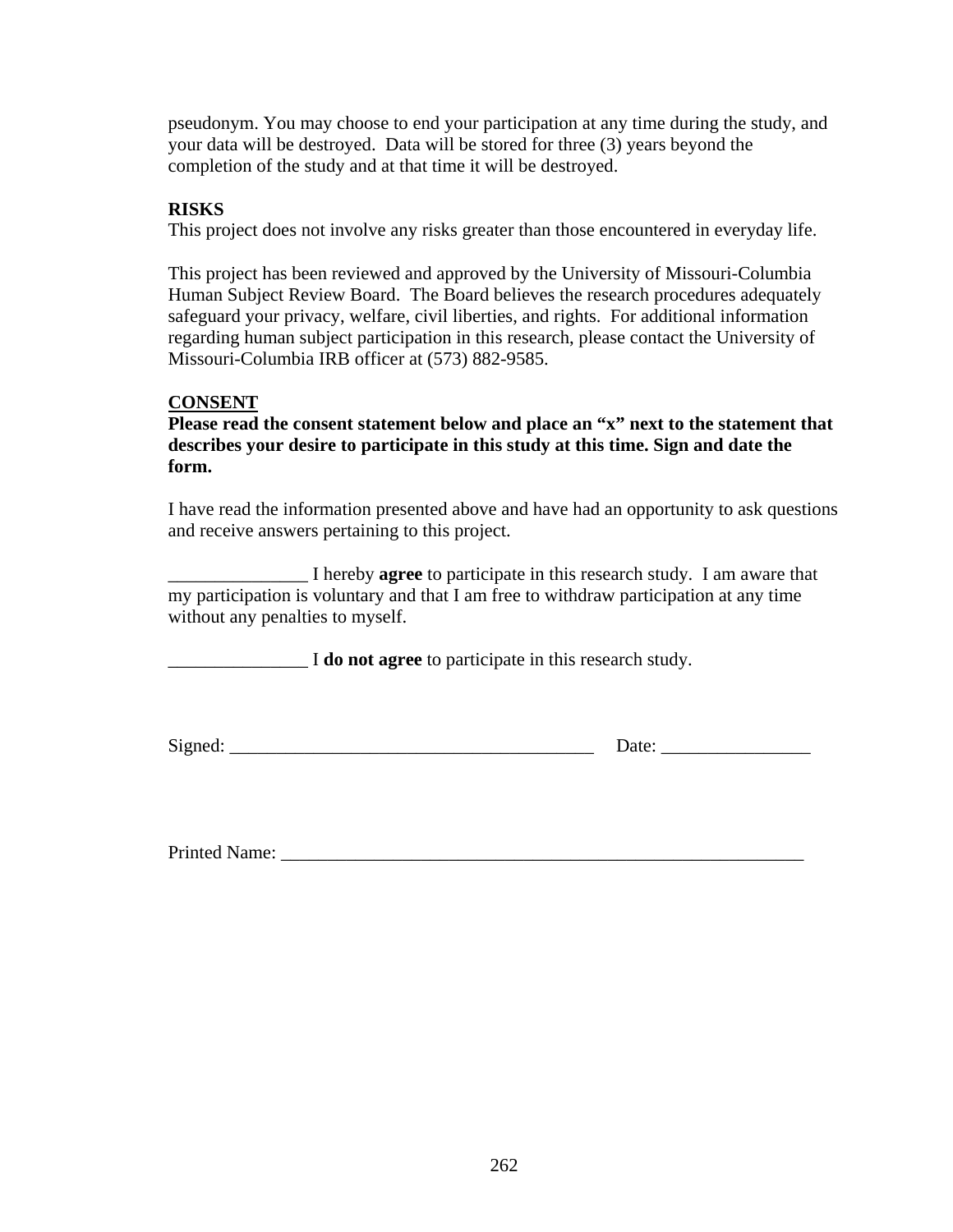pseudonym. You may choose to end your participation at any time during the study, and your data will be destroyed. Data will be stored for three (3) years beyond the completion of the study and at that time it will be destroyed.

# **RISKS**

This project does not involve any risks greater than those encountered in everyday life.

This project has been reviewed and approved by the University of Missouri-Columbia Human Subject Review Board. The Board believes the research procedures adequately safeguard your privacy, welfare, civil liberties, and rights. For additional information regarding human subject participation in this research, please contact the University of Missouri-Columbia IRB officer at (573) 882-9585.

# **CONSENT**

**Please read the consent statement below and place an "x" next to the statement that describes your desire to participate in this study at this time. Sign and date the form.** 

I have read the information presented above and have had an opportunity to ask questions and receive answers pertaining to this project.

\_\_\_\_\_\_\_\_\_\_\_\_\_\_\_ I hereby **agree** to participate in this research study. I am aware that my participation is voluntary and that I am free to withdraw participation at any time without any penalties to myself.

\_\_\_\_\_\_\_\_\_\_\_\_\_\_\_ I **do not agree** to participate in this research study.

Signed:  $\Box$ 

Printed Name: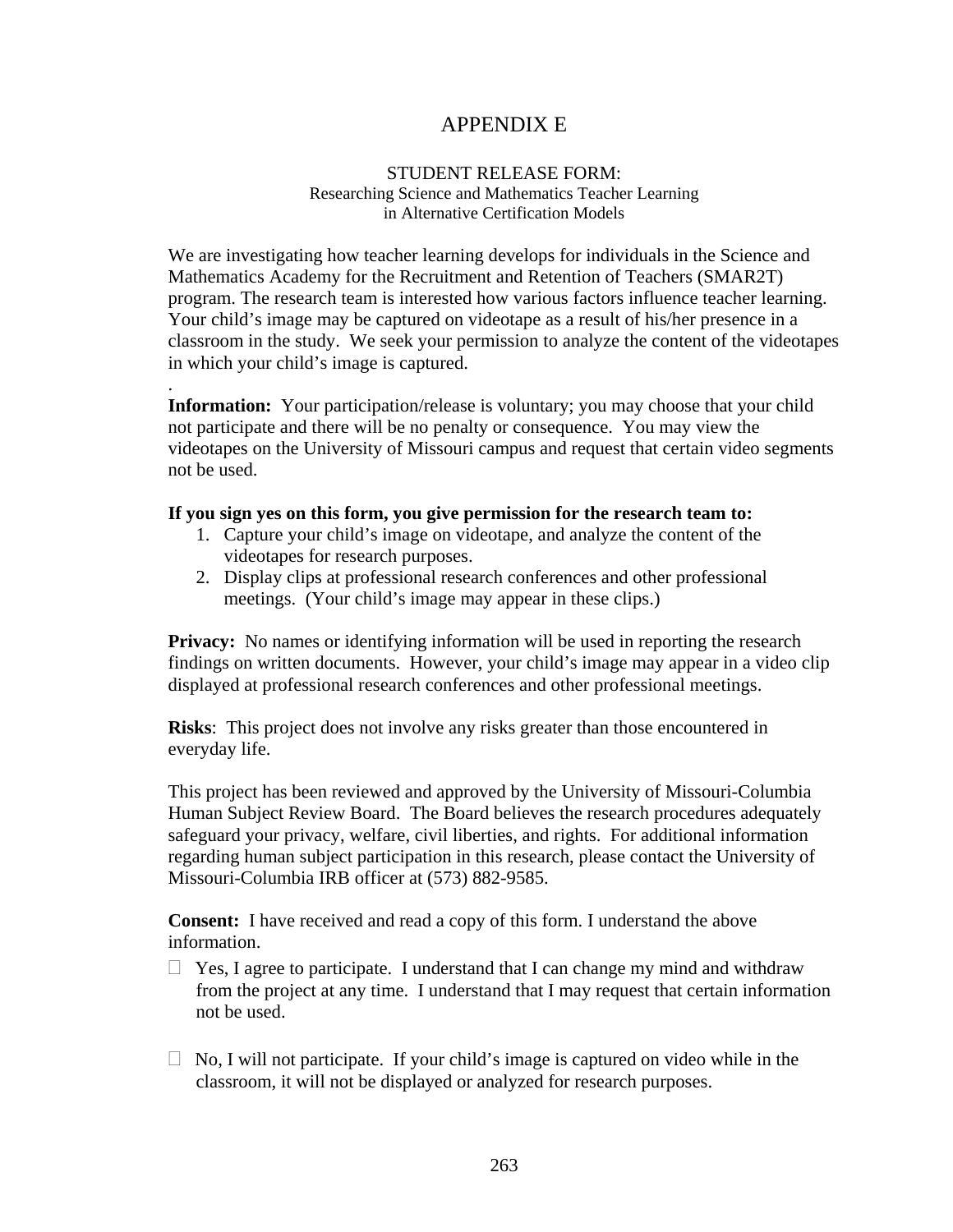# APPENDIX E

### STUDENT RELEASE FORM: Researching Science and Mathematics Teacher Learning in Alternative Certification Models

We are investigating how teacher learning develops for individuals in the Science and Mathematics Academy for the Recruitment and Retention of Teachers (SMAR2T) program. The research team is interested how various factors influence teacher learning. Your child's image may be captured on videotape as a result of his/her presence in a classroom in the study. We seek your permission to analyze the content of the videotapes in which your child's image is captured.

**Information:** Your participation/release is voluntary; you may choose that your child not participate and there will be no penalty or consequence. You may view the videotapes on the University of Missouri campus and request that certain video segments not be used.

### **If you sign yes on this form, you give permission for the research team to:**

.

- 1. Capture your child's image on videotape, and analyze the content of the videotapes for research purposes.
- 2. Display clips at professional research conferences and other professional meetings. (Your child's image may appear in these clips.)

**Privacy:** No names or identifying information will be used in reporting the research findings on written documents. However, your child's image may appear in a video clip displayed at professional research conferences and other professional meetings.

**Risks**: This project does not involve any risks greater than those encountered in everyday life.

This project has been reviewed and approved by the University of Missouri-Columbia Human Subject Review Board. The Board believes the research procedures adequately safeguard your privacy, welfare, civil liberties, and rights. For additional information regarding human subject participation in this research, please contact the University of Missouri-Columbia IRB officer at (573) 882-9585.

**Consent:** I have received and read a copy of this form. I understand the above information.

- $\Box$  Yes, I agree to participate. I understand that I can change my mind and withdraw from the project at any time. I understand that I may request that certain information not be used.
- $\Box$  No, I will not participate. If your child's image is captured on video while in the classroom, it will not be displayed or analyzed for research purposes.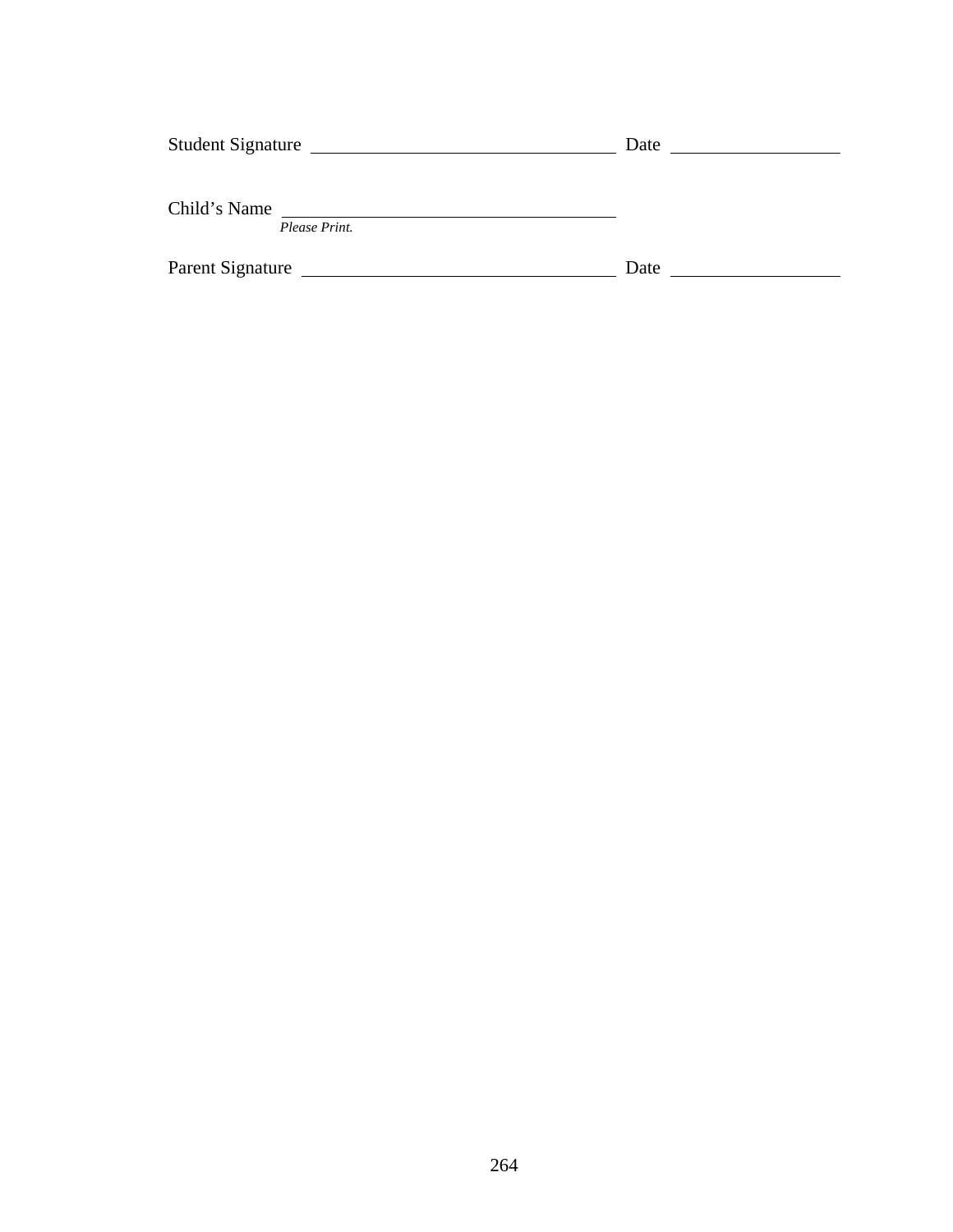| <b>Student Signature</b> |               | Date |  |
|--------------------------|---------------|------|--|
|                          |               |      |  |
| Child's Name             |               |      |  |
|                          | Please Print. |      |  |
| Parent Signature         |               | Date |  |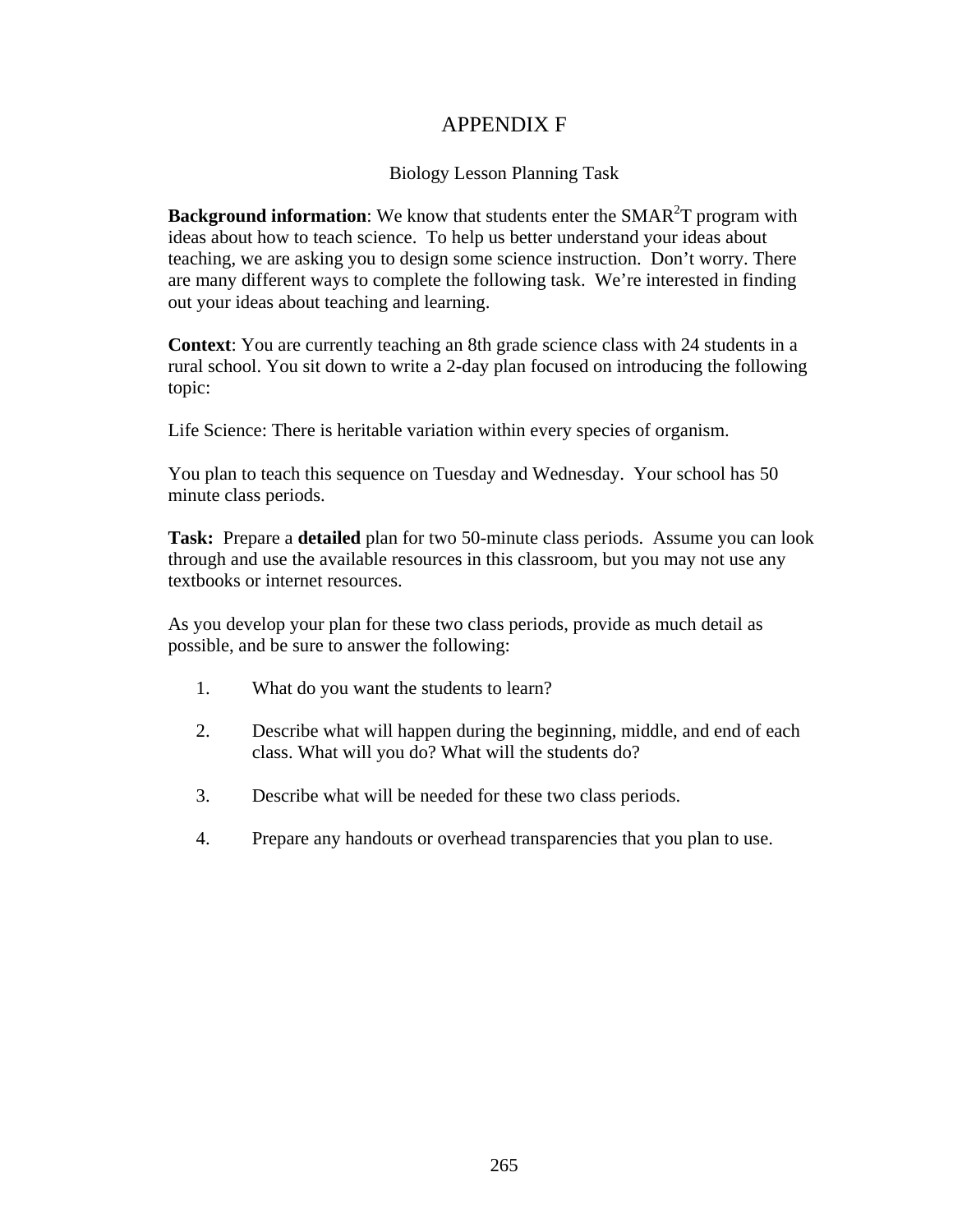# APPENDIX F

## Biology Lesson Planning Task

**Background information**: We know that students enter the SMAR<sup>2</sup>T program with ideas about how to teach science. To help us better understand your ideas about teaching, we are asking you to design some science instruction. Don't worry. There are many different ways to complete the following task. We're interested in finding out your ideas about teaching and learning.

**Context**: You are currently teaching an 8th grade science class with 24 students in a rural school. You sit down to write a 2-day plan focused on introducing the following topic:

Life Science: There is heritable variation within every species of organism.

You plan to teach this sequence on Tuesday and Wednesday. Your school has 50 minute class periods.

**Task:** Prepare a **detailed** plan for two 50-minute class periods. Assume you can look through and use the available resources in this classroom, but you may not use any textbooks or internet resources.

As you develop your plan for these two class periods, provide as much detail as possible, and be sure to answer the following:

- 1. What do you want the students to learn?
- 2. Describe what will happen during the beginning, middle, and end of each class. What will you do? What will the students do?
- 3. Describe what will be needed for these two class periods.
- 4. Prepare any handouts or overhead transparencies that you plan to use.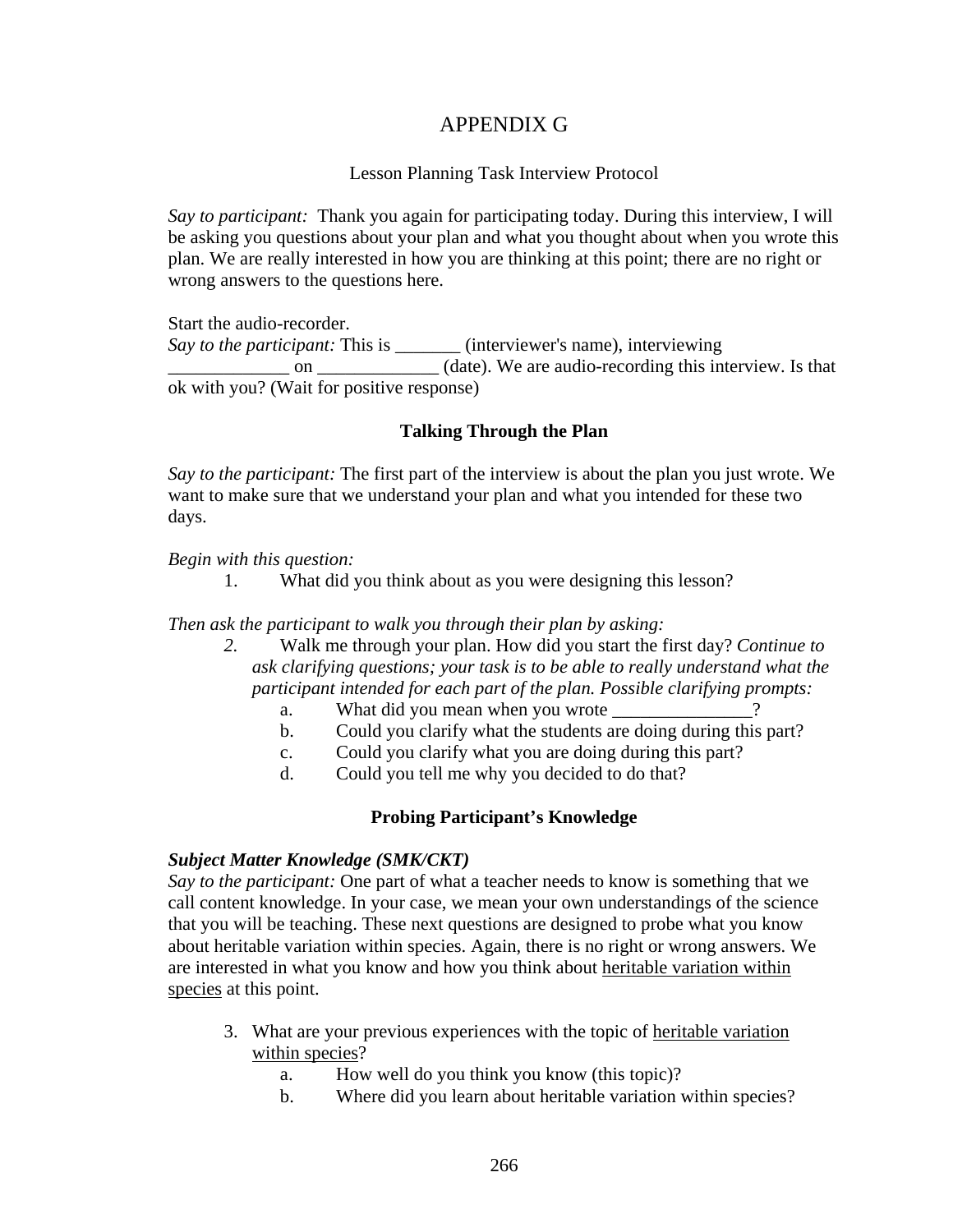# APPENDIX G

## Lesson Planning Task Interview Protocol

*Say to participant:* Thank you again for participating today. During this interview, I will be asking you questions about your plan and what you thought about when you wrote this plan. We are really interested in how you are thinking at this point; there are no right or wrong answers to the questions here.

Start the audio-recorder.

*Say to the participant:* This is \_\_\_\_\_\_\_ (interviewer's name), interviewing on \_\_\_\_\_\_\_\_ on \_\_\_\_\_\_\_\_\_ (date). We are audio-recording this interview. Is that ok with you? (Wait for positive response)

## **Talking Through the Plan**

*Say to the participant:* The first part of the interview is about the plan you just wrote. We want to make sure that we understand your plan and what you intended for these two days.

*Begin with this question:* 

1. What did you think about as you were designing this lesson?

*Then ask the participant to walk you through their plan by asking:* 

- *2.* Walk me through your plan. How did you start the first day? *Continue to ask clarifying questions; your task is to be able to really understand what the participant intended for each part of the plan. Possible clarifying prompts:* 
	- a. What did you mean when you wrote
	- b. Could you clarify what the students are doing during this part?
	- c. Could you clarify what you are doing during this part?
	- d. Could you tell me why you decided to do that?

# **Probing Participant's Knowledge**

### *Subject Matter Knowledge (SMK/CKT)*

*Say to the participant:* One part of what a teacher needs to know is something that we call content knowledge. In your case, we mean your own understandings of the science that you will be teaching. These next questions are designed to probe what you know about heritable variation within species. Again, there is no right or wrong answers. We are interested in what you know and how you think about heritable variation within species at this point.

- 3. What are your previous experiences with the topic of heritable variation within species?
	- a. How well do you think you know (this topic)?
	- b. Where did you learn about heritable variation within species?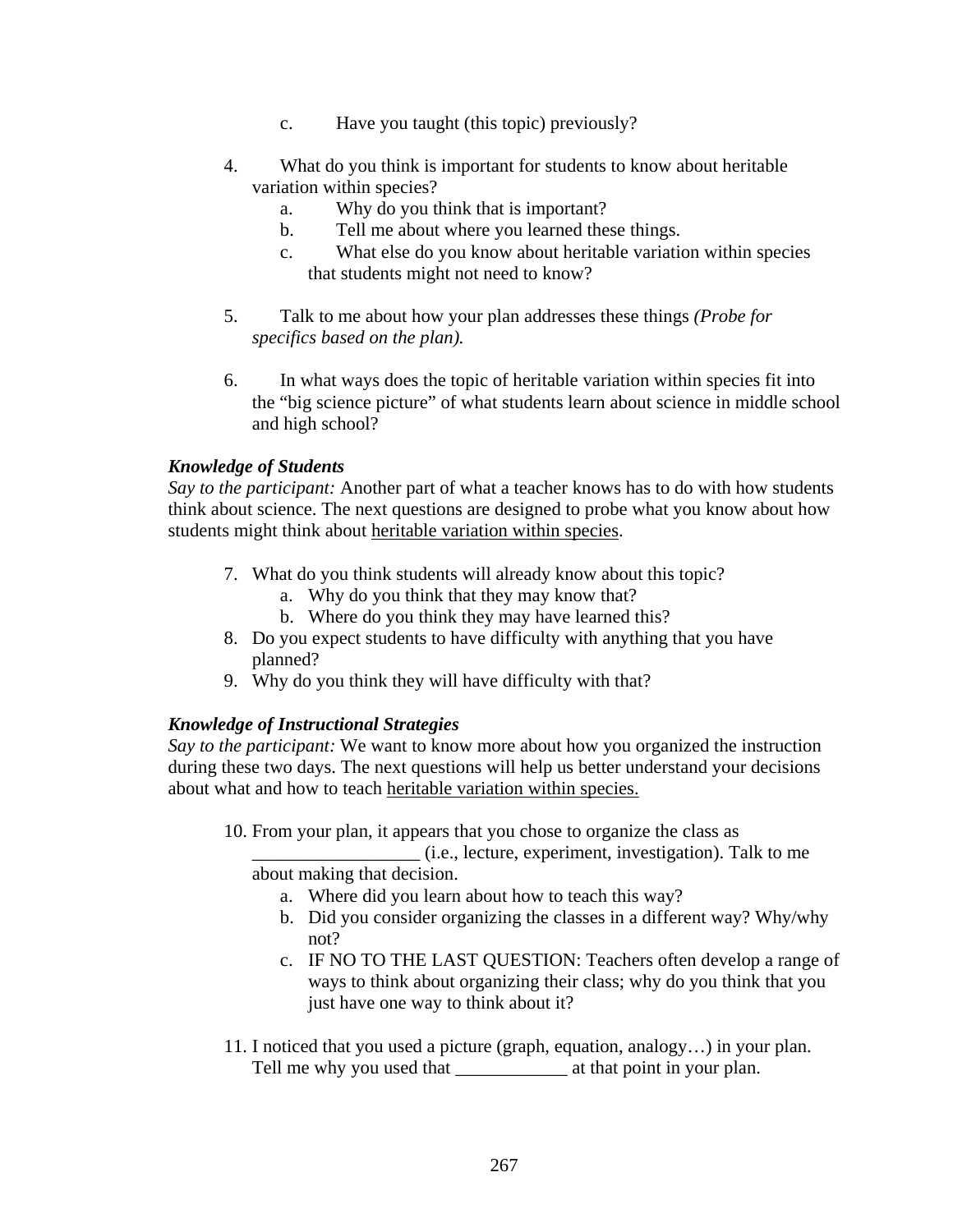- c. Have you taught (this topic) previously?
- 4. What do you think is important for students to know about heritable variation within species?
	- a. Why do you think that is important?
	- b. Tell me about where you learned these things.
	- c. What else do you know about heritable variation within species that students might not need to know?
- 5. Talk to me about how your plan addresses these things *(Probe for specifics based on the plan).*
- 6. In what ways does the topic of heritable variation within species fit into the "big science picture" of what students learn about science in middle school and high school?

## *Knowledge of Students*

*Say to the participant:* Another part of what a teacher knows has to do with how students think about science. The next questions are designed to probe what you know about how students might think about heritable variation within species.

- 7. What do you think students will already know about this topic?
	- a. Why do you think that they may know that?
	- b. Where do you think they may have learned this?
- 8. Do you expect students to have difficulty with anything that you have planned?
- 9. Why do you think they will have difficulty with that?

## *Knowledge of Instructional Strategies*

*Say to the participant:* We want to know more about how you organized the instruction during these two days. The next questions will help us better understand your decisions about what and how to teach heritable variation within species.

10. From your plan, it appears that you chose to organize the class as

\_\_\_\_\_\_\_\_\_\_\_\_\_\_\_\_\_\_ (i.e., lecture, experiment, investigation). Talk to me about making that decision.

- a. Where did you learn about how to teach this way?
- b. Did you consider organizing the classes in a different way? Why/why not?
- c. IF NO TO THE LAST QUESTION: Teachers often develop a range of ways to think about organizing their class; why do you think that you just have one way to think about it?
- 11. I noticed that you used a picture (graph, equation, analogy…) in your plan. Tell me why you used that \_\_\_\_\_\_\_\_\_\_\_\_ at that point in your plan.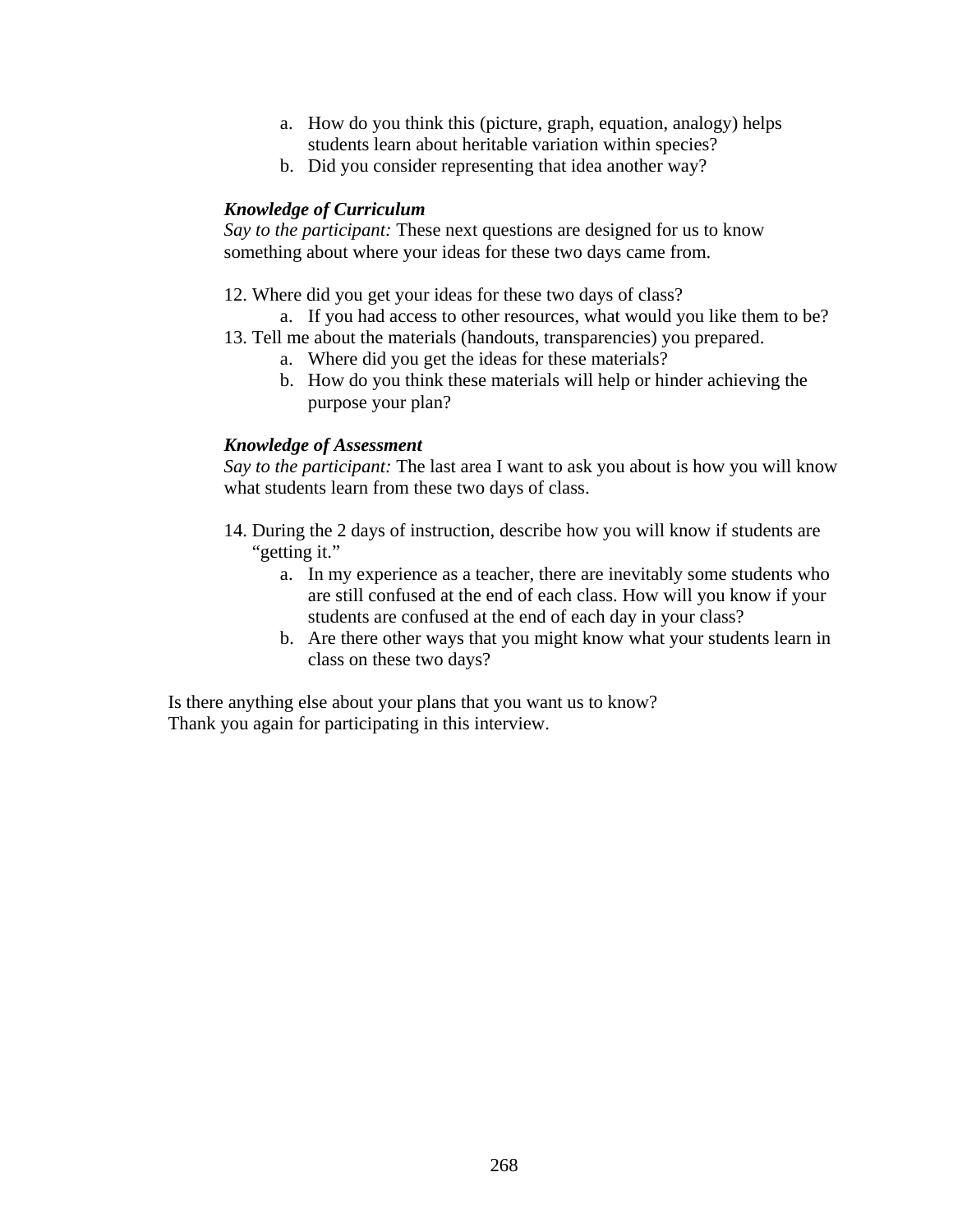- a. How do you think this (picture, graph, equation, analogy) helps students learn about heritable variation within species?
- b. Did you consider representing that idea another way?

## *Knowledge of Curriculum*

*Say to the participant:* These next questions are designed for us to know something about where your ideas for these two days came from.

- 12. Where did you get your ideas for these two days of class?
	- a. If you had access to other resources, what would you like them to be?
- 13. Tell me about the materials (handouts, transparencies) you prepared.
	- a. Where did you get the ideas for these materials?
	- b. How do you think these materials will help or hinder achieving the purpose your plan?

## *Knowledge of Assessment*

*Say to the participant:* The last area I want to ask you about is how you will know what students learn from these two days of class.

- 14. During the 2 days of instruction, describe how you will know if students are "getting it."
	- a. In my experience as a teacher, there are inevitably some students who are still confused at the end of each class. How will you know if your students are confused at the end of each day in your class?
	- b. Are there other ways that you might know what your students learn in class on these two days?

Is there anything else about your plans that you want us to know? Thank you again for participating in this interview.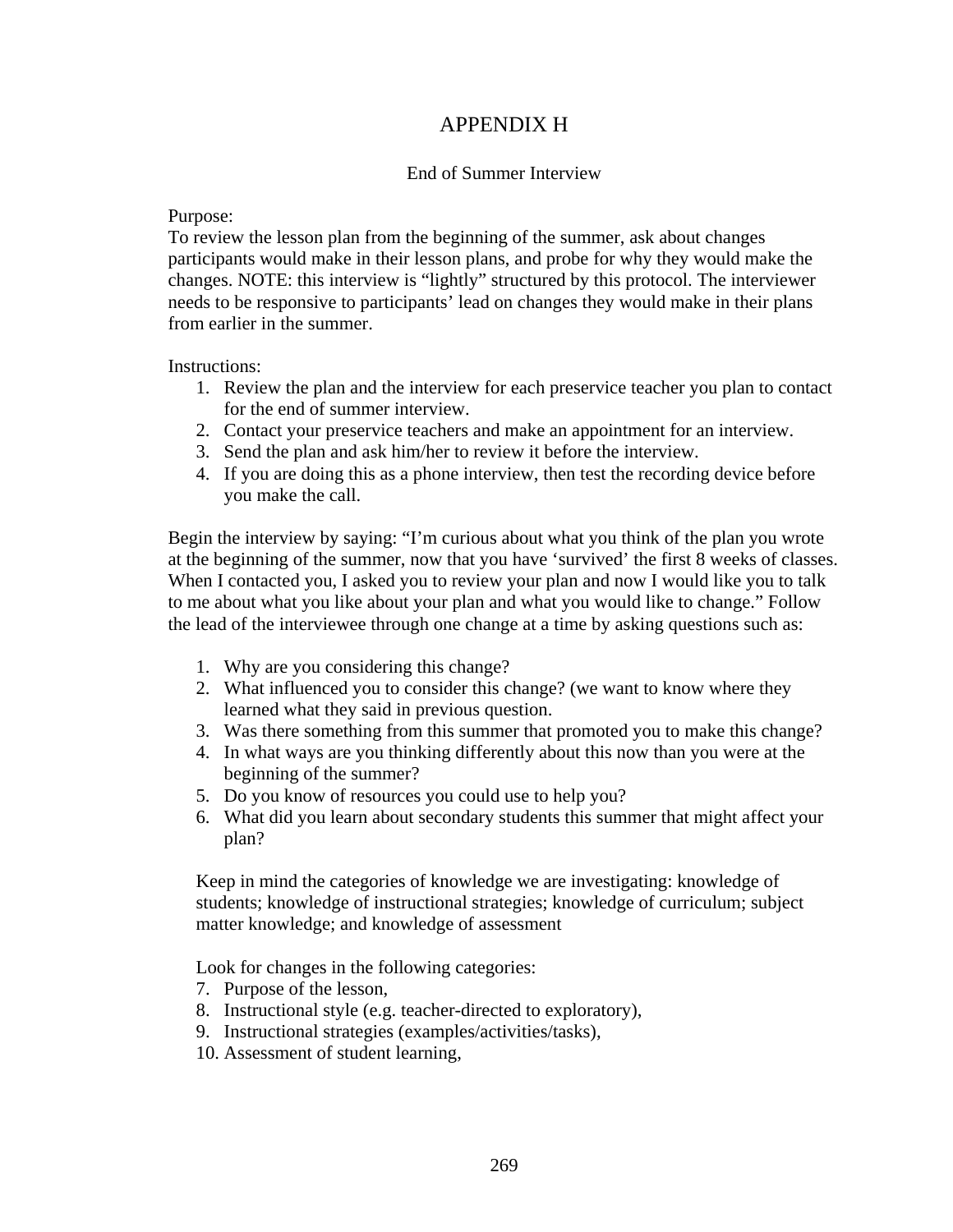# APPENDIX H

## End of Summer Interview

### Purpose:

To review the lesson plan from the beginning of the summer, ask about changes participants would make in their lesson plans, and probe for why they would make the changes. NOTE: this interview is "lightly" structured by this protocol. The interviewer needs to be responsive to participants' lead on changes they would make in their plans from earlier in the summer.

Instructions:

- 1. Review the plan and the interview for each preservice teacher you plan to contact for the end of summer interview.
- 2. Contact your preservice teachers and make an appointment for an interview.
- 3. Send the plan and ask him/her to review it before the interview.
- 4. If you are doing this as a phone interview, then test the recording device before you make the call.

Begin the interview by saying: "I'm curious about what you think of the plan you wrote at the beginning of the summer, now that you have 'survived' the first 8 weeks of classes. When I contacted you, I asked you to review your plan and now I would like you to talk to me about what you like about your plan and what you would like to change." Follow the lead of the interviewee through one change at a time by asking questions such as:

- 1. Why are you considering this change?
- 2. What influenced you to consider this change? (we want to know where they learned what they said in previous question.
- 3. Was there something from this summer that promoted you to make this change?
- 4. In what ways are you thinking differently about this now than you were at the beginning of the summer?
- 5. Do you know of resources you could use to help you?
- 6. What did you learn about secondary students this summer that might affect your plan?

Keep in mind the categories of knowledge we are investigating: knowledge of students; knowledge of instructional strategies; knowledge of curriculum; subject matter knowledge; and knowledge of assessment

Look for changes in the following categories:

- 7. Purpose of the lesson,
- 8. Instructional style (e.g. teacher-directed to exploratory),
- 9. Instructional strategies (examples/activities/tasks),
- 10. Assessment of student learning,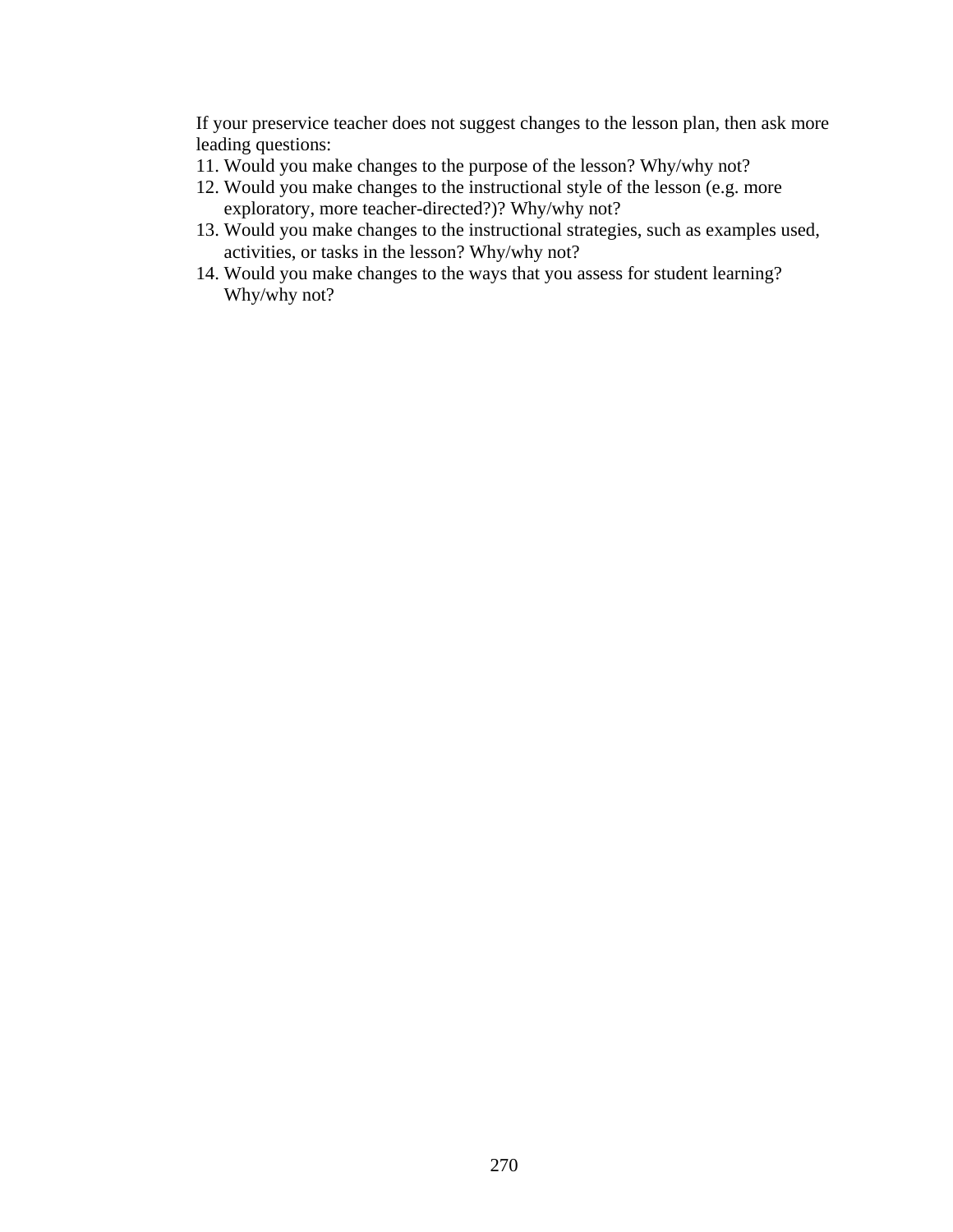If your preservice teacher does not suggest changes to the lesson plan, then ask more leading questions:

- 11. Would you make changes to the purpose of the lesson? Why/why not?
- 12. Would you make changes to the instructional style of the lesson (e.g. more exploratory, more teacher-directed?)? Why/why not?
- 13. Would you make changes to the instructional strategies, such as examples used, activities, or tasks in the lesson? Why/why not?
- 14. Would you make changes to the ways that you assess for student learning? Why/why not?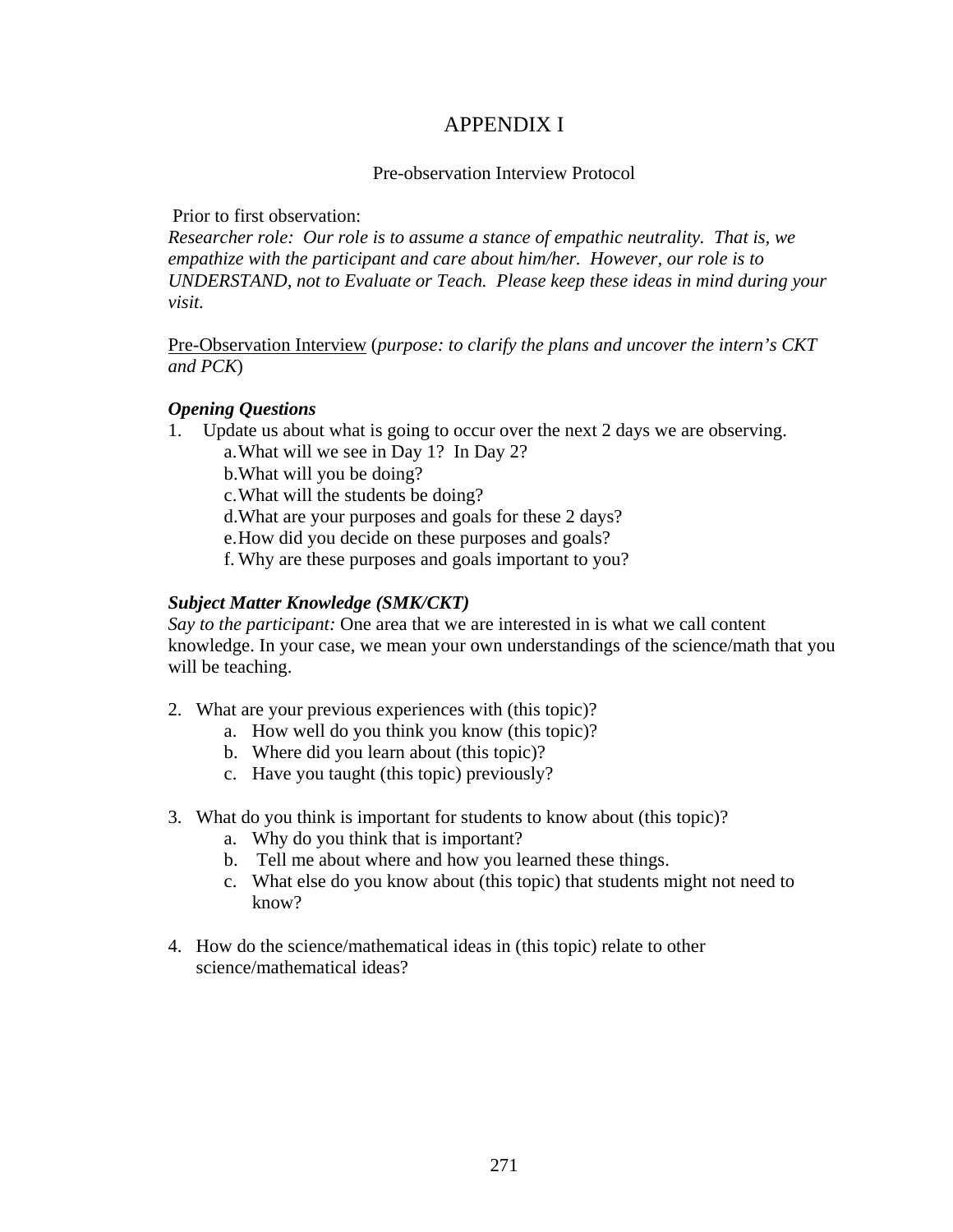# APPENDIX I

## Pre-observation Interview Protocol

Prior to first observation:

*Researcher role: Our role is to assume a stance of empathic neutrality. That is, we empathize with the participant and care about him/her. However, our role is to UNDERSTAND, not to Evaluate or Teach. Please keep these ideas in mind during your visit.* 

Pre-Observation Interview (*purpose: to clarify the plans and uncover the intern's CKT and PCK*)

## *Opening Questions*

1. Update us about what is going to occur over the next 2 days we are observing.

a.What will we see in Day 1? In Day 2?

b.What will you be doing?

c.What will the students be doing?

d.What are your purposes and goals for these 2 days?

e.How did you decide on these purposes and goals?

f. Why are these purposes and goals important to you?

## *Subject Matter Knowledge (SMK/CKT)*

*Say to the participant:* One area that we are interested in is what we call content knowledge. In your case, we mean your own understandings of the science/math that you will be teaching.

- 2. What are your previous experiences with (this topic)?
	- a. How well do you think you know (this topic)?
	- b. Where did you learn about (this topic)?
	- c. Have you taught (this topic) previously?
- 3. What do you think is important for students to know about (this topic)?
	- a. Why do you think that is important?
	- b. Tell me about where and how you learned these things.
	- c. What else do you know about (this topic) that students might not need to know?
- 4. How do the science/mathematical ideas in (this topic) relate to other science/mathematical ideas?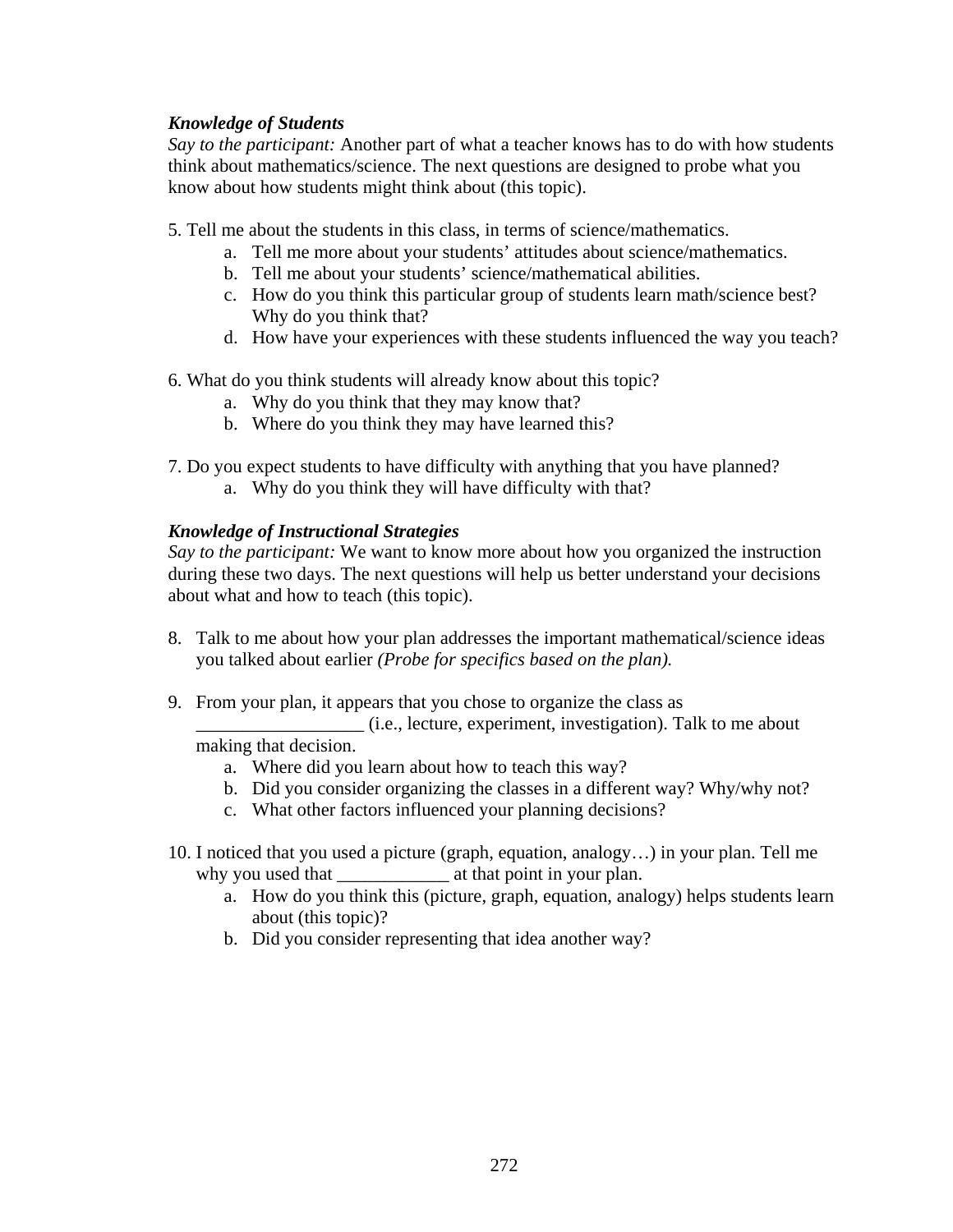## *Knowledge of Students*

*Say to the participant:* Another part of what a teacher knows has to do with how students think about mathematics/science. The next questions are designed to probe what you know about how students might think about (this topic).

- 5. Tell me about the students in this class, in terms of science/mathematics.
	- a. Tell me more about your students' attitudes about science/mathematics.
	- b. Tell me about your students' science/mathematical abilities.
	- c. How do you think this particular group of students learn math/science best? Why do you think that?
	- d. How have your experiences with these students influenced the way you teach?
- 6. What do you think students will already know about this topic?
	- a. Why do you think that they may know that?
	- b. Where do you think they may have learned this?
- 7. Do you expect students to have difficulty with anything that you have planned?
	- a. Why do you think they will have difficulty with that?

## *Knowledge of Instructional Strategies*

*Say to the participant:* We want to know more about how you organized the instruction during these two days. The next questions will help us better understand your decisions about what and how to teach (this topic).

- 8. Talk to me about how your plan addresses the important mathematical/science ideas you talked about earlier *(Probe for specifics based on the plan).*
- 9. From your plan, it appears that you chose to organize the class as

\_\_\_\_\_\_\_\_\_\_\_\_\_\_\_\_\_\_ (i.e., lecture, experiment, investigation). Talk to me about making that decision.

- a. Where did you learn about how to teach this way?
- b. Did you consider organizing the classes in a different way? Why/why not?
- c. What other factors influenced your planning decisions?
- 10. I noticed that you used a picture (graph, equation, analogy…) in your plan. Tell me why you used that \_\_\_\_\_\_\_\_\_\_\_\_ at that point in your plan.
	- a. How do you think this (picture, graph, equation, analogy) helps students learn about (this topic)?
	- b. Did you consider representing that idea another way?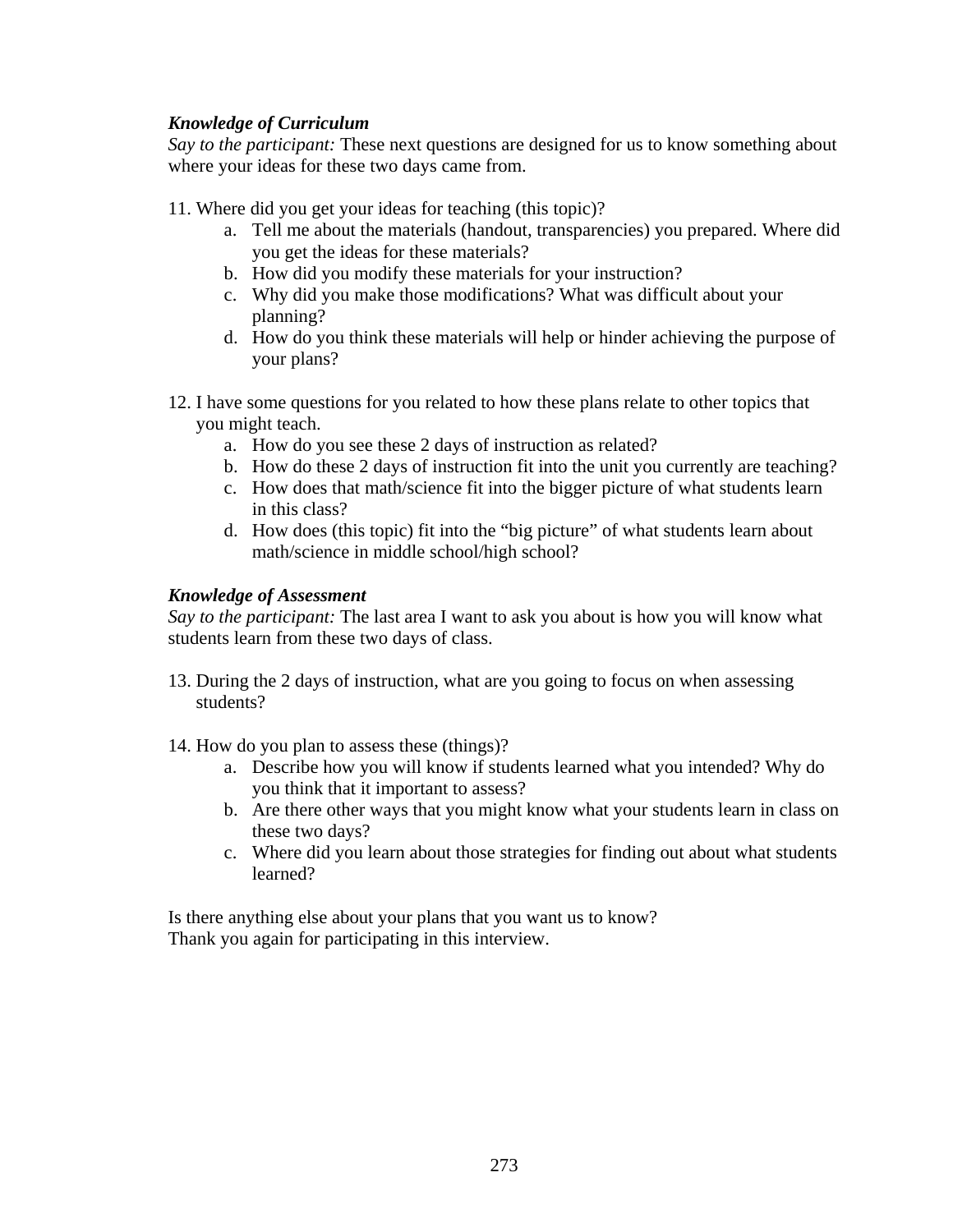## *Knowledge of Curriculum*

*Say to the participant:* These next questions are designed for us to know something about where your ideas for these two days came from.

- 11. Where did you get your ideas for teaching (this topic)?
	- a. Tell me about the materials (handout, transparencies) you prepared. Where did you get the ideas for these materials?
	- b. How did you modify these materials for your instruction?
	- c. Why did you make those modifications? What was difficult about your planning?
	- d. How do you think these materials will help or hinder achieving the purpose of your plans?
- 12. I have some questions for you related to how these plans relate to other topics that you might teach.
	- a. How do you see these 2 days of instruction as related?
	- b. How do these 2 days of instruction fit into the unit you currently are teaching?
	- c. How does that math/science fit into the bigger picture of what students learn in this class?
	- d. How does (this topic) fit into the "big picture" of what students learn about math/science in middle school/high school?

## *Knowledge of Assessment*

*Say to the participant:* The last area I want to ask you about is how you will know what students learn from these two days of class.

- 13. During the 2 days of instruction, what are you going to focus on when assessing students?
- 14. How do you plan to assess these (things)?
	- a. Describe how you will know if students learned what you intended? Why do you think that it important to assess?
	- b. Are there other ways that you might know what your students learn in class on these two days?
	- c. Where did you learn about those strategies for finding out about what students learned?

Is there anything else about your plans that you want us to know? Thank you again for participating in this interview.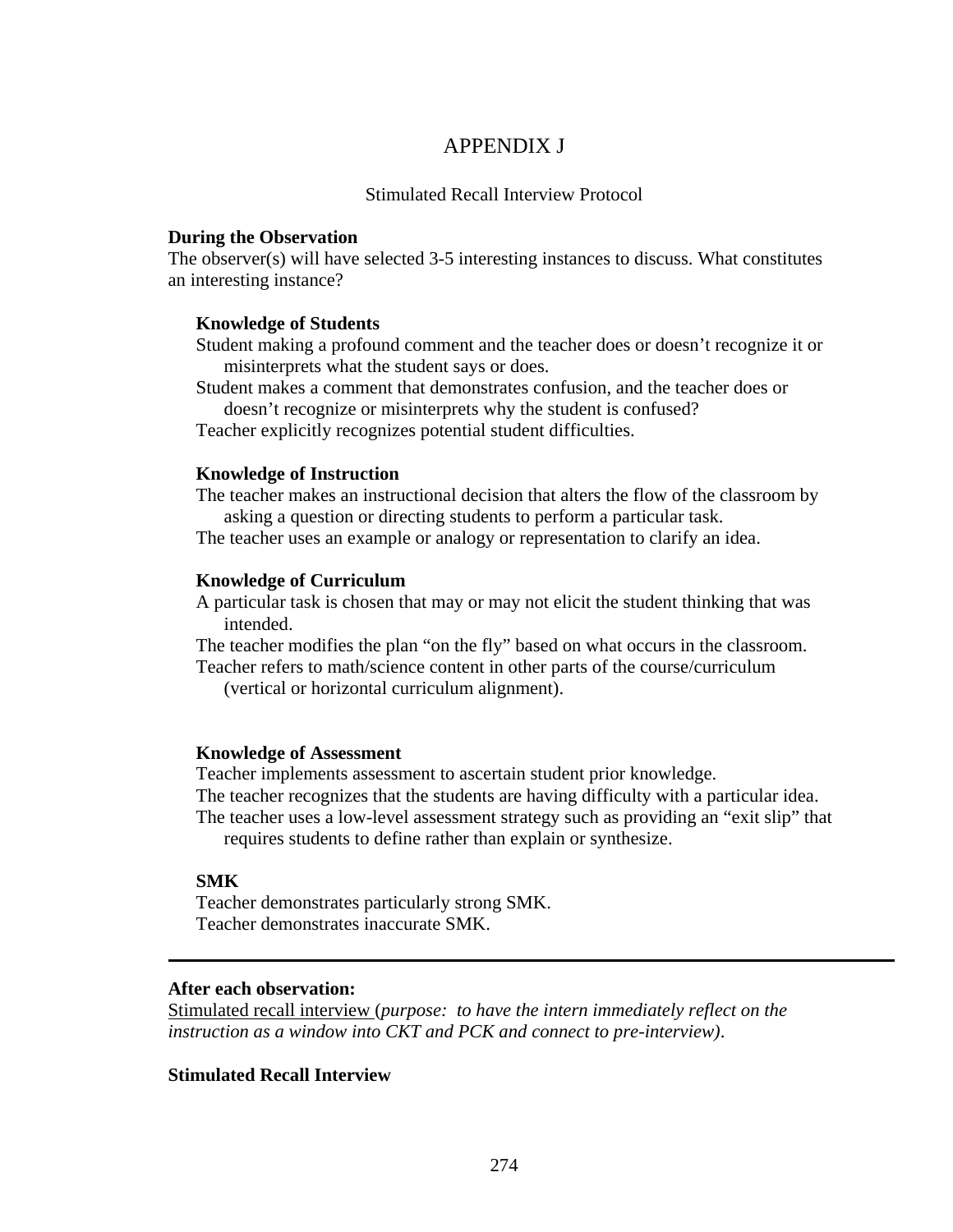## APPENDIX J

### Stimulated Recall Interview Protocol

#### **During the Observation**

The observer(s) will have selected 3-5 interesting instances to discuss. What constitutes an interesting instance?

### **Knowledge of Students**

Student making a profound comment and the teacher does or doesn't recognize it or misinterprets what the student says or does.

Student makes a comment that demonstrates confusion, and the teacher does or doesn't recognize or misinterprets why the student is confused?

Teacher explicitly recognizes potential student difficulties.

### **Knowledge of Instruction**

The teacher makes an instructional decision that alters the flow of the classroom by asking a question or directing students to perform a particular task.

The teacher uses an example or analogy or representation to clarify an idea.

### **Knowledge of Curriculum**

A particular task is chosen that may or may not elicit the student thinking that was intended.

The teacher modifies the plan "on the fly" based on what occurs in the classroom. Teacher refers to math/science content in other parts of the course/curriculum

(vertical or horizontal curriculum alignment).

### **Knowledge of Assessment**

Teacher implements assessment to ascertain student prior knowledge. The teacher recognizes that the students are having difficulty with a particular idea. The teacher uses a low-level assessment strategy such as providing an "exit slip" that requires students to define rather than explain or synthesize.

### **SMK**

Teacher demonstrates particularly strong SMK. Teacher demonstrates inaccurate SMK.

## **After each observation:**

Stimulated recall interview (*purpose: to have the intern immediately reflect on the instruction as a window into CKT and PCK and connect to pre-interview)*.

### **Stimulated Recall Interview**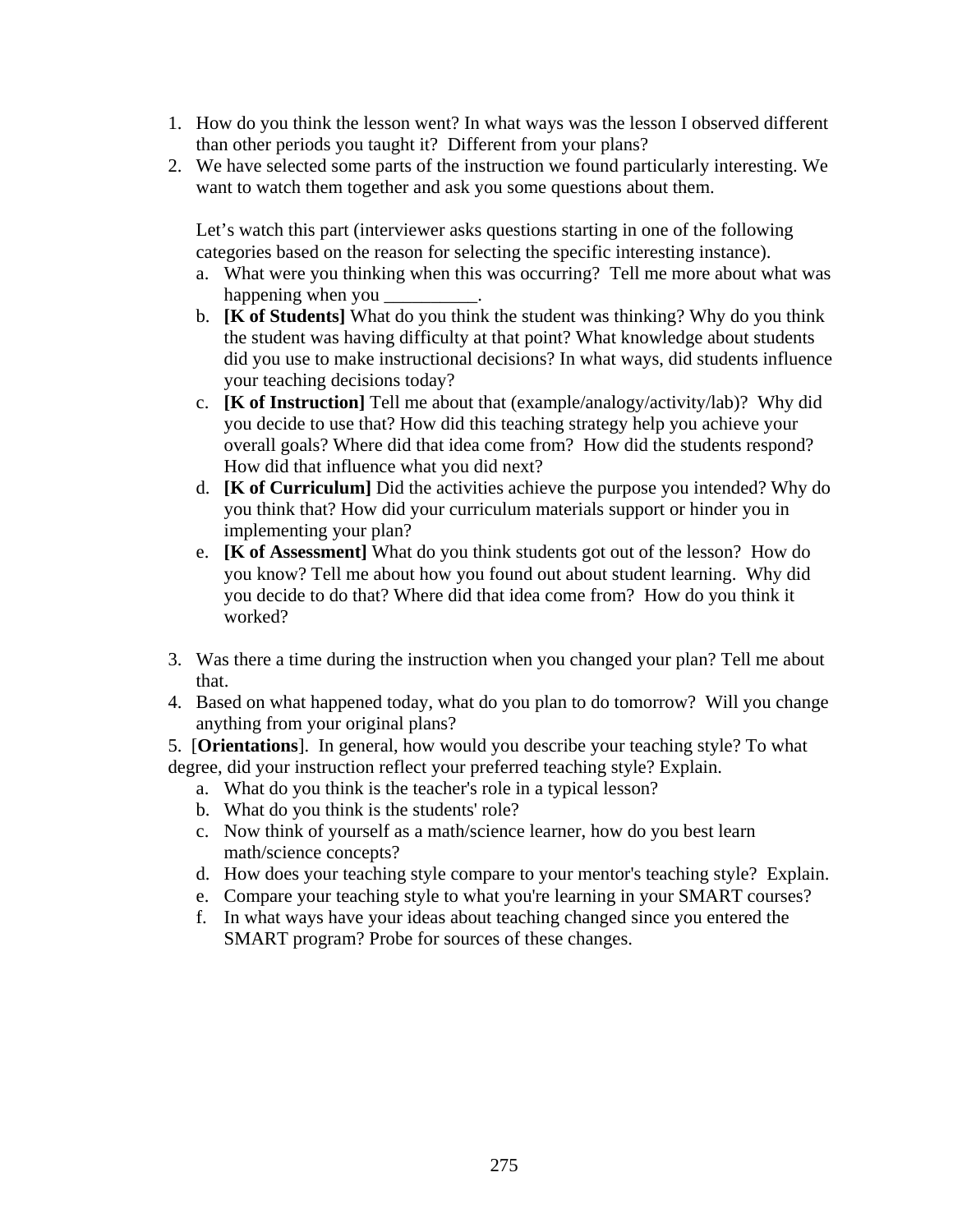- 1. How do you think the lesson went? In what ways was the lesson I observed different than other periods you taught it? Different from your plans?
- 2. We have selected some parts of the instruction we found particularly interesting. We want to watch them together and ask you some questions about them.

Let's watch this part (interviewer asks questions starting in one of the following categories based on the reason for selecting the specific interesting instance).

- a. What were you thinking when this was occurring? Tell me more about what was happening when you \_\_\_\_\_\_\_\_\_\_.
- b. **[K of Students]** What do you think the student was thinking? Why do you think the student was having difficulty at that point? What knowledge about students did you use to make instructional decisions? In what ways, did students influence your teaching decisions today?
- c. **[K of Instruction]** Tell me about that (example/analogy/activity/lab)? Why did you decide to use that? How did this teaching strategy help you achieve your overall goals? Where did that idea come from? How did the students respond? How did that influence what you did next?
- d. **[K of Curriculum]** Did the activities achieve the purpose you intended? Why do you think that? How did your curriculum materials support or hinder you in implementing your plan?
- e. **[K of Assessment]** What do you think students got out of the lesson? How do you know? Tell me about how you found out about student learning. Why did you decide to do that? Where did that idea come from? How do you think it worked?
- 3. Was there a time during the instruction when you changed your plan? Tell me about that.
- 4. Based on what happened today, what do you plan to do tomorrow? Will you change anything from your original plans?

5. [**Orientations**]. In general, how would you describe your teaching style? To what degree, did your instruction reflect your preferred teaching style? Explain.

- a. What do you think is the teacher's role in a typical lesson?
- b. What do you think is the students' role?
- c. Now think of yourself as a math/science learner, how do you best learn math/science concepts?
- d. How does your teaching style compare to your mentor's teaching style? Explain.
- e. Compare your teaching style to what you're learning in your SMART courses?
- f. In what ways have your ideas about teaching changed since you entered the SMART program? Probe for sources of these changes.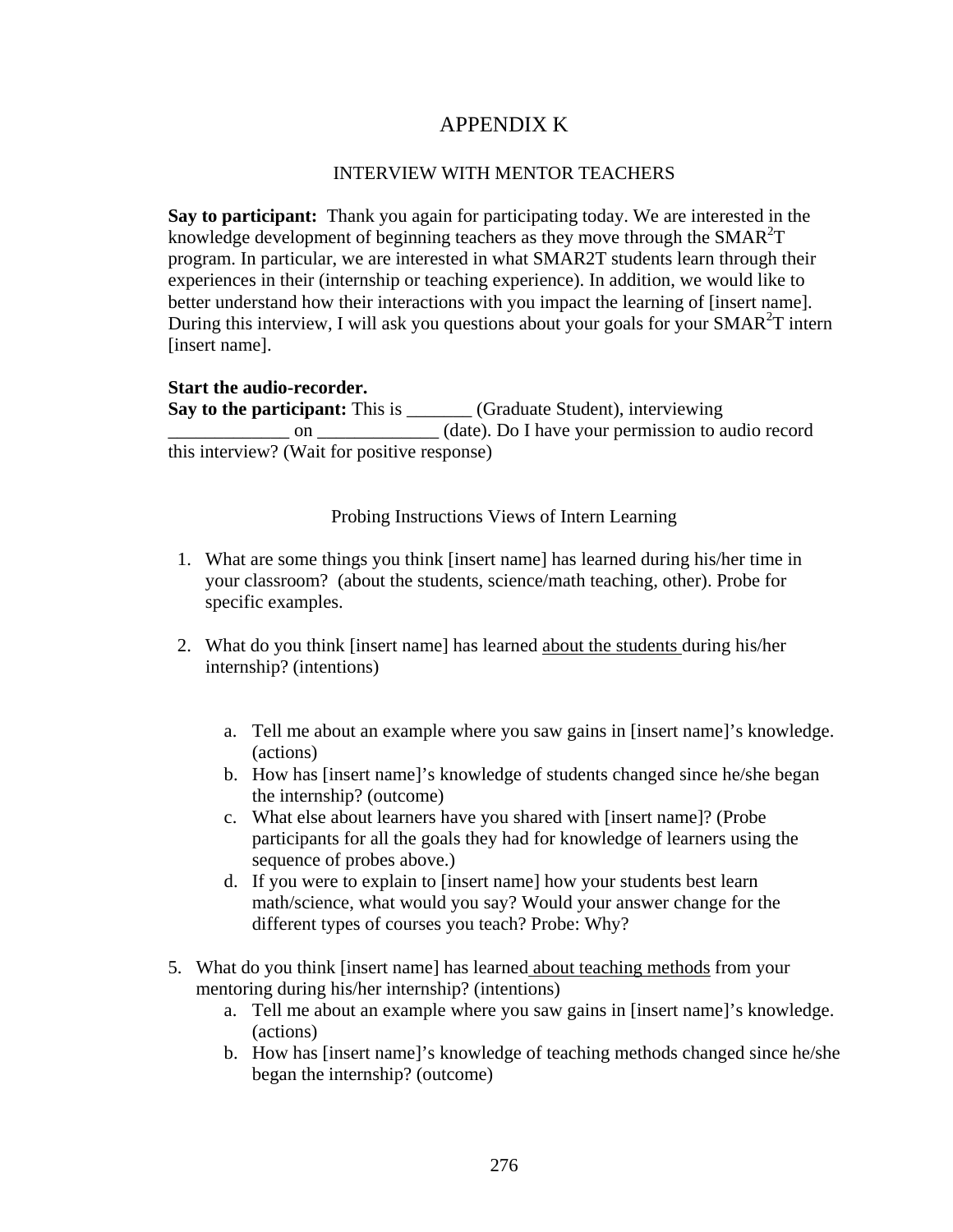# APPENDIX K

## INTERVIEW WITH MENTOR TEACHERS

**Say to participant:** Thank you again for participating today. We are interested in the knowledge development of beginning teachers as they move through the  $SMAR^2T$ program. In particular, we are interested in what SMAR2T students learn through their experiences in their (internship or teaching experience). In addition, we would like to better understand how their interactions with you impact the learning of [insert name]. During this interview, I will ask you questions about your goals for your SMAR<sup>2</sup>T intern [insert name].

**Start the audio-recorder. Say to the participant:** This is \_\_\_\_\_\_\_ (Graduate Student), interviewing  $\frac{1}{\sqrt{1-\frac{1}{\sqrt{1-\frac{1}{\sqrt{1-\frac{1}{\sqrt{1-\frac{1}{\sqrt{1-\frac{1}{\sqrt{1-\frac{1}{\sqrt{1-\frac{1}{\sqrt{1-\frac{1}{\sqrt{1-\frac{1}{\sqrt{1-\frac{1}{\sqrt{1-\frac{1}{\sqrt{1-\frac{1}{\sqrt{1-\frac{1}{\sqrt{1-\frac{1}{\sqrt{1-\frac{1}{\sqrt{1-\frac{1}{\sqrt{1-\frac{1}{\sqrt{1-\frac{1}{\sqrt{1-\frac{1}{\sqrt{1-\frac{1}{\sqrt{1-\frac{1}{\sqrt{1-\frac{1}{\sqrt{1-\frac{1}{\sqrt{1-\frac{1$ this interview? (Wait for positive response)

Probing Instructions Views of Intern Learning

- 1. What are some things you think [insert name] has learned during his/her time in your classroom? (about the students, science/math teaching, other). Probe for specific examples.
- 2. What do you think [insert name] has learned about the students during his/her internship? (intentions)
	- a. Tell me about an example where you saw gains in [insert name]'s knowledge. (actions)
	- b. How has [insert name]'s knowledge of students changed since he/she began the internship? (outcome)
	- c. What else about learners have you shared with [insert name]? (Probe participants for all the goals they had for knowledge of learners using the sequence of probes above.)
	- d. If you were to explain to [insert name] how your students best learn math/science, what would you say? Would your answer change for the different types of courses you teach? Probe: Why?
- 5. What do you think [insert name] has learned about teaching methods from your mentoring during his/her internship? (intentions)
	- a. Tell me about an example where you saw gains in [insert name]'s knowledge. (actions)
	- b. How has [insert name]'s knowledge of teaching methods changed since he/she began the internship? (outcome)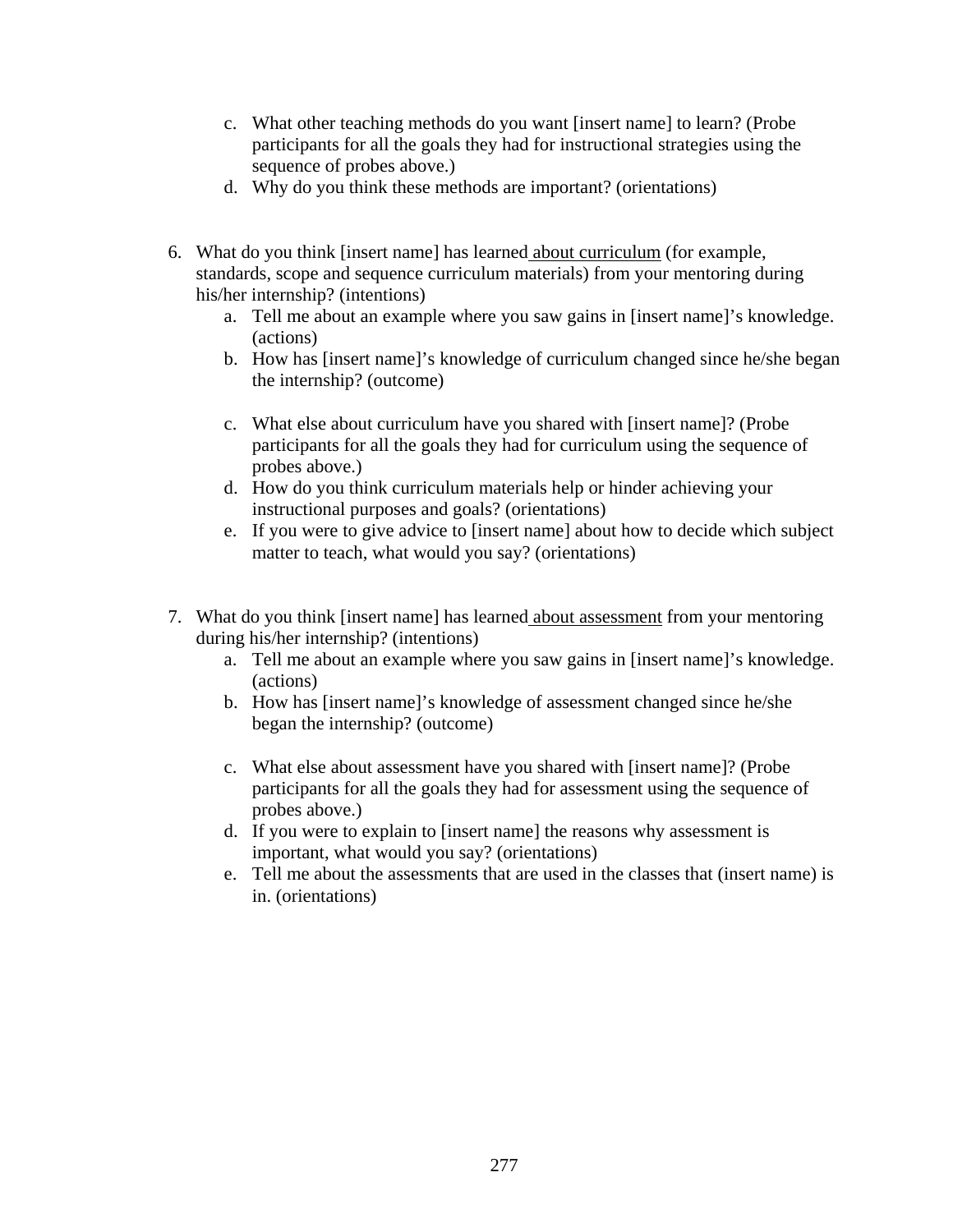- c. What other teaching methods do you want [insert name] to learn? (Probe participants for all the goals they had for instructional strategies using the sequence of probes above.)
- d. Why do you think these methods are important? (orientations)
- 6. What do you think [insert name] has learned about curriculum (for example, standards, scope and sequence curriculum materials) from your mentoring during his/her internship? (intentions)
	- a. Tell me about an example where you saw gains in [insert name]'s knowledge. (actions)
	- b. How has [insert name]'s knowledge of curriculum changed since he/she began the internship? (outcome)
	- c. What else about curriculum have you shared with [insert name]? (Probe participants for all the goals they had for curriculum using the sequence of probes above.)
	- d. How do you think curriculum materials help or hinder achieving your instructional purposes and goals? (orientations)
	- e. If you were to give advice to [insert name] about how to decide which subject matter to teach, what would you say? (orientations)
- 7. What do you think [insert name] has learned about assessment from your mentoring during his/her internship? (intentions)
	- a. Tell me about an example where you saw gains in [insert name]'s knowledge. (actions)
	- b. How has [insert name]'s knowledge of assessment changed since he/she began the internship? (outcome)
	- c. What else about assessment have you shared with [insert name]? (Probe participants for all the goals they had for assessment using the sequence of probes above.)
	- d. If you were to explain to [insert name] the reasons why assessment is important, what would you say? (orientations)
	- e. Tell me about the assessments that are used in the classes that (insert name) is in. (orientations)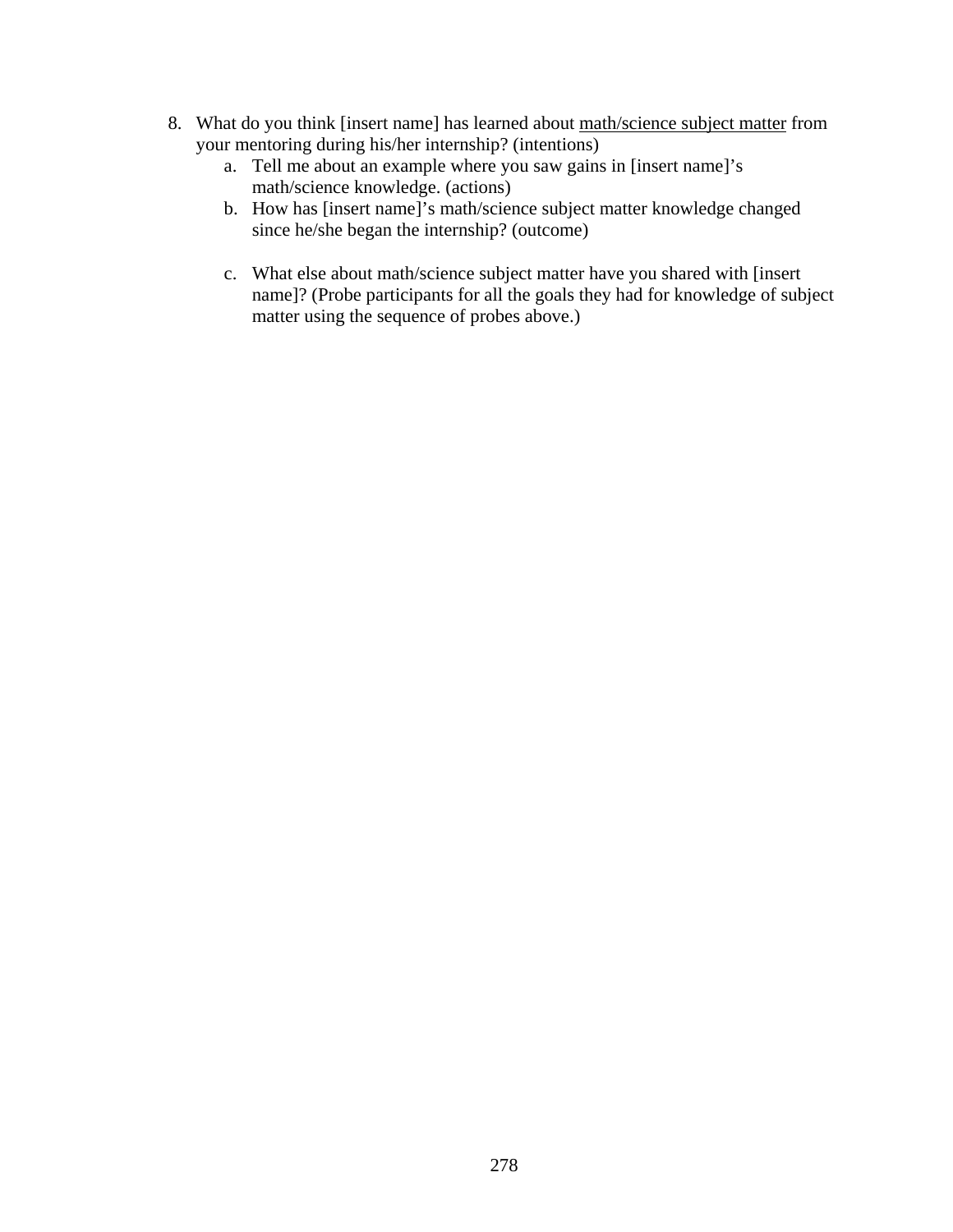- 8. What do you think [insert name] has learned about math/science subject matter from your mentoring during his/her internship? (intentions)
	- a. Tell me about an example where you saw gains in [insert name]'s math/science knowledge. (actions)
	- b. How has [insert name]'s math/science subject matter knowledge changed since he/she began the internship? (outcome)
	- c. What else about math/science subject matter have you shared with [insert name]? (Probe participants for all the goals they had for knowledge of subject matter using the sequence of probes above.)